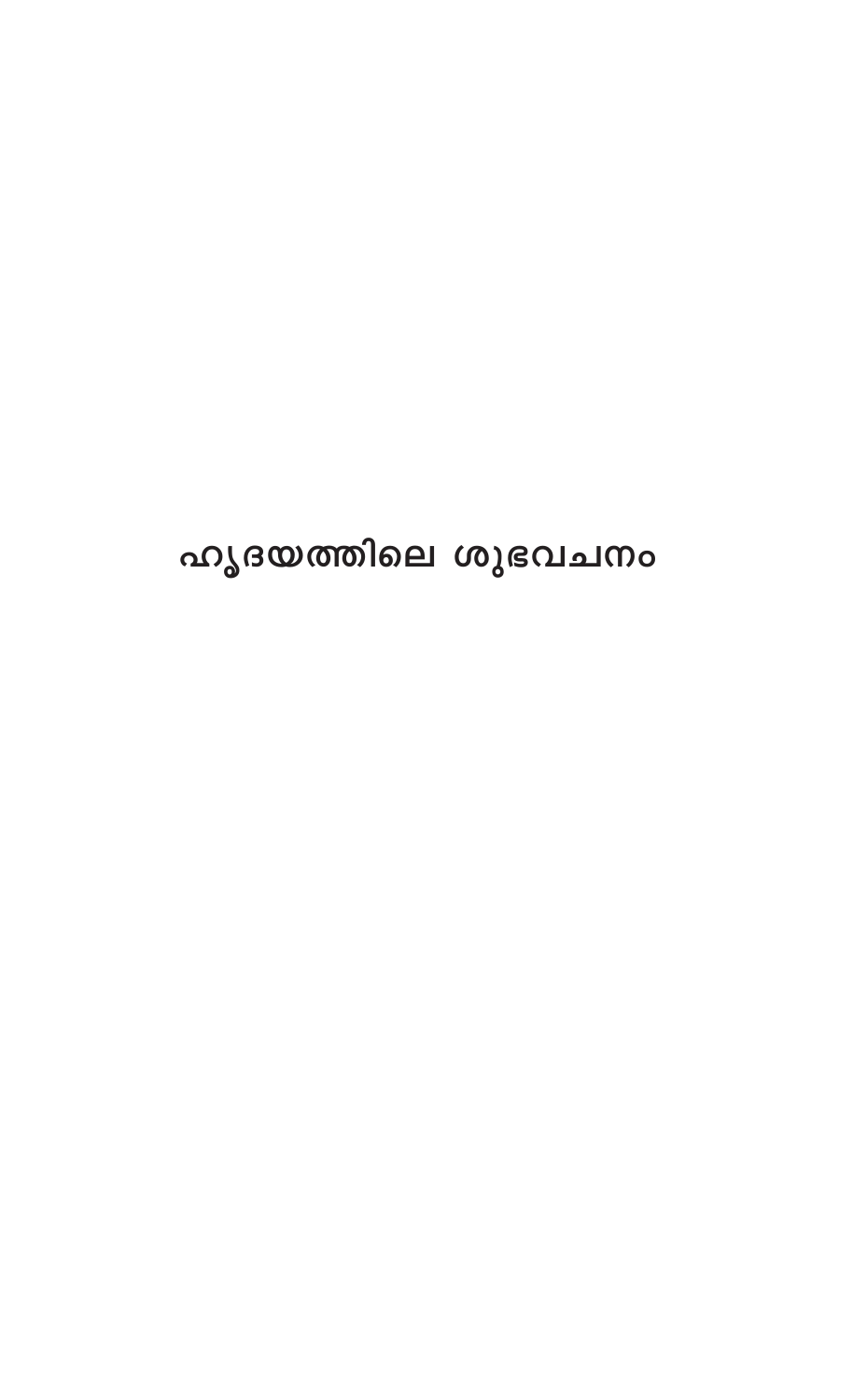ഹൃദയത്തിലെ ശുഭവചന<mark>ം</mark>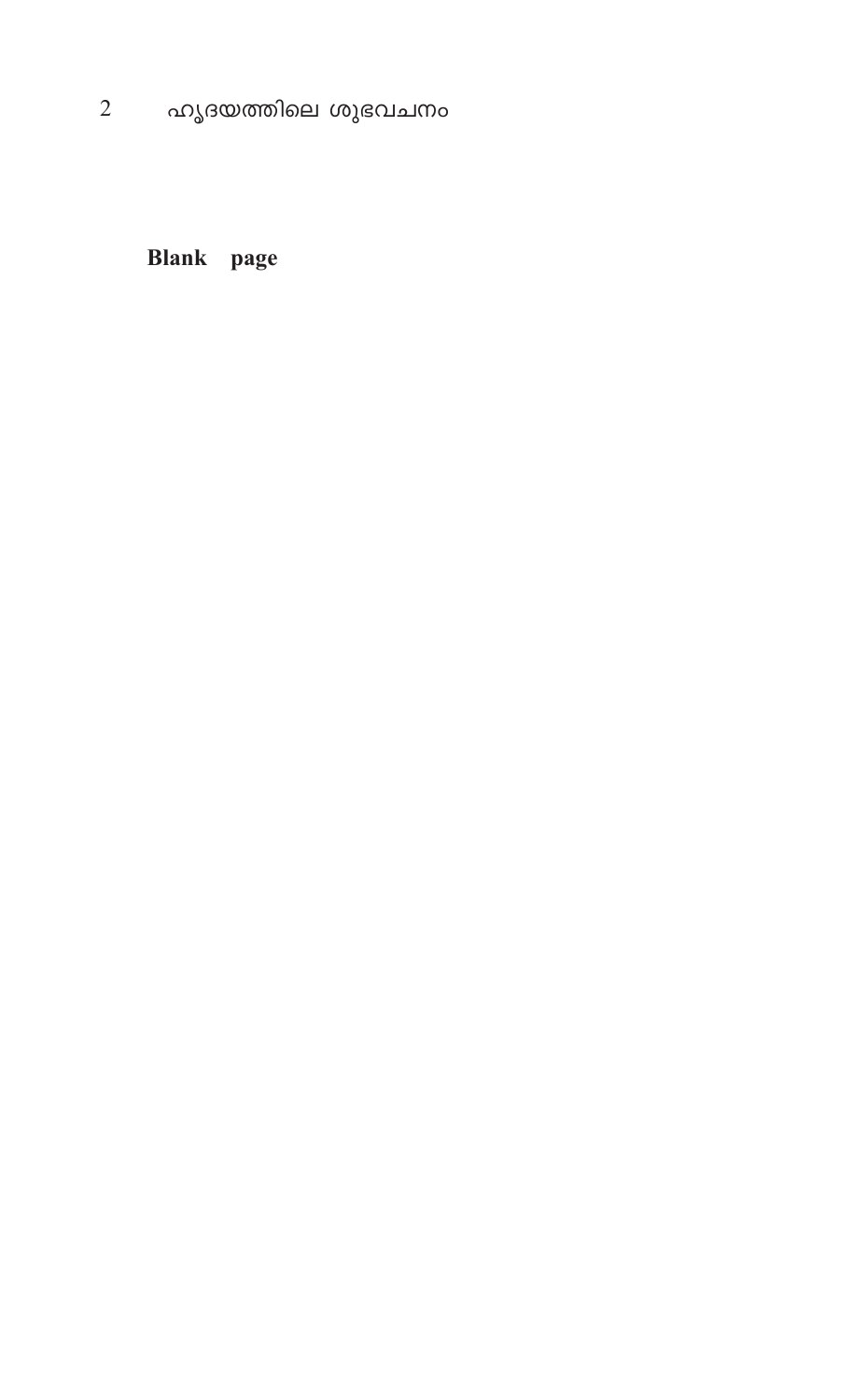2 ഹൃദയത്തിലെ ശുഭവചനം

Blank page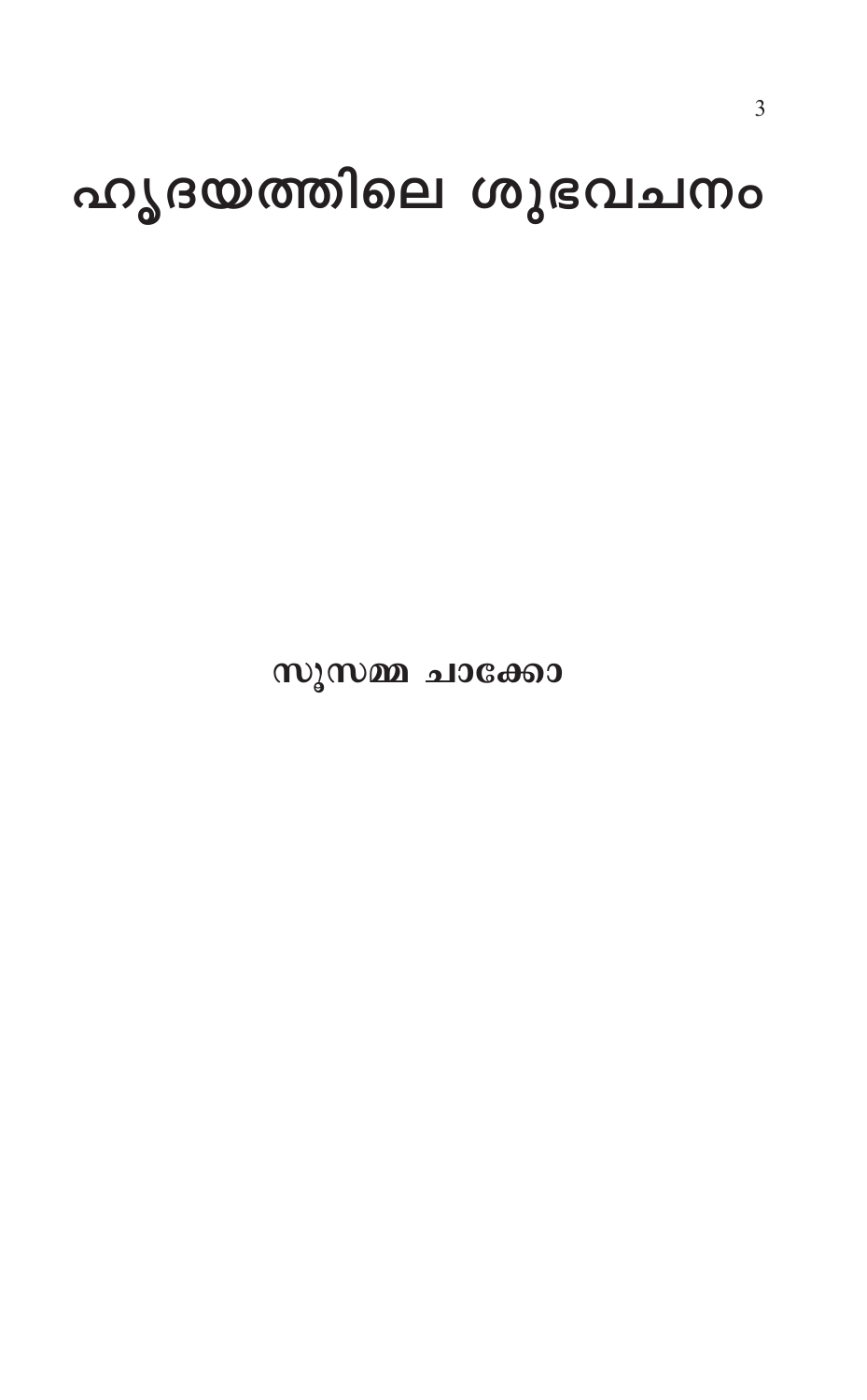# ഹൃദയത്തിലെ ശുഭവചനം

സൂസമ്മ ചാക്കോ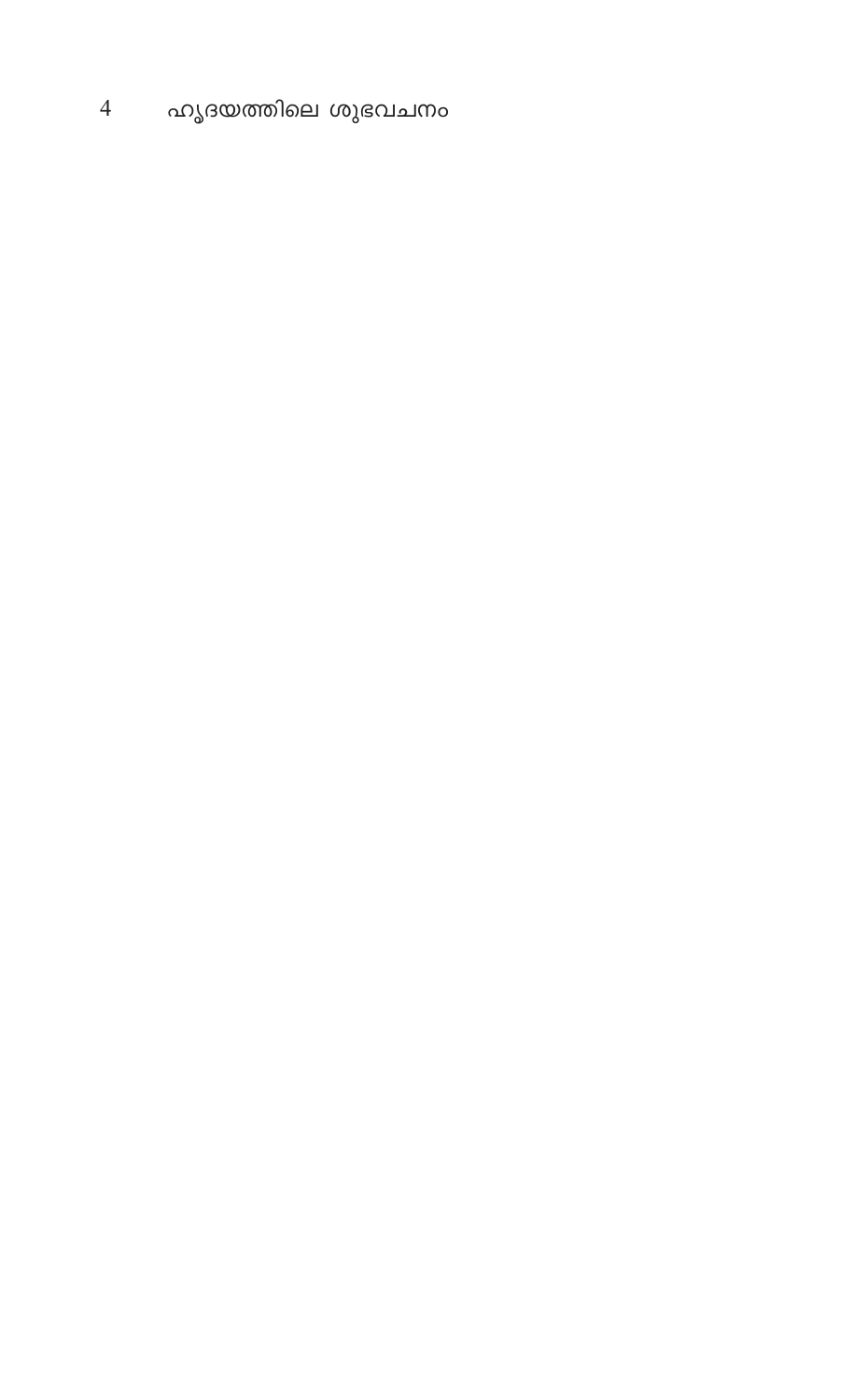$\overline{4}$ ഹൃദയത്തിലെ ശുഭവചനം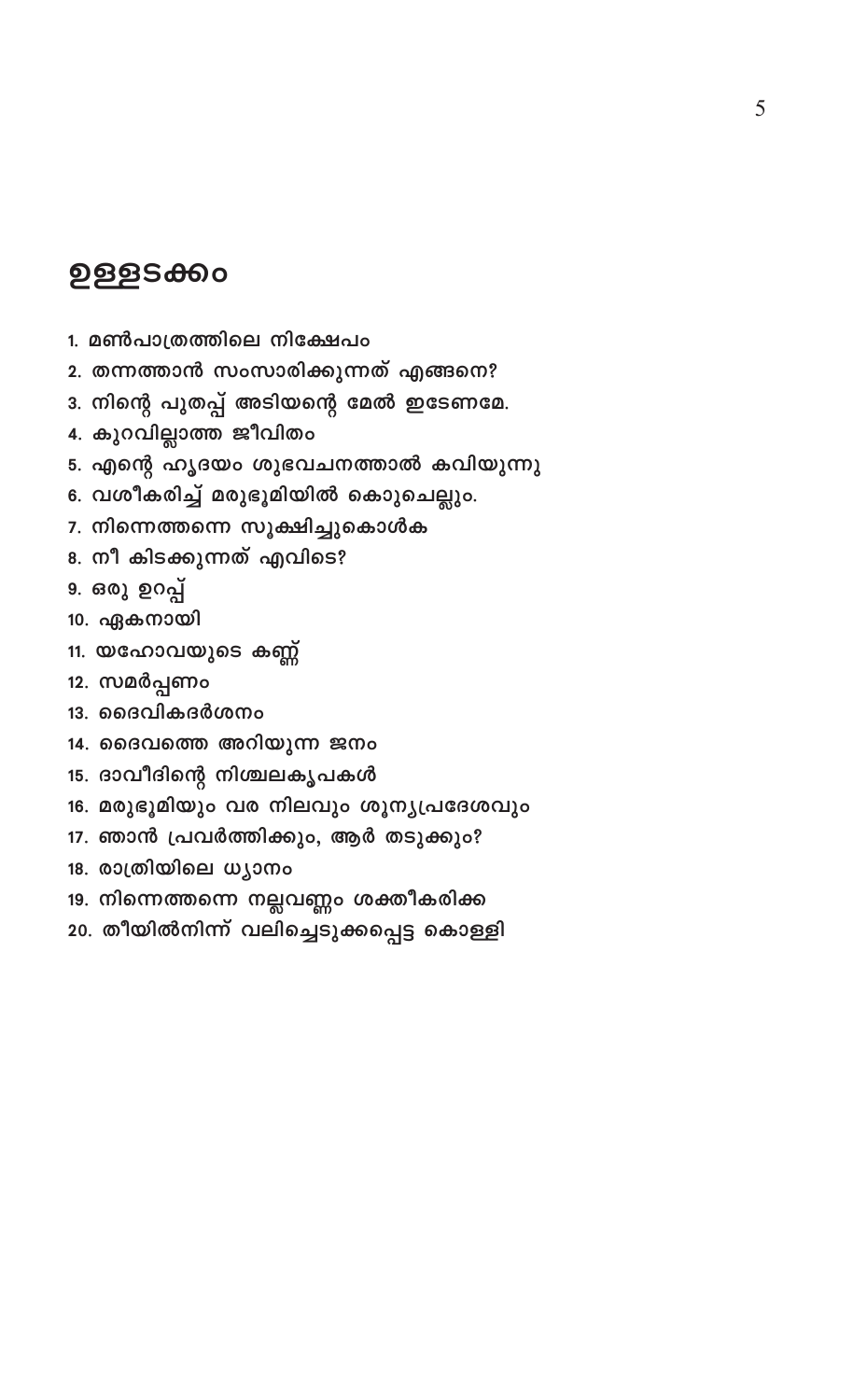## ഉള്ളടക്കം

- 1. മൺപാത്രത്തിലെ നിക്ഷേപം
- 2. തന്നത്താൻ സംസാരിക്കുന്നത് എങ്ങനെ?
- 3. നിന്റെ പുതപ്പ് അടിയന്റെ മേൽ ഇടേണമേ.
- 4. കുറവില്ലാത്ത ജീവിതം
- 5. എന്റെ ഹൃദയം ശുഭവചനത്താൽ കവിയുന്നു
- 6. വശീകരിച്ച് മരുഭൂമിയിൽ കൊുചെല്ലും.
- 7. നിന്നെത്തന്നെ സൂക്ഷിച്ചുകൊൾക
- 8. നീ കിടക്കുന്നത് എവിടെ?
- 9. ഒരു ഉറപ്പ്
- 10. ഏകനായി
- 11. യഹോവയുടെ കണ്ണ്
- 12. സമർപ്പണം
- 13. ദൈവികദർശനം
- 14. ദൈവത്തെ അറിയുന്ന ജനം
- 15. ദാവീദിന്റെ നിശ്ചലകൃപകൾ
- 16. മരുഭൂമിയും വര നിലവും ശൂന്യപ്രദേശവും
- 17. ഞാൻ പ്രവർത്തിക്കും, ആർ തടുക്കും?
- 18. രാത്രിയിലെ ധ്യാനം
- 19. നിന്നെത്തന്നെ നല്ലവണ്ണം ശക്തീകരിക്ക
- 20. തീയിൽനിന്ന് വലിച്ചെടുക്കപ്പെട്ട കൊള്ളി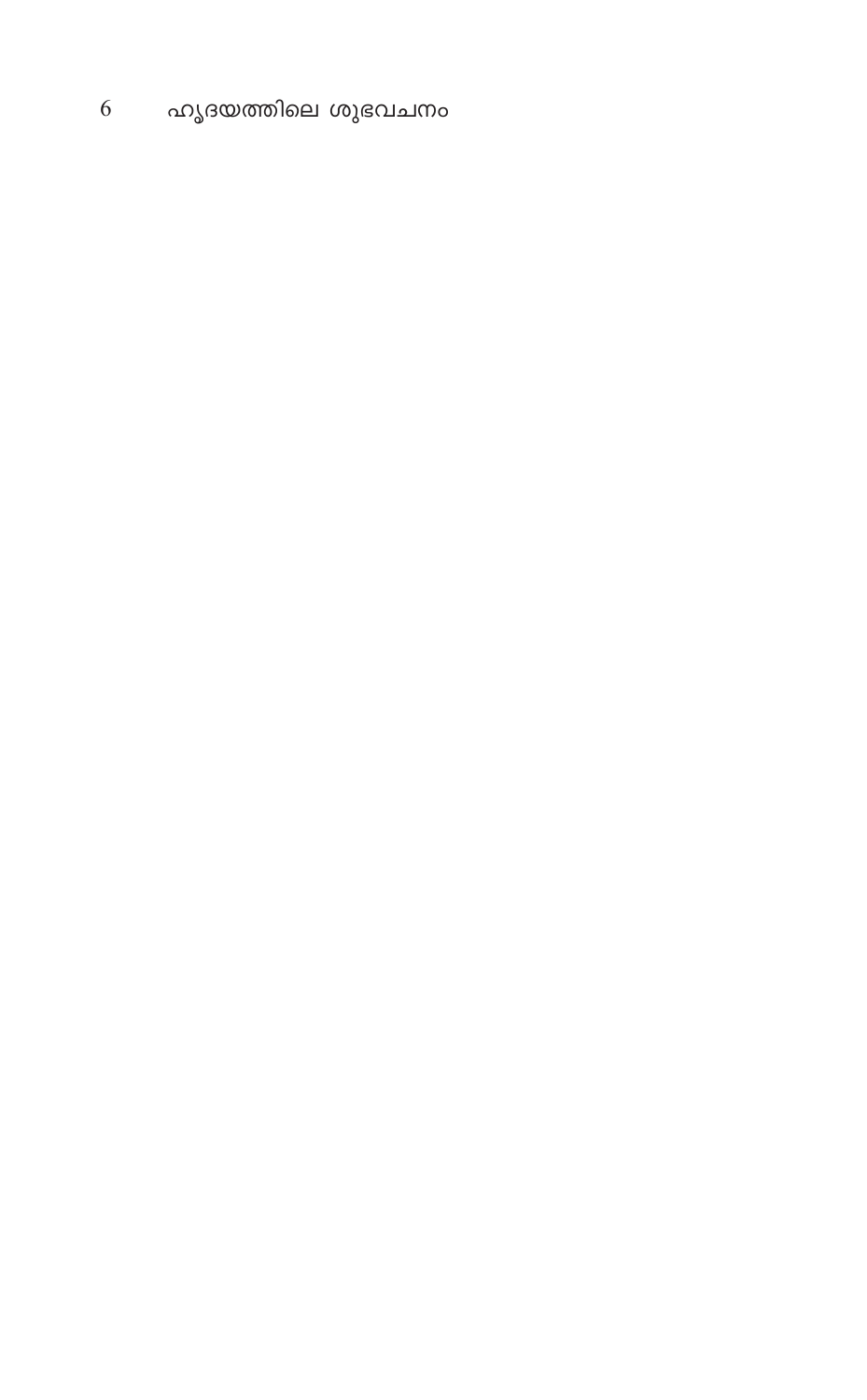6 ഹൃദയത്തിലെ ശുഭവചനം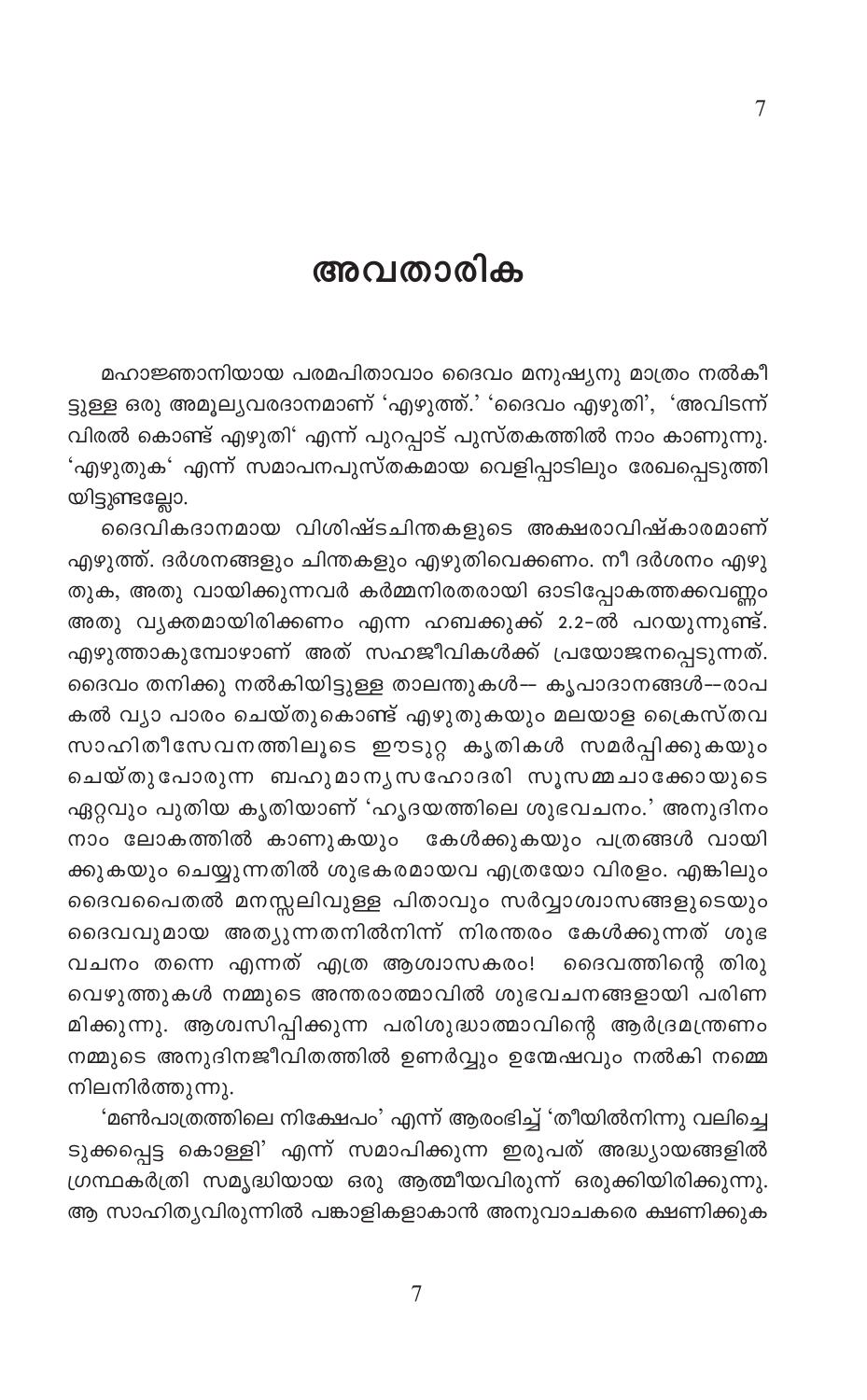## അവതാരിക

മഹാജ്ഞാനിയായ പരമപിതാവാം ദൈവം മനുഷ്യനു മാത്രം നൽകീ ട്ടുള്ള ഒരു അമൂല്യവരദാനമാണ് 'എഴുത്ത്.' 'ദൈവം എഴുതി', 'അവിടന്ന് വിരൽ കൊണ്ട് എഴുതി' എന്ന് പുറപ്പാട് പുസ്തകത്തിൽ നാം കാണുന്നു. 'എഴുതുക' എന്ന് സമാപനപുസ്തകമായ വെളിപ്പാടിലും രേഖപ്പെടുത്തി യിട്ടുണ്ടല്ലോ.

ദൈവികദാനമായ വിശിഷ്ടചിന്തകളുടെ അക്ഷരാവിഷ്കാരമാണ് എഴുത്ത്. ദർശനങ്ങളും ചിന്തകളും എഴുതിവെക്കണം. നീ ദർശനം എഴു തുക, അതു വായിക്കുന്നവർ കർമ്മനിരതരായി ഓടിപ്പോകത്തക്കവണ്ണം അതു വൃക്തമായിരിക്കണം എന്ന ഹബക്കുക്ക് 2.2-ൽ പറയുന്നുണ്ട്. എഴുത്താകുമ്പോഴാണ് അത് സഹജീവികൾക്ക് പ്രയോജനപ്പെടുന്നത്. ദൈവം തനിക്കു നൽകിയിട്ടുള്ള താലന്തുകൾ-- കൃപാദാനങ്ങൾ--രാപ കൽ വ്യാ പാരം ചെയ്തുകൊണ്ട് എഴുതുകയും മലയാള ക്രൈസ്തവ സാഹിതീസേവനത്തിലൂടെ ഈടുറ്റ കൃതികൾ സമർപ്പിക്കുകയും ചെയ്തുപോരുന്ന ബഹുമാനൃസഹോദരി സൂസമ്മചാക്കോയുടെ ഏറ്റവും പുതിയ കൃതിയാണ് 'ഹൃദയത്തിലെ ശുഭവചനം.' അനുദിനം നാം ലോകത്തിൽ കാണുകയും കേൾക്കുകയും പത്രങ്ങൾ വായി ക്കുകയും ചെയ്യുന്നതിൽ ശുഭകരമായവ എത്രയോ വിരളം. എങ്കിലും ദൈവപൈതൽ മനസ്സലിവുള്ള പിതാവും സർവ്വാശ്വാസങ്ങളുടെയും ദൈവവുമായ അത്യുന്നതനിൽനിന്ന് നിരന്തരം കേൾക്കുന്നത് ശുഭ വചനം തന്നെ എന്നത് എത്ര ആശ്വാസകരം! ദൈവത്തിന്റെ തിരു വെഴുത്തുകൾ നമ്മുടെ അന്തരാത്മാവിൽ ശുഭവചനങ്ങളായി പരിണ മിക്കുന്നു. ആശ്വസിപ്പിക്കുന്ന പരിശുദ്ധാത്മാവിന്റെ ആർദ്രമന്ത്രണം നമ്മുടെ അനുദിനജീവിതത്തിൽ ഉണർവ്വും ഉന്മേഷവും നൽകി നമ്മെ നിലനിർത്തുന്നു.

'മൺപാത്രത്തിലെ നിക്ഷേപം' എന്ന് ആരംഭിച്ച് 'തീയിൽനിന്നു വലിച്ചെ ടുക്കപ്പെട്ട കൊള്ളി' എന്ന് സമാപിക്കുന്ന ഇരുപത് അദ്ധ്യായങ്ങളിൽ ഗ്രന്ഥകർത്രി സമൃദ്ധിയായ ഒരു ആത്മീയവിരുന്ന് ഒരുക്കിയിരിക്കുന്നു. ആ സാഹിത്യവിരുന്നിൽ പങ്കാളികളാകാൻ അനുവാചകരെ ക്ഷണിക്കുക

 $\overline{7}$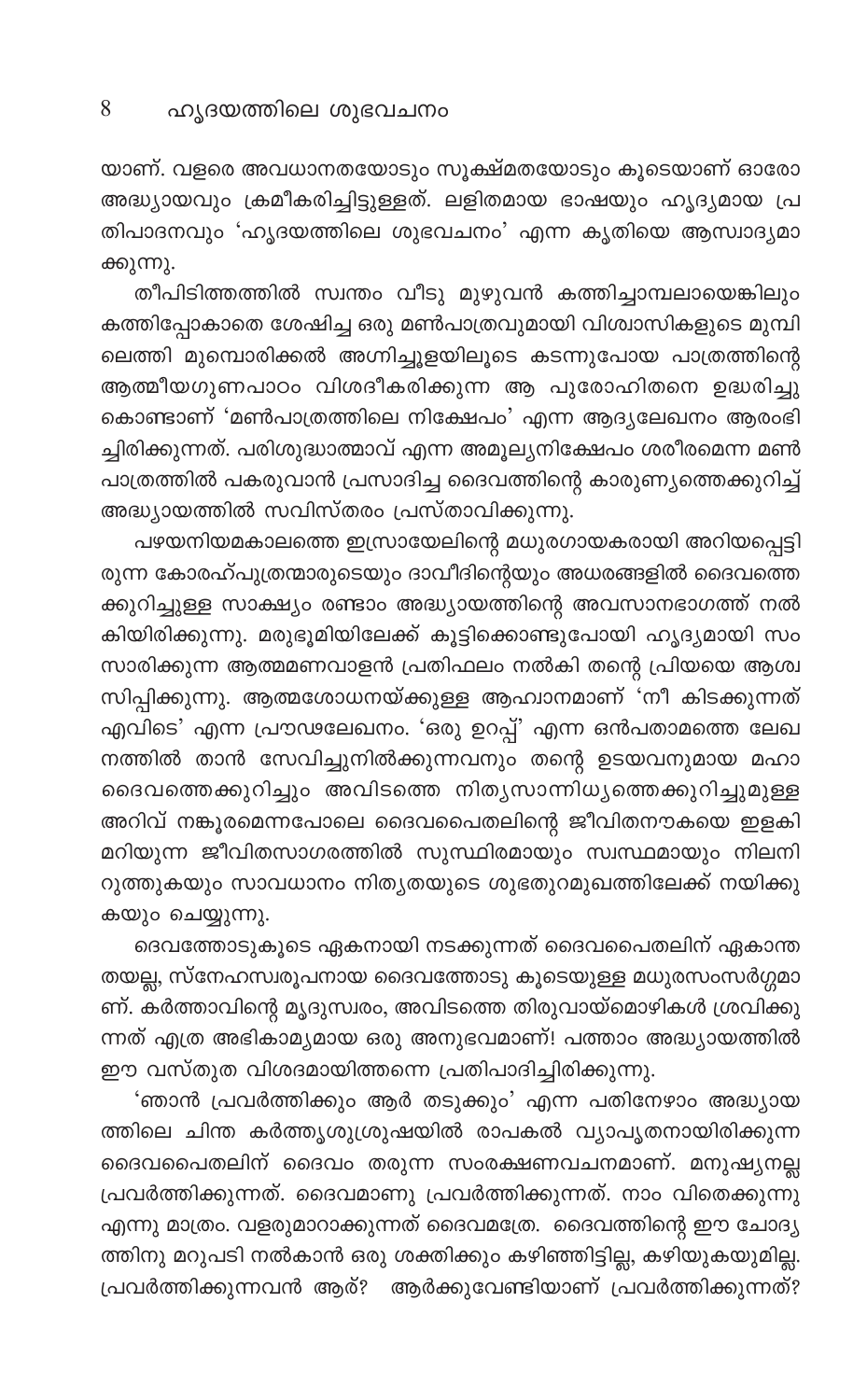യാണ്. വളരെ അവധാനതയോടും സൂക്ഷ്മതയോടും കൂടെയാണ് ഓരോ .<br>അദ്ധ്യായവും ക്രമീകരിച്ചിട്ടുള്ളത്. ലളിതമായ ഭാഷയും ഹൃദ്യമായ പ്ര തിപാദനവും 'ഹൃദയത്തിലെ ശുഭവചനം' എന്ന കൃതിയെ ആസ്വാദ്യമാ ക്കുന്നു.

.<br>തീപിടിത്തത്തിൽ സ്വന്തം വീടു മുഴുവൻ കത്തിച്ചാമ്പലായെങ്കിലും കത്തിപ്പോകാതെ ശേഷിച്ച ഒരു മൺപാത്രവുമായി വിശ്വാസികളുടെ മുമ്പി ലെത്തി മുമ്പൊരിക്കൽ അഗ്നിച്ചൂളയിലൂടെ കടന്നുപോയ പാത്രത്തിന്റെ ആത്മീയഗുണപാഠം വിശദീകരിക്കുന്ന ആ പുരോഹിതനെ ഉദ്ധരിച്ചു കൊണ്ടാണ് 'മൺപാത്രത്തിലെ നിക്ഷേപം' എന്ന ആദ്യലേഖനം ആരംഭി ച്ചിരിക്കുന്നത്. പരിശുദ്ധാത്മാവ് എന്ന അമൂല്യനിക്ഷേപം ശരീരമെന്ന മൺ പാത്രത്തിൽ പകരുവാൻ പ്രസാദിച്ച ദൈവത്തിന്റെ കാരുണ്യത്തെക്കുറിച്ച് അദ്ധ്യായത്തിൽ സവിസ്തരം പ്രസ്താവിക്കുന്നു.

പഴയനിയമകാലത്തെ ഇസ്രായേലിന്റെ മധുരഗായകരായി അറിയപ്പെട്ടി രുന്ന കോരഹ്പുത്രന്മാരുടെയും ദാവീദിന്റെയും അധരങ്ങളിൽ ദൈവത്തെ ക്കുറിച്ചുള്ള സാക്ഷ്യം രണ്ടാം അദ്ധ്യായത്തിന്റെ അവസാനഭാഗത്ത് നൽ .<br>കിയിരിക്കുന്നു. മരുഭൂമിയിലേക്ക് കൂട്ടിക്കൊണ്ടുപോയി ഹൃദ്യമായി സം സാരിക്കുന്ന ആത്മമണവാളൻ പ്രതിഫലം നൽകി തന്റെ പ്രിയയെ ആശ്വ സിപ്പിക്കുന്നു. ആത്മശോധനയ്ക്കുള്ള ആഹ്വാനമാണ് 'നീ കിടക്കുന്നത് .<br>എവിടെ' എന്ന പ്രൗഢലേഖനം. 'ഒരു ഉറപ്പ്' എന്ന ഒൻപതാമത്തെ ലേഖ നത്തിൽ താൻ സേവിച്ചുനിൽക്കുന്നവനും തന്റെ ഉടയവനുമായ മഹാ ദൈവത്തെക്കുറിച്ചും അവിടത്തെ നിതൃസാന്നിധൃത്തെക്കുറിച്ചുമുള്ള അറിവ് നങ്കൂരമെന്നപോലെ ദൈവപൈതലിന്റെ ജീവിതനൗകയെ ഇളകി മറിയുന്ന ജീവിതസാഗരത്തിൽ സുസ്ഥിരമായും സ്വസ്ഥമായും നിലനി റുത്തുകയും സാവധാനം നിത്യതയുടെ ശുഭതുറമുഖത്തിലേക്ക് നയിക്കു കയും ചെയ്യുന്നു.

ദെവത്തോടുകൂടെ ഏകനായി നടക്കുന്നത് ദൈവപൈതലിന് ഏകാന്ത തയല്ല, സ്നേഹസ്വരൂപനായ ദൈവത്തോടു കൂടെയുള്ള മധുരസംസർഗ്ഗമാ ണ്. കർത്താവിന്റെ മൃദുസ്വരം, അവിടത്തെ തിരുവായ്മൊഴികൾ ശ്രവിക്കു ന്നത് എത്ര അഭികാമ്യമായ ഒരു അനുഭവമാണ്! പത്താം അദ്ധ്യായത്തിൽ ഈ വസ്തുത വിശദമായിത്തന്നെ പ്രതിപാദിച്ചിരിക്കുന്നു.

'ഞാൻ പ്രവർത്തിക്കും ആർ തടുക്കും' എന്ന പതിനേഴാം അദ്ധ്യായ ത്തിലെ ചിന്ത കർത്തൃശുശ്രുഷയിൽ രാപകൽ വ്യാപൃതനായിരിക്കുന്ന ദൈവപൈതലിന് ദൈവം തരുന്ന സംരക്ഷണവചനമാണ്. മനുഷ്യനല്ല .<br>പ്രവർത്തിക്കുന്നത്. ദൈവമാണു പ്രവർത്തിക്കുന്നത്. നാം വിതെക്കുന്നു എന്നു മാത്രം. വളരുമാറാക്കുന്നത് ദൈവമത്രേ. ദൈവത്തിന്റെ ഈ ചോദ്യ ത്തിനു മറുപടി നൽകാൻ ഒരു ശക്തിക്കും കഴിഞ്ഞിട്ടില്ല, കഴിയുകയുമില്ല. പ്രവർത്തിക്കുന്നവൻ ആര്? ആർക്കുവേണ്ടിയാണ് പ്രവർത്തിക്കുന്നത്?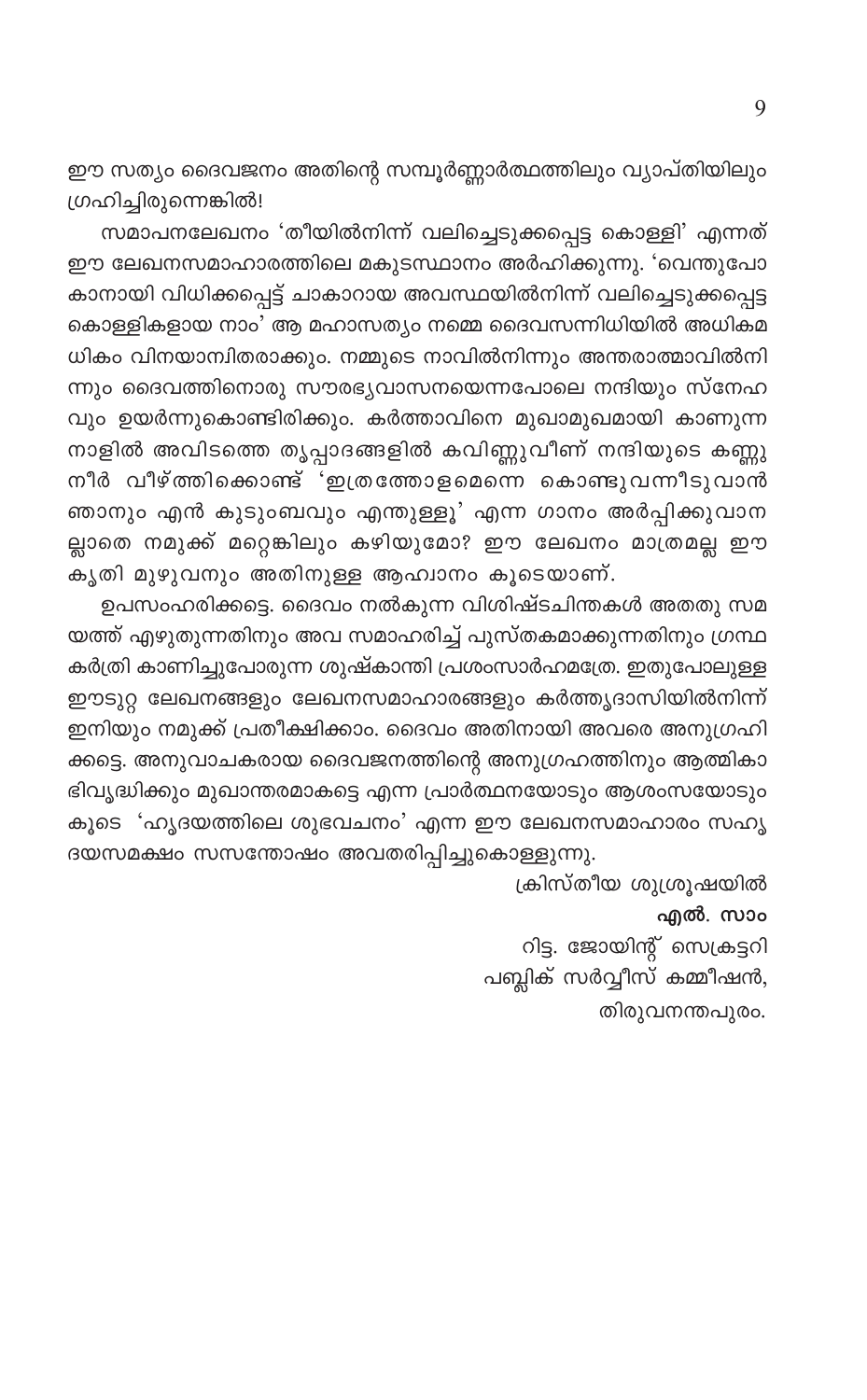ഈ സത്യം ദൈവജനം അതിന്റെ സമ്പൂർണ്ണാർത്ഥത്തിലും വ്യാപ്തിയിലും ഗ്രഹിച്ചിരുന്നെങ്കിൽ!

സമാപനലേഖനം 'തീയിൽനിന്ന് വലിച്ചെടുക്കപ്പെട്ട കൊള്ളി' എന്നത് ഈ ലേഖനസമാഹാരത്തിലെ മകുടസ്ഥാനം അർഹിക്കുന്നു. 'വെന്തുപോ കാനായി വിധിക്കപ്പെട്ട് ചാകാറായ അവസ്ഥയിൽനിന്ന് വലിച്ചെടുക്കപ്പെട്ട കൊള്ളികളായ നാം' ആ മഹാസത്യം നമ്മെ ദൈവസന്നിധിയിൽ അധികമ ധികം വിനയാന്വിതരാക്കും. നമ്മുടെ നാവിൽനിന്നും അന്തരാത്മാവിൽനി ന്നും ദൈവത്തിനൊരു സൗരഭ്യവാസനയെന്നപോലെ നന്ദിയും സ്നേഹ വും ഉയർന്നുകൊണ്ടിരിക്കും. കർത്താവിനെ മുഖാമുഖമായി കാണുന്ന നാളിൽ അവിടത്തെ തൃപ്പാദങ്ങളിൽ കവിണ്ണുവീണ് നന്ദിയുടെ കണ്ണു നീർ വീഴ്ത്തിക്കൊണ്ട് 'ഇത്രത്തോളമെന്നെ കൊണ്ടുവന്നീടുവാൻ ഞാനും എൻ കുടുംബവും എന്തുള്ളൂ' എന്ന ഗാനം അർപ്പിക്കുവാന ല്ലാതെ നമുക്ക് മറ്റെങ്കിലും കഴിയുമോ? ഈ ലേഖനം മാത്രമല്ല ഈ കൃതി മുഴുവനും അതിനുള്ള ആഹ്വാനം കൂടെയാണ്.

ഉപസംഹരിക്കട്ടെ. ദൈവം നൽകുന്ന വിശിഷ്ടചിന്തകൾ അതതു സമ യത്ത് എഴുതുന്നതിനും അവ സമാഹരിച്ച് പുസ്തകമാക്കുന്നതിനും ഗ്രന്ഥ കർത്രി കാണിച്ചുപോരുന്ന ശുഷ്കാന്തി പ്രശംസാർഹമത്രേ. ഇതുപോലുള്ള ഈടുറ്റ ലേഖനങ്ങളും ലേഖനസമാഹാരങ്ങളും കർത്തൃദാസിയിൽനിന്ന് ഇനിയും നമുക്ക് പ്രതീക്ഷിക്കാം. ദൈവം അതിനായി അവരെ അനുഗ്രഹി ക്കട്ടെ. അനുവാചകരായ ദൈവജനത്തിന്റെ അനുഗ്രഹത്തിനും ആത്മികാ ഭിവൃദ്ധിക്കും മുഖാന്തരമാകട്ടെ എന്ന പ്രാർത്ഥനയോടും ആശംസയോടും കൂടെ 'ഹൃദയത്തിലെ ശുഭവചനം' എന്ന ഈ ലേഖനസമാഹാരം സഹൃ ദയസമക്ഷം സസന്തോഷം അവതരിപ്പിച്ചുകൊള്ളുന്നു.

ക്രിസ്തീയ ശുശ്രൂഷയിൽ എൽ. സാം റിട്ട. ജോയിന്റ് സെക്രട്ടറി പബ്ലിക് സർവ്വീസ് കമ്മീഷൻ, തിരുവനന്തപുരം.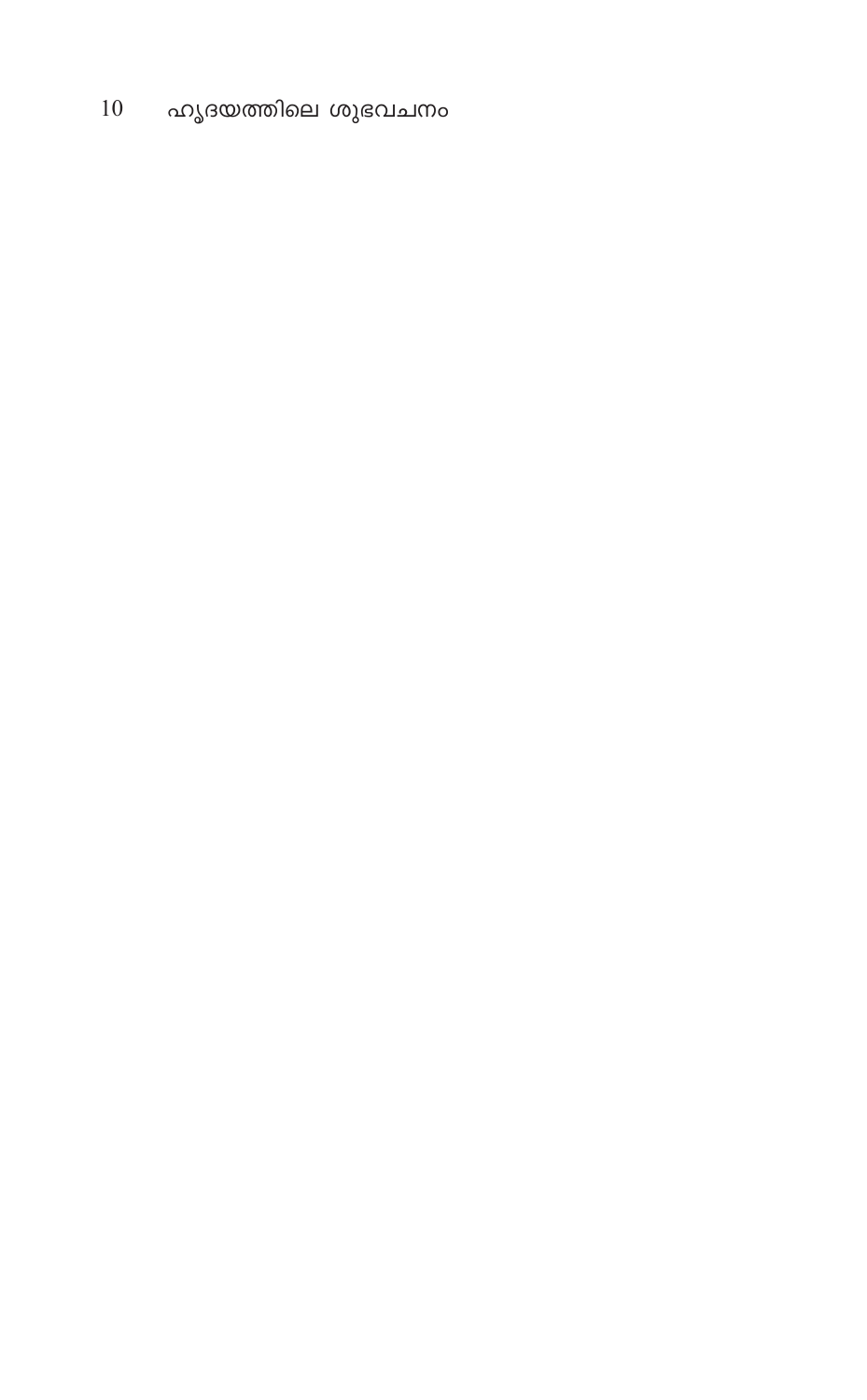ഹൃദയത്തിലെ ശുഭവചനം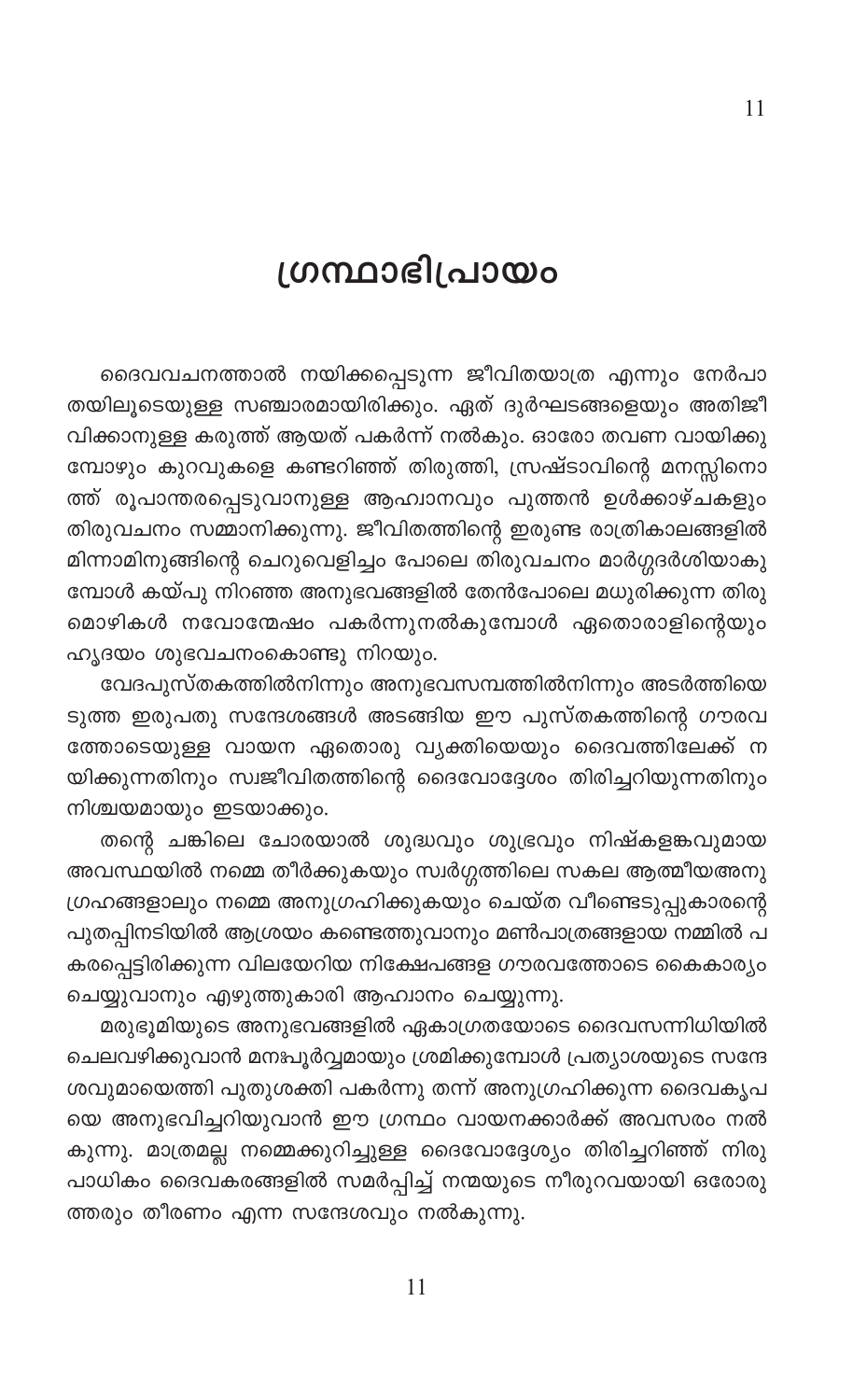## ഗ്രന്ഥാഭിപ്രായം

ദൈവവചനത്താൽ നയിക്കപ്പെടുന്ന ജീവിതയാത്ര എന്നും നേർപാ തയിലൂടെയുള്ള സഞ്ചാരമായിരിക്കും. ഏത് ദുർഘടങ്ങളെയും അതിജീ വിക്കാനുള്ള കരുത്ത് ആയത് പകർന്ന് നൽകും. ഓരോ തവണ വായിക്കു മ്പോഴും കുറവുകളെ കണ്ടറിഞ്ഞ് തിരുത്തി, സ്രഷ്ടാവിന്റെ മനസ്സിനൊ ത്ത് രൂപാന്തരപ്പെടുവാനുള്ള ആഹ്വാനവും പുത്തൻ ഉൾക്കാഴ്ചകളും .<br>തിരുവചനം സമ്മാനിക്കുന്നു. ജീവിതത്തിന്റെ ഇരുണ്ട രാത്രികാലങ്ങളിൽ മിന്നാമിനുങ്ങിന്റെ ചെറുവെളിച്ചം പോലെ തിരുവചനം മാർഗ്ഗദർശിയാകു .<br>മ്പോൾ കയ്പു നിറഞ്ഞ അനുഭവങ്ങളിൽ തേൻപോലെ മധുരിക്കുന്ന തിരു മൊഴികൾ നവോന്മേഷം പകർന്നുനൽകുമ്പോൾ ഏതൊരാളിന്റെയും ഹൃദയം ശുഭവചനംകൊണ്ടു നിറയും.

വേദപുസ്തകത്തിൽനിന്നും അനുഭവസമ്പത്തിൽനിന്നും അടർത്തിയെ ടുത്ത ഇരുപതു സന്ദേശങ്ങൾ അടങ്ങിയ ഈ പുസ്തകത്തിന്റെ ഗൗരവ ത്തോടെയുള്ള വായന ഏതൊരു വ്യക്തിയെയും ദൈവത്തിലേക്ക് ന യിക്കുന്നതിനും സ്വജീവിതത്തിന്റെ ദൈവോദ്ദേശം തിരിച്ചറിയുന്നതിനും നിശ്ചയമായും ഇടയാക്കും.

തന്റെ ചങ്കിലെ ചോരയാൽ ശുദ്ധവും ശുഭ്രവും നിഷ്കളങ്കവുമായ .<br>അവസ്ഥയിൽ നമ്മെ തീർക്കുകയും സ്വർഗ്ഗത്തിലെ സകല ആത്മീയഅനു ഗ്രഹങ്ങളാലും നമ്മെ അനുഗ്രഹിക്കുകയും ചെയ്ത വീണ്ടെടുപ്പുകാരന്റെ പുതപ്പിനടിയിൽ ആശ്രയം കണ്ടെത്തുവാനും മൺപാത്രങ്ങളായ നമ്മിൽ പ കരപ്പെട്ടിരിക്കുന്ന വിലയേറിയ നിക്ഷേപങ്ങള ഗൗരവത്തോടെ കൈകാര്യം ചെയ്യുവാനും എഴുത്തുകാരി ആഹ്വാനം ചെയ്യുന്നു.

മരുഭൂമിയുടെ അനുഭവങ്ങളിൽ ഏകാഗ്രതയോടെ ദൈവസന്നിധിയിൽ ചെലവഴിക്കുവാൻ മനഃപൂർവ്വമായും ശ്രമിക്കുമ്പോൾ പ്രത്യാശയുടെ സന്ദേ ശവുമായെത്തി പുതുശക്തി പകർന്നു തന്ന് അനുഗ്രഹിക്കുന്ന ദൈവകൃപ യെ അനുഭവിച്ചറിയുവാൻ ഈ ഗ്രന്ഥം വായനക്കാർക്ക് അവസരം നൽ കുന്നു. മാത്രമല്ല നമ്മെക്കുറിച്ചുള്ള ദൈവോദ്ദേശ്യം തിരിച്ചറിഞ്ഞ് നിരു പാധികം ദൈവകരങ്ങളിൽ സമർപ്പിച്ച് നന്മയുടെ നീരുറവയായി ഒരോരു ത്തരും തീരണം എന്ന സന്ദേശവും നൽകുന്നു.

 $11$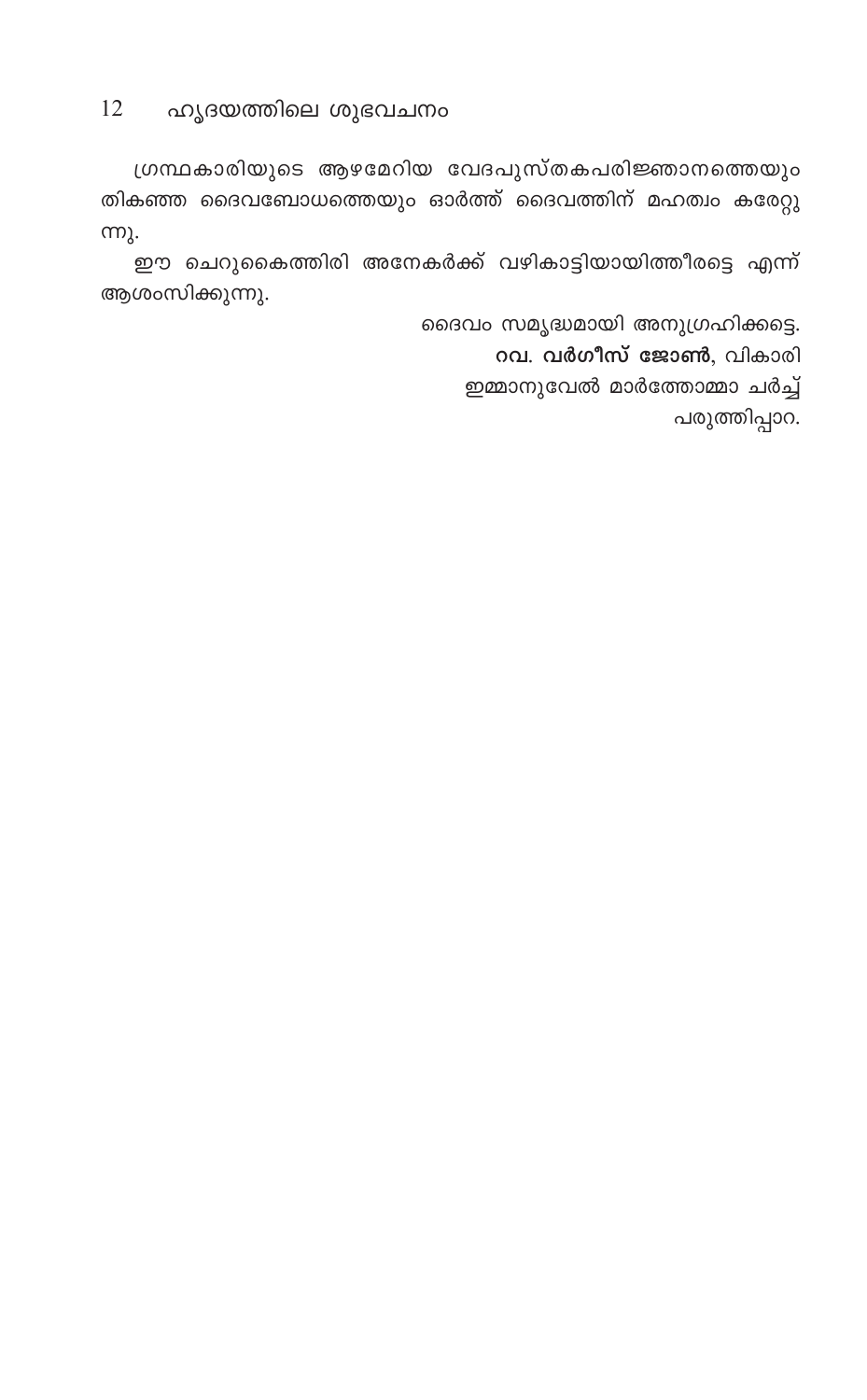#### 12 ഹൃദയത്തിലെ ശുഭവചനം

ഗ്രന്ഥകാരിയുടെ ആഴമേറിയ വേദപുസ്തകപരിജ്ഞാനത്തെയും തികഞ്ഞ ദൈവബോധത്തെയും ഓർത്ത് ദൈവത്തിന് മഹത്വം കരേറ്റു m).

ഈ ചെറുകൈത്തിരി അനേകർക്ക് വഴികാട്ടിയായിത്തീരട്ടെ എന്ന് ആശംസിക്കുന്നു.

> ദൈവം സമൃദ്ധമായി അനുഗ്രഹിക്കട്ടെ. റവ. വർഗീസ് ജോൺ, വികാരി ഇമ്മാനുവേൽ മാർത്തോമ്മാ ചർച്ച് പരുത്തിപ്പാറ.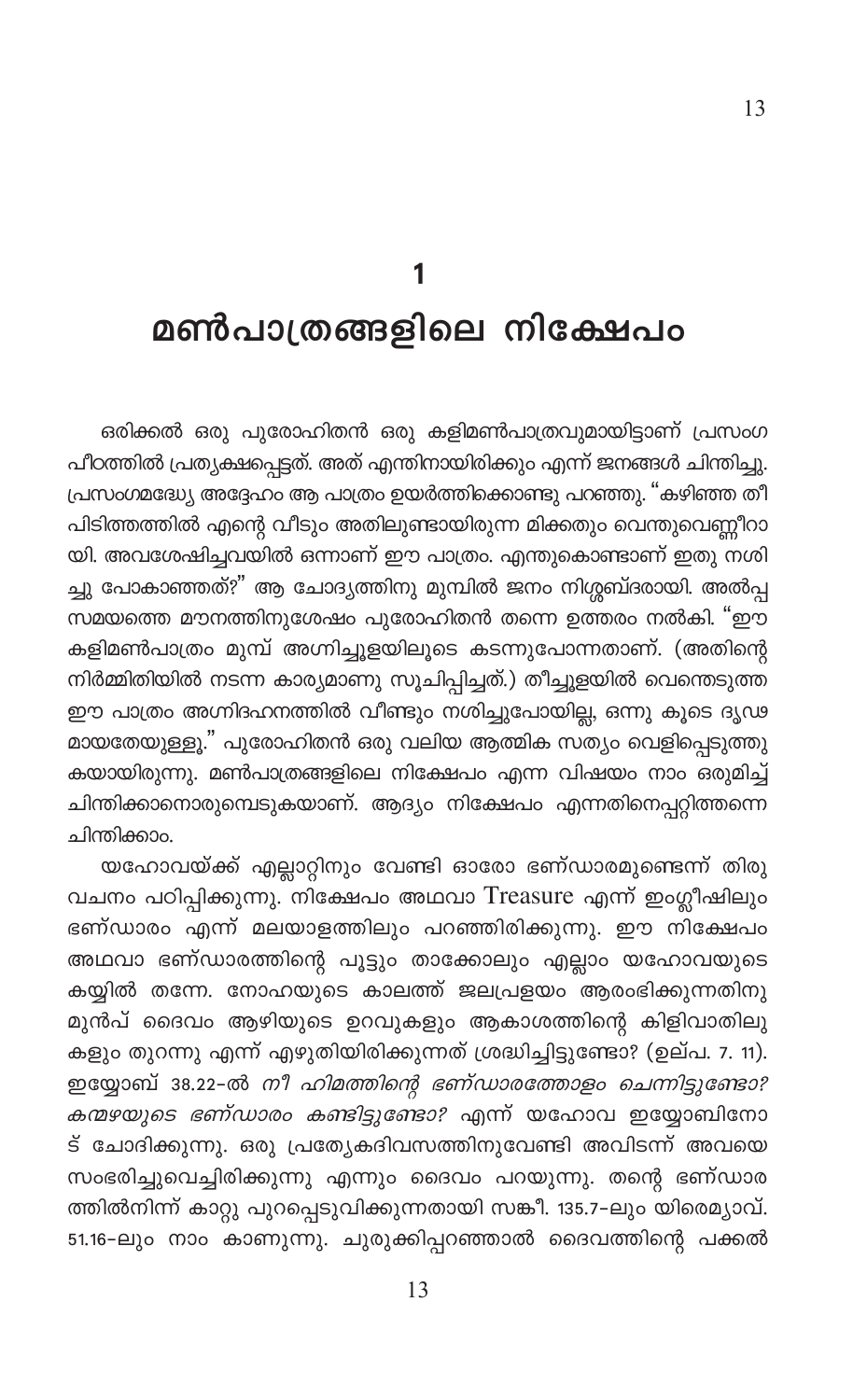1

## മൺപാത്രങ്ങളിലെ നിക്ഷേപം

ഒരിക്കൽ ഒരു പുരോഹിതൻ ഒരു കളിമൺപാത്രവുമായിട്ടാണ് പ്രസംഗ പീഠത്തിൽ പ്രത്യക്ഷപ്പെട്ടത്. അത് എന്തിനായിരിക്കും എന്ന് ജനങ്ങൾ ചിന്തിച്ചു. പ്രസംഗമദ്ധ്യേ അദ്ദേഹം ആ പാത്രം ഉയർത്തിക്കൊണ്ടു പറഞ്ഞു. "കഴിഞ്ഞ തീ പിടിത്തത്തിൽ എന്റെ വീടും അതിലുണ്ടായിരുന്ന മിക്കതും വെന്തുവെണ്ണീറാ .<br>യി. അവശേഷിച്ചവയിൽ ഒന്നാണ് ഈ പാത്രം. എന്തുകൊണ്ടാണ് ഇതു നശി ച്ചു പോകാഞ്ഞത്?" ആ ചോദ്യത്തിനു മുമ്പിൽ ജനം നിശ്ശബ്ദരായി. അൽപ്പ സമയത്തെ മൗനത്തിനുശേഷം പുരോഹിതൻ തന്നെ ഉത്തരം നൽകി. "ഈ കളിമൺപാത്രം മുമ്പ് അഗ്നിച്ചൂളയിലൂടെ കടന്നുപോന്നതാണ്. (അതിന്റെ .<br>നിർമ്മിതിയിൽ നടന്ന കാര്യമാണു സൂചിപ്പിച്ചത്.) തീച്ചൂളയിൽ വെന്തെടുത്ത ഈ പാത്രം അഗ്നിദഹനത്തിൽ വീണ്ടും നശിച്ചുപോയില്ല, ഒന്നു കൂടെ ദൃഢ മായതേയുള്ളൂ." പുരോഹിതൻ ഒരു വലിയ ആത്മിക സത്യം വെളിപ്പെടുത്തു കയായിരുന്നു. മൺപാത്രങ്ങളിലെ നിക്ഷേപം എന്ന വിഷയം നാം ഒരുമിച്ച് ചിന്തിക്കാനൊരുമ്പെടുകയാണ്. ആദ്യം നിക്ഷേപം എന്നതിനെപ്പറ്റിത്തന്നെ ചിന്തിക്കാം.

യഹോവയ്ക്ക് എല്ലാറ്റിനും വേണ്ടി ഓരോ ഭണ്ഡാരമുണ്ടെന്ന് തിരു വചനം പഠിപ്പിക്കുന്നു. നിക്ഷേപം അഥവാ Treasure എന്ന് ഇംഗ്ലീഷിലും ഭണ്ഡാരം എന്ന് മലയാളത്തിലും പറഞ്ഞിരിക്കുന്നു. ഈ നിക്ഷേപം അഥവാ ഭണ്ഡാരത്തിന്റെ പൂട്ടും താക്കോലും എല്ലാം യഹോവയുടെ കയ്യിൽ തന്നേ. നോഹയുടെ കാലത്ത് ജലപ്രളയം ആരംഭിക്കുന്നതിനു മുൻപ് ദൈവം ആഴിയുടെ ഉറവുകളും ആകാശത്തിന്റെ കിളിവാതിലു .<br>കളും തുറന്നു എന്ന് എഴുതിയിരിക്കുന്നത് ശ്രദ്ധിച്ചിട്ടുണ്ടോ? (ഉല്പ. 7. 11). ഇയ്യോബ് 38.22-ൽ നീ ഹിമത്തിന്റെ ഭണ്ഡാരത്തോളം ചെന്നിട്ടുണ്ടോ? .<br>*കന്മഴയുടെ ഭണ്ഡാരം കണ്ടിട്ടുണ്ടോ*? എന്ന് യഹോവ ഇയ്യോബിനോ ട് ചോദിക്കുന്നു. ഒരു പ്രത്യേകദിവസത്തിനുവേണ്ടി അവിടന്ന് അവയെ സംഭരിച്ചുവെച്ചിരിക്കുന്നു എന്നും ദൈവം പറയുന്നു. തന്റെ ഭണ്ഡാര .<br>ത്തിൽനിന്ന് കാറ്റു പുറപ്പെടുവിക്കുന്നതായി സങ്കീ. 135.7-ലും യിരെമ്യാവ്. .<br>51.16–ലും നാം കാണുന്നു. ചുരുക്കിപ്പറഞ്ഞാൽ ദൈവത്തിന്റെ പക്കൽ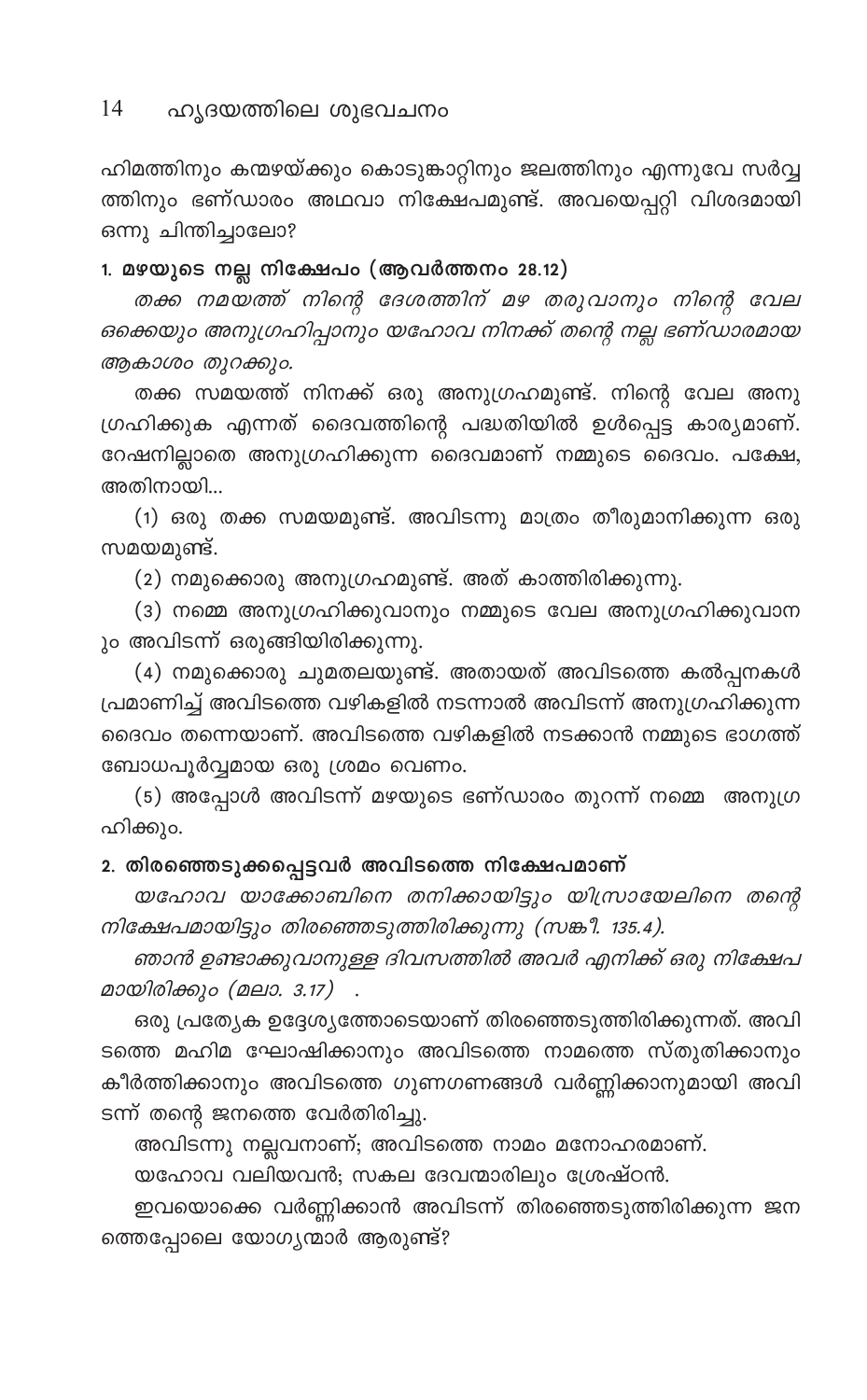#### $14$ ഹൃദയത്തിലെ ശുഭവചനം

ഹിമത്തിനും കന്മഴയ്ക്കും കൊടുങ്കാറ്റിനും ജലത്തിനും എന്നുവേ സർവ്വ ത്തിനും ഭണ്ഡാരം അഥവാ നിക്ഷേപമുണ്ട്. അവയെപ്പറ്റി വിശദമായി ഒന്നു ചിന്തിച്ചാലോ?

## 1. മഴയുടെ നല്ല നിക്ഷേപം (ആവർത്തനം 28.12)

തക്ക നമയത്ത് നിന്റെ ദേശത്തിന് മഴ തരുവാനും നിന്റെ വേല ഒക്കെയും അനുഗ്രഹിപ്പാനും യഹോവ നിനക്ക് തന്റെ നല്ല ഭണ്ഡാരമായ ആകാശം തുറക്കും.

തക്ക സമയത്ത് നിനക്ക് ഒരു അനുഗ്രഹമുണ്ട്. നിന്റെ വേല അനു ഗ്രഹിക്കുക എന്നത് ദൈവത്തിന്റെ പദ്ധതിയിൽ ഉൾപ്പെട്ട കാര്യമാണ്. റേഷനില്ലാതെ അനുഗ്രഹിക്കുന്ന ദൈവമാണ് നമ്മുടെ ദൈവം. പക്ഷേ, അതിനായി...

(1) ഒരു തക്ക സമയമുണ്ട്. അവിടന്നു മാത്രം തീരുമാനിക്കുന്ന ഒരു സമയമുണ്ട്.

(2) നമുക്കൊരു അനുഗ്രഹമുണ്ട്. അത് കാത്തിരിക്കുന്നു.

(3) നമ്മെ അനുഗ്രഹിക്കുവാനും നമ്മുടെ വേല അനുഗ്രഹിക്കുവാന ും അവിടന്ന് ഒരുങ്ങിയിരിക്കുന്നു.

(4) നമുക്കൊരു ചുമതലയുണ്ട്. അതായത് അവിടത്തെ കൽപ്പനകൾ പ്രമാണിച്ച് അവിടത്തെ വഴികളിൽ നടന്നാൽ അവിടന്ന് അനുഗ്രഹിക്കുന്ന ദൈവം തന്നെയാണ്. അവിടത്തെ വഴികളിൽ നടക്കാൻ നമ്മുടെ ഭാഗത്ത് ബോധപൂർവ്വമായ ഒരു ശ്രമം വെണം.

(5) അപ്പോൾ അവിടന്ന് മഴയുടെ ഭണ്ഡാരം തുറന്ന് നമ്മെ അനുഗ്ര ഹിക്കും.

## 2. തിരഞ്ഞെടുക്കപ്പെട്ടവർ അവിടത്തെ നിക്ഷേപമാണ്

നിക്ഷേപമായിട്ടും തിരഞ്ഞെടുത്തിരിക്കുന്നു (സങ്കീ. 135.4).

ഞാൻ ഉണ്ടാക്കുവാനുള്ള ദിവസത്തിൽ അവർ എനിക്ക് ഒരു നിക്ഷേപ മായിരിക്കും (മലാ. 3.17)

ഒരു പ്രത്യേക ഉദ്ദേശ്യത്തോടെയാണ് തിരഞ്ഞെടുത്തിരിക്കുന്നത്. അവി ടത്തെ മഹിമ ഘോഷിക്കാനും അവിടത്തെ നാമത്തെ സ്തുതിക്കാനും കീർത്തിക്കാനും അവിടത്തെ ഗുണഗണങ്ങൾ വർണ്ണിക്കാനുമായി അവി ടന്ന് തന്റെ ജനത്തെ വേർതിരിച്ചു.

അവിടന്നു നല്ലവനാണ്; അവിടത്തെ നാമം മനോഹരമാണ്.

യഹോവ വലിയവൻ; സകല ദേവന്മാരിലും ശ്രേഷ്ഠൻ.

ഇവയൊക്കെ വർണ്ണിക്കാൻ അവിടന്ന് തിരഞ്ഞെടുത്തിരിക്കുന്ന ജന ത്തെപ്പോലെ യോഗൃന്മാർ ആരുണ്ട്?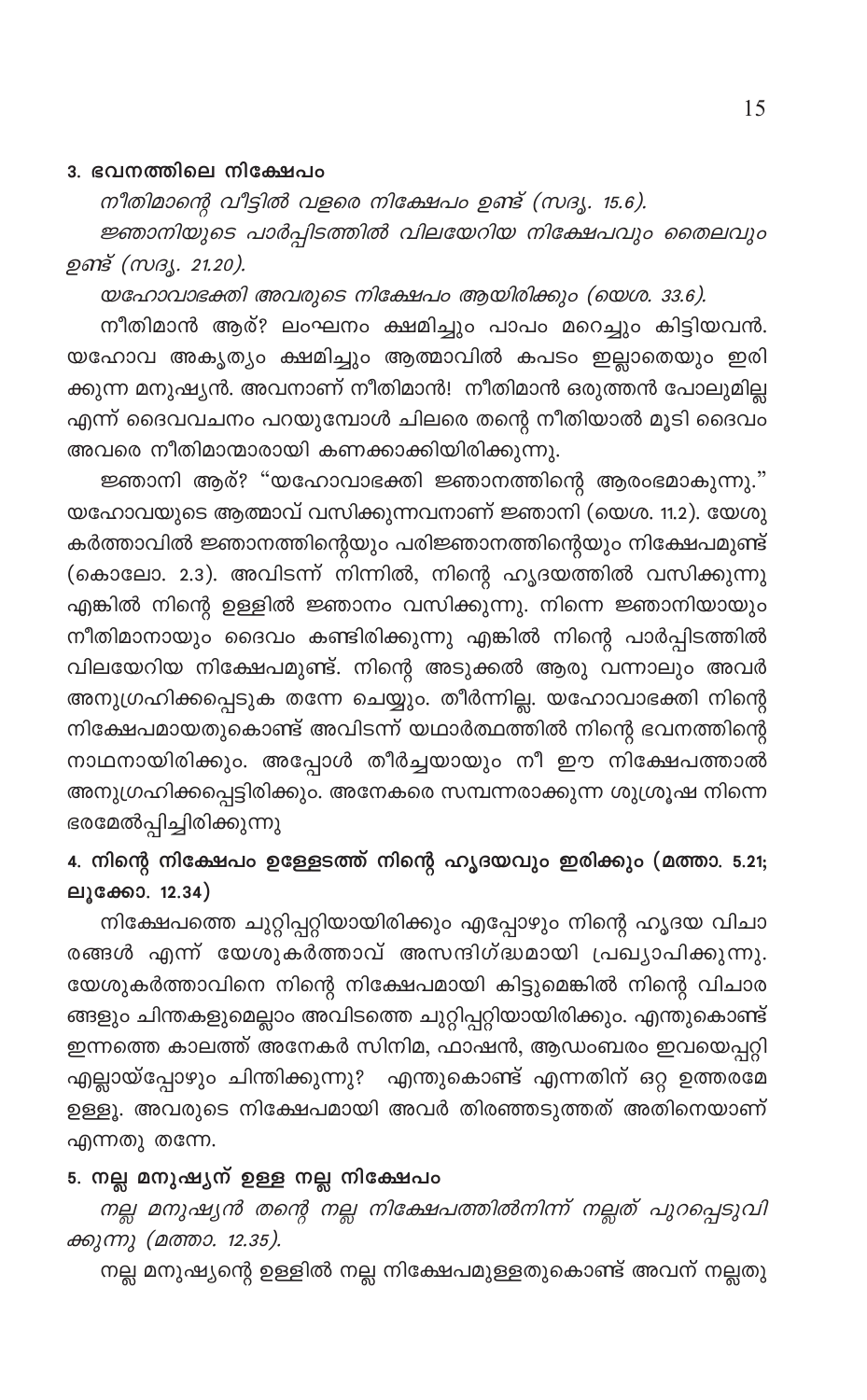## 3. ഭവനത്തിലെ നിക്ഷേപം

നീതിമാന്റെ വീട്ടിൽ വളരെ നിക്ഷേപം ഉണ്ട് (സദൃ. 15.6).

ജ്ഞാനിയുടെ പാർപ്പിടത്തിൽ വിലയേറിയ നിക്ഷേപവും തൈലവും ഉണ്ട് (സദൃ. 21.20).

യഹോവാഭക്തി അവരുടെ നിക്ഷേപം ആയിരിക്കും (യെശ. 33.6).

നീതിമാൻ ആര്? ലംഘനം ക്ഷമിച്ചും പാപം മറെച്ചും കിട്ടിയവൻ. യഹോവ അകൃത്യം ക്ഷമിച്ചും ആത്മാവിൽ കപടം ഇല്ലാതെയും ഇരി ക്കുന്ന മനുഷ്യൻ. അവനാണ് നീതിമാൻ! നീതിമാൻ ഒരുത്തൻ പോലുമില്ല എന്ന് ദൈവവചനം പറയുമ്പോൾ ചിലരെ തന്റെ നീതിയാൽ മൂടി ദൈവം അവരെ നീതിമാന്മാരായി കണക്കാക്കിയിരിക്കുന്നു.

ജ്ഞാനി ആര്? "യഹോവാഭക്തി ജ്ഞാനത്തിന്റെ ആരംഭമാകുന്നു." യഹോവയുടെ ആത്മാവ് വസിക്കുന്നവനാണ് ജ്ഞാനി (യെശ. 11.2). യേശു കർത്താവിൽ ജ്ഞാനത്തിന്റെയും പരിജ്ഞാനത്തിന്റെയും നിക്ഷേപമുണ്ട് (കൊലോ. 2.3). അവിടന്ന് നിന്നിൽ, നിന്റെ ഹൃദയത്തിൽ വസിക്കുന്നു എങ്കിൽ നിന്റെ ഉള്ളിൽ ജ്ഞാനം വസിക്കുന്നു. നിന്നെ ജ്ഞാനിയായും നീതിമാനായും ദൈവം കണ്ടിരിക്കുന്നു എങ്കിൽ നിന്റെ പാർപ്പിടത്തിൽ വിലയേറിയ നിക്ഷേപമുണ്ട്. നിന്റെ അടുക്കൽ ആരു വന്നാലും അവർ അനുഗ്രഹിക്കപ്പെടുക തന്നേ ചെയ്യും. തീർന്നില്ല. യഹോവാഭക്തി നിന്റെ നിക്ഷേപമായതുകൊണ്ട് അവിടന്ന് യഥാർത്ഥത്തിൽ നിന്റെ ഭവനത്തിന്റെ നാഥനായിരിക്കും. അപ്പോൾ തീർച്ചയായും നീ ഈ നിക്ഷേപത്താൽ അനുഗ്രഹിക്കപ്പെട്ടിരിക്കും. അനേകരെ സമ്പന്നരാക്കുന്ന ശുശ്രൂഷ നിന്നെ ഭരമേൽപ്പിച്ചിരിക്കുന്നു

## 4. നിന്റെ നിക്ഷേപം ഉള്ളേടത്ത് നിന്റെ ഹൃദയവും ഇരിക്കും (മത്താ. 5.21; ലൂക്കോ. 12.34)

നിക്ഷേപത്തെ ചുറ്റിപ്പറ്റിയായിരിക്കും എപ്പോഴും നിന്റെ ഹൃദയ വിചാ രങ്ങൾ എന്ന് യേശുകർത്താവ് അസന്ദിഗ്ദ്ധമായി പ്രഖ്യാപിക്കുന്നു. യേശുകർത്താവിനെ നിന്റെ നിക്ഷേപമായി കിട്ടുമെങ്കിൽ നിന്റെ വിചാര ങ്ങളും ചിന്തകളുമെല്ലാം അവിടത്തെ ചുറ്റിപ്പറ്റിയായിരിക്കും. എന്തുകൊണ്ട് ഇന്നത്തെ കാലത്ത് അനേകർ സിനിമ, ഫാഷൻ, ആഡംബരം ഇവയെപ്പറ്റി എല്ലായ്പ്പോഴും ചിന്തിക്കുന്നു? എന്തുകൊണ്ട് എന്നതിന് ഒറ്റ ഉത്തരമേ ഉള്ളൂ. അവരുടെ നിക്ഷേപമായി അവർ തിരഞ്ഞടുത്തത് അതിനെയാണ് എന്നതു തന്നേ.

## 5. നല്ല മനുഷ്യന് ഉള്ള നല്ല നിക്ഷേപം

നല്ല മനുഷ്യൻ തന്റെ നല്ല നിക്ഷേപത്തിൽനിന്ന് നല്ലത് പുറപ്പെടുവി ക്കുന്നു (മത്താ. 12.35).

നല്ല മനുഷ്യന്റെ ഉള്ളിൽ നല്ല നിക്ഷേപമുള്ളതുകൊണ്ട് അവന് നല്ലതു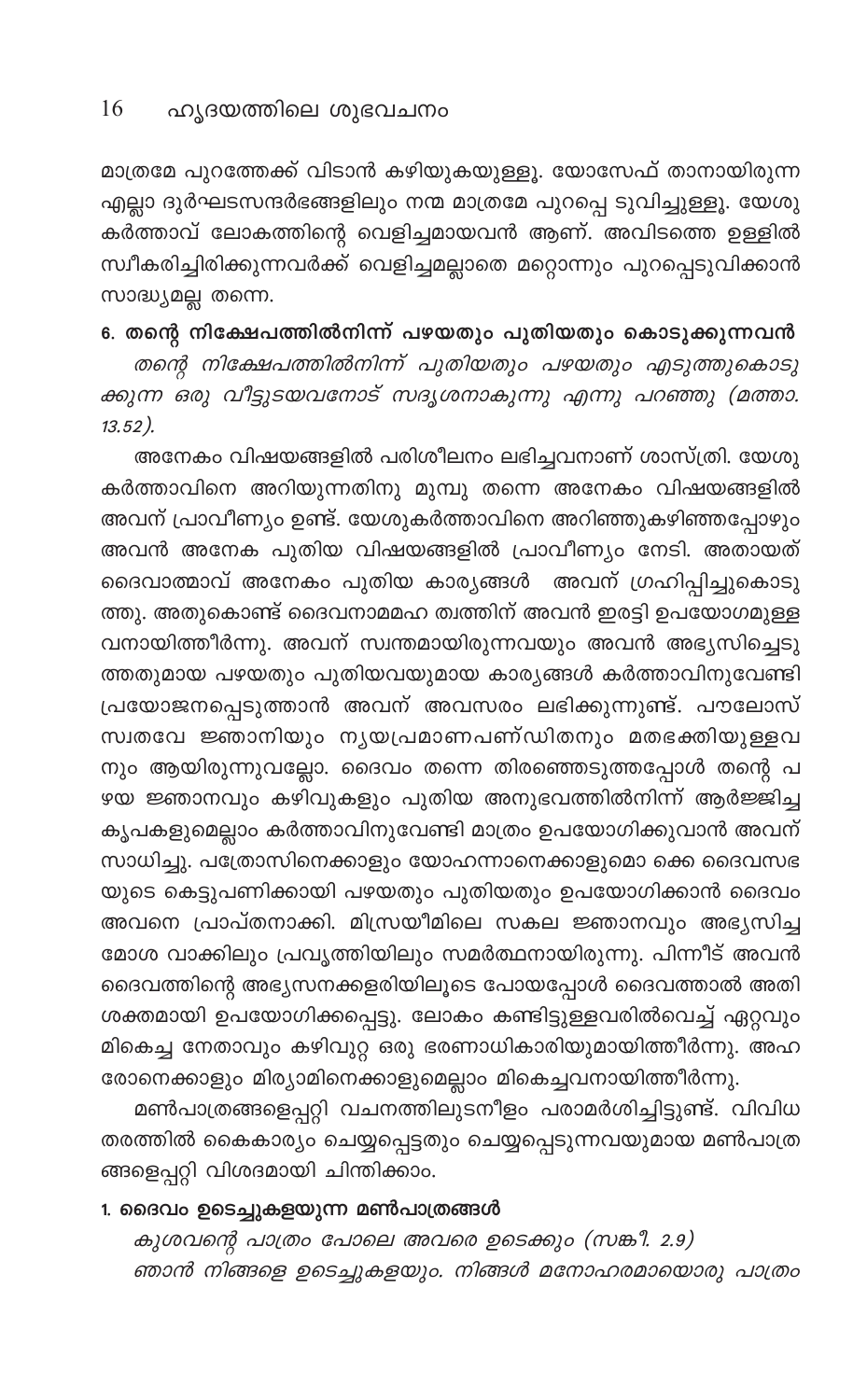മാത്രമേ പുറത്തേക്ക് വിടാൻ കഴിയുകയുള്ളൂ. യോസേഫ് താനായിരുന്ന എല്ലാ ദുർഘടസന്ദർഭങ്ങളിലും നന്മ മാത്രമേ പുറപ്പെ ടുവിച്ചുള്ളൂ. യേശു കർത്താവ് ലോകത്തിന്റെ വെളിച്ചമായവൻ ആണ്. അവിടത്തെ ഉള്ളിൽ സ്വീകരിച്ചിരിക്കുന്നവർക്ക് വെളിച്ചമല്ലാതെ മറ്റൊന്നും പുറപ്പെടുവിക്കാൻ സാദ്ധ്യമല്ല തന്നെ.

## 6. തന്റെ നിക്ഷേപത്തിൽനിന്ന് പഴയതും പുതിയതും കൊടുക്കുന്നവൻ

തന്റെ നിക്ഷേപത്തിൽനിന്ന് പുതിയതും പഴയതും എടുത്തുകൊടു ക്കുന്ന ഒരു വീട്ടുടയവനോട് സദൃശനാകുന്നു എന്നു പറഞ്ഞു (മത്താ.  $13.52$ ).

അനേകം വിഷയങ്ങളിൽ പരിശീലനം ലഭിച്ചവനാണ് ശാസ്ത്രി. യേശു കർത്താവിനെ അറിയുന്നതിനു മുമ്പു തന്നെ അനേകം വിഷയങ്ങളിൽ അവന് പ്രാവീണ്യം ഉണ്ട്. യേശുകർത്താവിനെ അറിഞ്ഞുകഴിഞ്ഞപ്പോഴും .<br>അവൻ അനേക പുതിയ വിഷയങ്ങളിൽ പ്രാവീണ്യം നേടി. അതായത് ദൈവാത്മാവ് അനേകം പുതിയ കാര്യങ്ങൾ അവന് ഗ്രഹിപ്പിച്ചുകൊടു ത്തു. അതുകൊണ്ട് ദൈവനാമമഹ ത്വത്തിന് അവൻ ഇരട്ടി ഉപയോഗമുള്ള വനായിത്തീർന്നു. അവന് സ്വന്തമായിരുന്നവയും അവൻ അഭ്യസിച്ചെടു ത്തതുമായ പഴയതും പുതിയവയുമായ കാര്യങ്ങൾ കർത്താവിനുവേണ്ടി പ്രയോജനപ്പെടുത്താൻ അവന് അവസരം ലഭിക്കുന്നുണ്ട്. പൗലോസ് സ്വതവേ ജ്ഞാനിയും നൃയപ്രമാണപണ്ഡിതനും മതഭക്തിയുള്ളവ നും ആയിരുന്നുവല്ലോ. ദൈവം തന്നെ തിരഞ്ഞെടുത്തപ്പോൾ തന്റെ പ ഴയ ജ്ഞാനവും കഴിവുകളും പുതിയ അനുഭവത്തിൽനിന്ന് ആർജ്ജിച്ച കൃപകളുമെല്ലാം കർത്താവിനുവേണ്ടി മാത്രം ഉപയോഗിക്കുവാൻ അവന് സാധിച്ചു. പത്രോസിനെക്കാളും യോഹന്നാനെക്കാളുമൊ ക്കെ ദൈവസഭ യുടെ കെട്ടുപണിക്കായി പഴയതും പുതിയതും ഉപയോഗിക്കാൻ ദൈവം അവനെ പ്രാപ്തനാക്കി. മിസ്രയീമിലെ സകല ജ്ഞാനവും അഭ്യസിച്ച മോശ വാക്കിലും പ്രവൃത്തിയിലും സമർത്ഥനായിരുന്നു. പിന്നീട് അവൻ ദൈവത്തിന്റെ അഭ്യസനക്കളരിയിലൂടെ പോയപ്പോൾ ദൈവത്താൽ അതി ശക്തമായി ഉപയോഗിക്കപ്പെട്ടു. ലോകം കണ്ടിട്ടുള്ളവരിൽവെച്ച് ഏറ്റവും മികെച്ച നേതാവും കഴിവുറ്റ ഒരു ഭരണാധികാരിയുമായിത്തീർന്നു. അഹ രോനെക്കാളും മിര്യാമിനെക്കാളുമെല്ലാം മികെച്ചവനായിത്തീർന്നു.

മൺപാത്രങ്ങളെപ്പറ്റി വചനത്തിലുടനീളം പരാമർശിച്ചിട്ടുണ്ട്. വിവിധ തരത്തിൽ കൈകാര്യം ചെയ്യപ്പെട്ടതും ചെയ്യപ്പെടുന്നവയുമായ മൺപാത്ര ....<br>ങ്ങളെപ്പറ്റി വിശദമായി ചിന്തിക്കാം.

## 1. ദൈവം ഉടെച്ചുകളയുന്ന മൺപാത്രങ്ങൾ

കുശവന്റെ പാത്രം പോലെ അവരെ ഉടെക്കും (സങ്കീ. 2.9) ഞാൻ നിങ്ങളെ ഉടെച്ചുകളയും. നിങ്ങൾ മനോഹരമായൊരു പാത്രം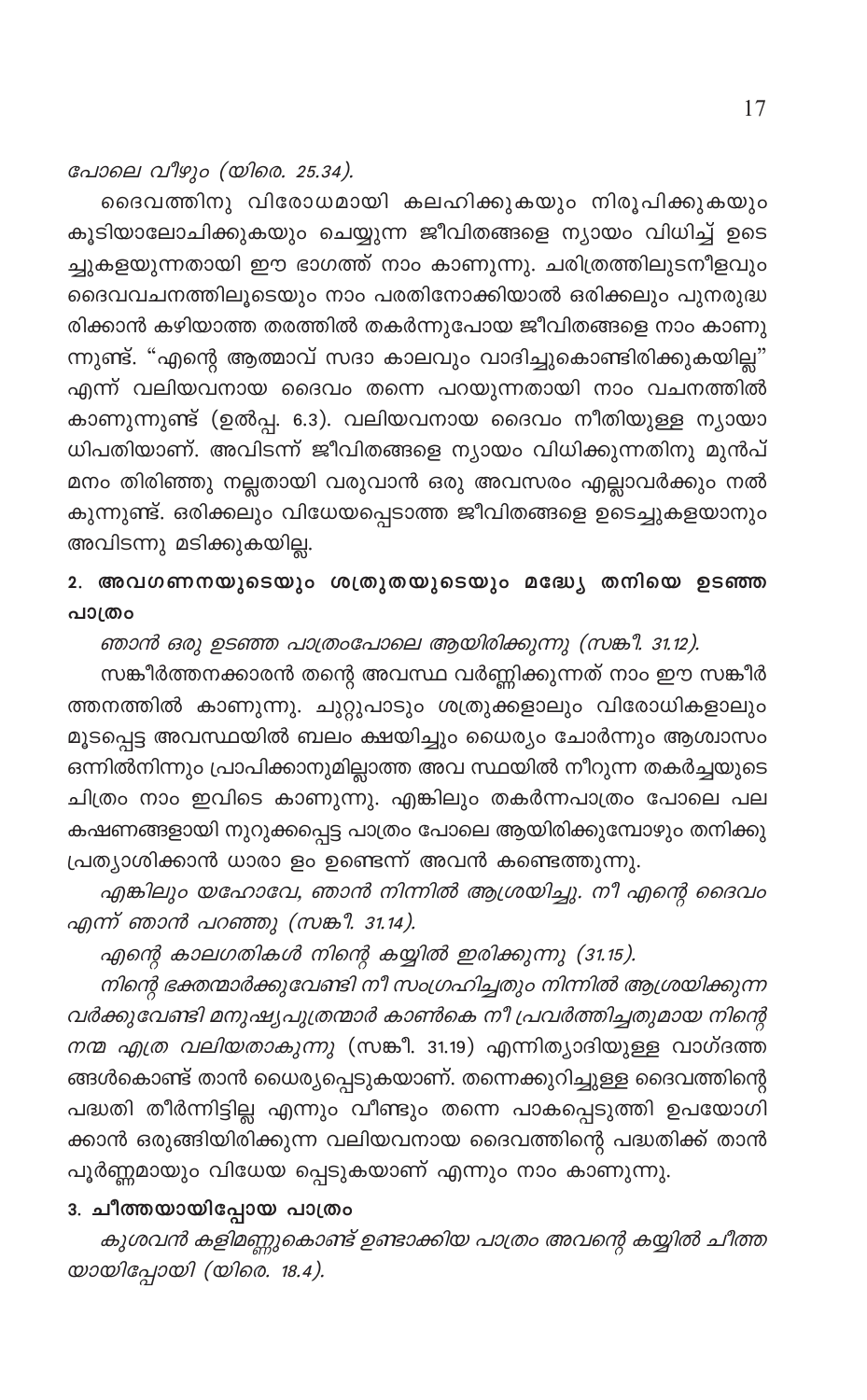പോലെ വീഴും (യിരെ. 25.34).

ദൈവത്തിനു വിരോധമായി കലഹിക്കുകയും നിരൂപിക്കുകയും കൂടിയാലോചിക്കുകയും ചെയ്യുന്ന ജീവിതങ്ങളെ ന്യായം വിധിച്ച് ഉടെ ച്ചുകളയുന്നതായി ഈ ഭാഗത്ത് നാം കാണുന്നു. ചരിത്രത്തിലുടനീളവും ദൈവവചനത്തിലൂടെയും നാം പരതിനോക്കിയാൽ ഒരിക്കലും പുനരുദ്ധ രിക്കാൻ കഴിയാത്ത തരത്തിൽ തകർന്നുപോയ ജീവിതങ്ങളെ നാം കാണു ന്നുണ്ട്. "എന്റെ ആത്മാവ് സദാ കാലവും വാദിച്ചുകൊണ്ടിരിക്കുകയില്ല" എന്ന് വലിയവനായ ദൈവം തന്നെ പറയുന്നതായി നാം വചനത്തിൽ കാണുന്നുണ്ട് (ഉൽപ്പ. 6.3). വലിയവനായ ദൈവം നീതിയുള്ള ന്യായാ ധിപതിയാണ്. അവിടന്ന് ജീവിതങ്ങളെ ന്യായം വിധിക്കുന്നതിനു മുൻപ് മനം തിരിഞ്ഞു നല്ലതായി വരുവാൻ ഒരു അവസരം എല്ലാവർക്കും നൽ കുന്നുണ്ട്. ഒരിക്കലും വിധേയപ്പെടാത്ത ജീവിതങ്ങളെ ഉടെച്ചുകളയാനും അവിടന്നു മടിക്കുകയില്ല.

## 2. അവഗണനയുടെയും ശത്രുതയുടെയും മദ്ധ്യേ തനിയെ ഉടഞ്ഞ പാത്രം

ഞാൻ ഒരു ഉടഞ്ഞ പാത്രംപോലെ ആയിരിക്കുന്നു (സങ്കീ. 31.12).

സങ്കീർത്തനക്കാരൻ തന്റെ അവസ്ഥ വർണ്ണിക്കുന്നത് നാം ഈ സങ്കീർ ത്തനത്തിൽ കാണുന്നു. ചുറ്റുപാടും ശത്രുക്കളാലും വിരോധികളാലും മൂടപ്പെട്ട അവസ്ഥയിൽ ബലം ക്ഷയിച്ചും ധൈര്യം ചോർന്നും ആശ്വാസം ഒന്നിൽനിന്നും പ്രാപിക്കാനുമില്ലാത്ത അവ സ്ഥയിൽ നീറുന്ന തകർച്ചയുടെ ചിത്രം നാം ഇവിടെ കാണുന്നു. എങ്കിലും തകർന്നപാത്രം പോലെ പല കഷണങ്ങളായി നുറുക്കപ്പെട്ട പാത്രം പോലെ ആയിരിക്കുമ്പോഴും തനിക്കു പ്രത്യാശിക്കാൻ ധാരാ ളം ഉണ്ടെന്ന് അവൻ കണ്ടെത്തുന്നു.

എങ്കിലും യഹോവേ, ഞാൻ നിന്നിൽ ആശ്രയിച്ചു. നീ എന്റെ ദൈവം എന്ന് ഞാൻ പറഞ്ഞു (സങ്കീ. 31.14).

എന്റെ കാലഗതികൾ നിന്റെ കയ്യിൽ ഇരിക്കുന്നു (31.15).

നിന്റെ ഭക്തന്മാർക്കുവേണ്ടി നീ സംഗ്രഹിച്ചതും നിന്നിൽ ആശ്രയിക്കുന്ന വർക്കുവേണ്ടി മനുഷ്യപുത്രന്മാർ കാൺകെ നീ പ്രവർത്തിച്ചതുമായ നിന്റെ *നന്മ എത്ര വലിയതാകുന്നു* (സങ്കീ. 31.19) എന്നിത്യാദിയുള്ള വാഗ്ദത്ത ങ്ങൾകൊണ്ട് താൻ ധൈര്യപ്പെടുകയാണ്. തന്നെക്കുറിച്ചുള്ള ദൈവത്തിന്റെ പദ്ധതി തീർന്നിട്ടില്ല എന്നും വീണ്ടും തന്നെ പാകപ്പെടുത്തി ഉപയോഗി ക്കാൻ ഒരുങ്ങിയിരിക്കുന്ന വലിയവനായ ദൈവത്തിന്റെ പദ്ധതിക്ക് താൻ പൂർണ്ണമായും വിധേയ പ്പെടുകയാണ് എന്നും നാം കാണുന്നു.

## 3. ചീത്തയായിപ്പോയ പാത്രം

കുശവൻ കളിമണ്ണുകൊണ്ട് ഉണ്ടാക്കിയ പാത്രം അവന്റെ കയ്യിൽ ചീത്ത യായിപ്പോയി (യിരെ. 18.4).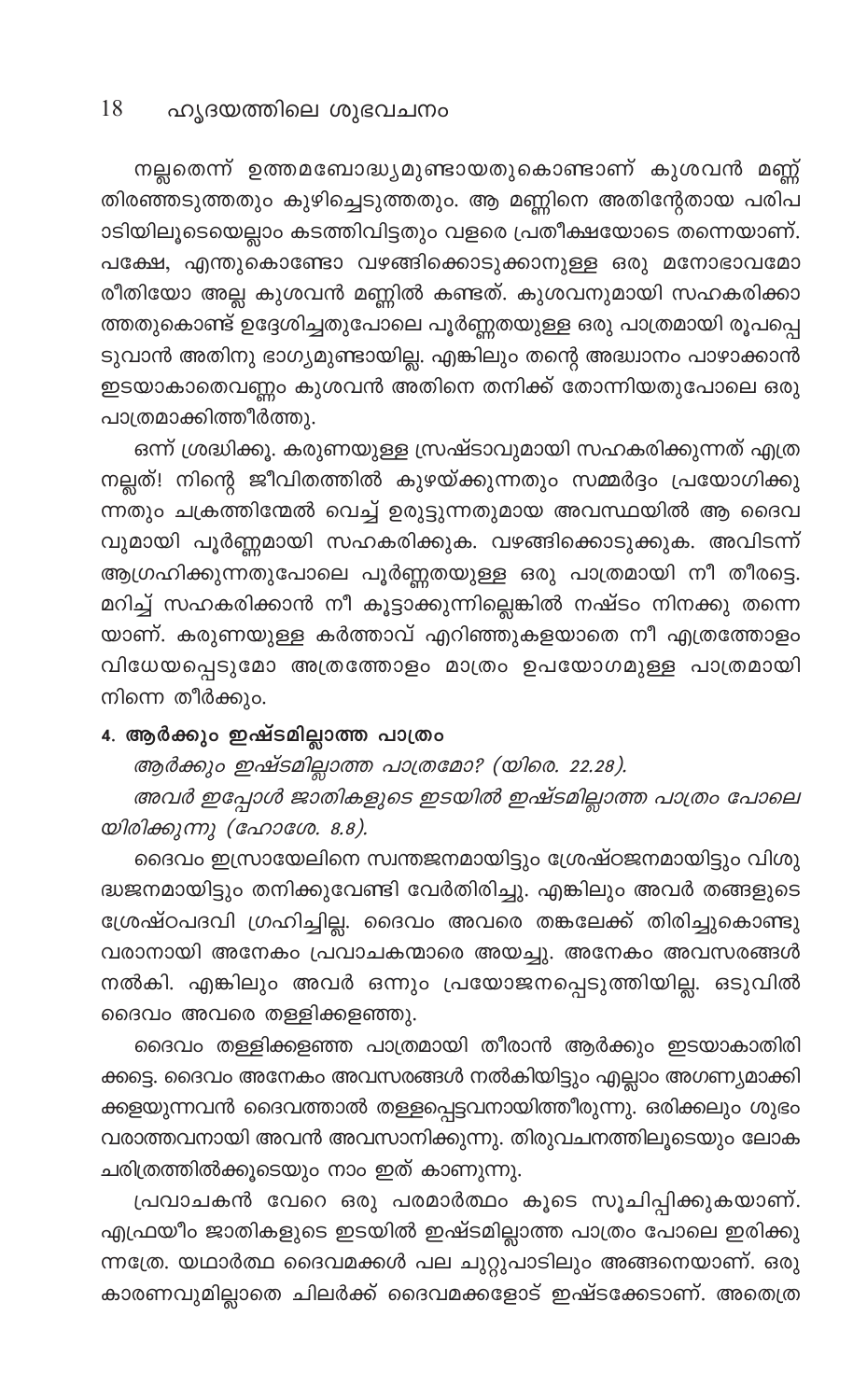നല്ലതെന്ന് ഉത്തമബോദ്ധ്യമുണ്ടായതുകൊണ്ടാണ് കുശവൻ മണ്ണ് തിരഞ്ഞടുത്തതും കുഴിച്ചെടുത്തതും. ആ മണ്ണിനെ അതിന്റേതായ പരിപ ാടിയിലൂടെയെല്ലാം കടത്തിവിട്ടതും വളരെ പ്രതീക്ഷയോടെ തന്നെയാണ്. പക്ഷേ, എന്തുകൊണ്ടോ വഴങ്ങിക്കൊടുക്കാനുള്ള ഒരു മനോഭാവമോ രീതിയോ അല്ല കുശവൻ മണ്ണിൽ കണ്ടത്. കുശവനുമായി സഹകരിക്കാ ത്തതുകൊണ്ട് ഉദ്ദേശിച്ചതുപോലെ പൂർണ്ണതയുള്ള ഒരു പാത്രമായി രൂപപ്പെ ടുവാൻ അതിനു ഭാഗ്യമുണ്ടായില്ല. എങ്കിലും തന്റെ അദ്ധ്വാനം പാഴാക്കാൻ ഇടയാകാതെവണ്ണം കുശവൻ അതിനെ തനിക്ക് തോന്നിയതുപോലെ ഒരു പാത്രമാക്കിത്തീർത്തു.

ഒന്ന് ശ്രദ്ധിക്കൂ. കരുണയുള്ള സ്രഷ്ടാവുമായി സഹകരിക്കുന്നത് എത്ര നല്ലത്! നിന്റെ ജീവിതത്തിൽ കുഴയ്ക്കുന്നതും സമ്മർദ്ദം പ്രയോഗിക്കു ന്നതും ചക്രത്തിന്മേൽ വെച്ച് ഉരുട്ടുന്നതുമായ അവസ്ഥയിൽ ആ ദൈവ വുമായി പൂർണ്ണമായി സഹകരിക്കുക. വഴങ്ങിക്കൊടുക്കുക. അവിടന്ന് ആഗ്രഹിക്കുന്നതുപോലെ പൂർണ്ണതയുള്ള ഒരു പാത്രമായി നീ തീരട്ടെ. മറിച്ച് സഹകരിക്കാൻ നീ കൂട്ടാക്കുന്നില്ലെങ്കിൽ നഷ്ടം നിനക്കു തന്നെ യാണ്. കരുണയുള്ള കർത്താവ് എറിഞ്ഞുകളയാതെ നീ എത്രത്തോളം വിധേയപ്പെടുമോ അത്രത്തോളം മാത്രം ഉപയോഗമുള്ള പാത്രമായി നിന്നെ തീർക്കും.

## 4. ആർക്കും ഇഷ്ടമില്ലാത്ത പാത്രം

ആർക്കും ഇഷ്ടമില്ലാത്ത പാത്രമോ? (യിരെ. 22.28).

അവർ ഇപ്പോൾ ജാതികളുടെ ഇടയിൽ ഇഷ്ടമില്ലാത്ത പാത്രം പോലെ യിരിക്കുന്നു (ഹോശേ. 8.8).

ദൈവം ഇസ്രായേലിനെ സ്വന്തജനമായിട്ടും ശ്രേഷ്ഠജനമായിട്ടും വിശു ദ്ധജനമായിട്ടും തനിക്കുവേണ്ടി വേർതിരിച്ചു. എങ്കിലും അവർ തങ്ങളുടെ ശ്രേഷ്ഠപദവി ഗ്രഹിച്ചില്ല. ദൈവം അവരെ തങ്കലേക്ക് തിരിച്ചുകൊണ്ടു വരാനായി അനേകം പ്രവാചകന്മാരെ അയച്ചു. അനേകം അവസരങ്ങൾ നൽകി. എങ്കിലും അവർ ഒന്നും പ്രയോജനപ്പെടുത്തിയില്ല. ഒടുവിൽ ദൈവം അവരെ തള്ളിക്കളഞ്ഞു.

ദൈവം തള്ളിക്കളഞ്ഞ പാത്രമായി തീരാൻ ആർക്കും ഇടയാകാതിരി ക്കട്ടെ. ദൈവം അനേകം അവസരങ്ങൾ നൽകിയിട്ടും എല്ലാം അഗണ്യമാക്കി ക്കളയുന്നവൻ ദൈവത്താൽ തള്ളപ്പെട്ടവനായിത്തീരുന്നു. ഒരിക്കലും ശുഭം വരാത്തവനായി അവൻ അവസാനിക്കുന്നു. തിരുവചനത്തിലൂടെയും ലോക ചരിത്രത്തിൽക്കൂടെയും നാം ഇത് കാണുന്നു.

പ്രവാചകൻ വേറെ ഒരു പരമാർത്ഥം കൂടെ സൂചിപ്പിക്കുകയാണ്. എഫ്രയീം ജാതികളുടെ ഇടയിൽ ഇഷ്ടമില്ലാത്ത പാത്രം പോലെ ഇരിക്കു ന്നത്രേ. യഥാർത്ഥ ദൈവമക്കൾ പല ചുറ്റുപാടിലും അങ്ങനെയാണ്. ഒരു കാരണവുമില്ലാതെ ചിലർക്ക് ദൈവമക്കളോട് ഇഷ്ടക്കേടാണ്. അതെത്ര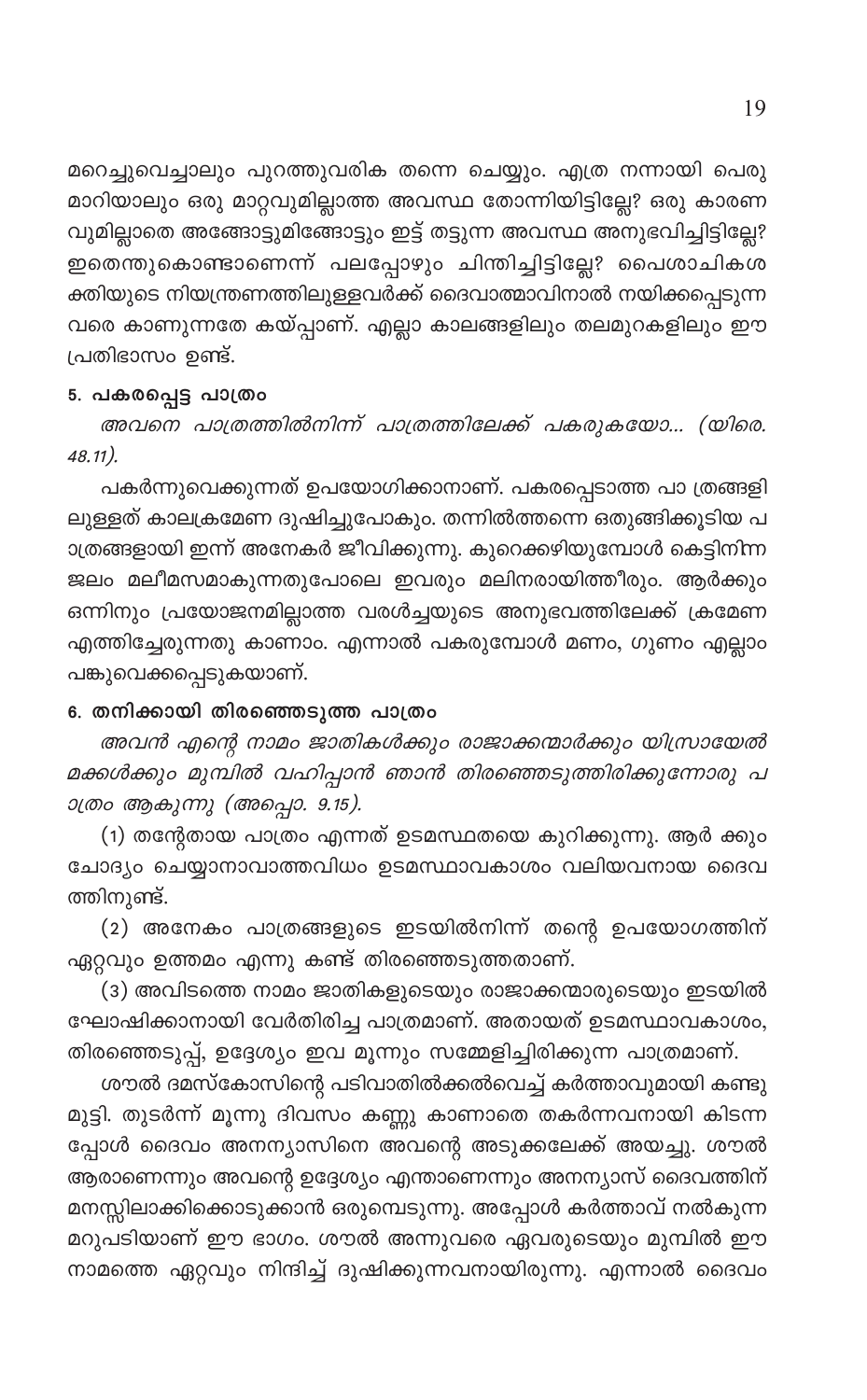മറെച്ചുവെച്ചാലും പുറത്തുവരിക തന്നെ ചെയ്യും. എത്ര നന്നായി പെരു മാറിയാലും ഒരു മാറ്റവുമില്ലാത്ത അവസ്ഥ തോന്നിയിട്ടില്ലേ? ഒരു കാരണ വുമില്ലാതെ അങ്ങോട്ടുമിങ്ങോട്ടും ഇട്ട് തട്ടുന്ന അവസ്ഥ അനുഭവിച്ചിട്ടില്ലേ? ഇതെന്തുകൊണ്ടാണെന്ന് പലപ്പോഴും ചിന്തിച്ചിട്ടില്ലേ? പൈശാചികശ ക്തിയുടെ നിയന്ത്രണത്തിലുള്ളവർക്ക് ദൈവാത്മാവിനാൽ നയിക്കപ്പെടുന്ന വരെ കാണുന്നതേ കയ്പ്പാണ്. എല്ലാ കാലങ്ങളിലും തലമുറകളിലും ഈ പ്രതിഭാസം ഉണ്ട്.

#### 5. പകരപ്പെട്ട പാത്രം

അവനെ പാത്രത്തിൽനിന്ന് പാത്രത്തിലേക്ക് പകരുകയോ... (യിരെ. 48.11).

പകർന്നുവെക്കുന്നത് ഉപയോഗിക്കാനാണ്. പകരപ്പെടാത്ത പാ ത്രങ്ങളി ലുള്ളത് കാലക്രമേണ ദുഷിച്ചുപോകും. തന്നിൽത്തന്നെ ഒതുങ്ങിക്കൂടിയ പ ാത്രങ്ങളായി ഇന്ന് അനേകർ ജീവിക്കുന്നു. കുറെക്കഴിയുമ്പോൾ കെട്ടിനിന്ന ജലം മലീമസമാകുന്നതുപോലെ ഇവരും മലിനരായിത്തീരും. ആർക്കും ഒന്നിനും പ്രയോജനമില്ലാത്ത വരൾച്ചയുടെ അനുഭവത്തിലേക്ക് ക്രമേണ എത്തിച്ചേരുന്നതു കാണാം. എന്നാൽ പകരുമ്പോൾ മണം, ഗുണം എല്ലാം പങ്കുവെക്കപ്പെടുകയാണ്.

## 6. തനിക്കായി തിരഞ്ഞെടുത്ത പാത്രം

അവൻ എന്റെ നാമം ജാതികൾക്കും രാജാക്കന്മാർക്കും യിസ്രായേൽ മക്കൾക്കും മുമ്പിൽ വഹിപ്പാൻ ഞാൻ തിരഞ്ഞെടുത്തിരിക്കുന്നോരു പ ാത്രം ആകുന്നു (അപ്പൊ. 9.15).

(1) തന്റേതായ പാത്രം എന്നത് ഉടമസ്ഥതയെ കുറിക്കുന്നു. ആർ ക്കും ചോദ്യം ചെയ്യാനാവാത്തവിധം ഉടമസ്ഥാവകാശം വലിയവനായ ദൈവ ത്തിനുണ്ട്.

(2) അനേകം പാത്രങ്ങളുടെ ഇടയിൽനിന്ന് തന്റെ ഉപയോഗത്തിന് ഏറ്റവും ഉത്തമം എന്നു കണ്ട് തിരഞ്ഞെടുത്തതാണ്.

(3) അവിടത്തെ നാമം ജാതികളുടെയും രാജാക്കന്മാരുടെയും ഇടയിൽ ഘോഷിക്കാനായി വേർതിരിച്ച പാത്രമാണ്. അതായത് ഉടമസ്ഥാവകാശം, തിരഞ്ഞെടുപ്പ്, ഉദ്ദേശ്യം ഇവ മൂന്നും സമ്മേളിച്ചിരിക്കുന്ന പാത്രമാണ്.

ശൗൽ ദമസ്കോസിന്റെ പടിവാതിൽക്കൽവെച്ച് കർത്താവുമായി കണ്ടു മുട്ടി. തുടർന്ന് മൂന്നു ദിവസം കണ്ണു കാണാതെ തകർന്നവനായി കിടന്ന പ്പോൾ ദൈവം അനന്യാസിനെ അവന്റെ അടുക്കലേക്ക് അയച്ചു. ശൗൽ ആരാണെന്നും അവന്റെ ഉദ്ദേശ്യം എന്താണെന്നും അനന്യാസ് ദൈവത്തിന് മനസ്സിലാക്കിക്കൊടുക്കാൻ ഒരുമ്പെടുന്നു. അപ്പോൾ കർത്താവ് നൽകുന്ന മറുപടിയാണ് ഈ ഭാഗം. ശൗൽ അന്നുവരെ ഏവരുടെയും മുമ്പിൽ ഈ നാമത്തെ ഏറ്റവും നിന്ദിച്ച് ദുഷിക്കുന്നവനായിരുന്നു. എന്നാൽ ദൈവം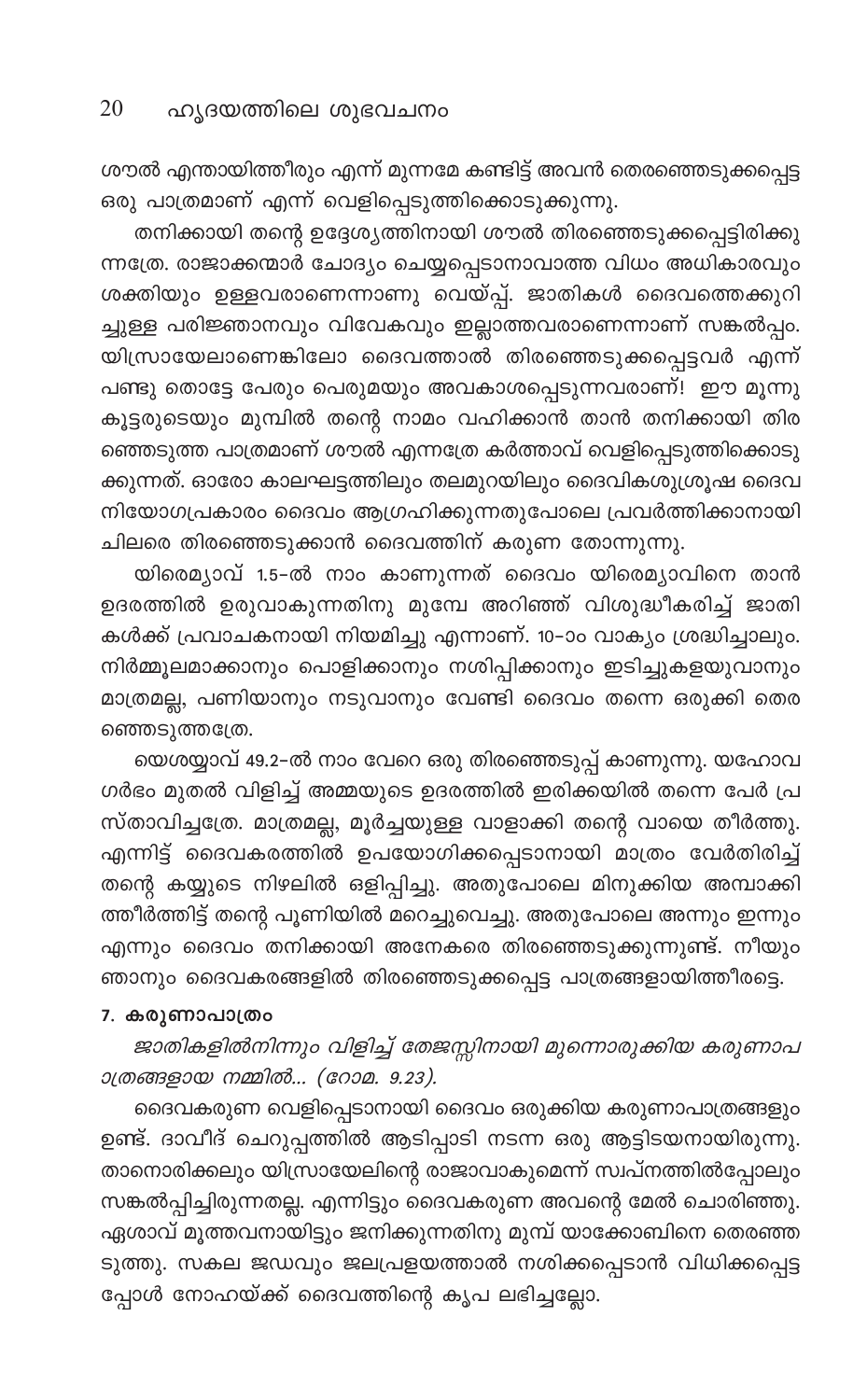ശൗൽ എന്തായിത്തീരും എന്ന് മുന്നമേ കണ്ടിട്ട് അവൻ തെരഞ്ഞെടുക്കപ്പെട്ട ഒരു പാത്രമാണ് എന്ന് വെളിപ്പെടുത്തിക്കൊടുക്കുന്നു.

തനിക്കായി തന്റെ ഉദ്ദേശ്യത്തിനായി ശൗൽ തിരഞ്ഞെടുക്കപ്പെട്ടിരിക്കു ന്നത്രേ. രാജാക്കന്മാർ ചോദ്യം ചെയ്യപ്പെടാനാവാത്ത വിധം അധികാരവും ശക്തിയും ഉള്ളവരാണെന്നാണു വെയ്പ്പ്. ജാതികൾ ദൈവത്തെക്കുറി ച്ചുള്ള പരിജ്ഞാനവും വിവേകവും ഇല്ലാത്തവരാണെന്നാണ് സങ്കൽപ്പം. യിസ്രായേലാണെങ്കിലോ ദൈവത്താൽ തിരഞ്ഞെടുക്കപ്പെട്ടവർ എന്ന് പണ്ടു തൊട്ടേ പേരും പെരുമയും അവകാശപ്പെടുന്നവരാണ്! ഈ മൂന്നു കൂട്ടരുടെയും മുമ്പിൽ തന്റെ നാമം വഹിക്കാൻ താൻ തനിക്കായി തിര ഞ്ഞെടുത്ത പാത്രമാണ് ശൗൽ എന്നത്രേ കർത്താവ് വെളിപ്പെടുത്തിക്കൊടു ക്കുന്നത്. ഓരോ കാലഘട്ടത്തിലും തലമുറയിലും ദൈവികശുശ്രൂഷ ദൈവ നിയോഗപ്രകാരം ദൈവം ആഗ്രഹിക്കുന്നതുപോലെ പ്രവർത്തിക്കാനായി ചിലരെ തിരഞ്ഞെടുക്കാൻ ദൈവത്തിന് കരുണ തോന്നുന്നു.

യിരെമ്യാവ് 1.5–ൽ നാം കാണുന്നത് ദൈവം യിരെമ്യാവിനെ താൻ ഉദരത്തിൽ ഉരുവാകുന്നതിനു മുമ്പേ അറിഞ്ഞ് വിശുദ്ധീകരിച്ച് ജാതി കൾക്ക് പ്രവാചകനായി നിയമിച്ചു എന്നാണ്. 10–ാം വാക്യം ശ്രദ്ധിച്ചാലും. നിർമ്മൂലമാക്കാനും പൊളിക്കാനും നശിപ്പിക്കാനും ഇടിച്ചുകളയുവാനും മാത്രമല്ല, പണിയാനും നടുവാനും വേണ്ടി ദൈവം തന്നെ ഒരുക്കി തെര ഞ്ഞെടുത്തത്രേ.

യെശയ്യാവ് 49.2–ൽ നാം വേറെ ഒരു തിരഞ്ഞെടുപ്പ് കാണുന്നു. യഹോവ ഗർഭം മുതൽ വിളിച്ച് അമ്മയുടെ ഉദരത്തിൽ ഇരിക്കയിൽ തന്നെ പേർ പ്ര സ്താവിച്ചത്രേ. മാത്രമല്ല, മൂർച്ചയുള്ള വാളാക്കി തന്റെ വായെ തീർത്തു. എന്നിട്ട് ദൈവകരത്തിൽ ഉപയോഗിക്കപ്പെടാനായി മാത്രം വേർതിരിച്ച് തന്റെ കയ്യുടെ നിഴലിൽ ഒളിപ്പിച്ചു. അതുപോലെ മിനുക്കിയ അമ്പാക്കി ത്തീർത്തിട്ട് തന്റെ പൂണിയിൽ മറെച്ചുവെച്ചു. അതുപോലെ അന്നും ഇന്നും എന്നും ദൈവം തനിക്കായി അനേകരെ തിരഞ്ഞെടുക്കുന്നുണ്ട്. നീയും ഞാനും ദൈവകരങ്ങളിൽ തിരഞ്ഞെടുക്കപ്പെട്ട പാത്രങ്ങളായിത്തീരട്ടെ.

## 7. കരുണാപാത്രം

ജാതികളിൽനിന്നും വിളിച്ച് തേജസ്സിനായി മുന്നൊരുക്കിയ കരുണാപ ാത്രങ്ങളായ നമ്മിൽ... (റോമ. 9.23).

ദൈവകരുണ വെളിപ്പെടാനായി ദൈവം ഒരുക്കിയ കരുണാപാത്രങ്ങളും ഉണ്ട്. ദാവീദ് ചെറുപ്പത്തിൽ ആടിപ്പാടി നടന്ന ഒരു ആട്ടിടയനായിരുന്നു. താനൊരിക്കലും യിസ്രായേലിന്റെ രാജാവാകുമെന്ന് സ്വപ്നത്തിൽപ്പോലും സങ്കൽപ്പിച്ചിരുന്നതല്ല. എന്നിട്ടും ദൈവകരുണ അവന്റെ മേൽ ചൊരിഞ്ഞു. ഏശാവ് മൂത്തവനായിട്ടും ജനിക്കുന്നതിനു മുമ്പ് യാക്കോബിനെ തെരഞ്ഞ ടുത്തു. സകല ജഡവും ജലപ്രളയത്താൽ നശിക്കപ്പെടാൻ വിധിക്കപ്പെട്ട പ്പോൾ നോഹയ്ക്ക് ദൈവത്തിന്റെ കൃപ ലഭിച്ചല്ലോ.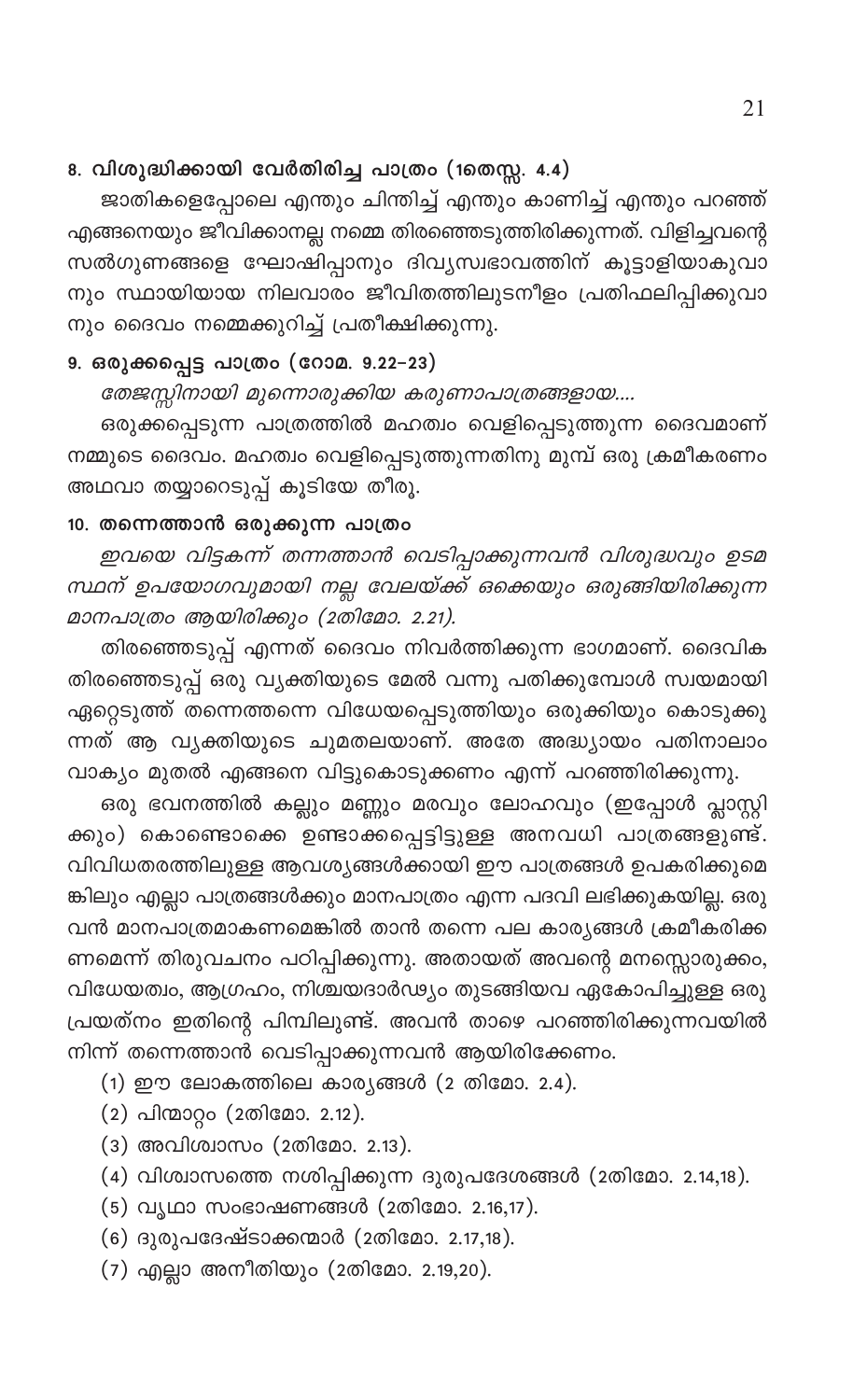## 8. വിശുദ്ധിക്കായി വേർതിരിച്ച പാത്രം (1തെസ്സ. 4.4)

ജാതികളെപ്പോലെ എന്തും ചിന്തിച്ച് എന്തും കാണിച്ച് എന്തും പറഞ്ഞ് എങ്ങനെയും ജീവിക്കാനല്ല നമ്മെ തിരഞ്ഞെടുത്തിരിക്കുന്നത്. വിളിച്ചവന്റെ സൽഗുണങ്ങളെ ഘോഷിപ്പാനും ദിവ്യസ്വഭാവത്തിന് കൂട്ടാളിയാകുവാ നും സ്ഥായിയായ നിലവാരം ജീവിതത്തിലുടനീളം പ്രതിഫലിപ്പിക്കുവാ നും ദൈവം നമ്മെക്കുറിച്ച് പ്രതീക്ഷിക്കുന്നു.

## 9. ഒരുക്കപ്പെട്ട പാത്രം (റോമ. 9.22-23)

തേജസ്സിനായി മുന്നൊരുക്കിയ കരുണാപാത്രങ്ങളായ....

ഒരുക്കപ്പെടുന്ന പാത്രത്തിൽ മഹത്വം വെളിപ്പെടുത്തുന്ന ദൈവമാണ് നമ്മുടെ ദൈവം. മഹത്വം വെളിപ്പെടുത്തുന്നതിനു മുമ്പ് ഒരു ക്രമീകരണം അഥവാ തയ്യാറെടുപ്പ് കൂടിയേ തീരൂ.

## 10. തന്നെത്താൻ ഒരുക്കുന്ന പാത്രം

ഇവയെ വിട്ടകന്ന് തന്നത്താൻ വെടിപ്പാക്കുന്നവൻ വിശുദ്ധവും ഉടമ സ്ഥന് ഉപയോഗവുമായി നല്ല വേലയ്ക്ക് ഒക്കെയും ഒരുങ്ങിയിരിക്കുന്ന മാനപാത്രം ആയിരിക്കും (2തിമോ. 2.21).

തിരഞ്ഞെടുപ്പ് എന്നത് ദൈവം നിവർത്തിക്കുന്ന ഭാഗമാണ്. ദൈവിക തിരഞ്ഞെടുപ്പ് ഒരു വ്യക്തിയുടെ മേൽ വന്നു പതിക്കുമ്പോൾ സ്വയമായി ഏറ്റെടുത്ത് തന്നെത്തന്നെ വിധേയപ്പെടുത്തിയും ഒരുക്കിയും കൊടുക്കു ന്നത് ആ വ്യക്തിയുടെ ചുമതലയാണ്. അതേ അദ്ധ്യായം പതിനാലാം വാക്യം മുതൽ എങ്ങനെ വിട്ടുകൊടുക്കണം എന്ന് പറഞ്ഞിരിക്കുന്നു.

ഒരു ഭവനത്തിൽ കല്ലും മണ്ണും മരവും ലോഹവും (ഇപ്പോൾ പ്ലാസ്റ്റി ക്കും) കൊണ്ടൊക്കെ ഉണ്ടാക്കപ്പെട്ടിട്ടുള്ള അനവധി പാത്രങ്ങളുണ്ട്. വിവിധതരത്തിലുള്ള ആവശ്യങ്ങൾക്കായി ഈ പാത്രങ്ങൾ ഉപകരിക്കുമെ ങ്കിലും എല്ലാ പാത്രങ്ങൾക്കും മാനപാത്രം എന്ന പദവി ലഭിക്കുകയില്ല. ഒരു വൻ മാനപാത്രമാകണമെങ്കിൽ താൻ തന്നെ പല കാര്യങ്ങൾ ക്രമീകരിക്ക ണമെന്ന് തിരുവചനം പഠിപ്പിക്കുന്നു. അതായത് അവന്റെ മനസ്സൊരുക്കം, വിധേയത്വം, ആഗ്രഹം, നിശ്ചയദാർഢ്യം തുടങ്ങിയവ ഏകോപിച്ചുള്ള ഒരു പ്രയത്നം ഇതിന്റെ പിമ്പിലുണ്ട്. അവൻ താഴെ പറഞ്ഞിരിക്കുന്നവയിൽ നിന്ന് തന്നെത്താൻ വെടിപ്പാക്കുന്നവൻ ആയിരിക്കേണം.

(1) ഈ ലോകത്തിലെ കാര്യങ്ങൾ (2 തിമോ. 2.4).

- (2) പിന്മാറ്റം (2തിമോ. 2.12).
- (3) അവിശ്വാസം (2തിമോ. 2.13).
- (4) വിശ്വാസത്തെ നശിപ്പിക്കുന്ന ദുരുപദേശങ്ങൾ (2തിമോ. 2.14,18).
- (5) വൃഥാ സംഭാഷണങ്ങൾ (2തിമോ. 2.16,17).
- (6) ദുരുപദേഷ്ടാക്കന്മാർ (2തിമോ. 2.17,18).
- (7) എല്ലാ അനീതിയും (2തിമോ. 2.19,20).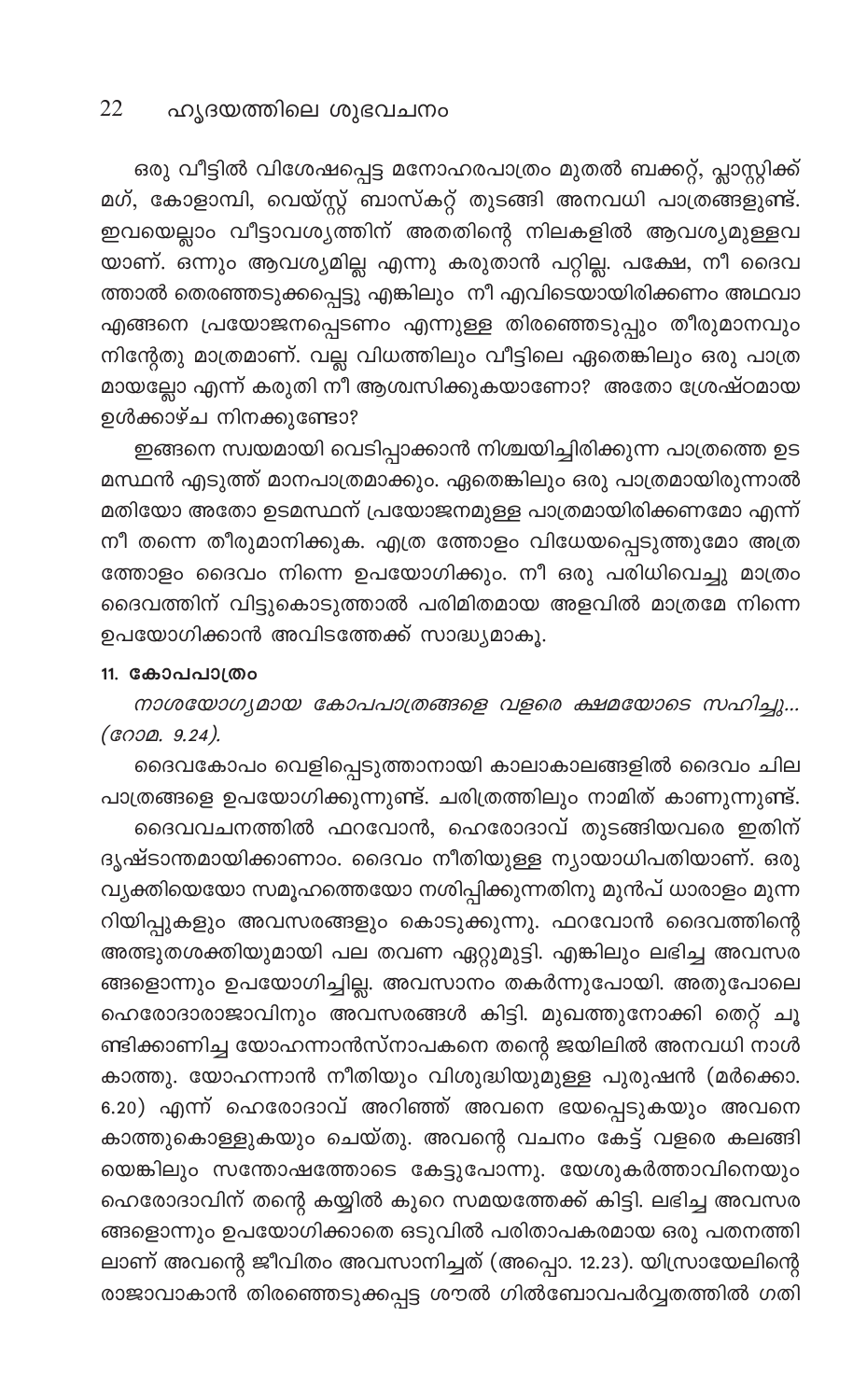ഒരു വീട്ടിൽ വിശേഷപ്പെട്ട മനോഹരപാത്രം മുതൽ ബക്കറ്റ്, പ്ലാസ്റ്റിക്ക് മഗ്, കോളാമ്പി, വെയ്സ്റ്റ് ബാസ്കറ്റ് തുടങ്ങി അനവധി പാത്രങ്ങളുണ്ട്. ഇവയെല്ലാം വീട്ടാവശ്യത്തിന് അതതിന്റെ നിലകളിൽ ആവശ്യമുള്ളവ യാണ്. ഒന്നും ആവശ്യമില്ല എന്നു കരുതാൻ പറ്റില്ല. പക്ഷേ, നീ ദൈവ ത്താൽ തെരഞ്ഞടുക്കപ്പെട്ടു എങ്കിലും നീ എവിടെയായിരിക്കണം അഥവാ എങ്ങനെ പ്രയോജനപ്പെടണം എന്നുള്ള തിരഞ്ഞെടുപ്പും തീരുമാനവും നിന്റേതു മാത്രമാണ്. വല്ല വിധത്തിലും വീട്ടിലെ ഏതെങ്കിലും ഒരു പാത്ര മായല്ലോ എന്ന് കരുതി നീ ആശ്വസിക്കുകയാണോ? അതോ ശ്രേഷ്ഠമായ ഉൾക്കാഴ്ച നിനക്കുണ്ടോ?

ഇങ്ങനെ സ്വയമായി വെടിപ്പാക്കാൻ നിശ്ചയിച്ചിരിക്കുന്ന പാത്രത്തെ ഉട മസ്ഥൻ എടുത്ത് മാനപാത്രമാക്കും. ഏതെങ്കിലും ഒരു പാത്രമായിരുന്നാൽ മതിയോ അതോ ഉടമസ്ഥന് പ്രയോജനമുള്ള പാത്രമായിരിക്കണമോ എന്ന് നീ തന്നെ തീരുമാനിക്കുക. എത്ര ത്തോളം വിധേയപ്പെടുത്തുമോ അത്ര ത്തോളം ദൈവം നിന്നെ ഉപയോഗിക്കും. നീ ഒരു പരിധിവെച്ചു മാത്രം ദൈവത്തിന് വിട്ടുകൊടുത്താൽ പരിമിതമായ അളവിൽ മാത്രമേ നിന്നെ ഉപയോഗിക്കാൻ അവിടത്തേക്ക് സാദ്ധ്യമാകൂ.

#### 11. കോപപാത്രം

നാശയോഗ്യമായ കോപപാത്രങ്ങളെ വളരെ ക്ഷമയോടെ സഹിച്ചു... (GOOD. 9.24).

ദൈവകോപം വെളിപ്പെടുത്താനായി കാലാകാലങ്ങളിൽ ദൈവം ചില പാത്രങ്ങളെ ഉപയോഗിക്കുന്നുണ്ട്. ചരിത്രത്തിലും നാമിത് കാണുന്നുണ്ട്.

ദൈവവചനത്തിൽ ഫറവോൻ, ഹെരോദാവ് തുടങ്ങിയവരെ ഇതിന് ദൃഷ്ടാന്തമായിക്കാണാം. ദൈവം നീതിയുള്ള ന്യായാധിപതിയാണ്. ഒരു വ്യക്തിയെയോ സമൂഹത്തെയോ നശിപ്പിക്കുന്നതിനു മുൻപ് ധാരാളം മുന്ന റിയിപ്പുകളും അവസരങ്ങളും കൊടുക്കുന്നു. ഫറവോൻ ദൈവത്തിന്റെ അത്ഭുതശക്തിയുമായി പല തവണ ഏറ്റുമുട്ടി. എങ്കിലും ലഭിച്ച അവസര ങ്ങളൊന്നും ഉപയോഗിച്ചില്ല. അവസാനം തകർന്നുപോയി. അതുപോലെ ഹെരോദാരാജാവിനും അവസരങ്ങൾ കിട്ടി. മുഖത്തുനോക്കി തെറ്റ് ചൂ ണ്ടിക്കാണിച്ച യോഹന്നാൻസ്നാപകനെ തന്റെ ജയിലിൽ അനവധി നാൾ കാത്തു. യോഹന്നാൻ നീതിയും വിശുദ്ധിയുമുള്ള പുരുഷൻ (മർക്കൊ. 6.20) എന്ന് ഹെരോദാവ് അറിഞ്ഞ് അവനെ ഭയപ്പെടുകയും അവനെ കാത്തുകൊള്ളുകയും ചെയ്തു. അവന്റെ വചനം കേട്ട് വളരെ കലങ്ങി യെങ്കിലും സന്തോഷത്തോടെ കേട്ടുപോന്നു. യേശുകർത്താവിനെയും ഹെരോദാവിന് തന്റെ കയ്യിൽ കുറെ സമയത്തേക്ക് കിട്ടി. ലഭിച്ച അവസര ങ്ങളൊന്നും ഉപയോഗിക്കാതെ ഒടുവിൽ പരിതാപകരമായ ഒരു പതനത്തി ലാണ് അവന്റെ ജീവിതം അവസാനിച്ചത് (അപ്പൊ. 12.23). യിസ്രായേലിന്റെ രാജാവാകാൻ തിരഞ്ഞെടുക്കപ്പട്ട ശൗൽ ഗിൽബോവപർവ്വതത്തിൽ ഗതി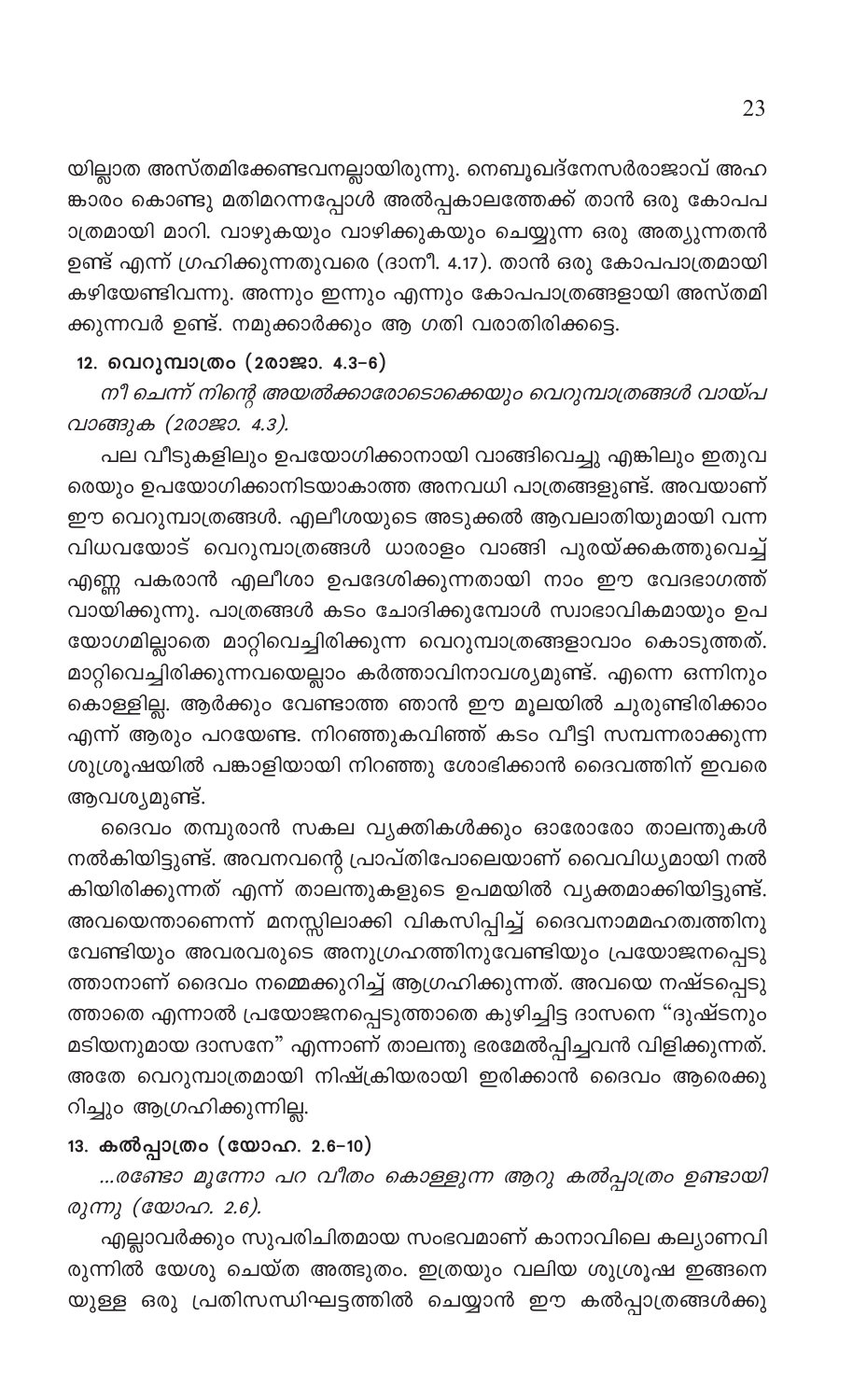യില്ലാത അസ്തമിക്കേണ്ടവനല്ലായിരുന്നു. നെബൂഖദ്നേസർരാജാവ് അഹ ങ്കാരം കൊണ്ടു മതിമറന്നപ്പോൾ അൽപ്പകാലത്തേക്ക് താൻ ഒരു കോപപ ാത്രമായി മാറി. വാഴുകയും വാഴിക്കുകയും ചെയ്യുന്ന ഒരു അത്യുന്നതൻ ഉണ്ട് എന്ന് ഗ്രഹിക്കുന്നതുവരെ (ദാനീ. 4.17). താൻ ഒരു കോപപാത്രമായി കഴിയേണ്ടിവന്നു. അന്നും ഇന്നും എന്നും കോപപാത്രങ്ങളായി അസ്തമി ക്കുന്നവർ ഉണ്ട്. നമുക്കാർക്കും ആ ഗതി വരാതിരിക്കട്ടെ.

#### 12. വെറുമ്പാത്രം (2രാജാ. 4.3-6)

നീ ചെന്ന് നിന്റെ അയൽക്കാരോടൊക്കെയും വെറുമ്പാത്രങ്ങൾ വായ്പ വാങ്ങുക (2രാജാ. 4.3).

പല വീടുകളിലും ഉപയോഗിക്കാനായി വാങ്ങിവെച്ചു എങ്കിലും ഇതുവ രെയും ഉപയോഗിക്കാനിടയാകാത്ത അനവധി പാത്രങ്ങളുണ്ട്. അവയാണ് ഈ വെറുമ്പാത്രങ്ങൾ. എലീശയുടെ അടുക്കൽ ആവലാതിയുമായി വന്ന വിധവയോട് വെറുമ്പാത്രങ്ങൾ ധാരാളം വാങ്ങി പുരയ്ക്കകത്തുവെച്ച് എണ്ണ പകരാൻ എലീശാ ഉപദേശിക്കുന്നതായി നാം ഈ വേദഭാഗത്ത് വായിക്കുന്നു. പാത്രങ്ങൾ കടം ചോദിക്കുമ്പോൾ സ്വാഭാവികമായും ഉപ യോഗമില്ലാതെ മാറ്റിവെച്ചിരിക്കുന്ന വെറുമ്പാത്രങ്ങളാവാം കൊടുത്തത്. മാറ്റിവെച്ചിരിക്കുന്നവയെല്ലാം കർത്താവിനാവശ്യമുണ്ട്. എന്നെ ഒന്നിനും കൊള്ളില്ല. ആർക്കും വേണ്ടാത്ത ഞാൻ ഈ മൂലയിൽ ചുരുണ്ടിരിക്കാം എന്ന് ആരും പറയേണ്ട. നിറഞ്ഞുകവിഞ്ഞ് കടം വീട്ടി സമ്പന്നരാക്കുന്ന ശുശ്രൂഷയിൽ പങ്കാളിയായി നിറഞ്ഞു ശോഭിക്കാൻ ദൈവത്തിന് ഇവരെ ആവശ്യമുണ്ട്.

ദൈവം തമ്പുരാൻ സകല വ്യക്തികൾക്കും ഓരോരോ താലന്തുകൾ നൽകിയിട്ടുണ്ട്. അവനവന്റെ പ്രാപ്തിപോലെയാണ് വൈവിധ്യമായി നൽ കിയിരിക്കുന്നത് എന്ന് താലന്തുകളുടെ ഉപമയിൽ വ്യക്തമാക്കിയിട്ടുണ്ട്. അവയെന്താണെന്ന് മനസ്സിലാക്കി വികസിപ്പിച്ച് ദൈവനാമമഹത്വത്തിനു വേണ്ടിയും അവരവരുടെ അനുഗ്രഹത്തിനുവേണ്ടിയും പ്രയോജനപ്പെടു ത്താനാണ് ദൈവം നമ്മെക്കുറിച്ച് ആഗ്രഹിക്കുന്നത്. അവയെ നഷ്ടപ്പെടു ത്താതെ എന്നാൽ പ്രയോജനപ്പെടുത്താതെ കുഴിച്ചിട്ട ദാസനെ "ദുഷ്ടനും മടിയനുമായ ദാസനേ" എന്നാണ് താലന്തു ഭരമേൽപ്പിച്ചവൻ വിളിക്കുന്നത്. അതേ വെറുമ്പാത്രമായി നിഷ്ക്രിയരായി ഇരിക്കാൻ ദൈവം ആരെക്കു റിച്ചും ആഗ്രഹിക്കുന്നില്ല.

## 13. കൽപ്പാത്രം (യോഹ. 2.6-10)

...രണ്ടോ മൂന്നോ പറ വീതം കൊള്ളുന്ന ആറു കൽപ്പാത്രം ഉണ്ടായി രുന്നു (യോഹ. 2.6).

എല്ലാവർക്കും സുപരിചിതമായ സംഭവമാണ് കാനാവിലെ കല്യാണവി രുന്നിൽ യേശു ചെയ്ത അത്ഭുതം. ഇത്രയും വലിയ ശുശ്രൂഷ ഇങ്ങനെ യുള്ള ഒരു പ്രതിസന്ധിഘട്ടത്തിൽ ചെയ്യാൻ ഈ കൽപ്പാത്രങ്ങൾക്കു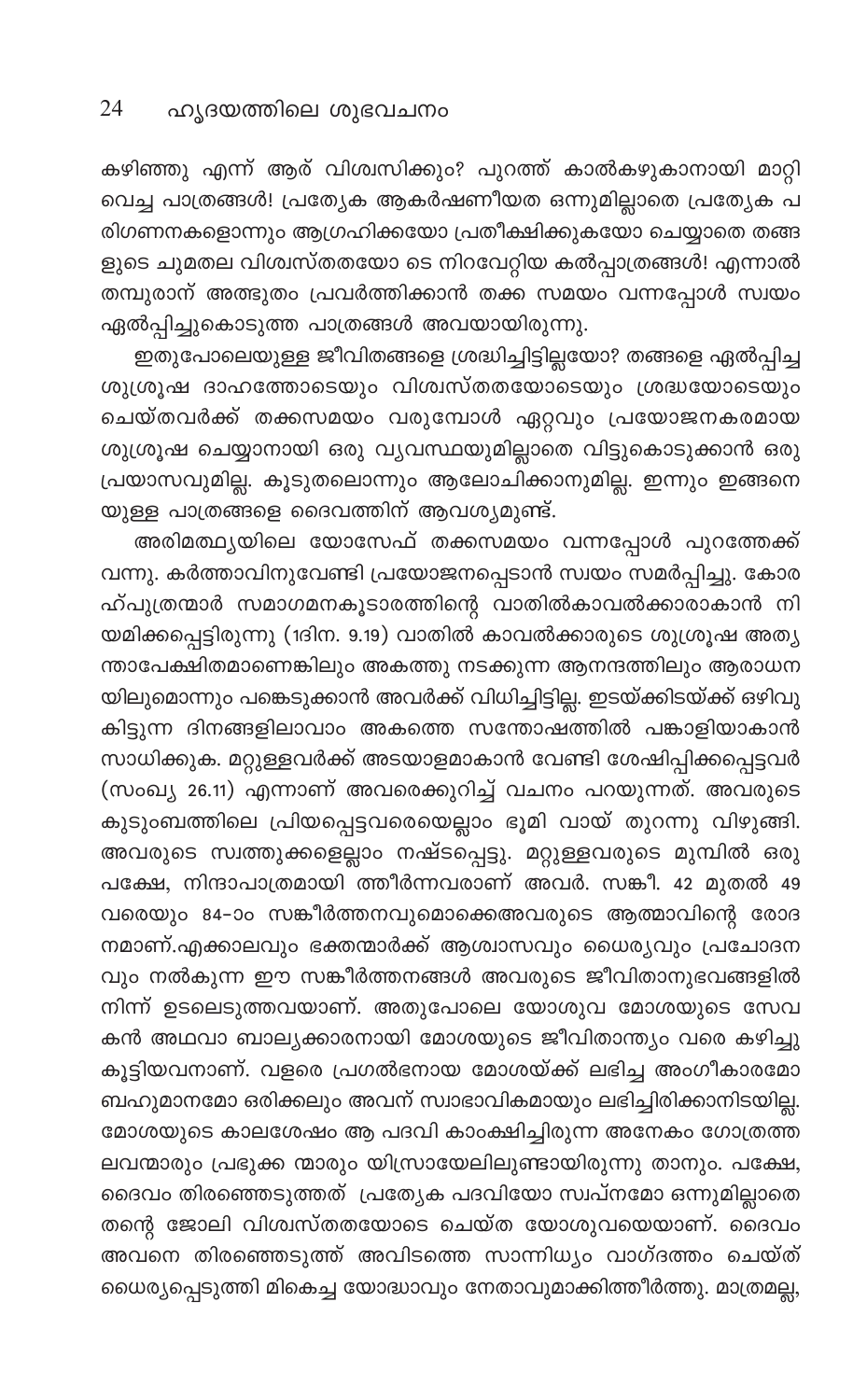കഴിഞ്ഞു എന്ന് ആര് വിശ്വസിക്കും? പുറത്ത് കാൽകഴുകാനായി മാറ്റി വെച്ച പാത്രങ്ങൾ! പ്രത്യേക ആകർഷണീയത ഒന്നുമില്ലാതെ പ്രത്യേക പ രിഗണനകളൊന്നും ആഗ്രഹിക്കയോ പ്രതീക്ഷിക്കുകയോ ചെയ്യാതെ തങ്ങ ളുടെ ചുമതല വിശ്വസ്തതയോ ടെ നിറവേറ്റിയ കൽപ്പാത്രങ്ങൾ! എന്നാൽ തമ്പുരാന് അത്ഭുതം പ്രവർത്തിക്കാൻ തക്ക സമയം വന്നപ്പോൾ സ്വയം ഏൽപ്പിച്ചുകൊടുത്ത പാത്രങ്ങൾ അവയായിരുന്നു.

ഇതുപോലെയുള്ള ജീവിതങ്ങളെ ശ്രദ്ധിച്ചിട്ടില്ലയോ? തങ്ങളെ ഏൽപ്പിച്ച ശുശ്രൂഷ ദാഹത്തോടെയും വിശ്വസ്തതയോടെയും ശ്രദ്ധയോടെയും ചെയ്തവർക്ക് തക്കസമയം വരുമ്പോൾ ഏറ്റവും പ്രയോജനകരമായ ശുശ്രൂഷ ചെയ്യാനായി ഒരു വ്യവസ്ഥയുമില്ലാതെ വിട്ടുകൊടുക്കാൻ ഒരു പ്രയാസവുമില്ല. കൂടുതലൊന്നും ആലോചിക്കാനുമില്ല. ഇന്നും ഇങ്ങനെ യുള്ള പാത്രങ്ങളെ ദൈവത്തിന് ആവശ്യമുണ്ട്.

അരിമത്ഥ്യയിലെ യോസേഫ് തക്കസമയം വന്നപ്പോൾ പുറത്തേക്ക് വന്നു. കർത്താവിനുവേണ്ടി പ്രയോജനപ്പെടാൻ സ്വയം സമർപ്പിച്ചു. കോര ഹ്പുത്രന്മാർ സമാഗമനകൂടാരത്തിന്റെ വാതിൽകാവൽക്കാരാകാൻ നി യമിക്കപ്പെട്ടിരുന്നു (1ദിന. 9.19) വാതിൽ കാവൽക്കാരുടെ ശുശ്രൂഷ അത്യ ന്താപേക്ഷിതമാണെങ്കിലും അകത്തു നടക്കുന്ന ആനന്ദത്തിലും ആരാധന യിലുമൊന്നും പങ്കെടുക്കാൻ അവർക്ക് വിധിച്ചിട്ടില്ല. ഇടയ്ക്കിടയ്ക്ക് ഒഴിവു കിട്ടുന്ന ദിനങ്ങളിലാവാം അകത്തെ സന്തോഷത്തിൽ പങ്കാളിയാകാൻ സാധിക്കുക. മറ്റുള്ളവർക്ക് അടയാളമാകാൻ വേണ്ടി ശേഷിപ്പിക്കപ്പെട്ടവർ (സംഖ്യ 26.11) എന്നാണ് അവരെക്കുറിച്ച് വചനം പറയുന്നത്. അവരുടെ കുടുംബത്തിലെ പ്രിയപ്പെട്ടവരെയെല്ലാം ഭൂമി വായ് തുറന്നു വിഴുങ്ങി. അവരുടെ സ്വത്തുക്കളെല്ലാം നഷ്ടപ്പെട്ടു. മറ്റുള്ളവരുടെ മുമ്പിൽ ഒരു പക്ഷേ, നിന്ദാപാത്രമായി ത്തീർന്നവരാണ് അവർ. സങ്കീ. 42 മുതൽ 49 വരെയും 84-ാം സങ്കീർത്തനവുമൊക്കെഅവരുടെ ആത്മാവിന്റെ രോദ നമാണ്.എക്കാലവും ഭക്തന്മാർക്ക് ആശ്വാസവും ധൈര്യവും പ്രചോദന വും നൽകുന്ന ഈ സങ്കീർത്തനങ്ങൾ അവരുടെ ജീവിതാനുഭവങ്ങളിൽ നിന്ന് ഉടലെടുത്തവയാണ്. അതുപോലെ യോശുവ മോശയുടെ സേവ കൻ അഥവാ ബാല്യക്കാരനായി മോശയുടെ ജീവിതാന്ത്യം വരെ കഴിച്ചു കൂട്ടിയവനാണ്. വളരെ പ്രഗൽഭനായ മോശയ്ക്ക് ലഭിച്ച അംഗീകാരമോ ബഹുമാനമോ ഒരിക്കലും അവന് സ്വാഭാവികമായും ലഭിച്ചിരിക്കാനിടയില്ല. മോശയുടെ കാലശേഷം ആ പദവി കാംക്ഷിച്ചിരുന്ന അനേകം ഗോത്രത്ത ലവന്മാരും പ്രഭുക്ക ന്മാരും യിസ്രായേലിലുണ്ടായിരുന്നു താനും. പക്ഷേ, ദൈവം തിരഞ്ഞെടുത്തത് പ്രത്യേക പദവിയോ സ്വപ്നമോ ഒന്നുമില്ലാതെ തന്റെ ജോലി വിശ്വസ്തതയോടെ ചെയ്ത യോശുവയെയാണ്. ദൈവം അവനെ തിരഞ്ഞെടുത്ത് അവിടത്തെ സാന്നിധ്യം വാഗ്ദത്തം ചെയ്ത് ധൈര്യപ്പെടുത്തി മികെച്ച യോദ്ധാവും നേതാവുമാക്കിത്തീർത്തു. മാത്രമല്ല,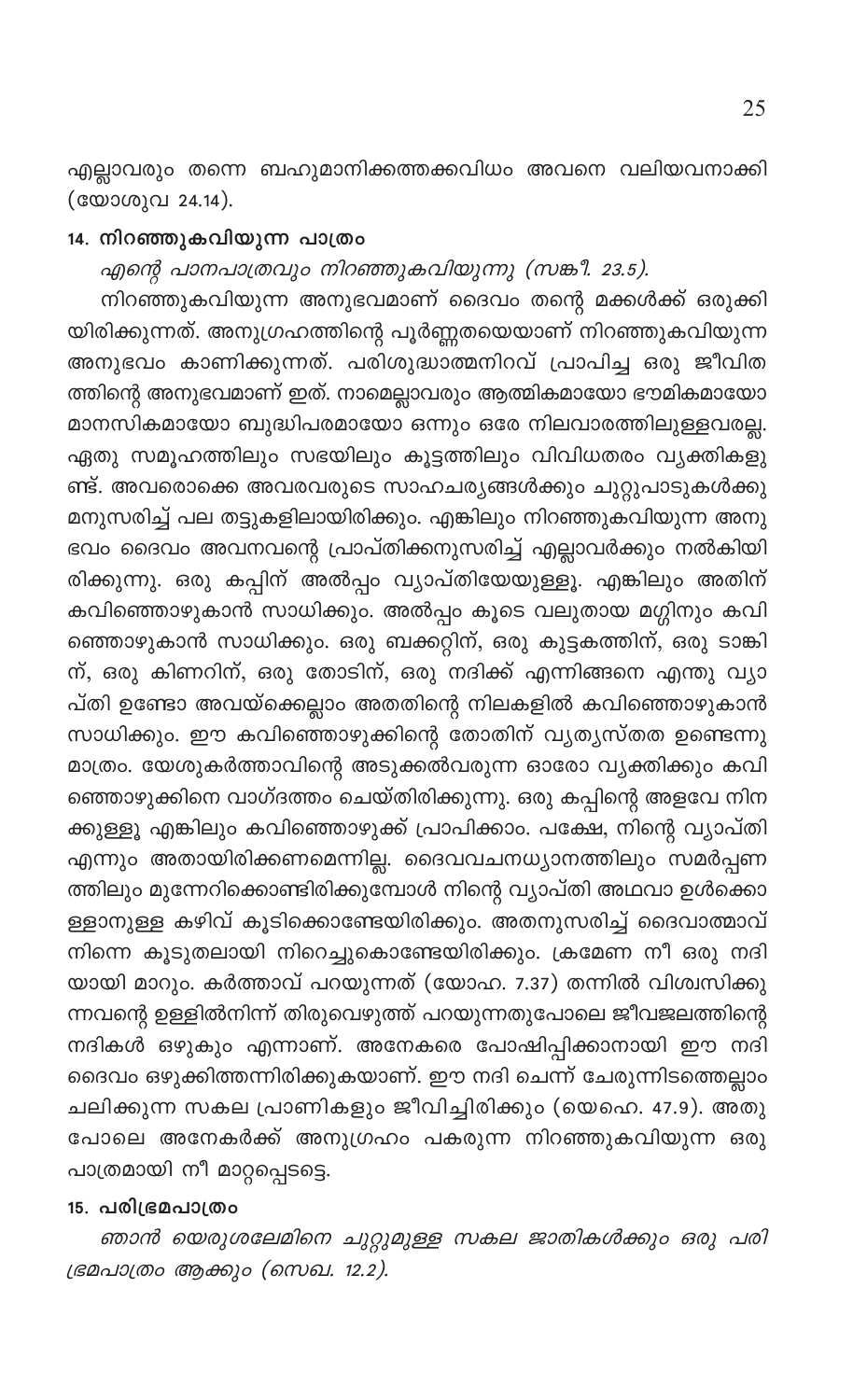എല്ലാവരും തന്നെ ബഹുമാനിക്കത്തക്കവിധം അവനെ വലിയവനാക്കി (യോശുവ 24.14).

## 14. നിറഞ്ഞുകവിയുന്ന പാത്രം

## എന്റെ പാനപാത്രവും നിറഞ്ഞുകവിയുന്നു (സങ്കീ. 23.5).

നിറഞ്ഞുകവിയുന്ന അനുഭവമാണ് ദൈവം തന്റെ മക്കൾക്ക് ഒരുക്കി യിരിക്കുന്നത്. അനുഗ്രഹത്തിന്റെ പൂർണ്ണതയെയാണ് നിറഞ്ഞുകവിയുന്ന അനുഭവം കാണിക്കുന്നത്. പരിശുദ്ധാത്മനിറവ് പ്രാപിച്ച ഒരു ജീവിത ത്തിന്റെ അനുഭവമാണ് ഇത്. നാമെല്ലാവരും ആത്മികമായോ ഭൗമികമായോ മാനസികമായോ ബുദ്ധിപരമായോ ഒന്നും ഒരേ നിലവാരത്തിലുള്ളവരല്ല. ഏതു സമൂഹത്തിലും സഭയിലും കൂട്ടത്തിലും വിവിധതരം വ്യക്തികളു ണ്ട്. അവരൊക്കെ അവരവരുടെ സാഹചര്യങ്ങൾക്കും ചുറ്റുപാടുകൾക്കു മനുസരിച്ച് പല തട്ടുകളിലായിരിക്കും. എങ്കിലും നിറഞ്ഞുകവിയുന്ന അനു ഭവം ദൈവം അവനവന്റെ പ്രാപ്തിക്കനുസരിച്ച് എല്ലാവർക്കും നൽകിയി രിക്കുന്നു. ഒരു കപ്പിന് അൽപ്പം വ്യാപ്തിയേയുള്ളൂ. എങ്കിലും അതിന് കവിഞ്ഞൊഴുകാൻ സാധിക്കും. അൽപ്പം കൂടെ വലുതായ മഗ്ഗിനും കവി ഞ്ഞൊഴുകാൻ സാധിക്കും. ഒരു ബക്കറ്റിന്, ഒരു കുട്ടകത്തിന്, ഒരു ടാങ്കി ന്, ഒരു കിണറിന്, ഒരു തോടിന്, ഒരു നദിക്ക് എന്നിങ്ങനെ എന്തു വ്യാ പ്തി ഉണ്ടോ അവയ്ക്കെല്ലാം അതതിന്റെ നിലകളിൽ കവിഞ്ഞൊഴുകാൻ സാധിക്കും. ഈ കവിഞ്ഞൊഴുക്കിന്റെ തോതിന് വ്യത്യസ്തത ഉണ്ടെന്നു മാത്രം. യേശുകർത്താവിന്റെ അടുക്കൽവരുന്ന ഓരോ വ്യക്തിക്കും കവി ഞ്ഞൊഴുക്കിനെ വാഗ്ദത്തം ചെയ്തിരിക്കുന്നു. ഒരു കപ്പിന്റെ അളവേ നിന ക്കുള്ളൂ എങ്കിലും കവിഞ്ഞൊഴുക്ക് പ്രാപിക്കാം. പക്ഷേ, നിന്റെ വ്യാപ്തി എന്നും അതായിരിക്കണമെന്നില്ല. ദൈവവചനധ്യാനത്തിലും സമർപ്പണ ത്തിലും മുന്നേറിക്കൊണ്ടിരിക്കുമ്പോൾ നിന്റെ വ്യാപ്തി അഥവാ ഉൾക്കൊ ള്ളാനുള്ള കഴിവ് കൂടിക്കൊണ്ടേയിരിക്കും. അതനുസരിച്ച് ദൈവാത്മാവ് നിന്നെ കൂടുതലായി നിറെച്ചുകൊണ്ടേയിരിക്കും. ക്രമേണ നീ ഒരു നദി യായി മാറും. കർത്താവ് പറയുന്നത് (യോഹ. 7.37) തന്നിൽ വിശ്വസിക്കു ന്നവന്റെ ഉള്ളിൽനിന്ന് തിരുവെഴുത്ത് പറയുന്നതുപോലെ ജീവജലത്തിന്റെ നദികൾ ഒഴുകും എന്നാണ്. അനേകരെ പോഷിപ്പിക്കാനായി ഈ നദി ദൈവം ഒഴുക്കിത്തന്നിരിക്കുകയാണ്. ഈ നദി ചെന്ന് ചേരുന്നിടത്തെല്ലാം ചലിക്കുന്ന സകല പ്രാണികളും ജീവിച്ചിരിക്കും (യെഹെ. 47.9). അതു പോലെ അനേകർക്ക് അനുഗ്രഹം പകരുന്ന നിറഞ്ഞുകവിയുന്ന ഒരു പാത്രമായി നീ മാറ്റപ്പെടട്ടെ.

## 15. പരിഭ്രമപാത്രം

ഞാൻ യെരുശലേമിനെ ചുറ്റുമുള്ള സകല ജാതികൾക്കും ഒരു പരി ഭ്രമപാത്രം ആക്കും (സെഖ. 12.2).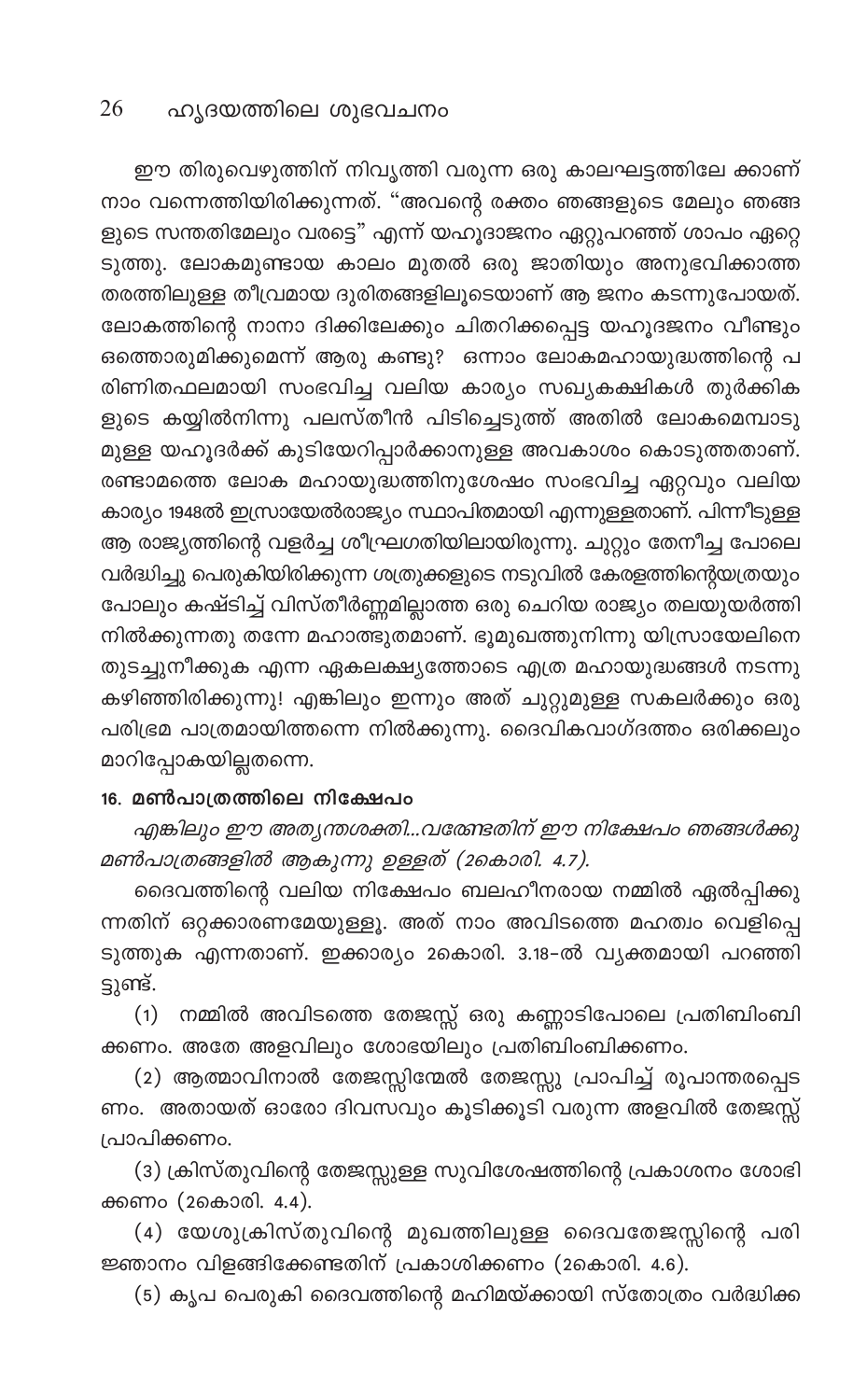ഈ തിരുവെഴുത്തിന് നിവൃത്തി വരുന്ന ഒരു കാലഘട്ടത്തിലേ ക്കാണ് നാം വന്നെത്തിയിരിക്കുന്നത്. "അവന്റെ രക്തം ഞങ്ങളുടെ മേലും ഞങ്ങ ളുടെ സന്തതിമേലും വരട്ടെ" എന്ന് യഹൂദാജനം ഏറ്റുപറഞ്ഞ് ശാപം ഏറ്റെ ടുത്തു. ലോകമുണ്ടായ കാലം മുതൽ ഒരു ജാതിയും അനുഭവിക്കാത്ത തരത്തിലുള്ള തീവ്രമായ ദുരിതങ്ങളിലൂടെയാണ് ആ ജനം കടന്നുപോയത്. ലോകത്തിന്റെ നാനാ ദിക്കിലേക്കും ചിതറിക്കപ്പെട്ട യഹൂദജനം വീണ്ടും ഒത്തൊരുമിക്കുമെന്ന് ആരു കണ്ടു? ഒന്നാം ലോകമഹായുദ്ധത്തിന്റെ പ രിണിതഫലമായി സംഭവിച്ച വലിയ കാര്യം സഖ്യകക്ഷികൾ തുർക്കിക ളുടെ കയ്യിൽനിന്നു പലസ്തീൻ പിടിച്ചെടുത്ത് അതിൽ ലോകമെമ്പാടു മുള്ള യഹൂദർക്ക് കുടിയേറിപ്പാർക്കാനുള്ള അവകാശം കൊടുത്തതാണ്. രണ്ടാമത്തെ ലോക മഹായുദ്ധത്തിനുശേഷം സംഭവിച്ച ഏറ്റവും വലിയ കാര്യം 1948ൽ ഇസ്രായേൽരാജ്യം സ്ഥാപിതമായി എന്നുള്ളതാണ്. പിന്നീടുള്ള ആ രാജ്യത്തിന്റെ വളർച്ച ശീഘ്രഗതിയിലായിരുന്നു. ചുറ്റും തേനീച്ച പോലെ വർദ്ധിച്ചു പെരുകിയിരിക്കുന്ന ശത്രുക്കളുടെ നടുവിൽ കേരളത്തിന്റെയത്രയും പോലും കഷ്ടിച്ച് വിസ്തീർണ്ണമില്ലാത്ത ഒരു ചെറിയ രാജ്യം തലയുയർത്തി നിൽക്കുന്നതു തന്നേ മഹാത്ഭുതമാണ്. ഭൂമുഖത്തുനിന്നു യിസ്രായേലിനെ തുടച്ചുനീക്കുക എന്ന ഏകലക്ഷ്യത്തോടെ എത്ര മഹായുദ്ധങ്ങൾ നടന്നു കഴിഞ്ഞിരിക്കുന്നു! എങ്കിലും ഇന്നും അത് ചുറ്റുമുള്ള സകലർക്കും ഒരു പരിഭ്രമ പാത്രമായിത്തന്നെ നിൽക്കുന്നു. ദൈവികവാഗ്ദത്തം ഒരിക്കലും മാറിപ്പോകയില്ലതന്നെ.

## 16. മൺപാത്രത്തിലെ നിക്ഷേപം

എങ്കിലും ഈ അത്യന്തശക്തി...വങ്ങേതിന് ഈ നിക്ഷേപം ഞങ്ങൾക്കു മൺപാത്രങ്ങളിൽ ആകുന്നു ഉള്ളത് (2കൊരി. 4.7).

ദൈവത്തിന്റെ വലിയ നിക്ഷേപം ബലഹീനരായ നമ്മിൽ ഏൽപ്പിക്കു ന്നതിന് ഒറ്റക്കാരണമേയുള്ളൂ. അത് നാം അവിടത്തെ മഹത്വം വെളിപ്പെ ടുത്തുക എന്നതാണ്. ഇക്കാര്യം 2കൊരി. 3.18-ൽ വൃക്തമായി പറഞ്ഞി ട്ടുണ്ട്.

(1) നമ്മിൽ അവിടത്തെ തേജസ്സ് ഒരു കണ്ണാടിപോലെ പ്രതിബിംബി ക്കണം. അതേ അളവിലും ശോഭയിലും പ്രതിബിംബിക്കണം.

(2) ആത്മാവിനാൽ തേജസ്സിന്മേൽ തേജസ്സു പ്രാപിച്ച് രൂപാന്തരപ്പെട ണം. അതായത് ഓരോ ദിവസവും കൂടിക്കൂടി വരുന്ന അളവിൽ തേജസ്സ് പ്രാപിക്കണം.

(3) ക്രിസ്തുവിന്റെ തേജസ്സുള്ള സുവിശേഷത്തിന്റെ പ്രകാശനം ശോഭി ക്കണം (2കൊരി. 4.4).

(4) യേശുക്രിസ്തുവിന്റെ മുഖത്തിലുള്ള ദൈവതേജസ്സിന്റെ പരി ജ്ഞാനം വിളങ്ങിക്കേണ്ടതിന് പ്രകാശിക്കണം (2കൊരി. 4.6).

(5) കൃപ പെരുകി ദൈവത്തിന്റെ മഹിമയ്ക്കായി സ്തോത്രം വർദ്ധിക്ക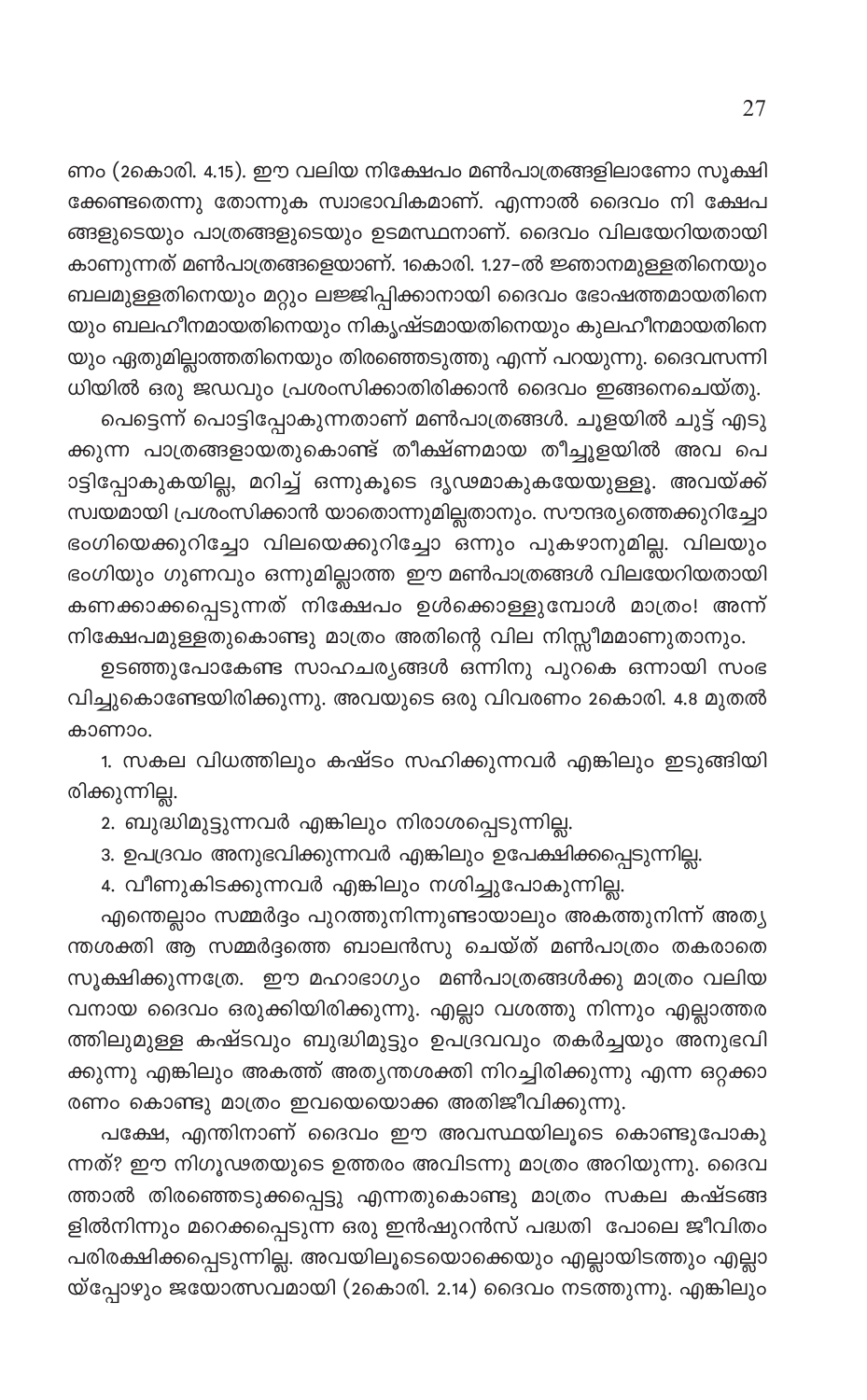ണം (2കൊരി. 4.15). ഈ വലിയ നിക്ഷേപം മൺപാത്രങ്ങളിലാണോ സൂക്ഷി ക്കേണ്ടതെന്നു തോന്നുക സ്വാഭാവികമാണ്. എന്നാൽ ദൈവം നി ക്ഷേപ ങ്ങളുടെയും പാത്രങ്ങളുടെയും ഉടമസ്ഥനാണ്. ദൈവം വിലയേറിയതായി കാണുന്നത് മൺപാത്രങ്ങളെയാണ്. 1കൊരി. 1.27-ൽ ജ്ഞാനമുള്ളതിനെയും ബലമുള്ളതിനെയും മറ്റും ലജ്ജിപ്പിക്കാനായി ദൈവം ഭോഷത്തമായതിനെ യും ബലഹീനമായതിനെയും നികൃഷ്ടമായതിനെയും കുലഹീനമായതിനെ യും ഏതുമില്ലാത്തതിനെയും തിരഞ്ഞെടുത്തു എന്ന് പറയുന്നു. ദൈവസന്നി ധിയിൽ ഒരു ജഡവും പ്രശംസിക്കാതിരിക്കാൻ ദൈവം ഇങ്ങനെചെയ്തു.

പെട്ടെന്ന് പൊട്ടിപ്പോകുന്നതാണ് മൺപാത്രങ്ങൾ. ചൂളയിൽ ചുട്ട് എടു ക്കുന്ന പാത്രങ്ങളായതുകൊണ്ട് തീക്ഷ്ണമായ തീച്ചൂളയിൽ അവ പെ ാട്ടിപ്പോകുകയില്ല, മറിച്ച് ഒന്നുകൂടെ ദൃഢമാകുകയേയുള്ളൂ. അവയ്ക്ക് സ്വയമായി പ്രശംസിക്കാൻ യാതൊന്നുമില്ലതാനും. സൗന്ദര്യത്തെക്കുറിച്ചോ ഭംഗിയെക്കുറിച്ചോ വിലയെക്കുറിച്ചോ ഒന്നും പുകഴാനുമില്ല. വിലയും ഭംഗിയും ഗുണവും ഒന്നുമില്ലാത്ത ഈ മൺപാത്രങ്ങൾ വിലയേറിയതായി കണക്കാക്കപ്പെടുന്നത് നിക്ഷേപം ഉൾക്കൊള്ളുമ്പോൾ മാത്രം! അന്ന് നിക്ഷേപമുള്ളതുകൊണ്ടു മാത്രം അതിന്റെ വില നിസ്സീമമാണുതാനും.

ഉടഞ്ഞുപോകേണ്ട സാഹചര്യങ്ങൾ ഒന്നിനു പുറകെ ഒന്നായി സംഭ വിച്ചുകൊണ്ടേയിരിക്കുന്നു. അവയുടെ ഒരു വിവരണം 2കൊരി. 4.8 മുതൽ കാണാം.

1. സകല വിധത്തിലും കഷ്ടം സഹിക്കുന്നവർ എങ്കിലും ഇടുങ്ങിയി രിക്കുന്നില്ല.

2. ബുദ്ധിമുട്ടുന്നവർ എങ്കിലും നിരാശപ്പെടുന്നില്ല.

3. ഉപദ്രവം അനുഭവിക്കുന്നവർ എങ്കിലും ഉപേക്ഷിക്കപ്പെടുന്നില്ല.

4. വീണുകിടക്കുന്നവർ എങ്കിലും നശിച്ചുപോകുന്നില്ല.

എന്തെല്ലാം സമ്മർദ്ദം പുറത്തുനിന്നുണ്ടായാലും അകത്തുനിന്ന് അത്യ ന്തശക്തി ആ സമ്മർദ്ദത്തെ ബാലൻസു ചെയ്ത് മൺപാത്രം തകരാതെ സൂക്ഷിക്കുന്നത്രേ. ഈ മഹാഭാഗ്യം മൺപാത്രങ്ങൾക്കു മാത്രം വലിയ വനായ ദൈവം ഒരുക്കിയിരിക്കുന്നു. എല്ലാ വശത്തു നിന്നും എല്ലാത്തര ത്തിലുമുള്ള കഷ്ടവും ബുദ്ധിമുട്ടും ഉപദ്രവവും തകർച്ചയും അനുഭവി ക്കുന്നു എങ്കിലും അകത്ത് അത്യന്തശക്തി നിറച്ചിരിക്കുന്നു എന്ന ഒറ്റക്കാ രണം കൊണ്ടു മാത്രം ഇവയെയൊക്ക അതിജീവിക്കുന്നു.

പക്ഷേ, എന്തിനാണ് ദൈവം ഈ അവസ്ഥയിലൂടെ കൊണ്ടുപോകു ന്നത്? ഈ നിഗൂഢതയുടെ ഉത്തരം അവിടന്നു മാത്രം അറിയുന്നു. ദൈവ ത്താൽ തിരഞ്ഞെടുക്കപ്പെട്ടു എന്നതുകൊണ്ടു മാത്രം സകല കഷ്ടങ്ങ ളിൽനിന്നും മറെക്കപ്പെടുന്ന ഒരു ഇൻഷുറൻസ് പദ്ധതി പോലെ ജീവിതം പരിരക്ഷിക്കപ്പെടുന്നില്ല. അവയിലൂടെയൊക്കെയും എല്ലായിടത്തും എല്ലാ യ്പ്പോഴും ജയോത്സവമായി (2കൊരി. 2.14) ദൈവം നടത്തുന്നു. എങ്കിലും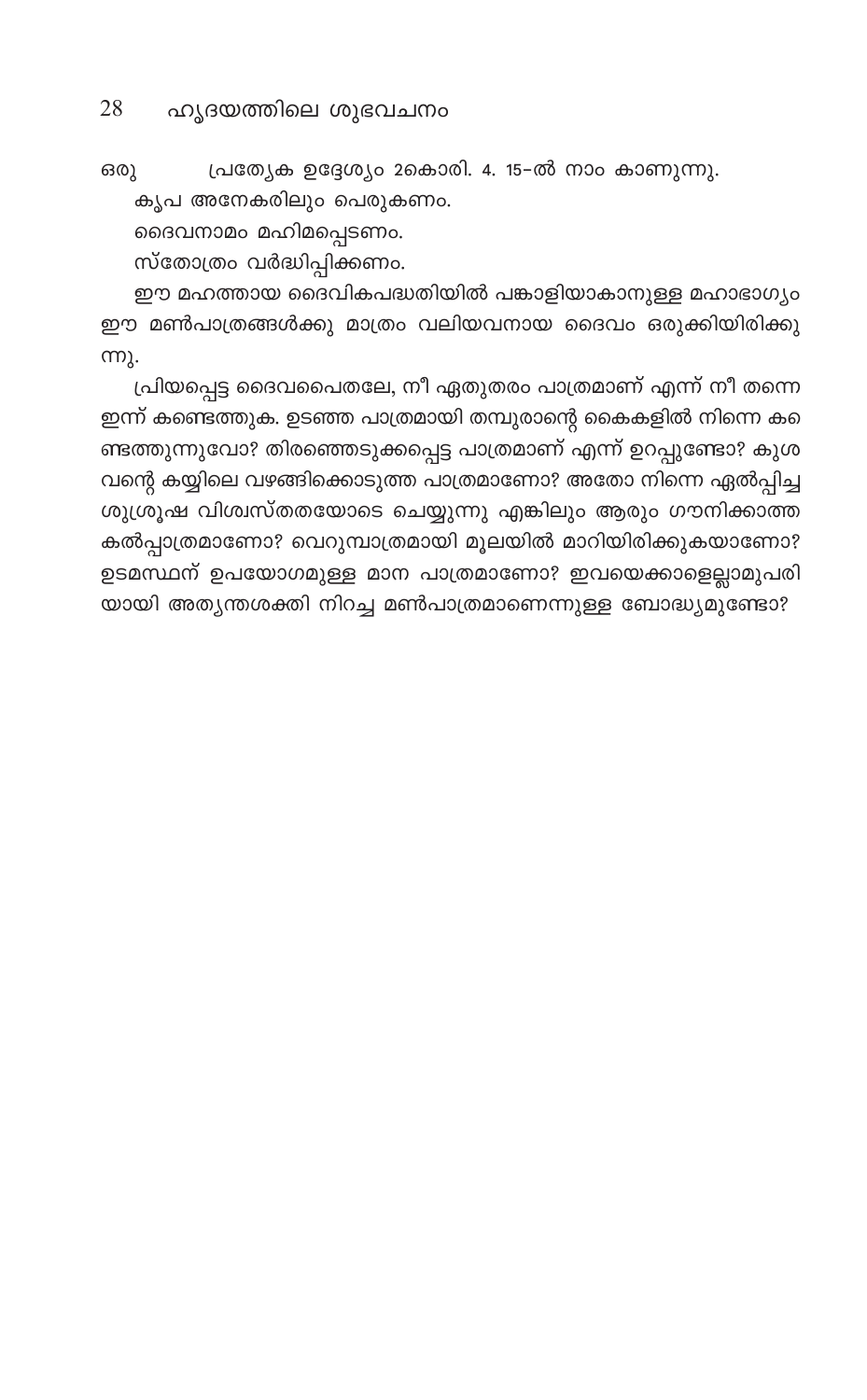#### 28 ഹ്യദയത്തിലെ ശുഭവചനം

പ്രത്യേക ഉദ്ദേശ്യം 2കൊരി. 4. 15-ൽ നാം കാണുന്നു. ഒരു

ക്യപ അനേകരിലും പെരുകണ<mark>ം</mark>.

ദൈവനാമം മഹിമപ്പെടണം.

സ്തോത്രം വർദ്ധിപ്പിക്കണം.

.<br>ഈ മഹത്തായ ദൈവികപദ്ധതിയിൽ പങ്കാളിയാകാനുള്ള മഹാഭാഗ്യം ഈ മൺപാത്രങ്ങൾക്കു മാത്രം വലിയവനായ ദൈവം ഒരുക്കിയിരിക്കു **ന്നു.** 

പ്രിയപ്പെട്ട ദൈവപൈതലേ, നീ ഏതുതരം പാത്രമാണ് എന്ന് നീ തന്നെ ഇന്ന് കണ്ടെത്തുക. ഉടഞ്ഞ പാത്രമായി തമ്പുരാന്റെ കൈകളിൽ നിന്നെ ക ണ്ടത്തുന്നുവോ? തിരഞ്ഞെടുക്കപ്പെട്ട പാത്രമാണ് എന്ന് ഉറപ്പുണ്ടോ? കുശ വന്റെ കയ്യിലെ വഴങ്ങിക്കൊടുത്ത പാത്രമാണോ? അതോ നിന്നെ ഏൽപ്പിച്ച ശുശ്രൂഷ വിശ്വസ്തതയോടെ ചെയ്യുന്നു എങ്കിലും ആരും ഗൗനിക്കാത്ത കൽപ്പാത്രമാണോ? വെറുമ്പാത്രമായി മൂലയിൽ മാറിയിരിക്കുകയാണോ? ഉടമസ്ഥന് ഉപയോഗമുള്ള മാന പാത്രമാണോ? ഇവയെക്കാളെല്ലാമുപരി യായി അത്യന്തശക്തി നിറച്ച മൺപാത്രമാണെന്നുള്ള ബോദ്ധ്യമുണ്ടോ?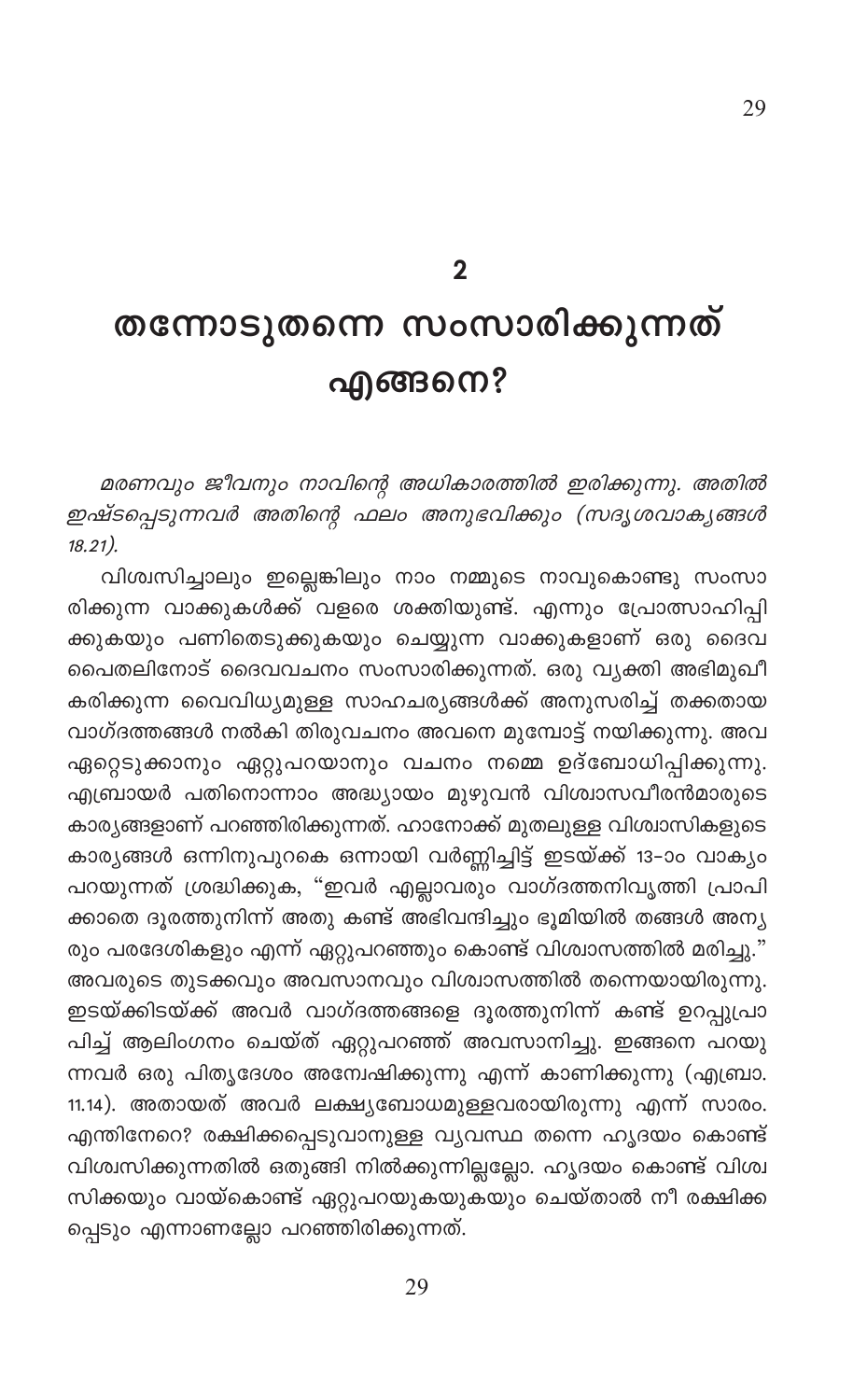## $\overline{\mathbf{2}}$

## തന്നോടുതന്നെ സംസാരിക്കുന്നത് എങ്ങനെ?

മരണവും ജീവനും നാവിന്റെ അധികാരത്തിൽ ഇരിക്കുന്നു. അതിൽ ഇഷ്ടപ്പെടുന്നവർ അതിന്റെ ഫലം അനുഭവിക്കും (സദൃശവാകൃങ്ങൾ  $18.21$ ).

വിശ്വസിച്ചാലും ഇല്ലെങ്കിലും നാം നമ്മുടെ നാവുകൊണ്ടു സംസാ രിക്കുന്ന വാക്കുകൾക്ക് വളരെ ശക്തിയുണ്ട്. എന്നും പ്രോത്സാഹിപ്പി ക്കുകയും പണിതെടുക്കുകയും ചെയ്യുന്ന വാക്കുകളാണ് ഒരു ദൈവ പൈതലിനോട് ദൈവവചനം സംസാരിക്കുന്നത്. ഒരു വ്യക്തി അഭിമുഖീ കരിക്കുന്ന വൈവിധ്യമുള്ള സാഹചര്യങ്ങൾക്ക് അനുസരിച്ച് തക്കതായ വാഗ്ദത്തങ്ങൾ നൽകി തിരുവചനം അവനെ മുമ്പോട്ട് നയിക്കുന്നു. അവ ഏറ്റെടുക്കാനും ഏറ്റുപറയാനും വചനം നമ്മെ ഉദ്ബോധിപ്പിക്കുന്നു. എബ്രായർ പതിനൊന്നാം അദ്ധ്യായം മുഴുവൻ വിശ്വാസവീരൻമാരുടെ കാര്യങ്ങളാണ് പറഞ്ഞിരിക്കുന്നത്. ഹാനോക്ക് മുതലുള്ള വിശ്വാസികളുടെ കാര്യങ്ങൾ ഒന്നിനുപുറകെ ഒന്നായി വർണ്ണിച്ചിട്ട് ഇടയ്ക്ക് 13–ാം വാക്യം പറയുന്നത് ശ്രദ്ധിക്കുക, "ഇവർ എല്ലാവരും വാഗ്ദത്തനിവൃത്തി പ്രാപി ക്കാതെ ദൂരത്തുനിന്ന് അതു കണ്ട് അഭിവന്ദിച്ചും ഭൂമിയിൽ തങ്ങൾ അന്യ രും പരദേശികളും എന്ന് ഏറ്റുപറഞ്ഞും കൊണ്ട് വിശ്വാസത്തിൽ മരിച്ചു." അവരുടെ തുടക്കവും അവസാനവും വിശ്വാസത്തിൽ തന്നെയായിരുന്നു. ഇടയ്ക്കിടയ്ക്ക് അവർ വാഗ്ദത്തങ്ങളെ ദൂരത്തുനിന്ന് കണ്ട് ഉറപ്പുപ്രാ പിച്ച് ആലിംഗനം ചെയ്ത് ഏറ്റുപറഞ്ഞ് അവസാനിച്ചു. ഇങ്ങനെ പറയു ന്നവർ ഒരു പിതൃദേശം അന്വേഷിക്കുന്നു എന്ന് കാണിക്കുന്നു (എബ്രാ. 11.14). അതായത് അവർ ലക്ഷ്യബോധമുള്ളവരായിരുന്നു എന്ന് സാരം. എന്തിനേറെ? രക്ഷിക്കപ്പെടുവാനുള്ള വ്യവസ്ഥ തന്നെ ഹൃദയം കൊണ്ട് വിശ്വസിക്കുന്നതിൽ ഒതുങ്ങി നിൽക്കുന്നില്ലല്ലോ. ഹൃദയം കൊണ്ട് വിശ്വ സിക്കയും വായ്കൊണ്ട് ഏറ്റുപറയുകയുകയും ചെയ്താൽ നീ രക്ഷിക്ക പ്പെടും എന്നാണല്ലോ പറഞ്ഞിരിക്കുന്നത്.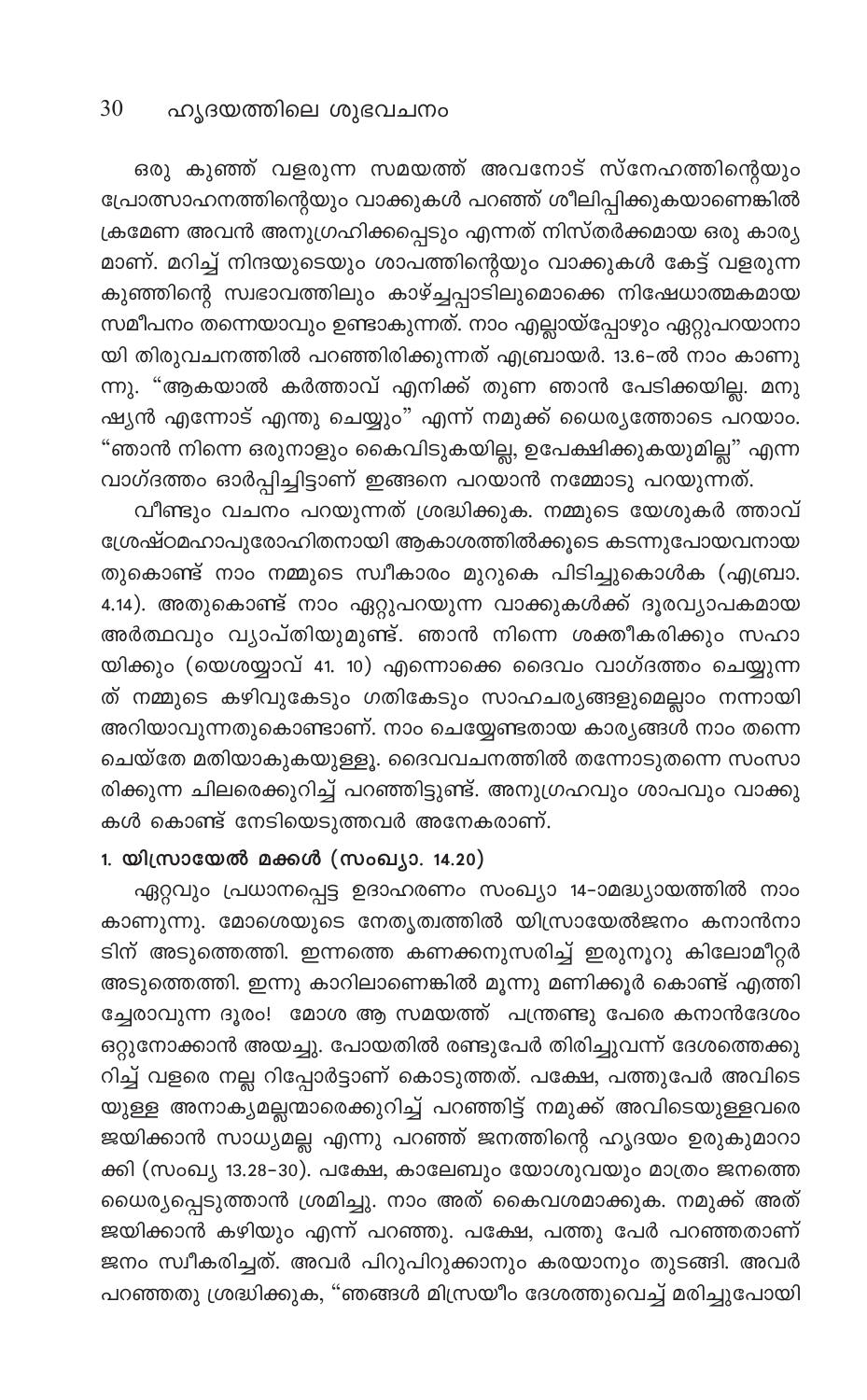ഒരു കുഞ്ഞ് വളരുന്ന സമയത്ത് അവനോട് സ്നേഹത്തിന്റെയും .<br>പ്രോത്സാഹനത്തിന്റെയും വാക്കുകൾ പറഞ്ഞ് ശീലിപ്പിക്കുകയാണെങ്കിൽ ക്രമേണ അവൻ അനുഗ്രഹിക്കപ്പെടും എന്നത് നിസ്തർക്കമായ ഒരു കാര്യ മാണ്. മറിച്ച് നിന്ദയുടെയും ശാപത്തിന്റെയും വാക്കുകൾ കേട്ട് വളരുന്ന കുഞ്ഞിന്റെ സ്വഭാവത്തിലും കാഴ്ച്ചപ്പാടിലുമൊക്കെ നിഷേധാത്മകമായ സമീപനം തന്നെയാവും ഉണ്ടാകുന്നത്. നാം എല്ലായ്പ്പോഴും ഏറ്റുപറയാനാ യി തിരുവചനത്തിൽ പറഞ്ഞിരിക്കുന്നത് എബ്രായർ. 13.6–ൽ നാം കാണു ന്നു. "ആകയാൽ കർത്താവ് എനിക്ക് തുണ ഞാൻ പേടിക്കയില്ല. മനു ഷ്യൻ എന്നോട് എന്തു ചെയ്യും" എന്ന് നമുക്ക് ധൈര്യത്തോടെ പറയാം. "ഞാൻ നിന്നെ ഒരുനാളും കൈവിടുകയില്ല, ഉപേക്ഷിക്കുകയുമില്ല" എന്ന വാഗ്ദത്തം ഓർപ്പിച്ചിട്ടാണ് ഇങ്ങനെ പറയാൻ നമ്മോടു പറയുന്നത്.

വീണ്ടും വചനം പറയുന്നത് ശ്രദ്ധിക്കുക. നമ്മുടെ യേശുകർ ത്താവ് ശ്രേഷ്ഠമഹാപുരോഹിതനായി ആകാശത്തിൽക്കൂടെ കടന്നുപോയവനായ തുകൊണ്ട് നാം നമ്മുടെ സ്വീകാരം മുറുകെ പിടിച്ചുകൊൾക (എബ്രാ. 4.14). അതുകൊണ്ട് നാം ഏറ്റുപറയുന്ന വാക്കുകൾക്ക് ദൂരവ്യാപകമായ അർത്ഥവും വ്യാപ്തിയുമുണ്ട്. ഞാൻ നിന്നെ ശക്തീകരിക്കും സഹാ യിക്കും (യെശയ്യാവ് 41. 10) എന്നൊക്കെ ദൈവം വാഗ്ദത്തം ചെയ്യുന്ന ത് നമ്മുടെ കഴിവുകേടും ഗതികേടും സാഹചര്യങ്ങളുമെല്ലാം നന്നായി അറിയാവുന്നതുകൊണ്ടാണ്. നാം ചെയ്യേണ്ടതായ കാര്യങ്ങൾ നാം തന്നെ ചെയ്തേ മതിയാകുകയുള്ളൂ. ദൈവവചനത്തിൽ തന്നോടുതന്നെ സംസാ രിക്കുന്ന ചിലരെക്കുറിച്ച് പറഞ്ഞിട്ടുണ്ട്. അനുഗ്രഹവും ശാപവും വാക്കു കൾ കൊണ്ട് നേടിയെടുത്തവർ അനേകരാണ്.

## 1. യിസ്രായേൽ മക്കൾ (സംഖ്യാ. 14.20)

ഏറ്റവും പ്രധാനപ്പെട്ട ഉദാഹരണം സംഖ്യാ 14–ാമദ്ധ്യായത്തിൽ നാം കാണുന്നു. മോശെയുടെ നേതൃത്വത്തിൽ യിസ്രായേൽജനം കനാൻനാ ടിന് അടുത്തെത്തി. ഇന്നത്തെ കണക്കനുസരിച്ച് ഇരുനൂറു കിലോമീറ്റർ അടുത്തെത്തി. ഇന്നു കാറിലാണെങ്കിൽ മൂന്നു മണിക്കൂർ കൊണ്ട് എത്തി ച്ചേരാവുന്ന ദൂരം! മോശ ആ സമയത്ത് പന്ത്രണ്ടു പേരെ കനാൻദേശം ഒറ്റുനോക്കാൻ അയച്ചു. പോയതിൽ രണ്ടുപേർ തിരിച്ചുവന്ന് ദേശത്തെക്കു റിച്ച് വളരെ നല്ല റിപ്പോർട്ടാണ് കൊടുത്തത്. പക്ഷേ, പത്തുപേർ അവിടെ യുള്ള അനാകൃമല്ലന്മാരെക്കുറിച്ച് പറഞ്ഞിട്ട് നമുക്ക് അവിടെയുള്ളവരെ ജയിക്കാൻ സാധ്യമല്ല എന്നു പറഞ്ഞ് ജനത്തിന്റെ ഹൃദയം ഉരുകുമാറാ ക്കി (സംഖ്യ 13.28-30). പക്ഷേ, കാലേബും യോശുവയും മാത്രം ജനത്തെ ധൈര്യപ്പെടുത്താൻ ശ്രമിച്ചു. നാം അത് കൈവശമാക്കുക. നമുക്ക് അത് ജയിക്കാൻ കഴിയും എന്ന് പറഞ്ഞു. പക്ഷേ, പത്തു പേർ പറഞ്ഞതാണ് ജനം സ്വീകരിച്ചത്. അവർ പിറുപിറുക്കാനും കരയാനും തുടങ്ങി. അവർ പറഞ്ഞതു ശ്രദ്ധിക്കുക, "ഞങ്ങൾ മിസ്രയീം ദേശത്തുവെച്ച് മരിച്ചുപോയി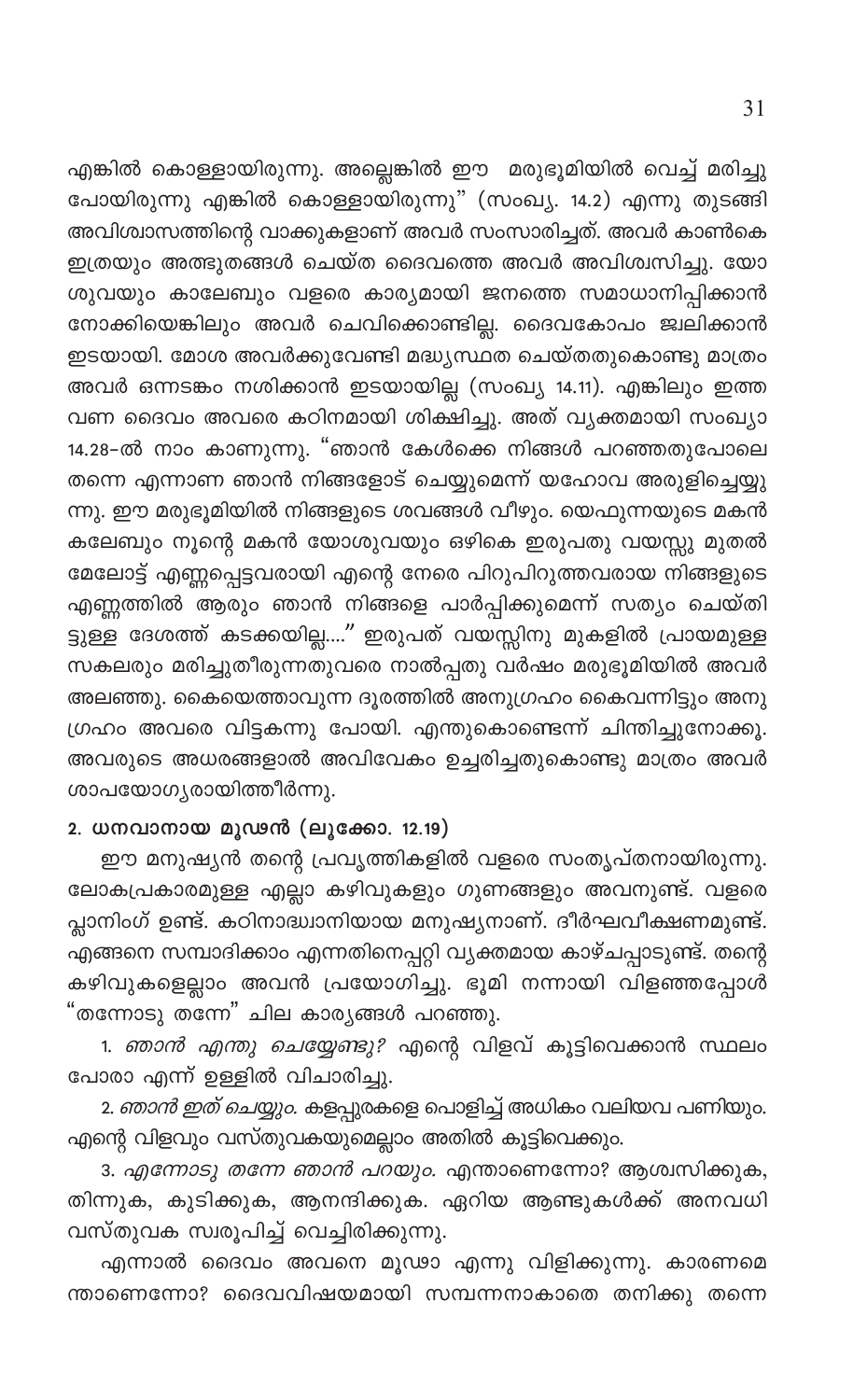എങ്കിൽ കൊള്ളായിരുന്നു. അല്ലെങ്കിൽ ഈ മരുഭൂമിയിൽ വെച്ച് മരിച്ചു പോയിരുന്നു എങ്കിൽ കൊള്ളായിരുന്നു" (സംഖ്യ. 14.2) എന്നു തുടങ്ങി അവിശ്വാസത്തിന്റെ വാക്കുകളാണ് അവർ സംസാരിച്ചത്. അവർ കാൺകെ ഇത്രയും അത്ഭുതങ്ങൾ ചെയ്ത ദൈവത്തെ അവർ അവിശ്വസിച്ചു. യോ ശുവയും കാലേബും വളരെ കാര്യമായി ജനത്തെ സമാധാനിപ്പിക്കാൻ നോക്കിയെങ്കിലും അവർ ചെവിക്കൊണ്ടില്ല. ദൈവകോപം ജ്വലിക്കാൻ ഇടയായി. മോശ അവർക്കുവേണ്ടി മദ്ധ്യസ്ഥത ചെയ്തതുകൊണ്ടു മാത്രം അവർ ഒന്നടങ്കം നശിക്കാൻ ഇടയായില്ല (സംഖ്യ 14.11). എങ്കിലും ഇത്ത വണ ദൈവം അവരെ കഠിനമായി ശിക്ഷിച്ചു. അത് വ്യക്തമായി സംഖ്യാ 14.28-ൽ നാം കാണുന്നു. "ഞാൻ കേൾക്കെ നിങ്ങൾ പറഞ്ഞതുപോലെ തന്നെ എന്നാണ ഞാൻ നിങ്ങളോട് ചെയ്യുമെന്ന് യഹോവ അരുളിച്ചെയ്യു ന്നു. ഈ മരുഭൂമിയിൽ നിങ്ങളുടെ ശവങ്ങൾ വീഴും. യെഫുന്നയുടെ മകൻ കലേബും നൂന്റെ മകൻ യോശുവയും ഒഴികെ ഇരുപതു വയസ്സു മുതൽ മേലോട്ട് എണ്ണപ്പെട്ടവരായി എന്റെ നേരെ പിറുപിറുത്തവരായ നിങ്ങളുടെ എണ്ണത്തിൽ ആരും ഞാൻ നിങ്ങളെ പാർപ്പിക്കുമെന്ന് സത്യം ചെയ്തി ട്ടുള്ള ദേശത്ത് കടക്കയില്ല...." ഇരുപത് വയസ്സിനു മുകളിൽ പ്രായമുള്ള സകലരും മരിച്ചുതീരുന്നതുവരെ നാൽപ്പതു വർഷം മരുഭൂമിയിൽ അവർ അലഞ്ഞു. കൈയെത്താവുന്ന ദൂരത്തിൽ അനുഗ്രഹം കൈവന്നിട്ടും അനു ഗ്രഹം അവരെ വിട്ടകന്നു പോയി. എന്തുകൊണ്ടെന്ന് ചിന്തിച്ചുനോക്കൂ. അവരുടെ അധരങ്ങളാൽ അവിവേകം ഉച്ചരിച്ചതുകൊണ്ടു മാത്രം അവർ ശാപയോഗ്യരായിത്തീർന്നു.

### 2. ധനവാനായ മൂഢൻ (ലൂക്കോ. 12.19)

ഈ മനുഷ്യൻ തന്റെ പ്രവൃത്തികളിൽ വളരെ സംതൃപ്തനായിരുന്നു. ലോകപ്രകാരമുള്ള എല്ലാ കഴിവുകളും ഗുണങ്ങളും അവനുണ്ട്. വളരെ പ്ലാനിംഗ് ഉണ്ട്. കഠിനാദ്ധ്വാനിയായ മനുഷ്യനാണ്. ദീർഘവീക്ഷണമുണ്ട്. എങ്ങനെ സമ്പാദിക്കാം എന്നതിനെപ്പറ്റി വ്യക്തമായ കാഴ്ചപ്പാടുണ്ട്. തന്റെ കഴിവുകളെല്ലാം അവൻ പ്രയോഗിച്ചു. ഭൂമി നന്നായി വിളഞ്ഞപ്പോൾ "തന്നോടു തന്നേ" ചില കാര്യങ്ങൾ പറഞ്ഞു.

1. *ഞാൻ എന്തു ചെയ്യേണ്ടു?* എന്റെ വിളവ് കൂട്ടിവെക്കാൻ സ്ഥലം പോരാ എന്ന് ഉള്ളിൽ വിചാരിച്ചു.

2. *ഞാൻ ഇത് ചെയ്യും*. കളപ്പുരകളെ പൊളിച്ച് അധികം വലിയവ പണിയും. എന്റെ വിളവും വസ്തുവകയുമെല്ലാം അതിൽ കൂട്ടിവെക്കും.

3. *എന്നോടു തന്നേ ഞാൻ പറയും.* എന്താണെന്നോ? ആശ്വസിക്കുക, തിന്നുക, കുടിക്കുക, ആനന്ദിക്കുക. ഏറിയ ആണ്ടുകൾക്ക് അനവധി വസ്തുവക സ്വരൂപിച്ച് വെച്ചിരിക്കുന്നു.

എന്നാൽ ദൈവം അവനെ മൂഢാ എന്നു വിളിക്കുന്നു. കാരണമെ ന്താണെന്നോ? ദൈവവിഷയമായി സമ്പന്നനാകാതെ തനിക്കൂ തന്നെ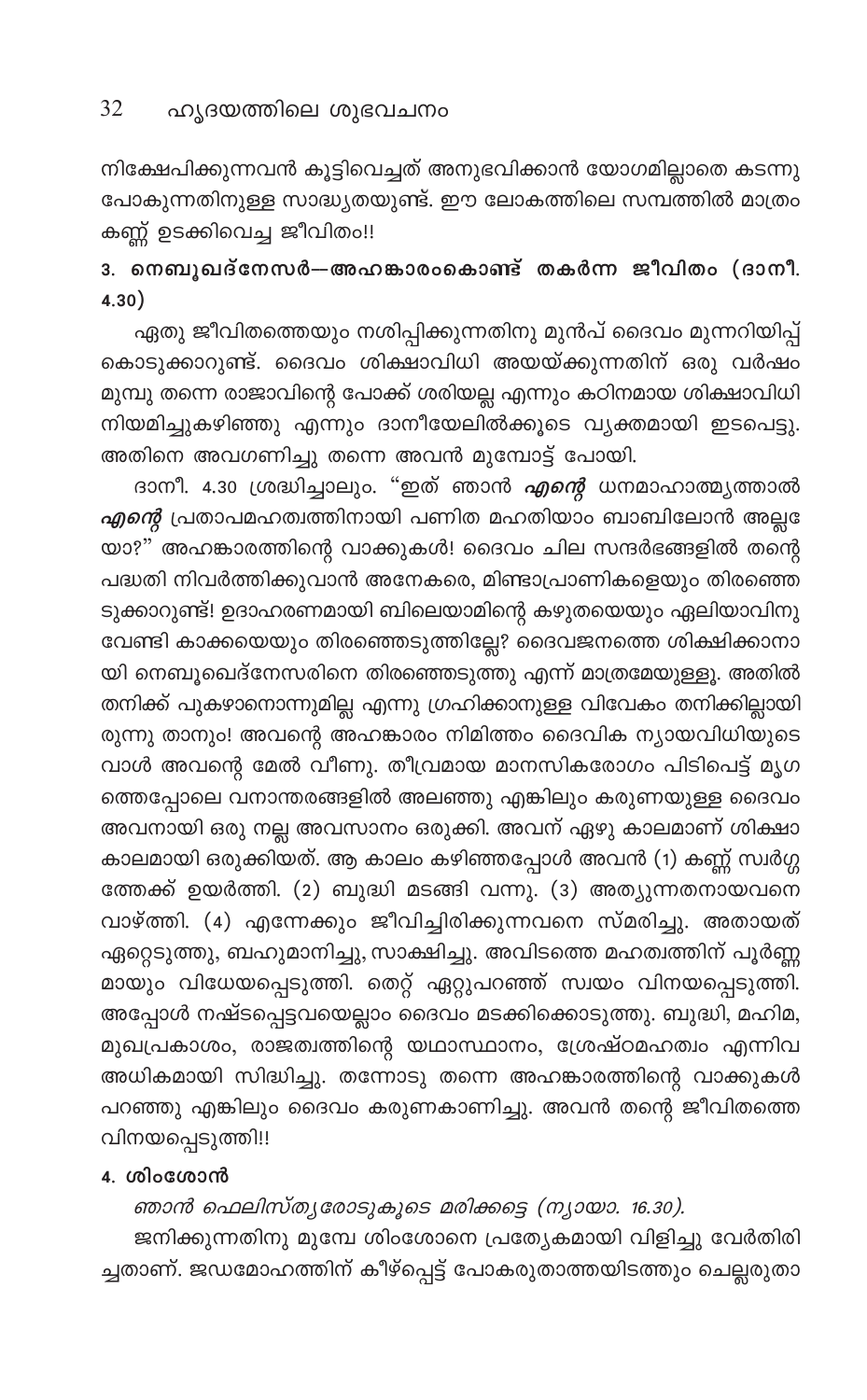നിക്ഷേപിക്കുന്നവൻ കൂട്ടിവെച്ചത് അനുഭവിക്കാൻ യോഗമില്ലാതെ കടന്നു പോകുന്നതിനുള്ള സാദ്ധ്യതയുണ്ട്. ഈ ലോകത്തിലെ സമ്പത്തിൽ മാത്രം കണ്ണ് ഉടക്കിവെച്ച ജീവിതം!!

## 3. നെബുഖദ്നേസർ–അഹങ്കാരംകൊണ്ട് തകർന്ന ജീവിതം (ദാനീ.  $4.30)$

ഏതു ജീവിതത്തെയും നശിപ്പിക്കുന്നതിനു മുൻപ് ദൈവം മുന്നറിയിപ്പ് കൊടുക്കാറുണ്ട്. ദൈവം ശിക്ഷാവിധി അയയ്ക്കുന്നതിന് ഒരു വർഷം മുമ്പു തന്നെ രാജാവിന്റെ പോക്ക് ശരിയല്ല എന്നും കഠിനമായ ശിക്ഷാവിധി നിയമിച്ചുകഴിഞ്ഞു എന്നും ദാനീയേലിൽക്കൂടെ വ്യക്തമായി ഇടപെട്ടു. അതിനെ അവഗണിച്ചു തന്നെ അവൻ മുമ്പോട്ട് പോയി.

ദാനീ. 4.30 ശ്രദ്ധിച്ചാലും. "ഇത് ഞാൻ *എന്റെ* ധനമാഹാത്മ്യത്താൽ *എന്റെ* പ്രതാപമഹത്വത്തിനായി പണിത മഹതിയാം ബാബിലോൻ അല്ല**േ** യാ?" അഹങ്കാരത്തിന്റെ വാക്കുകൾ! ദൈവം ചില സന്ദർഭങ്ങളിൽ തന്റെ പദ്ധതി നിവർത്തിക്കുവാൻ അനേകരെ, മിണ്ടാപ്രാണികളെയും തിരഞ്ഞെ ടുക്കാറുണ്ട്! ഉദാഹരണമായി ബിലെയാമിന്റെ കഴുതയെയും ഏലിയാവിനു വേണ്ടി കാക്കയെയും തിരഞ്ഞെടുത്തില്ലേ? ദൈവജനത്തെ ശിക്ഷിക്കാനാ യി നെബൂഖെദ്നേസരിനെ തിരഞ്ഞെടുത്തു എന്ന് മാത്രമേയുള്ളൂ. അതിൽ തനിക്ക് പുകഴാനൊന്നുമില്ല എന്നു ഗ്രഹിക്കാനുള്ള വിവേകം തനിക്കില്ലായി രുന്നു താനും! അവന്റെ അഹങ്കാരം നിമിത്തം ദൈവിക ന്യായവിധിയുടെ വാൾ അവന്റെ മേൽ വീണു. തീവ്രമായ മാനസികരോഗം പിടിപെട്ട് മൃഗ ത്തെപ്പോലെ വനാന്തരങ്ങളിൽ അലഞ്ഞു എങ്കിലും കരുണയുള്ള ദൈവം അവനായി ഒരു നല്ല അവസാനം ഒരുക്കി. അവന് ഏഴു കാലമാണ് ശിക്ഷാ കാലമായി ഒരുക്കിയത്. ആ കാലം കഴിഞ്ഞപ്പോൾ അവൻ (1) കണ്ണ് സ്വർഗ്ഗ ത്തേക്ക് ഉയർത്തി. (2) ബുദ്ധി മടങ്ങി വന്നു. (3) അത്യുന്നതനായവനെ വാഴ്ത്തി. (4) എന്നേക്കും ജീവിച്ചിരിക്കുന്നവനെ സ്മരിച്ചു. അതായത് ഏറ്റെടുത്തു, ബഹുമാനിച്ചു, സാക്ഷിച്ചു. അവിടത്തെ മഹത്വത്തിന് പൂർണ്ണ മായും വിധേയപ്പെടുത്തി. തെറ്റ് ഏറ്റുപറഞ്ഞ് സ്വയം വിനയപ്പെടുത്തി. അപ്പോൾ നഷ്ടപ്പെട്ടവയെല്ലാം ദൈവം മടക്കിക്കൊടുത്തു. ബുദ്ധി, മഹിമ, മുഖപ്രകാശം, രാജത്വത്തിന്റെ യഥാസ്ഥാനം, ശ്രേഷ്ഠമഹത്വം എന്നിവ അധികമായി സിദ്ധിച്ചു. തന്നോടു തന്നെ അഹങ്കാരത്തിന്റെ വാക്കുകൾ പറഞ്ഞു എങ്കിലും ദൈവം കരുണകാണിച്ചു. അവൻ തന്റെ ജീവിതത്തെ വിനയപ്പെടുത്തി!!

## 4. ശിംശോൻ

## ഞാൻ ഫെലിസ്തൃരോടുകൂടെ മരിക്കട്ടെ (ന്യായാ. 16.30).

ജനിക്കുന്നതിനു മുമ്പേ ശിംശോനെ പ്രത്യേകമായി വിളിച്ചു വേർതിരി ച്ചതാണ്. ജഡമോഹത്തിന് കീഴ്പ്പെട്ട് പോകരുതാത്തയിടത്തും ചെല്ലരുതാ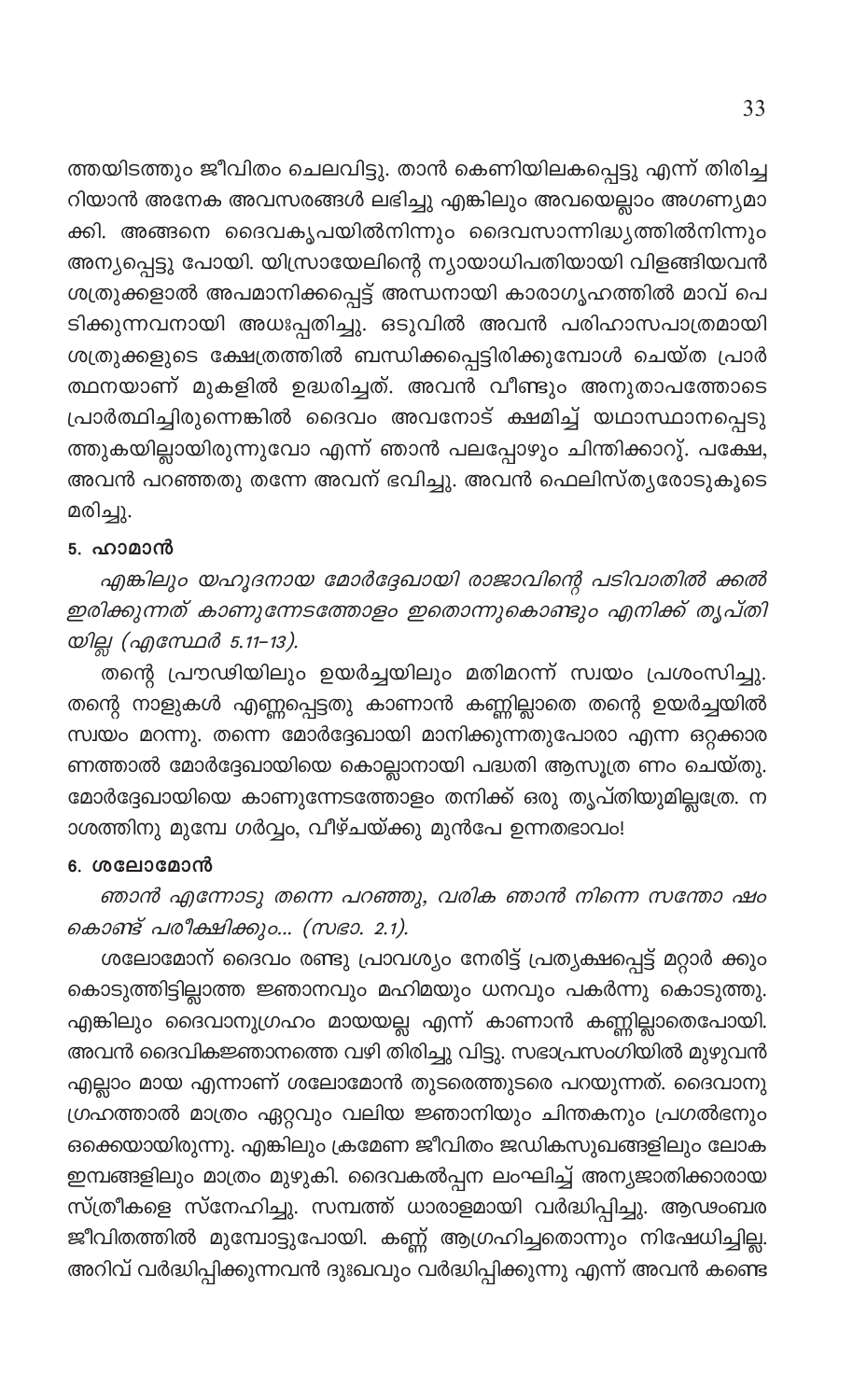ത്തയിടത്തും ജീവിതം ചെലവിട്ടു. താൻ കെണിയിലകപ്പെട്ടു എന്ന് തിരിച്ച റിയാൻ അനേക അവസരങ്ങൾ ലഭിച്ചു എങ്കിലും അവയെല്ലാം അഗണ്യമാ ക്കി. അങ്ങനെ ദൈവകൃപയിൽനിന്നും ദൈവസാന്നിദ്ധ്യത്തിൽനിന്നും അന്യപ്പെട്ടു പോയി. യിസ്രായേലിന്റെ ന്യായാധിപതിയായി വിളങ്ങിയവൻ ശത്രുക്കളാൽ അപമാനിക്കപ്പെട്ട് അന്ധനായി കാരാഗൃഹത്തിൽ മാവ് പെ ടിക്കുന്നവനായി അധഃപ്പതിച്ചു. ഒടുവിൽ അവൻ പരിഹാസപാത്രമായി ശത്രുക്കളുടെ ക്ഷേത്രത്തിൽ ബന്ധിക്കപ്പെട്ടിരിക്കുമ്പോൾ ചെയ്ത പ്രാർ ത്ഥനയാണ് മുകളിൽ ഉദ്ധരിച്ചത്. അവൻ വീണ്ടും അനുതാപത്തോടെ പ്രാർത്ഥിച്ചിരുന്നെങ്കിൽ ദൈവം അവനോട് ക്ഷമിച്ച് യഥാസ്ഥാനപ്പെടു ത്തുകയില്ലായിരുന്നുവോ എന്ന് ഞാൻ പലപ്പോഴും ചിന്തിക്കാറു്. പക്ഷേ, അവൻ പറഞ്ഞതു തന്നേ അവന് ഭവിച്ചു. അവൻ ഫെലിസ്ത്യരോടുകൂടെ മരിച്ചു.

#### 5. ഹാമാൻ

എങ്കിലും യഹൂദനായ മോർദ്ദേഖായി രാജാവിന്റെ പടിവാതിൽ ക്കൽ ഇരിക്കുന്നത് കാണുന്നേടത്തോളം ഇതൊന്നുകൊണ്ടും എനിക്ക് തൃപ്തി യില്ല (എസ്ഥേർ 5.11-13).

തന്റെ പ്രൗഢിയിലും ഉയർച്ചയിലും മതിമറന്ന് സ്വയം പ്രശംസിച്ചു. തന്റെ നാളുകൾ എണ്ണപ്പെട്ടതു കാണാൻ കണ്ണില്ലാതെ തന്റെ ഉയർച്ചയിൽ സ്വയം മറന്നു. തന്നെ മോർദ്ദേഖായി മാനിക്കുന്നതുപോരാ എന്ന ഒറ്റക്കാര ണത്താൽ മോർദ്ദേഖായിയെ കൊല്ലാനായി പദ്ധതി ആസൂത്ര ണം ചെയ്തു. മോർദ്ദേഖായിയെ കാണുന്നേടത്തോളം തനിക്ക് ഒരു തൃപ്തിയുമില്ലത്രേ. ന ാശത്തിനു മുമ്പേ ഗർവ്വം, വീഴ്ചയ്ക്കു മുൻപേ ഉന്നതഭാവം!

#### 6. ശലോമോൻ

ഞാൻ എന്നോടു തന്നെ പറഞ്ഞു, വരിക ഞാൻ നിന്നെ സന്തോ ഷം കൊണ്ട് പരീക്ഷിക്കും... (സഭാ. 2.1).

ശലോമോന് ദൈവം രണ്ടു പ്രാവശ്യം നേരിട്ട് പ്രത്യക്ഷപ്പെട്ട് മറ്റാർ ക്കും കൊടുത്തിട്ടില്ലാത്ത ജ്ഞാനവും മഹിമയും ധനവും പകർന്നു കൊടുത്തു. എങ്കിലും ദൈവാനുഗ്രഹം മായയല്ല എന്ന് കാണാൻ കണ്ണില്ലാതെപോയി. അവൻ ദൈവികജ്ഞാനത്തെ വഴി തിരിച്ചു വിട്ടു. സഭാപ്രസംഗിയിൽ മുഴുവൻ എല്ലാം മായ എന്നാണ് ശലോമോൻ തുടരെത്തുടരെ പറയുന്നത്. ദൈവാനു ഗ്രഹത്താൽ മാത്രം ഏറ്റവും വലിയ ജ്ഞാനിയും ചിന്തകനും പ്രഗൽഭനും ഒക്കെയായിരുന്നു. എങ്കിലും ക്രമേണ ജീവിതം ജഡികസുഖങ്ങളിലും ലോക ഇമ്പങ്ങളിലും മാത്രം മുഴുകി. ദൈവകൽപ്പന ലംഘിച്ച് അന്യജാതിക്കാരായ സ്ത്രീകളെ സ്നേഹിച്ചു. സമ്പത്ത് ധാരാളമായി വർദ്ധിപ്പിച്ചു. ആഢംബര ജീവിതത്തിൽ മുമ്പോട്ടുപോയി. കണ്ണ് ആഗ്രഹിച്ചതൊന്നും നിഷേധിച്ചില്ല. അറിവ് വർദ്ധിപ്പിക്കുന്നവൻ ദുഃഖവും വർദ്ധിപ്പിക്കുന്നു എന്ന് അവൻ കണ്ടെ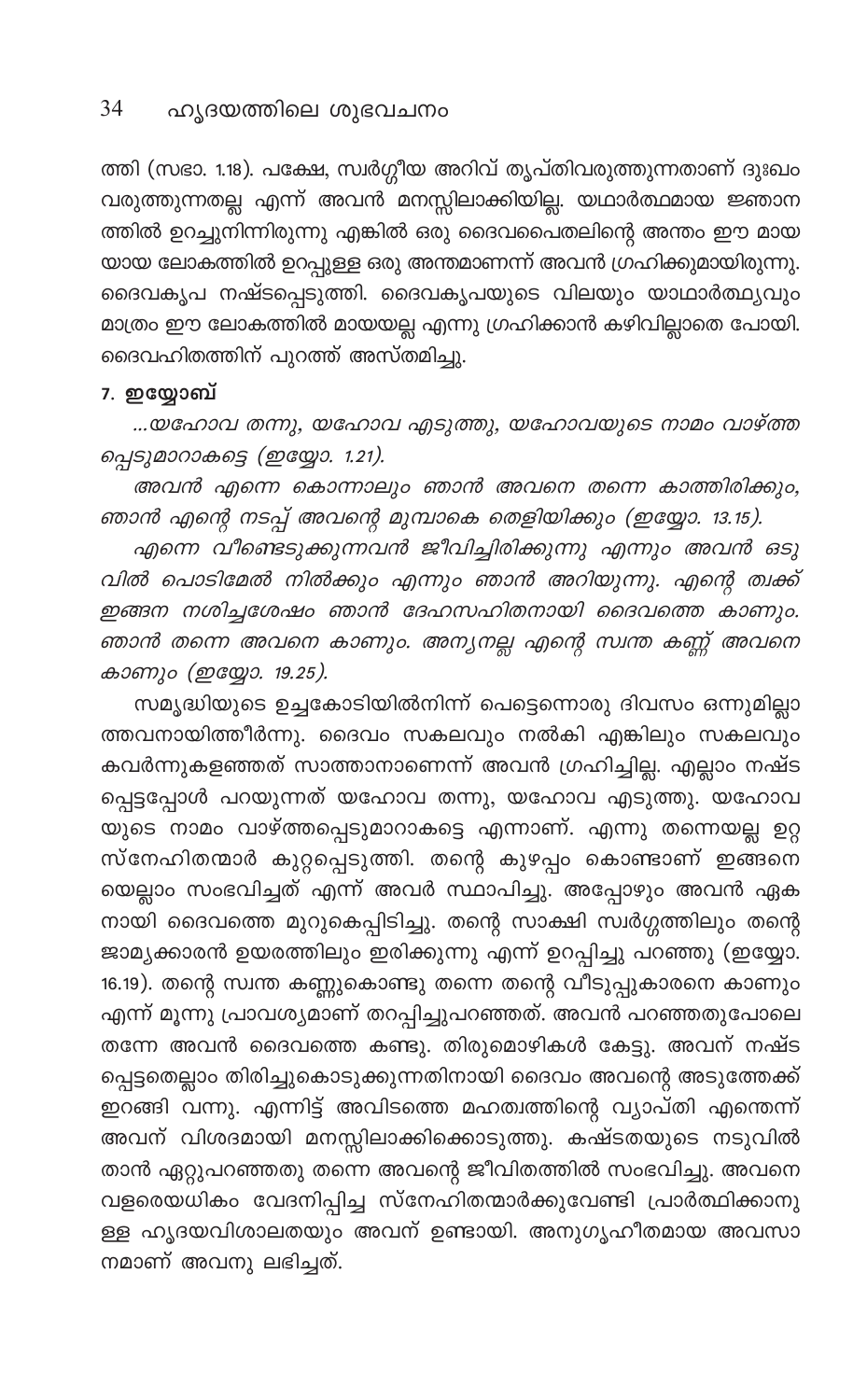ത്തി (സഭാ. 1.18). പക്ഷേ, സ്വർഗ്ഗീയ അറിവ് തൃപ്തിവരുത്തുന്നതാണ് ദുഃഖം വരുത്തുന്നതല്ല എന്ന് അവൻ മനസ്സിലാക്കിയില്ല. യഥാർത്ഥമായ ജ്ഞാന ത്തിൽ ഉറച്ചുനിന്നിരുന്നു എങ്കിൽ ഒരു ദൈവപൈതലിന്റെ അന്തം ഈ മായ യായ ലോകത്തിൽ ഉറപ്പുള്ള ഒരു അന്തമാണന്ന് അവൻ ഗ്രഹിക്കുമായിരുന്നു. ദൈവകൃപ നഷ്ടപ്പെടുത്തി. ദൈവകൃപയുടെ വിലയും യാഥാർത്ഥ്യവും മാത്രം ഈ ലോകത്തിൽ മായയല്ല എന്നു ഗ്രഹിക്കാൻ കഴിവില്ലാതെ പോയി. ദൈവഹിതത്തിന് പുറത്ത് അസ്തമിച്ചു.

## 7. ഇയ്യോബ്

...യഹോവ തന്നു, യഹോവ എടുത്തു, യഹോവയുടെ നാമം വാഴ്ത്ത പ്പെടുമാറാകട്ടെ (ഇയ്യോ. 1.21).

അവൻ എന്നെ കൊന്നാലും ഞാൻ അവനെ തന്നെ കാത്തിരിക്കും, ഞാൻ എന്റെ നടപ്പ് അവന്റെ മുമ്പാകെ തെളിയിക്കും (ഇയ്യോ. 13.15).

എന്നെ വീണ്ടെടുക്കുന്നവൻ ജീവിച്ചിരിക്കുന്നു എന്നും അവൻ ഒടു വിൽ പൊടിമേൽ നിൽക്കും എന്നും ഞാൻ അറിയുന്നു. എന്റെ ത്വക്ക് ഇങ്ങന നശിച്ചശേഷം ഞാൻ ദേഹസഹിതനായി ദൈവത്തെ കാണും. ഞാൻ തന്നെ അവനെ കാണും. അന്യനല്ല എന്റെ സ്വന്ത കണ്ണ് അവനെ കാണും (ഇയ്യോ. 19.25).

സമൃദ്ധിയുടെ ഉച്ചകോടിയിൽനിന്ന് പെട്ടെന്നൊരു ദിവസം ഒന്നുമില്ലാ ത്തവനായിത്തീർന്നു. ദൈവം സകലവും നൽകി എങ്കിലും സകലവും കവർന്നുകളഞ്ഞത് സാത്താനാണെന്ന് അവൻ ഗ്രഹിച്ചില്ല. എല്ലാം നഷ്ട പ്പെട്ടപ്പോൾ പറയുന്നത് യഹോവ തന്നു, യഹോവ എടുത്തു. യഹോവ യുടെ നാമം വാഴ്ത്തപ്പെടുമാറാകട്ടെ എന്നാണ്. എന്നു തന്നെയല്ല ഉറ്റ സ്നേഹിതന്മാർ കുറ്റപ്പെടുത്തി. തന്റെ കുഴപ്പം കൊണ്ടാണ് ഇങ്ങനെ യെല്ലാം സംഭവിച്ചത് എന്ന് അവർ സ്ഥാപിച്ചു. അപ്പോഴും അവൻ ഏക നായി ദൈവത്തെ മുറുകെപ്പിടിച്ചു. തന്റെ സാക്ഷി സ്വർഗ്ഗത്തിലും തന്റെ ജാമൃക്കാരൻ ഉയരത്തിലും ഇരിക്കുന്നു എന്ന് ഉറപ്പിച്ചു പറഞ്ഞു (ഇയ്യോ. 16.19). തന്റെ സ്വന്ത കണ്ണുകൊണ്ടു തന്നെ തന്റെ വീടുപ്പുകാരനെ കാണും എന്ന് മൂന്നു പ്രാവശ്യമാണ് തറപ്പിച്ചുപറഞ്ഞത്. അവൻ പറഞ്ഞതുപോലെ തന്നേ അവൻ ദൈവത്തെ കണ്ടു. തിരുമൊഴികൾ കേട്ടു. അവന് നഷ്ട പ്പെട്ടതെല്ലാം തിരിച്ചുകൊടുക്കുന്നതിനായി ദൈവം അവന്റെ അടുത്തേക്ക് ഇറങ്ങി വന്നു. എന്നിട്ട് അവിടത്തെ മഹത്വത്തിന്റെ വ്യാപ്തി എന്തെന്ന് അവന് വിശദമായി മനസ്സിലാക്കിക്കൊടുത്തു. കഷ്ടതയുടെ നടുവിൽ താൻ ഏറ്റുപറഞ്ഞതു തന്നെ അവന്റെ ജീവിതത്തിൽ സംഭവിച്ചു. അവനെ വളരെയധികം വേദനിപ്പിച്ച സ്നേഹിതന്മാർക്കുവേണ്ടി പ്രാർത്ഥിക്കാനു ള്ള ഹൃദയവിശാലതയും അവന് ഉണ്ടായി. അനുഗൃഹീതമായ അവസാ നമാണ് അവനു ലഭിച്ചത്.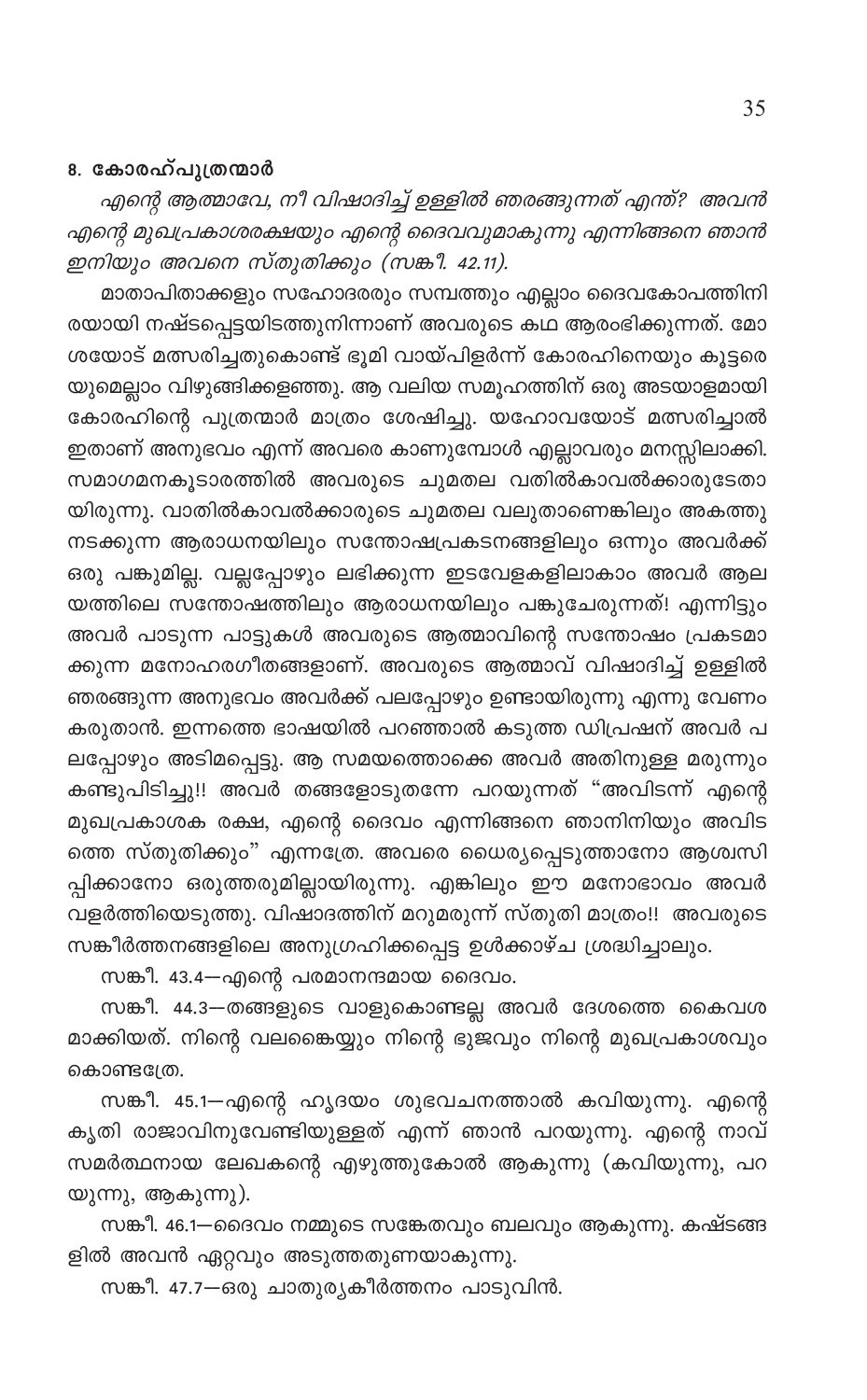## 8. കോരഹ്പുത്രന്മാർ

എന്റെ ആത്മാവേ, നീ വിഷാദിച്ച് ഉള്ളിൽ ഞരങ്ങുന്നത് എന്ത്? അവൻ എന്റെ മുഖപ്രകാശരക്ഷയും എന്റെ ദൈവവുമാകുന്നു എന്നിങ്ങനെ ഞാൻ ഇനിയും അവനെ സ്തുതിക്കും (സങ്കീ. 42.11).

മാതാപിതാക്കളും സഹോദരരും സമ്പത്തും എല്ലാം ദൈവകോപത്തിനി രയായി നഷ്ടപ്പെട്ടയിടത്തുനിന്നാണ് അവരുടെ കഥ ആരംഭിക്കുന്നത്. മോ ശയോട് മത്സരിച്ചതുകൊണ്ട് ഭൂമി വായ്പിളർന്ന് കോരഹിനെയും കൂട്ടരെ യുമെല്ലാം വിഴുങ്ങിക്കളഞ്ഞു. ആ വലിയ സമൂഹത്തിന് ഒരു അടയാളമായി കോരഹിന്റെ പുത്രന്മാർ മാത്രം ശേഷിച്ചു. യഹോവയോട് മത്സരിച്ചാൽ ഇതാണ് അനുഭവം എന്ന് അവരെ കാണുമ്പോൾ എല്ലാവരും മനസ്സിലാക്കി. സമാഗമനകൂടാരത്തിൽ അവരുടെ ചുമതല വതിൽകാവൽക്കാരുടേതാ യിരുന്നു. വാതിൽകാവൽക്കാരുടെ ചുമതല വലുതാണെങ്കിലും അകത്തു നടക്കുന്ന ആരാധനയിലും സന്തോഷപ്രകടനങ്ങളിലും ഒന്നും അവർക്ക് ഒരു പങ്കുമില്ല. വല്ലപ്പോഴും ലഭിക്കുന്ന ഇടവേളകളിലാകാം അവർ ആല യത്തിലെ സന്തോഷത്തിലും ആരാധനയിലും പങ്കുചേരുന്നത്! എന്നിട്ടും അവർ പാടുന്ന പാട്ടുകൾ അവരുടെ ആത്മാവിന്റെ സന്തോഷം പ്രകടമാ ക്കുന്ന മനോഹരഗീതങ്ങളാണ്. അവരുടെ ആത്മാവ് വിഷാദിച്ച് ഉള്ളിൽ ഞരങ്ങുന്ന അനുഭവം അവർക്ക് പലപ്പോഴും ഉണ്ടായിരുന്നു എന്നു വേണം കരുതാൻ. ഇന്നത്തെ ഭാഷയിൽ പറഞ്ഞാൽ കടുത്ത ഡിപ്രഷന് അവർ പ ലപ്പോഴും അടിമപ്പെട്ടു. ആ സമയത്തൊക്കെ അവർ അതിനുള്ള മരുന്നും കണ്ടുപിടിച്ചു!! അവർ തങ്ങളോടുതന്നേ പറയുന്നത് "അവിടന്ന് എന്റെ മുഖപ്രകാശക രക്ഷ, എന്റെ ദൈവം എന്നിങ്ങനെ ഞാനിനിയും അവിട ത്തെ സ്തുതിക്കും" എന്നത്രേ. അവരെ ധൈര്യപ്പെടുത്താനോ ആശ്വസി പ്പിക്കാനോ ഒരുത്തരുമില്ലായിരുന്നു. എങ്കിലും ഈ മനോഭാവം അവർ വളർത്തിയെടുത്തു. വിഷാദത്തിന് മറുമരുന്ന് സ്തുതി മാത്രം!! അവരുടെ സങ്കീർത്തനങ്ങളിലെ അനുഗ്രഹിക്കപ്പെട്ട ഉൾക്കാഴ്ച ശ്രദ്ധിച്ചാലും.

സങ്കീ. 43.4—എന്റെ പരമാനന്ദമായ ദൈവം.

സങ്കീ. 44.3—തങ്ങളുടെ വാളുകൊണ്ടല്ല അവർ ദേശത്തെ കൈവശ മാക്കിയത്. നിന്റെ വലങ്കെയ്യും നിന്റെ ഭുജവും നിന്റെ മുഖപ്രകാശവും കൊണ്ടത്രേ.

സങ്കീ. 45.1--എന്റെ ഹൃദയം ശുഭവചനത്താൽ കവിയുന്നു. എന്റെ കൃതി രാജാവിനുവേണ്ടിയുള്ളത് എന്ന് ഞാൻ പറയുന്നു. എന്റെ നാവ് സമർത്ഥനായ ലേഖകന്റെ എഴുത്തുകോൽ ആകുന്നു (കവിയുന്നു, പറ യുന്നു, ആകുന്നു).

സങ്കീ. 46.1—ദൈവം നമ്മുടെ സങ്കേതവും ബലവും ആകുന്നു. കഷ്ടങ്ങ ളിൽ അവൻ ഏറ്റവും അടുത്തതുണയാകുന്നു.

സങ്കീ. 47.7—ഒരു ചാതുര്യകീർത്തനം പാടുവിൻ.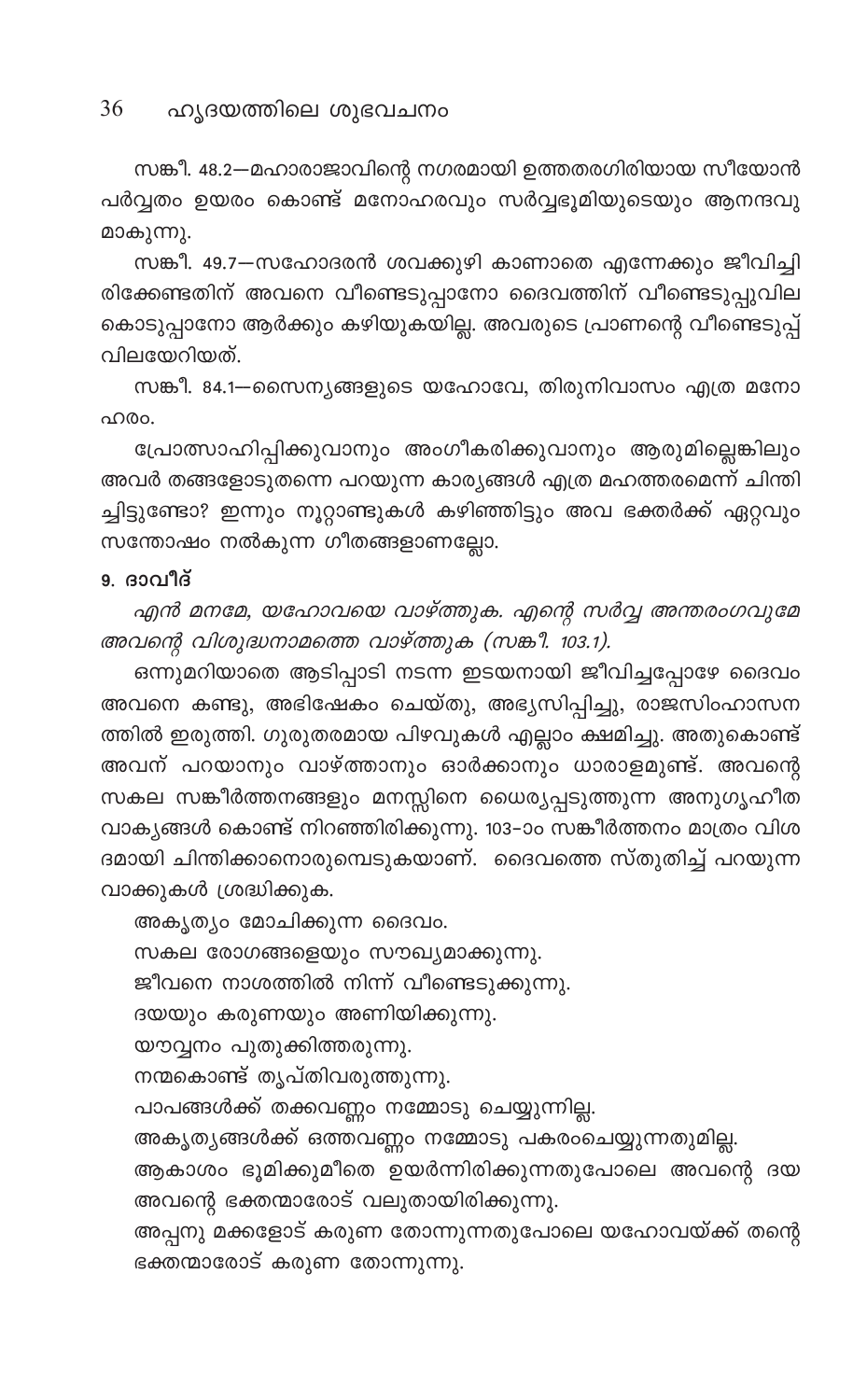സങ്കീ. 48.2-മഹാരാജാവിന്റെ നഗരമായി ഉത്തതരഗിരിയായ സീയോൻ പർവ്വതം ഉയരം കൊണ്ട് മനോഹരവും സർവ്വഭൂമിയുടെയും ആനന്ദവു മാകുന്നു.

സങ്കീ. 49.7—സഹോദരൻ ശവക്കുഴി കാണാതെ എന്നേക്കും ജീവിച്ചി രിക്കേണ്ടതിന് അവനെ വീണ്ടെടുപ്പാനോ ദൈവത്തിന് വീണ്ടെടുപ്പുവില കൊടുപ്പാനോ ആർക്കും കഴിയുകയില്ല. അവരുടെ പ്രാണന്റെ വീണ്ടെടുപ്പ് വിലയേറിയത്.

സങ്കീ. 84.1--സൈന്യങ്ങളുടെ യഹോവേ, തിരുനിവാസം എത്ര മനോ ഹരം.

പ്രോത്സാഹിപ്പിക്കുവാനും അംഗീകരിക്കുവാനും ആരുമില്ലെങ്കിലും അവർ തങ്ങളോടുതന്നെ പറയുന്ന കാര്യങ്ങൾ എത്ര മഹത്തരമെന്ന് ചിന്തി ച്ചിട്ടുണ്ടോ? ഇന്നും നൂറ്റാണ്ടുകൾ കഴിഞ്ഞിട്ടും അവ ഭക്തർക്ക് ഏറ്റവും സന്തോഷം നൽകുന്ന ഗീതങ്ങളാണല്ലോ.

#### 9. ദാവീദ്

എൻ മനമേ, യഹോവയെ വാഴ്ത്തുക. എന്റെ സർവ്വ അന്തരംഗവുമേ അവന്റെ വിശുദ്ധനാമത്തെ വാഴ്ത്തുക (സങ്കീ. 103.1).

ഒന്നുമറിയാതെ ആടിപ്പാടി നടന്ന ഇടയനായി ജീവിച്ചപ്പോഴേ ദൈവം അവനെ കണ്ടു, അഭിഷേകം ചെയ്തു, അഭ്യസിപ്പിച്ചു, രാജസിംഹാസന ത്തിൽ ഇരുത്തി. ഗുരുതരമായ പിഴവുകൾ എല്ലാം ക്ഷമിച്ചു. അതുകൊണ്ട് അവന് പറയാനും വാഴ്ത്താനും ഓർക്കാനും ധാരാളമുണ്ട്. അവന്റെ സകല സങ്കീർത്തനങ്ങളും മനസ്സിനെ ധൈര്യപ്പടുത്തുന്ന അനുഗൃഹീത വാക്യങ്ങൾ കൊണ്ട് നിറഞ്ഞിരിക്കുന്നു. 103–ാം സങ്കീർത്തനം മാത്രം വിശ ദമായി ചിന്തിക്കാനൊരുമ്പെടുകയാണ്. ദൈവത്തെ സ്തുതിച്ച് പറയുന്ന വാക്കുകൾ ശ്രദ്ധിക്കുക.

അകൃത്യം മോചിക്കുന്ന ദൈവം. സകല രോഗങ്ങളെയും സൗഖ്യമാക്കുന്നു. ജീവനെ നാശത്തിൽ നിന്ന് വീണ്ടെടുക്കുന്നു. ദയയും കരുണയും അണിയിക്കുന്നു. യൗവ്വനം പുതുക്കിത്തരുന്നു. നന്മകൊണ്ട് തൃപ്തിവരുത്തുന്നു. പാപങ്ങൾക്ക് തക്കവണ്ണം നമ്മോടു ചെയ്യുന്നില്ല. അകൃത്യങ്ങൾക്ക് ഒത്തവണ്ണം നമ്മോടു പകരംചെയ്യുന്നതുമില്ല. ആകാശം ഭൂമിക്കുമീതെ ഉയർന്നിരിക്കുന്നതുപോലെ അവന്റെ ദയ അവന്റെ ഭക്തന്മാരോട് വലുതായിരിക്കുന്നു. അപ്പനു മക്കളോട് കരുണ തോന്നുന്നതുപോലെ യഹോവയ്ക്ക് തന്റെ ഭക്തന്മാരോട് കരുണ തോന്നുന്നു.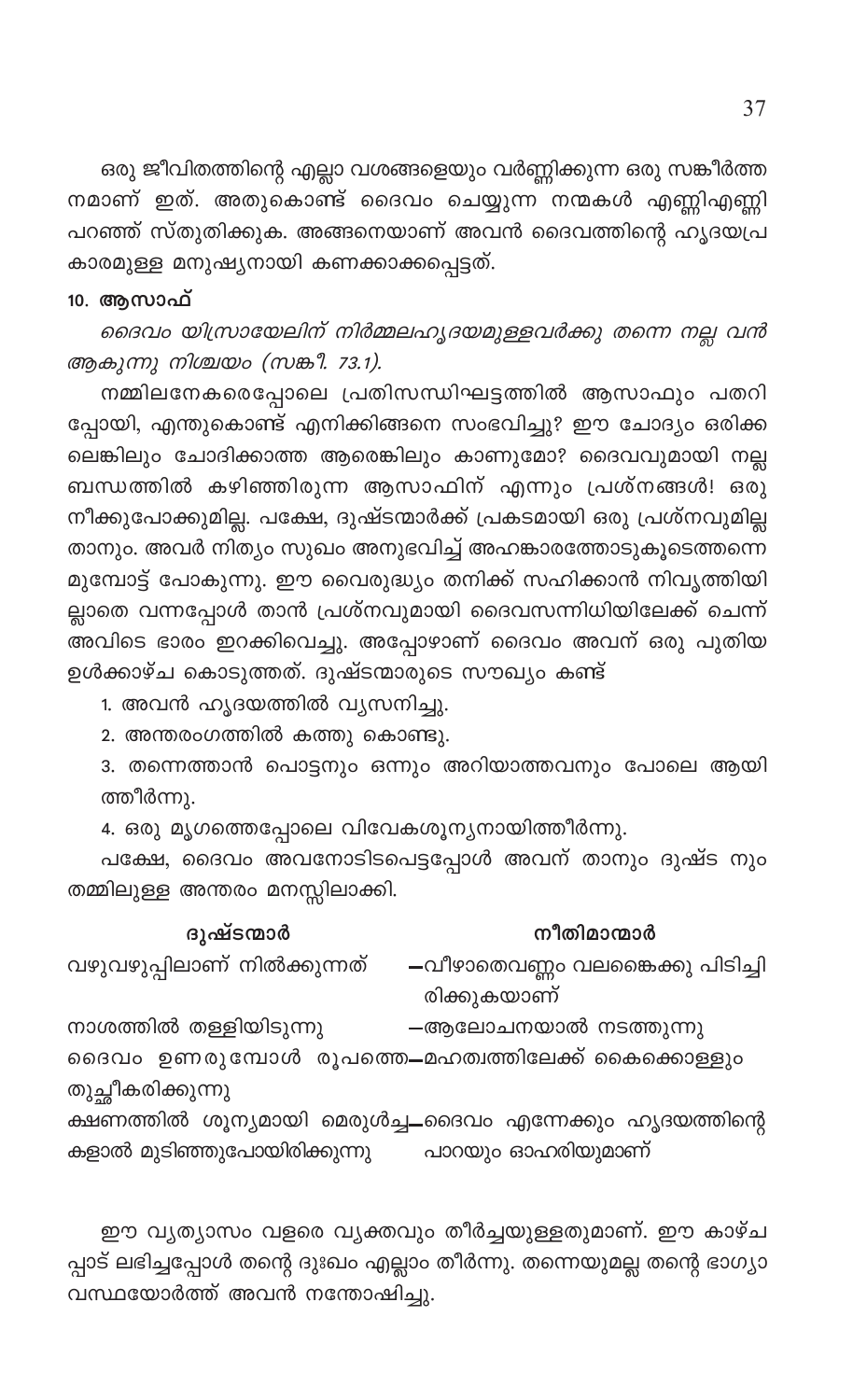ഒരു ജീവിതത്തിന്റെ എല്ലാ വശങ്ങളെയും വർണ്ണിക്കുന്ന ഒരു സങ്കീർത്ത നമാണ് ഇത്. അതുകൊണ്ട് ദൈവം ചെയ്യുന്ന നന്മകൾ എണ്ണിഎണ്ണി പറഞ്ഞ് സ്തുതിക്കുക. അങ്ങനെയാണ് അവൻ ദൈവത്തിന്റെ ഹൃദയപ്ര കാരമുള്ള മനുഷ്യനായി കണക്കാക്കപ്പെട്ടത്.

#### 10. ആസാഫ്

ദൈവം യിസ്രായേലിന് നിർമ്മലഹൃദയമുള്ളവർക്കു തന്നെ നല്ല വൻ ആകുന്നു നിശ്ചയം (സങ്കീ. 73.1).

നമ്മിലനേകരെപ്പോലെ പ്രതിസന്ധിഘട്ടത്തിൽ ആസാഫും പതറി പ്പോയി, എന്തുകൊണ്ട് എനിക്കിങ്ങനെ സംഭവിച്ചു? ഈ ചോദ്യം ഒരിക്ക ലെങ്കിലും ചോദിക്കാത്ത ആരെങ്കിലും കാണുമോ? ദൈവവുമായി നല്ല ബന്ധത്തിൽ കഴിഞ്ഞിരുന്ന ആസാഫിന് എന്നും പ്രശ്നങ്ങൾ! ഒരു നീക്കുപോക്കുമില്ല. പക്ഷേ, ദുഷ്ടന്മാർക്ക് പ്രകടമായി ഒരു പ്രശ്നവുമില്ല താനും. അവർ നിത്യം സുഖം അനുഭവിച്ച് അഹങ്കാരത്തോടുകൂടെത്തന്നെ മുമ്പോട്ട് പോകുന്നു. ഈ വൈരുദ്ധ്യം തനിക്ക് സഹിക്കാൻ നിവൃത്തിയി ല്ലാതെ വന്നപ്പോൾ താൻ പ്രശ്നവുമായി ദൈവസന്നിധിയിലേക്ക് ചെന്ന് അവിടെ ഭാരം ഇറക്കിവെച്ചു. അപ്പോഴാണ് ദൈവം അവന് ഒരു പുതിയ ഉൾക്കാഴ്ച കൊടുത്തത്. ദുഷ്ടന്മാരുടെ സൗഖ്യം കണ്ട്

1. അവൻ ഹൃദയത്തിൽ വ്യസനിച്ചു.

2. അന്തരംഗത്തിൽ കത്തു കൊണ്ടു.

3. തന്നെത്താൻ പൊട്ടനും ഒന്നും അറിയാത്തവനും പോലെ ആയി ത്തീർന്നു.

4. ഒരു മൃഗത്തെപ്പോലെ വിവേകശൂന്യനായിത്തീർന്നു.

പക്ഷേ, ദൈവം അവനോടിടപെട്ടപ്പോൾ അവന് താനും ദുഷ്ട നും തമ്മിലുള്ള അന്തരം മനസ്സിലാക്കി.

| ദുഷ്ടന്മാർ                  | നീതിമാന്മാർ                                               |
|-----------------------------|-----------------------------------------------------------|
| വഴുവഴുപ്പിലാണ് നിൽക്കുന്നത് | —വീഴാതെവണ്ണം വലങ്കൈക്കു പിടിച്ചി                          |
|                             | രിക്കുകയാണ്                                               |
| നാശത്തിൽ തള്ളിയിടുന്നു      | —ആലോചനയാൽ നടത്തുന്നു                                      |
|                             | ദൈവം ഉണരുമ്പോൾ രൂപത്തെ—മഹത്വത്തിലേക്ക് കൈക്കൊള്ളും        |
| തുച്ഛീകരിക്കുന്നു           |                                                           |
|                             | ക്ഷണത്തിൽ ശൂന്യമായി മെരുൾച്ച—ദൈവം എന്നേക്കും ഹൃദയത്തിന്റെ |
| കളാൽ മുടിഞ്ഞുപോയിരിക്കുന്നു | പാറയും ഓഹരിയുമാണ്                                         |
|                             |                                                           |

ഈ വ്യത്യാസം വളരെ വ്യക്തവും തീർച്ചയുള്ളതുമാണ്. ഈ കാഴ്ച പ്പാട് ലഭിച്ചപ്പോൾ തന്റെ ദുഃഖം എല്ലാം തീർന്നു. തന്നെയുമല്ല തന്റെ ഭാഗ്യാ വസ്ഥയോർത്ത് അവൻ നന്തോഷിച്ചു.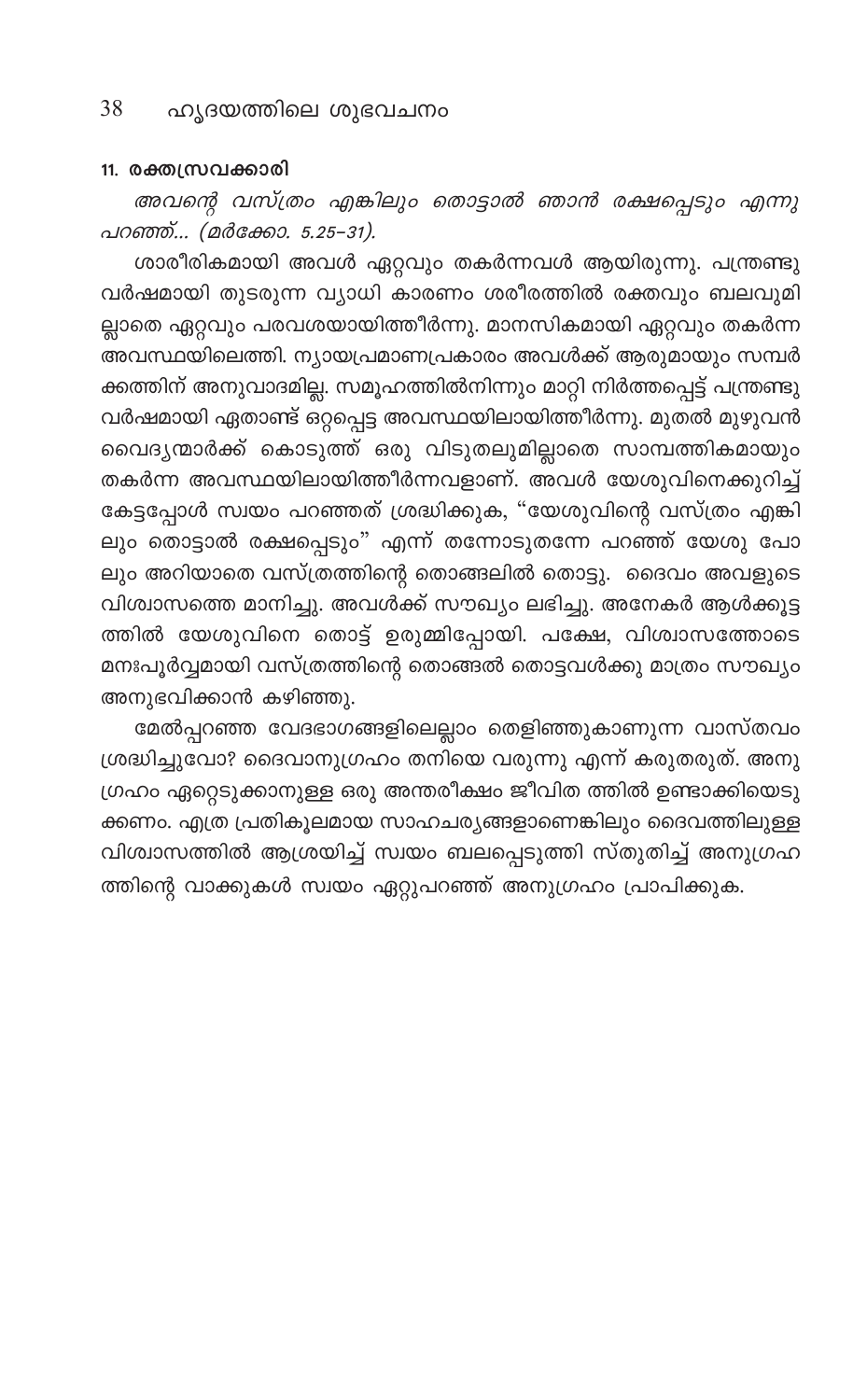#### 38 ഹൃദയത്തിലെ ശുഭവചനം

#### 11. രക്തസ്രവക്കാരി

അവന്റെ വസ്ത്രം എങ്കിലും തൊട്ടാൽ ഞാൻ രക്ഷപ്പെടും എന്നു പറഞ്ഞ്... (മർക്കോ. 5.25-31).

ശാരീരികമായി അവൾ ഏറ്റവും തകർന്നവൾ ആയിരുന്നു. പന്ത്രണ്ടു .<br>വർഷമായി തുടരുന്ന വ്യാധി കാരണം ശരീരത്തിൽ രക്തവും ബലവുമി ല്ലാതെ ഏറ്റവും പരവശയായിത്തീർന്നു. മാനസികമായി ഏറ്റവും തകർന്ന അവസ്ഥയിലെത്തി. ന്യായപ്രമാണപ്രകാരം അവൾക്ക് ആരുമായും സമ്പർ ക്കത്തിന് അനുവാദമില്ല. സമൂഹത്തിൽനിന്നും മാറ്റി നിർത്തപ്പെട്ട് പന്ത്രണ്ടു വർഷമായി ഏതാണ്ട് ഒറ്റപ്പെട്ട അവസ്ഥയിലായിത്തീർന്നു. മുതൽ മുഴുവൻ ഖൈദൃന്മാർക്ക് കൊടുത്ത് ഒരു വിടുതലുമില്ലാതെ സാമ്പത്തികമായും .<br>തകർന്ന അവസ്ഥയിലായിത്തീർന്നവളാണ്. അവൾ യേശുവിനെക്കുറിച്ച് കേട്ടപ്പോൾ സ്വയം പറഞ്ഞത് ശ്രദ്ധിക്കുക, "യേശുവിന്റെ വസ്ത്രം എങ്കി ലും തൊട്ടാൽ രക്ഷപ്പെടും" എന്ന് തന്നോടുതന്നേ പറഞ്ഞ് യേശു പോ ലും അറിയാതെ വസ്ത്രത്തിന്റെ തൊങ്ങലിൽ തൊട്ടു. ദൈവം അവളുടെ വിശ്വാസത്തെ മാനിച്ചു. അവൾക്ക് സൗഖ്യം ലഭിച്ചു. അനേകർ ആൾക്കൂട്ട .<br>ത്തിൽ യേശുവിനെ തൊട്ട് ഉരുമ്മിപ്പോയി. പക്ഷേ, വിശ്വാസത്തോടെ മനഃപൂർവ്വമായി വസ്ത്രത്തിന്റെ തൊങ്ങൽ തൊട്ടവൾക്കു മാത്രം സൗഖ്യം അനുഭവിക്കാൻ കഴിഞ്ഞു.

മേൽപ്പറഞ്ഞ വേദഭാഗങ്ങളിലെല്ലാം തെളിഞ്ഞുകാണുന്ന വാസ്തവം ശ്രദ്ധിച്ചുവോ? ദൈവാനുഗ്രഹം തനിയെ വരുന്നു എന്ന് കരുതരുത്. അനു ഗ്രഹം ഏറ്റെടുക്കാനുള്ള ഒരു അന്തരീക്ഷം ജീവിത ത്തിൽ ഉണ്ടാക്കിയെടു ക്കണം. എത്ര പ്രതികൂലമായ സാഹചര്യങ്ങളാണെങ്കിലും ദൈവത്തിലുള്ള വിശ്വാസത്തിൽ ആശ്രയിച്ച് സ്വയം ബലപ്പെടുത്തി സ്തുതിച്ച് അനുഗ്രഹ ത്തിന്റെ വാക്കുകൾ സ്വയം ഏറ്റുപറഞ്ഞ് അനുഗ്രഹം പ്രാപിക്കുക.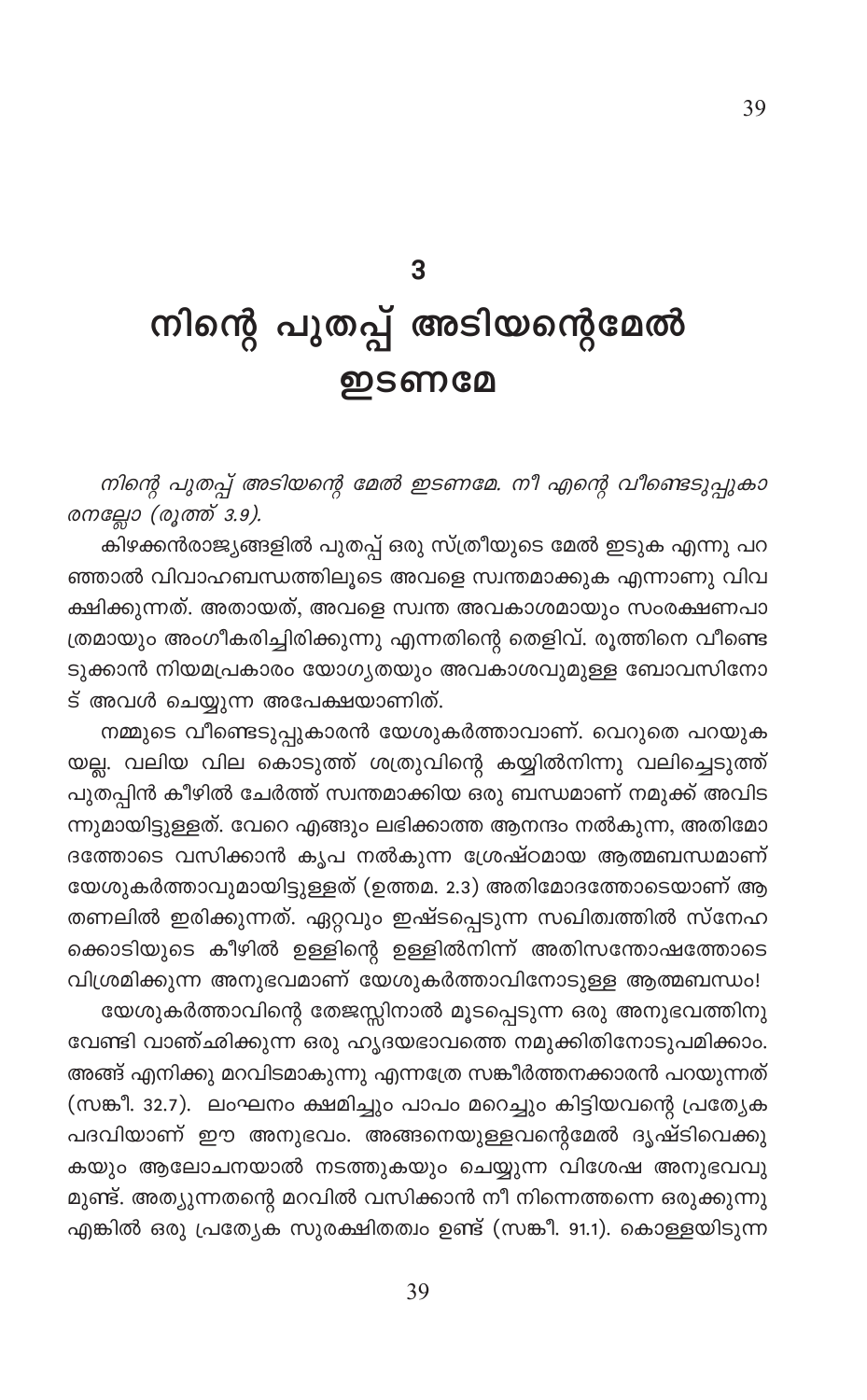3

# നിന്റെ പുതപ്പ് അടിയന്റെമേൽ ഇടണമേ

നിന്റെ പുതപ്പ് അടിയന്റെ മേൽ ഇടണമേ. നീ എന്റെ വീണ്ടെടുപ്പുകാ രനല്ലോ (രൂത്ത് 3.9).

കിഴക്കൻരാജ്യങ്ങളിൽ പുതപ്പ് ഒരു സ്ത്രീയുടെ മേൽ ഇടുക എന്നു പറ ഞ്ഞാൽ വിവാഹബന്ധത്തിലൂടെ അവളെ സ്വന്തമാക്കുക എന്നാണു വിവ ക്ഷിക്കുന്നത്. അതായത്, അവളെ സ്വന്ത അവകാശമായും സംരക്ഷണപാ ത്രമായും അംഗീകരിച്ചിരിക്കുന്നു എന്നതിന്റെ തെളിവ്. രൂത്തിനെ വീണ്ടെ ടുക്കാൻ നിയമപ്രകാരം യോഗ്യതയും അവകാശവുമുള്ള ബോവസിനോ ട് അവൾ ചെയ്യുന്ന അപേക്ഷയാണിത്.

നമ്മുടെ വീണ്ടെടുപ്പുകാരൻ യേശുകർത്താവാണ്. വെറുതെ പറയുക യല്ല. വലിയ വില കൊടുത്ത് ശത്രുവിന്റെ കയ്യിൽനിന്നു വലിച്ചെടുത്ത് പുതപ്പിൻ കീഴിൽ ചേർത്ത് സ്വന്തമാക്കിയ ഒരു ബന്ധമാണ് നമുക്ക് അവിട ന്നുമായിട്ടുള്ളത്. വേറെ എങ്ങും ലഭിക്കാത്ത ആനന്ദം നൽകുന്ന, അതിമോ ദത്തോടെ വസിക്കാൻ കൃപ നൽകുന്ന ശ്രേഷ്ഠമായ ആത്മബന്ധമാണ് യേശുകർത്താവുമായിട്ടുള്ളത് (ഉത്തമ. 2.3) അതിമോദത്തോടെയാണ് ആ തണലിൽ ഇരിക്കുന്നത്. ഏറ്റവും ഇഷ്ടപ്പെടുന്ന സഖിത്വത്തിൽ സ്നേഹ ക്കൊടിയുടെ കീഴിൽ ഉള്ളിന്റെ ഉള്ളിൽനിന്ന് അതിസന്തോഷത്തോടെ വിശ്രമിക്കുന്ന അനുഭവമാണ് യേശുകർത്താവിനോടുള്ള ആത്മബന്ധം!

യേശുകർത്താവിന്റെ തേജസ്സിനാൽ മൂടപ്പെടുന്ന ഒരു അനുഭവത്തിനു വേണ്ടി വാഞ്ഛിക്കുന്ന ഒരു ഹൃദയഭാവത്തെ നമുക്കിതിനോടുപമിക്കാം. അങ്ങ് എനിക്കു മറവിടമാകുന്നു എന്നത്രേ സങ്കീർത്തനക്കാരൻ പറയുന്നത് (സങ്കീ. 32.7). ലംഘനം ക്ഷമിച്ചും പാപം മറെച്ചും കിട്ടിയവന്റെ പ്രത്യേക പദവിയാണ് ഈ അനുഭവം. അങ്ങനെയുള്ളവന്റെമേൽ ദൃഷ്ടിവെക്കു കയും ആലോചനയാൽ നടത്തുകയും ചെയ്യുന്ന വിശേഷ അനുഭവവു മുണ്ട്. അത്യുന്നതന്റെ മറവിൽ വസിക്കാൻ നീ നിന്നെത്തന്നെ ഒരുക്കുന്നു എങ്കിൽ ഒരു പ്രത്യേക സുരക്ഷിതത്വം ഉണ്ട് (സങ്കീ. 91.1). കൊള്ളയിടുന്ന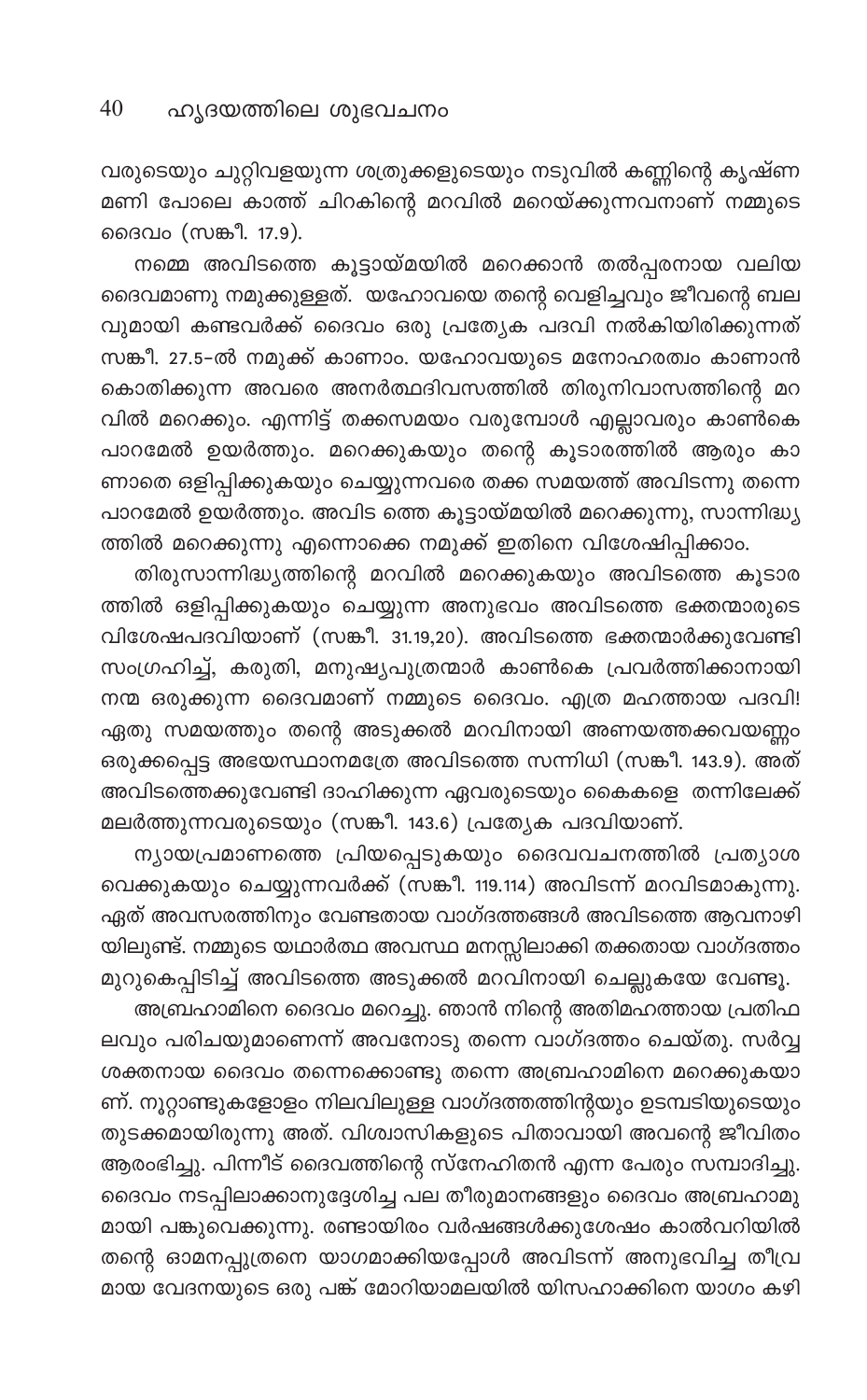വരുടെയും ചുറ്റിവളയുന്ന ശത്രുക്കളുടെയും നടുവിൽ കണ്ണിന്റെ കൃഷ്ണ മണി പോലെ കാത്ത് ചിറകിന്റെ മറവിൽ മറെയ്ക്കുന്നവനാണ് നമ്മുടെ ദൈവം (സങ്കീ. 17.9).

നമ്മെ അവിടത്തെ കൂട്ടായ്മയിൽ മറെക്കാൻ തൽപ്പരനായ വലിയ ദൈവമാണു നമുക്കുള്ളത്. യഹോവയെ തന്റെ വെളിച്ചവും ജീവന്റെ ബല വുമായി കണ്ടവർക്ക് ദൈവം ഒരു പ്രത്യേക പദവി നൽകിയിരിക്കുന്നത് സങ്കീ. 27.5–ൽ നമുക്ക് കാണാം. യഹോവയുടെ മനോഹരത്വം കാണാൻ കൊതിക്കുന്ന അവരെ അനർത്ഥദിവസത്തിൽ തിരുനിവാസത്തിന്റെ മറ വിൽ മറെക്കും. എന്നിട്ട് തക്കസമയം വരുമ്പോൾ എല്ലാവരും കാൺകെ പാറമേൽ ഉയർത്തും. മറെക്കുകയും തന്റെ കൂടാരത്തിൽ ആരും കാ ണാതെ ഒളിപ്പിക്കുകയും ചെയ്യുന്നവരെ തക്ക സമയത്ത് അവിടന്നു തന്നെ പാറമേൽ ഉയർത്തും. അവിട ത്തെ കൂട്ടായ്മയിൽ മറെക്കുന്നു, സാന്നിദ്ധ്യ ത്തിൽ മറെക്കുന്നു എന്നൊക്കെ നമുക്ക് ഇതിനെ വിശേഷിപ്പിക്കാം.

തിരുസാന്നിദ്ധ്യത്തിന്റെ മറവിൽ മറെക്കുകയും അവിടത്തെ കൂടാര ത്തിൽ ഒളിപ്പിക്കുകയും ചെയ്യുന്ന അനുഭവം അവിടത്തെ ഭക്തന്മാരുടെ വിശേഷപദവിയാണ് (സങ്കീ. 31.19,20). അവിടത്തെ ഭക്തന്മാർക്കുവേണ്ടി സംഗ്രഹിച്ച്, കരുതി, മനുഷ്യപുത്രന്മാർ കാൺകെ പ്രവർത്തിക്കാനായി നന്മ ഒരുക്കുന്ന ദൈവമാണ് നമ്മുടെ ദൈവം. എത്ര മഹത്തായ പദവി! ഏതു സമയത്തും തന്റെ അടുക്കൽ മറവിനായി അണയത്തക്കവയണ്ണം .<br>ഒരുക്കപ്പെട്ട അഭയസ്ഥാനമത്രേ അവിടത്തെ സന്നിധി (സങ്കീ. 143.9). അത് മലർത്തുന്നവരുടെയും (സങ്കീ. 143.6) പ്രത്യേക പദവിയാണ്.

ന്യായപ്രമാണത്തെ പ്രിയപ്പെടുകയും ദൈവവചനത്തിൽ പ്രത്യാശ വെക്കുകയും ചെയ്യുന്നവർക്ക് (സങ്കീ. 119.114) അവിടന്ന് മറവിടമാകുന്നു. ഏത് അവസരത്തിനും വേണ്ടതായ വാഗ്ദത്തങ്ങൾ അവിടത്തെ ആവനാഴി യിലുണ്ട്. നമ്മുടെ യഥാർത്ഥ അവസ്ഥ മനസ്സിലാക്കി തക്കതായ വാഗ്ദത്തം മുറുകെപ്പിടിച്ച് അവിടത്തെ അടുക്കൽ മറവിനായി ചെല്ലുകയേ വേണ്ടൂ.

അബ്രഹാമിനെ ദൈവം മറെച്ചു. ഞാൻ നിന്റെ അതിമഹത്തായ പ്രതിഫ ലവും പരിചയുമാണെന്ന് അവനോടു തന്നെ വാഗ്ദത്തം ചെയ്തു. സർവ്വ ശക്തനായ ദൈവം തന്നെക്കൊണ്ടു തന്നെ അബ്രഹാമിനെ മറെക്കുകയാ ണ്. നൂറ്റാണ്ടുകളോളം നിലവിലുള്ള വാഗ്ദത്തത്തിന്റയും ഉടമ്പടിയുടെയും തുടക്കമായിരുന്നു അത്. വിശ്വാസികളുടെ പിതാവായി അവന്റെ ജീവിതം ആരംഭിച്ചു. പിന്നീട് ദൈവത്തിന്റെ സ്നേഹിതൻ എന്ന പേരും സമ്പാദിച്ചു. ദൈവം നടപ്പിലാക്കാനുദ്ദേശിച്ച പല തീരുമാനങ്ങളും ദൈവം അബ്രഹാമു മായി പങ്കുവെക്കുന്നു. രണ്ടായിരം വർഷങ്ങൾക്കുശേഷം കാൽവറിയിൽ തന്റെ ഓമനപ്പുത്രനെ യാഗമാക്കിയപ്പോൾ അവിടന്ന് അനുഭവിച്ച തീവ്ര മായ വേദനയുടെ ഒരു പങ്ക് മോറിയാമലയിൽ യിസഹാക്കിനെ യാഗം കഴി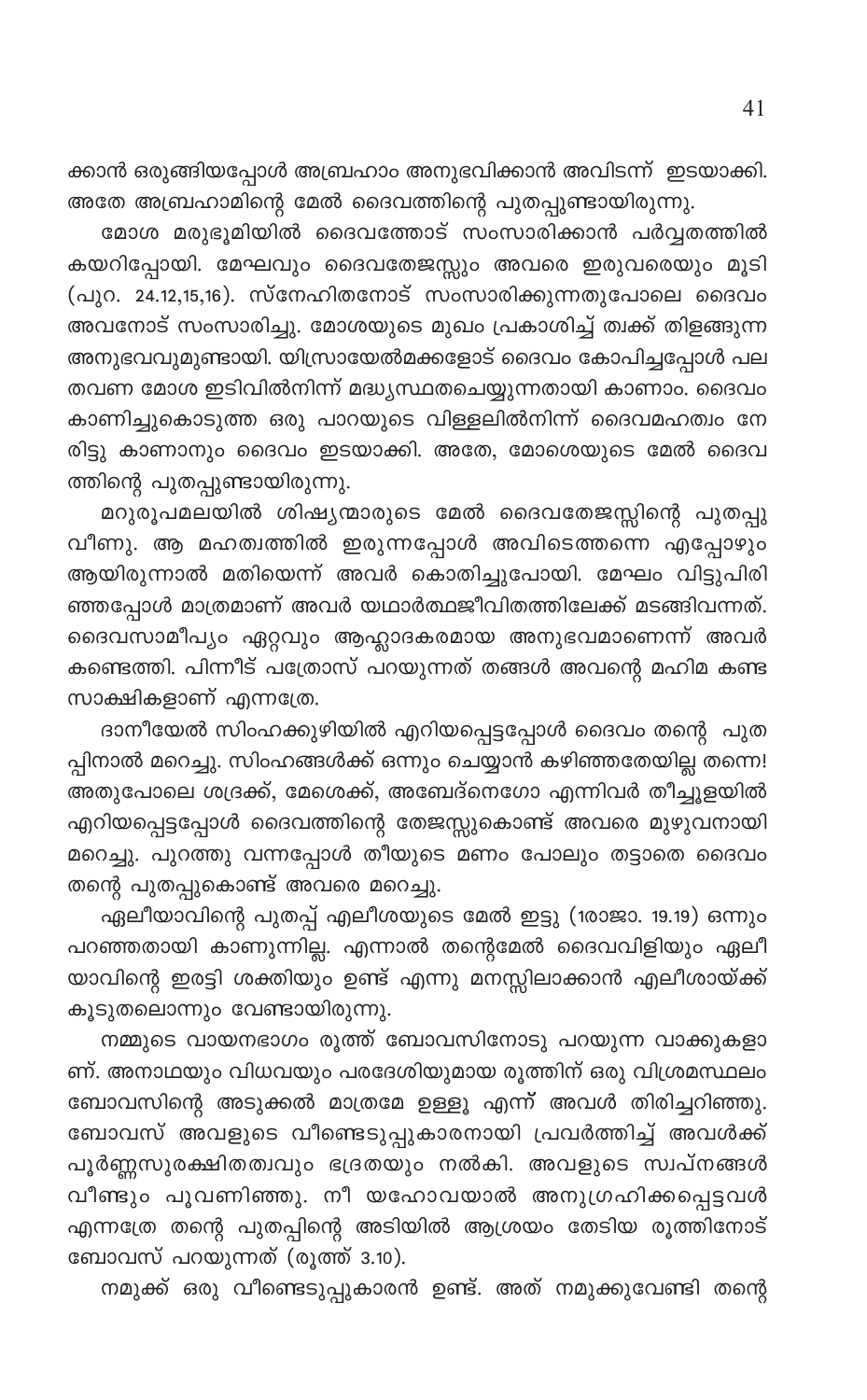ക്കാൻ ഒരുങ്ങിയപ്പോൾ അബ്രഹാം അനുഭവിക്കാൻ അവിടന്ന് ഇടയാക്കി. അതേ അബ്രഹാമിന്റെ മേൽ ദൈവത്തിന്റെ പുതപ്പുണ്ടായിരുന്നു.

മോശ മരുഭൂമിയിൽ ദൈവത്തോട് സംസാരിക്കാൻ പർവ്വതത്തിൽ കയറിപ്പോയി. മേഘവും ദൈവതേജസ്സും അവരെ ഇരുവരെയും മൂടി (പുറ. 24.12,15,16). സ്നേഹിതനോട് സംസാരിക്കുന്നതുപോലെ ദൈവം അവനോട് സംസാരിച്ചു. മോശയുടെ മുഖം പ്രകാശിച്ച് ത്വക്ക് തിളങ്ങുന്ന അനുഭവവുമുണ്ടായി. യിസ്രായേൽമക്കളോട് ദൈവം കോപിച്ചപ്പോൾ പല തവണ മോശ ഇടിവിൽനിന്ന് മദ്ധ്യസ്ഥതചെയ്യുന്നതായി കാണാം. ദൈവം കാണിച്ചുകൊടുത്ത ഒരു പാറയുടെ വിള്ളലിൽനിന്ന് ദൈവമഹത്വം നേ രിട്ടു കാണാനും ദൈവം ഇടയാക്കി. അതേ, മോശെയുടെ മേൽ ദൈവ ത്തിന്റെ പുതപ്പുണ്ടായിരുന്നു.

മറുരൂപമലയിൽ ശിഷ്യന്മാരുടെ മേൽ ദൈവതേജസ്സിന്റെ പുതപ്പു വീണു. ആ മഹത്വത്തിൽ ഇരുന്നപ്പോൾ അവിടെത്തന്നെ എപ്പോഴും ആയിരുന്നാൽ മതിയെന്ന് അവർ കൊതിച്ചുപോയി. മേഘം വിട്ടുപിരി ഞ്ഞപ്പോൾ മാത്രമാണ് അവർ യഥാർത്ഥജീവിതത്തിലേക്ക് മടങ്ങിവന്നത്. ദൈവസാമീപ്യം ഏറ്റവും ആഹ്ലാദകരമായ അനുഭവമാണെന്ന് അവർ കണ്ടെത്തി. പിന്നീട് പത്രോസ് പറയുന്നത് തങ്ങൾ അവന്റെ മഹിമ കണ്ട സാക്ഷികളാണ് എന്നത്രേ.

ദാനീയേൽ സിംഹക്കുഴിയിൽ എറിയപ്പെട്ടപ്പോൾ ദൈവം തന്റെ പുത പ്പിനാൽ മറെച്ചു. സിംഹങ്ങൾക്ക് ഒന്നും ചെയ്യാൻ കഴിഞ്ഞതേയില്ല തന്നെ! അതുപോലെ ശദ്രക്ക്, മേശെക്ക്, അബേദ്നെഗോ എന്നിവർ തീച്ചൂളയിൽ എറിയപ്പെട്ടപ്പോൾ ദൈവത്തിന്റെ തേജസ്സുകൊണ്ട് അവരെ മുഴുവനായി മറെച്ചു. പുറത്തു വന്നപ്പോൾ തീയുടെ മണം പോലും തട്ടാതെ ദൈവം തന്റെ പുതപ്പുകൊണ്ട് അവരെ മറെച്ചു.

ഏലീയാവിന്റെ പുതപ്പ് എലീശയുടെ മേൽ ഇട്ടു (1രാജാ. 19.19) ഒന്നും പറഞ്ഞതായി കാണുന്നില്ല. എന്നാൽ തന്റെമേൽ ദൈവവിളിയും ഏലീ യാവിന്റെ ഇരട്ടി ശക്തിയും ഉണ്ട് എന്നു മനസ്സിലാക്കാൻ എലീശായ്ക്ക് കൂടുതലൊന്നും വേണ്ടായിരുന്നു.

നമ്മുടെ വായനഭാഗം രൂത്ത് ബോവസിനോടു പറയുന്ന വാക്കുകളാ ണ്. അനാഥയും വിധവയും പരദേശിയുമായ രൂത്തിന് ഒരു വിശ്രമസ്ഥലം ബോവസിന്റെ അടുക്കൽ മാത്രമേ ഉള്ളൂ എന്ന് അവൾ തിരിച്ചറിഞ്ഞു. ബോവസ് അവളുടെ വീണ്ടെടുപ്പുകാരനായി പ്രവർത്തിച്ച് അവൾക്ക് പൂർണ്ണസുരക്ഷിതത്വവും ഭദ്രതയും നൽകി. അവളുടെ സ്വപ്നങ്ങൾ വീണ്ടും പൂവണിഞ്ഞു. നീ യഹോവയാൽ അനുഗ്രഹിക്കപ്പെട്ടവൾ എന്നത്രേ തന്റെ പുതപ്പിന്റെ അടിയിൽ ആശ്രയം തേടിയ രൂത്തിനോട് ബോവസ് പറയുന്നത് (രൂത്ത് 3.10).

നമുക്ക് ഒരു വീണ്ടെടുപ്പുകാരൻ ഉണ്ട്. അത് നമുക്കുവേണ്ടി തന്റെ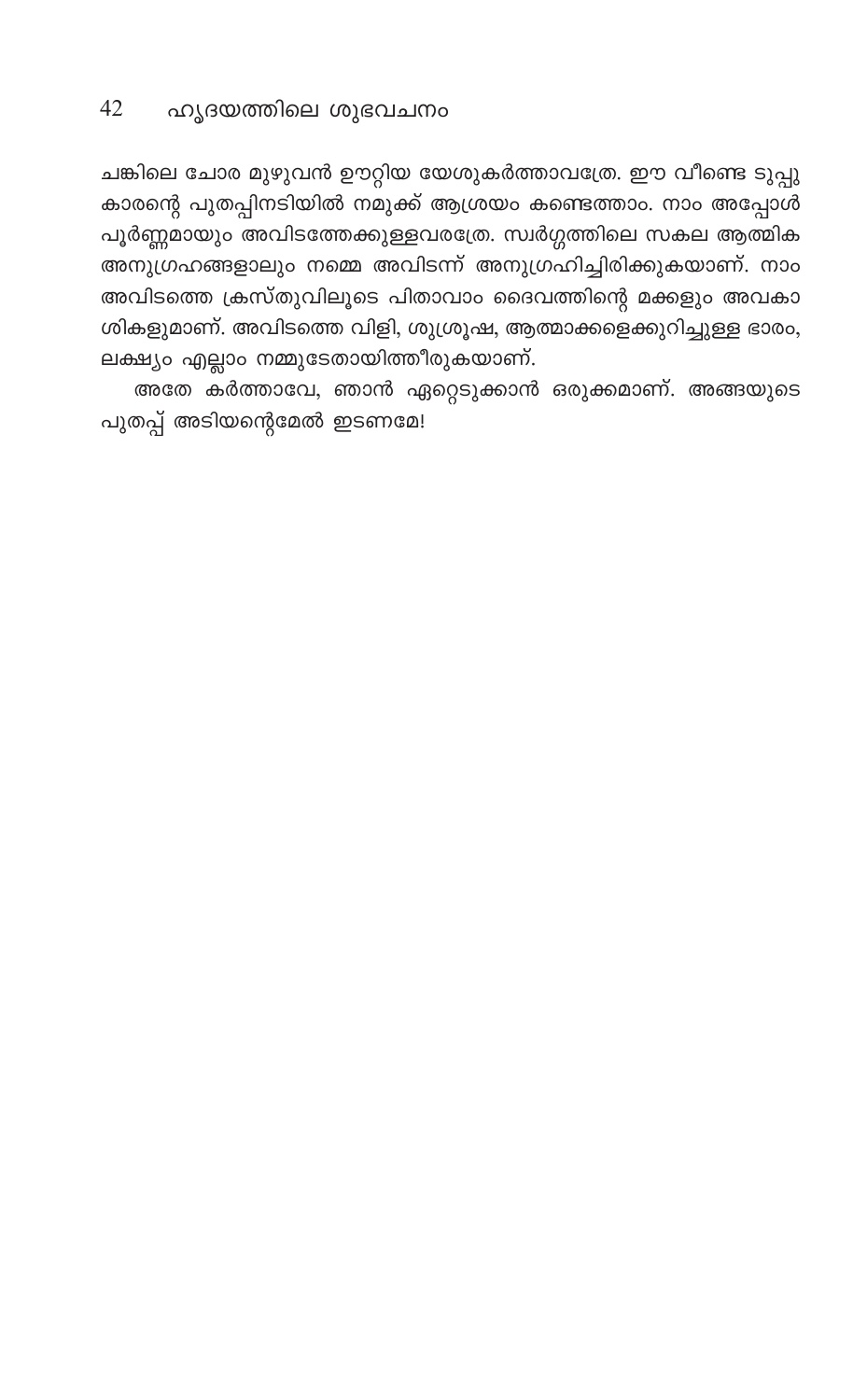#### ഹ്യദയത്തിലെ ശുഭവചനം 42

ചങ്കിലെ ചോര മുഴുവൻ ഊറ്റിയ യേശുകർത്താവത്രേ. ഈ വീണ്ടെ ടുപ്പു .<br>കാരന്റെ പുതപ്പിനടിയിൽ നമുക്ക് ആശ്രയം കണ്ടെത്താം. നാം അപ്പോൾ പൂർണ്ണമായും അവിടത്തേക്കുള്ളവരത്രേ. സ്വർഗ്ഗത്തിലെ സകല ആത്മിക അനുഗ്രഹങ്ങളാലും നമ്മെ അവിടന്ന് അനുഗ്രഹിച്ചിരിക്കുകയാണ്. നാം അവിടത്തെ ക്രസ്തുവിലൂടെ പിതാവാം ദൈവത്തിന്റെ മക്കളും അവകാ ശികളുമാണ്. അവിടത്തെ വിളി, ശുശ്രൂഷ, ആത്മാക്കളെക്കുറിച്ചുള്ള ഭാരം, ലക്ഷ്യം എല്ലാം നമ്മുടേതായിത്തീരുകയാണ്.

അതേ കർത്താവേ, ഞാൻ ഏറ്റെടുക്കാൻ ഒരുക്കമാണ്. അങ്ങയുടെ പുതപ്പ് അടിയന്റെമേൽ ഇടണമേ!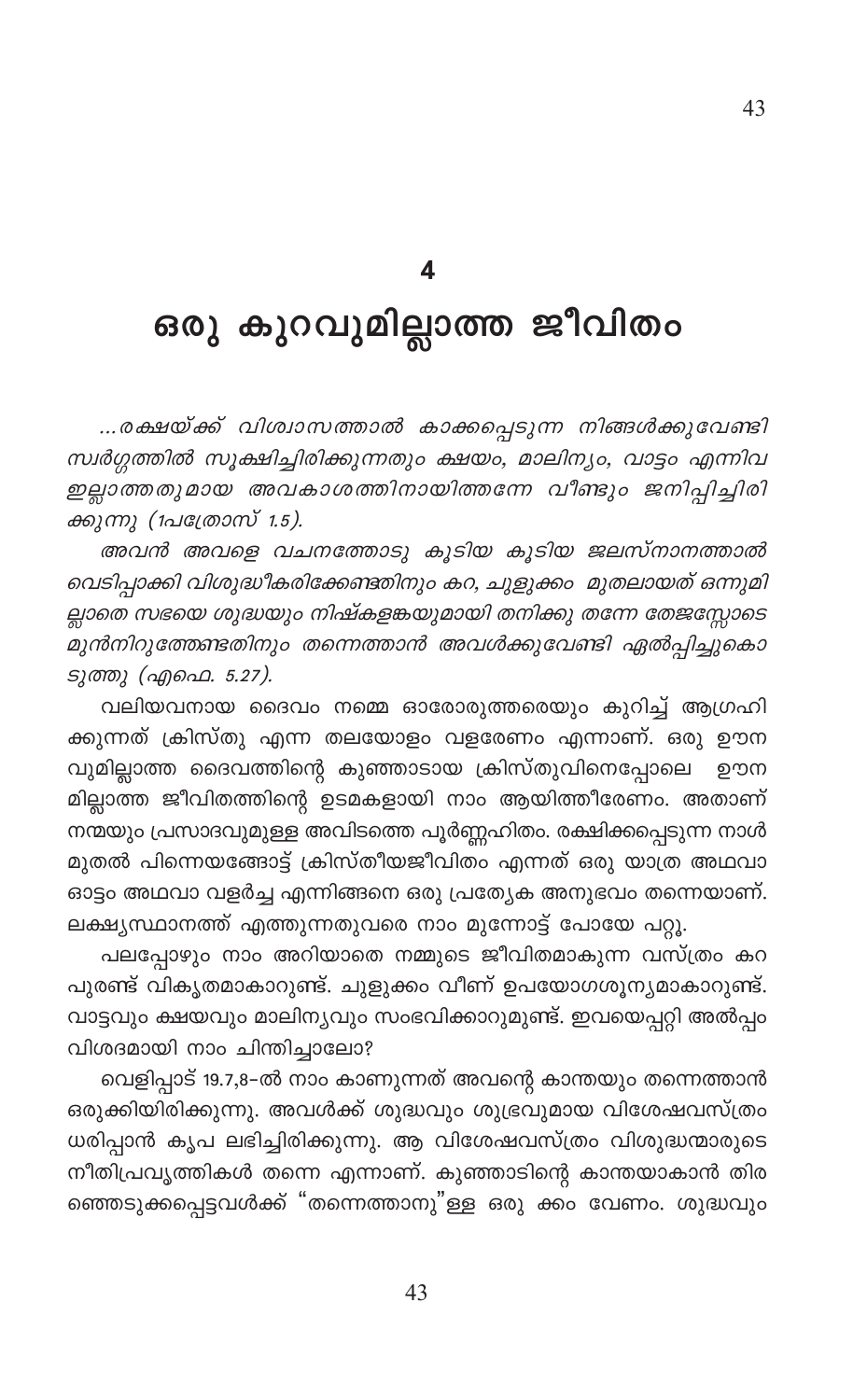4

# ഒരു കുറവുമില്ലാത്ത ജീവിതം

...രക്ഷയ്ക്ക് വിശ്വാസത്താൽ കാക്കപ്പെടുന്ന നിങ്ങൾക്കുവേണ്ടി സ്വർഗ്ഗത്തിൽ സൂക്ഷിച്ചിരിക്കുന്നതും ക്ഷയം, മാലിന്യം, വാട്ടം എന്നിവ ഇല്ലാത്തതുമായ അവകാശത്തിനായിത്തന്നേ വീണ്ടും ജനിപ്പിച്ചിരി ക്കുന്നു (1പത്രോസ് 1.5).

അവൻ അവളെ വചനത്തോടു കൂടിയ കൂടിയ ജലസ്നാനത്താൽ വെടിപ്പാക്കി വിശുദ്ധീകരിക്കേണ്ടതിനും കറ, ചുളുക്കം മുതലായത് ഒന്നുമി ല്ലാതെ സഭയെ ശുദ്ധയും നിഷ്കളങ്കയുമായി തനിക്കു തന്നേ തേജസ്സോടെ മുൻനിറുത്തേണ്ടതിനും തന്നെത്താൻ അവൾക്കുവേണ്ടി ഏൽപ്പിച്ചുകൊ ടുത്തു (എഫെ. 5.27).

വലിയവനായ ദൈവം നമ്മെ ഓരോരുത്തരെയും കുറിച്ച് ആഗ്രഹി ക്കുന്നത് ക്രിസ്തു എന്ന തലയോളം വളരേണം എന്നാണ്. ഒരു ഊന വുമില്ലാത്ത ദൈവത്തിന്റെ കുഞ്ഞാടായ ക്രിസ്തുവിനെപ്പോലെ ഊന മില്ലാത്ത ജീവിതത്തിന്റെ ഉടമകളായി നാം ആയിത്തീരേണം. അതാണ് നന്മയും പ്രസാദവുമുള്ള അവിടത്തെ പൂർണ്ണഹിതം. രക്ഷിക്കപ്പെടുന്ന നാൾ മുതൽ പിന്നെയങ്ങോട്ട് ക്രിസ്തീയജീവിതം എന്നത് ഒരു യാത്ര അഥവാ ഓട്ടം അഥവാ വളർച്ച എന്നിങ്ങനെ ഒരു പ്രത്യേക അനുഭവം തന്നെയാണ്. ലക്ഷ്യസ്ഥാനത്ത് എത്തുന്നതുവരെ നാം മുന്നോട്ട് പോയേ പറ്റൂ.

പലപ്പോഴും നാം അറിയാതെ നമ്മുടെ ജീവിതമാകുന്ന വസ്ത്രം കറ പുരണ്ട് വികൃതമാകാറുണ്ട്. ചുളുക്കം വീണ് ഉപയോഗശൂന്യമാകാറുണ്ട്. വാട്ടവും ക്ഷയവും മാലിനൃവും സംഭവിക്കാറുമുണ്ട്. ഇവയെപ്പറ്റി അൽപ്പം വിശദമായി നാം ചിന്തിച്ചാലോ?

വെളിപ്പാട് 19.7,8-ൽ നാം കാണുന്നത് അവന്റെ കാന്തയും തന്നെത്താൻ ഒരുക്കിയിരിക്കുന്നു. അവൾക്ക് ശുദ്ധവും ശുഭ്രവുമായ വിശേഷവസ്ത്രം ധരിപ്പാൻ കൃപ ലഭിച്ചിരിക്കുന്നു. ആ വിശേഷവസ്ത്രം വിശുദ്ധന്മാരുടെ നീതിപ്രവൃത്തികൾ തന്നെ എന്നാണ്. കുഞ്ഞാടിന്റെ കാന്തയാകാൻ തിര ഞ്ഞെടുക്കപ്പെട്ടവൾക്ക് "തന്നെത്താനു"ള്ള ഒരു ക്കം വേണം. ശുദ്ധവും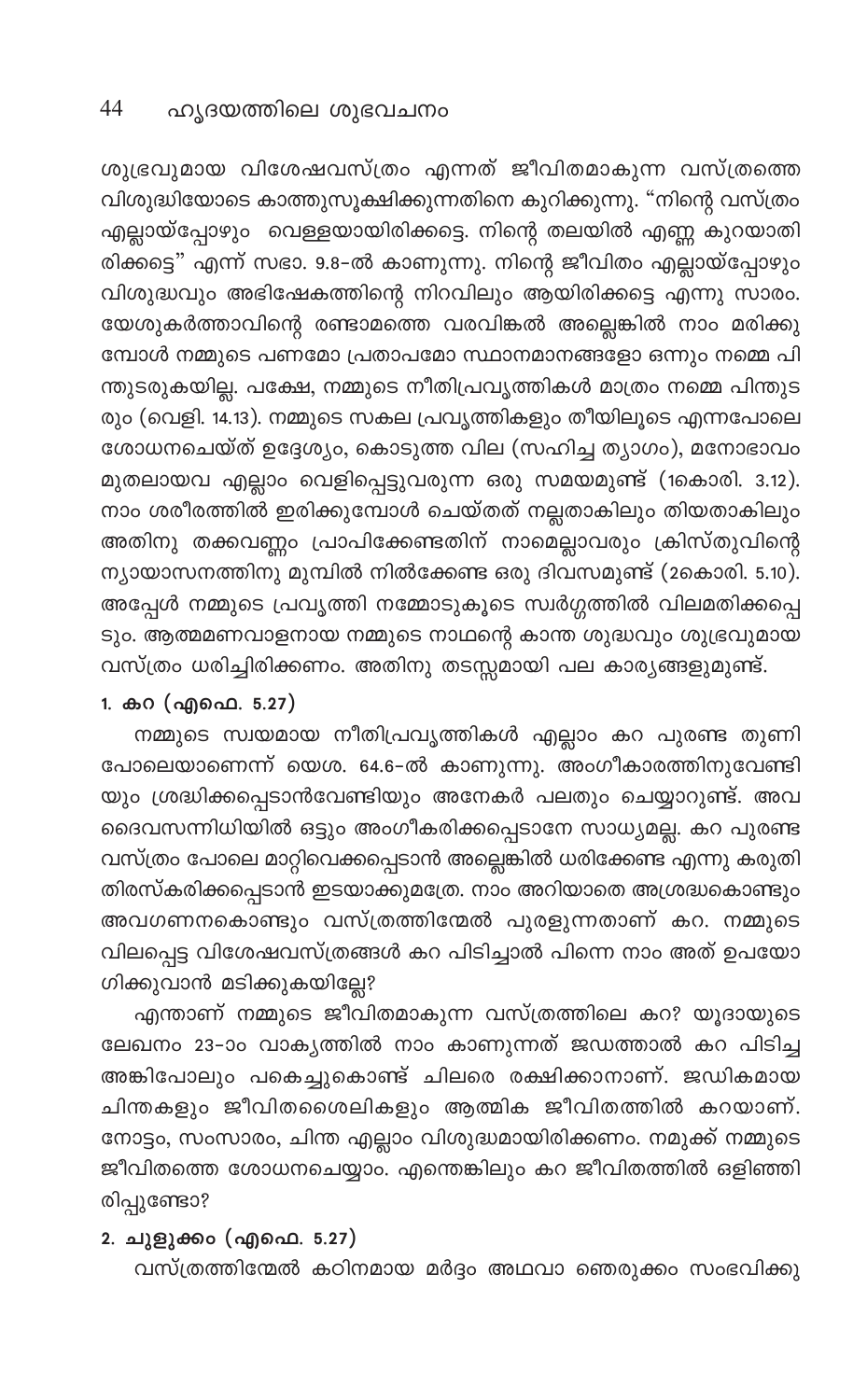ശുഭ്രവുമായ വിശേഷവസ്ത്രം എന്നത് ജീവിതമാകുന്ന വസ്ത്രത്തെ വിശുദ്ധിയോടെ കാത്തുസൂക്ഷിക്കുന്നതിനെ കുറിക്കുന്നു. "നിന്റെ വസ്ത്രം എല്ലായ്പ്പോഴും വെള്ളയായിരിക്കട്ടെ. നിന്റെ തലയിൽ എണ്ണ കുറയാതി രിക്കട്ടെ" എന്ന് സഭാ. 9.8-ൽ കാണുന്നു. നിന്റെ ജീവിതം എല്ലായ്പ്പോഴും വിശുദ്ധവും അഭിഷേകത്തിന്റെ നിറവിലും ആയിരിക്കട്ടെ എന്നു സാരം. യേശുകർത്താവിന്റെ രണ്ടാമത്തെ വരവിങ്കൽ അല്ലെങ്കിൽ നാം മരിക്കു മ്പോൾ നമ്മുടെ പണമോ പ്രതാപമോ സ്ഥാനമാനങ്ങളോ ഒന്നും നമ്മെ പി ന്തുടരുകയില്ല. പക്ഷേ, നമ്മുടെ നീതിപ്രവൃത്തികൾ മാത്രം നമ്മെ പിന്തുട രും (വെളി. 14.13). നമ്മുടെ സകല പ്രവൃത്തികളും തീയിലൂടെ എന്നപോലെ ശോധനചെയ്ത് ഉദ്ദേശ്യം, കൊടുത്ത വില (സഹിച്ച ത്യാഗം), മനോഭാവം മുതലായവ എല്ലാം വെളിപ്പെട്ടുവരുന്ന ഒരു സമയമുണ്ട് (1കൊരി. 3.12). നാം ശരീരത്തിൽ ഇരിക്കുമ്പോൾ ചെയ്തത് നല്ലതാകിലും തിയതാകിലും അതിനു തക്കവണ്ണം പ്രാപിക്കേണ്ടതിന് നാമെല്ലാവരും ക്രിസ്തുവിന്റെ ന്യായാസനത്തിനു മുമ്പിൽ നിൽക്കേണ്ട ഒരു ദിവസമുണ്ട് (2കൊരി. 5.10). അപ്പേൾ നമ്മുടെ പ്രവൃത്തി നമ്മോടുകൂടെ സ്വർഗ്ഗത്തിൽ വിലമതിക്കപ്പെ ടും. ആത്മമണവാളനായ നമ്മുടെ നാഥന്റെ കാന്ത ശുദ്ധവും ശുഭ്രവുമായ വസ്ത്രം ധരിച്ചിരിക്കണം. അതിനു തടസ്സമായി പല കാര്യങ്ങളുമുണ്ട്.

#### 1. കറ (എഫെ. 5.27)

നമ്മുടെ സ്വയമായ നീതിപ്രവൃത്തികൾ എല്ലാം കറ പുരണ്ട തുണി പോലെയാണെന്ന് യെശ. 64.6–ൽ കാണുന്നു. അംഗീകാരത്തിനുവേണ്ടി യും ശ്രദ്ധിക്കപ്പെടാൻവേണ്ടിയും അനേകർ പലതും ചെയ്യാറുണ്ട്. അവ ദൈവസന്നിധിയിൽ ഒട്ടും അംഗീകരിക്കപ്പെടാനേ സാധ്യമല്ല. കറ പുരണ്ട വസ്ത്രം പോലെ മാറ്റിവെക്കപ്പെടാൻ അല്ലെങ്കിൽ ധരിക്കേണ്ട എന്നു കരുതി തിരസ്കരിക്കപ്പെടാൻ ഇടയാക്കുമത്രേ. നാം അറിയാതെ അശ്രദ്ധകൊണ്ടും അവഗണനകൊണ്ടും വസ്ത്രത്തിന്മേൽ പുരളുന്നതാണ് കറ. നമ്മുടെ വിലപ്പെട്ട വിശേഷവസ്ത്രങ്ങൾ കറ പിടിച്ചാൽ പിന്നെ നാം അത് ഉപയോ ഗിക്കുവാൻ മടിക്കുകയില്ലേ?

എന്താണ് നമ്മുടെ ജീവിതമാകുന്ന വസ്ത്രത്തിലെ കറ? യൂദായുടെ ലേഖനം 23-ാം വാകൃത്തിൽ നാം കാണുന്നത് ജഡത്താൽ കറ പിടിച്ച അങ്കിപോലും പകെച്ചുകൊണ്ട് ചിലരെ രക്ഷിക്കാനാണ്. ജഡികമായ ചിന്തകളും ജീവിതശൈലികളും ആത്മിക ജീവിതത്തിൽ കറയാണ്. നോട്ടം, സംസാരം, ചിന്ത എല്ലാം വിശുദ്ധമായിരിക്കണം. നമുക്ക് നമ്മുടെ ജീവിതത്തെ ശോധനചെയ്യാം. എന്തെങ്കിലും കറ ജീവിതത്തിൽ ഒളിഞ്ഞി രിപ്പുണ്ടോ?

#### 2. ചുളുക്കം (എഫെ. 5.27)

വസ്ത്രത്തിന്മേൽ കഠിനമായ മർദ്ദം അഥവാ ഞെരുക്കം സംഭവിക്കു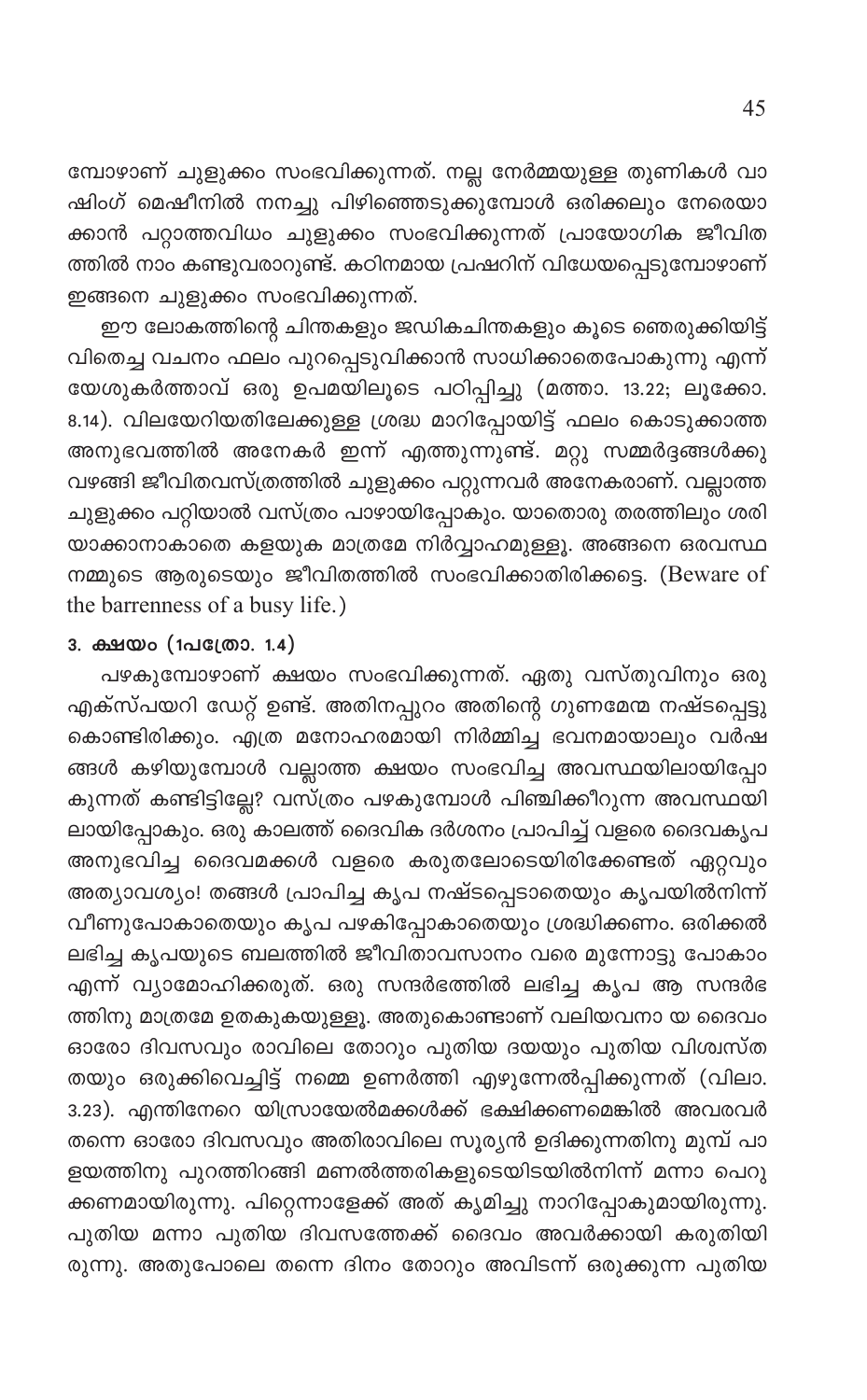മ്പോഴാണ് ചുളുക്കം സംഭവിക്കുന്നത്. നല്ല നേർമ്മയുള്ള തുണികൾ വാ ഷിംഗ് മെഷീനിൽ നനച്ചു പിഴിഞ്ഞെടുക്കുമ്പോൾ ഒരിക്കലും നേരെയാ ക്കാൻ പറ്റാത്തവിധം ചുളുക്കം സംഭവിക്കുന്നത് പ്രായോഗിക ജീവിത ത്തിൽ നാം കണ്ടുവരാറുണ്ട്. കഠിനമായ പ്രഷറിന് വിധേയപ്പെടുമ്പോഴാണ് ഇങ്ങനെ ചുളുക്കം സംഭവിക്കുന്നത്.

ഈ ലോകത്തിന്റെ ചിന്തകളും ജഡികചിന്തകളും കൂടെ ഞെരുക്കിയിട്ട് വിതെച്ച വചനം ഫലം പുറപ്പെടുവിക്കാൻ സാധിക്കാതെപോകുന്നു എന്ന് യേശുകർത്താവ് ഒരു ഉപമയിലൂടെ പഠിപ്പിച്ചു (മത്താ. 13.22; ലൂക്കോ. 8.14). വിലയേറിയതിലേക്കുള്ള ശ്രദ്ധ മാറിപ്പോയിട്ട് ഫലം കൊടുക്കാത്ത അനുഭവത്തിൽ അനേകർ ഇന്ന് എത്തുന്നുണ്ട്. മറ്റു സമ്മർദ്ദങ്ങൾക്കു വഴങ്ങി ജീവിതവസ്ത്രത്തിൽ ചുളുക്കം പറ്റുന്നവർ അനേകരാണ്. വല്ലാത്ത ചുളുക്കം പറ്റിയാൽ വസ്ത്രം പാഴായിപ്പോകും. യാതൊരു തരത്തിലും ശരി യാക്കാനാകാതെ കളയുക മാത്രമേ നിർവ്വാഹമുള്ളൂ. അങ്ങനെ ഒരവസ്ഥ നമ്മുടെ ആരുടെയും ജീവിതത്തിൽ സംഭവിക്കാതിരിക്കട്ടെ. (Beware of the barrenness of a busy life.)

#### 3. ക്ഷയം (1പക്രോ. 1.4)

പഴകുമ്പോഴാണ് ക്ഷയം സംഭവിക്കുന്നത്. ഏതു വസ്തുവിനും ഒരു എക്സ്പയറി ഡേറ്റ് ഉണ്ട്. അതിനപ്പുറം അതിന്റെ ഗുണമേന്മ നഷ്ടപ്പെട്ടു കൊണ്ടിരിക്കും. എത്ര മനോഹരമായി നിർമ്മിച്ച ഭവനമായാലും വർഷ ങ്ങൾ കഴിയുമ്പോൾ വല്ലാത്ത ക്ഷയം സംഭവിച്ച അവസ്ഥയിലായിപ്പോ കുന്നത് കണ്ടിട്ടില്ലേ? വസ്ത്രം പഴകുമ്പോൾ പിഞ്ചിക്കീറുന്ന അവസ്ഥയി ലായിപ്പോകും. ഒരു കാലത്ത് ദൈവിക ദർശനം പ്രാപിച്ച് വളരെ ദൈവകൃപ അനുഭവിച്ച ദൈവമക്കൾ വളരെ കരുതലോടെയിരിക്കേണ്ടത് ഏറ്റവും അത്യാവശ്യം! തങ്ങൾ പ്രാപിച്ച കൃപ നഷ്ടപ്പെടാതെയും കൃപയിൽനിന്ന് വീണുപോകാതെയും കൃപ പഴകിപ്പോകാതെയും ശ്രദ്ധിക്കണം. ഒരിക്കൽ ലഭിച്ച കൃപയുടെ ബലത്തിൽ ജീവിതാവസാനം വരെ മുന്നോട്ടു പോകാം എന്ന് വ്യാമോഹിക്കരുത്. ഒരു സന്ദർഭത്തിൽ ലഭിച്ച കൃപ ആ സന്ദർഭ ത്തിനു മാത്രമേ ഉതകുകയുള്ളൂ. അതുകൊണ്ടാണ് വലിയവനാ യ ദൈവം ഓരോ ദിവസവും രാവിലെ തോറും പുതിയ ദയയും പുതിയ വിശ്വസ്ത തയും ഒരുക്കിവെച്ചിട്ട് നമ്മെ ഉണർത്തി എഴുന്നേൽപ്പിക്കുന്നത് (വിലാ. 3.23). എന്തിനേറെ യിസ്രായേൽമക്കൾക്ക് ഭക്ഷിക്കണമെങ്കിൽ അവരവർ തന്നെ ഓരോ ദിവസവും അതിരാവിലെ സൂര്യൻ ഉദിക്കുന്നതിനു മുമ്പ് പാ ളയത്തിനു പുറത്തിറങ്ങി മണൽത്തരികളുടെയിടയിൽനിന്ന് മന്നാ പെറു ക്കണമായിരുന്നു. പിറ്റെന്നാളേക്ക് അത് കൃമിച്ചു നാറിപ്പോകുമായിരുന്നു. പുതിയ മന്നാ പുതിയ ദിവസത്തേക്ക് ദൈവം അവർക്കായി കരുതിയി രുന്നു. അതുപോലെ തന്നെ ദിനം തോറും അവിടന്ന് ഒരുക്കുന്ന പുതിയ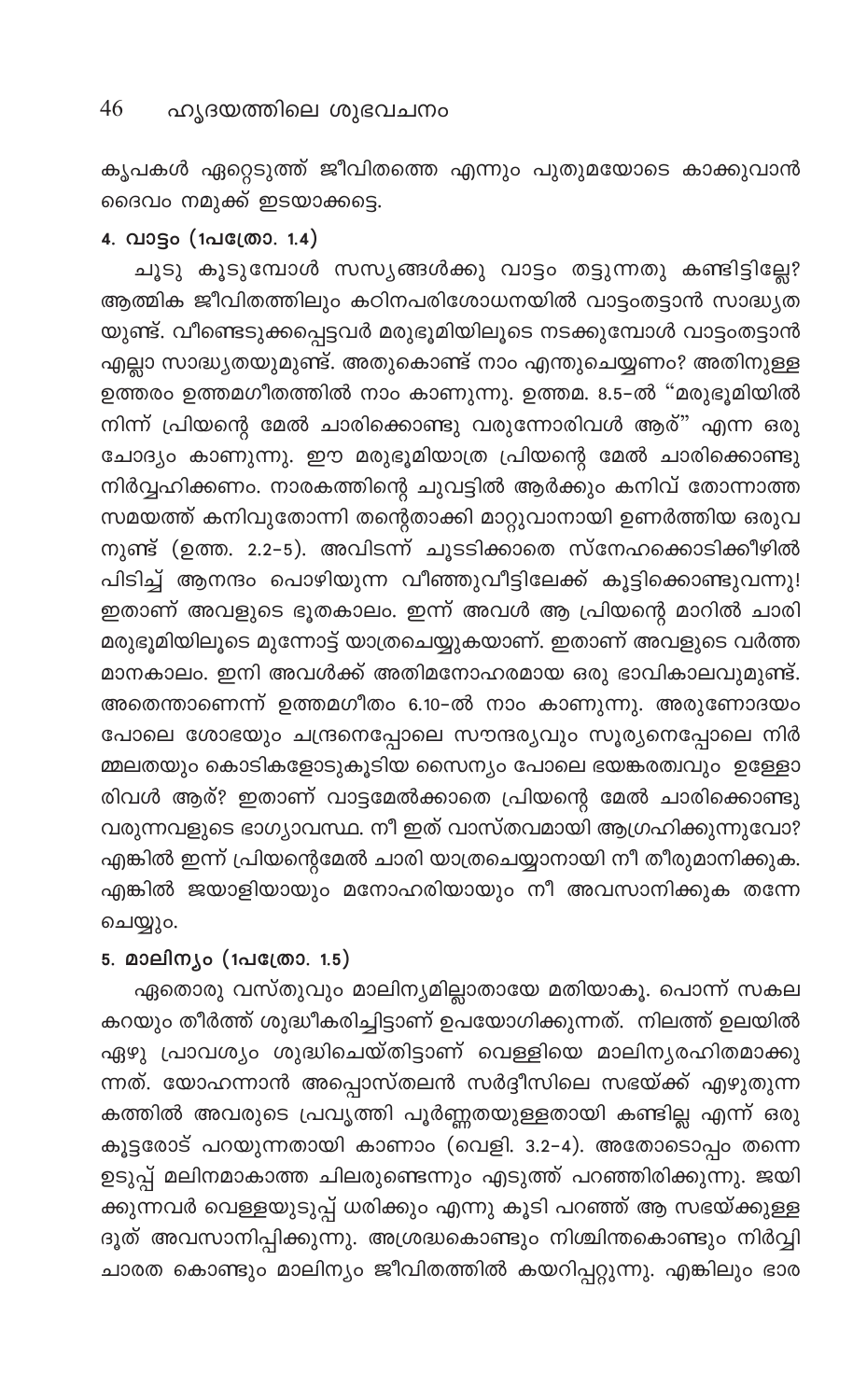കൃപകൾ ഏറ്റെടുത്ത് ജീവിതത്തെ എന്നും പുതുമയോടെ കാക്കുവാൻ ദൈവം നമുക്ക് ഇടയാക്കട്ടെ.

#### 4. വാട്ടം (1പക്രോ. 1.4)

ചൂടു കൂടുമ്പോൾ സസ്യങ്ങൾക്കു വാട്ടം തട്ടുന്നതു കണ്ടിട്ടില്ലേ? ആത്മിക ജീവിതത്തിലും കഠിനപരിശോധനയിൽ വാട്ടംതട്ടാൻ സാദ്ധ്യത യുണ്ട്. വീണ്ടെടുക്കപ്പെട്ടവർ മരുഭൂമിയിലൂടെ നടക്കുമ്പോൾ വാട്ടംതട്ടാൻ എല്ലാ സാദ്ധ്യതയുമുണ്ട്. അതുകൊണ്ട് നാം എന്തുചെയ്യണം? അതിനുള്ള ഉത്തരം ഉത്തമഗീതത്തിൽ നാം കാണുന്നു. ഉത്തമ. 8.5-ൽ "മരുഭൂമിയിൽ നിന്ന് പ്രിയന്റെ മേൽ ചാരിക്കൊണ്ടു വരുന്നോരിവൾ ആര്" എന്ന ഒരു ചോദ്യം കാണുന്നു. ഈ മരുഭൂമിയാത്ര പ്രിയന്റെ മേൽ ചാരിക്കൊണ്ടു നിർവ്വഹിക്കണം. നാരകത്തിന്റെ ചുവട്ടിൽ ആർക്കും കനിവ് തോന്നാത്ത സമയത്ത് കനിവുതോന്നി തന്റെതാക്കി മാറ്റുവാനായി ഉണർത്തിയ ഒരുവ നുണ്ട് (ഉത്ത. 2.2-5). അവിടന്ന് ചൂടടിക്കാതെ സ്നേഹക്കൊടിക്കീഴിൽ പിടിച്ച് ആനന്ദം പൊഴിയുന്ന വീഞ്ഞുവീട്ടിലേക്ക് കൂട്ടിക്കൊണ്ടുവന്നു! ഇതാണ് അവളുടെ ഭൂതകാലം. ഇന്ന് അവൾ ആ പ്രിയന്റെ മാറിൽ ചാരി മരുഭൂമിയിലൂടെ മുന്നോട്ട് യാത്രചെയ്യുകയാണ്. ഇതാണ് അവളുടെ വർത്ത മാനകാലം. ഇനി അവൾക്ക് അതിമനോഹരമായ ഒരു ഭാവികാലവുമുണ്ട്. അതെന്താണെന്ന് ഉത്തമഗീതം 6.10-ൽ നാം കാണുന്നു. അരുണോദയം പോലെ ശോഭയും ചന്ദ്രനെപ്പോലെ സൗന്ദര്യവും സൂര്യനെപ്പോലെ നിർ മ്മലതയും കൊടികളോടുകൂടിയ സൈന്യം പോലെ ഭയങ്കരത്വവും ഉള്ളോ രിവൾ ആര്? ഇതാണ് വാട്ടമേൽക്കാതെ പ്രിയന്റെ മേൽ ചാരിക്കൊണ്ടു വരുന്നവളുടെ ഭാഗ്യാവസ്ഥ. നീ ഇത് വാസ്തവമായി ആഗ്രഹിക്കുന്നുവോ? എങ്കിൽ ഇന്ന് പ്രിയന്റെമേൽ ചാരി യാത്രചെയ്യാനായി നീ തീരുമാനിക്കുക. എങ്കിൽ ജയാളിയായും മനോഹരിയായും നീ അവസാനിക്കുക തന്നേ ചെയ്യും.

### 5. മാലിന്യം (1പത്രോ. 1.5)

ഏതൊരു വസ്തുവും മാലിന്യമില്ലാതായേ മതിയാകൂ. പൊന്ന് സകല കറയും തീർത്ത് ശുദ്ധീകരിച്ചിട്ടാണ് ഉപയോഗിക്കുന്നത്. നിലത്ത് ഉലയിൽ ഏഴു പ്രാവശ്യം ശുദ്ധിചെയ്തിട്ടാണ് വെള്ളിയെ മാലിന്യരഹിതമാക്കു ന്നത്. യോഹന്നാൻ അപ്പൊസ്തലൻ സർദ്ദീസിലെ സഭയ്ക്ക് എഴുതുന്ന കത്തിൽ അവരുടെ പ്രവൃത്തി പൂർണ്ണതയുള്ളതായി കണ്ടില്ല എന്ന് ഒരു കൂട്ടരോട് പറയുന്നതായി കാണാം (വെളി. 3.2-4). അതോടൊപ്പം തന്നെ ഉടുപ്പ് മലിനമാകാത്ത ചിലരുണ്ടെന്നും എടുത്ത് പറഞ്ഞിരിക്കുന്നു. ജയി ക്കുന്നവർ വെള്ളയുടുപ്പ് ധരിക്കും എന്നു കൂടി പറഞ്ഞ് ആ സഭയ്ക്കുള്ള ദൂത് അവസാനിപ്പിക്കുന്നു. അശ്രദ്ധകൊണ്ടും നിശ്ചിന്തകൊണ്ടും നിർവ്വി ചാരത കൊണ്ടും മാലിന്യം ജീവിതത്തിൽ കയറിപ്പറ്റുന്നു. എങ്കിലും ഭാര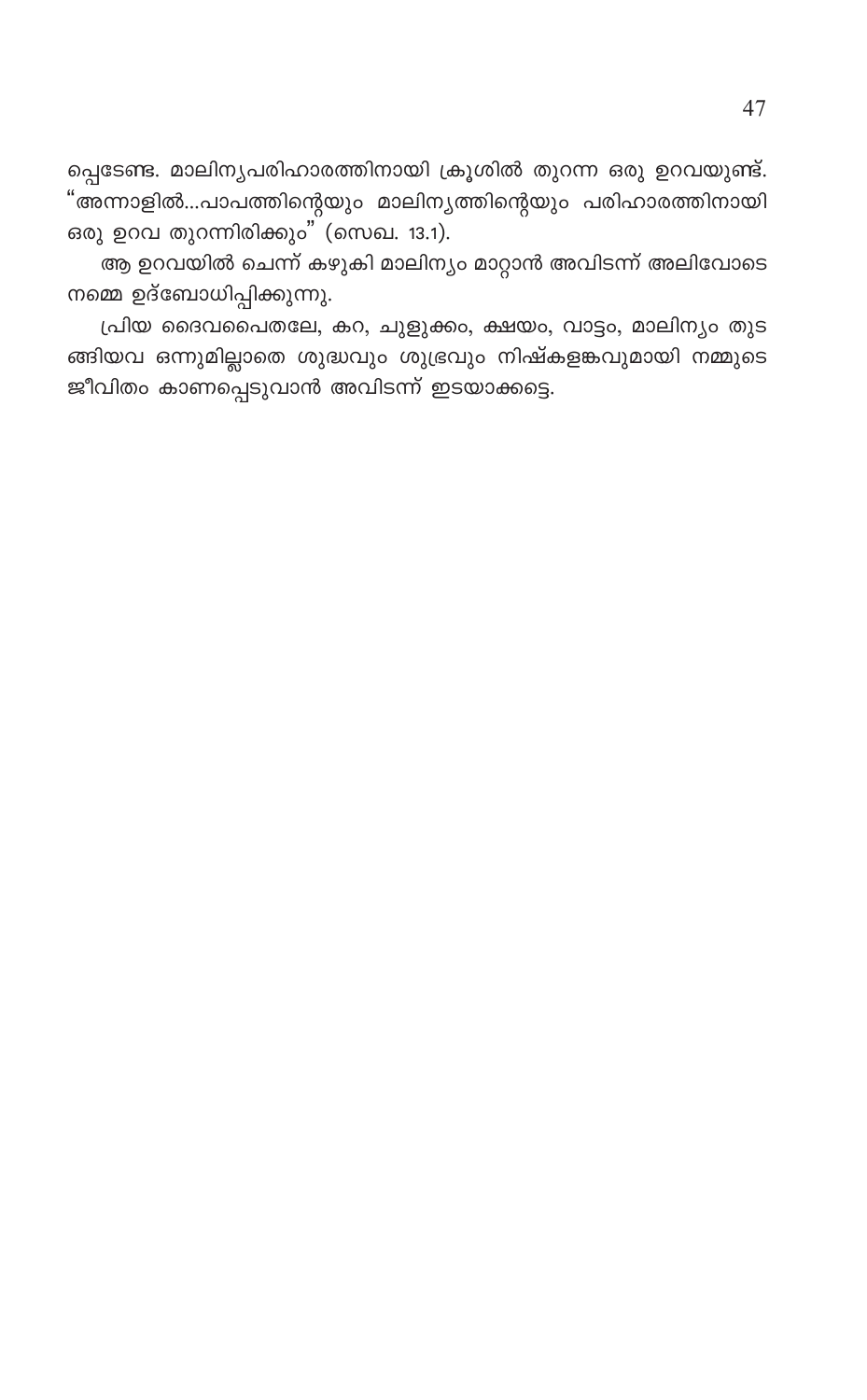പ്പെടേണ്ട. മാലിന്യപരിഹാരത്തിനായി ക്രൂശിൽ തുറന്ന ഒരു ഉറവയുണ്ട്. " അന്നാളിൽ…പാപത്തിന്റെയും മാലിന്യത്തിന്റെയും പരിഹാരത്തിനായി ഒരു ഉറവ തുറന്നിരിക്കും" (സെഖ. 13.1).

ആ ഉറവയിൽ ചെന്ന് കഴുകി മാലിന്യം മാറ്റാൻ അവിടന്ന് അലിവോടെ നമ്മെ ഉദ്ബോധിപ്പിക്കുന്നു.

പ്രിയ ദൈവപൈതലേ, കറ, ചുളുക്കം, ക്ഷയം, വാട്ടം, മാലിന്യം തുട ങ്ങിയവ ഒന്നുമില്ലാതെ ശുദ്ധവും ശുഭ്രവും നിഷ്കളങ്കവുമായി നമ്മുടെ ജീവിതം കാണപ്പെടുവാൻ അവിടന്ന് ഇടയാക്കട്ടെ.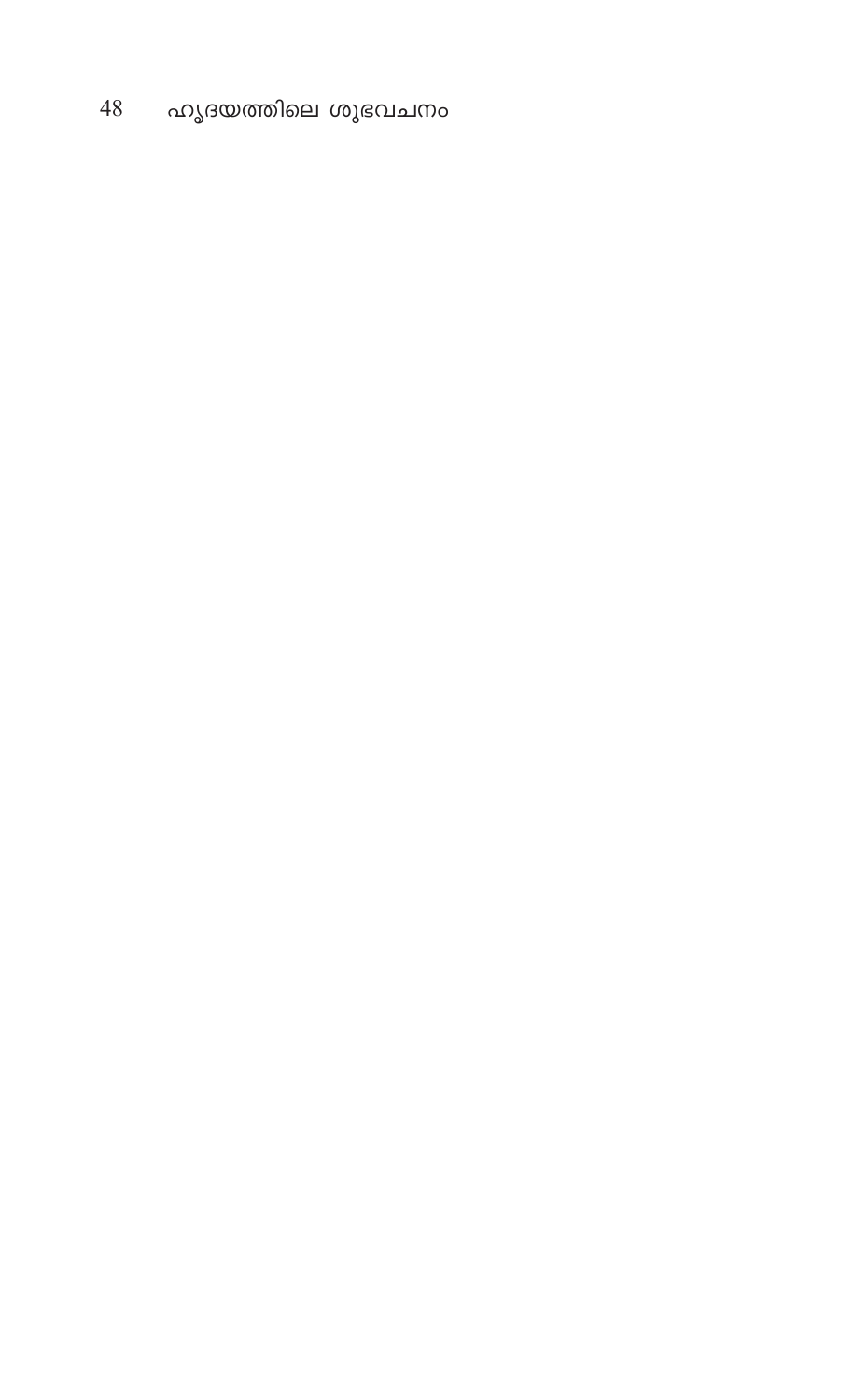# 48 ഹൃദയത്തിലെ ശുഭവചനം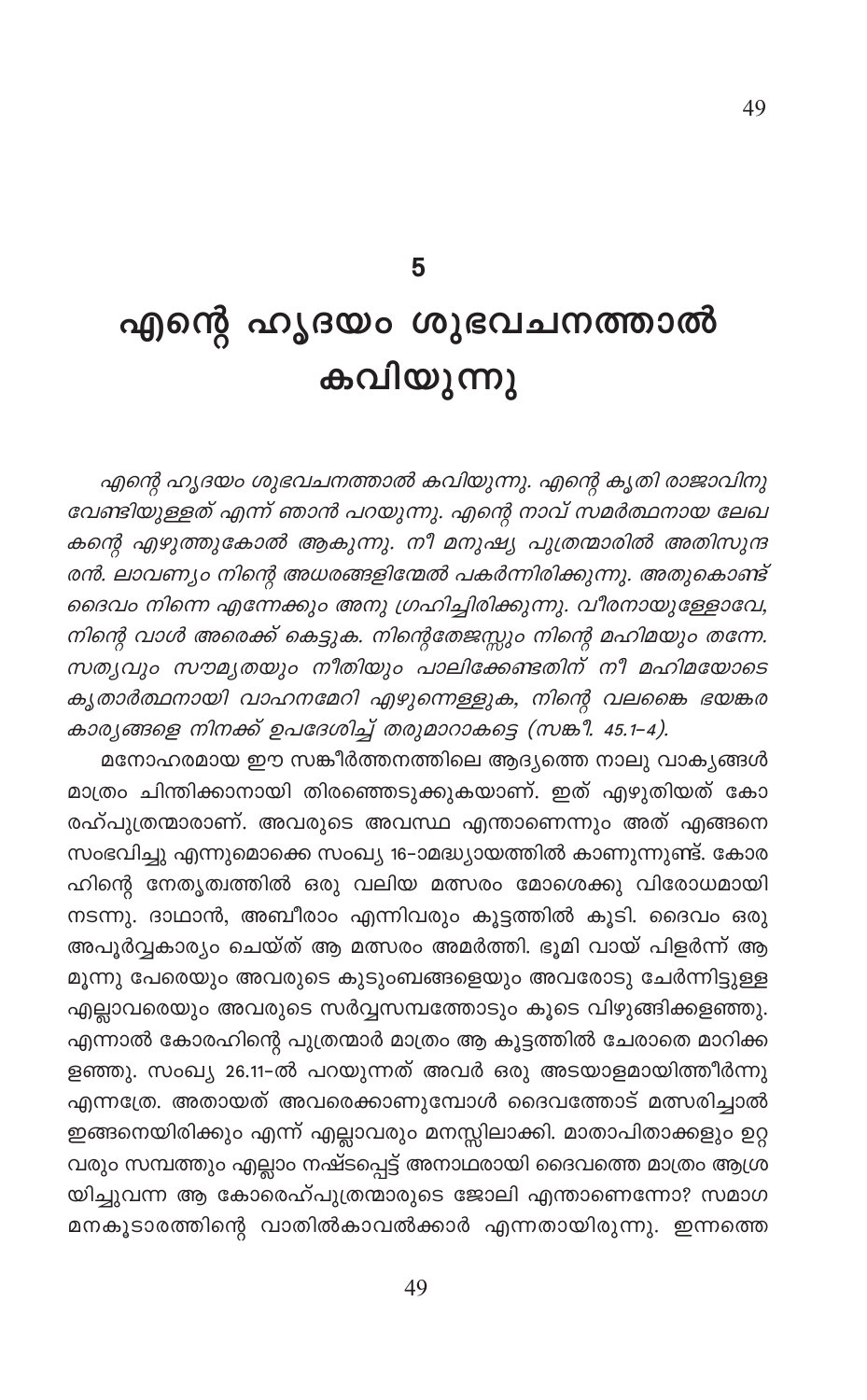5

# എന്റെ ഹൃദയം ശുഭവചനത്താൽ കവിയുന്നു

എന്റെ ഹൃദയം ശുഭവചനത്താൽ കവിയുന്നു. എന്റെ കൃതി രാജാവിനു വേണ്ടിയുള്ളത് എന്ന് ഞാൻ പറയുന്നു. എന്റെ നാവ് സമർത്ഥനായ ലേഖ കന്റെ എഴുത്തുകോൽ ആകുന്നു. നീ മനുഷ്യ പുത്രന്മാരിൽ അതിസുന്ദ രൻ. ലാവണ്യം നിന്റെ അധരങ്ങളിന്മേൽ പകർന്നിരിക്കുന്നു. അതുകൊണ്ട് ദൈവം നിന്നെ എന്നേക്കും അനു ഗ്രഹിച്ചിരിക്കുന്നു. വീരനായുള്ളോവേ, നിന്റെ വാൾ അരെക്ക് കെട്ടുക. നിന്റെതേജസ്സും നിന്റെ മഹിമയും തന്നേ. സത്യവും സൗമ്യതയും നീതിയും പാലിക്കേണ്ടതിന് നീ മഹിമയോടെ കൃതാർത്ഥനായി വാഹനമേറി എഴുന്നെള്ളുക, നിന്റെ വലങ്കൈ ഭയങ്കര കാര്യങ്ങളെ നിനക്ക് ഉപദേശിച്ച് തരുമാറാകട്ടെ (സങ്കീ. 45.1-4).

മനോഹരമായ ഈ സങ്കീർത്തനത്തിലെ ആദ്യത്തെ നാലു വാക്യങ്ങൾ മാത്രം ചിന്തിക്കാനായി തിരഞ്ഞെടുക്കുകയാണ്. ഇത് എഴുതിയത് കോ രഹ്പുത്രന്മാരാണ്. അവരുടെ അവസ്ഥ എന്താണെന്നും അത് എങ്ങനെ സംഭവിച്ചു എന്നുമൊക്കെ സംഖ്യ 16–ാമദ്ധ്യായത്തിൽ കാണുന്നുണ്ട്. കോര ഹിന്റെ നേതൃത്വത്തിൽ ഒരു വലിയ മത്സരം മോശെക്കു വിരോധമായി നടന്നു. ദാഥാൻ, അബീരാം എന്നിവരും കൂട്ടത്തിൽ കൂടി. ദൈവം ഒരു അപൂർവ്വകാര്യം ചെയ്ത് ആ മത്സരം അമർത്തി. ഭൂമി വായ് പിളർന്ന് ആ മൂന്നു പേരെയും അവരുടെ കുടുംബങ്ങളെയും അവരോടു ചേർന്നിട്ടുള്ള എല്ലാവരെയും അവരുടെ സർവ്വസമ്പത്തോടും കൂടെ വിഴുങ്ങിക്കളഞ്ഞു. എന്നാൽ കോരഹിന്റെ പുത്രന്മാർ മാത്രം ആ കൂട്ടത്തിൽ ചേരാതെ മാറിക്ക ളഞ്ഞു. സംഖ്യ 26.11-ൽ പറയുന്നത് അവർ ഒരു അടയാളമായിത്തീർന്നു എന്നത്രേ. അതായത് അവരെക്കാണുമ്പോൾ ദൈവത്തോട് മത്സരിച്ചാൽ ഇങ്ങനെയിരിക്കും എന്ന് എല്ലാവരും മനസ്സിലാക്കി. മാതാപിതാക്കളും ഉറ്റ വരും സമ്പത്തും എല്ലാം നഷ്ടപ്പെട്ട് അനാഥരായി ദൈവത്തെ മാത്രം ആശ്ര യിച്ചുവന്ന ആ കോരെഹ്പുത്രന്മാരുടെ ജോലി എന്താണെന്നോ? സമാഗ മനകൂടാരത്തിന്റെ വാതിൽകാവൽക്കാർ എന്നതായിരുന്നു. ഇന്നത്തെ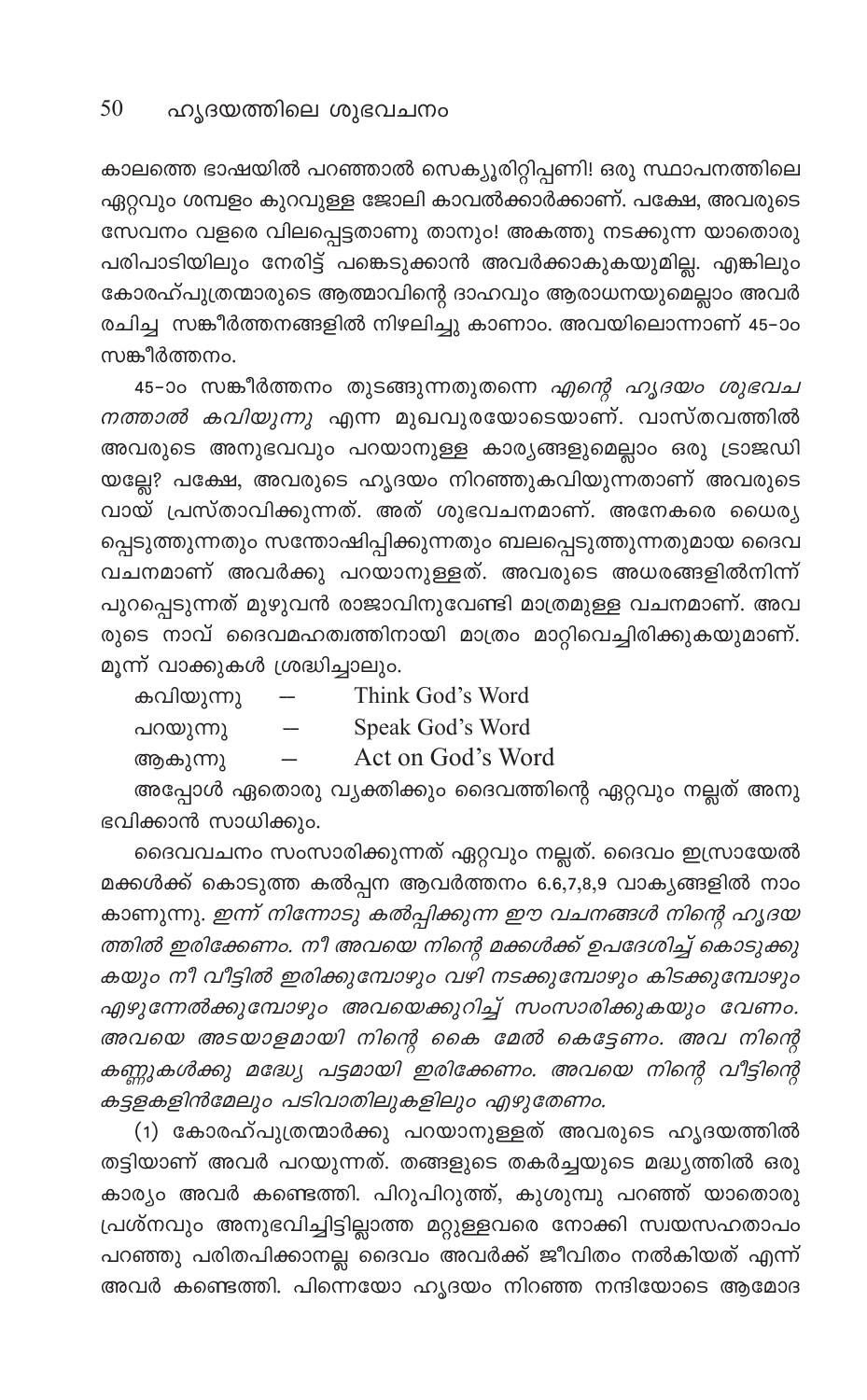കാലത്തെ ഭാഷയിൽ പറഞ്ഞാൽ സെക്യൂരിറ്റിപ്പണി! ഒരു സ്ഥാപനത്തിലെ ഏറ്റവും ശമ്പളം കുറവുള്ള ജോലി കാവൽക്കാർക്കാണ്. പക്ഷേ, അവരുടെ സേവനം വളരെ വിലപ്പെട്ടതാണു താനും! അകത്തു നടക്കുന്ന യാതൊരു പരിപാടിയിലും നേരിട്ട് പങ്കെടുക്കാൻ അവർക്കാകുകയുമില്ല. എങ്കിലും കോരഹ്പുത്രന്മാരുടെ ആത്മാവിന്റെ ദാഹവും ആരാധനയുമെല്ലാം അവർ രചിച്ച സങ്കീർത്തനങ്ങളിൽ നിഴലിച്ചു കാണാം. അവയിലൊന്നാണ് 45–ാം സങ്കീർത്തനം.

45-ാം സങ്കീർത്തനം തുടങ്ങുന്നതുതന്നെ *എന്റെ ഹൃദയം ശുഭവച നത്താൽ കവിയുന്നു* എന്ന മുഖവുരയോടെയാണ്. വാസ്തവത്തിൽ അവരുടെ അനുഭവവും പറയാനുള്ള കാര്യങ്ങളുമെല്ലാം ഒരു ട്രാജഡി യല്ലേ? പക്ഷേ, അവരുടെ ഹൃദയം നിറഞ്ഞുകവിയുന്നതാണ് അവരുടെ വായ് പ്രസ്താവിക്കുന്നത്. അത് ശുഭവചനമാണ്. അനേകരെ ധൈര്യ പ്പെടുത്തുന്നതും സന്തോഷിപ്പിക്കുന്നതും ബലപ്പെടുത്തുന്നതുമായ ദൈവ വചനമാണ് അവർക്കു പറയാനുള്ളത്. അവരുടെ അധരങ്ങളിൽനിന്ന് പുറപ്പെടുന്നത് മുഴുവൻ രാജാവിനുവേണ്ടി മാത്രമുള്ള വചനമാണ്. അവ രുടെ നാവ് ദൈവമഹത്വത്തിനായി മാത്രം മാറ്റിവെച്ചിരിക്കുകയുമാണ്. മൂന്ന് വാക്കുകൾ ശ്രദ്ധിച്ചാലും.

| കവിയുന്നു | -- | Think God's Word |
|-----------|----|------------------|
| പറയുന്നു  | -- | Speak God's Word |

Act on God's Word ആകുന്നു

അപ്പോൾ ഏതൊരു വ്യക്തിക്കും ദൈവത്തിന്റെ ഏറ്റവും നല്ലത് അനു ഭവിക്കാൻ സാധിക്കും.

ദൈവവചനം സംസാരിക്കുന്നത് ഏറ്റവും നല്ലത്. ദൈവം ഇസ്രായേൽ മക്കൾക്ക് കൊടുത്ത കൽപ്പന ആവർത്തനം 6.6,7,8,9 വാക്യങ്ങളിൽ നാം കാണുന്നു. *ഇന്ന് നിന്നോടു കൽപ്പിക്കുന്ന ഈ വചനങ്ങൾ നിന്റെ ഹൃദയ* ത്തിൽ ഇരിക്കേണം. നീ അവയെ നിന്റെ മക്കൾക്ക് ഉപദേശിച്ച് കൊടുക്കു കയും നീ വീട്ടിൽ ഇരിക്കുമ്പോഴും വഴി നടക്കുമ്പോഴും കിടക്കുമ്പോഴും എഴുന്നേൽക്കുമ്പോഴും അവയെക്കുറിച്ച് സംസാരിക്കുകയും വേണം. അവയെ അടയാളമായി നിന്റെ കൈ മേൽ കെട്ടേണം. അവ നിന്റെ കണ്ണുകൾക്കു മദ്ധ്യേ പട്ടമായി ഇരിക്കേണം. അവയെ നിന്റെ വീട്ടിന്റെ 

(1) കോരഹ്പുത്രന്മാർക്കു പറയാനുള്ളത് അവരുടെ ഹൃദയത്തിൽ തട്ടിയാണ് അവർ പറയുന്നത്. തങ്ങളുടെ തകർച്ചയുടെ മദ്ധ്യത്തിൽ ഒരു കാര്യം അവർ കണ്ടെത്തി. പിറുപിറുത്ത്, കുശുമ്പു പറഞ്ഞ് യാതൊരു പ്രശ്നവും അനുഭവിച്ചിട്ടില്ലാത്ത മറ്റുള്ളവരെ നോക്കി സ്വയസഹതാപം പറഞ്ഞു പരിതപിക്കാനല്ല ദൈവം അവർക്ക് ജീവിതം നൽകിയത് എന്ന് അവർ കണ്ടെത്തി. പിന്നെയോ ഹൃദയം നിറഞ്ഞ നന്ദിയോടെ ആമോദ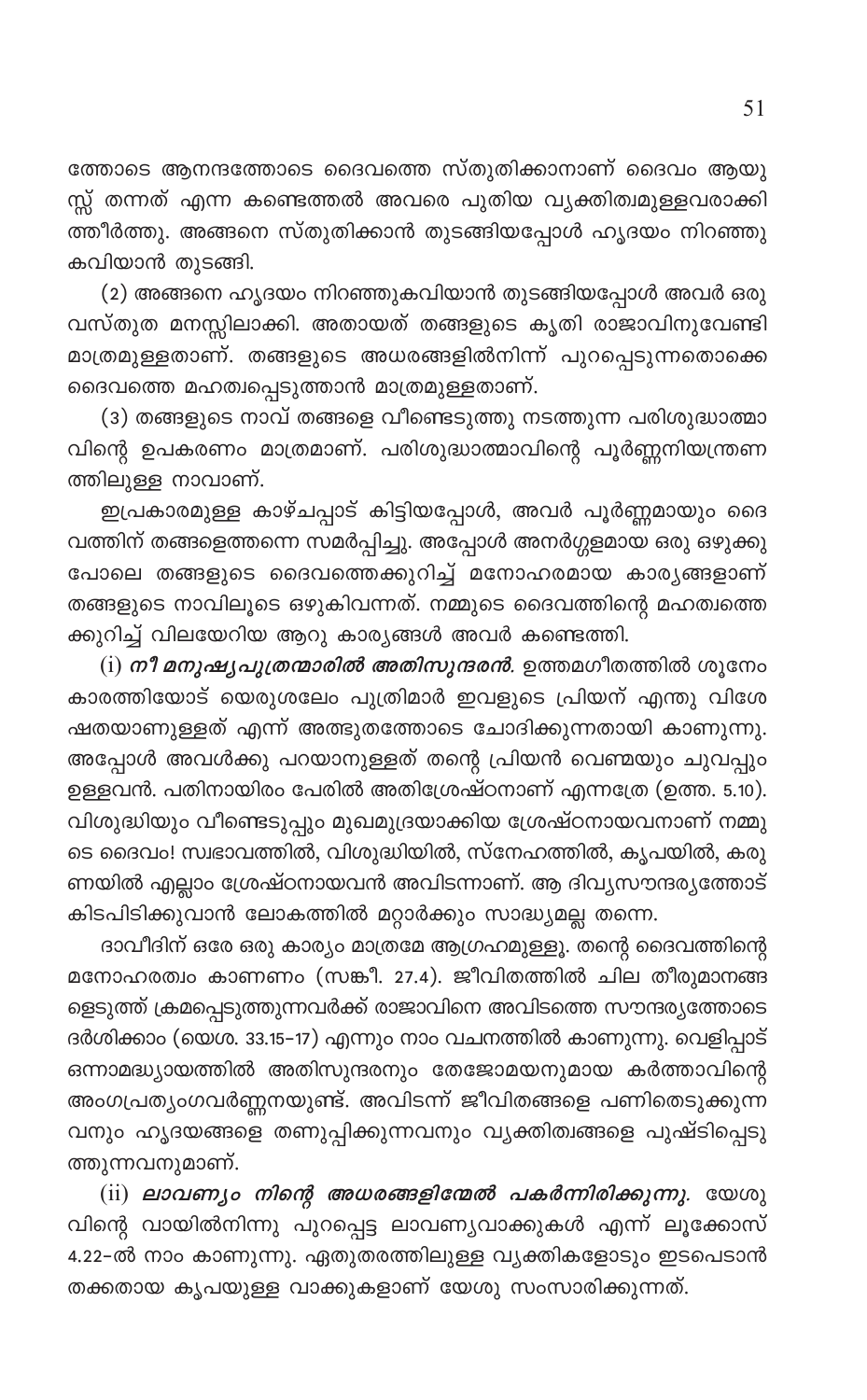ത്തോടെ ആനന്ദത്തോടെ ദൈവത്തെ സ്തുതിക്കാനാണ് ദൈവം ആയു സ്സ് തന്നത് എന്ന കണ്ടെത്തൽ അവരെ പുതിയ വ്യക്തിത്വമുള്ളവരാക്കി ത്തീർത്തു. അങ്ങനെ സ്തുതിക്കാൻ തുടങ്ങിയപ്പോൾ ഹൃദയം നിറഞ്ഞു കവിയാൻ തുടങ്ങി.

(2) അങ്ങനെ ഹൃദയം നിറഞ്ഞുകവിയാൻ തുടങ്ങിയപ്പോൾ അവർ ഒരു വസ്തുത മനസ്സിലാക്കി. അതായത് തങ്ങളുടെ കൃതി രാജാവിനുവേണ്ടി മാത്രമുള്ളതാണ്. തങ്ങളുടെ അധരങ്ങളിൽനിന്ന് പുറപ്പെടുന്നതൊക്കെ ദൈവത്തെ മഹത്വപ്പെടുത്താൻ മാത്രമുള്ളതാണ്.

(3) തങ്ങളുടെ നാവ് തങ്ങളെ വീണ്ടെടുത്തു നടത്തുന്ന പരിശുദ്ധാത്മാ വിന്റെ ഉപകരണം മാത്രമാണ്. പരിശുദ്ധാത്മാവിന്റെ പൂർണ്ണനിയന്ത്രണ ത്തിലുള്ള നാവാണ്.

ഇപ്രകാരമുള്ള കാഴ്ചപ്പാട് കിട്ടിയപ്പോൾ, അവർ പൂർണ്ണമായും ദൈ വത്തിന് തങ്ങളെത്തന്നെ സമർപ്പിച്ചു. അപ്പോൾ അനർഗ്ഗളമായ ഒരു ഒഴുക്കു പോലെ തങ്ങളുടെ ദൈവത്തെക്കുറിച്ച് മനോഹരമായ കാര്യങ്ങളാണ് തങ്ങളുടെ നാവിലൂടെ ഒഴുകിവന്നത്. നമ്മുടെ ദൈവത്തിന്റെ മഹത്വത്തെ ക്കുറിച്ച് വിലയേറിയ ആറു കാര്യങ്ങൾ അവർ കണ്ടെത്തി.

 $(i)$  നീ മനുഷ്യപുത്രന്മാരിൽ അതിസുന്ദരൻ. ഉത്തമഗീതത്തിൽ ശൂനേം കാരത്തിയോട് യെരുശലേം പുത്രിമാർ ഇവളുടെ പ്രിയന് എന്തു വിശേ ഷതയാണുള്ളത് എന്ന് അത്ഭുതത്തോടെ ചോദിക്കുന്നതായി കാണുന്നു. അപ്പോൾ അവൾക്കു പറയാനുള്ളത് തന്റെ പ്രിയൻ വെണ്മയും ചുവപ്പും ഉള്ളവൻ. പതിനായിരം പേരിൽ അതിശ്രേഷ്ഠനാണ് എന്നത്രേ (ഉത്ത. 5.10). വിശുദ്ധിയും വീണ്ടെടുപ്പും മുഖമുദ്രയാക്കിയ ശ്രേഷ്ഠനായവനാണ് നമ്മു ടെ ദൈവം! സ്വഭാവത്തിൽ, വിശുദ്ധിയിൽ, സ്നേഹത്തിൽ, കൃപയിൽ, കരു ണയിൽ എല്ലാം ശ്രേഷ്ഠനായവൻ അവിടന്നാണ്. ആ ദിവ്യസൗന്ദര്യത്തോട് കിടപിടിക്കുവാൻ ലോകത്തിൽ മറ്റാർക്കും സാദ്ധ്യമല്ല തന്നെ.

ദാവീദിന് ഒരേ ഒരു കാര്യം മാത്രമേ ആഗ്രഹമുള്ളൂ. തന്റെ ദൈവത്തിന്റെ മനോഹരത്വം കാണണം (സങ്കീ. 27.4). ജീവിതത്തിൽ ചില തീരുമാനങ്ങ ളെടുത്ത് ക്രമപ്പെടുത്തുന്നവർക്ക് രാജാവിനെ അവിടത്തെ സൗന്ദര്യത്തോടെ ദർശിക്കാം (യെശ. 33.15–17) എന്നും നാം വചനത്തിൽ കാണുന്നു. വെളിപ്പാട് ഒന്നാമദ്ധ്യായത്തിൽ അതിസുന്ദരനും തേജോമയനുമായ കർത്താവിന്റെ അംഗപ്രത്യംഗവർണ്ണനയുണ്ട്. അവിടന്ന് ജീവിതങ്ങളെ പണിതെടുക്കുന്ന വനും ഹൃദയങ്ങളെ തണുപ്പിക്കുന്നവനും വ്യക്തിത്വങ്ങളെ പുഷ്ടിപ്പെടു ത്തുന്നവനുമാണ്.

 $(i)$  ലാവണ്യം നിന്റെ അധരങ്ങളിന്മേൽ പകർന്നിരിക്കുന്നു. യേശു വിന്റെ വായിൽനിന്നു പുറപ്പെട്ട ലാവണ്യവാക്കുകൾ എന്ന് ലൂക്കോസ് 4.22-ൽ നാം കാണുന്നു. ഏതുതരത്തിലുള്ള വ്യക്തികളോടും ഇടപെടാൻ തക്കതായ കൃപയുള്ള വാക്കുകളാണ് യേശു സംസാരിക്കുന്നത്.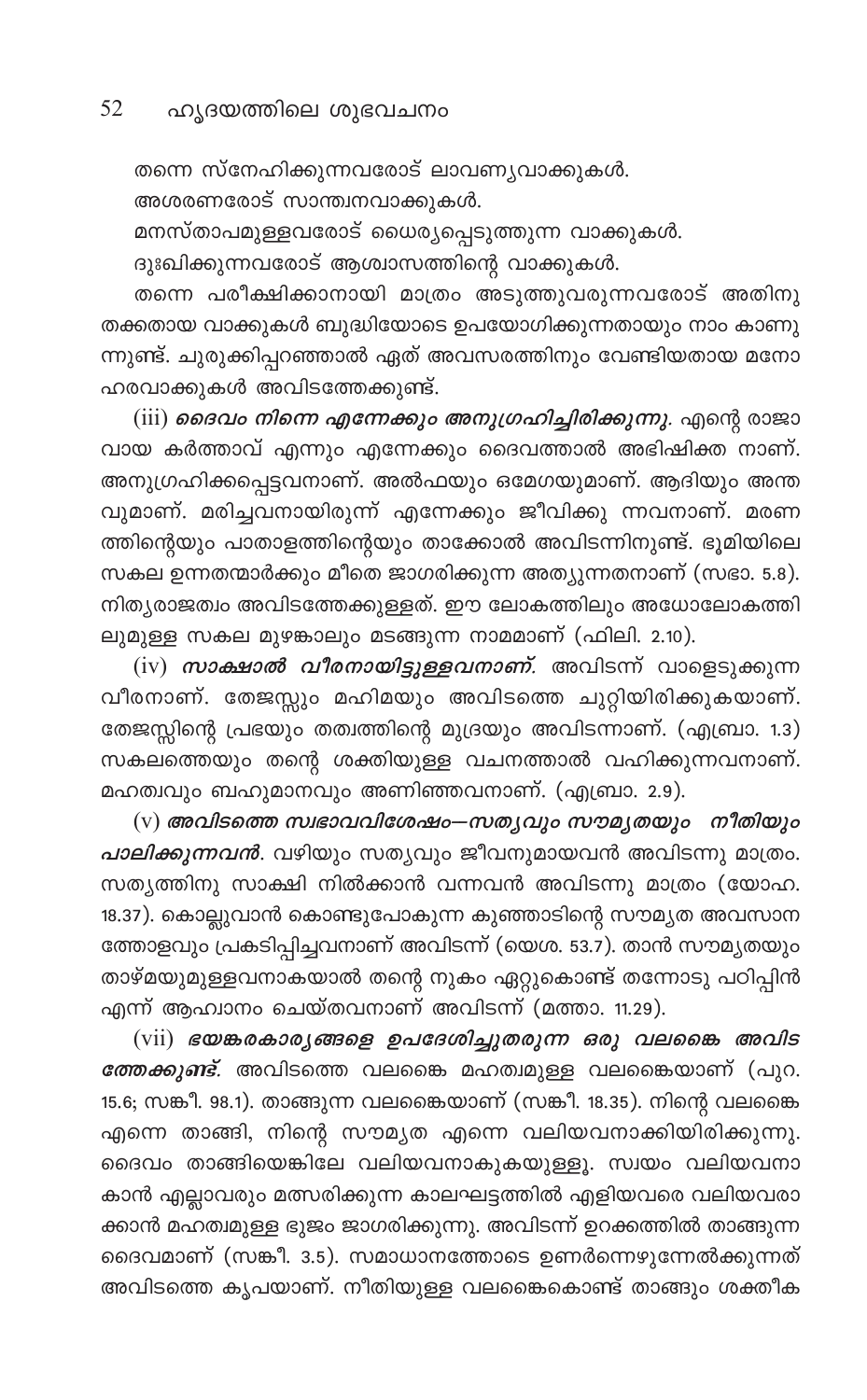തന്നെ സ്നേഹിക്കുന്നവരോട് ലാവണ്യവാക്കുകൾ. അശരണരോട് സാന്ത്വനവാക്കുകൾ. മനസ്താപമുള്ളവരോട് ധൈര്യപ്പെടുത്തുന്ന വാക്കുകൾ. ദുഃഖിക്കുന്നവരോട് ആശ്വാസത്തിന്റെ വാക്കുകൾ.

തന്നെ പരീക്ഷിക്കാനായി മാത്രം അടുത്തുവരുന്നവരോട് അതിനു തക്കതായ വാക്കുകൾ ബുദ്ധിയോടെ ഉപയോഗിക്കുന്നതായും നാം കാണു ന്നുണ്ട്. ചുരുക്കിപ്പറഞ്ഞാൽ ഏത് അവസരത്തിനും വേണ്ടിയതായ മനോ ഹരവാക്കുകൾ അവിടത്തേക്കുണ്ട്.

(iii) മൈ**വം നിന്നെ എന്നേക്കും അനുഗ്രഹിച്ചിരിക്കുന്നു**. എന്റെ രാജാ വായ കർത്താവ് എന്നും എന്നേക്കും ദൈവത്താൽ അഭിഷിക്ത നാണ്. അനുഗ്രഹിക്കപ്പെട്ടവനാണ്. അൽഫയും ഒമേഗയുമാണ്. ആദിയും അന്ത വുമാണ്. മരിച്ചവനായിരുന്ന് എന്നേക്കും ജീവിക്കു ന്നവനാണ്. മരണ ത്തിന്റെയും പാതാളത്തിന്റെയും താക്കോൽ അവിടന്നിനുണ്ട്. ഭൂമിയിലെ സകല ഉന്നതന്മാർക്കും മീതെ ജാഗരിക്കുന്ന അത്യുന്നതനാണ് (സഭാ. 5.8). നിത്യരാജത്വം അവിടത്തേക്കുള്ളത്. ഈ ലോകത്തിലും അധോലോകത്തി ലുമുള്ള സകല മുഴങ്കാലും മടങ്ങുന്ന നാമമാണ് (ഫിലി. 2.10).

 $(iv)$  സാക്ഷാൽ വീരനായിട്ടുള്ളവനാണ്. അവിടന്ന് വാളെടുക്കുന്ന വീരനാണ്. തേജസ്സും മഹിമയും അവിടത്തെ ചുറ്റിയിരിക്കുകയാണ്. തേജസ്സിന്റെ പ്രഭയും തത്വത്തിന്റെ മുദ്രയും അവിടന്നാണ്. (എബ്രാ. 1.3) സകലത്തെയും തന്റെ ശക്തിയുള്ള വചനത്താൽ വഹിക്കുന്നവനാണ്. മഹത്വവും ബഹുമാനവും അണിഞ്ഞവനാണ്. (എബ്രാ. 2.9).

 $(v)$  അവിടത്തെ സ്വഭാവവിശേഷം—സതൃവും സൗമൃതയും നീതിയും *പാലിക്കുന്നവൻ.* വഴിയും സത്യവും ജീവനുമായവൻ അവിടന്നു മാത്രം. സത്യത്തിനു സാക്ഷി നിൽക്കാൻ വന്നവൻ അവിടന്നു മാത്രം (യോഹ. 18.37). കൊല്ലുവാൻ കൊണ്ടുപോകുന്ന കുഞ്ഞാടിന്റെ സൗമൃത അവസാന ...<br>ത്തോളവും പ്രകടിപ്പിച്ചവനാണ് അവിടന്ന് (യെശ. 53.7). താൻ സൗമ്യതയും താഴ്മയുമുള്ളവനാകയാൽ തന്റെ നുകം ഏറ്റുകൊണ്ട് തന്നോടു പഠിപ്പിൻ എന്ന് ആഹ്വാനം ചെയ്തവനാണ് അവിടന്ന് (മത്താ. 11.29).

 $(vii)$  ഭയങ്കരകാര്യങ്ങളെ ഉപദേശിച്ചുതരുന്ന ഒരു വലക്കൈ അവിട *ത്തേക്കുണ്ട്.* അവിടത്തെ വലങ്കൈ മഹത്വമുള്ള വലങ്കൈയാണ് (പുറ. 15.6; സങ്കീ. 98.1). താങ്ങുന്ന വലങ്കൈയാണ് (സങ്കീ. 18.35). നിന്റെ വലങ്കൈ എന്നെ താങ്ങി, നിന്റെ സൗമൃത എന്നെ വലിയവനാക്കിയിരിക്കുന്നു. ദൈവം താങ്ങിയെങ്കിലേ വലിയവനാകുകയുള്ളൂ. സ്വയം വലിയവനാ കാൻ എല്ലാവരും മത്സരിക്കുന്ന കാലഘട്ടത്തിൽ എളിയവരെ വലിയവരാ ക്കാൻ മഹത്വമുള്ള ഭുജം ജാഗരിക്കുന്നു. അവിടന്ന് ഉറക്കത്തിൽ താങ്ങുന്ന ദൈവമാണ് (സങ്കീ. 3.5). സമാധാനത്തോടെ ഉണർന്നെഴുന്നേൽക്കുന്നത് അവിടത്തെ കൃപയാണ്. നീതിയുള്ള വലങ്കൈകൊണ്ട് താങ്ങും ശക്തീക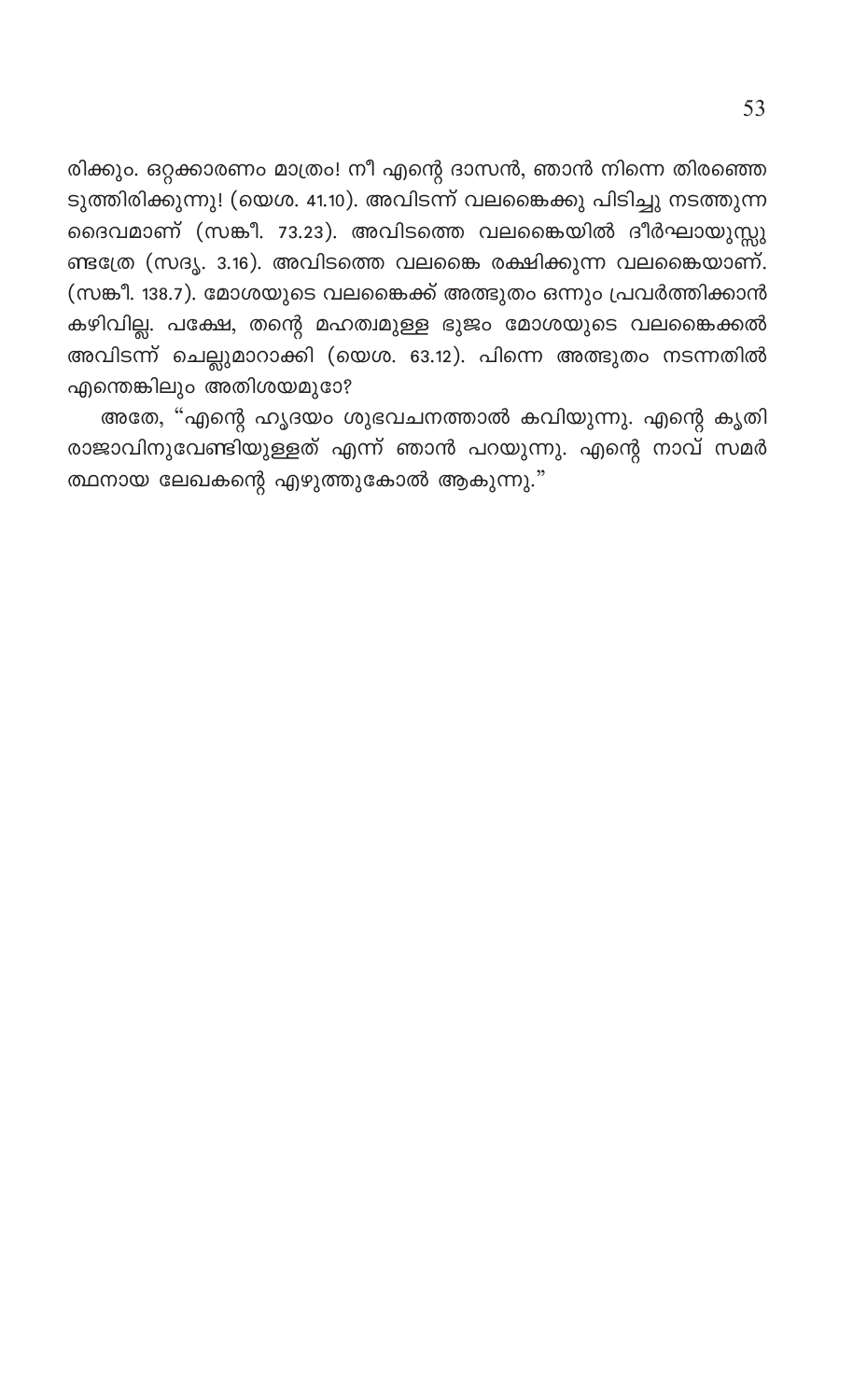രിക്കും. ഒറ്റക്കാരണം മാത്രം! നീ എന്റെ ദാസൻ, ഞാൻ നിന്നെ തിരഞ്ഞെ ടുത്തിരിക്കുന്നു! (യെശ. 41.10). അവിടന്ന് വലങ്കൈക്കു പിടിച്ചു നടത്തുന്ന ദൈവമാണ് (സങ്കീ. 73.23). അവിടത്തെ വലങ്കൈയിൽ ദീർഘായുസ്സു ണ്ടത്രേ (സദൃ. 3.16). അവിടത്തെ വലങ്കൈ രക്ഷിക്കുന്ന വലങ്കൈയാണ്. (സങ്കീ. 138.7). മോശയുടെ വലങ്കൈക്ക് അത്ഭുതം ഒന്നും പ്രവർത്തിക്കാൻ കഴിവില്ല. പക്ഷേ, തന്റെ മഹത്വമുള്ള ഭുജം മോശയുടെ വലങ്കൈക്കൽ അവിടന്ന് ചെല്ലുമാറാക്കി (യെശ. 63.12). പിന്നെ അത്ഭുതം നടന്നതിൽ എന്തെങ്കിലും അതിശയമുദോ?

അതേ, "എന്റെ ഹൃദയം ശുഭവചനത്താൽ കവിയുന്നു. എന്റെ കൃതി രാജാവിനുവേണ്ടിയുള്ളത് എന്ന് ഞാൻ പറയുന്നു. എന്റെ നാവ് സമർ ത്ഥനായ ലേഖകന്റെ എഴുത്തുകോൽ ആകുന്നു."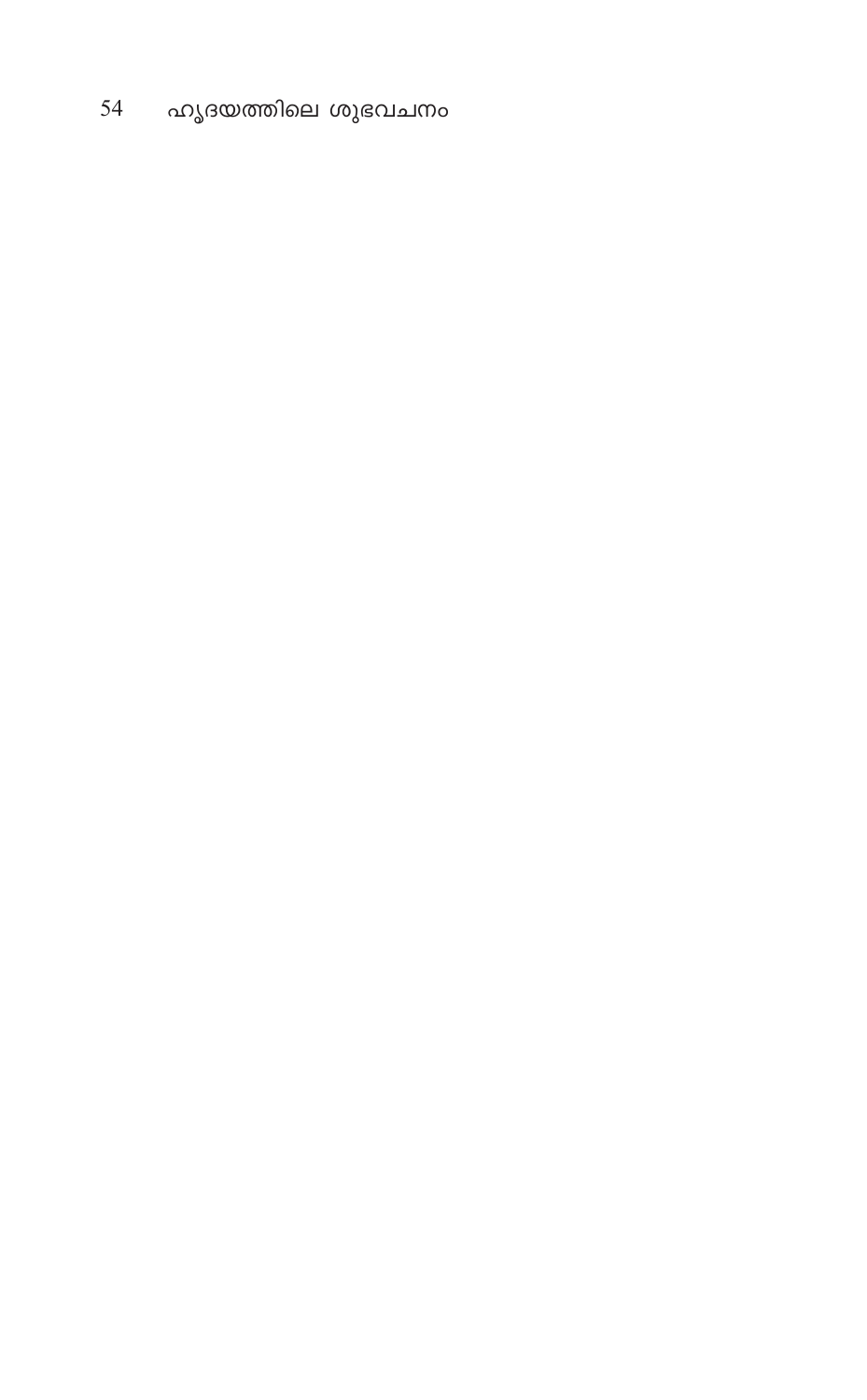# 54 ഹൃദയത്തിലെ ശുഭവചനം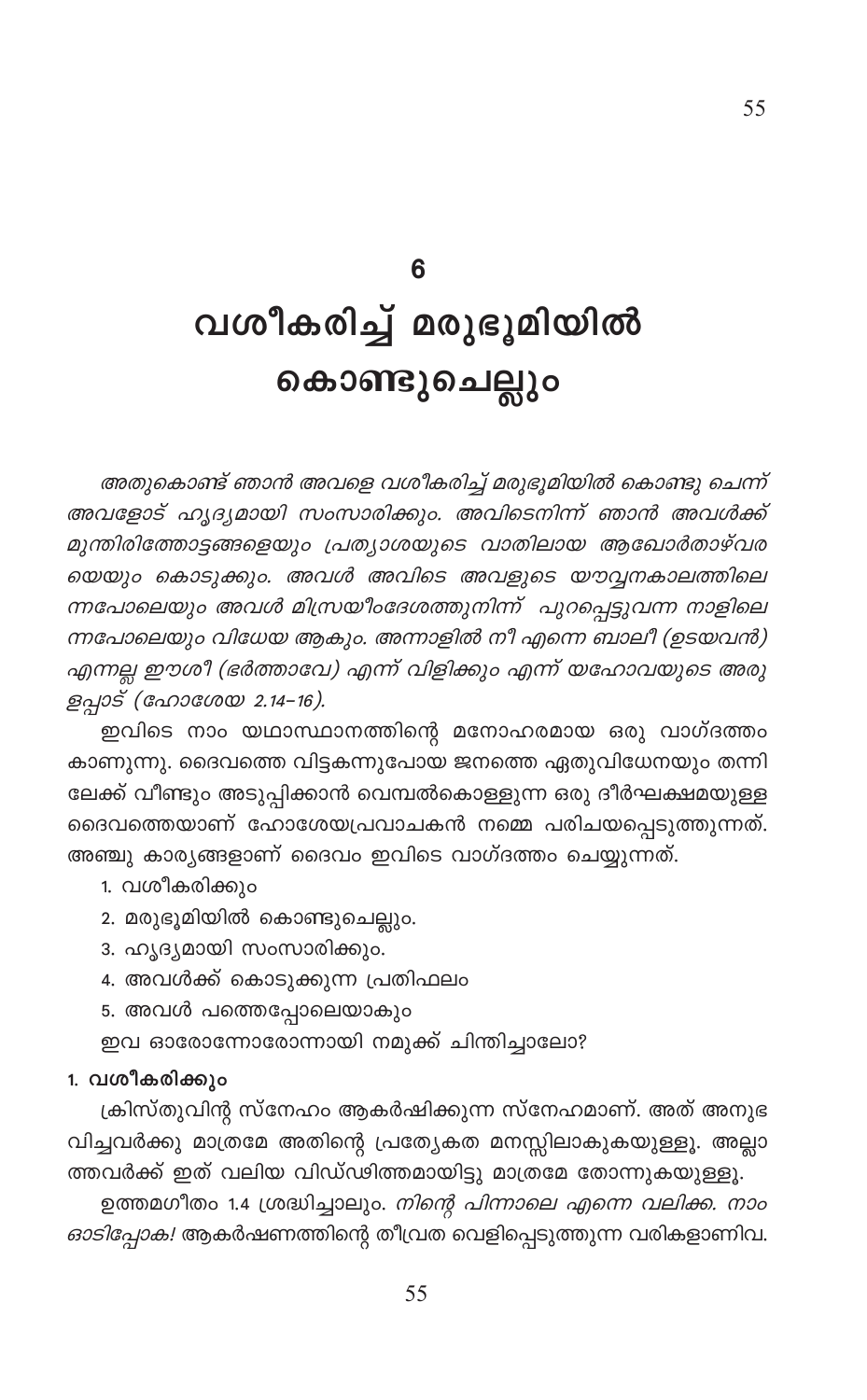6

# വശീകരിച്ച് മരുഭൂമിയിൽ കൊണ്ടുചെല്ലും

അതുകൊണ്ട് ഞാൻ അവളെ വശീകരിച്ച് മരുഭൂമിയിൽ കൊണ്ടു ചെന്ന് അവളോട് ഹൃദ്യമായി സംസാരിക്കും. അവിടെനിന്ന് ഞാൻ അവൾക്ക് മുന്തിരിത്തോട്ടങ്ങളെയും പ്രത്യാശയുടെ വാതിലായ ആഖോർതാഴ്വര യെയും കൊടുക്കും. അവൾ അവിടെ അവളുടെ യൗവ്വനകാലത്തിലെ ന്നപോലെയും അവൾ മിസ്രയീംദേശത്തുനിന്ന് പുറപ്പെട്ടുവന്ന നാളിലെ ന്നപോലെയും വിധേയ ആകും. അന്നാളിൽ നീ എന്നെ ബാലീ (ഉടയവൻ) എന്നല്ല ഈശീ (ഭർത്താവേ) എന്ന് വിളിക്കും എന്ന് യഹോവയുടെ അരു ളപ്പാട് (ഹോശേയ 2.14-16).

ഇവിടെ നാം യഥാസ്ഥാനത്തിന്റെ മനോഹരമായ ഒരു വാഗ്ദത്തം കാണുന്നു. ദൈവത്തെ വിട്ടകന്നുപോയ ജനത്തെ ഏതുവിധേനയും തന്നി ലേക്ക് വീണ്ടും അടുപ്പിക്കാൻ വെമ്പൽകൊള്ളുന്ന ഒരു ദീർഘക്ഷമയുള്ള ദൈവത്തെയാണ് ഹോശേയപ്രവാചകൻ നമ്മെ പരിചയപ്പെടുത്തുന്നത്. 

- 1. വശീകരിക്കും
- 2. മരുഭൂമിയിൽ കൊണ്ടുചെല്ലും.
- 3. ഹൃദ്യമായി സംസാരിക്കും.
- 4. അവൾക്ക് കൊടുക്കുന്ന പ്രതിഫലം
- 5. അവൾ പത്തെപ്പോലെയാകും

ഇവ ഓരോന്നോരോന്നായി നമുക്ക് ചിന്തിച്ചാലോ?

# 1. വശീകരിക്കും

ക്രിസ്തുവിന്റ സ്നേഹം ആകർഷിക്കുന്ന സ്നേഹമാണ്. അത് അനുഭ വിച്ചവർക്കു മാത്രമേ അതിന്റെ പ്രത്യേകത മനസ്സിലാകുകയുള്ളൂ. അല്ലാ .<br>അവർക്ക് ഇത് വലിയ വിഡ്ഢിത്തമായിട്ടു മാത്രമേ തോന്നുകയുള്ളൂ.

ഉത്തമഗീതം 1.4 ശ്രദ്ധിച്ചാലും. *നിന്റെ പിന്നാലെ എന്നെ വലിക്ക. നാം ഓടിപ്പോക!* ആകർഷണത്തിന്റെ തീവ്രത<sup>്</sup>വെളിപ്പെടുത്തുന്ന വരികളാണിവ.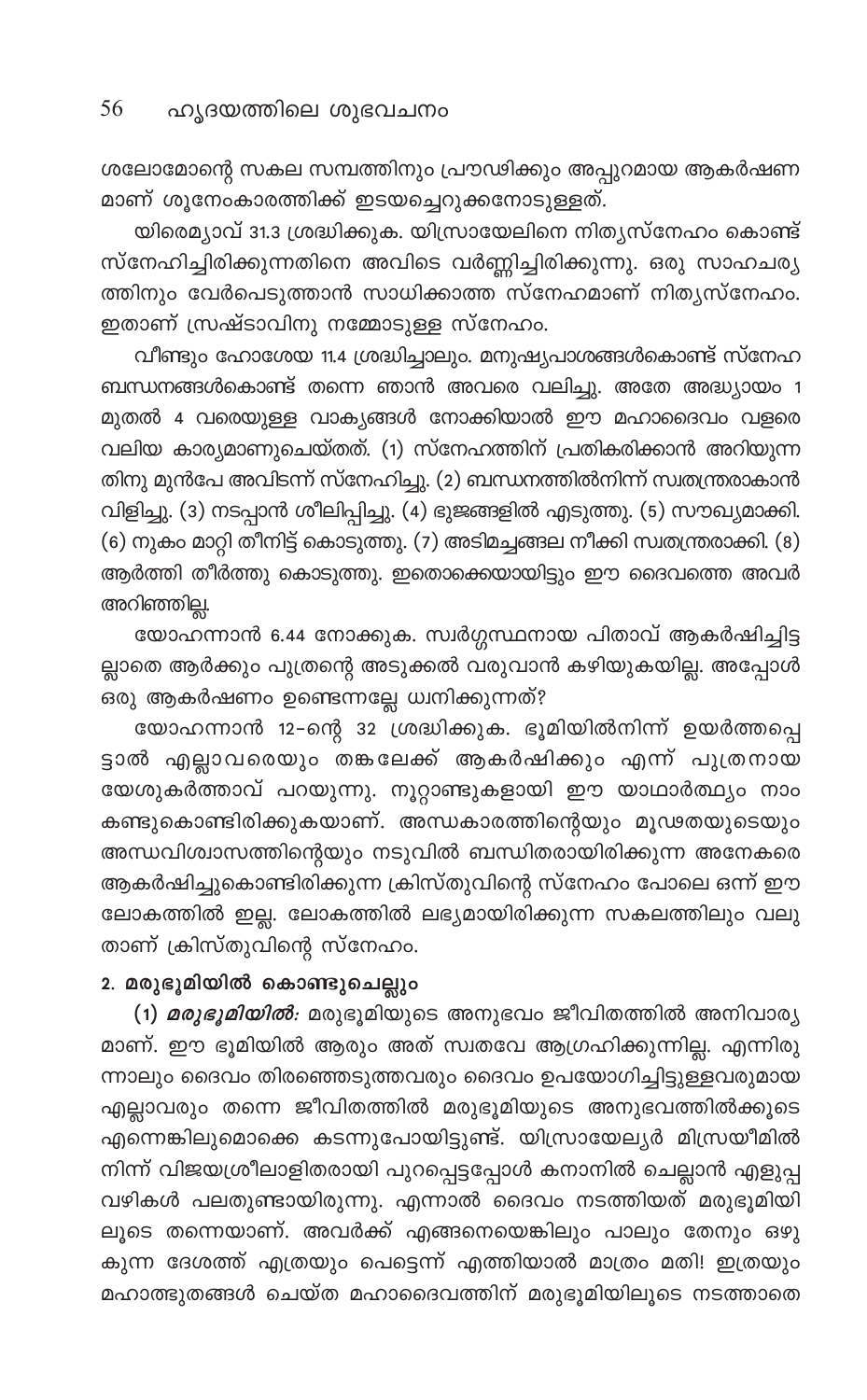ശലോമോന്റെ സകല സമ്പത്തിനും പ്രൗഢിക്കും അപ്പുറമായ ആകർഷണ മാണ് ശൂനേംകാരത്തിക്ക് ഇടയച്ചെറുക്കനോടുള്ളത്.

യിരെമ്യാവ് 31.3 ശ്രദ്ധിക്കുക. യിസ്രായേലിനെ നിത്യസ്നേഹം കൊണ്ട് സ്നേഹിച്ചിരിക്കുന്നതിനെ അവിടെ വർണ്ണിച്ചിരിക്കുന്നു. ഒരു സാഹചര്യ .<br>ത്തിനും വേർപെടുത്താൻ സാധിക്കാത്ത സ്നേഹമാണ് നിത്യസ്നേഹം. ഇതാണ് സ്രഷ്ടാവിനു നമ്മോടുള്ള സ്നേഹം.

വീണ്ടും ഹോശേയ 11.4 ശ്രദ്ധിച്ചാലും. മനുഷ്യപാശങ്ങൾകൊണ്ട് സ്നേഹ ബന്ധനങ്ങൾകൊണ്ട് തന്നെ ഞാൻ അവരെ വലിച്ചു. അതേ അദ്ധ്യായം 1 മുതൽ 4 വരെയുള്ള വാക്യങ്ങൾ നോക്കിയാൽ ഈ മഹാദൈവം വളരെ വലിയ കാര്യമാണുചെയ്തത്. (1) സ്നേഹത്തിന് പ്രതികരിക്കാൻ അറിയുന്ന തിനു മുൻപേ അവിടന്ന് സ്നേഹിച്ചു. (2) ബന്ധനത്തിൽനിന്ന് സ്വതന്ത്രരാകാൻ വിളിച്ചു. (3) നടപ്പാൻ ശീലിപ്പിച്ചു. (4) ഭുജങ്ങളിൽ എടുത്തു. (5) സൗഖ്യമാക്കി. (6) നുകം മാറ്റി തീനിട്ട് കൊടുത്തു. (7) അടിമച്ചങ്ങല നീക്കി സ്വതന്ത്രരാക്കി. (8) ആർത്തി തീർത്തു കൊടുത്തു. ഇതൊക്കെയായിട്ടും ഈ ദൈവത്തെ അവർ അറിഞ്ഞില്ല.

യോഹന്നാൻ 6.44 നോക്കുക. സ്വർഗ്ഗസ്ഥനായ പിതാവ് ആകർഷിച്ചിട്ട ല്ലാതെ ആർക്കും പുത്രന്റെ അടുക്കൽ വരുവാൻ കഴിയുകയില്ല. അപ്പോൾ ഒരു ആകർഷണം ഉണ്ടെന്നല്ലേ ധ്വനിക്കുന്നത്?

യോഹന്നാൻ 12-ന്റെ 32 ശ്രദ്ധിക്കുക. ഭൂമിയിൽനിന്ന് ഉയർത്തപ്പെ .<br>ട്ടാൽ എല്ലാവരെയും തങ്കലേക്ക് ആകർഷിക്കും എന്ന് പുത്രനായ യേശുകർത്താവ് പറയുന്നു. നൂറ്റാണ്ടുകളായി ഈ യാഥാർത്ഥ്യം നാം കണ്ടുകൊണ്ടിരിക്കുകയാണ്. അന്ധകാരത്തിന്റെയും മൂഢതയുടെയും അന്ധവിശ്വാസത്തിന്റെയും നടുവിൽ ബന്ധിതരായിരിക്കുന്ന അനേകരെ ആകർഷിച്ചുകൊണ്ടിരിക്കുന്ന ക്രിസ്തുവിന്റെ സ്നേഹം പോലെ ഒന്ന് ഈ ലോകത്തിൽ ഇല്ല. ലോകത്തിൽ ലഭ്യമായിരിക്കുന്ന സകലത്തിലും വലു താണ് ക്രിസ്തുവിന്റെ സ്നേഹം.

# 2. മരുഭൂമിയിൽ കൊണ്ടുചെല്ലും

(1) മരുഭൂമിയിൽ: മരുഭൂമിയുടെ അനുഭവം ജീവിതത്തിൽ അനിവാര്യ മാണ്. ഈ ഭൂമിയിൽ ആരും അത് സ്വതവേ ആഗ്രഹിക്കുന്നില്ല. എന്നിരു ന്നാലും ദൈവം തിരഞ്ഞെടുത്തവരും ദൈവം ഉപയോഗിച്ചിട്ടുള്ളവരുമായ എല്ലാവരും തന്നെ ജീവിതത്തിൽ മരുഭൂമിയുടെ അനുഭവത്തിൽക്കൂടെ .<br>എന്നെങ്കിലുമൊക്കെ കടന്നുപോയിട്ടുണ്ട്. യിസ്രായേല്യർ മിസ്രയീമിൽ നിന്ന് വിജയശ്രീലാളിതരായി പുറപ്പെട്ടപ്പോൾ കനാനിൽ ചെല്ലാൻ എളുപ്പ വഴികൾ പലതുണ്ടായിരുന്നു. എന്നാൽ ദൈവം നടത്തിയത് മരുഭൂമിയി ലൂടെ തന്നെയാണ്. അവർക്ക് എങ്ങനെയെങ്കിലും പാലും തേനും ഒഴു കുന്ന ദേശത്ത് എത്രയും പെട്ടെന്ന് എത്തിയാൽ മാത്രം മതി! ഇത്രയും മഹാത്ഭുതങ്ങൾ ചെയ്ത മഹാദൈവത്തിന് മരുഭൂമിയിലൂടെ നടത്താതെ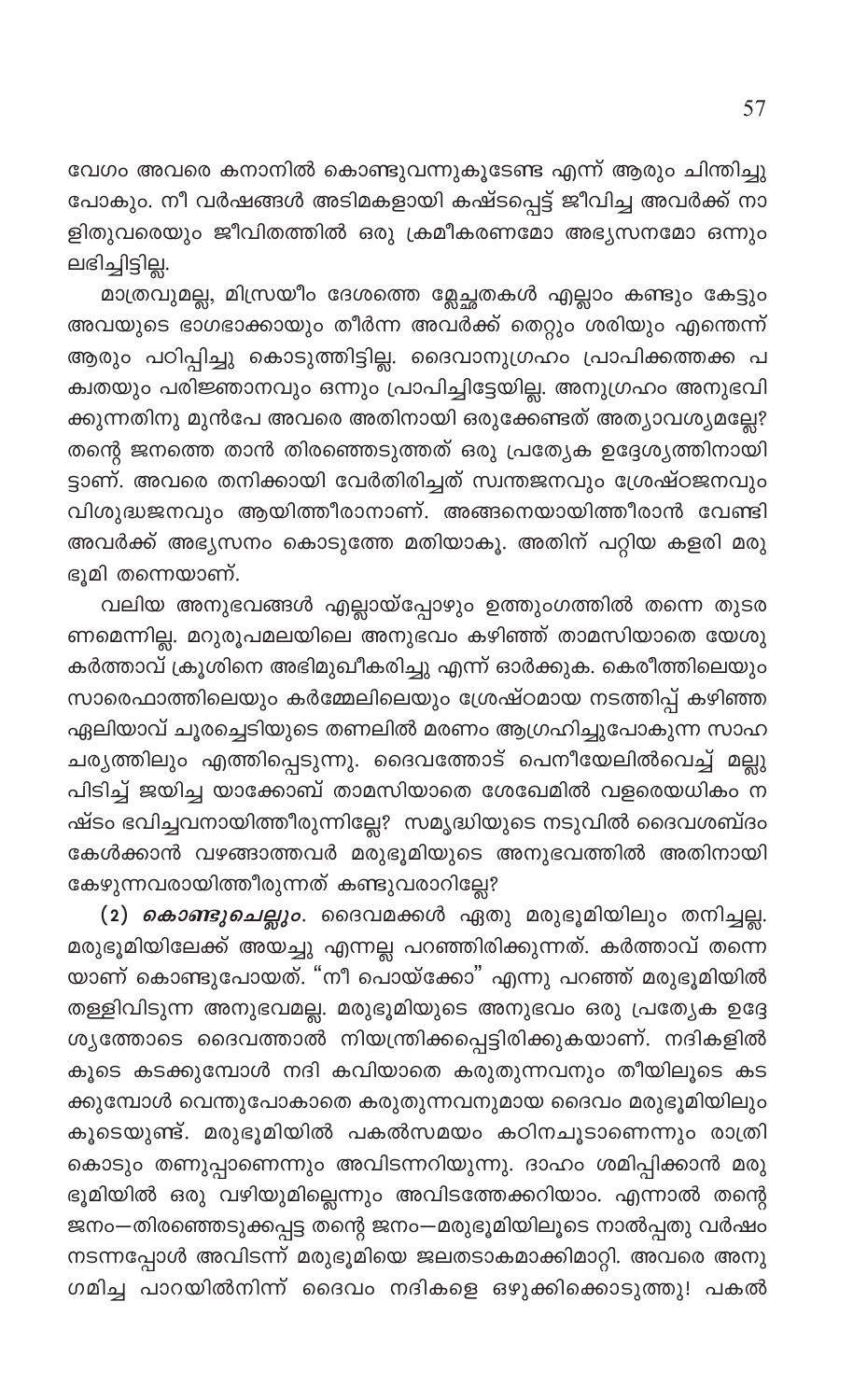വേഗം അവരെ കനാനിൽ കൊണ്ടുവന്നുകൂടേണ്ട എന്ന് ആരും ചിന്തിച്ചു പോകും. നീ വർഷങ്ങൾ അടിമകളായി കഷ്ടപ്പെട്ട് ജീവിച്ച അവർക്ക് നാ ളിതുവരെയും ജീവിതത്തിൽ ഒരു ക്രമീകരണമോ അഭ്യസനമോ ഒന്നും எருர்திது.

മാത്രവുമല്ല, മിസ്രയീം ദേശത്തെ മ്ലേച്ഛതകൾ എല്ലാം കണ്ടും കേട്ടും അവയുടെ ഭാഗഭാക്കായും തീർന്ന അവർക്ക് തെറ്റും ശരിയും എന്തെന്ന് ആരും പഠിപ്പിച്ചു കൊടുത്തിട്ടില്ല. ദൈവാനുഗ്രഹം പ്രാപിക്കത്തക്ക പ ക്വതയും പരിജ്ഞാനവും ഒന്നും പ്രാപിച്ചിട്ടേയില്ല. അനുഗ്രഹം അനുഭവി ക്കുന്നതിനു മുൻപേ അവരെ അതിനായി ഒരുക്കേണ്ടത് അത്യാവശ്യമല്ലേ? തന്റെ ജനത്തെ താൻ തിരഞ്ഞെടുത്തത് ഒരു പ്രത്യേക ഉദ്ദേശ്യത്തിനായി ട്ടാണ്. അവരെ തനിക്കായി വേർതിരിച്ചത് സ്വന്തജനവും ശ്രേഷ്ഠജനവും വിശുദ്ധജനവും ആയിത്തീരാനാണ്. അങ്ങനെയായിത്തീരാൻ വേണ്ടി അവർക്ക് അഭ്യസനം കൊടുത്തേ മതിയാകൂ. അതിന് പറ്റിയ കളരി മരു ഭൂമി തന്നെയാണ്.

വലിയ അനുഭവങ്ങൾ എല്ലായ്പ്പോഴും ഉത്തുംഗത്തിൽ തന്നെ തുടര ണമെന്നില്ല. മറുരൂപമലയിലെ അനുഭവം കഴിഞ്ഞ് താമസിയാതെ യേശു കർത്താവ് ക്രൂശിനെ അഭിമുഖീകരിച്ചു എന്ന് ഓർക്കുക. കെരീത്തിലെയും സാരെഫാത്തിലെയും കർമ്മേലിലെയും ശ്രേഷ്ഠമായ നടത്തിപ്പ് കഴിഞ്ഞ ഏലിയാവ് ചൂരച്ചെടിയുടെ തണലിൽ മരണം ആഗ്രഹിച്ചുപോകുന്ന സാഹ ചര്യത്തിലും എത്തിപ്പെടുന്നു. ദൈവത്തോട് പെനീയേലിൽവെച്ച് മല്ലു പിടിച്ച് ജയിച്ച യാക്കോബ് താമസിയാതെ ശേഖേമിൽ വളരെയധികം ന ഷ്ടം ഭവിച്ചവനായിത്തീരുന്നില്ലേ? സമൃദ്ധിയുടെ നടുവിൽ ദൈവശബ്ദം കേൾക്കാൻ വഴങ്ങാത്തവർ മരുഭൂമിയുടെ അനുഭവത്തിൽ അതിനായി കേഴുന്നവരായിത്തീരുന്നത് കണ്ടുവരാറില്ലേ?

(2) കൊണ്ടുചെല്ലും. ദൈവമക്കൾ ഏതു മരുഭൂമിയിലും തനിച്ചല്ല. മരുഭൂമിയിലേക്ക് അയച്ചു എന്നല്ല പറഞ്ഞിരിക്കുന്നത്. കർത്താവ് തന്നെ യാണ് കൊണ്ടുപോയത്. "നീ പൊയ്ക്കോ" എന്നു പറഞ്ഞ് മരുഭൂമിയിൽ തള്ളിവിടുന്ന അനുഭവമല്ല. മരുഭൂമിയുടെ അനുഭവം ഒരു പ്രത്യേക ഉദ്ദേ ശ്യത്തോടെ ദൈവത്താൽ നിയന്ത്രിക്കപ്പെട്ടിരിക്കുകയാണ്. നദികളിൽ കൂടെ കടക്കുമ്പോൾ നദി കവിയാതെ കരുതുന്നവനും തീയിലൂടെ കട ക്കുമ്പോൾ വെന്തുപോകാതെ കരുതുന്നവനുമായ ദൈവം മരുഭൂമിയിലും കൂടെയുണ്ട്. മരുഭൂമിയിൽ പകൽസമയം കഠിനചൂടാണെന്നും രാത്രി കൊടും തണുപ്പാണെന്നും അവിടന്നറിയുന്നു. ദാഹം ശമിപ്പിക്കാൻ മരു ഭൂമിയിൽ ഒരു വഴിയുമില്ലെന്നും അവിടത്തേക്കറിയാം. എന്നാൽ തന്റെ ജനം—തിരഞ്ഞെടുക്കപ്പട്ട തന്റെ ജനം—മരുഭൂമിയിലൂടെ നാൽപ്പതു വർഷം നടന്നപ്പോൾ അവിടന്ന് മരുഭൂമിയെ ജലതടാകമാക്കിമാറ്റി. അവരെ അനു ഗമിച്ച പാറയിൽനിന്ന് ദൈവം നദികളെ ഒഴുക്കിക്കൊടുത്തു! പകൽ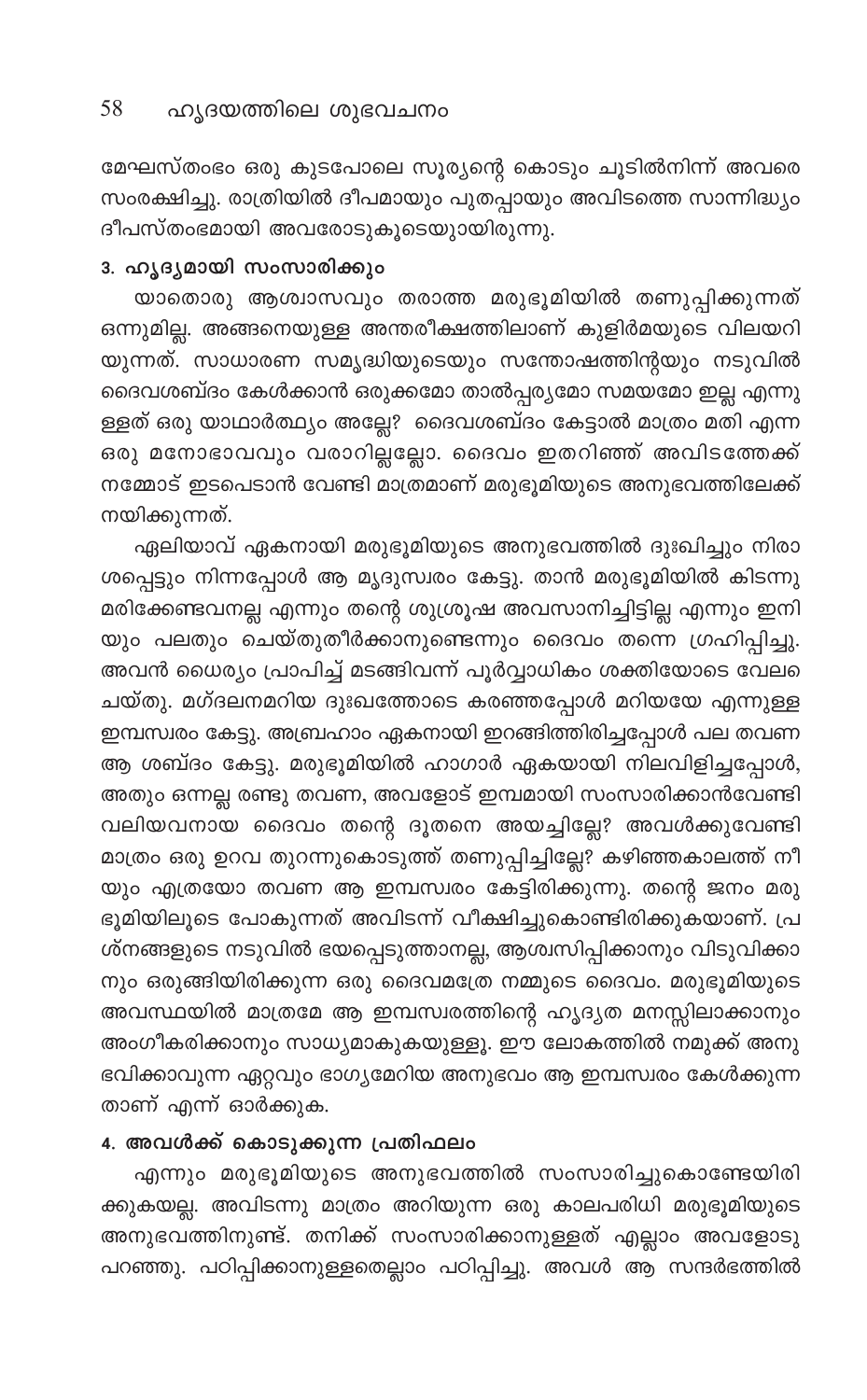മേഘസ്തംഭം ഒരു കുടപോലെ സൂര്യന്റെ കൊടും ചൂടിൽനിന്ന് അവരെ സംരക്ഷിച്ചു. രാത്രിയിൽ ദീപമായും പുതപ്പായും അവിടത്തെ സാന്നിദ്ധ്യം ദീപസ്തംഭമായി അവരോടുകൂടെയുായിരുന്നു.

## 3. ഹൃദ്യമായി സംസാരിക്കും

യാതൊരു ആശ്വാസവും തരാത്ത മരുഭൂമിയിൽ തണുപ്പിക്കുന്നത് ഒന്നുമില്ല. അങ്ങനെയുള്ള അന്തരീക്ഷത്തിലാണ് കുളിർമയുടെ വിലയറി യുന്നത്. സാധാരണ സമൃദ്ധിയുടെയും സന്തോഷത്തിന്റയും നടുവിൽ ദൈവശബ്ദം കേൾക്കാൻ ഒരുക്കമോ താൽപ്പര്യമോ സമയമോ ഇല്ല എന്നു ള്ളത് ഒരു യാഥാർത്ഥ്യം അല്ലേ? ദൈവശബ്ദം കേട്ടാൽ മാത്രം മതി എന്ന ഒരു മനോഭാവവും വരാറില്ലല്ലോ. ദൈവം ഇതറിഞ്ഞ് അവിടത്തേക്ക് നമ്മോട് ഇടപെടാൻ വേണ്ടി മാത്രമാണ് മരുഭൂമിയുടെ അനുഭവത്തിലേക്ക് നയിക്കുന്നത്.

ഏലിയാവ് ഏകനായി മരുഭൂമിയുടെ അനുഭവത്തിൽ ദുഃഖിച്ചും നിരാ ശപ്പെട്ടും നിന്നപ്പോൾ ആ മൃദുസ്വരം കേട്ടു. താൻ മരുഭൂമിയിൽ കിടന്നു മരിക്കേണ്ടവനല്ല എന്നും തന്റെ ശുശ്രൂഷ അവസാനിച്ചിട്ടില്ല എന്നും ഇനി യും പലതും ചെയ്തുതീർക്കാനുണ്ടെന്നും ദൈവം തന്നെ ഗ്രഹിപ്പിച്ചു. അവൻ ധൈര്യം പ്രാപിച്ച് മടങ്ങിവന്ന് പൂർവ്വാധികം ശക്തിയോടെ വേല ചയ്തു. മഗ്ദലനമറിയ ദുഃഖത്തോടെ കരഞ്ഞപ്പോൾ മറിയയേ എന്നുള്ള ഇമ്പസ്വരം കേട്ടു. അബ്രഹാം ഏകനായി ഇറങ്ങിത്തിരിച്ചപ്പോൾ പല തവണ ആ ശബ്ദം കേട്ടു. മരുഭൂമിയിൽ ഹാഗാർ ഏകയായി നിലവിളിച്ചപ്പോൾ, അതും ഒന്നല്ല രണ്ടു തവണ, അവളോട് ഇമ്പമായി സംസാരിക്കാൻവേണ്ടി വലിയവനായ ദൈവം തന്റെ ദൂതനെ അയച്ചില്ലേ? അവൾക്കുവേണ്ടി മാത്രം ഒരു ഉറവ തുറന്നുകൊടുത്ത് തണുപ്പിച്ചില്ലേ? കഴിഞ്ഞകാലത്ത് നീ യും എത്രയോ തവണ ആ ഇമ്പസ്വരം കേട്ടിരിക്കുന്നു. തന്റെ ജനം മരു ഭൂമിയിലൂടെ പോകുന്നത് അവിടന്ന് വീക്ഷിച്ചുകൊണ്ടിരിക്കുകയാണ്. പ്ര ശ്നങ്ങളുടെ നടുവിൽ ഭയപ്പെടുത്താനല്ല, ആശ്വസിപ്പിക്കാനും വിടുവിക്കാ നും ഒരുങ്ങിയിരിക്കുന്ന ഒരു ദൈവമത്രേ നമ്മുടെ ദൈവം. മരുഭൂമിയുടെ അവസ്ഥയിൽ മാത്രമേ ആ ഇമ്പസ്വരത്തിന്റെ ഹൃദ്യത മനസ്സിലാക്കാനും അംഗീകരിക്കാനും സാധ്യമാകുകയുള്ളൂ. ഈ ലോകത്തിൽ നമുക്ക് അനു ഭവിക്കാവുന്ന ഏറ്റവും ഭാഗ്യമേറിയ അനുഭവം ആ ഇമ്പസ്വരം കേൾക്കുന്ന താണ് എന്ന് ഓർക്കുക.

## 4. അവൾക്ക് കൊടുക്കുന്ന പ്രതിഫലം

എന്നും മരുഭൂമിയുടെ അനുഭവത്തിൽ സംസാരിച്ചുകൊണ്ടേയിരി ക്കുകയല്ല. അവിടന്നു മാത്രം അറിയുന്ന ഒരു കാലപരിധി മരുഭൂമിയുടെ അനുഭവത്തിനുണ്ട്. തനിക്ക് സംസാരിക്കാനുള്ളത് എല്ലാം അവളോടു പറഞ്ഞു. പഠിപ്പിക്കാനുള്ളതെല്ലാം പഠിപ്പിച്ചു. അവൾ ആ സന്ദർഭത്തിൽ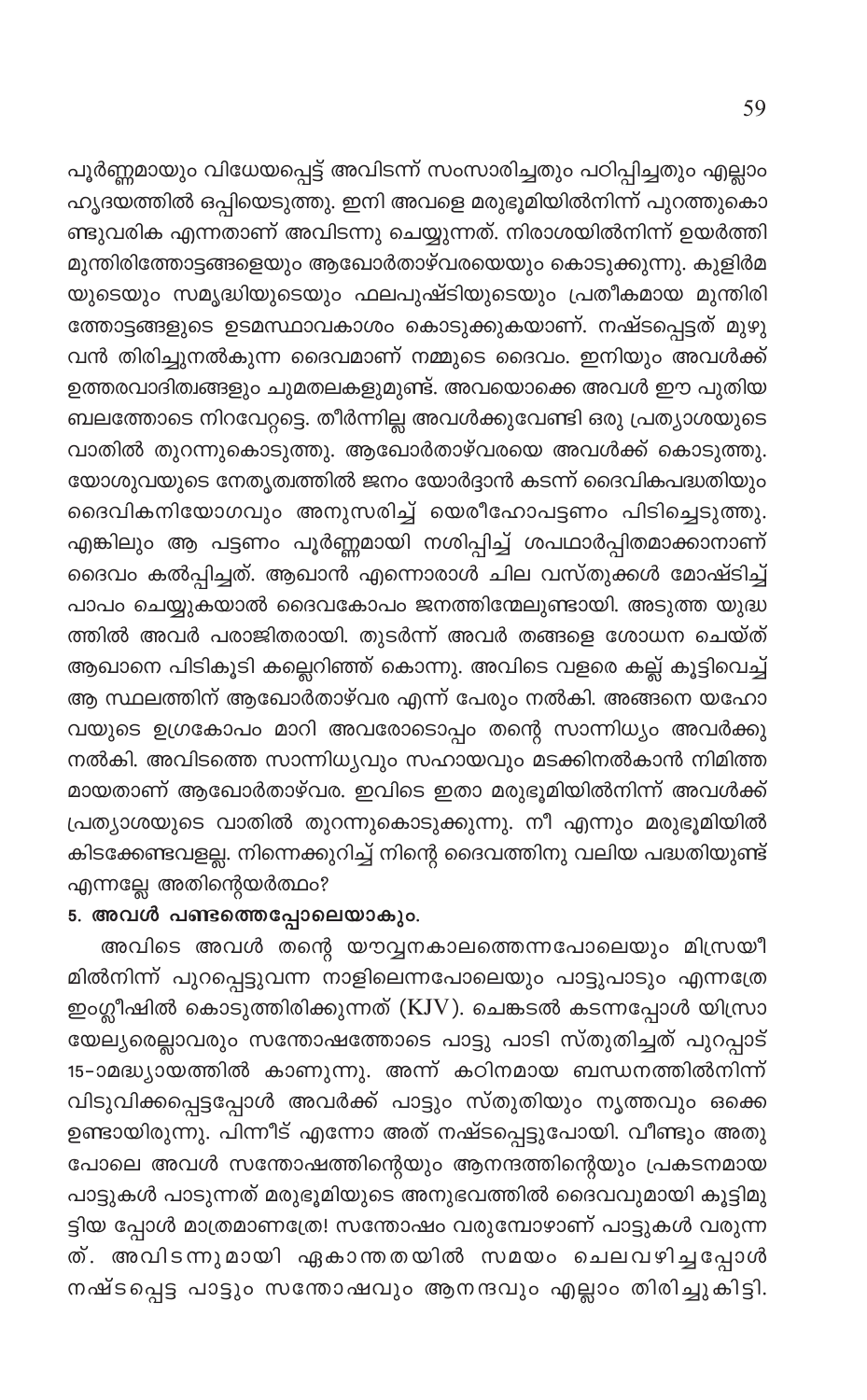പൂർണ്ണമായും വിധേയപ്പെട്ട് അവിടന്ന് സംസാരിച്ചതും പഠിപ്പിച്ചതും എല്ലാം ഹൃദയത്തിൽ ഒപ്പിയെടുത്തു. ഇനി അവളെ മരുഭൂമിയിൽനിന്ന് പുറത്തുകൊ ണ്ടുവരിക എന്നതാണ് അവിടന്നു ചെയ്യുന്നത്. നിരാശയിൽനിന്ന് ഉയർത്തി മുന്തിരിത്തോട്ടങ്ങളെയും ആഖോർതാഴ്വരയെയും കൊടുക്കുന്നു. കുളിർമ യുടെയും സമൃദ്ധിയുടെയും ഫലപുഷ്ടിയുടെയും പ്രതീകമായ മുന്തിരി ത്തോട്ടങ്ങളുടെ ഉടമസ്ഥാവകാശം കൊടുക്കുകയാണ്. നഷ്ടപ്പെട്ടത് മുഴു വൻ തിരിച്ചുനൽകുന്ന ദൈവമാണ് നമ്മുടെ ദൈവം. ഇനിയും അവൾക്ക് ഉത്തരവാദിത്വങ്ങളും ചുമതലകളുമുണ്ട്. അവയൊക്കെ അവൾ ഈ പുതിയ ബലത്തോടെ നിറവേറ്റട്ടെ. തീർന്നില്ല അവൾക്കുവേണ്ടി ഒരു പ്രത്യാശയുടെ വാതിൽ തുറന്നുകൊടുത്തു. ആഖോർതാഴ്വരയെ അവൾക്ക് കൊടുത്തു. യോശുവയുടെ നേതൃത്വത്തിൽ ജനം യോർദ്ദാൻ കടന്ന് ദൈവികപദ്ധതിയും ദൈവികനിയോഗവും അനുസരിച്ച് യെരീഹോപട്ടണം പിടിച്ചെടുത്തു. എങ്കിലും ആ പട്ടണം പൂർണ്ണമായി നശിപ്പിച്ച് ശപഥാർപ്പിതമാക്കാനാണ് ദൈവം കൽപ്പിച്ചത്. ആഖാൻ എന്നൊരാൾ ചില വസ്തുക്കൾ മോഷ്ടിച്ച് പാപം ചെയ്യുകയാൽ ദൈവകോപം ജനത്തിന്മേലുണ്ടായി. അടുത്ത യുദ്ധ ത്തിൽ അവർ പരാജിതരായി. തുടർന്ന് അവർ തങ്ങളെ ശോധന ചെയ്ത് ആഖാനെ പിടികൂടി കല്ലെറിഞ്ഞ് കൊന്നു. അവിടെ വളരെ കല്ല് കൂട്ടിവെച്ച് ആ സ്ഥലത്തിന് ആഖോർതാഴ്വര എന്ന് പേരും നൽകി. അങ്ങനെ യഹോ വയുടെ ഉഗ്രകോപം മാറി അവരോടൊപ്പം തന്റെ സാന്നിധ്യം അവർക്കു നൽകി. അവിടത്തെ സാന്നിധ്യവും സഹായവും മടക്കിനൽകാൻ നിമിത്ത മായതാണ് ആഖോർതാഴ്വര. ഇവിടെ ഇതാ മരുഭൂമിയിൽനിന്ന് അവൾക്ക് പ്രത്യാശയുടെ വാതിൽ തുറന്നുകൊടുക്കുന്നു. നീ എന്നും മരുഭൂമിയിൽ കിടക്കേണ്ടവളല്ല. നിന്നെക്കുറിച്ച് നിന്റെ ദൈവത്തിനു വലിയ പദ്ധതിയുണ്ട് എന്നല്ലേ അതിന്റെയർത്ഥം?

## 5. അവൾ പണ്ടത്തെപ്പോലെയാകും.

അവിടെ അവൾ തന്റെ യൗവ്വനകാലത്തെന്നപോലെയും മിസ്രയീ മിൽനിന്ന് പുറപ്പെട്ടുവന്ന നാളിലെന്നപോലെയും പാട്ടുപാടും എന്നത്രേ ഇംഗ്ലീഷിൽ കൊടുത്തിരിക്കുന്നത് (KJV). ചെങ്കടൽ കടന്നപ്പോൾ യിസ്രാ യേല്യരെല്ലാവരും സന്തോഷത്തോടെ പാട്ടു പാടി സ്തുതിച്ചത് പുറപ്പാട് 15-ാമദ്ധ്യായത്തിൽ കാണുന്നു. അന്ന് കഠിനമായ ബന്ധനത്തിൽനിന്ന് വിടുവിക്കപ്പെട്ടപ്പോൾ അവർക്ക് പാട്ടും സ്തുതിയും നൃത്തവും ഒക്കെ ഉണ്ടായിരുന്നു. പിന്നീട് എന്നോ അത് നഷ്ടപ്പെട്ടുപോയി. വീണ്ടും അതു പോലെ അവൾ സന്തോഷത്തിന്റെയും ആനന്ദത്തിന്റെയും പ്രകടനമായ പാട്ടുകൾ പാടുന്നത് മരുഭൂമിയുടെ അനുഭവത്തിൽ ദൈവവുമായി കൂട്ടിമു ട്ടിയ പ്പോൾ മാത്രമാണത്രേ! സന്തോഷം വരുമ്പോഴാണ് പാട്ടുകൾ വരുന്ന ത്. അവിടന്നുമായി ഏകാന്തതയിൽ സമയം ചെലവഴിച്ചപ്പോൾ നഷ്ടപ്പെട്ട പാട്ടും സന്തോഷവും ആനന്ദവും എല്ലാം തിരിച്ചുകിട്ടി.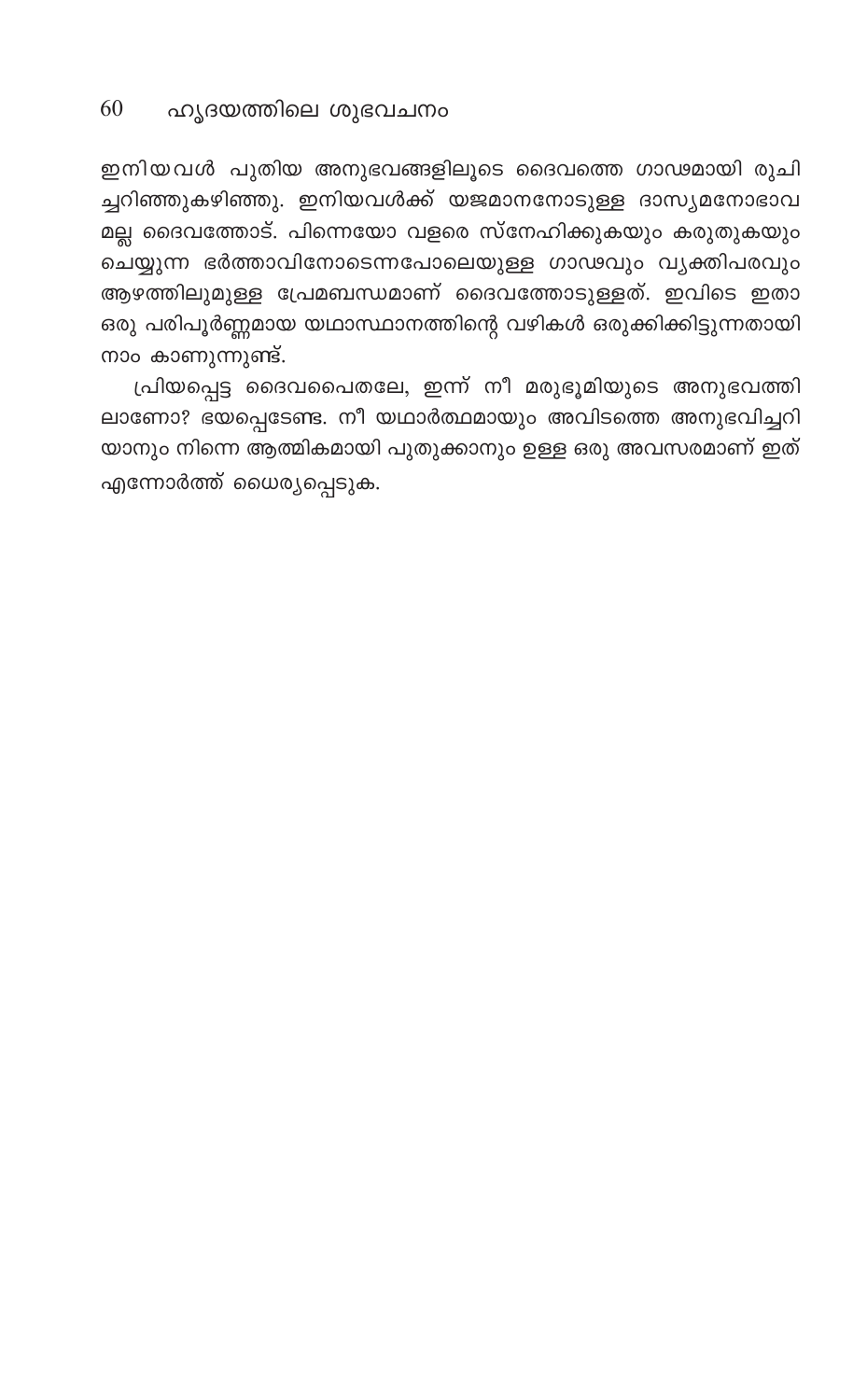ഇനിയവൾ പുതിയ അനുഭവങ്ങളിലൂടെ ദൈവത്തെ ഗാഢമായി രുചി ച്ചറിഞ്ഞുകഴിഞ്ഞു. ഇനിയവൾക്ക് യജമാനനോടുള്ള ദാസ്യമനോഭാവ മല്ല ദൈവത്തോട്. പിന്നെയോ വളരെ സ്നേഹിക്കുകയും കരുതുകയും ചെയ്യുന്ന ഭർത്താവിനോടെന്നപോലെയുള്ള ഗാഢവും വ്യക്തിപരവും ആഴത്തിലുമുള്ള പ്രേമബന്ധമാണ് ദൈവത്തോടുള്ളത്. ഇവിടെ ഇതാ ഒരു പരിപൂർണ്ണമായ യഥാസ്ഥാനത്തിന്റെ വഴികൾ ഒരുക്കിക്കിട്ടുന്നതായി നാം കാണുന്നുണ്ട്.

പ്രിയപ്പെട്ട ദൈവപൈതലേ, ഇന്ന് നീ മരുഭൂമിയുടെ അനുഭവത്തി ലാണോ? ഭയപ്പെടേണ്ട. നീ യഥാർത്ഥമായും അവിടത്തെ അനുഭവിച്ചറി .<br>യാനും നിന്നെ ആത്മികമായി പുതുക്കാനും ഉള്ള ഒരു അവസരമാണ് ഇത് എന്നോർത്ത് ധൈര്യപ്പെടുക.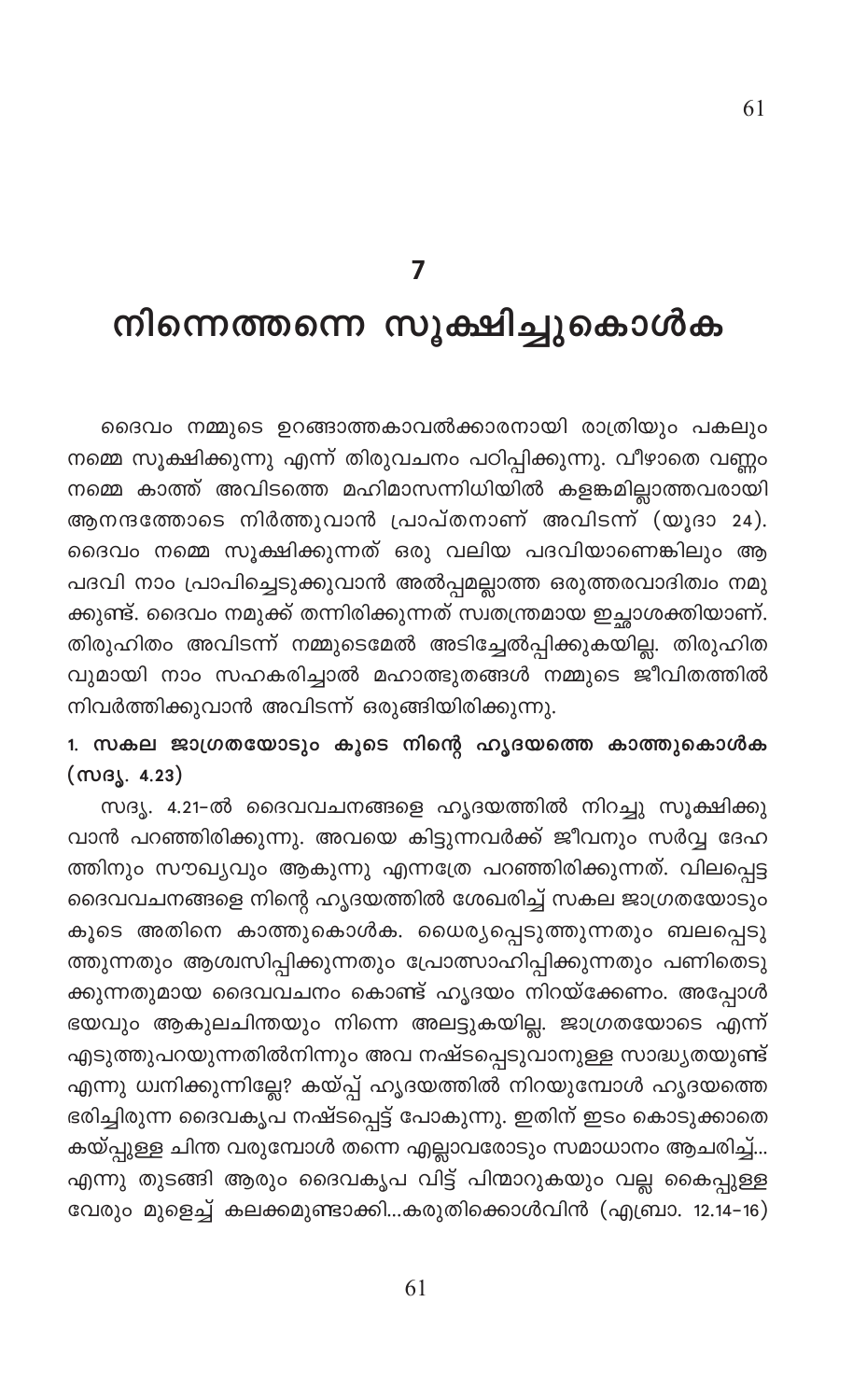$\overline{7}$ 

# നിന്നെത്തന്നെ സൂക്ഷിച്ചുകൊൾക

ദൈവം നമ്മുടെ ഉറങ്ങാത്തകാവൽക്കാരനായി രാത്രിയും പകലും നമ്മെ സൂക്ഷിക്കുന്നു എന്ന് തിരുവചനം പഠിപ്പിക്കുന്നു. വീഴാതെ വണ്ണം .<br>നമ്മെ കാത്ത് അവിടത്തെ മഹിമാസന്നിധിയിൽ കളങ്കമില്ലാത്തവരായി ആനന്ദത്തോടെ നിർത്തുവാൻ പ്രാപ്തനാണ് അവിടന്ന് (യൂദാ 24). ദൈവം നമ്മെ സൂക്ഷിക്കുന്നത് ഒരു വലിയ പദവിയാണെങ്കിലും ആ പദവി നാം പ്രാപിച്ചെടുക്കുവാൻ അൽപ്പമല്ലാത്ത ഒരുത്തരവാദിത്വം നമു ക്കുണ്ട്. ദൈവം നമുക്ക് തന്നിരിക്കുന്നത് സ്വതന്ത്രമായ ഇച്ഛാശക്തിയാണ്. തിരുഹിതം അവിടന്ന് നമ്മുടെമേൽ അടിച്ചേൽപ്പിക്കുകയില്ല. തിരുഹിത വുമായി നാം സഹകരിച്ചാൽ മഹാത്ഭുതങ്ങൾ നമ്മുടെ ജീവിതത്തിൽ നിവർത്തിക്കുവാൻ അവിടന്ന് ഒരുങ്ങിയിരിക്കുന്നു.

# 1. സകല ജാഗ്രതയോടും കൂടെ നിന്റെ ഹൃദയത്തെ കാത്തുകൊൾക  $(mg_{\lambda}$ . 4.23)

സദൃ. 4.21-ൽ ദൈവവചനങ്ങളെ ഹൃദയത്തിൽ നിറച്ചു സൂക്ഷിക്കു വാൻ പറഞ്ഞിരിക്കുന്നു. അവയെ കിട്ടുന്നവർക്ക് ജീവനും സർവ്വ ദേഹ ത്തിനും സൗഖ്യവും ആകുന്നു എന്നത്രേ പറഞ്ഞിരിക്കുന്നത്. വിലപ്പെട്ട ദൈവവചനങ്ങളെ നിന്റെ ഹൃദയത്തിൽ ശേഖരിച്ച് സകല ജാഗ്രതയോടും കൂടെ അതിനെ കാത്തുകൊൾക. ധൈര്യപ്പെടുത്തുന്നതും ബലപ്പെടു ത്തുന്നതും ആശ്വസിപ്പിക്കുന്നതും പ്രോത്സാഹിപ്പിക്കുന്നതും പണിതെടു ക്കുന്നതുമായ ദൈവവചനം കൊണ്ട് ഹൃദയം നിറയ്ക്കേണം. അപ്പോൾ ഭയവും ആകുലചിന്തയും നിന്നെ അലട്ടുകയില്ല. ജാഗ്രതയോടെ എന്ന് എടുത്തുപറയുന്നതിൽനിന്നും അവ നഷ്ടപ്പെടുവാനുള്ള സാദ്ധ്യതയുണ്ട് എന്നു ധ്വനിക്കുന്നില്ലേ? കയ്പ്പ് ഹൃദയത്തിൽ നിറയുമ്പോൾ ഹൃദയത്തെ ഭരിച്ചിരുന്ന ദൈവകൃപ നഷ്ടപ്പെട്ട് പോകുന്നു. ഇതിന് ഇടം കൊടുക്കാതെ കയ്പ്പുള്ള ചിന്ത വരുമ്പോൾ തന്നെ എല്ലാവരോടും സമാധാനം ആചരിച്ച്... എന്നു തുടങ്ങി ആരും ദൈവകൃപ വിട്ട് പിന്മാറുകയും വല്ല കൈപ്പുള്ള വേരും മുളെച്ച് കലക്കമുണ്ടാക്കി...കരുതിക്കൊൾവിൻ (എബ്രാ. 12.14–16)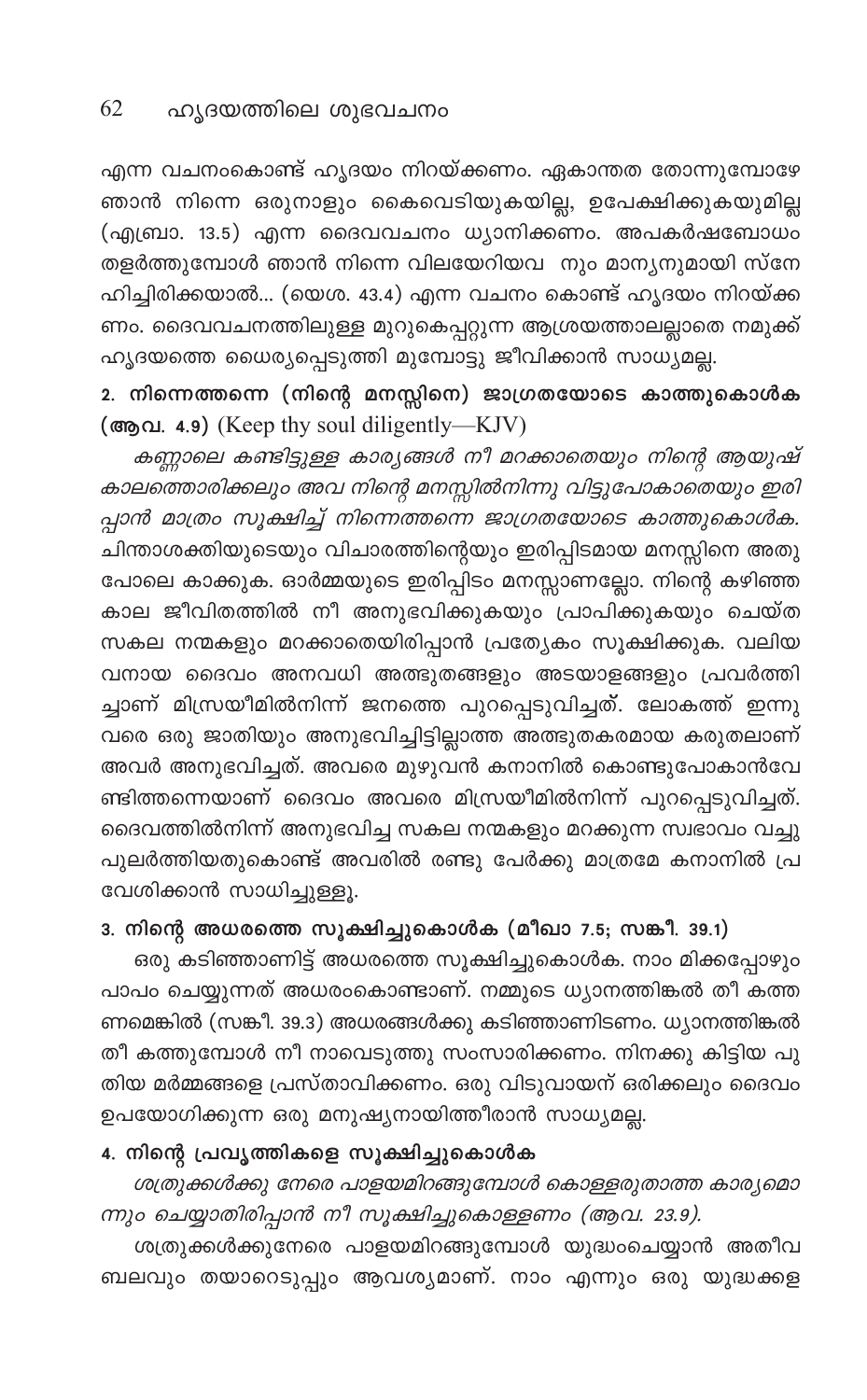എന്ന വചനംകൊണ്ട് ഹൃദയം നിറയ്ക്കണം. ഏകാന്തത തോന്നുമ്പോഴേ ഞാൻ നിന്നെ ഒരുനാളും കൈവെടിയുകയില്ല, ഉപേക്ഷിക്കുകയുമില്ല (എബ്രാ. 13.5) എന്ന ദൈവവചനം ധ്യാനിക്കണം. അപകർഷബോധം തളർത്തുമ്പോൾ ഞാൻ നിന്നെ വിലയേറിയവ നും മാന്യനുമായി സ്നേ ഹിച്ചിരിക്കയാൽ... (യെശ. 43.4) എന്ന വചനം കൊണ്ട് ഹൃദയം നിറയ്ക്ക ണം. ദൈവവചനത്തിലുള്ള മുറുകെപ്പറ്റുന്ന ആശ്രയത്താലല്ലാതെ നമുക്ക് ഹൃദയത്തെ ധൈര്യപ്പെടുത്തി മുമ്പോട്ടു ജീവിക്കാൻ സാധ്യമല്ല.

# 2. നിന്നെത്തന്നെ (നിന്റെ മനസ്സിനെ) ജാഗ്രതയോടെ കാത്തുകൊൾക (ആവ. 4.9) (Keep thy soul diligently-KJV)

കണ്ണാലെ കണ്ടിട്ടുള്ള കാര്യങ്ങൾ നീ മറക്കാതെയും നിന്റെ ആയുഷ് കാലത്തൊരിക്കലും അവ നിന്റെ മനസ്സിൽനിന്നു വിട്ടുപോകാതെയും ഇരി പ്പാൻ മാത്രം സൂക്ഷിച്ച് നിന്നെത്തന്നെ ജാഗ്രതയോടെ കാത്തുകൊൾക. ചിന്താശക്തിയുടെയും വിചാരത്തിന്റെയും ഇരിപ്പിടമായ മനസ്സിനെ അതു പോലെ കാക്കുക. ഓർമ്മയുടെ ഇരിപ്പിടം മനസ്സാണല്ലോ. നിന്റെ കഴിഞ്ഞ കാല ജീവിതത്തിൽ നീ അനുഭവിക്കുകയും പ്രാപിക്കുകയും ചെയ്ത സകല നന്മകളും മറക്കാതെയിരിപ്പാൻ പ്രത്യേകം സൂക്ഷിക്കുക. വലിയ വനായ ദൈവം അനവധി അത്ഭുതങ്ങളും അടയാളങ്ങളും പ്രവർത്തി ച്ചാണ് മിസ്രയീമിൽനിന്ന് ജനത്തെ പുറപ്പെടുവിച്ചത്. ലോകത്ത് ഇന്നു വരെ ഒരു ജാതിയും അനുഭവിച്ചിട്ടില്ലാത്ത അത്ഭുതകരമായ കരുതലാണ് അവർ അനുഭവിച്ചത്. അവരെ മുഴുവൻ കനാനിൽ കൊണ്ടുപോകാൻവേ ണ്ടിത്തന്നെയാണ് ദൈവം അവരെ മിസ്രയീമിൽനിന്ന് പുറപ്പെടുവിച്ചത്. ദൈവത്തിൽനിന്ന് അനുഭവിച്ച സകല നന്മകളും മറക്കുന്ന സ്വഭാവം വച്ചു പുലർത്തിയതുകൊണ്ട് അവരിൽ രണ്ടു പേർക്കു മാത്രമേ കനാനിൽ പ്ര വേശിക്കാൻ സാധിച്ചുള്ളൂ.

### 3. നിന്റെ അധരത്തെ സൂക്ഷിച്ചുകൊൾക (മീഖാ 7.5; സങ്കീ. 39.1)

ഒരു കടിഞ്ഞാണിട്ട് അധരത്തെ സൂക്ഷിച്ചുകൊൾക. നാം മിക്കപ്പോഴും പാപം ചെയ്യുന്നത് അധരംകൊണ്ടാണ്. നമ്മുടെ ധ്യാനത്തിങ്കൽ തീ കത്ത ണമെങ്കിൽ (സങ്കീ. 39.3) അധരങ്ങൾക്കു കടിഞ്ഞാണിടണം. ധ്യാനത്തിങ്കൽ തീ കത്തുമ്പോൾ നീ നാവെടുത്തു സംസാരിക്കണം. നിനക്കു കിട്ടിയ പു തിയ മർമ്മങ്ങളെ പ്രസ്താവിക്കണം. ഒരു വിടുവായന് ഒരിക്കലും ദൈവം ഉപയോഗിക്കുന്ന ഒരു മനുഷ്യനായിത്തീരാൻ സാധ്യമല്ല.

#### 4. നിന്റെ പ്രവൃത്തികളെ സൂക്ഷിച്ചുകൊൾക

ശത്രുക്കൾക്കു നേരെ പാളയമിറങ്ങുമ്പോൾ കൊള്ളരുതാത്ത കാര്യമൊ ന്നും ചെയ്യാതിരിപ്പാൻ നീ സൂക്ഷിച്ചുകൊള്ളണം (ആവ. 23.9).

ശത്രുക്കൾക്കുനേരെ പാളയമിറങ്ങുമ്പോൾ യുദ്ധംചെയ്യാൻ അതീവ ബലവും തയാറെടുപ്പും ആവശ്യമാണ്. നാം എന്നും ഒരു യുദ്ധക്കള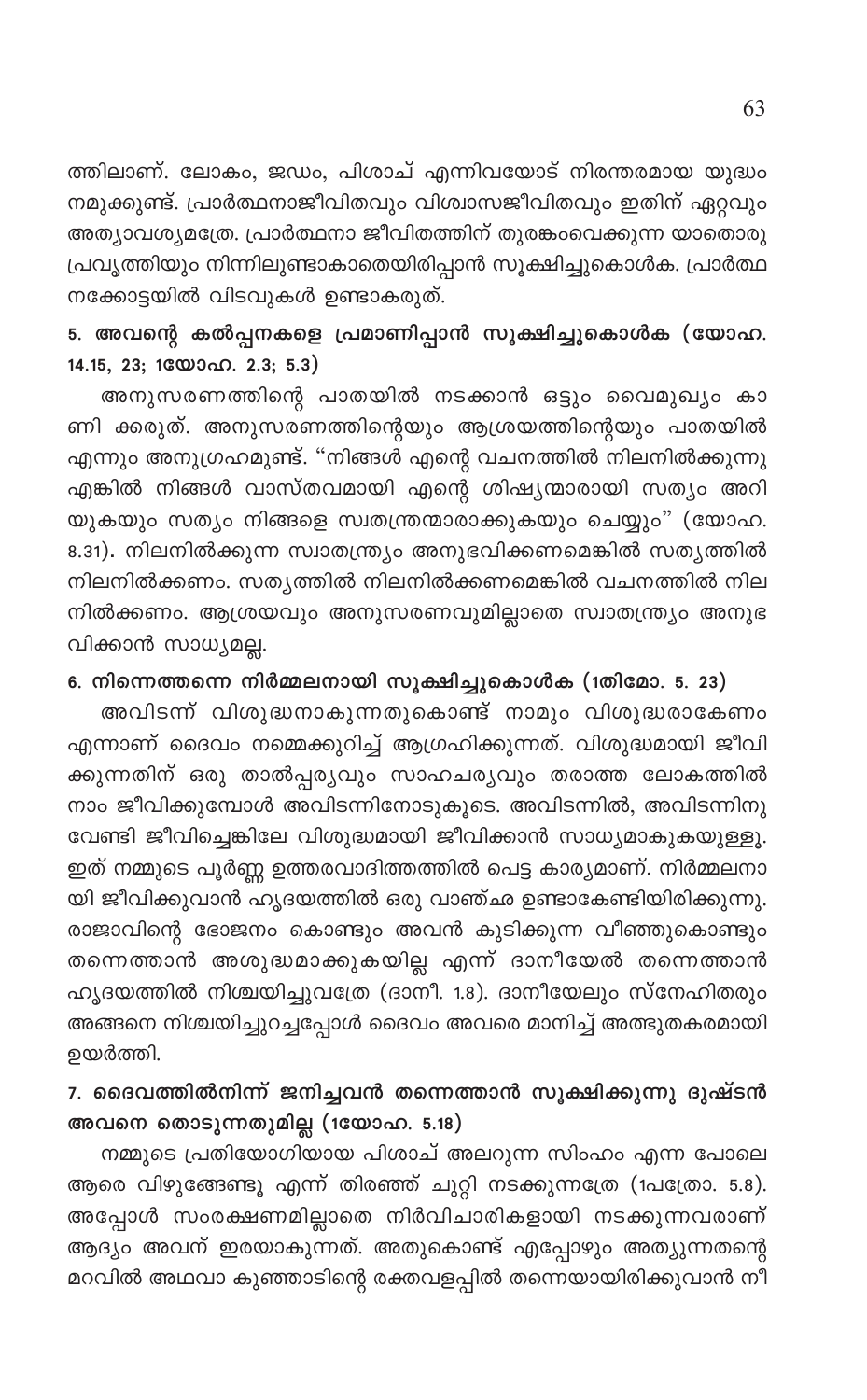ത്തിലാണ്. ലോകം, ജഡം, പിശാച് എന്നിവയോട് നിരന്തരമായ യുദ്ധം നമുക്കുണ്ട്. പ്രാർത്ഥനാജീവിതവും വിശ്വാസജീവിതവും ഇതിന് ഏറ്റവും അത്യാവശ്യമത്രേ. പ്രാർത്ഥനാ ജീവിതത്തിന് തുരങ്കംവെക്കുന്ന യാതൊരു പ്രവൃത്തിയും നിന്നിലുണ്ടാകാതെയിരിപ്പാൻ സൂക്ഷിച്ചുകൊൾക. പ്രാർത്ഥ നക്കോട്ടയിൽ വിടവുകൾ ഉണ്ടാകരുത്.

# 5. അവന്റെ കൽപ്പനകളെ പ്രമാണിപ്പാൻ സൂക്ഷിച്ചുകൊൾക (യോഹ. 14.15, 23; 10000 . 2.3; 5.3)

അനുസരണത്തിന്റെ പാതയിൽ നടക്കാൻ ഒട്ടും വൈമുഖ്യം കാ ണി ക്കരുത്. അനുസരണത്തിന്റെയും ആശ്രയത്തിന്റെയും പാതയിൽ എന്നും അനുഗ്രഹമുണ്ട്. "നിങ്ങൾ എന്റെ വചനത്തിൽ നിലനിൽക്കുന്നു എങ്കിൽ നിങ്ങൾ വാസ്തവമായി എന്റെ ശിഷ്യന്മാരായി സത്യം അറി യുകയും സത്യം നിങ്ങളെ സ്വതന്ത്രന്മാരാക്കുകയും ചെയ്യും" (യോഹ. 8.31). നിലനിൽക്കുന്ന സ്വാതന്ത്ര്യം അനുഭവിക്കണമെങ്കിൽ സത്യത്തിൽ നിലനിൽക്കണം. സത്യത്തിൽ നിലനിൽക്കണമെങ്കിൽ വചനത്തിൽ നില നിൽക്കണം. ആശ്രയവും അനുസരണവുമില്ലാതെ സ്വാതന്ത്ര്യം അനുഭ വിക്കാൻ സാധ്യമല്ല.

6. നിന്നെത്തന്നെ നിർമ്മലനായി സൂക്ഷിച്ചുകൊൾക (1തിമോ. 5. 23)

അവിടന്ന് വിശുദ്ധനാകുന്നതുകൊണ്ട് നാമും വിശുദ്ധരാകേണം എന്നാണ് ദൈവം നമ്മെക്കുറിച്ച് ആഗ്രഹിക്കുന്നത്. വിശുദ്ധമായി ജീവി ക്കുന്നതിന് ഒരു താൽപ്പര്യവും സാഹചര്യവും തരാത്ത ലോകത്തിൽ നാം ജീവിക്കുമ്പോൾ അവിടന്നിനോടുകൂടെ. അവിടന്നിൽ, അവിടന്നിനു വേണ്ടി ജീവിച്ചെങ്കിലേ വിശുദ്ധമായി ജീവിക്കാൻ സാധ്യമാകുകയുള്ളൂ. ഇത് നമ്മുടെ പൂർണ്ണ ഉത്തരവാദിത്തത്തിൽ പെട്ട കാര്യമാണ്. നിർമ്മലനാ യി ജീവിക്കുവാൻ ഹൃദയത്തിൽ ഒരു വാഞ്ഛ ഉണ്ടാകേണ്ടിയിരിക്കുന്നു. രാജാവിന്റെ ഭോജനം കൊണ്ടും അവൻ കുടിക്കുന്ന വീഞ്ഞുകൊണ്ടും തന്നെത്താൻ അശുദ്ധമാക്കുകയില്ല എന്ന് ദാനീയേൽ തന്നെത്താൻ ഹൃദയത്തിൽ നിശ്ചയിച്ചുവത്രേ (ദാനീ. 1.8). ദാനീയേലും സ്നേഹിതരും അങ്ങനെ നിശ്ചയിച്ചുറച്ചപ്പോൾ ദൈവം അവരെ മാനിച്ച് അത്ഭുതകരമായി ഉയർത്തി.

# 7. ദൈവത്തിൽനിന്ന് ജനിച്ചവൻ തന്നെത്താൻ സൂക്ഷിക്കുന്നു ദുഷ്ടൻ അവനെ തൊടുന്നതുമില്ല (1യോഹ. 5.18)

നമ്മുടെ പ്രതിയോഗിയായ പിശാച് അലറുന്ന സിംഹം എന്ന പോലെ ആരെ വിഴുങ്ങേണ്ടൂ എന്ന് തിരഞ്ഞ് ചുറ്റി നടക്കുന്നത്രേ (1പത്രോ. 5.8). അപ്പോൾ സംരക്ഷണമില്ലാതെ നിർവിചാരികളായി നടക്കുന്നവരാണ് ആദ്യം അവന് ഇരയാകുന്നത്. അതുകൊണ്ട് എപ്പോഴും അത്യുന്നതന്റെ മറവിൽ അഥവാ കുഞ്ഞാടിന്റെ രക്തവളപ്പിൽ തന്നെയായിരിക്കുവാൻ നീ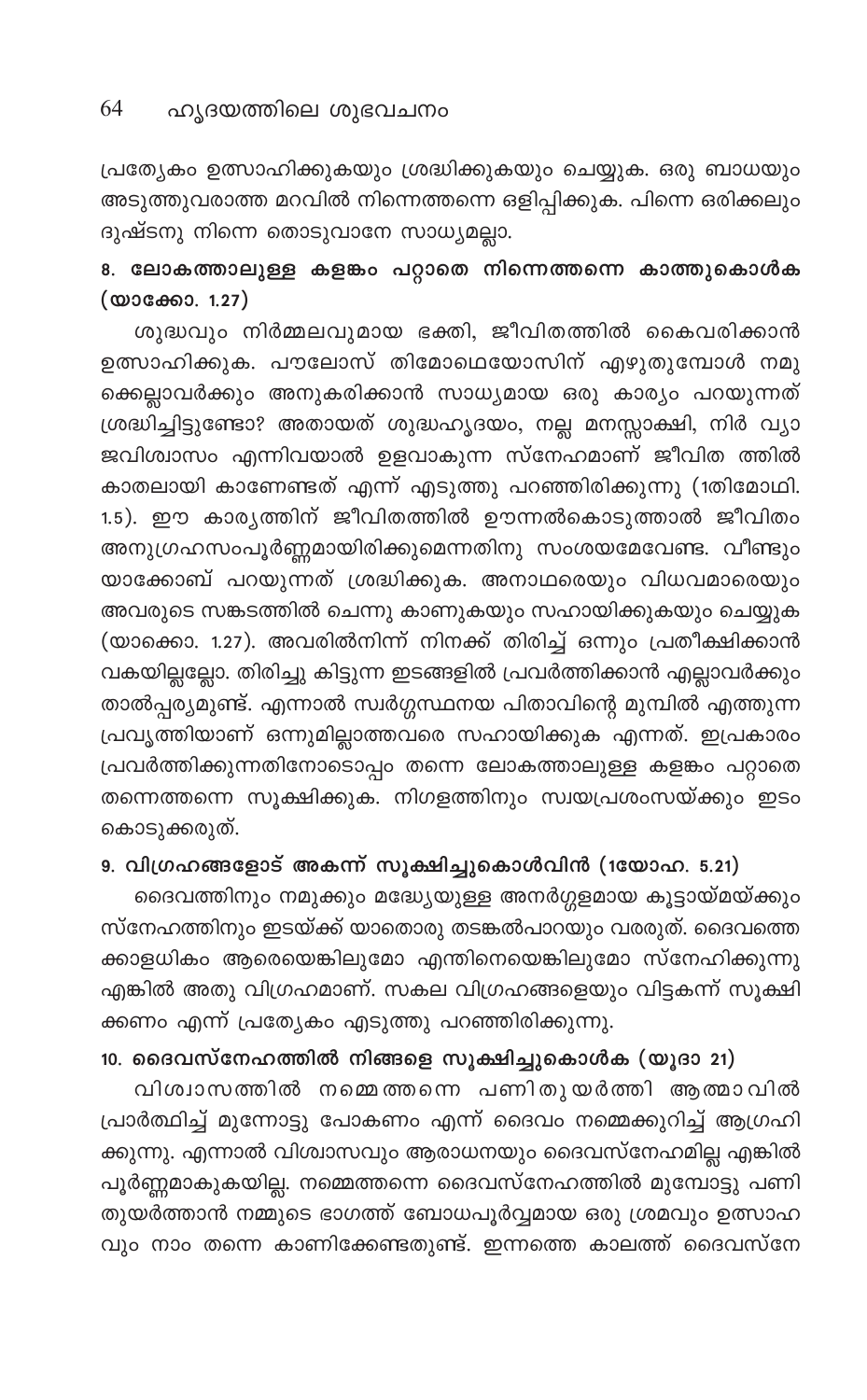പ്രത്യേകം ഉത്സാഹിക്കുകയും ശ്രദ്ധിക്കുകയും ചെയ്യുക. ഒരു ബാധയും അടുത്തുവരാത്ത മറവിൽ നിന്നെത്തന്നെ ഒളിപ്പിക്കുക. പിന്നെ ഒരിക്കലും ദുഷ്ടനു നിന്നെ തൊടുവാനേ സാധ്യമല്ലാ.

# 8. ലോകത്താലുള്ള കളങ്കം പറ്റാതെ നിന്നെത്തന്നെ കാത്തുകൊൾക (യാക്കോ. 1.27)

ശുദ്ധവും നിർമ്മലവുമായ ഭക്തി, ജീവിതത്തിൽ കൈവരിക്കാൻ ഉത്സാഹിക്കുക. പൗലോസ് തിമോഥെയോസിന് എഴുതുമ്പോൾ നമു ക്കെല്ലാവർക്കും അനുകരിക്കാൻ സാധ്യമായ ഒരു കാര്യം പറയുന്നത് ശ്രദ്ധിച്ചിട്ടുണ്ടോ? അതായത് ശുദ്ധഹൃദയം, നല്ല മനസ്സാക്ഷി, നിർ വ്യാ ജവിശ്വാസം എന്നിവയാൽ ഉളവാകുന്ന സ്നേഹമാണ് ജീവിത ത്തിൽ കാതലായി കാണേണ്ടത് എന്ന് എടുത്തു പറഞ്ഞിരിക്കുന്നു (1തിമോഥി. 1.5). ഈ കാര്യത്തിന് ജീവിതത്തിൽ ഊന്നൽകൊടുത്താൽ ജീവിതം അനുഗ്രഹസംപൂർണ്ണമായിരിക്കുമെന്നതിനു സംശയമേവേണ്ട. വീണ്ടും യാക്കോബ് പറയുന്നത് ശ്രദ്ധിക്കുക. അനാഥരെയും വിധവമാരെയും അവരുടെ സങ്കടത്തിൽ ചെന്നു കാണുകയും സഹായിക്കുകയും ചെയ്യുക (യാക്കൊ. 1.27). അവരിൽനിന്ന് നിനക്ക് തിരിച്ച് ഒന്നും പ്രതീക്ഷിക്കാൻ വകയില്ലല്ലോ. തിരിച്ചു കിട്ടുന്ന ഇടങ്ങളിൽ പ്രവർത്തിക്കാൻ എല്ലാവർക്കും താൽപ്പര്യമുണ്ട്. എന്നാൽ സ്വർഗ്ഗസ്ഥനയ പിതാവിന്റെ മുമ്പിൽ എത്തുന്ന പ്രവൃത്തിയാണ് ഒന്നുമില്ലാത്തവരെ സഹായിക്കുക എന്നത്. ഇപ്രകാരം പ്രവർത്തിക്കുന്നതിനോടൊപ്പം തന്നെ ലോകത്താലുള്ള കളങ്കം പറ്റാതെ തന്നെത്തന്നെ സൂക്ഷിക്കുക. നിഗളത്തിനും സ്വയപ്രശംസയ്ക്കും ഇടം കൊടുക്കരുത്.

### 9. വിഗ്രഹങ്ങളോട് അകന്ന് സൂക്ഷിച്ചുകൊൾവിൻ (1യോഹ. 5.21)

ദൈവത്തിനും നമുക്കും മദ്ധ്യേയുള്ള അനർഗ്ഗളമായ കൂട്ടായ്മയ്ക്കും സ്നേഹത്തിനും ഇടയ്ക്ക് യാതൊരു തടങ്കൽപാറയും വരരുത്. ദൈവത്തെ ക്കാളധികം ആരെയെങ്കിലുമോ എന്തിനെയെങ്കിലുമോ സ്നേഹിക്കുന്നു എങ്കിൽ അതു വിഗ്രഹമാണ്. സകല വിഗ്രഹങ്ങളെയും വിട്ടകന്ന് സൂക്ഷി ക്കണം എന്ന് പ്രത്യേകം എടുത്തു പറഞ്ഞിരിക്കുന്നു.

#### 10. ദൈവസ്നേഹത്തിൽ നിങ്ങളെ സൂക്ഷിച്ചുകൊൾക (യൂദാ 21)

വിശ്വാസത്തിൽ നമ്മെത്തന്നെ പണിതുയർത്തി ആത്മാവിൽ പ്രാർത്ഥിച്ച് മുന്നോട്ടു പോകണം എന്ന് ദൈവം നമ്മെക്കുറിച്ച് ആഗ്രഹി ക്കുന്നു. എന്നാൽ വിശ്വാസവും ആരാധനയും ദൈവസ്നേഹമില്ല എങ്കിൽ പൂർണ്ണമാകുകയില്ല. നമ്മെത്തന്നെ ദൈവസ്നേഹത്തിൽ മുമ്പോട്ടു പണി തുയർത്താൻ നമ്മുടെ ഭാഗത്ത് ബോധപൂർവ്വമായ ഒരു ശ്രമവും ഉത്സാഹ വും നാം തന്നെ കാണിക്കേണ്ടതുണ്ട്. ഇന്നത്തെ കാലത്ത് ദൈവസ്നേ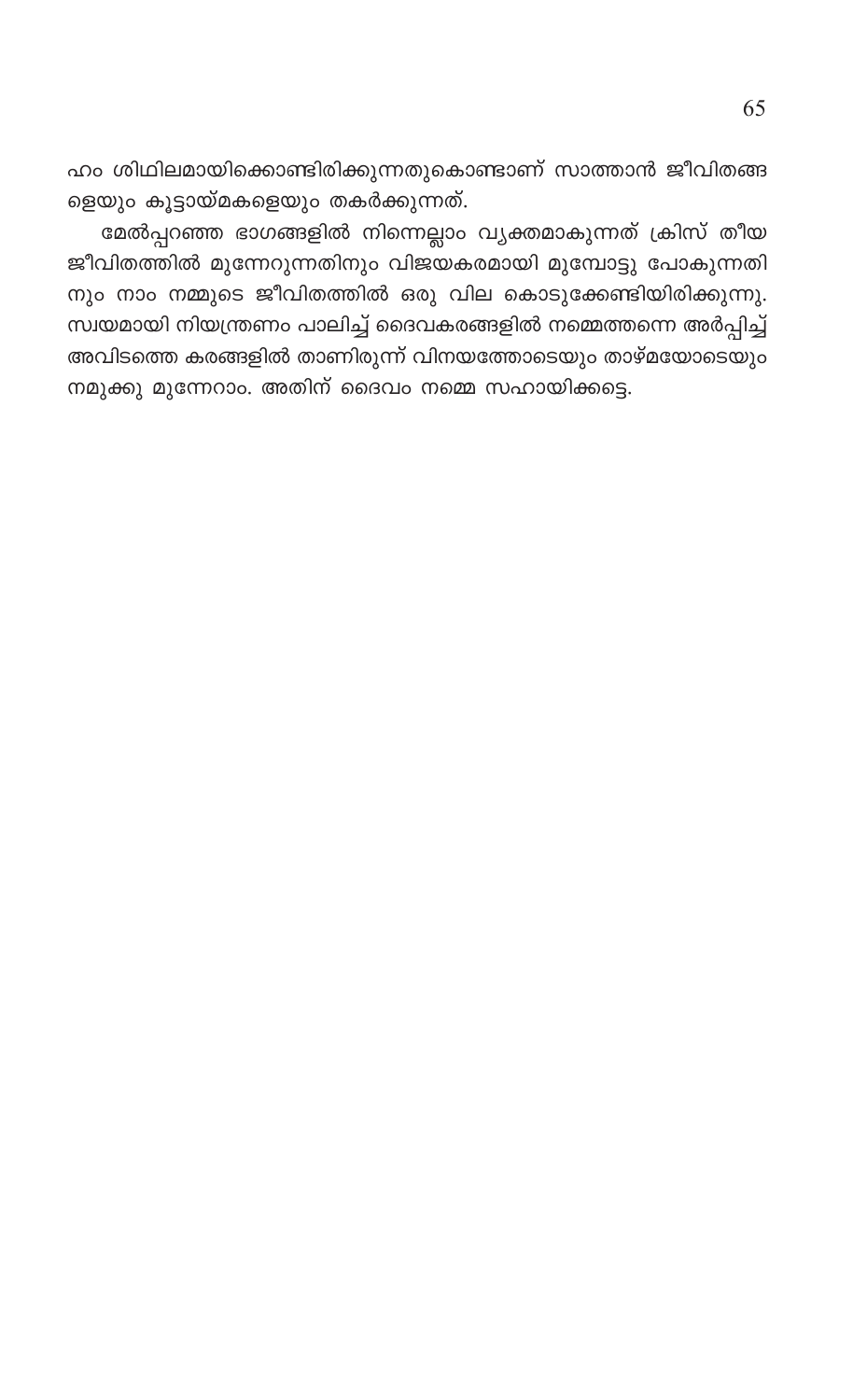ഹം ശിഥിലമായിക്കൊണ്ടിരിക്കുന്നതുകൊണ്ടാണ് സാത്താൻ ജീവിതങ്ങ ളെയും കൂട്ടായ്മകളെയും തകർക്കുന്നത്.

മേൽപ്പറഞ്ഞ ഭാഗങ്ങളിൽ നിന്നെല്ലാം വ്യക്തമാകുന്നത് ക്രിസ് തീയ ജീവിതത്തിൽ മുന്നേറുന്നതിനും വിജയകരമായി മുമ്പോട്ടു പോകുന്നതി നും നാം നമ്മുടെ ജീവിതത്തിൽ ഒരു വില കൊടുക്കേണ്ടിയിരിക്കുന്നു. .<br>സ്വയമായി നിയന്ത്രണം പാലിച്ച് ദൈവകരങ്ങളിൽ നമ്മെത്തന്നെ അർപ്പിച്ച് അവിടത്തെ കരങ്ങളിൽ താണിരുന്ന് വിനയത്തോടെയും താഴ്മയോടെയും നമുക്കു മുന്നേറാം. അതിന് ദൈവം നമ്മെ സഹായിക്കട്ടെ.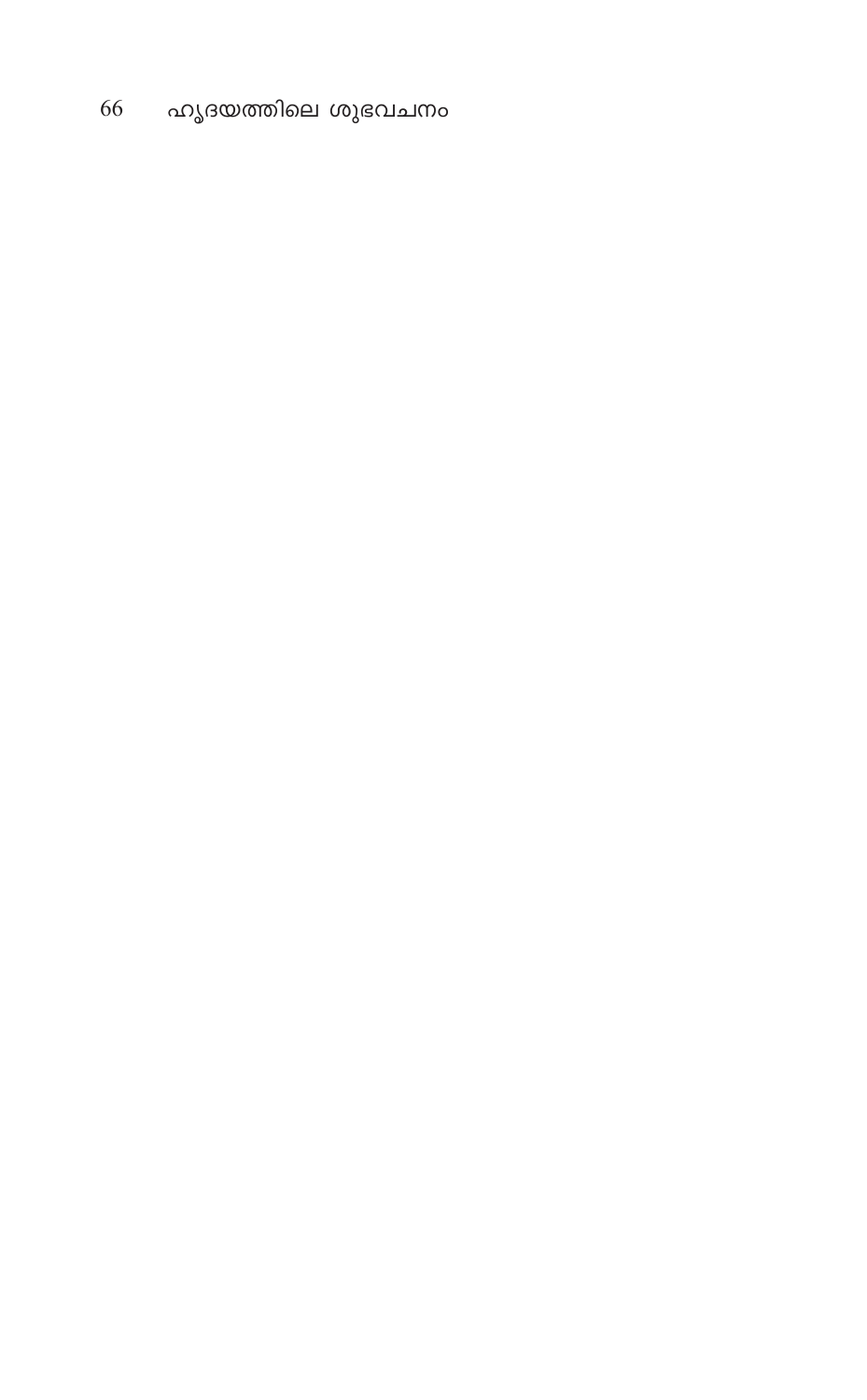66 ഹൃദയത്തിലെ ശുഭവചനം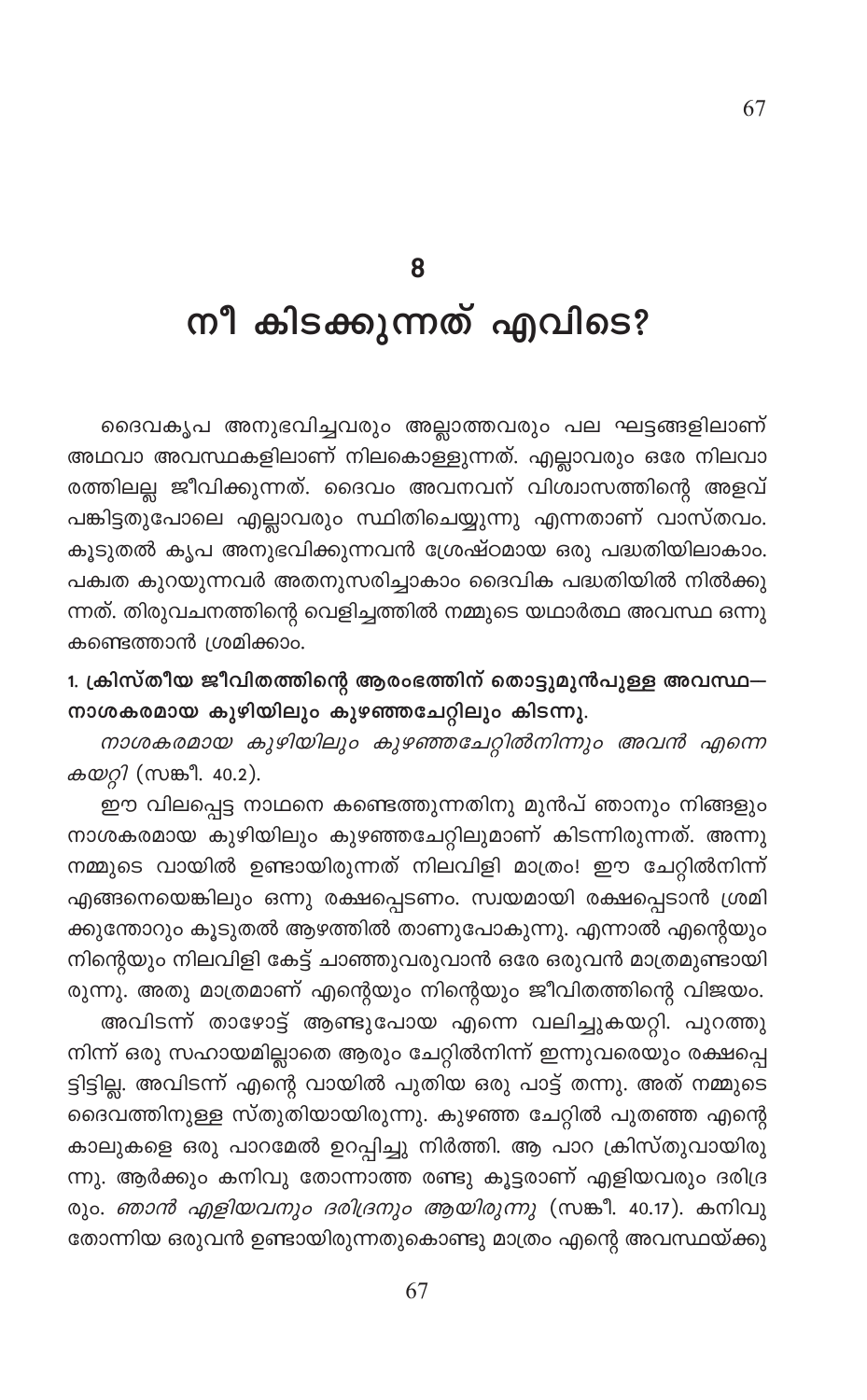8

# നീ കിടക്കുന്നത് എവിടെ?

ദൈവകൃപ അനുഭവിച്ചവരും അല്ലാത്തവരും പല ഘട്ടങ്ങളിലാണ് അഥവാ അവസ്ഥകളിലാണ് നിലകൊള്ളുന്നത്. എല്ലാവരും ഒരേ നിലവാ രത്തിലല്ല ജീവിക്കുന്നത്. ദൈവം അവനവന് വിശ്വാസത്തിന്റെ അളവ് പങ്കിട്ടതുപോലെ എല്ലാവരും സ്ഥിതിചെയ്യുന്നു എന്നതാണ് വാസ്തവം. കൂടുതൽ കൃപ അനുഭവിക്കുന്നവൻ ശ്രേഷ്ഠമായ ഒരു പദ്ധതിയിലാകാം. പക്വത കുറയുന്നവർ അതനുസരിച്ചാകാം ദൈവിക പദ്ധതിയിൽ നിൽക്കു ന്നത്. തിരുവചനത്തിന്റെ വെളിച്ചത്തിൽ നമ്മുടെ യഥാർത്ഥ അവസ്ഥ ഒന്നു കണ്ടെത്താൻ ശ്രമിക്കാം.

# 1. ക്രിസ്തീയ ജീവിതത്തിന്റെ ആരംഭത്തിന് തൊട്ടുമുൻപുള്ള അവസ്ഥ— നാശകരമായ കുഴിയിലും കുഴഞ്ഞചേറ്റിലും കിടന്നു.

നാശകരമായ കുഴിയിലും കുഴഞ്ഞചേറ്റിൽനിന്നും അവൻ എന്നെ *കയറ്റി* (സങ്കീ. 40.2).

ഈ വിലപ്പെട്ട നാഥനെ കണ്ടെത്തുന്നതിനു മുൻപ് ഞാനും നിങ്ങളും നാശകരമായ കുഴിയിലും കുഴഞ്ഞചേറ്റിലുമാണ് കിടന്നിരുന്നത്. അന്നു നമ്മുടെ വായിൽ ഉണ്ടായിരുന്നത് നിലവിളി മാത്രം! ഈ ചേറ്റിൽനിന്ന് എങ്ങനെയെങ്കിലും ഒന്നു രക്ഷപ്പെടണം. സ്വയമായി രക്ഷപ്പെടാൻ ശ്രമി ക്കുന്തോറും കൂടുതൽ ആഴത്തിൽ താണുപോകുന്നു. എന്നാൽ എന്റെയും നിന്റെയും നിലവിളി കേട്ട് ചാഞ്ഞുവരുവാൻ ഒരേ ഒരുവൻ മാത്രമുണ്ടായി രുന്നു. അതു മാത്രമാണ് എന്റെയും നിന്റെയും ജീവിതത്തിന്റെ വിജയം.

അവിടന്ന് താഴോട്ട് ആണ്ടുപോയ എന്നെ വലിച്ചുകയറ്റി. പുറത്തു നിന്ന് ഒരു സഹായമില്ലാതെ ആരും ചേറ്റിൽനിന്ന് ഇന്നുവരെയും രക്ഷപ്പെ ട്ടിട്ടില്ല. അവിടന്ന് എന്റെ വായിൽ പുതിയ ഒരു പാട്ട് തന്നു. അത് നമ്മുടെ ദൈവത്തിനുള്ള സ്തുതിയായിരുന്നു. കുഴഞ്ഞ ചേറ്റിൽ പുതഞ്ഞ എന്റെ കാലുകളെ ഒരു പാറമേൽ ഉറപ്പിച്ചു നിർത്തി. ആ പാറ ക്രിസ്തുവായിരു ന്നു. ആർക്കും കനിവു തോന്നാത്ത രണ്ടു കൂട്ടരാണ് എളിയവരും ദരിദ്ര രും. *ഞാൻ എളിയവനും ദരിദ്രനും ആയിരുന്നു* (സങ്കീ. 40.17). കനിവു തോന്നിയ ഒരുവൻ ഉണ്ടായിരുന്നതുകൊണ്ടു മാത്രം എന്റെ അവസ്ഥയ്ക്കു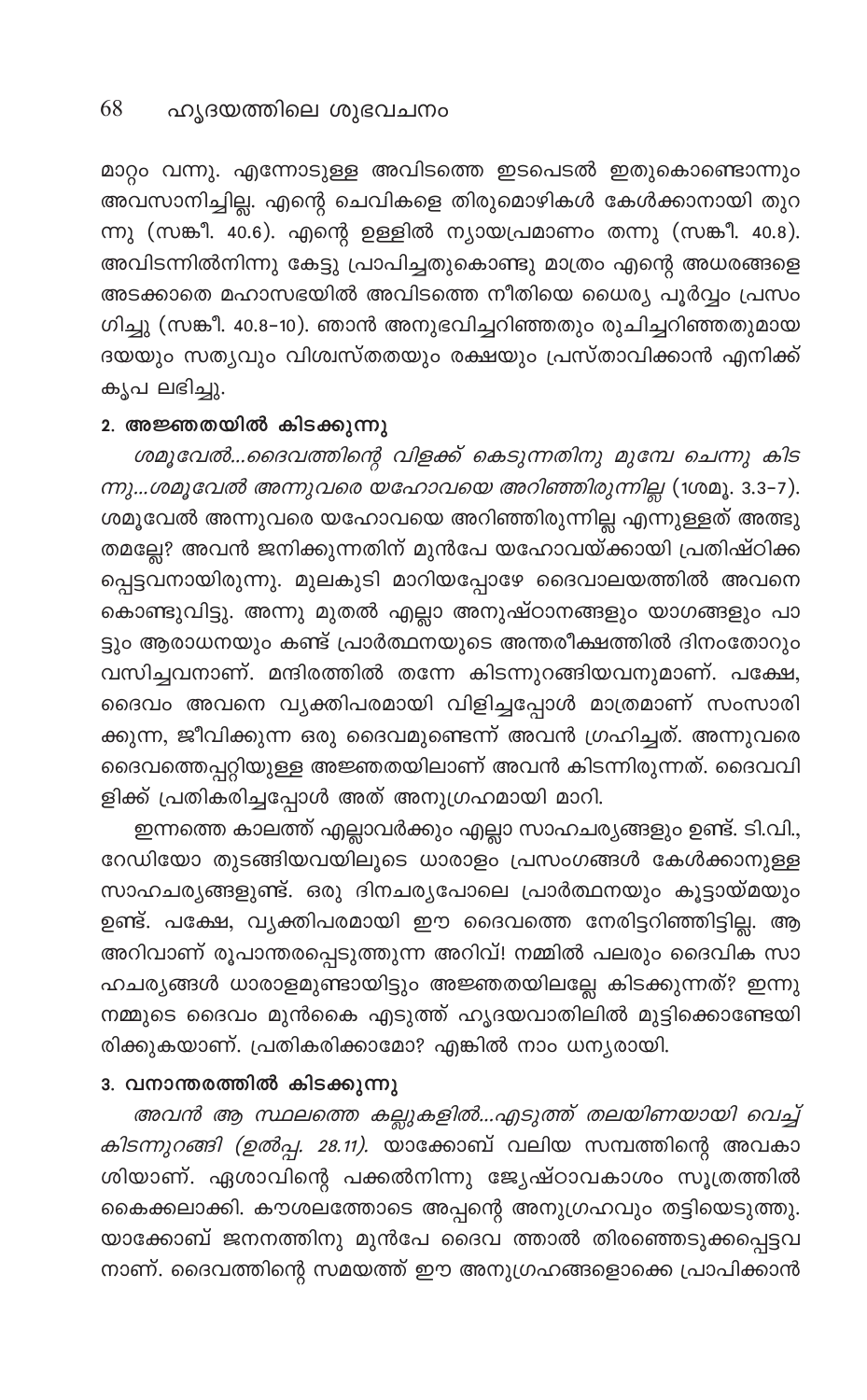മാറ്റം വന്നു. എന്നോടുള്ള അവിടത്തെ ഇടപെടൽ ഇതുകൊണ്ടൊന്നും അവസാനിച്ചില്ല. എന്റെ ചെവികളെ തിരുമൊഴികൾ കേൾക്കാനായി തുറ ന്നു (സങ്കീ. 40.6). എന്റെ ഉള്ളിൽ ന്യായപ്രമാണം തന്നു (സങ്കീ. 40.8). അവിടന്നിൽനിന്നു കേട്ടു പ്രാപിച്ചതുകൊണ്ടു മാത്രം എന്റെ അധരങ്ങളെ അടക്കാതെ മഹാസഭയിൽ അവിടത്തെ നീതിയെ ധൈര്യ പൂർവ്വം പ്രസം ഗിച്ചു (സങ്കീ. 40.8–10). ഞാൻ അനുഭവിച്ചറിഞ്ഞതും രുചിച്ചറിഞ്ഞതുമായ ദയയും സതൃവും വിശ്വസ്തതയും രക്ഷയും പ്രസ്താവിക്കാൻ എനിക്ക് കൃപ ലഭിച്ചു.

#### 2. അജ്ഞതയിൽ കിടക്കുന്നു

ശമൂവേൽ...ദൈവത്തിന്റെ വിളക്ക് കെടുന്നതിനു മുമ്പേ ചെന്നു കിട ന്നു...ശമൂവേൽ അന്നുവരെ യഹോവയെ അറിഞ്ഞിരുന്നില്ല (1ശമൂ. 3.3-7). ശമൂവേൽ അന്നുവരെ യഹോവയെ അറിഞ്ഞിരുന്നില്ല എന്നുള്ളത് അത്ഭു തമല്ലേ? അവൻ ജനിക്കുന്നതിന് മുൻപേ യഹോവയ്ക്കായി പ്രതിഷ്ഠിക്ക പ്പെട്ടവനായിരുന്നു. മുലകൂടി മാറിയപ്പോഴേ ദൈവാലയത്തിൽ അവനെ കൊണ്ടുവിട്ടു. അന്നു മുതൽ എല്ലാ അനുഷ്ഠാനങ്ങളും യാഗങ്ങളും പാ ട്ടും ആരാധനയും കണ്ട് പ്രാർത്ഥനയുടെ അന്തരീക്ഷത്തിൽ ദിനംതോറും വസിച്ചവനാണ്. മന്ദിരത്തിൽ തന്നേ കിടന്നുറങ്ങിയവനുമാണ്. പക്ഷേ, ദൈവം അവനെ വ്യക്തിപരമായി വിളിച്ചപ്പോൾ മാത്രമാണ് സംസാരി ക്കുന്ന, ജീവിക്കുന്ന ഒരു ദൈവമുണ്ടെന്ന് അവൻ ഗ്രഹിച്ചത്. അന്നുവരെ ദൈവത്തെപ്പറ്റിയുള്ള അജ്ഞതയിലാണ് അവൻ കിടന്നിരുന്നത്. ദൈവവി ളിക്ക് പ്രതികരിച്ചപ്പോൾ അത് അനുഗ്രഹമായി മാറി.

ഇന്നത്തെ കാലത്ത് എല്ലാവർക്കും എല്ലാ സാഹചര്യങ്ങളും ഉണ്ട്. ടി.വി., റേഡിയോ തുടങ്ങിയവയിലൂടെ ധാരാളം പ്രസംഗങ്ങൾ കേൾക്കാനുള്ള സാഹചര്യങ്ങളുണ്ട്. ഒരു ദിനചര്യപോലെ പ്രാർത്ഥനയും കൂട്ടായ്മയും ഉണ്ട്. പക്ഷേ, വ്യക്തിപരമായി ഈ ദൈവത്തെ നേരിട്ടറിഞ്ഞിട്ടില്ല. ആ അറിവാണ് രൂപാന്തരപ്പെടുത്തുന്ന അറിവ്! നമ്മിൽ പലരും ദൈവിക സാ ഹചര്യങ്ങൾ ധാരാളമുണ്ടായിട്ടും അജ്ഞതയിലല്ലേ കിടക്കുന്നത്? ഇന്നു നമ്മുടെ ദൈവം മുൻകൈ എടുത്ത് ഹൃദയവാതിലിൽ മുട്ടിക്കൊണ്ടേയി രിക്കുകയാണ്. പ്രതികരിക്കാമോ? എങ്കിൽ നാം ധന്യരായി.

#### 3. വനാന്തരത്തിൽ കിടക്കുന്നു

അവൻ ആ സ്ഥലത്തെ കല്ലുകളിൽ...എടുത്ത് തലയിണയായി വെച്ച് കിട*ന്നുറങ്ങി (ഉൽപ്പ. 28.11).* യാക്കോബ് വലിയ സമ്പത്തിന്റെ അവകാ ശിയാണ്. ഏശാവിന്റെ പക്കൽനിന്നു ജ്യേഷ്ഠാവകാശം സൂത്രത്തിൽ കൈക്കലാക്കി. കൗശലത്തോടെ അപ്പന്റെ അനുഗ്രഹവും തട്ടിയെടുത്തു. യാക്കോബ് ജനനത്തിനു മുൻപേ ദൈവ ത്താൽ തിരഞ്ഞെടുക്കപ്പെട്ടവ നാണ്. ദൈവത്തിന്റെ സമയത്ത് ഈ അനുഗ്രഹങ്ങളൊക്കെ പ്രാപിക്കാൻ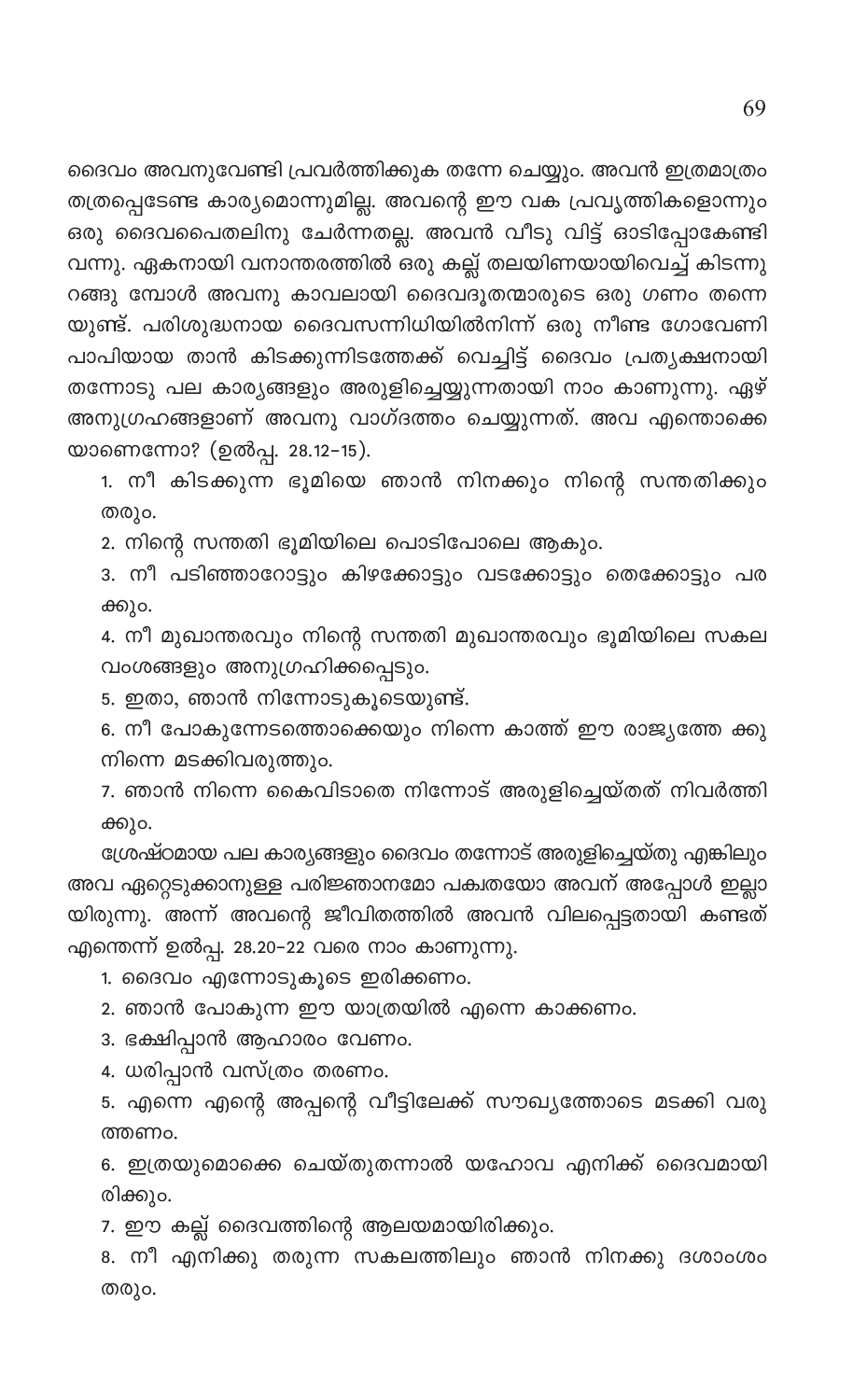ദൈവം അവനുവേണ്ടി പ്രവർത്തിക്കുക തന്നേ ചെയ്യും. അവൻ ഇത്രമാത്രം തത്രപ്പെടേണ്ട കാര്യമൊന്നുമില്ല. അവന്റെ ഈ വക പ്രവൃത്തികളൊന്നും ഒരു ദൈവപൈതലിനു ചേർന്നതല്ല. അവൻ വീടു വിട്ട് ഓടിപ്പോകേണ്ടി വന്നു. ഏകനായി വനാന്തരത്തിൽ ഒരു കല്ല് തലയിണയായിവെച്ച് കിടന്നു റങ്ങു മ്പോൾ അവനു കാവലായി ദൈവദൂതന്മാരുടെ ഒരു ഗണം തന്നെ യുണ്ട്. പരിശുദ്ധനായ ദൈവസന്നിധിയിൽനിന്ന് ഒരു നീണ്ട ഗോവേണി പാപിയായ താൻ കിടക്കുന്നിടത്തേക്ക് വെച്ചിട്ട് ദൈവം പ്രത്യക്ഷനായി തന്നോടു പല കാര്യങ്ങളും അരുളിച്ചെയ്യുന്നതായി നാം കാണുന്നു. ഏഴ് അനുഗ്രഹങ്ങളാണ് അവനു വാഗ്ദത്തം ചെയ്യുന്നത്. അവ എന്തൊക്കെ യാണെന്നോ? (ഉൽപ്പ. 28.12-15).

1. നീ കിടക്കുന്ന ഭൂമിയെ ഞാൻ നിനക്കും നിന്റെ സന്തതിക്കും തരും.

2. നിന്റെ സന്തതി ഭൂമിയിലെ പൊടിപോലെ ആകും.

3. നീ പടിഞ്ഞാറോട്ടും കിഴക്കോട്ടും വടക്കോട്ടും തെക്കോട്ടും പര ക്കും.

4. നീ മുഖാന്തരവും നിന്റെ സന്തതി മുഖാന്തരവും ഭൂമിയിലെ സകല വംശങ്ങളും അനുഗ്രഹിക്കപ്പെടും.

5. ഇതാ, ഞാൻ നിന്നോടുകൂടെയുണ്ട്.

6. നീ പോകുന്നേടത്തൊക്കെയും നിന്നെ കാത്ത് ഈ രാജ്യത്തേ ക്കു നിന്നെ മടക്കിവരുത്തും.

7. ഞാൻ നിന്നെ കൈവിടാതെ നിന്നോട് അരുളിച്ചെയ്തത് നിവർത്തി ക്കും.

ശ്രേഷ്ഠമായ പല കാര്യങ്ങളും ദൈവം തന്നോട് അരുളിച്ചെയ്തു എങ്കിലും അവ ഏറ്റെടുക്കാനുള്ള പരിജ്ഞാനമോ പക്വതയോ അവന് അപ്പോൾ ഇല്ലാ യിരുന്നു. അന്ന് അവന്റെ ജീവിതത്തിൽ അവൻ വിലപ്പെട്ടതായി കണ്ടത് എന്തെന്ന് ഉൽപ്പ. 28.20–22 വരെ നാം കാണുന്നു.

1. ദൈവം എന്നോടുകൂടെ ഇരിക്കണം.

2. ഞാൻ പോകുന്ന ഈ യാത്രയിൽ എന്നെ കാക്കണം.

3. ഭക്ഷിപ്പാൻ ആഹാരം വേണം.

4. ധരിപ്പാൻ വസ്ത്രം തരണം.

5. എന്നെ എന്റെ അപ്പന്റെ വീട്ടിലേക്ക് സൗഖ്യത്തോടെ മടക്കി വരു ത്തണം.

6. ഇത്രയുമൊക്കെ ചെയ്തുതന്നാൽ യഹോവ എനിക്ക് ദൈവമായി രിക്കും.

7. ഈ കല്ല് ദൈവത്തിന്റെ ആലയമായിരിക്കും.

8. നീ എനിക്കു തരുന്ന സകലത്തിലും ഞാൻ നിനക്കു ദശാംശം തരും.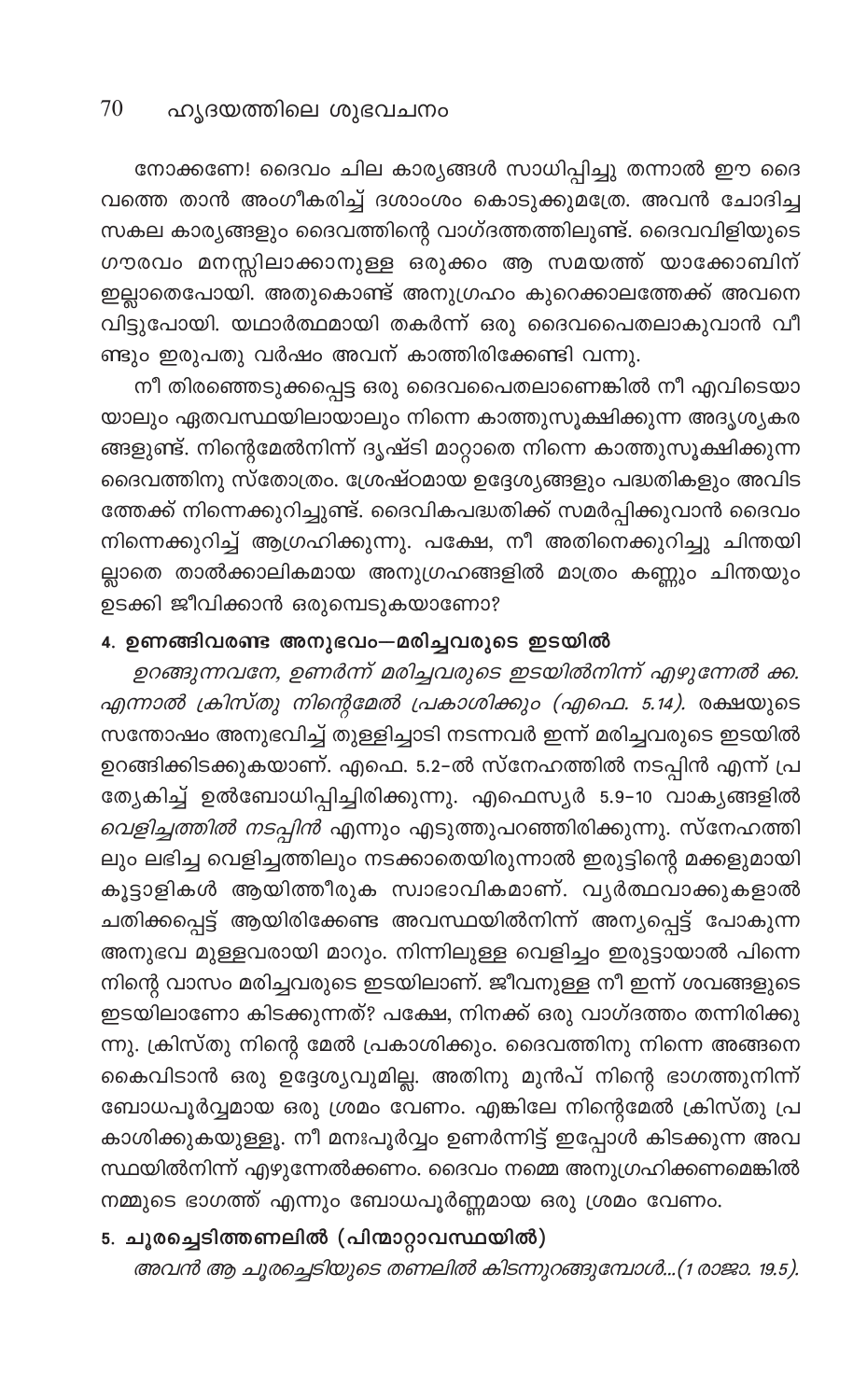#### ഹ്യദയത്തിലെ ശുഭവചനം 70

നോക്കണേ! ദൈവം ചില കാര്യങ്ങൾ സാധിപ്പിച്ചു തന്നാൽ ഈ ദൈ വത്തെ താൻ അംഗീകരിച്ച് ദശാംശം കൊടുക്കുമത്രേ. അവൻ ചോദിച്ച സകല കാര്യങ്ങളും ദൈവത്തിന്റെ വാഗ്ദത്തത്തിലുണ്ട്. ദൈവവിളിയുടെ ഗൗരവം മനസ്സിലാക്കാനുള്ള ഒരുക്കം ആ സമയത്ത് യാക്കോബിന് ഇല്ലാതെപോയി. അതുകൊണ്ട് അനുഗ്രഹം കുറെക്കാലത്തേക്ക് അവനെ .<br>വിട്ടുപോയി. യഥാർത്ഥമായി തകർന്ന് ഒരു ദൈവപൈതലാകുവാൻ വീ ണ്ടും ഇരുപതു വർഷം അവന് കാത്തിരിക്കേണ്ടി വന്നു.

നീ തിരഞ്ഞെടുക്കപ്പെട്ട ഒരു ദൈവപൈതലാണെങ്കിൽ നീ എവിടെയാ യാലും ഏതവസ്ഥയിലായാലും നിന്നെ കാത്തുസൂക്ഷിക്കുന്ന അദൃശ്യകര ങ്ങളുണ്ട്. നിന്റെമേൽനിന്ന് ദൃഷ്ടി മാറ്റാതെ നിന്നെ കാത്തുസൂക്ഷിക്കുന്ന ദൈവത്തിനു സ്തോത്രം. ശ്രേഷ്ഠമായ ഉദ്ദേശ്യങ്ങളും പദ്ധതികളും അവിട ത്തേക്ക് നിന്നെക്കുറിച്ചുണ്ട്. ദൈവികപദ്ധതിക്ക് സമർപ്പിക്കുവാൻ ദൈവം നിന്നെക്കുറിച്ച് ആഗ്രഹിക്കുന്നു. പക്ഷേ, നീ അതിനെക്കുറിച്ചു ചിന്തയി ല്ലാതെ താൽക്കാലികമായ അനുഗ്രഹങ്ങളിൽ മാത്രം കണ്ണും ചിന്തയു<mark>ം</mark> .<br>ഉടക്കി ജീവിക്കാൻ ഒരുമ്പെടുകയാണോ?

# 4. ഉണങ്ങിവരണ്ട അനുഭവം—മരിച്ചവരുടെ ഇടയിൽ

ഉറങ്ങുന്നവനേ, ഉണർന്ന് മരിച്ചവരുടെ ഇടയിൽനിന്ന് എഴുന്നേൽ ക്ക. എന്നാൽ ക്രിസ്തു നിന്റെമേൽ പ്രകാശിക്കും (എഫെ. 5.14). രക്ഷയുടെ സന്തോഷം അനുഭവിച്ച് തുള്ളിച്ചാടി നടന്നവർ ഇന്ന് മരിച്ചവരുടെ ഇടയിൽ ഉറങ്ങിക്കിടക്കുകയാണ്. എഫെ. 5.2-ൽ സ്നേഹത്തിൽ നടപ്പിൻ എന്ന് പ്ര ത്യേകിച്ച് ഉൽബോധിപ്പിച്ചിരിക്കുന്നു. എഫെസ്യർ 5.9–10 വാക്യങ്ങളിൽ *വെളിച്ചത്തിൽ നടപ്പിൻ* എന്നും എടുത്തുപറഞ്ഞിരിക്കുന്നു. സ്നേഹത്തി ലും ലഭിച്ച വെളിച്ചത്തിലും നടക്കാതെയിരുന്നാൽ ഇരുട്ടിന്റെ മക്കളുമായി .<br>കൂട്ടാളികൾ ആയിത്തീരുക സ്വാഭാവികമാണ്. വൃർത്ഥവാക്കുകളാൽ ചതിക്കപ്പെട്ട് ആയിരിക്കേണ്ട അവസ്ഥയിൽനിന്ന് അന്യപ്പെട്ട് പോകുന്ന അനുഭവ മുള്ളവരായി മാറും. നിന്നിലുള്ള വെളിച്ചം ഇരുട്ടായാൽ പിന്നെ നിന്റെ വാസം മരിച്ചവരുടെ ഇടയിലാണ്. ജീവനുള്ള നീ ഇന്ന് ശവങ്ങളുടെ ഇടയിലാണോ കിടക്കുന്നത്? പക്ഷേ, നിനക്ക് ഒരു വാഗ്ദത്തം തന്നിരിക്കു .<br>ന്നു. ക്രിസ്തു നിന്റെ മേൽ പ്രകാശിക്കും. ദൈവത്തിനു നിന്നെ അങ്ങനെ കൈവിടാൻ ഒരു ഉദ്ദേശ്യവുമില്ല. അതിനു മുൻപ് നിന്റെ ഭാഗത്തുനിന്ന് ബോധപൂർവ്വമായ ഒരു ശ്രമം വേണം. എങ്കിലേ നിന്റെമേൽ ക്രിസ്തു പ്ര കാശിക്കുകയുള്ളൂ. നീ മനഃപൂർവ്വം ഉണർന്നിട്ട് ഇപ്പോൾ കിടക്കുന്ന അവ സ്ഥയിൽനിന്ന് എഴുന്നേൽക്കണം. ദൈവം നമ്മെ അനുഗ്രഹിക്കണമെങ്കിൽ നമ്മുടെ ഭാഗത്ത് എന്നും ബോധപൂർണ്ണമായ ഒരു ശ്രമം വേണം.

# 5. ചൂരച്ചെടിത്തണലിൽ (പിന്മാറ്റാവസ്ഥയിൽ)

അവൻ ആ ചൂരച്ചെടിയുടെ തണലിൽ കിടന്നുറങ്ങുമ്പോൾ...(1 രാജാ. 19.5).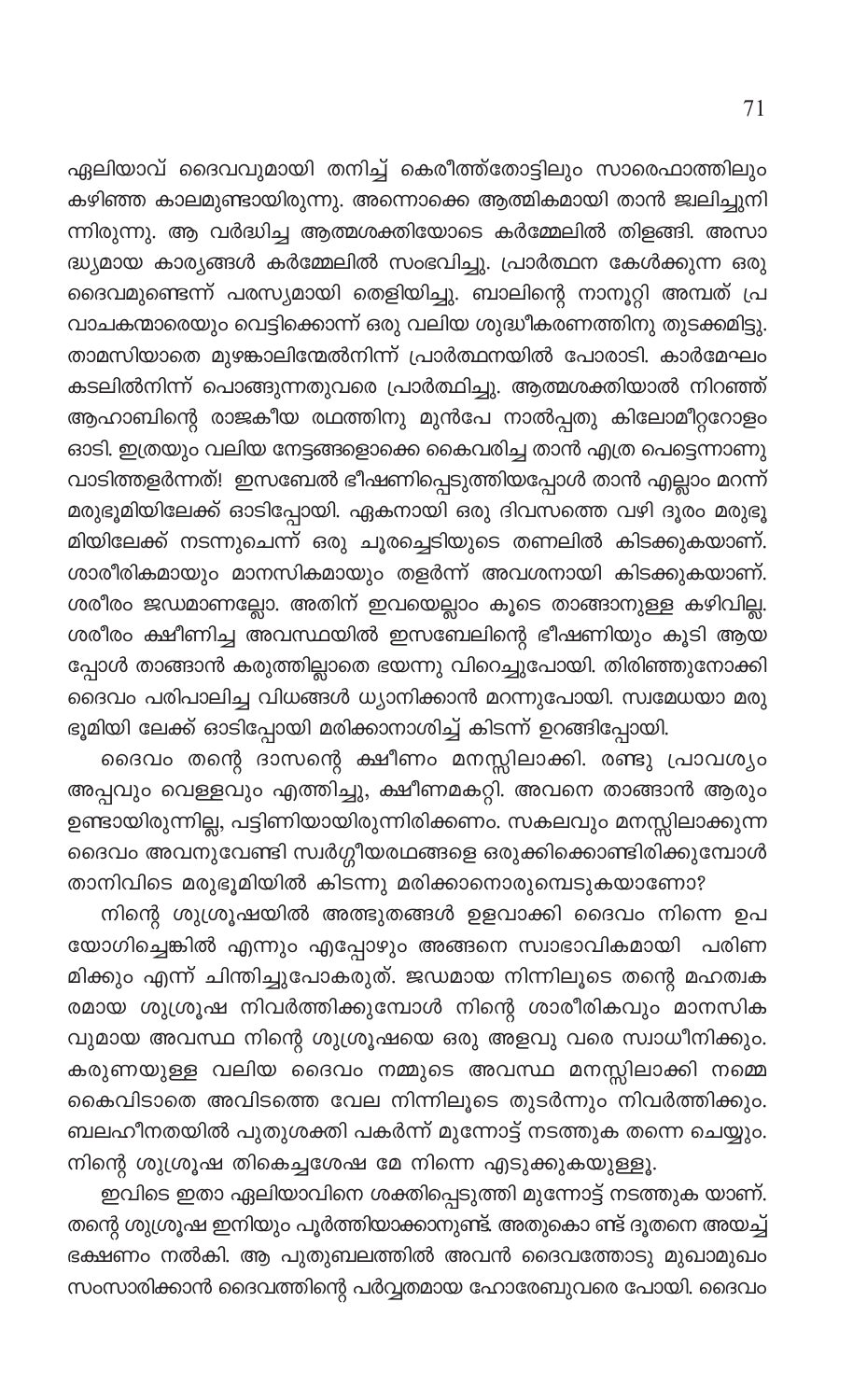ഏലിയാവ് ദൈവവുമായി തനിച്ച് കെരീത്ത്തോട്ടിലും സാരെഫാത്തിലും കഴിഞ്ഞ കാലമുണ്ടായിരുന്നു. അന്നൊക്കെ ആത്മികമായി താൻ ജ്വലിച്ചുനി ന്നിരുന്നു. ആ വർദ്ധിച്ച ആത്മശക്തിയോടെ കർമ്മേലിൽ തിളങ്ങി. അസാ ദ്ധ്യമായ കാര്യങ്ങൾ കർമ്മേലിൽ സംഭവിച്ചു. പ്രാർത്ഥന കേൾക്കുന്ന ഒരു ദൈവമുണ്ടെന്ന് പരസ്യമായി തെളിയിച്ചു. ബാലിന്റെ നാനൂറ്റി അമ്പത് പ്ര വാചകന്മാരെയും വെട്ടിക്കൊന്ന് ഒരു വലിയ ശുദ്ധീകരണത്തിനു തുടക്കമിട്ടു. താമസിയാതെ മുഴങ്കാലിന്മേൽനിന്ന് പ്രാർത്ഥനയിൽ പോരാടി. കാർമേഘം കടലിൽനിന്ന് പൊങ്ങുന്നതുവരെ പ്രാർത്ഥിച്ചു. ആത്മശക്തിയാൽ നിറഞ്ഞ് ആഹാബിന്റെ രാജകീയ രഥത്തിനു മുൻപേ നാൽപ്പതു കിലോമീറ്ററോളം ഓടി. ഇത്രയും വലിയ നേട്ടങ്ങളൊക്കെ കൈവരിച്ച താൻ എത്ര പെട്ടെന്നാണു വാടിത്തളർന്നത്! ഇസബേൽ ഭീഷണിപ്പെടുത്തിയപ്പോൾ താൻ എല്ലാം മറന്ന് മരുഭൂമിയിലേക്ക് ഓടിപ്പോയി. ഏകനായി ഒരു ദിവസത്തെ വഴി ദൂരം മരുഭൂ മിയിലേക്ക് നടന്നുചെന്ന് ഒരു ചൂരച്ചെടിയുടെ തണലിൽ കിടക്കുകയാണ്. ശാരീരികമായും മാനസികമായും തളർന്ന് അവശനായി കിടക്കുകയാണ്. ശരീരം ജഡമാണല്ലോ. അതിന് ഇവയെല്ലാം കൂടെ താങ്ങാനുള്ള കഴിവില്ല. ശരീരം ക്ഷീണിച്ച അവസ്ഥയിൽ ഇസബേലിന്റെ ഭീഷണിയും കൂടി ആയ പ്പോൾ താങ്ങാൻ കരുത്തില്ലാതെ ഭയന്നു വിറെച്ചുപോയി. തിരിഞ്ഞുനോക്കി ദൈവം പരിപാലിച്ച വിധങ്ങൾ ധ്യാനിക്കാൻ മറന്നുപോയി. സ്വമേധയാ മരു ഭൂമിയി ലേക്ക് ഓടിപ്പോയി മരിക്കാനാശിച്ച് കിടന്ന് ഉറങ്ങിപ്പോയി.

ദൈവം തന്റെ ദാസന്റെ ക്ഷീണം മനസ്സിലാക്കി. രണ്ടു പ്രാവശ്യം അപ്പവും വെള്ളവും എത്തിച്ചു, ക്ഷീണമകറ്റി. അവനെ താങ്ങാൻ ആരും ഉണ്ടായിരുന്നില്ല, പട്ടിണിയായിരുന്നിരിക്കണം. സകലവും മനസ്സിലാക്കുന്ന ദൈവം അവനുവേണ്ടി സ്വർഗ്ഗീയരഥങ്ങളെ ഒരുക്കിക്കൊണ്ടിരിക്കുമ്പോൾ താനിവിടെ മരുഭൂമിയിൽ കിടന്നു മരിക്കാനൊരുമ്പെടുകയാണോ?

നിന്റെ ശുശ്രൂഷയിൽ അത്ഭുതങ്ങൾ ഉളവാക്കി ദൈവം നിന്നെ ഉപ യോഗിച്ചെങ്കിൽ എന്നും എപ്പോഴും അങ്ങനെ സ്വാഭാവികമായി പരിണ മിക്കും എന്ന് ചിന്തിച്ചുപോകരുത്. ജഡമായ നിന്നിലൂടെ തന്റെ മഹത്വക രമായ ശുശ്രൂഷ നിവർത്തിക്കുമ്പോൾ നിന്റെ ശാരീരികവും മാനസിക വുമായ അവസ്ഥ നിന്റെ ശുശ്രൂഷയെ ഒരു അളവു വരെ സ്വാധീനിക്കും. കരുണയുള്ള വലിയ ദൈവം നമ്മുടെ അവസ്ഥ മനസ്സിലാക്കി നമ്മെ കൈവിടാതെ അവിടത്തെ വേല നിന്നിലൂടെ തുടർന്നും നിവർത്തിക്കും. ബലഹീനതയിൽ പുതുശക്തി പകർന്ന് മുന്നോട്ട് നടത്തുക തന്നെ ചെയ്യും. നിന്റെ ശുശ്രൂഷ തികെച്ചശേഷ മേ നിന്നെ എടുക്കുകയുള്ളൂ.

ഇവിടെ ഇതാ ഏലിയാവിനെ ശക്തിപ്പെടുത്തി മുന്നോട്ട് നടത്തുക യാണ്. തന്റെ ശുശ്രൂഷ ഇനിയും പൂർത്തിയാക്കാനുണ്ട്. അതുകൊ ണ്ട് ദൂതനെ അയച്ച് ഭക്ഷണം നൽകി. ആ പുതുബലത്തിൽ അവൻ ദൈവത്തോടു മുഖാമുഖം സംസാരിക്കാൻ ദൈവത്തിന്റെ പർവ്വതമായ ഹോരേബുവരെ പോയി. ദൈവം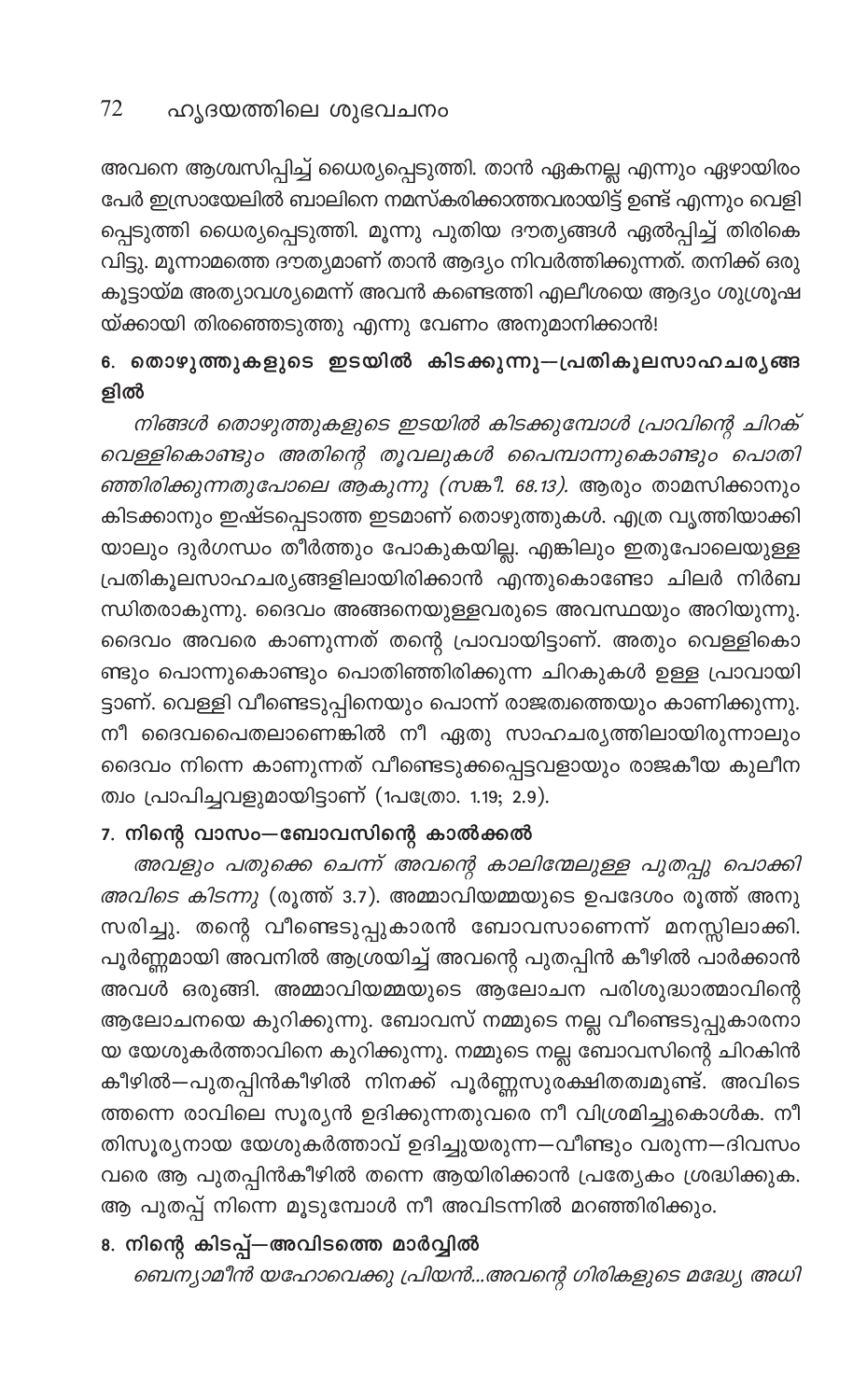അവനെ ആശ്വസിപ്പിച്ച് ധൈര്യപ്പെടുത്തി. താൻ ഏകനല്ല എന്നും ഏഴായിരം പേർ ഇസ്രായേലിൽ ബാലിനെ നമസ്കരിക്കാത്തവരായിട്ട് ഉണ്ട് എന്നും വെളി പ്പെടുത്തി ധൈര്യപ്പെടുത്തി. മൂന്നു പുതിയ ദൗത്യങ്ങൾ ഏൽപ്പിച്ച് തിരികെ വിട്ടു. മൂന്നാമത്തെ ദൗത്യമാണ് താൻ ആദ്യം നിവർത്തിക്കുന്നത്. തനിക്ക് ഒരു കൂട്ടായ്മ അത്യാവശ്യമെന്ന് അവൻ കണ്ടെത്തി എലീശയെ ആദ്യം ശുശ്രൂഷ യ്ക്കായി തിരഞ്ഞെടുത്തു എന്നു വേണം അനുമാനിക്കാൻ!

# 6. തൊഴുത്തുകളുടെ ഇടയിൽ കിടക്കുന്നു—പ്രതികൂലസാഹചര്യങ്ങ ളിൽ

നിങ്ങൾ തൊഴുത്തുകളുടെ ഇടയിൽ കിടക്കുമ്പോൾ പ്രാവിന്റെ ചിറക് വെള്ളികൊണ്ടും അതിന്റെ തൂവലുകൾ പൈമ്പാന്നുകൊണ്ടും പൊതി ഞ്ഞിരിക്കുന്നതുപോലെ ആകുന്നു (സങ്കീ. 68.13). ആരും താമസിക്കാനും കിടക്കാനും ഇഷ്ടപ്പെടാത്ത ഇടമാണ് തൊഴുത്തുകൾ. എത്ര വൃത്തിയാക്കി യാലും ദുർഗന്ധം തീർത്തും പോകുകയില്ല. എങ്കിലും ഇതുപോലെയുള്ള പ്രതികൂലസാഹചര്യങ്ങളിലായിരിക്കാൻ എന്തുകൊണ്ടോ ചിലർ നിർബ ന്ധിതരാകുന്നു. ദൈവം അങ്ങനെയുള്ളവരുടെ അവസ്ഥയും അറിയുന്നു. ദൈവം അവരെ കാണുന്നത് തന്റെ പ്രാവായിട്ടാണ്. അതും വെള്ളികൊ ണ്ടും പൊന്നുകൊണ്ടും പൊതിഞ്ഞിരിക്കുന്ന ചിറകുകൾ ഉള്ള പ്രാവായി ട്ടാണ്. വെള്ളി വീണ്ടെടുപ്പിനെയും പൊന്ന് രാജത്വത്തെയും കാണിക്കുന്നു. നീ ദൈവപൈതലാണെങ്കിൽ നീ ഏതു സാഹചര്യത്തിലായിരുന്നാലും ദൈവം നിന്നെ കാണുന്നത് വീണ്ടെടുക്കപ്പെട്ടവളായും രാജകീയ കുലീന ത്വം പ്രാപിച്ചവളുമായിട്ടാണ് (1പത്രോ. 1.19; 2.9).

### 7. നിന്റെ വാസം—ബോവസിന്റെ കാൽക്കൽ

അവളും പതുക്കെ ചെന്ന് അവന്റെ കാലിന്മേലുള്ള പുതപ്പു പൊക്കി അവിടെ കിടന്നു (രൂത്ത് 3.7). അമ്മാവിയമ്മയുടെ ഉപദേശം രൂത്ത് അനു സരിച്ചു. തന്റെ വീണ്ടെടുപ്പുകാരൻ ബോവസാണെന്ന് മനസ്സിലാക്കി. പൂർണ്ണമായി അവനിൽ ആശ്രയിച്ച് അവന്റെ പുതപ്പിൻ കീഴിൽ പാർക്കാൻ അവൾ ഒരുങ്ങി. അമ്മാവിയമ്മയുടെ ആലോചന പരിശുദ്ധാത്മാവിന്റെ ആലോചനയെ കുറിക്കുന്നു. ബോവസ് നമ്മുടെ നല്ല വീണ്ടെടുപ്പുകാരനാ യ യേശുകർത്താവിനെ കുറിക്കുന്നു. നമ്മുടെ നല്ല ബോവസിന്റെ ചിറകിൻ കീഴിൽ—പുതപ്പിൻകീഴിൽ നിനക്ക് പൂർണ്ണസുരക്ഷിതത്വമുണ്ട്. അവിടെ ത്തന്നെ രാവിലെ സൂര്യൻ ഉദിക്കുന്നതുവരെ നീ വിശ്രമിച്ചുകൊൾക. നീ തിസൂര്യനായ യേശുകർത്താവ് ഉദിച്ചുയരുന്ന—വീണ്ടും വരുന്ന—ദിവസം വരെ ആ പുതപ്പിൻകീഴിൽ തന്നെ ആയിരിക്കാൻ പ്രത്യേകം ശ്രദ്ധിക്കുക. ആ പുതപ്പ് നിന്നെ മൂടുമ്പോൾ നീ അവിടന്നിൽ മറഞ്ഞിരിക്കും.

### 8. നിന്റെ കിടപ്പ്—അവിടത്തെ മാർവ്വിൽ

ബെന്യാമീൻ യഹോവെക്കു പ്രിയൻ...അവന്റെ ഗിരികളുടെ മദ്ധ്യേ അധി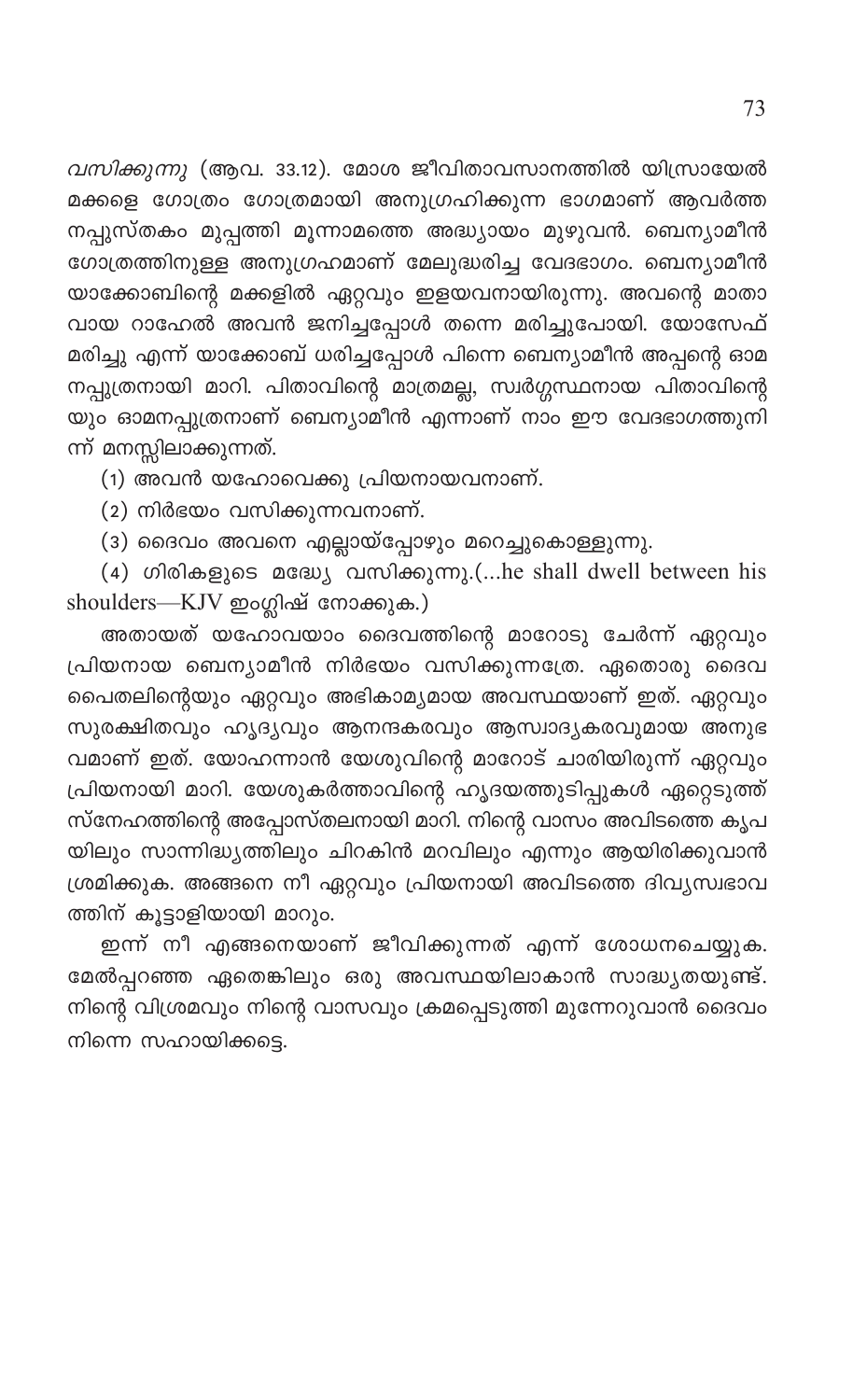വസിക്കുന്നു (ആവ. 33.12). മോശ ജീവിതാവസാനത്തിൽ യിസ്രായേൽ .<br>മക്കളെ ഗോത്രം ഗോത്രമായി അനുഗ്രഹിക്കുന്ന ഭാഗമാണ് ആവർത്ത നപ്പുസ്തകം മുപ്പത്തി മൂന്നാമത്തെ അദ്ധ്യായം മുഴുവൻ. ബെന്യാമീൻ ം...<br>ഗോത്രത്തിനുള്ള അനുഗ്രഹമാണ് മേലുദ്ധരിച്ച വേദഭാഗം. ബെന്യാമീൻ യാക്കോബിന്റെ മക്കളിൽ ഏറ്റവും ഇളയവനായിരുന്നു. അവന്റെ മാതാ വായ റാഹേൽ അവൻ ജനിച്ചപ്പോൾ തന്നെ മരിച്ചുപോയി. യോസേഫ് മരിച്ചു എന്ന് യാക്കോബ് ധരിച്ചപ്പോൾ പിന്നെ ബെന്യാമീൻ അപ്പന്റെ ഓമ നപ്പുത്രനായി മാറി. പിതാവിന്റെ മാത്രമല്ല, സ്വർഗ്ഗസ്ഥനായ പിതാവിന്റെ യും ഓമനപ്പുത്രനാണ് ബെന്യാമീൻ എന്നാണ് നാം ഈ വേദഭാഗത്തുനി ന്ന് മനസ്സിലാക്കുന്നത്.

(1) അവൻ യഹോവെക്കു പ്രിയനായവനാണ്.

(2) നിർഭയം വസിക്കുന്നവനാണ്.

(3) ദൈവം അവനെ എല്ലായ്പ്പോഴും മറെച്ചുകൊള്ളുന്നു.

(4) ഗിരികളുടെ മദ്ധ്യേ വസിക്കുന്നു.(...he shall dwell between his shoulders—KJV ഇംഗ്ലിഷ് നോക്കുക.)

അതായത് യഹോവയാം ദൈവത്തിന്റെ മാറോടു ചേർന്ന് ഏറ്റവും പ്രിയനായ ബെന്യാമീൻ നിർഭയം വസിക്കുന്നത്രേ. ഏതൊരു ദൈവ പൈതലിന്റെയും ഏറ്റവും അഭികാമ്യമായ അവസ്ഥയാണ് ഇത്. ഏറ്റവും സുരക്ഷിതവും ഹൃദ്യവും ആനന്ദകരവും ആസ്വാദ്യകരവുമായ അനുഭ ം<br>വമാണ് ഇത്. യോഹന്നാൻ യേശുവിന്റെ മാറോട് ചാരിയിരുന്ന് ഏറ്റവും പ്രിയനായി മാറി. യേശുകർത്താവിന്റെ ഹൃദയത്തുടിപ്പുകൾ ഏറ്റെടുത്ത് .<br>സ്നേഹത്തിന്റെ അപ്പോസ്തലനായി മാറി. നിന്റെ വാസം അവിടത്തെ കൃപ .<br>യിലും സാന്നിദ്ധ്യത്തിലും ചിറകിൻ മറവിലും എന്നും ആയിരിക്കുവാൻ ശ്രമിക്കുക. അങ്ങനെ നീ ഏറ്റവും പ്രിയനായി അവിടത്തെ ദിവ്യസ്വഭാവ ത്തിന് കുട്ടാളിയായി മാറും.

ഇന്ന് നീ എങ്ങനെയാണ് ജീവിക്കുന്നത് എന്ന് ശോധനചെയ്യുക. മേൽപ്പറഞ്ഞ ഏതെങ്കിലും ഒരു അവസ്ഥയിലാകാൻ സാദ്ധ്യതയുണ്ട്. നിന്റെ വിശ്രമവും നിന്റെ വാസവും ക്രമപ്പെടുത്തി മുന്നേറുവാൻ ദൈവം നിന്നെ സഹായിക്കടെ.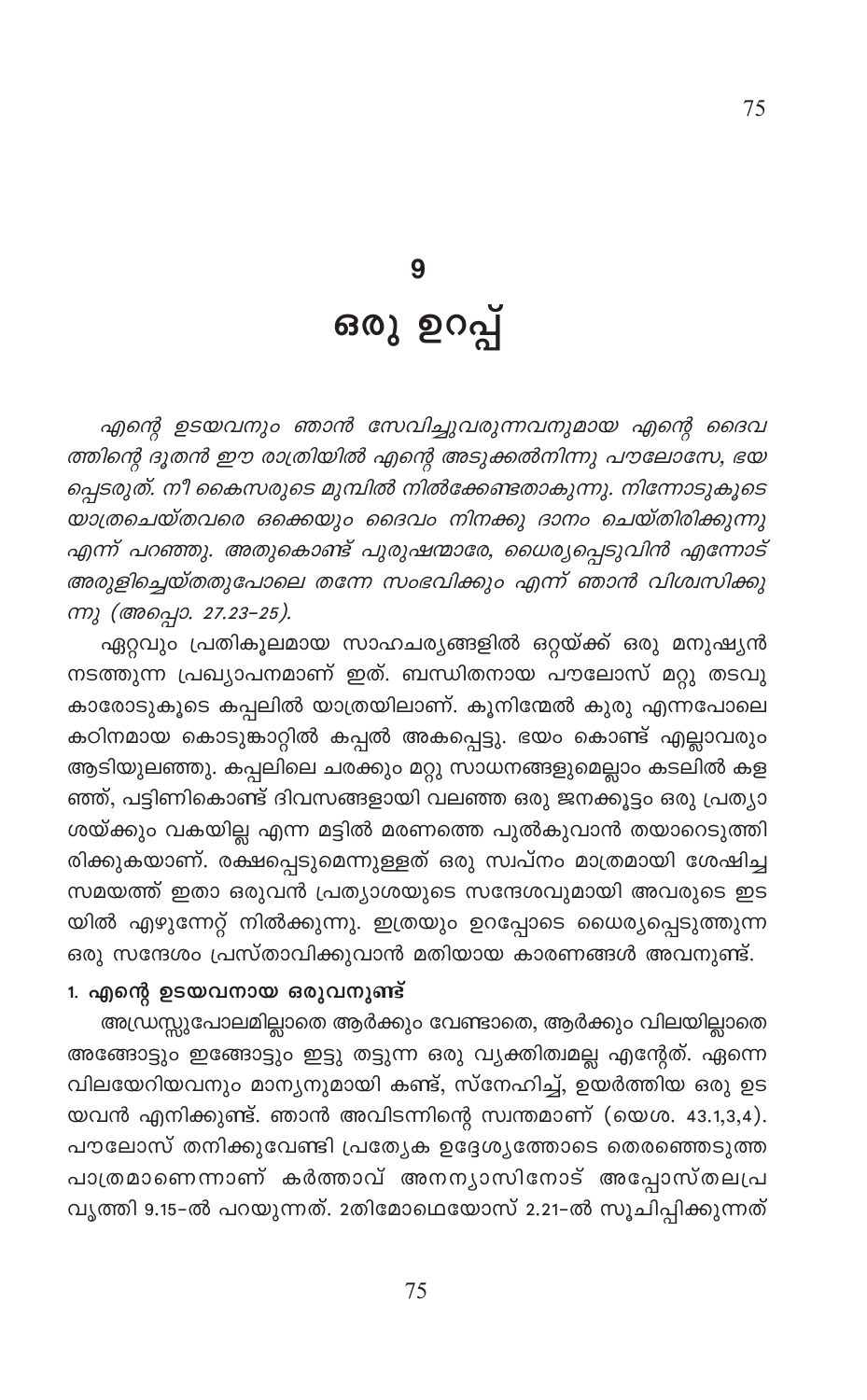9 ഒരു ഉറപ്പ് 75

എന്റെ ഉടയവനും ഞാൻ സേവിച്ചുവരുന്നവനുമായ എന്റെ ദൈവ ത്തിന്റെ ദൂതൻ ഈ രാത്രിയിൽ എന്റെ അടുക്കൽനിന്നു പൗലോസേ, ഭയ പ്പെടരുത്. നീ കൈസരുടെ മുമ്പിൽ നിൽക്കേണ്ടതാകുന്നു. നിന്നോടുകൂടെ യാത്രചെയ്തവരെ ഒക്കെയും ദൈവം നിനക്കു ദാനം ചെയ്തിരിക്കുന്നു എന്ന് പറഞ്ഞു. അതുകൊണ്ട് പുരുഷന്മാരേ, ധൈര്യപ്പെടുവിൻ എന്നോട് അരുളിച്ചെയ്തതുപോലെ തന്നേ സംഭവിക്കും എന്ന് ഞാൻ വിശ്വസിക്കു ന്നു (അപ്പൊ. 27.23-25).

ഏറ്റവും പ്രതികൂലമായ സാഹചര്യങ്ങളിൽ ഒറ്റയ്ക്ക് ഒരു മനുഷ്യൻ നടത്തുന്ന പ്രഖ്യാപനമാണ് ഇത്. ബന്ധിതനായ പൗലോസ് മറ്റു തടവു കാരോടുകൂടെ കപ്പലിൽ യാത്രയിലാണ്. കൂനിന്മേൽ കുരു എന്നപോലെ കഠിനമായ കൊടുങ്കാറ്റിൽ കപ്പൽ അകപ്പെട്ടു. ഭയം കൊണ്ട് എല്ലാവരും ആടിയുലഞ്ഞു. കപ്പലിലെ ചരക്കും മറ്റു സാധനങ്ങളുമെല്ലാം കടലിൽ കള ഞ്ഞ്, പട്ടിണികൊണ്ട് ദിവസങ്ങളായി വലഞ്ഞ ഒരു ജനക്കൂട്ടം ഒരു പ്രത്യാ ശയ്ക്കും വകയില്ല എന്ന മട്ടിൽ മരണത്തെ പുൽകുവാൻ തയാറെടുത്തി രിക്കുകയാണ്. രക്ഷപ്പെടുമെന്നുള്ളത് ഒരു സ്വപ്നം മാത്രമായി ശേഷിച്ച സമയത്ത് ഇതാ ഒരുവൻ പ്രത്യാശയുടെ സന്ദേശവുമായി അവരുടെ ഇട യിൽ എഴുന്നേറ്റ് നിൽക്കുന്നു. ഇത്രയും ഉറപ്പോടെ ധൈര്യപ്പെടുത്തുന്ന ഒരു സന്ദേശം പ്രസ്താവിക്കുവാൻ മതിയായ കാരണങ്ങൾ അവനുണ്ട്.

#### 1. എന്റെ ഉടയവനായ ഒരുവനുണ്ട്

അഡ്രസ്സുപോലമില്ലാതെ ആർക്കും വേണ്ടാതെ, ആർക്കും വിലയില്ലാതെ അങ്ങോട്ടും ഇങ്ങോട്ടും ഇട്ടു തട്ടുന്ന ഒരു വ്യക്തിത്വമല്ല എന്റേത്. ഏന്നെ വിലയേറിയവനും മാന്യനുമായി കണ്ട്, സ്നേഹിച്ച്, ഉയർത്തിയ ഒരു ഉട യവൻ എനിക്കുണ്ട്. ഞാൻ അവിടന്നിന്റെ സ്വന്തമാണ് (യെശ. 43.1,3,4). പൗലോസ് തനിക്കുവേണ്ടി പ്രത്യേക ഉദ്ദേശ്യത്തോടെ തെരഞ്ഞെടുത്ത പാത്രമാണെന്നാണ് കർത്താവ് അനന്യാസിനോട് അപ്പോസ്തലപ്ര വൃത്തി 9.15–ൽ പറയുന്നത്. 2തിമോഥെയോസ് 2.21–ൽ സൂചിപ്പിക്കുന്നത്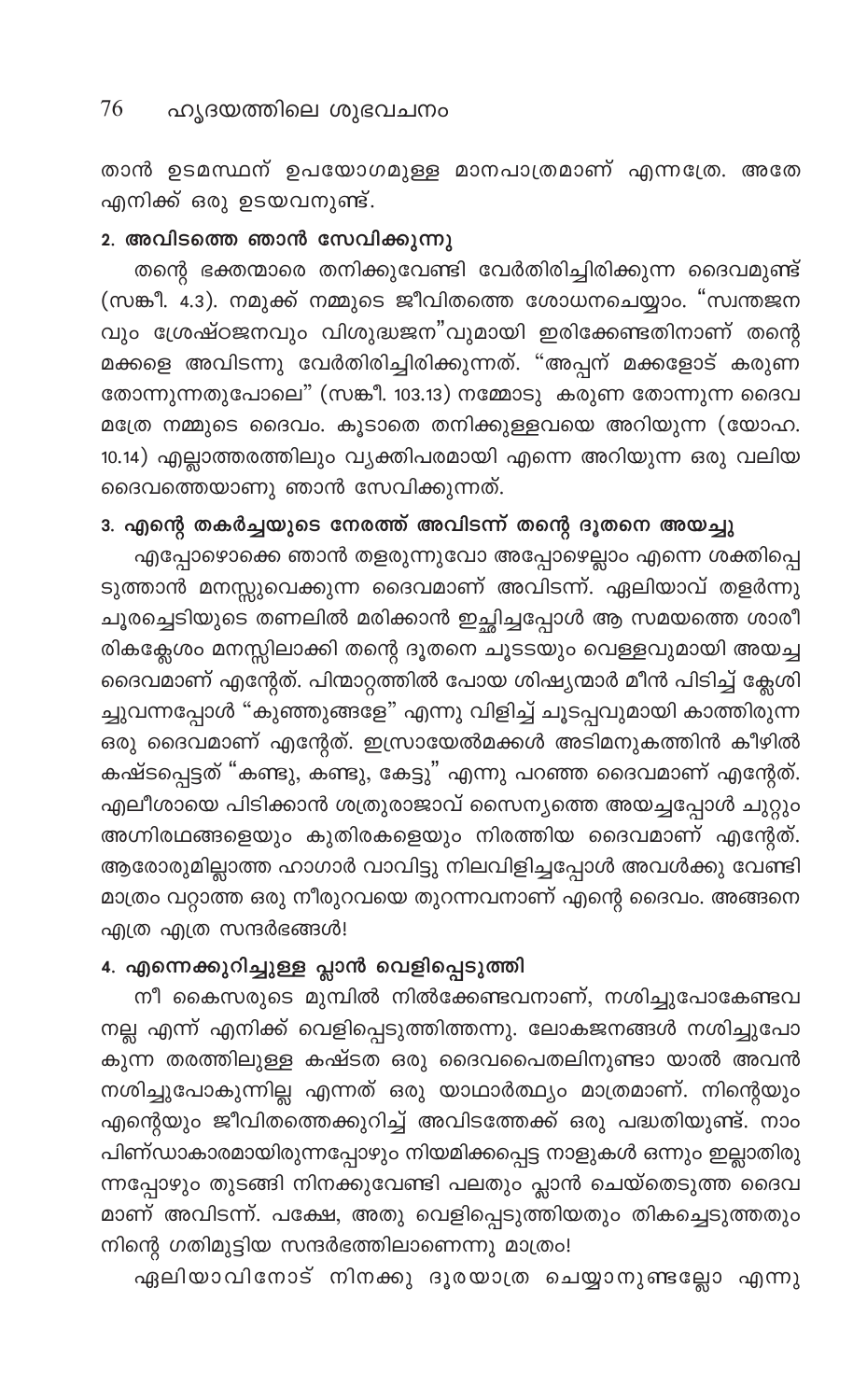താൻ ഉടമസ്ഥന് ഉപയോഗമുള്ള മാനപാത്രമാണ് എന്നത്രേ. അതേ എനിക്ക് ഒരു ഉടയവനുണ്ട്.

#### 2. അവിടത്തെ ഞാൻ സേവിക്കുന്നു

തന്റെ ഭക്തന്മാരെ തനിക്കുവേണ്ടി വേർതിരിച്ചിരിക്കുന്ന ദൈവമുണ്ട് (സങ്കീ. 4.3). നമുക്ക് നമ്മുടെ ജീവിതത്തെ ശോധനചെയ്യാം. "സ്വന്തജന വും ശ്രേഷ്ഠജനവും വിശുദ്ധജന"വുമായി ഇരിക്കേണ്ടതിനാണ് തന്റെ മക്കളെ അവിടന്നു വേർതിരിച്ചിരിക്കുന്നത്. "അപ്പന് മക്കളോട് കരുണ തോന്നുന്നതുപോലെ" (സങ്കീ. 103.13) നമ്മോടു കരുണ തോന്നുന്ന ദൈവ മത്രേ നമ്മുടെ ദൈവം. കൂടാതെ തനിക്കുള്ളവയെ അറിയുന്ന (യോഹ. 10.14) എല്ലാത്തരത്തിലും വ്യക്തിപരമായി എന്നെ അറിയുന്ന ഒരു വലിയ ദൈവത്തെയാണു ഞാൻ സേവിക്കുന്നത്.

# 3. എന്റെ തകർച്ചയുടെ നേരത്ത് അവിടന്ന് തന്റെ ദൂതനെ അയച്ചു

എപ്പോഴൊക്കെ ഞാൻ തളരുന്നുവോ അപ്പോഴെല്ലാം എന്നെ ശക്തിപ്പെ ടുത്താൻ മനസ്സുവെക്കുന്ന ദൈവമാണ് അവിടന്ന്. ഏലിയാവ് തളർന്നു ചൂരച്ചെടിയുടെ തണലിൽ മരിക്കാൻ ഇച്ഛിച്ചപ്പോൾ ആ സമയത്തെ ശാരീ രികക്സേശം മനസ്സിലാക്കി തന്റെ ദൂതനെ ചൂടടയും വെള്ളവുമായി അയച്ച ദൈവമാണ് എന്റേത്. പിന്മാറ്റത്തിൽ പോയ ശിഷ്യന്മാർ മീൻ പിടിച്ച് ക്ലേശി ച്ചുവന്നപ്പോൾ "കുഞ്ഞുങ്ങളേ" എന്നു വിളിച്ച് ചൂടപ്പവുമായി കാത്തിരുന്ന ഒരു ദൈവമാണ് എന്റേത്. ഇസ്രായേൽമക്കൾ അടിമനുകത്തിൻ കീഴിൽ കഷ്ടപ്പെട്ടത് "കണ്ടു, കണ്ടു, കേട്ടു" എന്നു പറഞ്ഞ ദൈവമാണ് എന്റേത്. എലീശായെ പിടിക്കാൻ ശത്രുരാജാവ് സൈന്യത്തെ അയച്ചപ്പോൾ ചുറ്റും അഗ്നിരഥങ്ങളെയും കുതിരകളെയും നിരത്തിയ ദൈവമാണ് എന്റേത്. ആരോരുമില്ലാത്ത ഹാഗാർ വാവിട്ടു നിലവിളിച്ചപ്പോൾ അവൾക്കു വേണ്ടി മാത്രം വറ്റാത്ത ഒരു നീരുറവയെ തുറന്നവനാണ് എന്റെ ദൈവം. അങ്ങനെ എത്ര എത്ര സന്ദർഭങ്ങൾ!

# 4. എന്നെക്കുറിച്ചുള്ള പ്ലാൻ വെളിപ്പെടുത്തി

നീ കൈസരുടെ മുമ്പിൽ നിൽക്കേണ്ടവനാണ്, നശിച്ചുപോകേണ്ടവ നല്ല എന്ന് എനിക്ക് വെളിപ്പെടുത്തിത്തന്നു. ലോകജനങ്ങൾ നശിച്ചുപോ കുന്ന തരത്തിലുള്ള കഷ്ടത ഒരു ദൈവപൈതലിനുണ്ടാ യാൽ അവൻ നശിച്ചുപോകുന്നില്ല എന്നത് ഒരു യാഥാർത്ഥ്യം മാത്രമാണ്. നിന്റെയും എന്റെയും ജീവിതത്തെക്കുറിച്ച് അവിടത്തേക്ക് ഒരു പദ്ധതിയുണ്ട്. നാം പിണ്ഡാകാരമായിരുന്നപ്പോഴും നിയമിക്കപ്പെട്ട നാളുകൾ ഒന്നും ഇല്ലാതിരു ന്നപ്പോഴും തുടങ്ങി നിനക്കുവേണ്ടി പലതും പ്ലാൻ ചെയ്തെടുത്ത ദൈവ മാണ് അവിടന്ന്. പക്ഷേ, അതു വെളിപ്പെടുത്തിയതും തികച്ചെടുത്തതു<mark>ം</mark> നിന്റെ ഗതിമുട്ടിയ സന്ദർഭത്തിലാണെന്നു മാത്രം!

ഏലിയാവിനോട് നിനക്കു ദൂരയാത്ര ചെയ്യാനുണ്ടല്ലോ എന്നു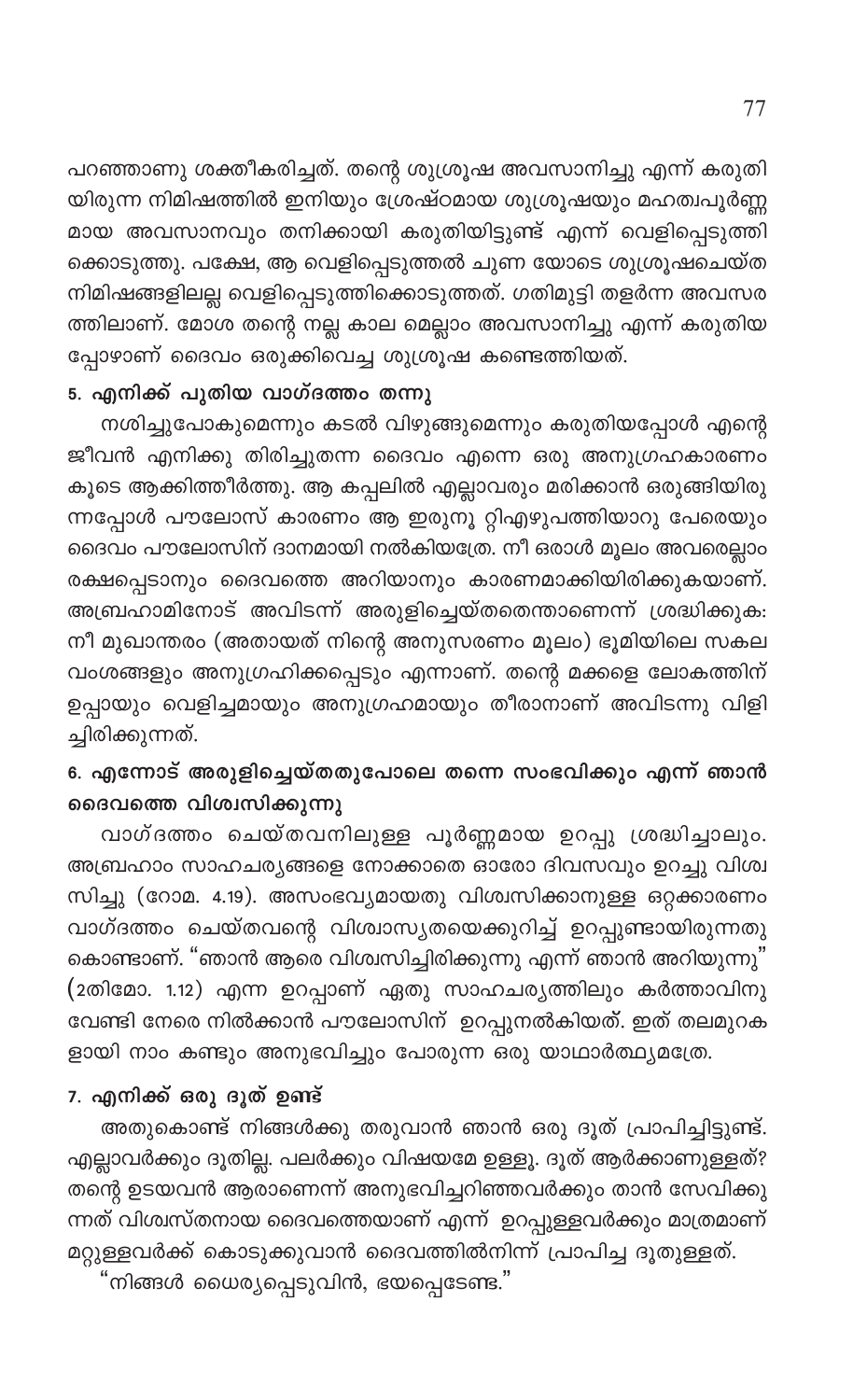പറഞ്ഞാണു ശക്തീകരിച്ചത്. തന്റെ ശുശ്രൂഷ അവസാനിച്ചു എന്ന് കരുതി യിരുന്ന നിമിഷത്തിൽ ഇനിയും ശ്രേഷ്ഠമായ ശുശ്രൂഷയും മഹത്വപൂർണ്ണ മായ അവസാനവും തനിക്കായി കരുതിയിട്ടുണ്ട് എന്ന് വെളിപ്പെടുത്തി ക്കൊടുത്തു. പക്ഷേ, ആ വെളിപ്പെടുത്തൽ ചുണ യോടെ ശുശ്രൂഷചെയ്ത നിമിഷങ്ങളിലല്ല വെളിപ്പെടുത്തിക്കൊടുത്തത്. ഗതിമുട്ടി തളർന്ന അവസര ത്തിലാണ്. മോശ തന്റെ നല്ല കാല മെല്ലാം അവസാനിച്ചു എന്ന് കരുതിയ പ്പോഴാണ് ദൈവം ഒരുക്കിവെച്ച ശുശ്രൂഷ കണ്ടെത്തിയത്.

#### 5. എനിക്ക് പുതിയ വാഗ്ദത്തം തന്നു

നശിച്ചുപോകുമെന്നും കടൽ വിഴുങ്ങുമെന്നും കരുതിയപ്പോൾ എന്റെ ജീവൻ എനിക്കു തിരിച്ചുതന്ന ദൈവം എന്നെ ഒരു അനുഗ്രഹകാരണം കൂടെ ആക്കിത്തീർത്തു. ആ കപ്പലിൽ എല്ലാവരും മരിക്കാൻ ഒരുങ്ങിയിരു ന്നപ്പോൾ പൗലോസ് കാരണം ആ ഇരുനൂ റ്റിഎഴുപത്തിയാറു പേരെയും ദൈവം പൗലോസിന് ദാനമായി നൽകിയത്രേ. നീ ഒരാൾ മൂലം അവരെല്ലാം രക്ഷപ്പെടാനും ദൈവത്തെ അറിയാനും കാരണമാക്കിയിരിക്കുകയാണ്. അബ്രഹാമിനോട് അവിടന്ന് അരുളിച്ചെയ്തതെന്താണെന്ന് ശ്രദ്ധിക്കുക: നീ മുഖാന്തരം (അതായത് നിന്റെ അനുസരണം മൂലം) ഭൂമിയിലെ സകല വംശങ്ങളും അനുഗ്രഹിക്കപ്പെടും എന്നാണ്. തന്റെ മക്കളെ ലോകത്തിന് ഉപ്പായും വെളിച്ചമായും അനുഗ്രഹമായും തീരാനാണ് അവിടന്നു വിളി ച്ചിരിക്കുന്നത്.

## 6. എന്നോട് അരുളിച്ചെയ്തതുപോലെ തന്നെ സംഭവിക്കും എന്ന് ഞാൻ ദൈവത്തെ വിശ്വസിക്കുന്നു

വാഗ്ദത്തം ചെയ്തവനിലുള്ള പൂർണ്ണമായ ഉറപ്പു ശ്രദ്ധിച്ചാലും. അബ്രഹാം സാഹചര്യങ്ങളെ നോക്കാതെ ഓരോ ദിവസവും ഉറച്ചു വിശ്വ സിച്ചു (റോമ. 4.19). അസംഭവ്യമായതു വിശ്വസിക്കാനുള്ള ഒറ്റക്കാരണം വാഗ്ദത്തം ചെയ്തവന്റെ വിശ്വാസ്യതയെക്കുറിച്ച് ഉറപ്പുണ്ടായിരുന്നതു കൊണ്ടാണ്. "ഞാൻ ആരെ വിശ്വസിച്ചിരിക്കുന്നു എന്ന് ഞാൻ അറിയുന്നു" (2തിമോ. 1.12) എന്ന ഉറപ്പാണ് ഏതു സാഹചര്യത്തിലും കർത്താവിനു വേണ്ടി നേരെ നിൽക്കാൻ പൗലോസിന് ഉറപ്പുനൽകിയത്. ഇത് തലമുറക ളായി നാം കണ്ടും അനുഭവിച്ചും പോരുന്ന ഒരു യാഥാർത്ഥ്യമത്രേ.

### 7. എനിക്ക് ഒരു ദൂത് ഉണ്ട്

അതുകൊണ്ട് നിങ്ങൾക്കു തരുവാൻ ഞാൻ ഒരു ദൂത് പ്രാപിച്ചിട്ടുണ്ട്. എല്ലാവർക്കും ദൂതില്ല. പലർക്കും വിഷയമേ ഉള്ളൂ. ദൂത് ആർക്കാണുള്ളത്? തന്റെ ഉടയവൻ ആരാണെന്ന് അനുഭവിച്ചറിഞ്ഞവർക്കും താൻ സേവിക്കു ന്നത് വിശ്വസ്തനായ ദൈവത്തെയാണ് എന്ന് ഉറപ്പുള്ളവർക്കും മാത്രമാണ് മറ്റുള്ളവർക്ക് കൊടുക്കുവാൻ ദൈവത്തിൽനിന്ന് പ്രാപിച്ച ദൂതുള്ളത്. "നിങ്ങൾ ധൈര്യപ്പെടുവിൻ, ഭയപ്പെടേണ്ട."

77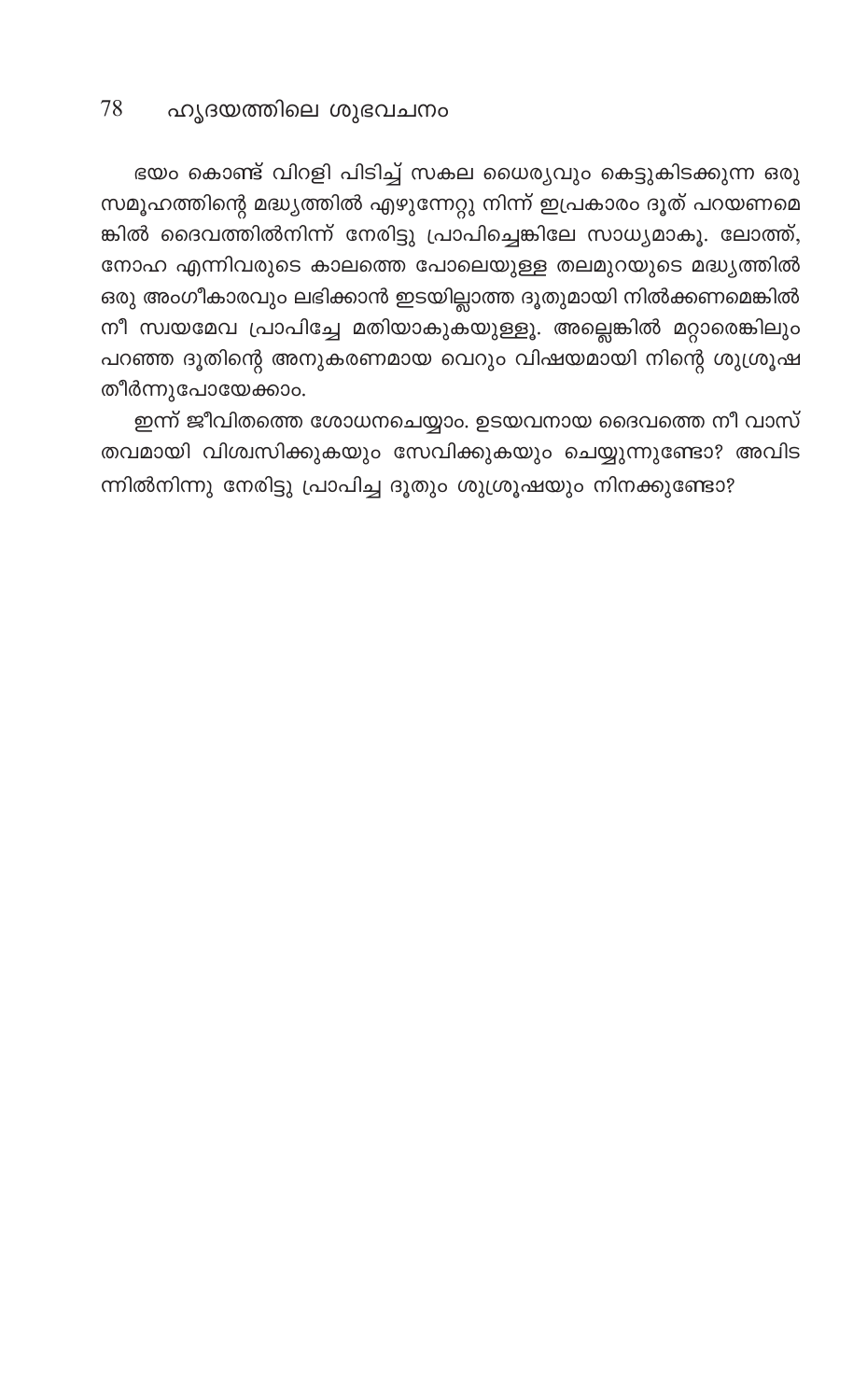ഭയം കൊണ്ട് വിറളി പിടിച്ച് സകല ധൈര്യവും കെട്ടുകിടക്കുന്ന ഒരു സമൂഹത്തിന്റെ മദ്ധ്യത്തിൽ എഴുന്നേറ്റു നിന്ന് ഇപ്രകാരം ദൂത് പറയണമെ .<br>ങ്കിൽ ദൈവത്തിൽനിന്ന് നേരിട്ടു പ്രാപിച്ചെങ്കിലേ സാധ്യമാകൂ. ലോത്ത്, നോഹ എന്നിവരുടെ കാലത്തെ പോലെയുള്ള തലമുറയുടെ മദ്ധ്യത്തിൽ ഒരു അംഗീകാരവും ലഭിക്കാൻ ഇടയില്ലാത്ത ദൂതുമായി നിൽക്കണമെങ്കിൽ നീ സ്വയമേവ പ്രാപിച്ചേ മതിയാകുകയുള്ളൂ. അല്ലെങ്കിൽ മറ്റാരെങ്കിലും പറഞ്ഞ ദൂതിന്റെ അനുകരണമായ വെറും വിഷയമായി നിന്റെ ശുശ്രൂഷ തീർന്നുപോയേക്കാം.

ഇന്ന് ജീവിതത്തെ ശോധനചെയ്യാം. ഉടയവനായ ദൈവത്തെ നീ വാസ് തവമായി വിശ്വസിക്കുകയും സേവിക്കുകയും ചെയ്യുന്നുണ്ടോ? അവിട ന്നിൽനിന്നു നേരിട്ടു പ്രാപിച്ച ദൂതും ശുശ്രൂഷയും നിനക്കുണ്ടോ?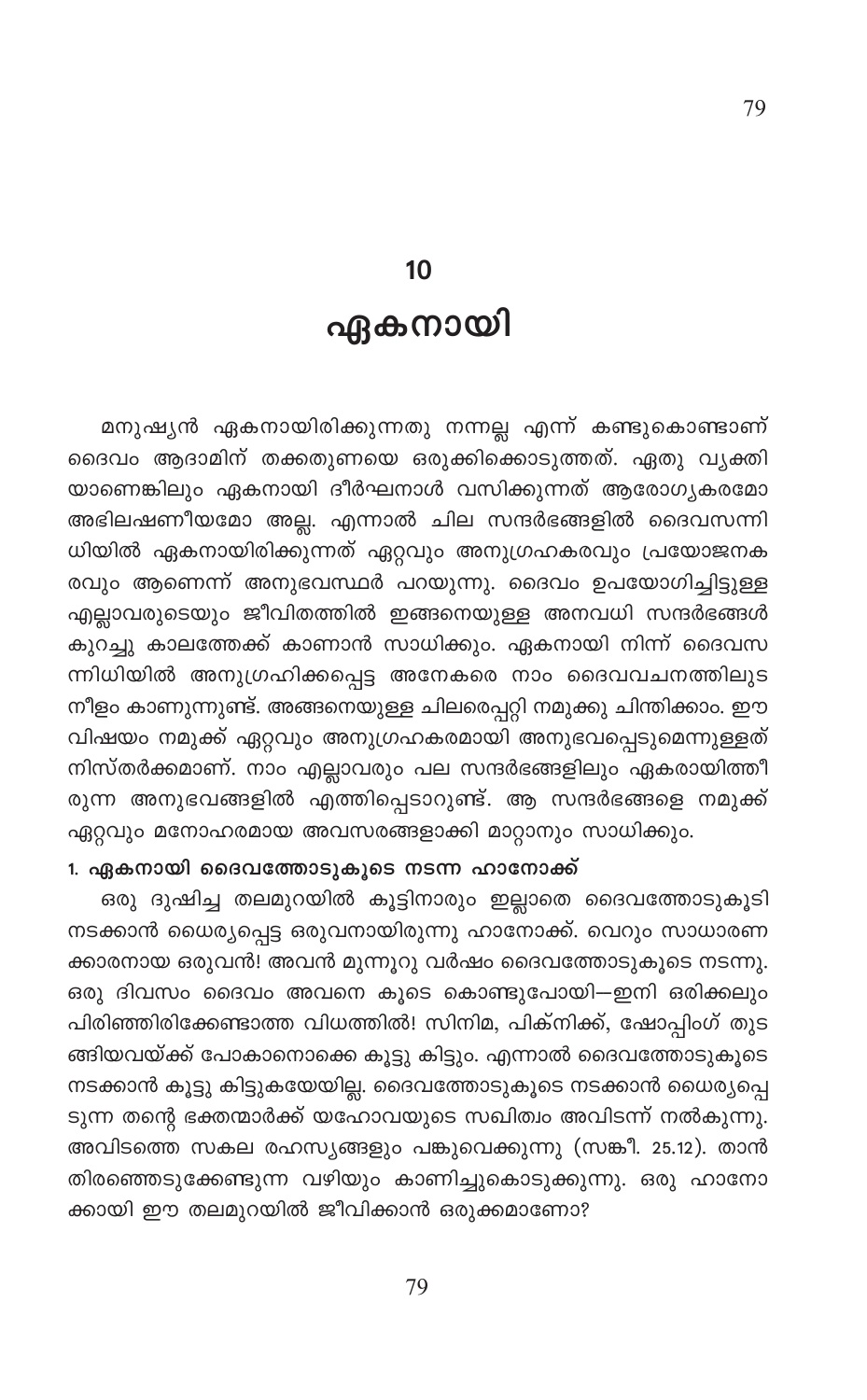# 10 ഏകനായി

മനുഷ്യൻ ഏകനായിരിക്കുന്നതു നന്നല്ല എന്ന് കണ്ടുകൊണ്ടാണ് ദൈവം ആദാമിന് തക്കതുണയെ ഒരുക്കിക്കൊടുത്തത്. ഏതു വ്യക്തി യാണെങ്കിലും ഏകനായി ദീർഘനാൾ വസിക്കുന്നത് ആരോഗ്യകരമോ അഭിലഷണീയമോ അല്ല. എന്നാൽ ചില സന്ദർഭങ്ങളിൽ ദൈവസന്നി ധിയിൽ ഏകനായിരിക്കുന്നത് ഏറ്റവും അനുഗ്രഹകരവും പ്രയോജനക രവും ആണെന്ന് അനുഭവസ്ഥർ പറയുന്നു. ദൈവം ഉപയോഗിച്ചിട്ടുള്ള എല്ലാവരുടെയും ജീവിതത്തിൽ ഇങ്ങനെയുള്ള അനവധി സന്ദർഭങ്ങൾ കുറച്ചു കാലത്തേക്ക് കാണാൻ സാധിക്കും. ഏകനായി നിന്ന് ദൈവസ ന്നിധിയിൽ അനുഗ്രഹിക്കപ്പെട്ട അനേകരെ നാം ദൈവവചനത്തിലുട നീളം കാണുന്നുണ്ട്. അങ്ങനെയുള്ള ചിലരെപ്പറ്റി നമുക്കു ചിന്തിക്കാം. ഈ വിഷയം നമുക്ക് ഏറ്റവും അനുഗ്രഹകരമായി അനുഭവപ്പെടുമെന്നുള്ളത് നിസ്തർക്കമാണ്. നാം എല്ലാവരും പല സന്ദർഭങ്ങളിലും ഏകരായിത്തീ രുന്ന അനുഭവങ്ങളിൽ എത്തിപ്പെടാറുണ്ട്. ആ സന്ദർഭങ്ങളെ നമുക്ക് ഏറ്റവും മനോഹരമായ അവസരങ്ങളാക്കി മാറ്റാനും സാധിക്കും.

#### 1. ഏകനായി ദൈവത്തോടുകൂടെ നടന്ന ഹാനോക്ക്

ഒരു ദുഷിച്ച തലമുറയിൽ കൂട്ടിനാരും ഇല്ലാതെ ദൈവത്തോടുകൂടി നടക്കാൻ ധൈര്യപ്പെട്ട ഒരുവനായിരുന്നു ഹാനോക്ക്. വെറും സാധാരണ ക്കാരനായ ഒരുവൻ! അവൻ മുന്നൂറു വർഷം ദൈവത്തോടുകൂടെ നടന്നു. ഒരു ദിവസം ദൈവം അവനെ കൂടെ കൊണ്ടുപോയി—ഇനി ഒരിക്കലും പിരിഞ്ഞിരിക്കേണ്ടാത്ത വിധത്തിൽ! സിനിമ, പിക്നിക്ക്, ഷോപ്പിംഗ് തുട ങ്ങിയവയ്ക്ക് പോകാനൊക്കെ കൂട്ടു കിട്ടും. എന്നാൽ ദൈവത്തോടുകൂടെ നടക്കാൻ കൂട്ടു കിട്ടുകയേയില്ല. ദൈവത്തോടുകൂടെ നടക്കാൻ ധൈര്യപ്പെ ടുന്ന തന്റെ ഭക്തന്മാർക്ക് യഹോവയുടെ സഖിത്വം അവിടന്ന് നൽകുന്നു. അവിടത്തെ സകല രഹസ്യങ്ങളും പങ്കുവെക്കുന്നു (സങ്കീ. 25.12). താൻ തിരഞ്ഞെടുക്കേണ്ടുന്ന വഴിയും കാണിച്ചുകൊടുക്കുന്നു. ഒരു ഹാനോ ക്കായി ഈ തലമുറയിൽ ജീവിക്കാൻ ഒരുക്കമാണോ?

79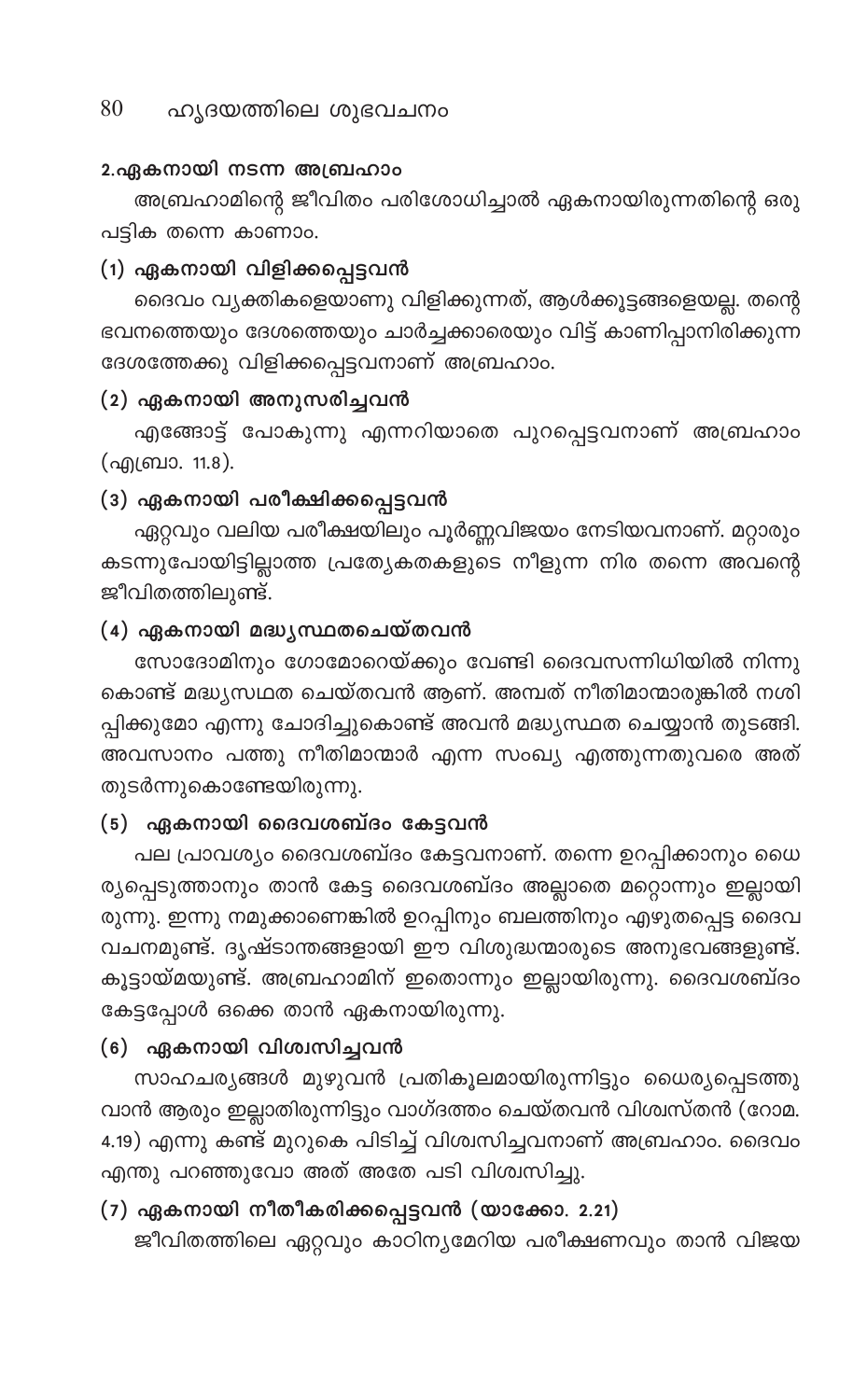#### 2.ഏകനായി നടന്ന അബ്രഹാം

അബ്രഹാമിന്റെ ജീവിതം പരിശോധിച്ചാൽ ഏകനായിരുന്നതിന്റെ ഒരു പട്ടിക തന്നെ കാണാം.

#### (1) ഏകനായി വിളിക്കപ്പെട്ടവൻ

ദൈവം വ്യക്തികളെയാണു വിളിക്കുന്നത്, ആൾക്കൂട്ടങ്ങളെയല്ല. തന്റെ ഭവനത്തെയും ദേശത്തെയും ചാർച്ചക്കാരെയും വിട്ട് കാണിപ്പാനിരിക്കുന്ന ദേശത്തേക്കു വിളിക്കപ്പെട്ടവനാണ് അബ്രഹാം.

#### (2) ഏകനായി അനുസരിച്ചവൻ

എങ്ങോട്ട് പോകുന്നു എന്നറിയാതെ പുറപ്പെട്ടവനാണ് അബ്രഹാം (എബ്രാ. 11.8).

# (3) ഏകനായി പരീക്ഷിക്കപ്പെട്ടവൻ

ഏറ്റവും വലിയ പരീക്ഷയിലും പൂർണ്ണവിജയം നേടിയവനാണ്. മറ്റാരും കടന്നുപോയിട്ടില്ലാത്ത പ്രത്യേകതകളുടെ നീളുന്ന നിര തന്നെ അവന്റെ ജീവിതത്തിലുണ്ട്.

#### (4) ഏകനായി മദ്ധ്യസ്ഥതചെയ്തവൻ

സോദോമിനും ഗോമോറെയ്ക്കും വേണ്ടി ദൈവസന്നിധിയിൽ നിന്നു കൊണ്ട് മദ്ധ്യസഥത ചെയ്തവൻ ആണ്. അമ്പത് നീതിമാന്മാരുങ്കിൽ നശി പ്പിക്കുമോ എന്നു ചോദിച്ചുകൊണ്ട് അവൻ മദ്ധ്യസ്ഥത ചെയ്യാൻ തുടങ്ങി. .<del>..</del><br>അവസാനം പത്തു നീതിമാന്മാർ എന്ന സംഖ്യ എത്തുന്നതുവരെ അത് തുടർന്നുകൊണ്ടേയിരുന്നു.

#### (5) ഏകനായി ദൈവശബ്ദം കേട്ടവൻ

പല പ്രാവശ്യം ദൈവശബ്ദം കേട്ടവനാണ്. തന്നെ ഉറപ്പിക്കാനും ധൈ ര്യപ്പെടുത്താനും താൻ കേട്ട ദൈവശബ്ദം അല്ലാതെ മറ്റൊന്നും ഇല്ലായി രുന്നു. ഇന്നു നമുക്കാണെങ്കിൽ ഉറപ്പിനും ബലത്തിനും എഴുതപ്പെട്ട ദൈവ വചനമുണ്ട്. ദൃഷ്ടാന്തങ്ങളായി ഈ വിശുദ്ധന്മാരുടെ അനുഭവങ്ങളുണ്ട്. കൂട്ടായ്മയുണ്ട്. അബ്രഹാമിന് ഇതൊന്നും ഇല്ലായിരുന്നു. ദൈവശബ്ദം കേട്ടപ്പോൾ ഒക്കെ താൻ ഏകനായിരുന്നു.

#### (6) ഏകനായി വിശ്വസിച്ചവൻ

സാഹചര്യങ്ങൾ മുഴുവൻ പ്രതികൂലമായിരുന്നിട്ടും ധൈര്യപ്പെടത്തു വാൻ ആരും ഇല്ലാതിരുന്നിട്ടും വാഗ്ദത്തം ചെയ്തവൻ വിശ്വസ്തൻ (റോമ. 4.19) എന്നു കണ്ട് മുറുകെ പിടിച്ച് വിശ്വസിച്ചവനാണ് അബ്രഹാം. ദൈവം എന്തു പറഞ്ഞുവോ അത് അതേ പടി വിശ്വസിച്ചു.

#### (7) ഏകനായി നീതീകരിക്കപ്പെട്ടവൻ (യാക്കോ. 2.21)

ജീവിതത്തിലെ ഏറ്റവും കാഠിന്യമേറിയ പരീക്ഷണവും താൻ വിജയ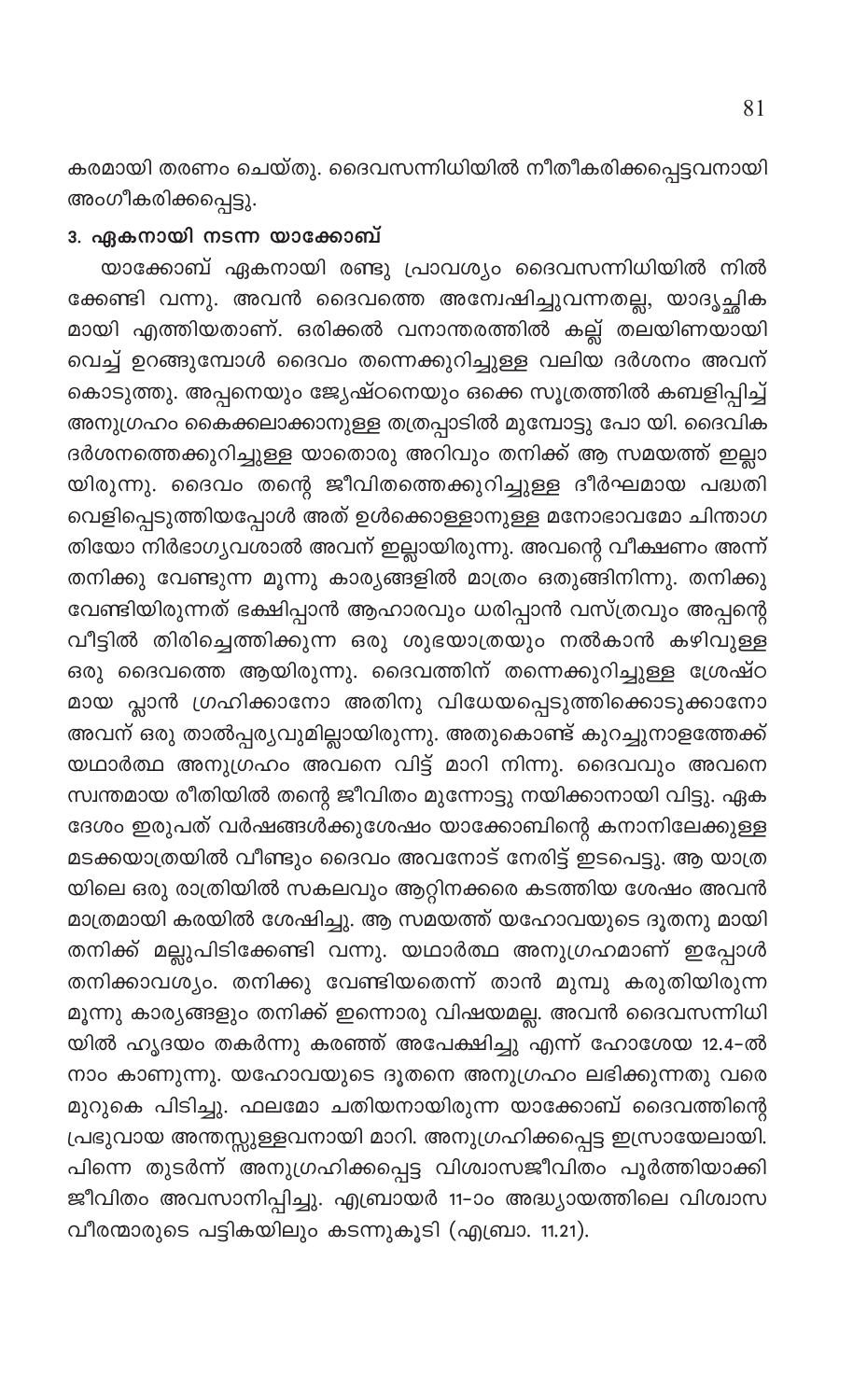കരമായി തരണം ചെയ്തു. ദൈവസന്നിധിയിൽ നീതീകരിക്കപ്പെട്ടവനായി അംഗീകരിക്കപ്പെട്ടു.

#### 3. ഏകനായി നടന്ന യാക്കോബ്

യാക്കോബ് ഏകനായി രണ്ടു പ്രാവശ്യം ദൈവസന്നിധിയിൽ നിൽ ക്കേണ്ടി വന്നു. അവൻ ദൈവത്തെ അന്വേഷിച്ചുവന്നതല്ല, യാദൃച്ഛിക മായി എത്തിയതാണ്. ഒരിക്കൽ വനാന്തരത്തിൽ കല്ല് തലയിണയായി വെച്ച് ഉറങ്ങുമ്പോൾ ദൈവം തന്നെക്കുറിച്ചുള്ള വലിയ ദർശനം അവന് കൊടുത്തു. അപ്പനെയും ജ്യേഷ്ഠനെയും ഒക്കെ സൂത്രത്തിൽ കബളിപ്പിച്ച് അനുഗ്രഹം കൈക്കലാക്കാനുള്ള തത്രപ്പാടിൽ മുമ്പോട്ടു പോ യി. ദൈവിക ദർശനത്തെക്കുറിച്ചുള്ള യാതൊരു അറിവും തനിക്ക് ആ സമയത്ത് ഇല്ലാ യിരുന്നു. ദൈവം തന്റെ ജീവിതത്തെക്കുറിച്ചുള്ള ദീർഘമായ പദ്ധതി വെളിപ്പെടുത്തിയപ്പോൾ അത് ഉൾക്കൊള്ളാനുള്ള മനോഭാവമോ ചിന്താഗ തിയോ നിർഭാഗ്യവശാൽ അവന് ഇല്ലായിരുന്നു. അവന്റെ വീക്ഷണം അന്ന് തനിക്കു വേണ്ടുന്ന മൂന്നു കാര്യങ്ങളിൽ മാത്രം ഒതുങ്ങിനിന്നു. തനിക്കു വേണ്ടിയിരുന്നത് ഭക്ഷിപ്പാൻ ആഹാരവും ധരിപ്പാൻ വസ്ത്രവും അപ്പന്റെ വീട്ടിൽ തിരിച്ചെത്തിക്കുന്ന ഒരു ശുഭയാത്രയും നൽകാൻ കഴിവുള്ള ഒരു ദൈവത്തെ ആയിരുന്നു. ദൈവത്തിന് തന്നെക്കുറിച്ചുള്ള ശ്രേഷ്ഠ മായ പ്ലാൻ ഗ്രഹിക്കാനോ അതിനു വിധേയപ്പെടുത്തിക്കൊടുക്കാനോ അവന് ഒരു താൽപ്പര്യവുമില്ലായിരുന്നു. അതുകൊണ്ട് കുറച്ചുനാളത്തേക്ക് യഥാർത്ഥ അനുഗ്രഹം അവനെ വിട്ട് മാറി നിന്നു. ദൈവവും അവനെ സ്വന്തമായ രീതിയിൽ തന്റെ ജീവിതം മുന്നോട്ടു നയിക്കാനായി വിട്ടു. ഏക ദേശം ഇരുപത് വർഷങ്ങൾക്കുശേഷം യാക്കോബിന്റെ കനാനിലേക്കുള്ള മടക്കയാത്രയിൽ വീണ്ടും ദൈവം അവനോട് നേരിട്ട് ഇടപെട്ടു. ആ യാത്ര യിലെ ഒരു രാത്രിയിൽ സകലവും ആറ്റിനക്കരെ കടത്തിയ ശേഷം അവൻ മാത്രമായി കരയിൽ ശേഷിച്ചു. ആ സമയത്ത് യഹോവയുടെ ദൂതനു മായി തനിക്ക് മല്ലുപിടിക്കേണ്ടി വന്നു. യഥാർത്ഥ അനുഗ്രഹമാണ് ഇപ്പോൾ തനിക്കാവശ്യം. തനിക്കു വേണ്ടിയതെന്ന് താൻ മുമ്പു കരുതിയിരുന്ന മൂന്നു കാര്യങ്ങളും തനിക്ക് ഇന്നൊരു വിഷയമല്ല. അവൻ ദൈവസന്നിധി യിൽ ഹൃദയം തകർന്നു കരഞ്ഞ് അപേക്ഷിച്ചു എന്ന് ഹോശേയ 12.4–ൽ നാം കാണുന്നു. യഹോവയുടെ ദൂതനെ അനുഗ്രഹം ലഭിക്കുന്നതു വരെ മുറുകെ പിടിച്ചു. ഫലമോ ചതിയനായിരുന്ന യാക്കോബ് ദൈവത്തിന്റെ പ്രഭുവായ അന്തസ്സുള്ളവനായി മാറി. അനുഗ്രഹിക്കപ്പെട്ട ഇസ്രായേലായി. പിന്നെ തുടർന്ന് അനുഗ്രഹിക്കപ്പെട്ട വിശ്വാസജീവിതം പൂർത്തിയാക്കി ജീവിതം അവസാനിപ്പിച്ചു. എബ്രായർ 11-ാം അദ്ധ്യായത്തിലെ വിശ്വാസ വീരന്മാരുടെ പട്ടികയിലും കടന്നുകൂടി (എബ്രാ. 11.21).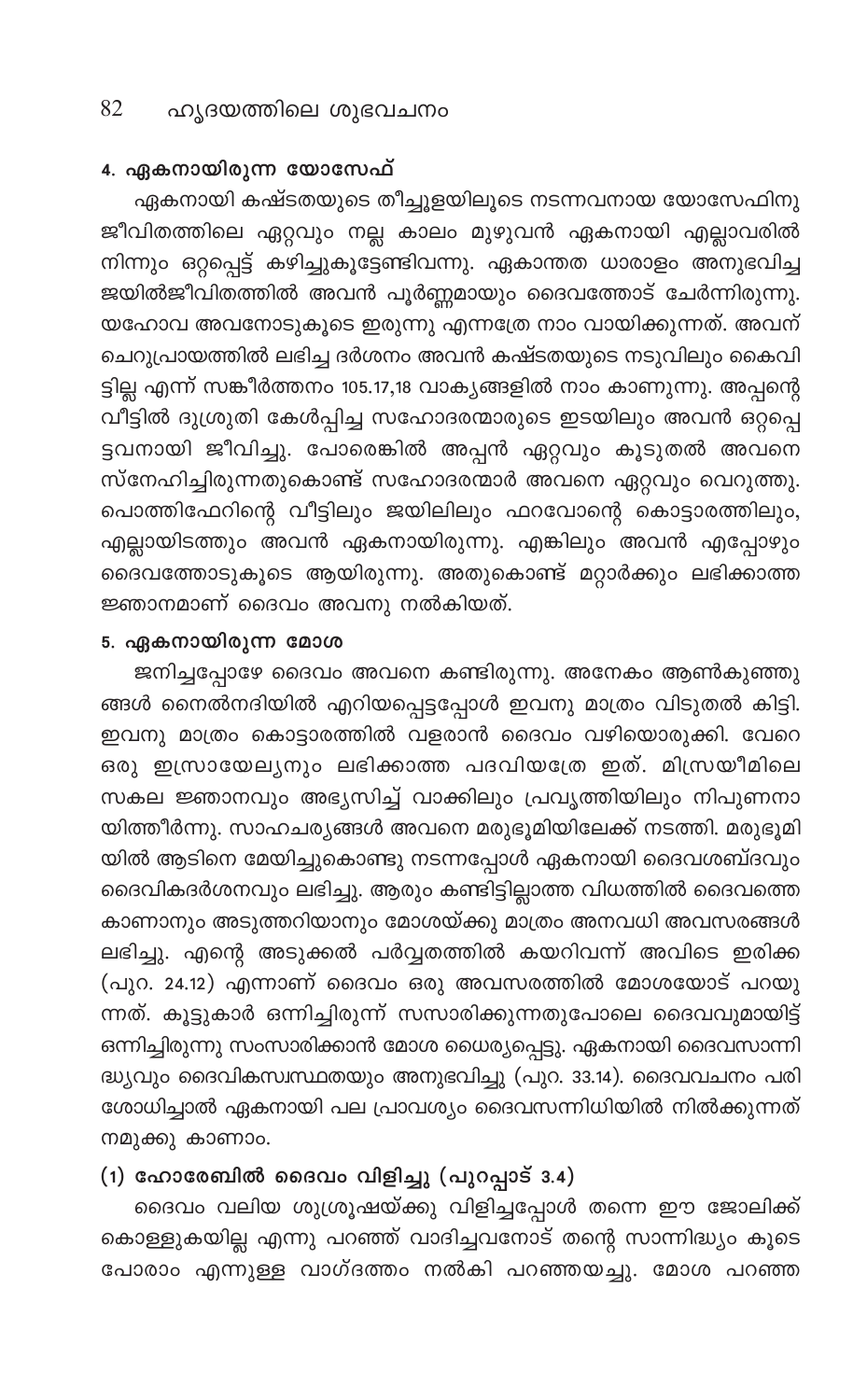#### 4. ഏകനായിരുന്ന യോസേഫ്

ഏകനായി കഷ്ടതയുടെ തീച്ചൂളയിലൂടെ നടന്നവനായ യോസേഫിനു ജീവിതത്തിലെ ഏറ്റവും നല്ല കാലം മുഴുവൻ ഏകനായി എല്ലാവരിൽ നിന്നും ഒറ്റപ്പെട്ട് കഴിച്ചുകൂട്ടേണ്ടിവന്നു. ഏകാന്തത ധാരാളം അനുഭവിച്ച ജയിൽജീവിതത്തിൽ അവൻ പൂർണ്ണമായും ദൈവത്തോട് ചേർന്നിരുന്നു. യഹോവ അവനോടുകൂടെ ഇരുന്നു എന്നത്രേ നാം വായിക്കുന്നത്. അവന് ചെറുപ്രായത്തിൽ ലഭിച്ച ദർശനം അവൻ കഷ്ടതയുടെ നടുവിലും കൈവി ട്ടില്ല എന്ന് സങ്കീർത്തനം 105.17,18 വാകൃങ്ങളിൽ നാം കാണുന്നു. അപ്പന്റെ വീട്ടിൽ ദുശ്രുതി കേൾപ്പിച്ച സഹോദരന്മാരുടെ ഇടയിലും അവൻ ഒറ്റപ്പെ ട്ടവനായി ജീവിച്ചു. പോരെങ്കിൽ അപ്പൻ ഏറ്റവും കൂടുതൽ അവനെ സ്നേഹിച്ചിരുന്നതുകൊണ്ട് സഹോദരന്മാർ അവനെ ഏറ്റവും വെറുത്തു. പൊത്തിഫേറിന്റെ വീട്ടിലും ജയിലിലും ഫറവോന്റെ കൊട്ടാരത്തിലും, എല്ലായിടത്തും അവൻ ഏകനായിരുന്നു. എങ്കിലും അവൻ എപ്പോഴും ദൈവത്തോടുകൂടെ ആയിരുന്നു. അതുകൊണ്ട് മറ്റാർക്കും ലഭിക്കാത്ത ജ്ഞാനമാണ് ദൈവം അവനു നൽകിയത്.

#### 5. ഏകനായിരുന്ന മോശ

ജനിച്ചപ്പോഴേ ദൈവം അവനെ കണ്ടിരുന്നു. അനേകം ആൺകുഞ്ഞു ങ്ങൾ നൈൽനദിയിൽ എറിയപ്പെട്ടപ്പോൾ ഇവനു മാത്രം വിടുതൽ കിട്ടി. ഇവനു മാത്രം കൊട്ടാരത്തിൽ വളരാൻ ദൈവം വഴിയൊരുക്കി. വേറെ ഒരു ഇസ്രായേല്യനും ലഭിക്കാത്ത പദവിയത്രേ ഇത്. മിസ്രയീമിലെ സകല ജ്ഞാനവും അഭ്യസിച്ച് വാക്കിലും പ്രവൃത്തിയിലും നിപുണനാ യിത്തീർന്നു. സാഹചര്യങ്ങൾ അവനെ മരുഭൂമിയിലേക്ക് നടത്തി. മരുഭൂമി യിൽ ആടിനെ മേയിച്ചുകൊണ്ടു നടന്നപ്പോൾ ഏകനായി ദൈവശബ്ദവും ദൈവികദർശനവും ലഭിച്ചു. ആരും കണ്ടിട്ടില്ലാത്ത വിധത്തിൽ ദൈവത്തെ കാണാനും അടുത്തറിയാനും മോശയ്ക്കു മാത്രം അനവധി അവസരങ്ങൾ ലഭിച്ചു. എന്റെ അടുക്കൽ പർവ്വതത്തിൽ കയറിവന്ന് അവിടെ ഇരിക്ക (പുറ. 24.12) എന്നാണ് ദൈവം ഒരു അവസരത്തിൽ മോശയോട് പറയു ന്നത്. കൂട്ടുകാർ ഒന്നിച്ചിരുന്ന് സസാരിക്കുന്നതുപോലെ ദൈവവുമായിട്ട് ഒന്നിച്ചിരുന്നു സംസാരിക്കാൻ മോശ ധൈര്യപ്പെട്ടു. ഏകനായി ദൈവസാന്നി ദ്ധ്യവും ദൈവികസ്വസ്ഥതയും അനുഭവിച്ചു (പുറ. 33.14). ദൈവവചനം പരി ശോധിച്ചാൽ ഏകനായി പല പ്രാവശ്യം ദൈവസന്നിധിയിൽ നിൽക്കുന്നത് നമുക്കു കാണാം.

### (1) ഹോരേബിൽ ദൈവം വിളിച്ചു (പുറപ്പാട് 3.4)

ദൈവം വലിയ ശുശ്രൂഷയ്ക്കു വിളിച്ചപ്പോൾ തന്നെ ഈ ജോലിക്ക് കൊള്ളുകയില്ല എന്നു പറഞ്ഞ് വാദിച്ചവനോട് തന്റെ സാന്നിദ്ധ്യം കൂടെ പോരാം എന്നുള്ള വാഗ്ദത്തം നൽകി പറഞ്ഞയച്ചു. മോശ പറഞ്ഞ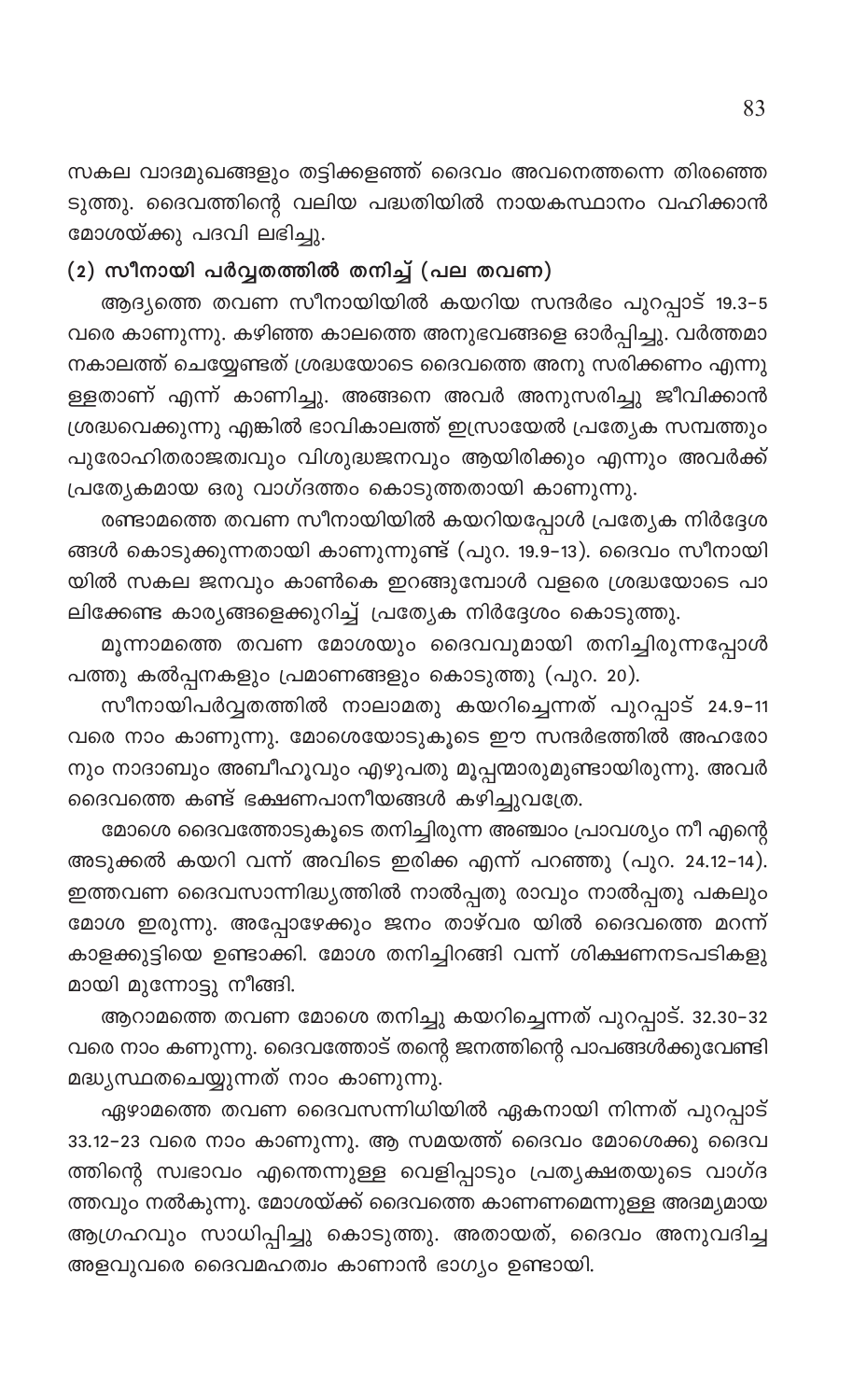സകല വാദമുഖങ്ങളും തട്ടിക്കളഞ്ഞ് ദൈവം അവനെത്തന്നെ തിരഞ്ഞെ ടുത്തു. ദൈവത്തിന്റെ വലിയ പദ്ധതിയിൽ നായകസ്ഥാനം വഹിക്കാൻ മോശയ്ക്കു പദവി ലഭിച്ചു.

### (2) സീനായി പർവ്വതത്തിൽ തനിച്ച് (പല തവണ)

ആദ്യത്തെ തവണ സീനായിയിൽ കയറിയ സന്ദർഭം പുറപ്പാട് 19.3-5 വരെ കാണുന്നു. കഴിഞ്ഞ കാലത്തെ അനുഭവങ്ങളെ ഓർപ്പിച്ചു. വർത്തമാ നകാലത്ത് ചെയ്യേണ്ടത് ശ്രദ്ധയോടെ ദൈവത്തെ അനു സരിക്കണം എന്നു ള്ളതാണ് എന്ന് കാണിച്ചു. അങ്ങനെ അവർ അനുസരിച്ചു ജീവിക്കാൻ ശ്രദ്ധവെക്കുന്നു എങ്കിൽ ഭാവികാലത്ത് ഇസ്രായേൽ പ്രത്യേക സമ്പത്തും പുരോഹിതരാജത്വവും വിശുദ്ധജനവും ആയിരിക്കും എന്നും അവർക്ക് പ്രത്യേകമായ ഒരു വാഗ്ദത്തം കൊടുത്തതായി കാണുന്നു.

രണ്ടാമത്തെ തവണ സീനായിയിൽ കയറിയപ്പോൾ പ്രത്യേക നിർദ്ദേശ ങ്ങൾ കൊടുക്കുന്നതായി കാണുന്നുണ്ട് (പുറ. 19.9-13). ദൈവം സീനായി യിൽ സകല ജനവും കാൺകെ ഇറങ്ങുമ്പോൾ വളരെ ശ്രദ്ധയോടെ പാ ലിക്കേണ്ട കാര്യങ്ങളെക്കുറിച്ച് പ്രത്യേക നിർദ്ദേശം കൊടുത്തു.

മൂന്നാമത്തെ തവണ മോശയും ദൈവവുമായി തനിച്ചിരുന്നപ്പോൾ പത്തു കൽപ്പനകളും പ്രമാണങ്ങളും കൊടുത്തു (പുറ. 20).

സീനായിപർവ്വതത്തിൽ നാലാമതു കയറിച്ചെന്നത് പുറപ്പാട് 24.9-11 വരെ നാം കാണുന്നു. മോശെയോടുകൂടെ ഈ സന്ദർഭത്തിൽ അഹരോ നും നാദാബും അബീഹൂവും എഴുപതു മൂപ്പന്മാരുമുണ്ടായിരുന്നു. അവർ ദൈവത്തെ കണ്ട് ഭക്ഷണപാനീയങ്ങൾ കഴിച്ചുവത്രേ.

മോശെ ദൈവത്തോടുകൂടെ തനിച്ചിരുന്ന അഞ്ചാം പ്രാവശ്യം നീ എന്റെ അടുക്കൽ കയറി വന്ന് അവിടെ ഇരിക്ക എന്ന് പറഞ്ഞു (പുറ. 24.12-14). ഇത്തവണ ദൈവസാന്നിദ്ധ്യത്തിൽ നാൽപ്പതു രാവും നാൽപ്പതു പകലും മോശ ഇരുന്നു. അപ്പോഴേക്കും ജനം താഴ്വര യിൽ ദൈവത്തെ മറന്ന് കാളക്കുട്ടിയെ ഉണ്ടാക്കി. മോശ തനിച്ചിറങ്ങി വന്ന് ശിക്ഷണനടപടികളു മായി മുന്നോട്ടു നീങ്ങി.

ആറാമത്തെ തവണ മോശെ തനിച്ചു കയറിച്ചെന്നത് പുറപ്പാട്. 32.30-32 വരെ നാം കണുന്നു. ദൈവത്തോട് തന്റെ ജനത്തിന്റെ പാപങ്ങൾക്കുവേണ്ടി മദ്ധ്യസ്ഥതചെയ്യുന്നത് നാം കാണുന്നു.

ഏഴാമത്തെ തവണ ദൈവസന്നിധിയിൽ ഏകനായി നിന്നത് പുറപ്പാട് 33.12-23 വരെ നാം കാണുന്നു. ആ സമയത്ത് ദൈവം മോശെക്കു ദൈവ ത്തിന്റെ സ്വഭാവം എന്തെന്നുള്ള വെളിപ്പാടും പ്രതൃക്ഷതയുടെ വാഗ്ദ ത്തവും നൽകുന്നു. മോശയ്ക്ക് ദൈവത്തെ കാണണമെന്നുള്ള അദമ്യമായ ആഗ്രഹവും സാധിപ്പിച്ചു കൊടുത്തു. അതായത്, ദൈവം അനുവദിച്ച അളവുവരെ ദൈവമഹത്വം കാണാൻ ഭാഗ്യം ഉണ്ടായി.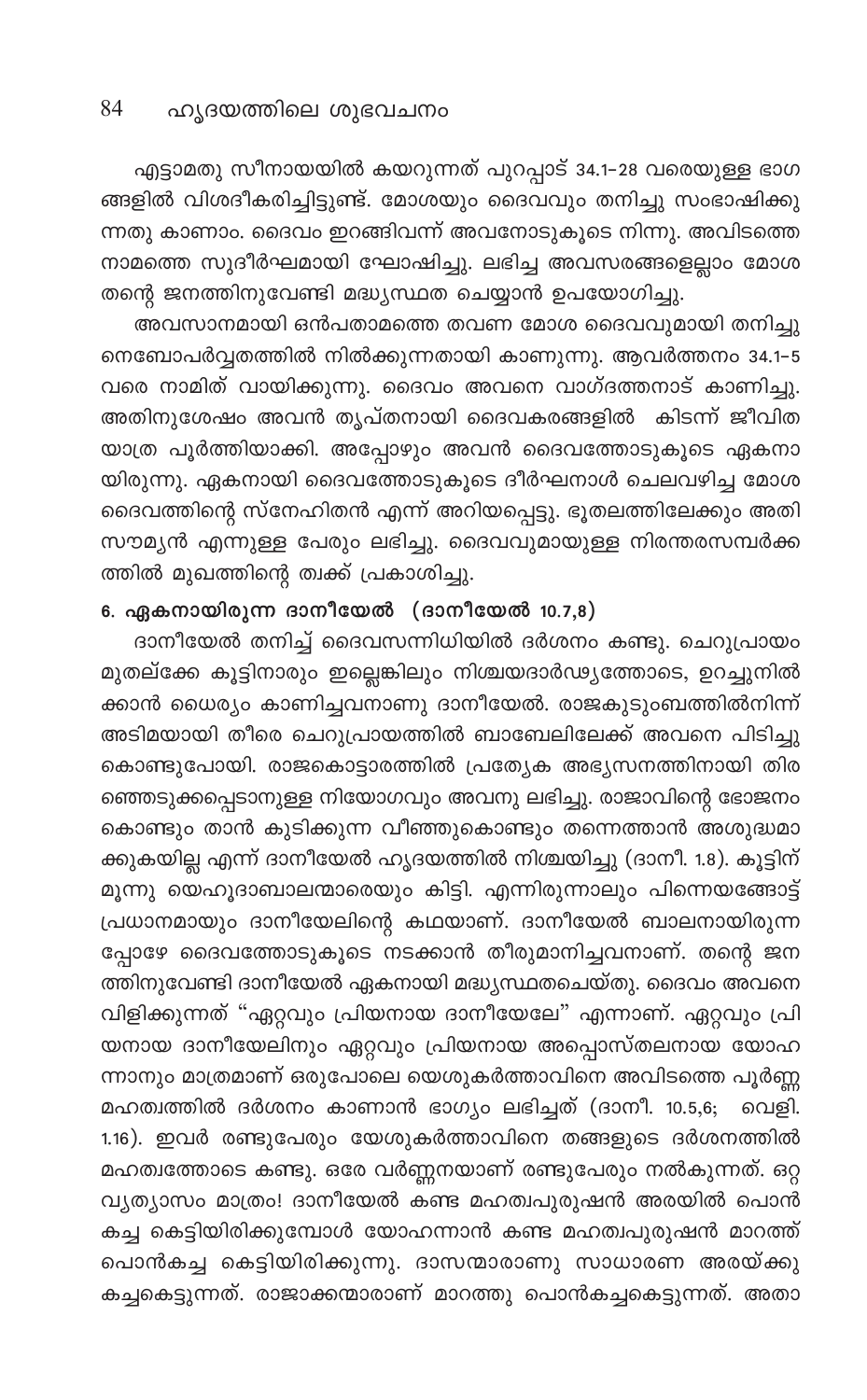എട്ടാമതു സീനായയിൽ കയറുന്നത് പുറപ്പാട് 34.1-28 വരെയുള്ള ഭാഗ ങ്ങളിൽ വിശദീകരിച്ചിട്ടുണ്ട്. മോശയും ദൈവവും തനിച്ചു സംഭാഷിക്കു ന്നതു കാണാം. ദൈവം ഇറങ്ങിവന്ന് അവനോടുകൂടെ നിന്നു. അവിടത്തെ നാമത്തെ സുദീർഘമായി ഘോഷിച്ചു. ലഭിച്ച അവസരങ്ങളെല്ലാം മോശ തന്റെ ജനത്തിനുവേണ്ടി മദ്ധ്യസ്ഥത ചെയ്യാൻ ഉപയോഗിച്ചു.

അവസാനമായി ഒൻപതാമത്തെ തവണ മോശ ദൈവവുമായി തനിച്ചു നെബോപർവ്വതത്തിൽ നിൽക്കുന്നതായി കാണുന്നു. ആവർത്തനം 34.1-5 വരെ നാമിത് വായിക്കുന്നു. ദൈവം അവനെ വാഗ്ദത്തനാട് കാണിച്ചു. അതിനുശേഷം അവൻ തൃപ്തനായി ദൈവകരങ്ങളിൽ കിടന്ന് ജീവിത യാത്ര പൂർത്തിയാക്കി. അപ്പോഴും അവൻ ദൈവത്തോടുകൂടെ ഏകനാ യിരുന്നു. ഏകനായി ദൈവത്തോടുകൂടെ ദീർഘനാൾ ചെലവഴിച്ച മോശ ദൈവത്തിന്റെ സ്നേഹിതൻ എന്ന് അറിയപ്പെട്ടു. ഭൂതലത്തിലേക്കും അതി സൗമ്യൻ എന്നുള്ള പേരും ലഭിച്ചു. ദൈവവുമായുള്ള നിരന്തരസമ്പർക്ക ത്തിൽ മുഖത്തിന്റെ ത്വക്ക് പ്രകാശിച്ചു.

#### 6. ഏകനായിരുന്ന ദാനീയേൽ (ദാനീയേൽ 10.7,8)

ദാനീയേൽ തനിച്ച് ദൈവസന്നിധിയിൽ ദർശനം കണ്ടു. ചെറുപ്രായം മുതല്ക്കേ കൂട്ടിനാരും ഇല്ലെങ്കിലും നിശ്ചയദാർഢ്യത്തോടെ, ഉറച്ചുനിൽ ക്കാൻ ധൈര്യം കാണിച്ചവനാണു ദാനീയേൽ. രാജകുടുംബത്തിൽനിന്ന് അടിമയായി തീരെ ചെറുപ്രായത്തിൽ ബാബേലിലേക്ക് അവനെ പിടിച്ചു കൊണ്ടുപോയി. രാജകൊട്ടാരത്തിൽ പ്രത്യേക അഭ്യസനത്തിനായി തിര ഞ്ഞെടുക്കപ്പെടാനുള്ള നിയോഗവും അവനു ലഭിച്ചു. രാജാവിന്റെ ഭോജനം കൊണ്ടും താൻ കുടിക്കുന്ന വീഞ്ഞുകൊണ്ടും തന്നെത്താൻ അശുദ്ധമാ ക്കുകയില്ല എന്ന് ദാനീയേൽ ഹൃദയത്തിൽ നിശ്ചയിച്ചു (ദാനീ. 1.8). കൂട്ടിന് മൂന്നു യെഹൂദാബാലന്മാരെയും കിട്ടി. എന്നിരുന്നാലും പിന്നെയങ്ങോട്ട് പ്രധാനമായും ദാനീയേലിന്റെ കഥയാണ്. ദാനീയേൽ ബാലനായിരുന്ന പ്പോഴേ ദൈവത്തോടുകൂടെ നടക്കാൻ തീരുമാനിച്ചവനാണ്. തന്റെ ജന ത്തിനുവേണ്ടി ദാനീയേൽ ഏകനായി മദ്ധ്യസ്ഥതചെയ്തു. ദൈവം അവനെ വിളിക്കുന്നത് "ഏറ്റവും പ്രിയനായ ദാനീയേലേ" എന്നാണ്. ഏറ്റവും പ്രി യനായ ദാനീയേലിനും ഏറ്റവും പ്രിയനായ അപ്പൊസ്തലനായ യോഹ .<br>ന്നാനും മാത്രമാണ് ഒരുപോലെ യെശുകർത്താവിനെ അവിടത്തെ പൂർണ്ണ മഹത്വത്തിൽ ദർശനം കാണാൻ ഭാഗ്യം ലഭിച്ചത് (ദാനീ. 10.5,6; വെളി. 1.16). ഇവർ രണ്ടുപേരും യേശുകർത്താവിനെ തങ്ങളുടെ ദർശനത്തിൽ മഹത്വത്തോടെ കണ്ടു. ഒരേ വർണ്ണനയാണ് രണ്ടുപേരും നൽകുന്നത്. ഒറ്റ വ്യത്യാസം മാത്രം! ദാനീയേൽ കണ്ട മഹത്വപുരുഷൻ അരയിൽ പൊൻ കച്ച കെട്ടിയിരിക്കുമ്പോൾ യോഹന്നാൻ കണ്ട മഹത്വപുരുഷൻ മാറത്ത് പൊൻകച്ച കെട്ടിയിരിക്കുന്നു. ദാസന്മാരാണു സാധാരണ അരയ്ക്കു കച്ചകെട്ടുന്നത്. രാജാക്കന്മാരാണ് മാറത്തു പൊൻകച്ചകെട്ടുന്നത്. അതാ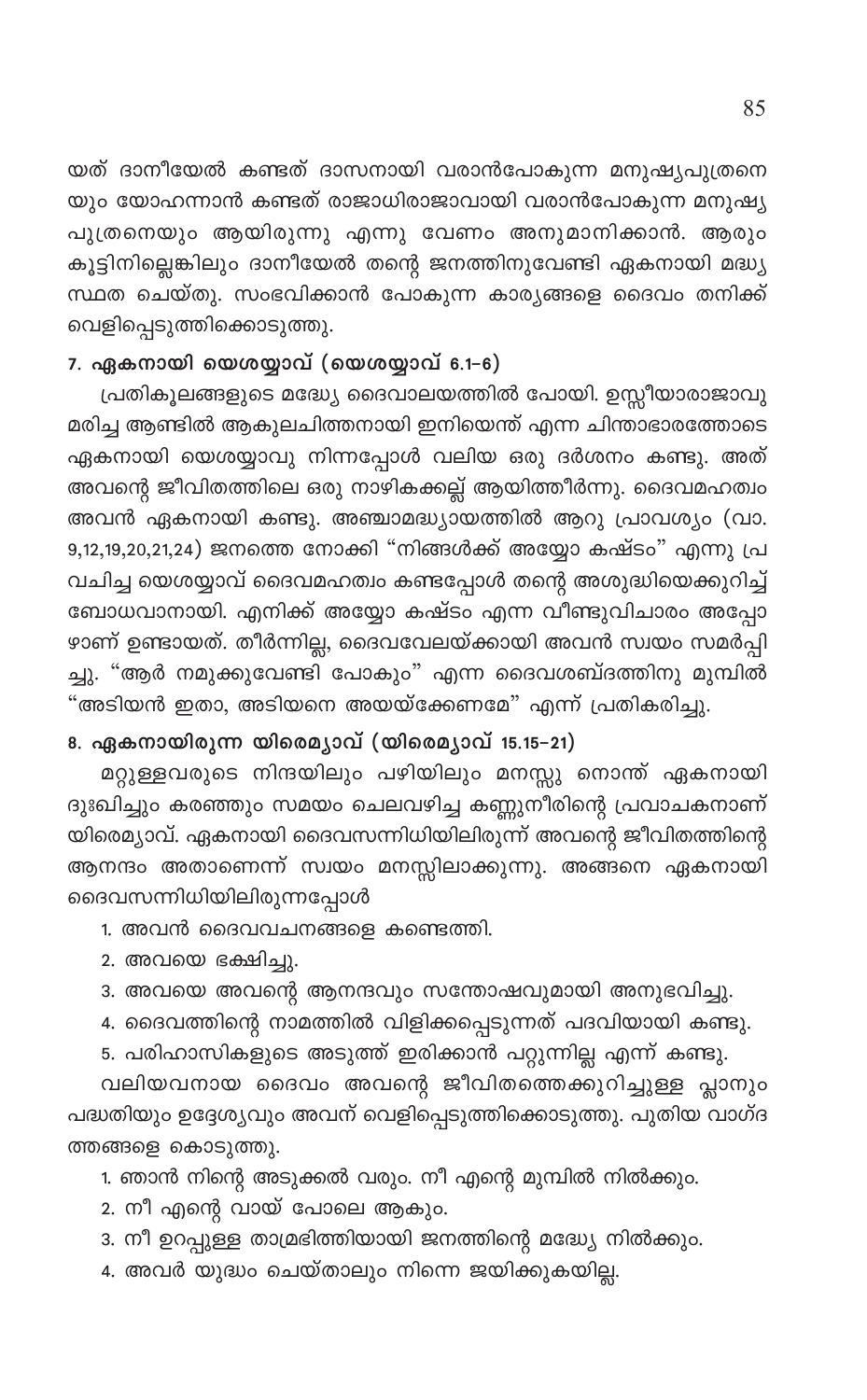യത് ദാനീയേൽ കണ്ടത് ദാസനായി വരാൻപോകുന്ന മനുഷ്യപുത്രനെ യും യോഹന്നാൻ കണ്ടത് രാജാധിരാജാവായി വരാൻപോകുന്ന മനുഷ്യ പുത്രനെയും ആയിരുന്നു എന്നു വേണം അനുമാനിക്കാൻ. ആരും കൂട്ടിനില്ലെങ്കിലും ദാനീയേൽ തന്റെ ജനത്തിനുവേണ്ടി ഏകനായി മദ്ധ്യ സ്ഥത ചെയ്തു. സംഭവിക്കാൻ പോകുന്ന കാര്യങ്ങളെ ദൈവം തനിക്ക് വെളിപ്പെടുത്തിക്കൊടുത്തു.

#### 7. ഏകനായി യെശയ്യാവ് (യെശയ്യാവ് 6.1-6)

പ്രതികൂലങ്ങളുടെ മദ്ധ്യേ ദൈവാലയത്തിൽ പോയി. ഉസ്സീയാരാജാവു മരിച്ച ആണ്ടിൽ ആകുലചിത്തനായി ഇനിയെന്ത് എന്ന ചിന്താഭാരത്തോടെ ഏകനായി യെശയ്യാവു നിന്നപ്പോൾ വലിയ ഒരു ദർശനം കണ്ടു. അത് അവന്റെ ജീവിതത്തിലെ ഒരു നാഴികക്കല്ല് ആയിത്തീർന്നു. ദൈവമഹത്വം അവൻ ഏകനായി കണ്ടു. അഞ്ചാമദ്ധ്യായത്തിൽ ആറു പ്രാവശ്യം (വാ. 9,12,19,20,21,24) ജനത്തെ നോക്കി "നിങ്ങൾക്ക് അയ്യോ കഷ്ടം" എന്നു പ്ര വചിച്ച യെശയ്യാവ് ദൈവമഹത്വം കണ്ടപ്പോൾ തന്റെ അശുദ്ധിയെക്കുറിച്ച് ബോധവാനായി. എനിക്ക് അയ്യോ കഷ്ടം എന്ന വീണ്ടുവിചാരം അപ്പോ ഴാണ് ഉണ്ടായത്. തീർന്നില്ല, ദൈവവേലയ്ക്കായി അവൻ സ്വയം സമർപ്പി ച്ചു. "ആർ നമുക്കുവേണ്ടി പോകും" എന്ന ദൈവശബ്ദത്തിനു മുമ്പിൽ "അടിയൻ ഇതാ, അടിയനെ അയയ്ക്കേണമേ" എന്ന് പ്രതികരിച്ചു.

#### 8. ഏകനായിരുന്ന യിരെമ്യാവ് (യിരെമ്യാവ് 15.15–21)

മറ്റുള്ളവരുടെ നിന്ദയിലും പഴിയിലും മനസ്സു നൊന്ത് ഏകനായി ദുഃഖിച്ചും കരഞ്ഞും സമയം ചെലവഴിച്ച കണ്ണുനീരിന്റെ പ്രവാചകനാണ് യിരെമ്യാവ്. ഏകനായി ദൈവസന്നിധിയിലിരുന്ന് അവന്റെ ജീവിതത്തിന്റെ ആനന്ദം അതാണെന്ന് സ്വയം മനസ്സിലാക്കുന്നു. അങ്ങനെ ഏകനായി ദൈവസന്നിധിയിലിരുന്നപ്പോൾ

- 1. അവൻ ദൈവവചനങ്ങളെ കണ്ടെത്തി.
- 2. അവയെ ഭക്ഷിച്ചു.
- 3. അവയെ അവന്റെ ആനന്ദവും സന്തോഷവുമായി അനുഭവിച്ചു.
- 4. ദൈവത്തിന്റെ നാമത്തിൽ വിളിക്കപ്പെടുന്നത് പദവിയായി കണ്ടു.
- .<br>5. പരിഹാസികളുടെ അടുത്ത് ഇരിക്കാൻ പറ്റുന്നില്ല എന്ന് കണ്ടു.

വലിയവനായ ദൈവം അവന്റെ ജീവിതത്തെക്കുറിച്ചുള്ള പ്ലാനും പദ്ധതിയും ഉദ്ദേശ്യവും അവന് വെളിപ്പെടുത്തിക്കൊടുത്തു. പുതിയ വാഗ്ദ ത്തങ്ങളെ കൊടുത്തു.

1. ഞാൻ നിന്റെ അടുക്കൽ വരും. നീ എന്റെ മുമ്പിൽ നിൽക്കും.

- 2. നീ എന്റെ വായ് പോലെ ആകും.
- 3. നീ ഉറപ്പുള്ള താമ്രഭിത്തിയായി ജനത്തിന്റെ മദ്ധ്യേ നിൽക്കും.
- 4. അവർ യുദ്ധം ചെയ്താലും നിന്നെ ജയിക്കുകയില്ല.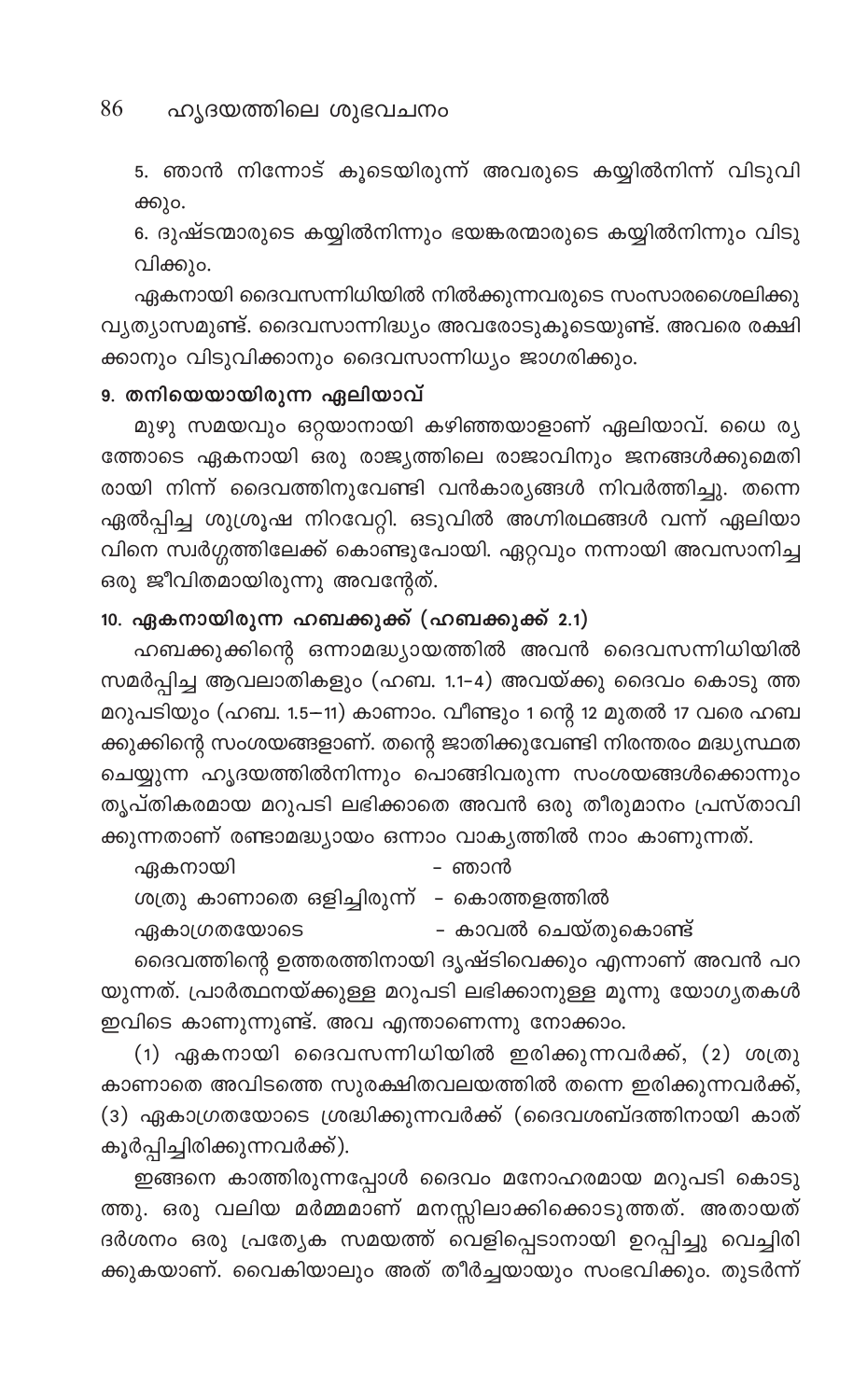5. ഞാൻ നിന്നോട് കൂടെയിരുന്ന് അവരുടെ കയ്യിൽനിന്ന് വിടുവി ക്കും.

6. ദുഷ്ടന്മാരുടെ കയ്യിൽനിന്നും ഭയങ്കരന്മാരുടെ കയ്യിൽനിന്നും വിടു വിക്കും.

ഏകനായി ദൈവസന്നിധിയിൽ നിൽക്കുന്നവരുടെ സംസാരശൈലിക്കു വ്യത്യാസമുണ്ട്. ദൈവസാന്നിദ്ധ്യം അവരോടുകൂടെയുണ്ട്. അവരെ രക്ഷി ക്കാനും വിടുവിക്കാനും ദൈവസാന്നിധ്യം ജാഗരിക്കും.

### 9. തനിയെയായിരുന്ന ഏലിയാവ്

മുഴു സമയവും ഒറ്റയാനായി കഴിഞ്ഞയാളാണ് ഏലിയാവ്. ധൈ ര്യ ത്തോടെ ഏകനായി ഒരു രാജ്യത്തിലെ രാജാവിനും ജനങ്ങൾക്കുമെതി രായി നിന്ന് ദൈവത്തിനുവേണ്ടി വൻകാര്യങ്ങൾ നിവർത്തിച്ചു. തന്നെ ഏൽപ്പിച്ച ശുശ്രൂഷ നിറവേറ്റി. ഒടുവിൽ അഗ്നിരഥങ്ങൾ വന്ന് ഏലിയാ വിനെ സ്വർഗ്ഗത്തിലേക്ക് കൊണ്ടുപോയി. ഏറ്റവും നന്നായി അവസാനിച്ച ഒരു ജീവിതമായിരുന്നു അവന്റേത്.

#### 10. ഏകനായിരുന്ന ഹബക്കുക്ക് (ഹബക്കുക്ക് 2.1)

ഹബക്കുക്കിന്റെ ഒന്നാമദ്ധ്യായത്തിൽ അവൻ ദൈവസന്നിധിയിൽ സമർപ്പിച്ച ആവലാതികളും (ഹബ. 1.1-4) അവയ്ക്കു ദൈവം കൊടു ത്ത മറുപടിയും (ഹബ. 1.5–11) കാണാം. വീണ്ടും 1 ന്റെ 12 മുതൽ 17 വരെ ഹബ ക്കുക്കിന്റെ സംശയങ്ങളാണ്. തന്റെ ജാതിക്കുവേണ്ടി നിരന്തരം മദ്ധ്യസ്ഥത ചെയ്യുന്ന ഹൃദയത്തിൽനിന്നും പൊങ്ങിവരുന്ന സംശയങ്ങൾക്കൊന്നും തൃപ്തികരമായ മറുപടി ലഭിക്കാതെ അവൻ ഒരു തീരുമാനം പ്രസ്താവി ക്കുന്നതാണ് രണ്ടാമദ്ധ്യായം ഒന്നാം വാകൃത്തിൽ നാം കാണുന്നത്.

– ഞാൻ ഏകനായി

ശത്രു കാണാതെ ഒളിച്ചിരുന്ന് – കൊത്തളത്തിൽ

- കാവൽ ചെയ്തുകൊണ്ട് ഏകാഗ്രതയോടെ

ദൈവത്തിന്റെ ഉത്തരത്തിനായി ദൃഷ്ടിവെക്കും എന്നാണ് അവൻ പറ യുന്നത്. പ്രാർത്ഥനയ്ക്കുള്ള മറുപടി ലഭിക്കാനുള്ള മൂന്നു യോഗ്യതകൾ ഇവിടെ കാണുന്നുണ്ട്. അവ എന്താണെന്നു നോക്കാം.

(1) ഏകനായി ദൈവസന്നിധിയിൽ ഇരിക്കുന്നവർക്ക്, (2) ശത്രു കാണാതെ അവിടത്തെ സുരക്ഷിതവലയത്തിൽ തന്നെ ഇരിക്കുന്നവർക്ക്, (3) ഏകാഗ്രതയോടെ ശ്രദ്ധിക്കുന്നവർക്ക് (ദൈവശബ്ദത്തിനായി കാത് കൂർപ്പിച്ചിരിക്കുന്നവർക്ക്).

ഇങ്ങനെ കാത്തിരുന്നപ്പോൾ ദൈവം മനോഹരമായ മറുപടി കൊടു ത്തു. ഒരു വലിയ മർമ്മമാണ് മനസ്സിലാക്കിക്കൊടുത്തത്. അതായത് ദർശനം ഒരു പ്രത്യേക സമയത്ത് വെളിപ്പെടാനായി ഉറപ്പിച്ചു വെച്ചിരി ക്കുകയാണ്. വൈകിയാലും അത് തീർച്ചയായും സംഭവിക്കും. തുടർന്ന്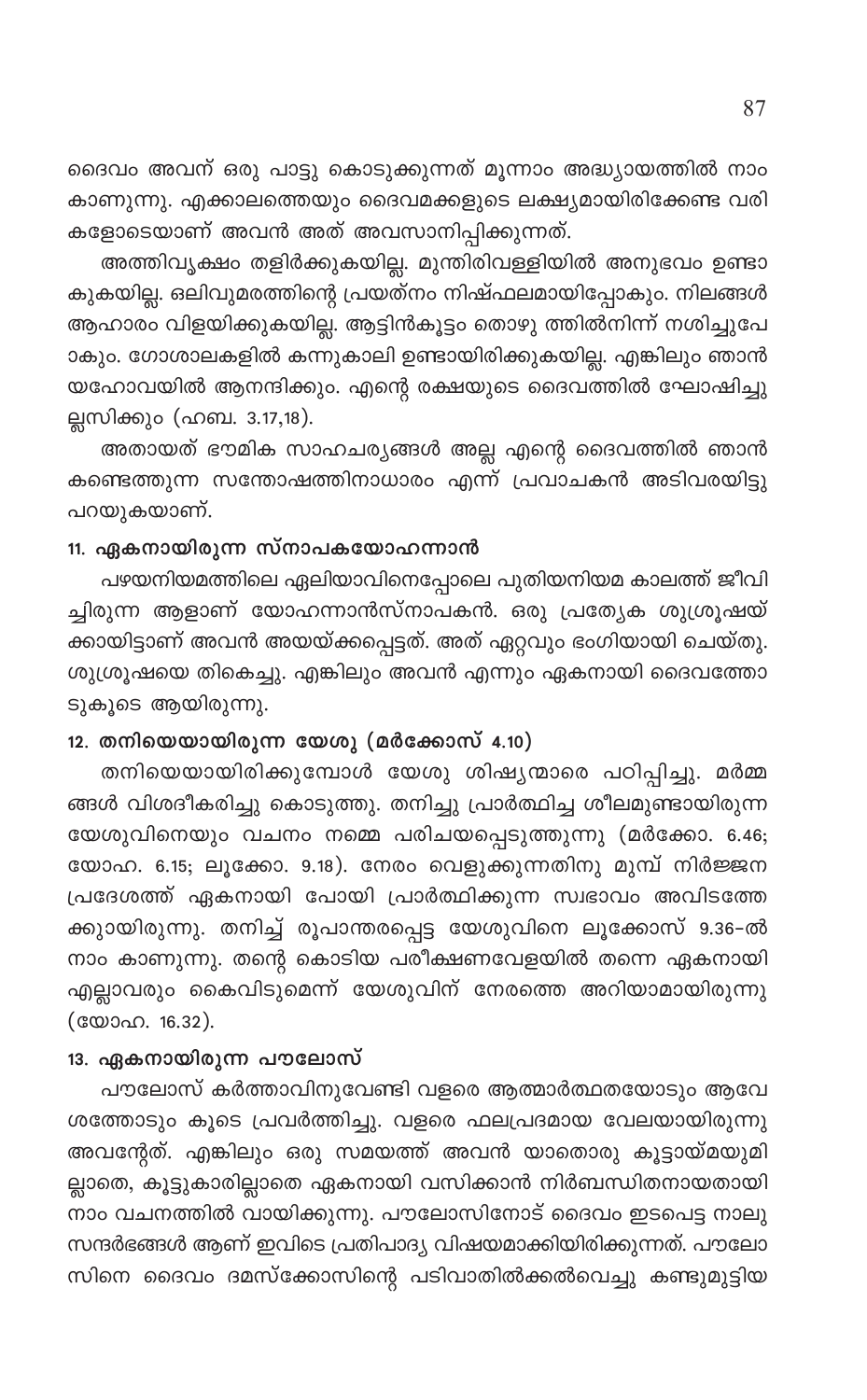ദൈവം അവന് ഒരു പാട്ടു കൊടുക്കുന്നത് മൂന്നാം അദ്ധ്യായത്തിൽ നാം കാണുന്നു. എക്കാലത്തെയും ദൈവമക്കളുടെ ലക്ഷ്യമായിരിക്കേണ്ട വരി കളോടെയാണ് അവൻ അത് അവസാനിപ്പിക്കുന്നത്.

അത്തിവൃക്ഷം തളിർക്കുകയില്ല. മുന്തിരിവള്ളിയിൽ അനുഭവം ഉണ്ടാ കുകയില്ല. ഒലിവുമരത്തിന്റെ പ്രയത്നം നിഷ്ഫലമായിപ്പോകും. നിലങ്ങൾ ആഹാരം വിളയിക്കുകയില്ല. ആട്ടിൻകൂട്ടം തൊഴു ത്തിൽനിന്ന് നശിച്ചുപേ ാകും. ഗോശാലകളിൽ കന്നുകാലി ഉണ്ടായിരിക്കുകയില്ല. എങ്കിലും ഞാൻ യഹോവയിൽ ആനന്ദിക്കും. എന്റെ രക്ഷയുടെ ദൈവത്തിൽ ഘോഷിച്ചു ല്ലസിക്കും (ഹബ. 3.17,18).

അതായത് ഭൗമിക സാഹചര്യങ്ങൾ അല്ല എന്റെ ദൈവത്തിൽ ഞാൻ കണ്ടെത്തുന്ന സന്തോഷത്തിനാധാരം എന്ന് പ്രവാചകൻ അടിവരയിട്ടു പറയുകയാണ്.

#### 11. ഏകനായിരുന്ന സ്നാപകയോഹന്നാൻ

പഴയനിയമത്തിലെ ഏലിയാവിനെപ്പോലെ പുതിയനിയമ കാലത്ത് ജീവി ച്ചിരുന്ന ആളാണ് യോഹന്നാൻസ്നാപകൻ. ഒരു പ്രത്യേക ശുശ്രൂഷയ് ക്കായിട്ടാണ് അവൻ അയയ്ക്കപ്പെട്ടത്. അത് ഏറ്റവും ഭംഗിയായി ചെയ്തു. ശുശ്രൂഷയെ തികെച്ചു. എങ്കിലും അവൻ എന്നും ഏകനായി ദൈവത്തോ ടുകൂടെ ആയിരുന്നു.

#### 12. തനിയെയായിരുന്ന യേശു (മർക്കോസ് 4.10)

തനിയെയായിരിക്കുമ്പോൾ യേശു ശിഷ്യന്മാരെ പഠിപ്പിച്ചു. മർമ്മ ങ്ങൾ വിശദീകരിച്ചു കൊടുത്തു. തനിച്ചു പ്രാർത്ഥിച്ച ശീലമുണ്ടായിരുന്ന യേശുവിനെയും വചനം നമ്മെ പരിചയപ്പെടുത്തുന്നു (മർക്കോ. 6.46; യോഹ. 6.15; ലൂക്കോ. 9.18). നേരം വെളുക്കുന്നതിനു മുമ്പ് നിർജ്ജന പ്രദേശത്ത് ഏകനായി പോയി പ്രാർത്ഥിക്കുന്ന സ്വഭാവം അവിടത്തേ ക്കുായിരുന്നു. തനിച്ച് രൂപാന്തരപ്പെട്ട യേശുവിനെ ലൂക്കോസ് 9.36-ൽ നാം കാണുന്നു. തന്റെ കൊടിയ പരീക്ഷണവേളയിൽ തന്നെ ഏകനായി എല്ലാവരും കൈവിടുമെന്ന് യേശുവിന് നേരത്തെ അറിയാമായിരുന്നു (യോഹ. 16.32).

#### 13. ഏകനായിരുന്ന പൗലോസ്

പൗലോസ് കർത്താവിനുവേണ്ടി വളരെ ആത്മാർത്ഥതയോടും ആവേ ശത്തോടും കൂടെ പ്രവർത്തിച്ചു. വളരെ ഫലപ്രദമായ വേലയായിരുന്നു അവന്റേത്. എങ്കിലും ഒരു സമയത്ത് അവൻ യാതൊരു കൂട്ടായ്മയുമി ല്ലാതെ, കൂട്ടുകാരില്ലാതെ ഏകനായി വസിക്കാൻ നിർബന്ധിതനായതായി നാം വചനത്തിൽ വായിക്കുന്നു. പൗലോസിനോട് ദൈവം ഇടപെട്ട നാലു സന്ദർഭങ്ങൾ ആണ് ഇവിടെ പ്രതിപാദ്യ വിഷയമാക്കിയിരിക്കുന്നത്. പൗലോ സിനെ ദൈവം ദമസ്ക്കോസിന്റെ പടിവാതിൽക്കൽവെച്ചു കണ്ടുമുട്ടിയ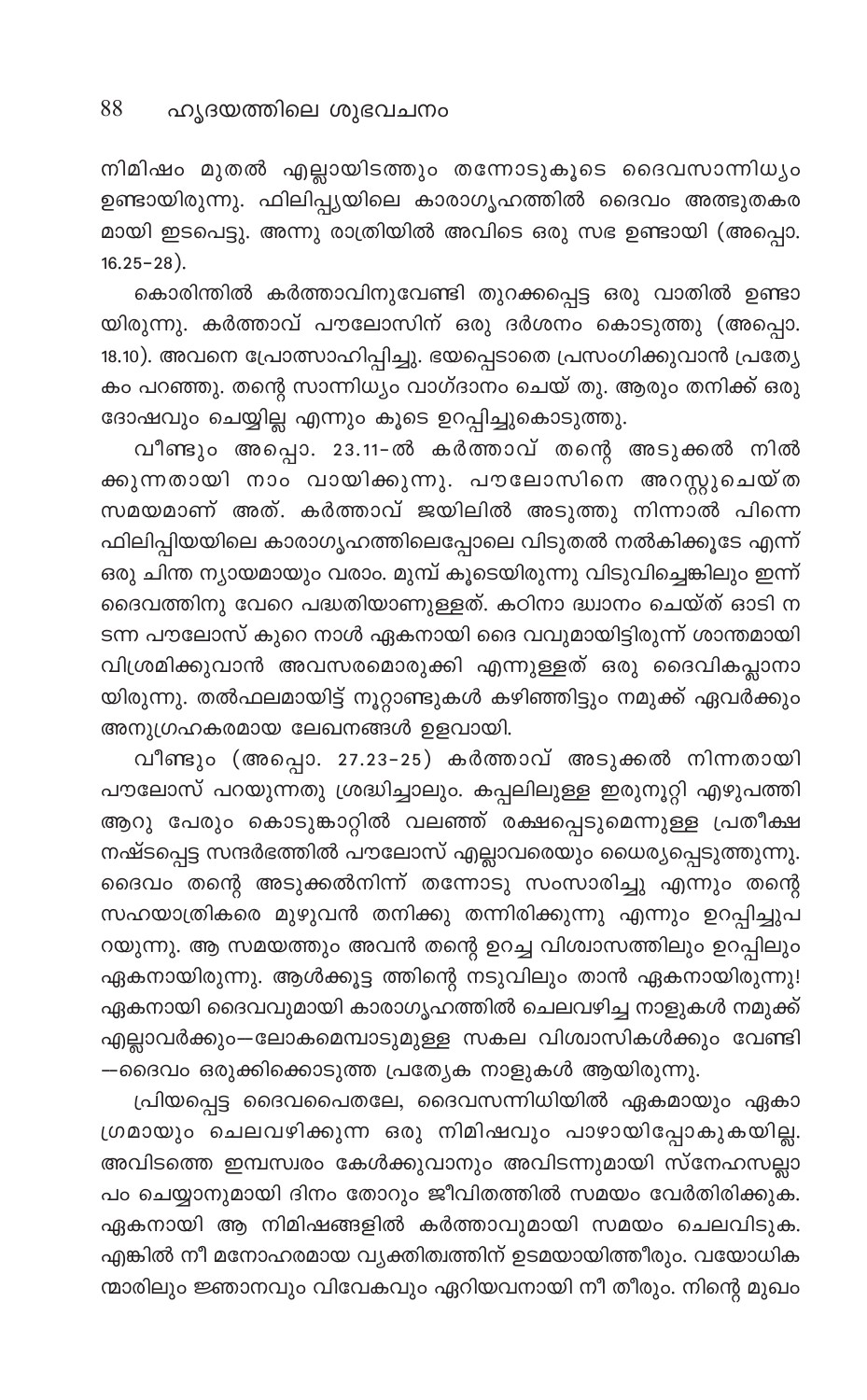നിമിഷം മുതൽ എല്ലായിടത്തും തന്നോടുകൂടെ ദൈവസാന്നിധ്യം ഉണ്ടായിരുന്നു. ഫിലിപ്പ്യയിലെ കാരാഗൃഹത്തിൽ ദൈവം അത്ഭുതകര മായി ഇടപെട്ടു. അന്നു രാത്രിയിൽ അവിടെ ഒരു സഭ ഉണ്ടായി (അപ്പൊ.  $16.25 - 28$ ).

കൊരിന്തിൽ കർത്താവിനുവേണ്ടി തുറക്കപ്പെട്ട ഒരു വാതിൽ ഉണ്ടാ യിരുന്നു. കർത്താവ് പൗലോസിന് ഒരു ദർശനം കൊടുത്തു (അപ്പൊ. 18.10). അവനെ പ്രോത്സാഹിപ്പിച്ചു. ഭയപ്പെടാതെ പ്രസംഗിക്കുവാൻ പ്രത്യേ കം പറഞ്ഞു. തന്റെ സാന്നിധ്യം വാഗ്ദാനം ചെയ് തു. ആരും തനിക്ക് ഒരു ദോഷവും ചെയ്യില്ല എന്നും കൂടെ ഉറപ്പിച്ചുകൊടുത്തു.

വീണ്ടും അപ്പൊ. 23.11-ൽ കർത്താവ് തന്റെ അടുക്കൽ നിൽ ക്കുന്നതായി നാം വായിക്കുന്നു. പൗലോസിനെ അറസ്റ്റുചെയ്ത സമയമാണ് അത്. കർത്താവ് ജയിലിൽ അടുത്തു നിന്നാൽ പിന്നെ ഫിലിപ്പിയയിലെ കാരാഗൃഹത്തിലെപ്പോലെ വിടുതൽ നൽകിക്കൂടേ എന്ന് ഒരു ചിന്ത ന്യായമായും വരാം. മുമ്പ് കൂടെയിരുന്നു വിടുവിച്ചെങ്കിലും ഇന്ന് ദൈവത്തിനു വേറെ പദ്ധതിയാണുള്ളത്. കഠിനാ ദ്ധ്വാനം ചെയ്ത് ഓടി ന ടന്ന പൗലോസ് കുറെ നാൾ ഏകനായി ദൈ വവുമായിട്ടിരുന്ന് ശാന്തമായി വിശ്രമിക്കുവാൻ അവസരമൊരുക്കി എന്നുള്ളത് ഒരു ദൈവികപ്ലാനാ യിരുന്നു. തൽഫലമായിട്ട് നൂറ്റാണ്ടുകൾ കഴിഞ്ഞിട്ടും നമുക്ക് ഏവർക്കും അനുഗ്രഹകരമായ ലേഖനങ്ങൾ ഉളവായി.

വീണ്ടും (അപ്പൊ. 27.23-25) കർത്താവ് അടുക്കൽ നിന്നതായി പൗലോസ് പറയുന്നതു ശ്രദ്ധിച്ചാലും. കപ്പലിലുള്ള ഇരുനൂറ്റി എഴുപത്തി ആറു പേരും കൊടുങ്കാറ്റിൽ വലഞ്ഞ് രക്ഷപ്പെടുമെന്നുള്ള പ്രതീക്ഷ നഷ്ടപ്പെട്ട സന്ദർഭത്തിൽ പൗലോസ് എല്ലാവരെയും ധൈര്യപ്പെടുത്തുന്നു. ദൈവം തന്റെ അടുക്കൽനിന്ന് തന്നോടു സംസാരിച്ചു എന്നും തന്റെ സഹയാത്രികരെ മുഴുവൻ തനിക്കു തന്നിരിക്കുന്നു എന്നും ഉറപ്പിച്ചുപ റയുന്നു. ആ സമയത്തും അവൻ തന്റെ ഉറച്ച വിശ്വാസത്തിലും ഉറപ്പിലും ഏകനായിരുന്നു. ആൾക്കൂട്ട ത്തിന്റെ നടുവിലും താൻ ഏകനായിരുന്നു! ഏകനായി ദൈവവുമായി കാരാഗൃഹത്തിൽ ചെലവഴിച്ച നാളുകൾ നമുക്ക് എല്ലാവർക്കും-ലോകമെമ്പാടുമുള്ള സകല വിശ്വാസികൾക്കും വേണ്ടി —ദൈവം ഒരുക്കിക്കൊടുത്ത പ്രത്യേക നാളുകൾ ആയിരുന്നു.

പ്രിയപ്പെട്ട ദൈവപൈതലേ, ദൈവസന്നിധിയിൽ ഏകമായും ഏകാ ഗ്രമായും ചെലവഴിക്കുന്ന ഒരു നിമിഷവും പാഴായിപ്പോകുകയില്ല. അവിടത്തെ ഇമ്പസ്വരം കേൾക്കുവാനും അവിടന്നുമായി സ്നേഹസല്ലാ പം ചെയ്യാനുമായി ദിനം തോറും ജീവിതത്തിൽ സമയം വേർതിരിക്കുക. ഏകനായി ആ നിമിഷങ്ങളിൽ കർത്താവുമായി സമയം ചെലവിടുക. എങ്കിൽ നീ മനോഹരമായ വ്യക്തിത്വത്തിന് ഉടമയായിത്തീരും. വയോധിക ന്മാരിലും ജ്ഞാനവും വിവേകവും ഏറിയവനായി നീ തീരും. നിന്റെ മുഖം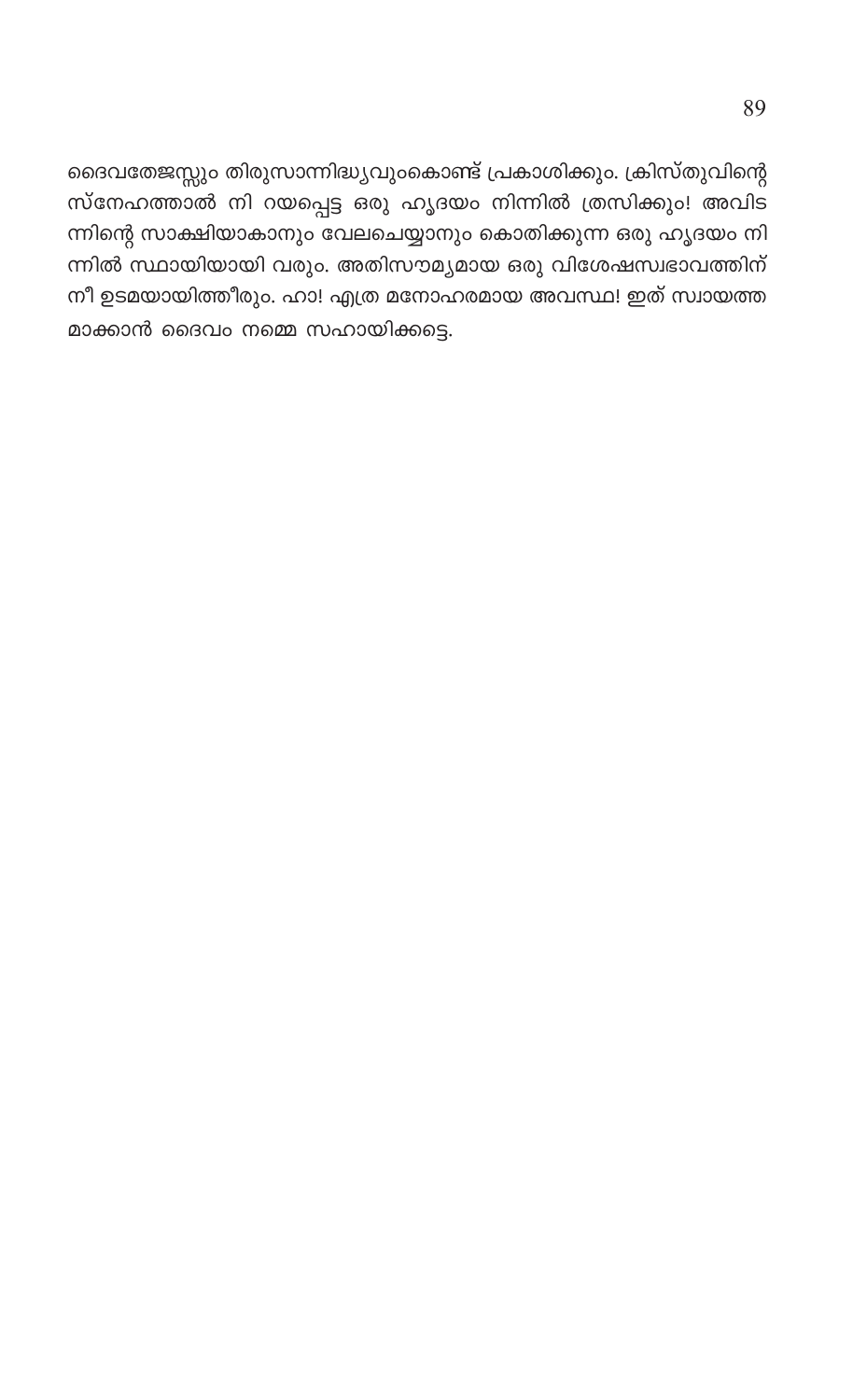ദൈവതേജസ്സും തിരുസാന്നിദ്ധ്യവുംകൊണ്ട് പ്രകാശിക്കും. ക്രിസ്തുവിന്റെ സ്നേഹത്താൽ നി റയപ്പെട്ട ഒരു ഹൃദയം നിന്നിൽ ത്രസിക്കും! അവിട ന്നിന്റെ സാക്ഷിയാകാനും വേലചെയ്യാനും കൊതിക്കുന്ന ഒരു ഹൃദയം നി ന്നിൽ സ്ഥായിയായി വരും. അതിസൗമ്യമായ ഒരു വിശേഷസ്വഭാവത്തിന് നീ ഉടമയായിത്തീരും. ഹാ! എത്ര മനോഹരമായ അവസ്ഥ! ഇത് സ്വായത്ത മാക്കാൻ ദൈവം നമ്മെ സഹായിക്കട്ടെ.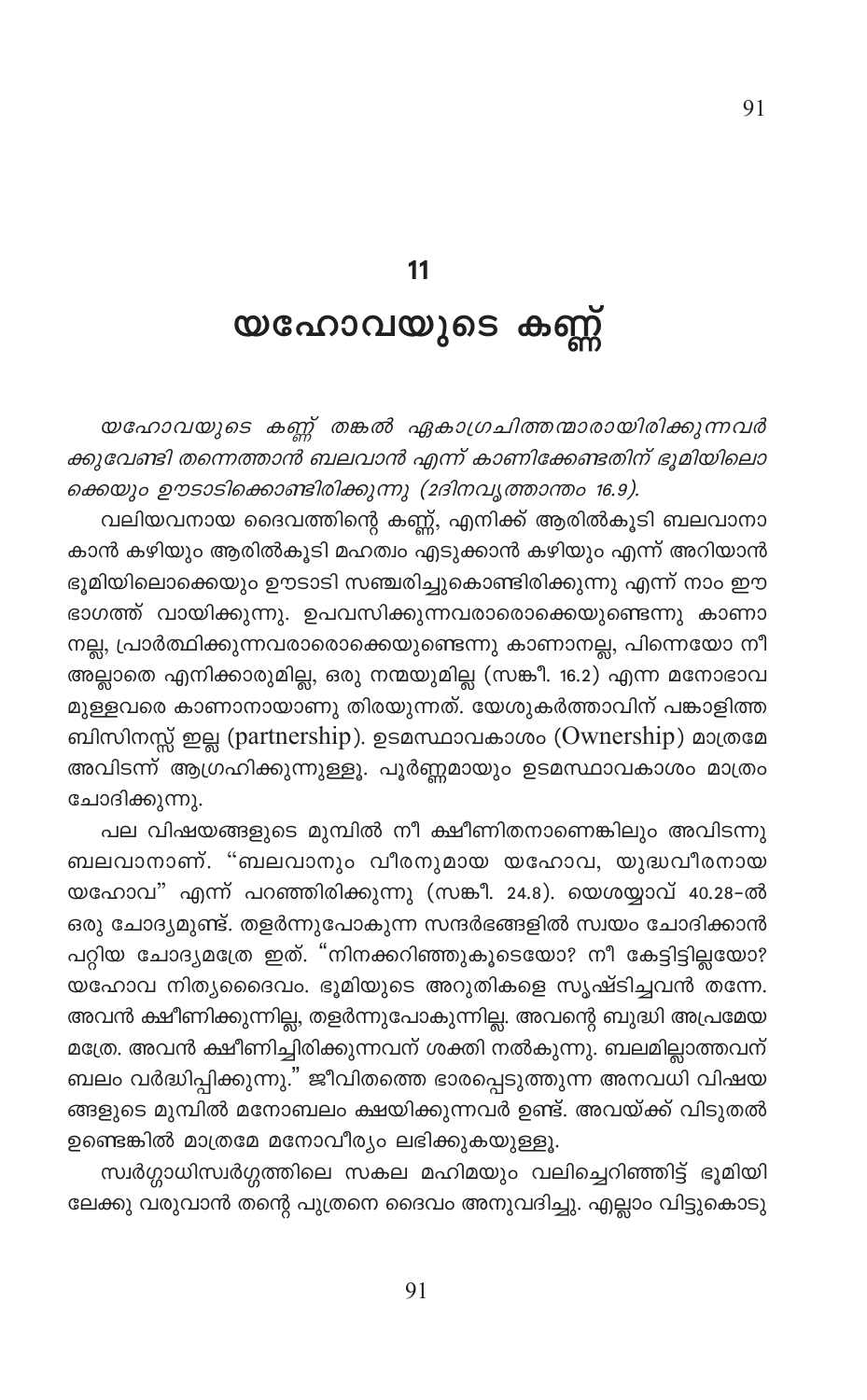$11$ 

# യഹോവയുടെ കണ്ണ്

യഹോവയുടെ കണ്ണ് തങ്കൽ ഏകാഗ്രചിത്തന്മാരായിരിക്കുന്നവർ ക്കുവേണ്ടി തന്നെത്താൻ ബലവാൻ എന്ന് കാണിക്കേണ്ടതിന് ഭൂമിയിലൊ ക്കെയും ഊടാടിക്കൊണ്ടിരിക്കുന്നു (2ദിനവൃത്താന്തം 16.9).

വലിയവനായ ദൈവത്തിന്റെ കണ്ണ്, എനിക്ക് ആരിൽകൂടി ബലവാനാ കാൻ കഴിയും ആരിൽകൂടി മഹത്വം എടുക്കാൻ കഴിയും എന്ന് അറിയാൻ ഭൂമിയിലൊക്കെയും ഊടാടി സഞ്ചരിച്ചുകൊണ്ടിരിക്കുന്നു എന്ന് നാം ഈ ഭാഗത്ത് വായിക്കുന്നു. ഉപവസിക്കുന്നവരാരൊക്കെയുണ്ടെന്നു കാണാ നല്ല, പ്രാർത്ഥിക്കുന്നവരാരൊക്കെയുണ്ടെന്നു കാണാനല്ല, പിന്നെയോ നീ അല്ലാതെ എനിക്കാരുമില്ല, ഒരു നന്മയുമില്ല (സങ്കീ. 16.2) എന്ന മനോഭാവ മുള്ളവരെ കാണാനായാണു തിരയുന്നത്. യേശുകർത്താവിന് പങ്കാളിത്ത ബിസിനസ്സ് ഇല്ല (partnership). ഉടമസ്ഥാവകാശം (Ownership) മാത്രമേ അവിടന്ന് ആഗ്രഹിക്കുന്നുള്ളൂ. പൂർണ്ണമായും ഉടമസ്ഥാവകാശം മാത്രം ചോദിക്കുന്നു.

പല വിഷയങ്ങളുടെ മുമ്പിൽ നീ ക്ഷീണിതനാണെങ്കിലും അവിടന്നു ബലവാനാണ്. "ബലവാനും വീരനുമായ യഹോവ, യുദ്ധവീരനായ യഹോവ" എന്ന് പറഞ്ഞിരിക്കുന്നു (സങ്കീ. 24.8). യെശയ്യാവ് 40.28-ൽ ഒരു ചോദ്യമുണ്ട്. തളർന്നുപോകുന്ന സന്ദർഭങ്ങളിൽ സ്വയം ചോദിക്കാൻ പറ്റിയ ചോദ്യമത്രേ ഇത്. "നിനക്കറിഞ്ഞുകൂടെയോ? നീ കേട്ടിട്ടില്ലയോ? യഹോവ നിത്യഭൈവം. ഭൂമിയുടെ അറുതികളെ സൃഷ്ടിച്ചവൻ തന്നേ. അവൻ ക്ഷീണിക്കുന്നില്ല, തളർന്നുപോകുന്നില്ല. അവന്റെ ബുദ്ധി അപ്രമേയ മത്രേ. അവൻ ക്ഷീണിച്ചിരിക്കുന്നവന് ശക്തി നൽകുന്നു. ബലമില്ലാത്തവന് ബലം വർദ്ധിപ്പിക്കുന്നു." ജീവിതത്തെ ഭാരപ്പെടുത്തുന്ന അനവധി വിഷയ ങ്ങളുടെ മുമ്പിൽ മനോബലം ക്ഷയിക്കുന്നവർ ഉണ്ട്. അവയ്ക്ക് വിടുതൽ ഉണ്ടെങ്കിൽ മാത്രമേ മനോവീര്യം ലഭിക്കുകയുള്ളൂ.

സ്വർഗ്ഗാധിസ്വർഗ്ഗത്തിലെ സകല മഹിമയും വലിച്ചെറിഞ്ഞിട്ട് ഭൂമിയി ലേക്കു വരുവാൻ തന്റെ പുത്രനെ ദൈവം അനുവദിച്ചു. എല്ലാം വിട്ടുകൊടു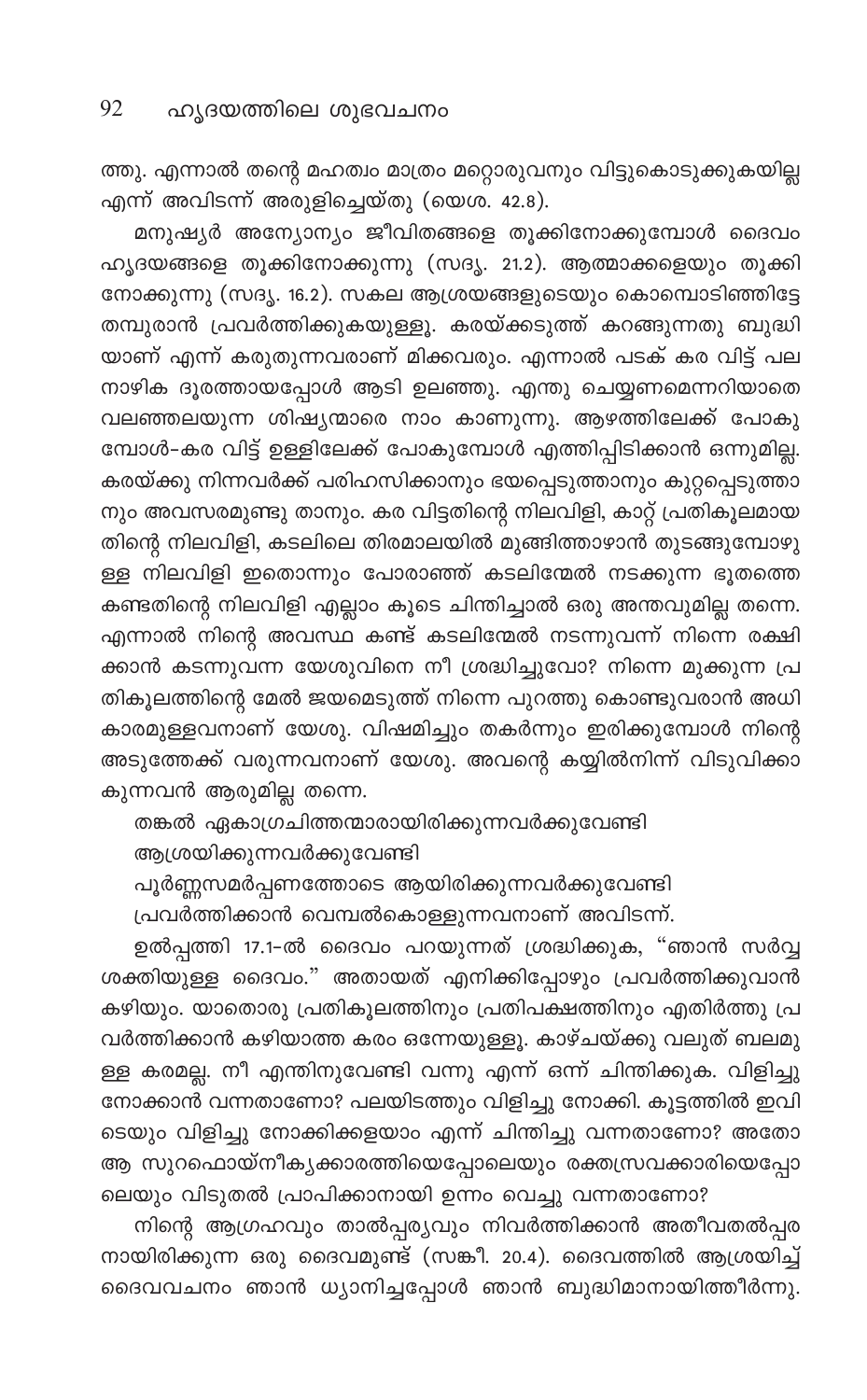ത്തു. എന്നാൽ തന്റെ മഹത്വം മാത്രം മറ്റൊരുവനും വിട്ടുകൊടുക്കുകയില്ല എന്ന് അവിടന്ന് അരുളിച്ചെയ്തു (യെശ. 42.8).

മനുഷ്യർ അന്യോന്യം ജീവിതങ്ങളെ തൂക്കിനോക്കുമ്പോൾ ദൈവം ഹൃദയങ്ങളെ തൂക്കിനോക്കുന്നു (സദൃ. 21.2). ആത്മാക്കളെയും തൂക്കി നോക്കുന്നു (സദൃ. 16.2). സകല ആശ്രയങ്ങളുടെയും കൊമ്പൊടിഞ്ഞിട്ടേ തമ്പുരാൻ പ്രവർത്തിക്കുകയുള്ളൂ. കരയ്ക്കടുത്ത് കറങ്ങുന്നതു ബുദ്ധി യാണ് എന്ന് കരുതുന്നവരാണ് മിക്കവരും. എന്നാൽ പടക് കര വിട്ട് പല നാഴിക ദൂരത്തായപ്പോൾ ആടി ഉലഞ്ഞു. എന്തു ചെയ്യണമെന്നറിയാതെ വലഞ്ഞലയുന്ന ശിഷ്യന്മാരെ നാം കാണുന്നു. ആഴത്തിലേക്ക് പോകു മ്പോൾ-കര വിട്ട് ഉള്ളിലേക്ക് പോകുമ്പോൾ എത്തിപ്പിടിക്കാൻ ഒന്നുമില്ല. കരയ്ക്കു നിന്നവർക്ക് പരിഹസിക്കാനും ഭയപ്പെടുത്താനും കുറ്റപ്പെടുത്താ നും അവസരമുണ്ടു താനും. കര വിട്ടതിന്റെ നിലവിളി, കാറ്റ് പ്രതികൂലമായ തിന്റെ നിലവിളി, കടലിലെ തിരമാലയിൽ മുങ്ങിത്താഴാൻ തുടങ്ങുമ്പോഴു ള്ള നിലവിളി ഇതൊന്നും പോരാഞ്ഞ് കടലിന്മേൽ നടക്കുന്ന ഭൂതത്തെ കണ്ടതിന്റെ നിലവിളി എല്ലാം കൂടെ ചിന്തിച്ചാൽ ഒരു അന്തവുമില്ല തന്നെ. .<br>എന്നാൽ നിന്റെ അവസ്ഥ കണ്ട് കടലിന്മേൽ നടന്നുവന്ന് നിന്നെ രക്ഷി ക്കാൻ കടന്നുവന്ന യേശുവിനെ നീ ശ്രദ്ധിച്ചുവോ? നിന്നെ മുക്കുന്ന പ്ര തികൂലത്തിന്റെ മേൽ ജയമെടുത്ത് നിന്നെ പുറത്തു കൊണ്ടുവരാൻ അധി കാരമുള്ളവനാണ് യേശു. വിഷമിച്ചും തകർന്നും ഇരിക്കുമ്പോൾ നിന്റെ .<br>അടുത്തേക്ക് വരുന്നവനാണ് യേശു. അവന്റെ കയ്യിൽനിന്ന് വിടുവിക്കാ കുന്നവൻ ആരുമില്ല തന്നെ.

തങ്കൽ ഏകാഗ്രചിത്തന്മാരായിരിക്കുന്നവർക്കുവേണ്ടി

ആശ്രയിക്കുന്നവർക്കുവേണ്ടി

പൂർണ്ണസമർപ്പണത്തോടെ ആയിരിക്കുന്നവർക്കുവേണ്ടി

പ്രവർത്തിക്കാൻ വെമ്പൽകൊള്ളുന്നവനാണ് അവിടന്ന്.

ഉൽപ്പത്തി 17.1-ൽ ദൈവം പറയുന്നത് ശ്രദ്ധിക്കുക, "ഞാൻ സർവ്വ ശക്തിയുള്ള ദൈവം." അതായത് എനിക്കിപ്പോഴും പ്രവർത്തിക്കുവാൻ കഴിയും. യാതൊരു പ്രതികൂലത്തിനും പ്രതിപക്ഷത്തിനും എതിർത്തു പ്ര വർത്തിക്കാൻ കഴിയാത്ത കരം ഒന്നേയുള്ളൂ. കാഴ്ചയ്ക്കു വലുത് ബലമു ള്ള കരമല്ല. നീ എന്തിനുവേണ്ടി വന്നു എന്ന് ഒന്ന് ചിന്തിക്കുക. വിളിച്ചു നോക്കാൻ വന്നതാണോ? പലയിടത്തും വിളിച്ചു നോക്കി. കൂട്ടത്തിൽ ഇവി ടെയും വിളിച്ചു നോക്കിക്കളയാം എന്ന് ചിന്തിച്ചു വന്നതാണോ? അതോ ആ സുറഫൊയ്നീകൃക്കാരത്തിയെപ്പോലെയും രക്തസ്രവക്കാരിയെപ്പോ ലെയും വിടുതൽ പ്രാപിക്കാനായി ഉന്നം വെച്ചു വന്നതാണോ?

നിന്റെ ആഗ്രഹവും താൽപ്പര്യവും നിവർത്തിക്കാൻ അതീവതൽപ്പര നായിരിക്കുന്ന ഒരു ദൈവമുണ്ട് (സങ്കീ. 20.4). ദൈവത്തിൽ ആശ്രയിച്ച് ദൈവവചനം ഞാൻ ധ്യാനിച്ചപ്പോൾ ഞാൻ ബുദ്ധിമാനായിത്തീർന്നു.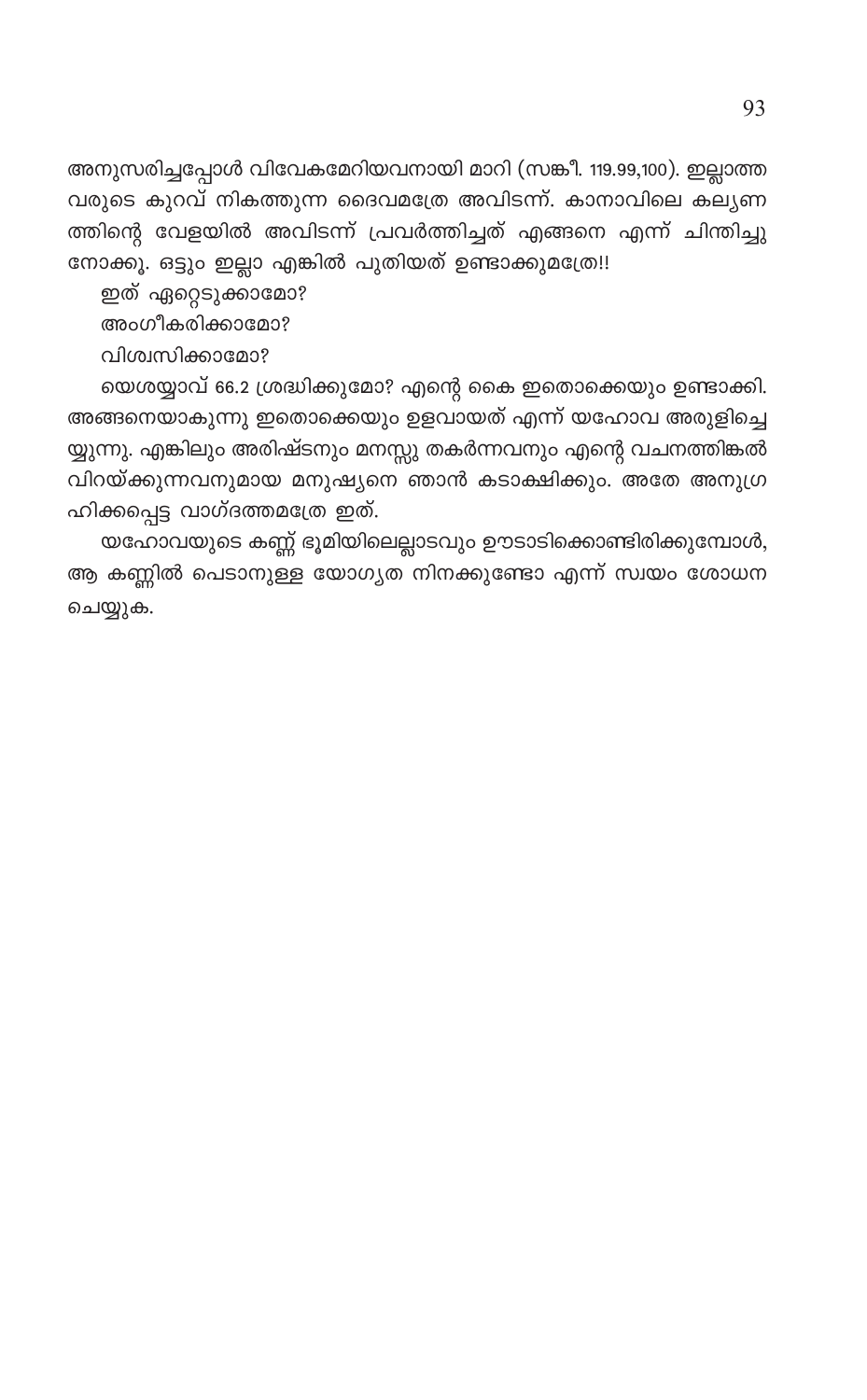അനുസരിച്ചപ്പോൾ വിവേകമേറിയവനായി മാറി (സങ്കീ. 119.99,100). ഇല്ലാത്ത വരുടെ കുറവ് നികത്തുന്ന ദൈവമത്രേ അവിടന്ന്. കാനാവിലെ കല്യണ .<br>ത്തിന്റെ വേളയിൽ അവിടന്ന് പ്രവർത്തിച്ചത് എങ്ങനെ എന്ന് ചിന്തിച്ചു നോക്കൂ. ഒട്ടും ഇല്ലാ എങ്കിൽ പുതിയത് ഉണ്ടാക്കുമത്രേ!!

ഇത് ഏറ്റെടുക്കാമോ?

അംഗീകരിക്കാമോ?

വിശ്വസിക്കാമോ?

യെശയ്യാവ് 66.2 ശ്രദ്ധിക്കുമോ? എന്റെ കൈ ഇതൊക്കെയും ഉണ്ടാക്കി. അങ്ങനെയാകുന്നു ഇതൊക്കെയും ഉളവായത് എന്ന് യഹോവ അരുളിച്ചെ യ്യുന്നു. എങ്കിലും അരിഷ്ടനും മനസ്സു തകർന്നവനും എന്റെ വചനത്തിങ്കൽ വിറയ്ക്കുന്നവനുമായ മനുഷ്യനെ ഞാൻ കടാക്ഷിക്കും. അതേ അനുഗ്ര ഹിക്കപ്പെട്ട വാഗ്ദത്തമത്രേ ഇത്.

യഹോവയുടെ കണ്ണ് ഭൂമിയിലെല്ലാടവും ഊടാടിക്കൊണ്ടിരിക്കുമ്പോൾ, ആ കണ്ണിൽ പെടാനുള്ള യോഗ്യത നിനക്കുണ്ടോ എന്ന് സ്വയം ശോധന ചെയ്യുക.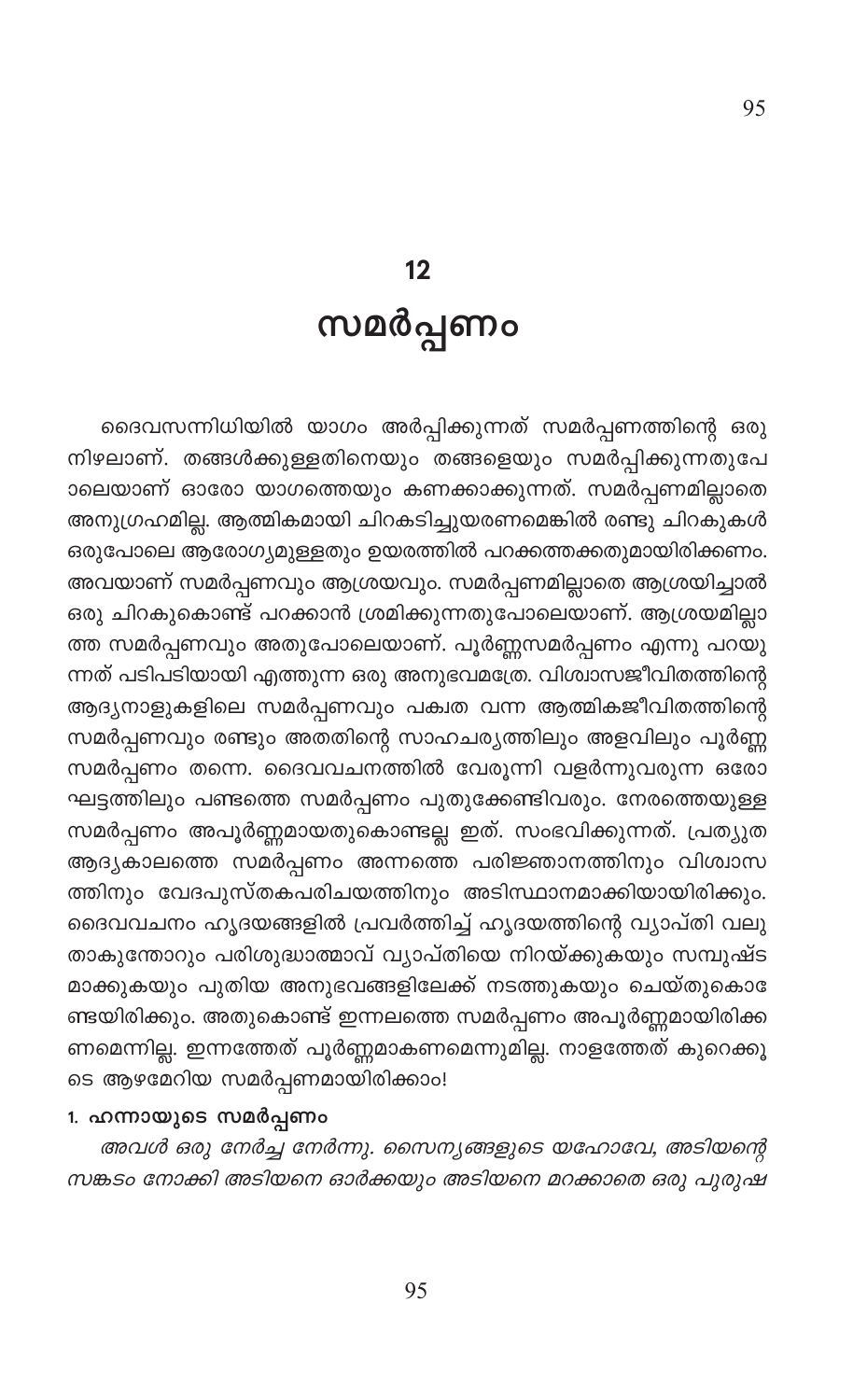# $12$ സമർപ്പണം

95

ദൈവസന്നിധിയിൽ യാഗം അർപ്പിക്കുന്നത് സമർപ്പണത്തിന്റെ ഒരു നിഴലാണ്. തങ്ങൾക്കുള്ളതിനെയും തങ്ങളെയും സമർപ്പിക്കുന്നതുപേ ാലെയാണ് ഓരോ യാഗത്തെയും കണക്കാക്കുന്നത്. സമർപ്പണമില്ലാതെ അനുഗ്രഹമില്ല. ആത്മികമായി ചിറകടിച്ചുയരണമെങ്കിൽ രണ്ടു ചിറകുകൾ ഒരുപോലെ ആരോഗ്യമുള്ളതും ഉയരത്തിൽ പറക്കത്തക്കതുമായിരിക്കണം. അവയാണ് സമർപ്പണവും ആശ്രയവും. സമർപ്പണമില്ലാതെ ആശ്രയിച്ചാൽ ഒരു ചിറകുകൊണ്ട് പറക്കാൻ ശ്രമിക്കുന്നതുപോലെയാണ്. ആശ്രയമില്ലാ ത്ത സമർപ്പണവും അതുപോലെയാണ്. പൂർണ്ണസമർപ്പണം എന്നു പറയു ന്നത് പടിപടിയായി എത്തുന്ന ഒരു അനുഭവമത്രേ. വിശ്വാസജീവിതത്തിന്റെ ആദ്യനാളുകളിലെ സമർപ്പണവും പക്വത വന്ന ആത്മികജീവിതത്തിന്റെ സമർപ്പണവും രണ്ടും അതതിന്റെ സാഹചര്യത്തിലും അളവിലും പൂർണ്ണ സമർപ്പണം തന്നെ. ദൈവവചനത്തിൽ വേരൂന്നി വളർന്നുവരുന്ന ഒരോ ഘട്ടത്തിലും പണ്ടത്തെ സമർപ്പണം പുതുക്കേണ്ടിവരും. നേരത്തെയുള്ള സമർപ്പണം അപൂർണ്ണമായതുകൊണ്ടല്ല ഇത്. സംഭവിക്കുന്നത്. പ്രത്യുത ആദ്യകാലത്തെ സമർപ്പണം അന്നത്തെ പരിജ്ഞാനത്തിനും വിശ്വാസ ത്തിനും വേദപുസ്തകപരിചയത്തിനും അടിസ്ഥാനമാക്കിയായിരിക്കും. ദൈവവചനം ഹൃദയങ്ങളിൽ പ്രവർത്തിച്ച് ഹൃദയത്തിന്റെ വ്യാപ്തി വലു താകുന്തോറും പരിശുദ്ധാത്മാവ് വ്യാപ്തിയെ നിറയ്ക്കുകയും സമ്പുഷ്ട മാക്കുകയും പുതിയ അനുഭവങ്ങളിലേക്ക് നടത്തുകയും ചെയ്തുകൊ ണ്ടയിരിക്കും. അതുകൊണ്ട് ഇന്നലത്തെ സമർപ്പണം അപൂർണ്ണമായിരിക്ക ണമെന്നില്ല. ഇന്നത്തേത് പൂർണ്ണമാകണമെന്നുമില്ല. നാളത്തേത് കുറെക്കൂ ടെ ആഴമേറിയ സമർപ്പണമായിരിക്കാം!

#### 1. ഹന്നായുടെ സമർപ്പണം

അവൾ ഒരു നേർച്ച നേർന്നു. സൈന്യങ്ങളുടെ യഹോവേ, അടിയന്റെ സങ്കടം നോക്കി അടിയനെ ഓർക്കയും അടിയനെ മറക്കാതെ ഒരു പുരുഷ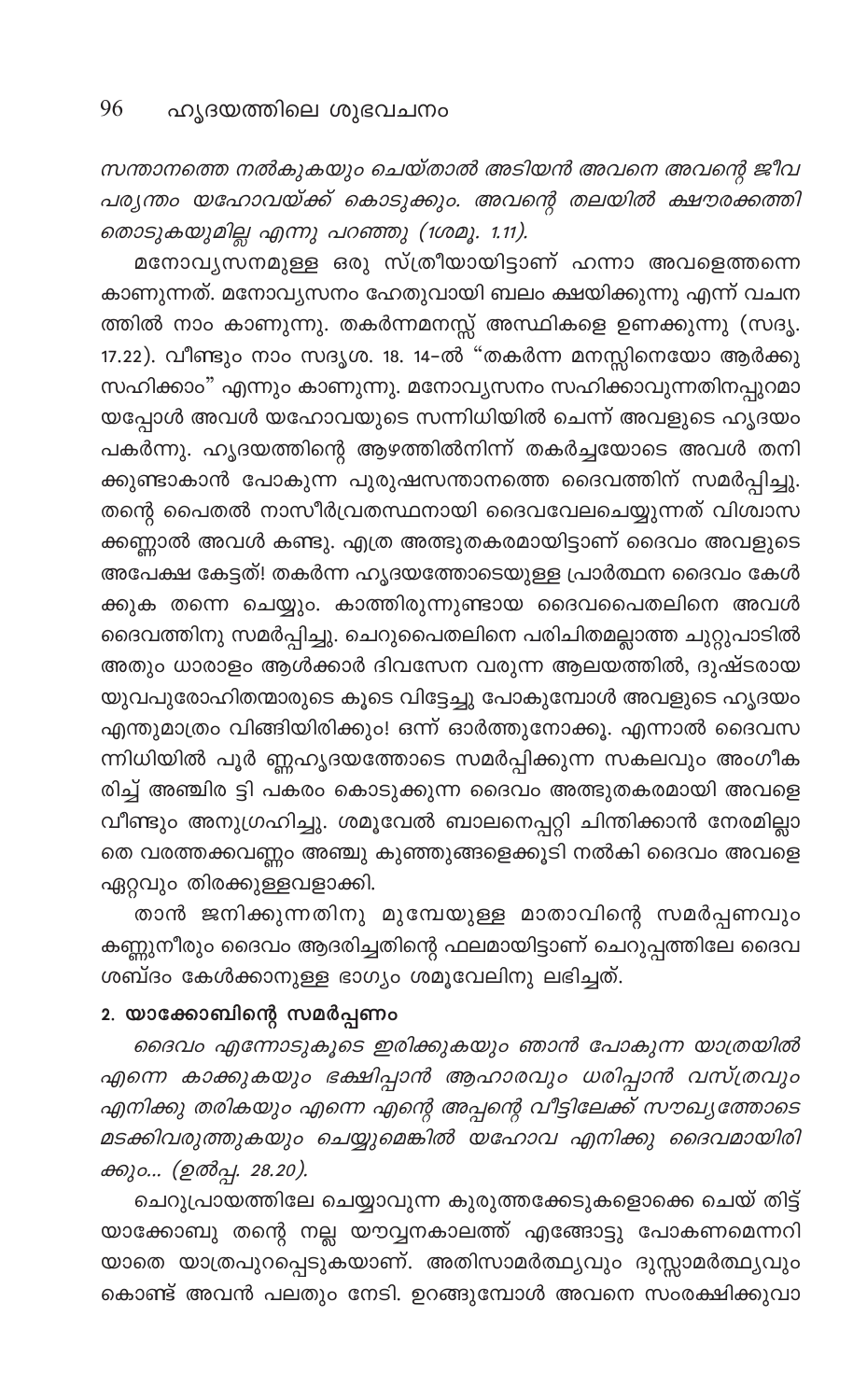സന്താനത്തെ നൽകുകയും ചെയ്താൽ അടിയൻ അവനെ അവന്റെ ജീവ പര്യന്തം യഹോവയ്ക്ക് കൊടുക്കും. അവന്റെ തലയിൽ ക്ഷൗരക്കത്തി തൊടുകയുമില്ല എന്നു പറഞ്ഞു (1ശമൂ. 1.11).

മനോവ്യസനമുള്ള ഒരു സ്ത്രീയായിട്ടാണ് ഹന്നാ അവളെത്തന്നെ കാണുന്നത്. മനോവ്യസനം ഹേതുവായി ബലം ക്ഷയിക്കുന്നു എന്ന് വചന ത്തിൽ നാം കാണുന്നു. തകർന്നമനസ്സ് അസ്ഥികളെ ഉണക്കുന്നു (സദൃ. 17.22). വീണ്ടും നാം സദൃശ. 18. 14-ൽ "തകർന്ന മനസ്സിനെയോ ആർക്കു സഹിക്കാം" എന്നും കാണുന്നു. മനോവ്യസനം സഹിക്കാവുന്നതിനപ്പുറമാ യപ്പോൾ അവൾ യഹോവയുടെ സന്നിധിയിൽ ചെന്ന് അവളുടെ ഹൃദയം പകർന്നു. ഹൃദയത്തിന്റെ ആഴത്തിൽനിന്ന് തകർച്ചയോടെ അവൾ തനി ക്കുണ്ടാകാൻ പോകുന്ന പുരുഷസന്താനത്തെ ദൈവത്തിന് സമർപ്പിച്ചു. തന്റെ പൈതൽ നാസീർവ്രതസ്ഥനായി ദൈവവേലചെയ്യുന്നത് വിശ്വാസ ക്കണ്ണാൽ അവൾ കണ്ടു. എത്ര അത്ഭുതകരമായിട്ടാണ് ദൈവം അവളുടെ അപേക്ഷ കേട്ടത്! തകർന്ന ഹൃദയത്തോടെയുള്ള പ്രാർത്ഥന ദൈവം കേൾ ക്കുക തന്നെ ചെയ്യും. കാത്തിരുന്നുണ്ടായ ദൈവപൈതലിനെ അവൾ ദൈവത്തിനു സമർപ്പിച്ചു. ചെറുപൈതലിനെ പരിചിതമല്ലാത്ത ചുറ്റുപാടിൽ അതും ധാരാളം ആൾക്കാർ ദിവസേന വരുന്ന ആലയത്തിൽ, ദുഷ്ടരായ യുവപുരോഹിതന്മാരുടെ കൂടെ വിട്ടേച്ചു പോകുമ്പോൾ അവളുടെ ഹൃദയം എന്തുമാത്രം വിങ്ങിയിരിക്കും! ഒന്ന് ഓർത്തുനോക്കൂ. എന്നാൽ ദൈവസ ന്നിധിയിൽ പൂർ ണ്ണഹൃദയത്തോടെ സമർപ്പിക്കുന്ന സകലവും അംഗീക രിച്ച് അഞ്ചിര ട്ടി പകരം കൊടുക്കുന്ന ദൈവം അത്ഭുതകരമായി അവളെ വീണ്ടും അനുഗ്രഹിച്ചു. ശമൂവേൽ ബാലനെപ്പറ്റി ചിന്തിക്കാൻ നേരമില്ലാ തെ വരത്തക്കവണ്ണം അഞ്ചു കുഞ്ഞുങ്ങളെക്കൂടി നൽകി ദൈവം അവളെ ഏറ്റവും തിരക്കുള്ളവളാക്കി.

താൻ ജനിക്കുന്നതിനു മുമ്പേയുള്ള മാതാവിന്റെ സമർപ്പണവും കണ്ണുനീരും ദൈവം ആദരിച്ചതിന്റെ ഫലമായിട്ടാണ് ചെറുപ്പത്തിലേ ദൈവ ശബ്ദം കേൾക്കാനുള്ള ഭാഗ്യം ശമൂവേലിനു ലഭിച്ചത്.

#### 2. യാക്കോബിന്റെ സമർപ്പണം

ദൈവം എന്നോടുകൂടെ ഇരിക്കുകയും ഞാൻ പോകുന്ന യാത്രയിൽ എന്നെ കാക്കുകയും ഭക്ഷിപ്പാൻ ആഹാരവും ധരിപ്പാൻ വസ്ത്രവും എനിക്കു തരികയും എന്നെ എന്റെ അപ്പന്റെ വീട്ടിലേക്ക് സൗഖ്യത്തോടെ മടക്കിവരുത്തുകയും ചെയ്യുമെങ്കിൽ യഹോവ എനിക്കു ദൈവമായിരി ക്കും... (ഉൽപ്പ. 28.20).

ചെറുപ്രായത്തിലേ ചെയ്യാവുന്ന കുരുത്തക്കേടുകളൊക്കെ ചെയ് തിട്ട് യാക്കോബു തന്റെ നല്ല യൗവ്വനകാലത്ത് എങ്ങോട്ടു പോകണമെന്നറി യാതെ യാത്രപുറപ്പെടുകയാണ്. അതിസാമർത്ഥ്യവും ദുസ്സാമർത്ഥ്യവും കൊണ്ട് അവൻ പലതും നേടി. ഉറങ്ങുമ്പോൾ അവനെ സംരക്ഷിക്കുവാ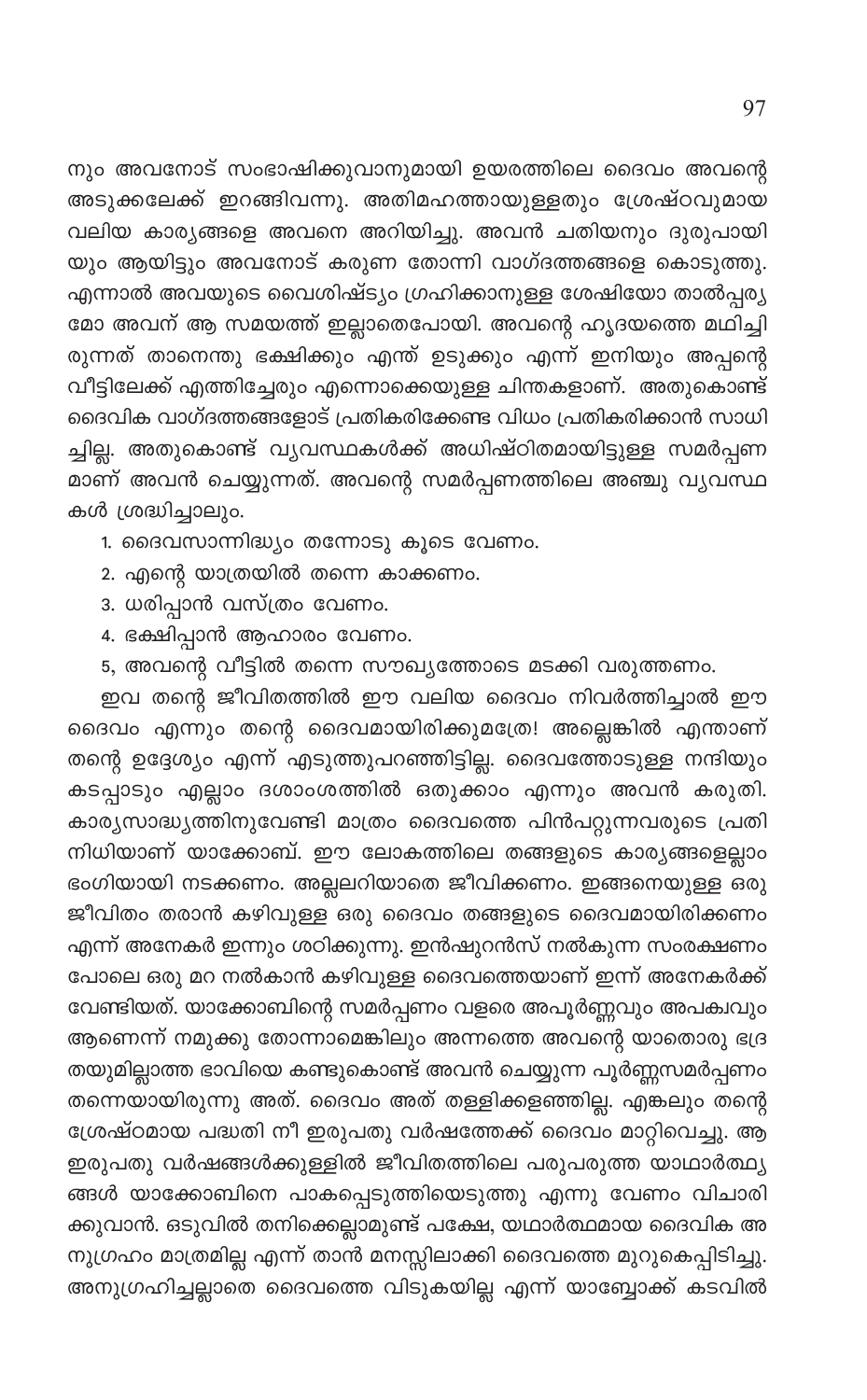നും അവനോട് സംഭാഷിക്കുവാനുമായി ഉയരത്തിലെ ദൈവം അവന്റെ അടുക്കലേക്ക് ഇറങ്ങിവന്നു. അതിമഹത്തായുള്ളതും ശ്രേഷ്ഠവുമായ വലിയ കാര്യങ്ങളെ അവനെ അറിയിച്ചു. അവൻ ചതിയനും ദുരുപായി യും ആയിട്ടും അവനോട് കരുണ തോന്നി വാഗ്ദത്തങ്ങളെ കൊടുത്തു. എന്നാൽ അവയുടെ വൈശിഷ്ട്യം ഗ്രഹിക്കാനുള്ള ശേഷിയോ താൽപ്പര്യ മോ അവന് ആ സമയത്ത് ഇല്ലാതെപോയി. അവന്റെ ഹൃദയത്തെ മഥിച്ചി രുന്നത് താനെന്തു ഭക്ഷിക്കും എന്ത് ഉടുക്കും എന്ന് ഇനിയും അപ്പന്റെ വീട്ടിലേക്ക് എത്തിച്ചേരും എന്നൊക്കെയുള്ള ചിന്തകളാണ്. അതുകൊണ്ട് ദൈവിക വാഗ്ദത്തങ്ങളോട് പ്രതികരിക്കേണ്ട വിധം പ്രതികരിക്കാൻ സാധി ച്ചില്ല. അതുകൊണ്ട് വ്യവസ്ഥകൾക്ക് അധിഷ്ഠിതമായിട്ടുള്ള സമർപ്പണ മാണ് അവൻ ചെയ്യുന്നത്. അവന്റെ സമർപ്പണത്തിലെ അഞ്ചു വ്യവസ്ഥ കൾ ശ്രദ്ധിച്ചാലും.

- 1. ദൈവസാന്നിദ്ധ്യം തന്നോടു കൂടെ വേണം.
- 2. എന്റെ യാത്രയിൽ തന്നെ കാക്കണം.
- 3. ധരിപ്പാൻ വസ്ത്രം വേണം.
- 4. ഭക്ഷിപ്പാൻ ആഹാരം വേണം.
- 5, അവന്റെ വീട്ടിൽ തന്നെ സൗഖ്യത്തോടെ മടക്കി വരുത്തണം.

ഇവ തന്റെ ജീവിതത്തിൽ ഈ വലിയ ദൈവം നിവർത്തിച്ചാൽ ഈ ദൈവം എന്നും തന്റെ ദൈവമായിരിക്കുമത്രേ! അല്ലെങ്കിൽ എന്താണ് തന്റെ ഉദ്ദേശ്യം എന്ന് എടുത്തുപറഞ്ഞിട്ടില്ല. ദൈവത്തോടുള്ള നന്ദിയും കടപ്പാടും എല്ലാം ദശാംശത്തിൽ ഒതുക്കാം എന്നും അവൻ കരുതി. കാര്യസാദ്ധ്യത്തിനുവേണ്ടി മാത്രം ദൈവത്തെ പിൻപറ്റുന്നവരുടെ പ്രതി നിധിയാണ് യാക്കോബ്. ഈ ലോകത്തിലെ തങ്ങളുടെ കാര്യങ്ങളെല്ലാം ഭംഗിയായി നടക്കണം. അല്ലലറിയാതെ ജീവിക്കണം. ഇങ്ങനെയുള്ള ഒരു ജീവിതം തരാൻ കഴിവുള്ള ഒരു ദൈവം തങ്ങളുടെ ദൈവമായിരിക്കണം എന്ന് അനേകർ ഇന്നും ശഠിക്കുന്നു. ഇൻഷുറൻസ് നൽകുന്ന സംരക്ഷണം പോലെ ഒരു മറ നൽകാൻ കഴിവുള്ള ദൈവത്തെയാണ് ഇന്ന് അനേകർക്ക് വേണ്ടിയത്. യാക്കോബിന്റെ സമർപ്പണം വളരെ അപൂർണ്ണവും അപക്വവും ആണെന്ന് നമുക്കു തോന്നാമെങ്കിലും അന്നത്തെ അവന്റെ യാതൊരു ഭദ്ര തയുമില്ലാത്ത ഭാവിയെ കണ്ടുകൊണ്ട് അവൻ ചെയ്യുന്ന പൂർണ്ണസമർപ്പണം തന്നെയായിരുന്നു അത്. ദൈവം അത് തള്ളിക്കളഞ്ഞില്ല. എങ്കലും തന്റെ ശ്രേഷ്ഠമായ പദ്ധതി നീ ഇരുപതു വർഷത്തേക്ക് ദൈവം മാറ്റിവെച്ചു. ആ ഇരുപതു വർഷങ്ങൾക്കുള്ളിൽ ജീവിതത്തിലെ പരുപരുത്ത യാഥാർത്ഥ്യ ങ്ങൾ യാക്കോബിനെ പാകപ്പെടുത്തിയെടുത്തു എന്നു വേണം വിചാരി ക്കുവാൻ. ഒടുവിൽ തനിക്കെല്ലാമുണ്ട് പക്ഷേ, യഥാർത്ഥമായ ദൈവിക അ നുഗ്രഹം മാത്രമില്ല എന്ന് താൻ മനസ്സിലാക്കി ദൈവത്തെ മുറുകെപ്പിടിച്ചു. അനുഗ്രഹിച്ചല്ലാതെ ദൈവത്തെ വിടുകയില്ല എന്ന് യാബ്ബോക്ക് കടവിൽ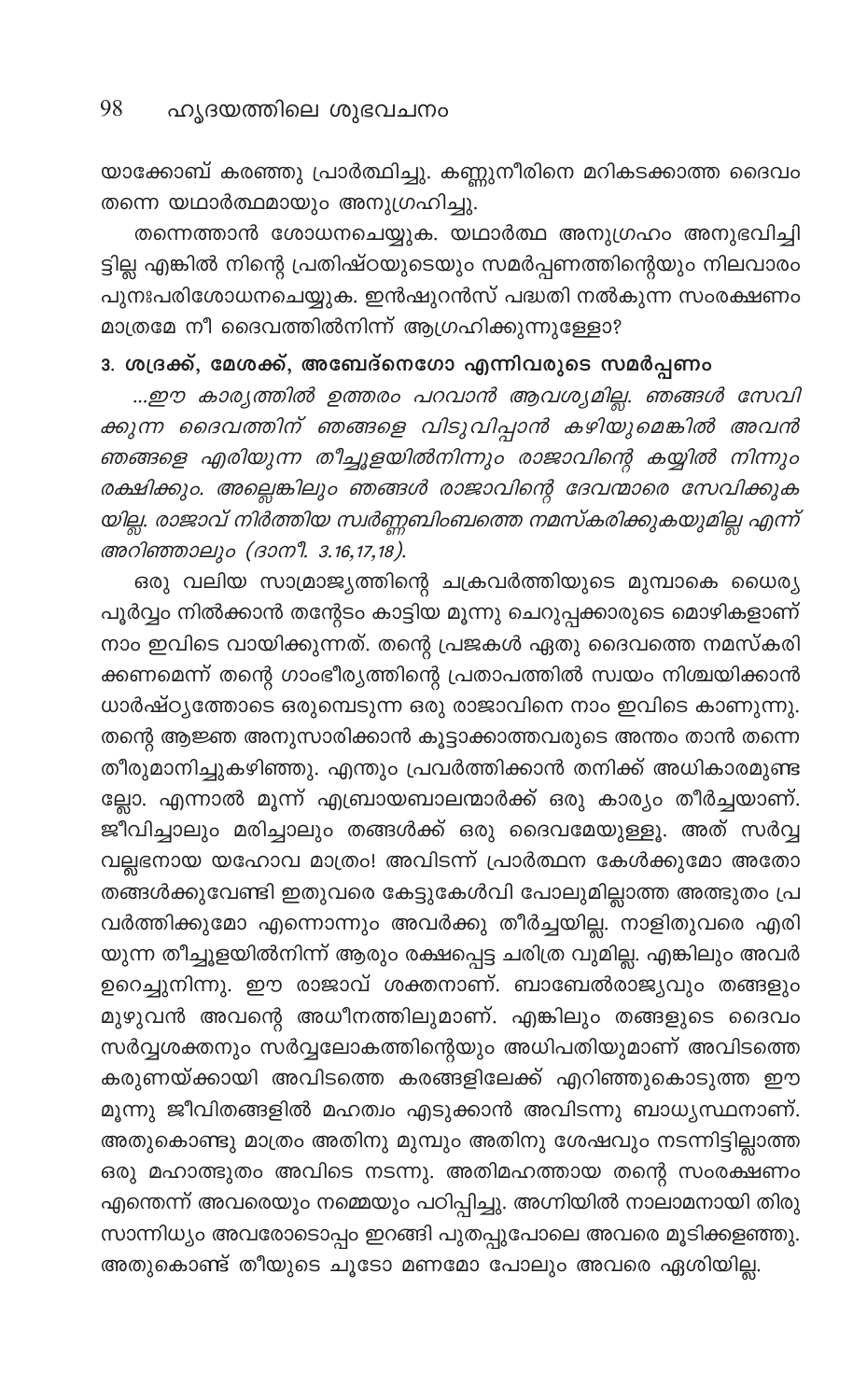യാക്കോബ് കരഞ്ഞു പ്രാർത്ഥിച്ചു. കണ്ണുനീരിനെ മറികടക്കാത്ത ദൈവം തന്നെ യഥാർത്ഥമായും അനുഗ്രഹിച്ചു.

തന്നെത്താൻ ശോധനചെയ്യുക. യഥാർത്ഥ അനുഗ്രഹം അനുഭവിച്ചി ട്ടില്ല എങ്കിൽ നിന്റെ പ്രതിഷ്ഠയുടെയും സമർപ്പണത്തിന്റെയും നിലവാരം പുനഃപരിശോധനചെയ്യുക. ഇൻഷുറൻസ് പദ്ധതി നൽകുന്ന സംരക്ഷണം മാത്രമേ നീ ദൈവത്തിൽനിന്ന് ആഗ്രഹിക്കുന്നുള്ളോ?

#### 3. ശദ്രക്ക്, മേശക്ക്, അബേദ്നെഗോ എന്നിവരുടെ സമർപ്പണം

....ഈ കാര്യത്തിൽ ഉത്തരം പറവാൻ ആവശ്യമില്ല. ഞങ്ങൾ സേവി ക്കുന്ന ദൈവത്തിന് ഞങ്ങളെ വിടുവിപ്പാൻ കഴിയുമെങ്കിൽ അവൻ ഞങ്ങളെ എരിയുന്ന തീച്ചൂളയിൽനിന്നും രാജാവിന്റെ കയ്യിൽ നിന്നും രക്ഷിക്കും. അല്ലെങ്കിലും ഞങ്ങൾ രാജാവിന്റെ ദേവന്മാരെ സേവിക്കുക യില്ല. രാജാവ് നിർത്തിയ സ്വർണ്ണബിംബത്തെ നമസ്കരിക്കുകയുമില്ല എന്ന് അറിഞ്ഞാലും (ദാനീ. 3.16,17,18).

ഒരു വലിയ സാമ്രാജ്യത്തിന്റെ ചക്രവർത്തിയുടെ മുമ്പാകെ ധൈര്യ പൂർവ്വം നിൽക്കാൻ തന്റേടം കാട്ടിയ മൂന്നു ചെറുപ്പക്കാരുടെ മൊഴികളാണ് നാം ഇവിടെ വായിക്കുന്നത്. തന്റെ പ്രജകൾ ഏതു ദൈവത്തെ നമസ്കരി ക്കണമെന്ന് തന്റെ ഗാംഭീര്യത്തിന്റെ പ്രതാപത്തിൽ സ്വയം നിശ്ചയിക്കാൻ ധാർഷ്ഠ്യത്തോടെ ഒരുമ്പെടുന്ന ഒരു രാജാവിനെ നാം ഇവിടെ കാണുന്നു. തന്റെ ആജ്ഞ അനുസാരിക്കാൻ കൂട്ടാക്കാത്തവരുടെ അന്തം താൻ തന്നെ തീരുമാനിച്ചുകഴിഞ്ഞു. എന്തും പ്രവർത്തിക്കാൻ തനിക്ക് അധികാരമുണ്ട ല്ലോ. എന്നാൽ മൂന്ന് എബ്രായബാലന്മാർക്ക് ഒരു കാര്യം തീർച്ചയാണ്. ജീവിച്ചാലും മരിച്ചാലും തങ്ങൾക്ക് ഒരു ദൈവമേയുള്ളൂ. അത് സർവ്വ വല്ലഭനായ യഹോവ മാത്രം! അവിടന്ന് പ്രാർത്ഥന കേൾക്കുമോ അതോ .<br>തങ്ങൾക്കുവേണ്ടി ഇതുവരെ കേട്ടുകേൾവി പോലുമില്ലാത്ത അത്ഭുതം പ്ര വർത്തിക്കുമോ എന്നൊന്നും അവർക്കു തീർച്ചയില്ല. നാളിതുവരെ എരി യുന്ന തീച്ചൂളയിൽനിന്ന് ആരും രക്ഷപ്പെട്ട ചരിത്ര വുമില്ല. എങ്കിലും അവർ ഉറെച്ചുനിന്നു. ഈ രാജാവ് ശക്തനാണ്. ബാബേൽരാജ്യവും തങ്ങളും മുഴുവൻ അവന്റെ അധീനത്തിലുമാണ്. എങ്കിലും തങ്ങളുടെ ദൈവം സർവ്വശക്തനും സർവ്വലോകത്തിന്റെയും അധിപതിയുമാണ് അവിടത്തെ കരുണയ്ക്കായി അവിടത്തെ കരങ്ങളിലേക്ക് എറിഞ്ഞുകൊടുത്ത ഈ മൂന്നു ജീവിതങ്ങളിൽ മഹത്വം എടുക്കാൻ അവിടന്നു ബാധ്യസ്ഥനാണ്. അതുകൊണ്ടു മാത്രം അതിനു മുമ്പും അതിനു ശേഷവും നടന്നിട്ടില്ലാത്ത ഒരു മഹാത്ഭുതം അവിടെ നടന്നു. അതിമഹത്തായ തന്റെ സംരക്ഷണം എന്തെന്ന് അവരെയും നമ്മെയും പഠിപ്പിച്ചു. അഗ്നിയിൽ നാലാമനായി തിരു സാന്നിധ്യം അവരോടൊപ്പം ഇറങ്ങി പുതപ്പുപോലെ അവരെ മൂടിക്കളഞ്ഞു. അതുകൊണ്ട് തീയുടെ ചൂടോ മണമോ പോലും അവരെ ഏശിയില്ല.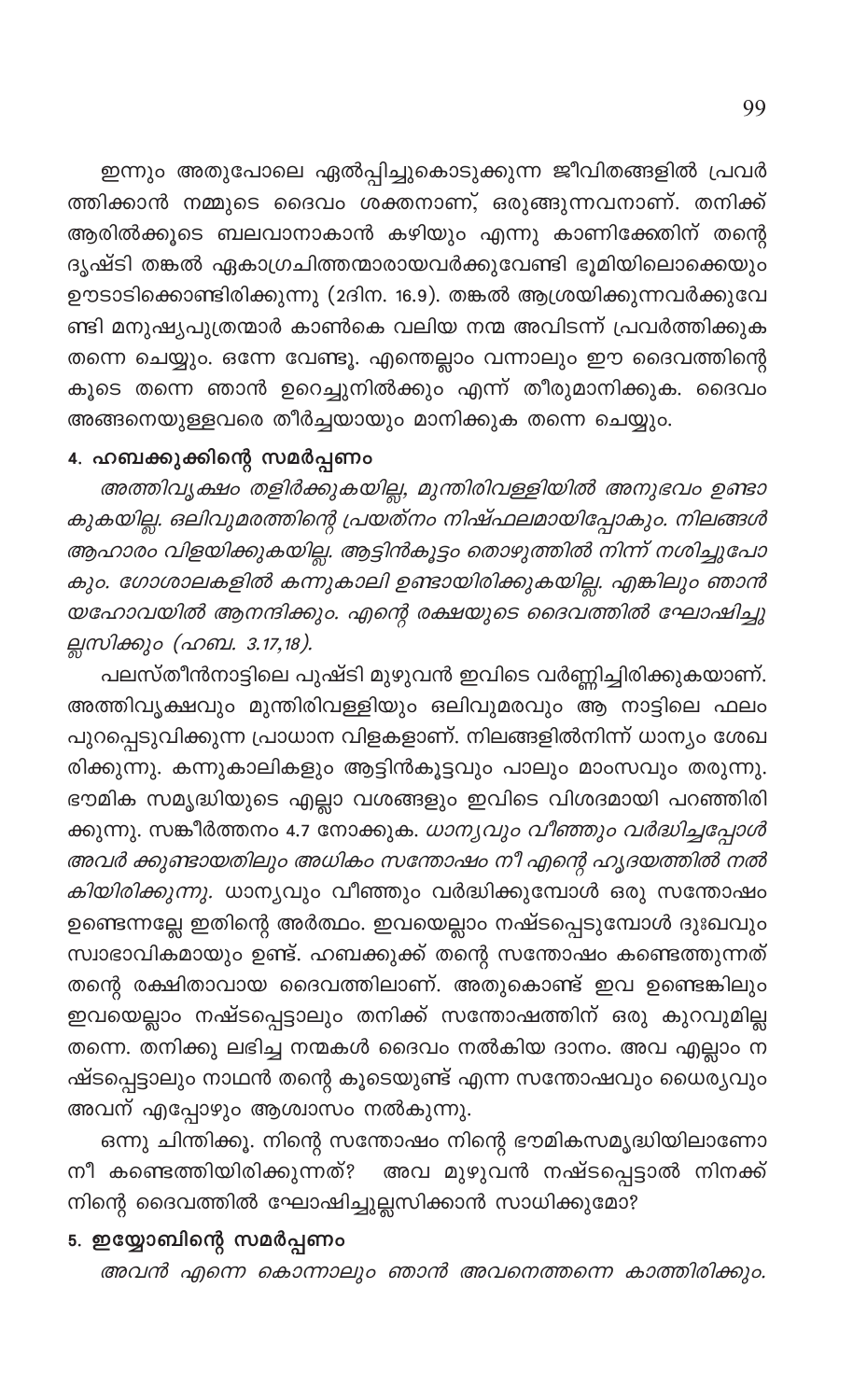ഇന്നും അതുപോലെ ഏൽപ്പിച്ചുകൊടുക്കുന്ന ജീവിതങ്ങളിൽ പ്രവർ ത്തിക്കാൻ നമ്മുടെ ദൈവം ശക്തനാണ്, ഒരുങ്ങുന്നവനാണ്. തനിക്ക് ആരിൽക്കൂടെ ബലവാനാകാൻ കഴിയും എന്നു കാണിക്കേതിന് തന്റെ ദൃഷ്ടി തങ്കൽ ഏകാഗ്രചിത്തന്മാരായവർക്കുവേണ്ടി ഭൂമിയിലൊക്കെയും ഊടാടിക്കൊണ്ടിരിക്കുന്നു (2ദിന. 16.9). തങ്കൽ ആശ്രയിക്കുന്നവർക്കുവേ ണ്ടി മനുഷ്യപുത്രന്മാർ കാൺകെ വലിയ നന്മ അവിടന്ന് പ്രവർത്തിക്കുക തന്നെ ചെയ്യും. ഒന്നേ വേണ്ടൂ. എന്തെല്ലാം വന്നാലും ഈ ദൈവത്തിന്റെ കൂടെ തന്നെ ഞാൻ ഉറെച്ചുനിൽക്കും എന്ന് തീരുമാനിക്കുക. ദൈവം അങ്ങനെയുള്ളവരെ തീർച്ചയായും മാനിക്കുക തന്നെ ചെയ്യും.

#### 4. ഹബക്കുക്കിന്റെ സമർപ്പണം

അത്തിവൃക്ഷം തളിർക്കുകയില്ല, മുന്തിരിവള്ളിയിൽ അനുഭവം ഉണ്ടാ കുകയില്ല. ഒലിവുമരത്തിന്റെ പ്രയത്നം നിഷ്ഫലമായിപ്പോകും. നിലങ്ങൾ ആഹാരം വിളയിക്കുകയില്ല. ആട്ടിൻകൂട്ടം തൊഴുത്തിൽ നിന്ന് നശിച്ചുപോ കും. ഗോശാലകളിൽ കന്നുകാലി ഉണ്ടായിരിക്കുകയില്ല. എങ്കിലും ഞാൻ യഹോവയിൽ ആനന്ദിക്കും. എന്റെ രക്ഷയുടെ ദൈവത്തിൽ ഘോഷിച്ചു ല്ലസിക്കും (ഹബ. 3.17,18).

പലസ്തീൻനാട്ടിലെ പുഷ്ടി മുഴുവൻ ഇവിടെ വർണ്ണിച്ചിരിക്കുകയാണ്. അത്തിവൃക്ഷവും മുന്തിരിവള്ളിയും ഒലിവുമരവും ആ നാട്ടിലെ ഫലം പുറപ്പെടുവിക്കുന്ന പ്രാധാന വിളകളാണ്. നിലങ്ങളിൽനിന്ന് ധാന്യം ശേഖ രിക്കുന്നു. കന്നുകാലികളും ആട്ടിൻകൂട്ടവും പാലും മാംസവും തരുന്നു. ഭൗമിക സമൃദ്ധിയുടെ എല്ലാ വശങ്ങളും ഇവിടെ വിശദമായി പറഞ്ഞിരി ക്കുന്നു. സങ്കീർത്തനം 4.7 നോക്കുക. *ധാന്യവും വീഞ്ഞും വർദ്ധിച്ചപ്പോൾ* അവർ ക്കുണ്ടായതിലും അധികം സന്തോഷം നീ എന്റെ ഹൃദയത്തിൽ നൽ *കിയിരിക്കുന്നു.* ധാന്യവും വീഞ്ഞും വർദ്ധിക്കുമ്പോൾ ഒരു സന്തോഷം ഉണ്ടെന്നല്ലേ ഇതിന്റെ അർത്ഥം. ഇവയെല്ലാം നഷ്ടപ്പെടുമ്പോൾ ദുഃഖവും സ്വാഭാവികമായും ഉണ്ട്. ഹബക്കുക്ക് തന്റെ സന്തോഷം കണ്ടെത്തുന്നത് തന്റെ രക്ഷിതാവായ ദൈവത്തിലാണ്. അതുകൊണ്ട് ഇവ ഉണ്ടെങ്കിലും ഇവയെല്ലാം നഷ്ടപ്പെട്ടാലും തനിക്ക് സന്തോഷത്തിന് ഒരു കുറവുമില്ല തന്നെ. തനിക്കു ലഭിച്ച നന്മകൾ ദൈവം നൽകിയ ദാനം. അവ എല്ലാം ന ഷ്ടപ്പെട്ടാലും നാഥൻ തന്റെ കൂടെയുണ്ട് എന്ന സന്തോഷവും ധൈര്യവും അവന് എപ്പോഴും ആശ്വാസം നൽകുന്നു.

ഒന്നു ചിന്തിക്കൂ. നിന്റെ സന്തോഷം നിന്റെ ഭൗമികസമൃദ്ധിയിലാണോ നീ കണ്ടെത്തിയിരിക്കുന്നത്? അവ മുഴുവൻ നഷ്ടപ്പെട്ടാൽ നിനക്ക് നിന്റെ ദൈവത്തിൽ ഘോഷിച്ചുല്ലസിക്കാൻ സാധിക്കുമോ?

#### 5. ഇയ്യോബിന്റെ സമർപ്പണം

അവൻ എന്നെ കൊന്നാലും ഞാൻ അവനെത്തന്നെ കാത്തിരിക്കും.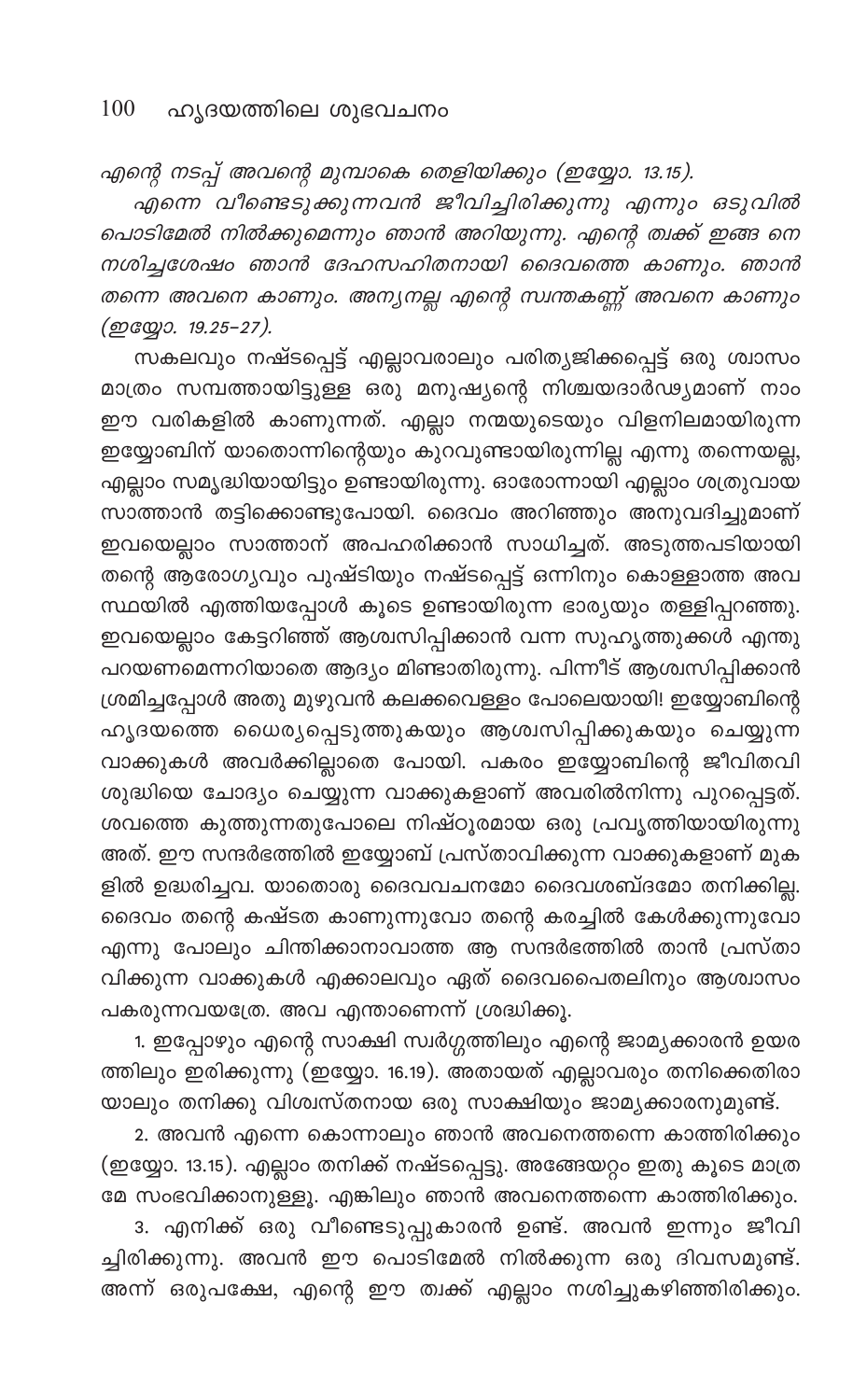എന്റെ നടപ്പ് അവന്റെ മുമ്പാകെ തെളിയിക്കും (ഇയ്യോ. 13.15).

എന്നെ വീണ്ടെടുക്കുന്നവൻ ജീവിച്ചിരിക്കുന്നു എന്നും ഒടുവിൽ പൊടിമേൽ നിൽക്കുമെന്നും ഞാൻ അറിയുന്നു. എന്റെ ത്വക്ക് ഇങ്ങ നെ നശിച്ചശേഷം ഞാൻ ദേഹസഹിതനായി ദൈവത്തെ കാണും. ഞാൻ തന്നെ അവനെ കാണും. അന്യനല്ല എന്റെ സ്വന്തകണ്ണ് അവനെ കാണും (றழை). 19.25-27).

സകലവും നഷ്ടപ്പെട്ട് എല്ലാവരാലും പരിതൃജിക്കപ്പെട്ട് ഒരു ശ്വാസം മാത്രം സമ്പത്തായിട്ടുള്ള ഒരു മനുഷ്യന്റെ നിശ്ചയദാർഢ്യമാണ് നാം ഈ വരികളിൽ കാണുന്നത്. എല്ലാ നന്മയുടെയും വിളനിലമായിരുന്ന ഇയ്യോബിന് യാതൊന്നിന്റെയും കുറവുണ്ടായിരുന്നില്ല എന്നു തന്നെയല്ല, എല്ലാം സമൃദ്ധിയായിട്ടും ഉണ്ടായിരുന്നു. ഓരോന്നായി എല്ലാം ശത്രുവായ സാത്താൻ തട്ടിക്കൊണ്ടുപോയി. ദൈവം അറിഞ്ഞും അനുവദിച്ചുമാണ് ഇവയെല്ലാം സാത്താന് അപഹരിക്കാൻ സാധിച്ചത്. അടുത്തപടിയായി തന്റെ ആരോഗ്യവും പുഷ്ടിയും നഷ്ടപ്പെട്ട് ഒന്നിനും കൊള്ളാത്ത അവ സ്ഥയിൽ എത്തിയപ്പോൾ കൂടെ ഉണ്ടായിരുന്ന ഭാര്യയും തള്ളിപ്പറഞ്ഞു. ഇവയെല്ലാം കേട്ടറിഞ്ഞ് ആശ്വസിപ്പിക്കാൻ വന്ന സുഹൃത്തുക്കൾ എന്തു പറയണമെന്നറിയാതെ ആദ്യം മിണ്ടാതിരുന്നു. പിന്നീട് ആശ്വസിപ്പിക്കാൻ ശ്രമിച്ചപ്പോൾ അതു മുഴുവൻ കലക്കവെള്ളം പോലെയായി! ഇയ്യോബിന്റെ ഹൃദയത്തെ ധൈര്യപ്പെടുത്തുകയും ആശ്വസിപ്പിക്കുകയും ചെയ്യുന്ന വാക്കുകൾ അവർക്കില്ലാതെ പോയി. പകരം ഇയ്യോബിന്റെ ജീവിതവി ശുദ്ധിയെ ചോദ്യം ചെയ്യുന്ന വാക്കുകളാണ് അവരിൽനിന്നു പുറപ്പെട്ടത്. ശവത്തെ കുത്തുന്നതുപോലെ നിഷ്ഠൂരമായ ഒരു പ്രവൃത്തിയായിരുന്നു അത്. ഈ സന്ദർഭത്തിൽ ഇയ്യോബ് പ്രസ്താവിക്കുന്ന വാക്കുകളാണ് മുക ളിൽ ഉദ്ധരിച്ചവ. യാതൊരു ദൈവവചനമോ ദൈവശബ്ദമോ തനിക്കില്ല. ദൈവം തന്റെ കഷ്ടത കാണുന്നുവോ തന്റെ കരച്ചിൽ കേൾക്കുന്നുവോ എന്നു പോലും ചിന്തിക്കാനാവാത്ത ആ സന്ദർഭത്തിൽ താൻ പ്രസ്താ വിക്കുന്ന വാക്കുകൾ എക്കാലവും ഏത് ദൈവപൈതലിനും ആശ്വാസം പകരുന്നവയത്രേ. അവ എന്താണെന്ന് ശ്രദ്ധിക്കൂ.

1. ഇപ്പോഴും എന്റെ സാക്ഷി സ്വർഗ്ഗത്തിലും എന്റെ ജാമ്യക്കാരൻ ഉയര ത്തിലും ഇരിക്കുന്നു (ഇയ്യോ. 16.19). അതായത് എല്ലാവരും തനിക്കെതിരാ യാലും തനിക്കു വിശ്വസ്തനായ ഒരു സാക്ഷിയും ജാമ്യക്കാരനുമുണ്ട്.

2. അവൻ എന്നെ കൊന്നാലും ഞാൻ അവനെത്തന്നെ കാത്തിരിക്കും (ഇയ്യോ. 13.15). എല്ലാം തനിക്ക് നഷ്ടപ്പെട്ടു. അങ്ങേയറ്റം ഇതു കൂടെ മാത്ര മേ സംഭവിക്കാനുള്ളൂ. എങ്കിലും ഞാൻ അവനെത്തന്നെ കാത്തിരിക്കും.

3. എനിക്ക് ഒരു വീണ്ടെടുപ്പുകാരൻ ഉണ്ട്. അവൻ ഇന്നും ജീവി ച്ചിരിക്കുന്നു. അവൻ ഈ പൊടിമേൽ നിൽക്കുന്ന ഒരു ദിവസമുണ്ട്. അന്ന് ഒരുപക്ഷേ, എന്റെ ഈ ത്വക്ക് എല്ലാം നശിച്ചുകഴിഞ്ഞിരിക്കും.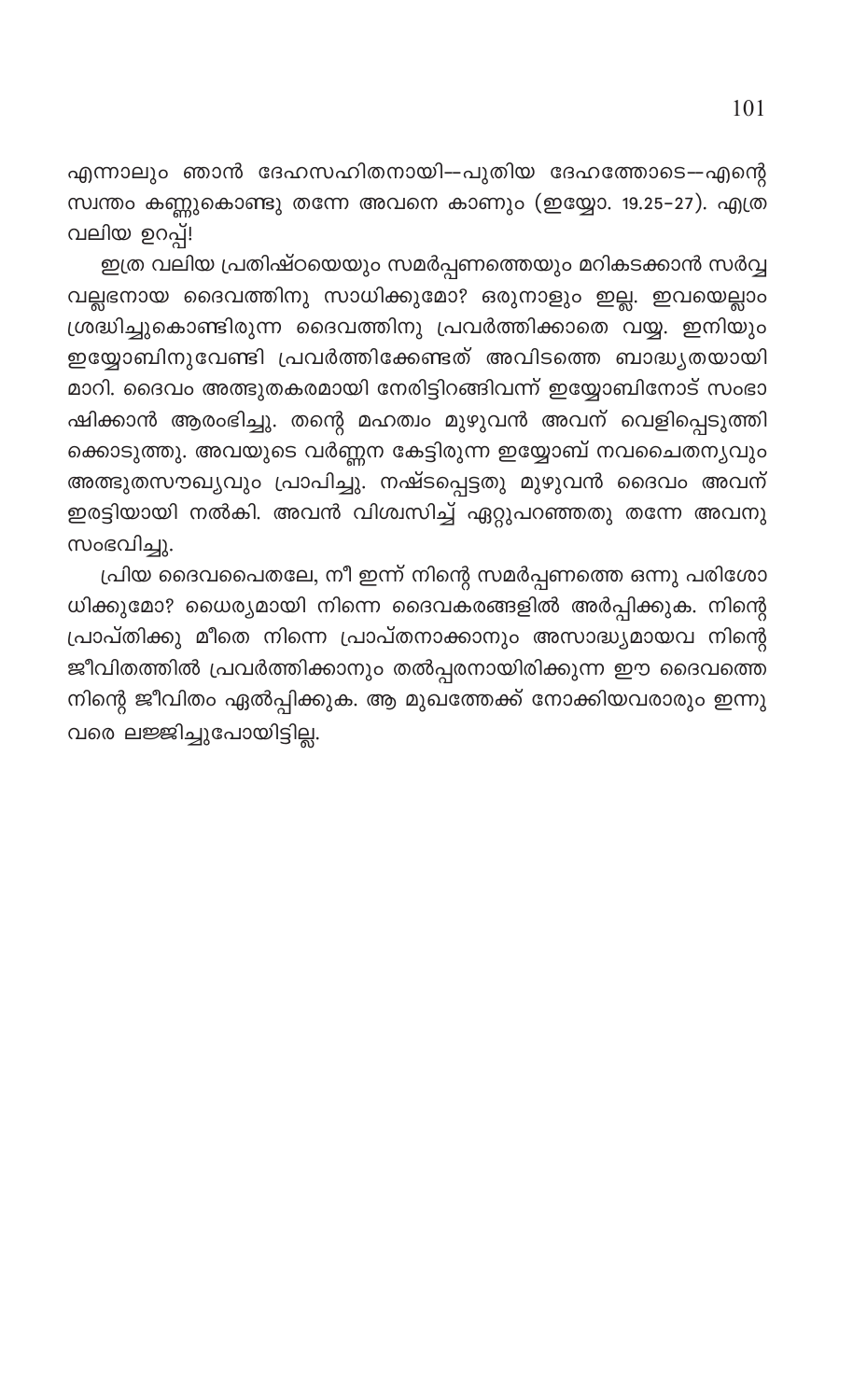എന്നാലും ഞാൻ ദേഹസഹിതനായി—പുതിയ ദേഹത്തോടെ—എന്റെ സ്വന്തം കണ്ണുകൊണ്ടു തന്നേ അവനെ കാണും (ഇയ്യോ. 19.25-27). എത്ര വലിയ ഉറപ്!

ഇത്ര വലിയ പ്രതിഷ്ഠയെയും സമർപ്പണത്തെയും മറികടക്കാൻ സർവ്വ വല്ലനോയ ദൈവത്തിനു സാധിക്കുമോ? ഒരുനാളും ഇല്ല. ഇവയെല്ലാം ശ്രദ്ധിച്ചുകൊണ്ടിരുന്ന ദൈവത്തിനു പ്രവർത്തിക്കാതെ വയ്യ. ഇനിയും ഇയ്യോബിനുവേണ്ടി പ്രവർത്തിക്കേണ്ടത് അവിടത്തെ ബാദ്ധ്യതയായി മാറി. ദൈവം അത്ഭുതകരമായി നേരിട്ടിറങ്ങിവന്ന് ഇയ്യോബിനോട് സംഭാ ഷിക്കാൻ ആരംഭിച്ചു. തന്റെ മഹത്വം മുഴുവൻ അവന് വെളിപ്പെടുത്തി ക്കൊടുത്തു. അവയുടെ വർണ്ണന കേട്ടിരുന്ന ഇയ്യോബ് നവചൈതനൃവും അത്ഭുതസൗഖ്യവും പ്രാപിച്ചു. നഷ്ടപ്പെട്ടതു മുഴുവൻ ദൈവം അവന് ഇരട്ടിയായി നൽകി. അവൻ വിശ്വസിച്ച് ഏറ്റുപറഞ്ഞതു തന്നേ അവനു സംഭവിച്ചു.

പ്രിയ ദൈവപൈതലേ, നീ ഇന്ന് നിന്റെ സമർപ്പണത്തെ ഒന്നു പരിശോ ധിക്കുമോ? ധൈര്യമായി നിന്നെ ദൈവകരങ്ങളിൽ അർപ്പിക്കുക. നിന്റെ പ്രാപ്തിക്കു മീതെ നിന്നെ പ്രാപ്തനാക്കാനും അസാദ്ധ്യമായവ നിന്റെ ജീവിതത്തിൽ പ്രവർത്തിക്കാനും തൽപ്പരനായിരിക്കുന്ന ഈ ദൈവത്തെ .<br>നിന്റെ ജീവിതം ഏൽപ്പിക്കുക. ആ മുഖത്തേക്ക് നോക്കിയവരാരും ഇന്നു വരെ ലജ്ജിച്ചുപോയിട്ടില്ല.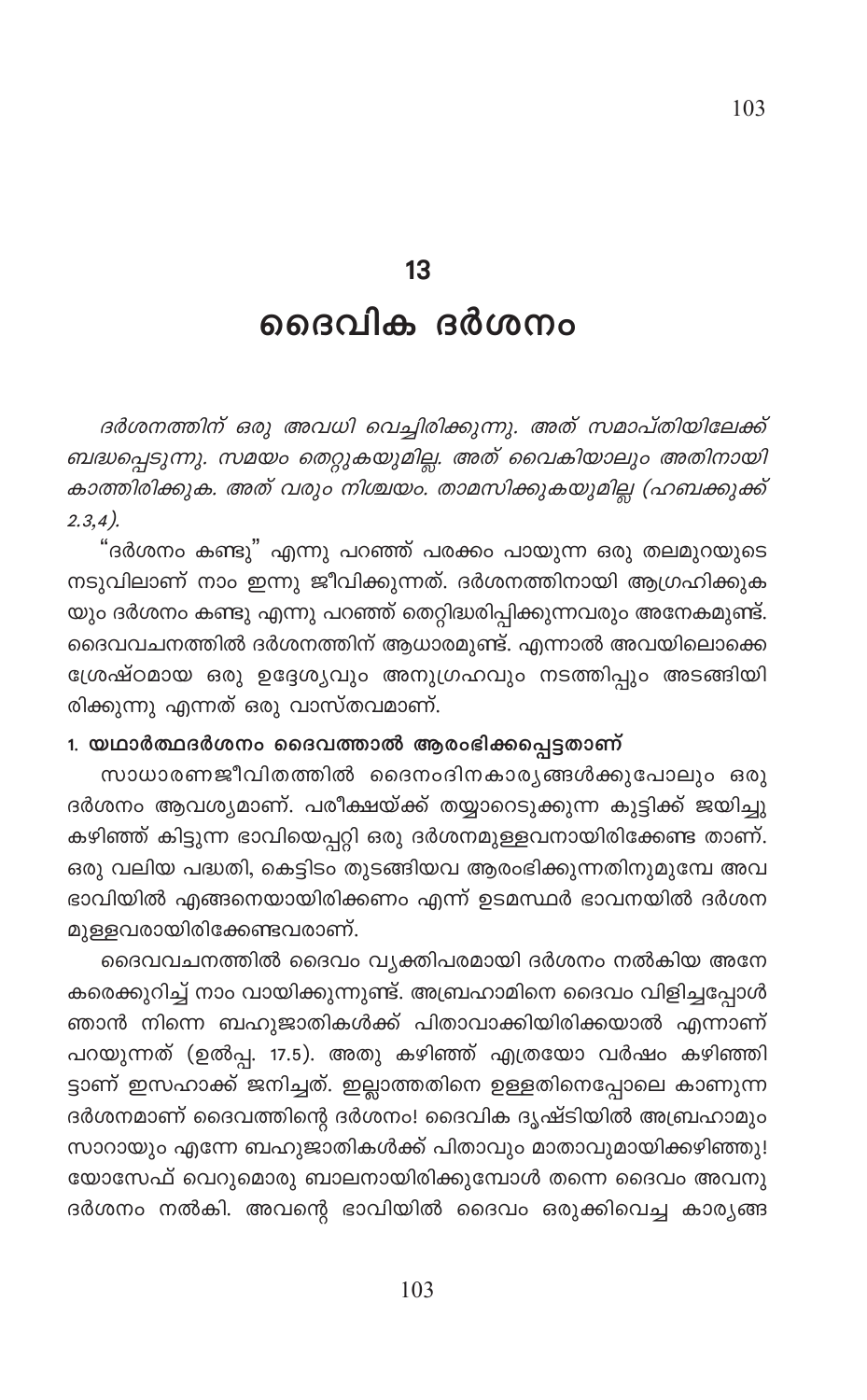13

# ദൈവിക ദർശനം

ദർശനത്തിന് ഒരു അവധി വെച്ചിരിക്കുന്നു. അത് സമാപ്തിയിലേക്ക് ബദ്ധപ്പെടുന്നു. സമയം തെറ്റുകയുമില്ല. അത് വൈകിയാലും അതിനായി കാത്തിരിക്കുക. അത് വരും നിശ്ചയം. താമസിക്കുകയുമില്ല (ഹബക്കുക്ക്  $2.3,4$ ).

"ദർശനം കണ്ടു" എന്നു പറഞ്ഞ് പരക്കം പായുന്ന ഒരു തലമുറയുടെ നടുവിലാണ് നാം ഇന്നു ജീവിക്കുന്നത്. ദർശനത്തിനായി ആഗ്രഹിക്കുക യും ദർശനം കണ്ടു എന്നു പറഞ്ഞ് തെറ്റിദ്ധരിപ്പിക്കുന്നവരും അനേകമുണ്ട്. ദൈവവചനത്തിൽ ദർശനത്തിന് ആധാരമുണ്ട്. എന്നാൽ അവയിലൊക്കെ ശ്രേഷ്ഠമായ ഒരു ഉദ്ദേശ്യവും അനുഗ്രഹവും നടത്തിപ്പും അടങ്ങിയി രിക്കുന്നു എന്നത് ഒരു വാസ്തവമാണ്.

## 1. യഥാർത്ഥദർശനം ദൈവത്താൽ ആരംഭിക്കപ്പെട്ടതാണ്

സാധാരണജീവിതത്തിൽ ദൈനംദിനകാര്യങ്ങൾക്കുപോലും ഒരു ദർശനം ആവശ്യമാണ്. പരീക്ഷയ്ക്ക് തയ്യാറെടുക്കുന്ന കുട്ടിക്ക് ജയിച്ചു കഴിഞ്ഞ് കിട്ടുന്ന ഭാവിയെപ്പറ്റി ഒരു ദർശനമുള്ളവനായിരിക്കേണ്ട താണ്. ഒരു വലിയ പദ്ധതി, കെട്ടിടം തുടങ്ങിയവ ആരംഭിക്കുന്നതിനുമുമ്പേ അവ ഭാവിയിൽ എങ്ങനെയായിരിക്കണം എന്ന് ഉടമസ്ഥർ ഭാവനയിൽ ദർശന മുള്ളവരായിരിക്കേണ്ടവരാണ്.

ദൈവവചനത്തിൽ ദൈവം വ്യക്തിപരമായി ദർശനം നൽകിയ അനേ കരെക്കുറിച്ച് നാം വായിക്കുന്നുണ്ട്. അബ്രഹാമിനെ ദൈവം വിളിച്ചപ്പോൾ .<br>ഞാൻ നിന്നെ ബഹുജാതികൾക്ക് പിതാവാക്കിയിരിക്കയാൽ എന്നാണ് പറയുന്നത് (ഉൽപ്പ. 17.5). അതു കഴിഞ്ഞ് എത്രയോ വർഷം കഴിഞ്ഞി ട്ടാണ് ഇസഹാക്ക് ജനിച്ചത്. ഇല്ലാത്തതിനെ ഉള്ളതിനെപ്പോലെ കാണുന്ന ദർശനമാണ് ദൈവത്തിന്റെ ദർശനം! ദൈവിക ദൃഷ്ടിയിൽ അബ്രഹാമും സാറായും എന്നേ ബഹുജാതികൾക്ക് പിതാവും മാതാവുമായിക്കഴിഞ്ഞു! യോസേഫ് വെറുമൊരു ബാലനായിരിക്കുമ്പോൾ തന്നെ ദൈവം അവനു ദർശനം നൽകി. അവന്റെ ഭാവിയിൽ ദൈവം ഒരുക്കിവെച്ച കാര്യങ്ങ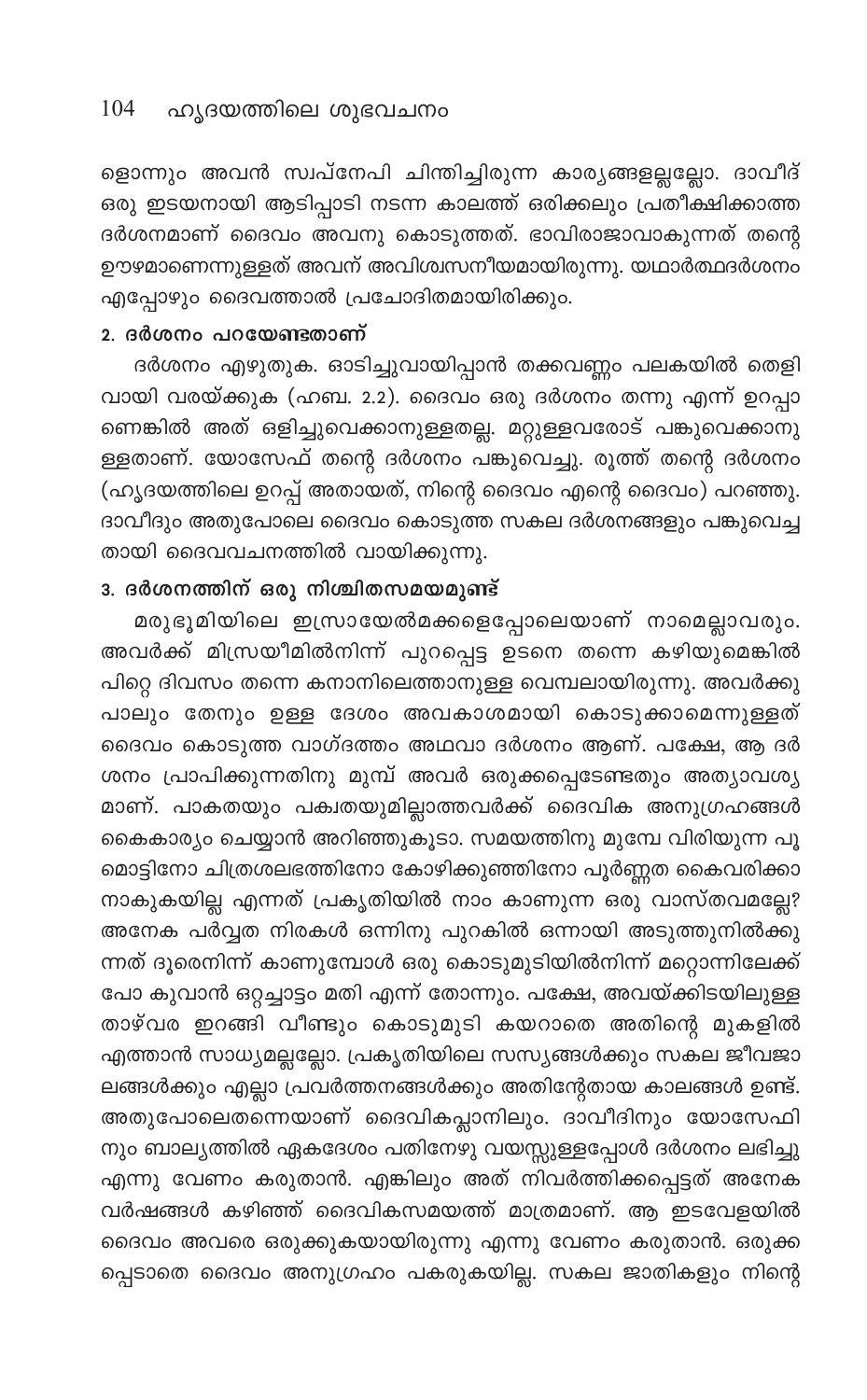ളൊന്നും അവൻ സ്വപ്നേപി ചിന്തിച്ചിരുന്ന കാര്യങ്ങളല്ലല്ലോ. ദാവീദ് ഒരു ഇടയനായി ആടിപ്പാടി നടന്ന കാലത്ത് ഒരിക്കലും പ്രതീക്ഷിക്കാത്ത ദർശനമാണ് ദൈവം അവനു കൊടുത്തത്. ഭാവിരാജാവാകുന്നത് തന്റെ ഊഴമാണെന്നുള്ളത് അവന് അവിശ്വസനീയമായിരുന്നു. യഥാർത്ഥദർശനം എപ്പോഴും ദൈവത്താൽ പ്രചോദിതമായിരിക്കും.

#### 2. ദർശനം പറയേണ്ടതാണ്

ദർശനം എഴുതുക. ഓടിച്ചുവായിപ്പാൻ തക്കവണ്ണം പലകയിൽ തെളി വായി വരയ്ക്കുക (ഹബ. 2.2). ദൈവം ഒരു ദർശനം തന്നു എന്ന് ഉറപ്പാ ണെങ്കിൽ അത് ഒളിച്ചുവെക്കാനുള്ളതല്ല. മറ്റുള്ളവരോട് പങ്കുവെക്കാനു ള്ളതാണ്. യോസേഫ് തന്റെ ദർശനം പങ്കുവെച്ചു. രൂത്ത് തന്റെ ദർശനം (ഹൃദയത്തിലെ ഉറപ്പ് അതായത്, നിന്റെ ദൈവം എന്റെ ദൈവം) പറഞ്ഞു. ദാവീദും അതുപോലെ ദൈവം കൊടുത്ത സകല ദർശനങ്ങളും പങ്കുവെച്ച തായി ദൈവവചനത്തിൽ വായിക്കുന്നു.

#### 3. ദർശനത്തിന് ഒരു നിശ്ചിതസമയമുണ്ട്

മരുഭൂമിയിലെ ഇസ്രായേൽമക്കളെപ്പോലെയാണ് നാമെല്ലാവരും. .<br>അവർക്ക് മിസ്രയീമിൽനിന്ന് പുറപ്പെട്ട ഉടനെ തന്നെ കഴിയുമെങ്കിൽ പിറ്റെ ദിവസം തന്നെ കനാനിലെത്താനുള്ള വെമ്പലായിരുന്നു. അവർക്കു പാലും തേനും ഉള്ള ദേശം അവകാശമായി കൊടുക്കാമെന്നുള്ളത് ദൈവം കൊടുത്ത വാഗ്ദത്തം അഥവാ ദർശനം ആണ്. പക്ഷേ, ആ ദർ ശനം പ്രാപിക്കുന്നതിനു മുമ്പ് അവർ ഒരുക്കപ്പെടേണ്ടതും അത്യാവശ്യ മാണ്. പാകതയും പക്വതയുമില്ലാത്തവർക്ക് ദൈവിക അനുഗ്രഹങ്ങൾ കൈകാര്യം ചെയ്യാൻ അറിഞ്ഞുകൂടാ. സമയത്തിനു മുമ്പേ വിരിയുന്ന പൂ മൊട്ടിനോ ചിത്രശലഭത്തിനോ കോഴിക്കുഞ്ഞിനോ പൂർണ്ണത കൈവരിക്കാ നാകുകയില്ല എന്നത് പ്രകൃതിയിൽ നാം കാണുന്ന ഒരു വാസ്തവമല്ലേ? .<br>അനേക പർവ്വത നിരകൾ ഒന്നിനു പുറകിൽ ഒന്നായി അടുത്തുനിൽക്കു ന്നത് ദൂരെനിന്ന് കാണുമ്പോൾ ഒരു കൊടുമുടിയിൽനിന്ന് മറ്റൊന്നിലേക്ക് പോ കുവാൻ ഒറ്റച്ചാട്ടം മതി എന്ന് തോന്നും. പക്ഷേ, അവയ്ക്കിടയിലുള്ള താഴ്വര ഇറങ്ങി വീണ്ടും കൊടുമുടി കയറാതെ അതിന്റെ മുകളിൽ എത്താൻ സാധ്യമല്ലല്ലോ. പ്രകൃതിയിലെ സസ്യങ്ങൾക്കും സകല ജീവജാ ലങ്ങൾക്കും എല്ലാ പ്രവർത്തനങ്ങൾക്കും അതിന്റേതായ കാലങ്ങൾ ഉണ്ട്. അതുപോലെതന്നെയാണ് ദൈവികപ്ലാനിലും. ദാവീദിനും യോസേഫി നും ബാല്യത്തിൽ ഏകദേശം പതിനേഴു വയസ്സുള്ളപ്പോൾ ദർശനം ലഭിച്ചു എന്നു വേണം കരുതാൻ. എങ്കിലും അത് നിവർത്തിക്കപ്പെട്ടത് അനേക വർഷങ്ങൾ കഴിഞ്ഞ് ദൈവികസമയത്ത് മാത്രമാണ്. ആ ഇടവേളയിൽ ദൈവം അവരെ ഒരുക്കുകയായിരുന്നു എന്നു വേണം കരുതാൻ. ഒരുക്ക പ്പെടാതെ ദൈവം അനുഗ്രഹം പകരുകയില്ല. സകല ജാതികളും നിന്റെ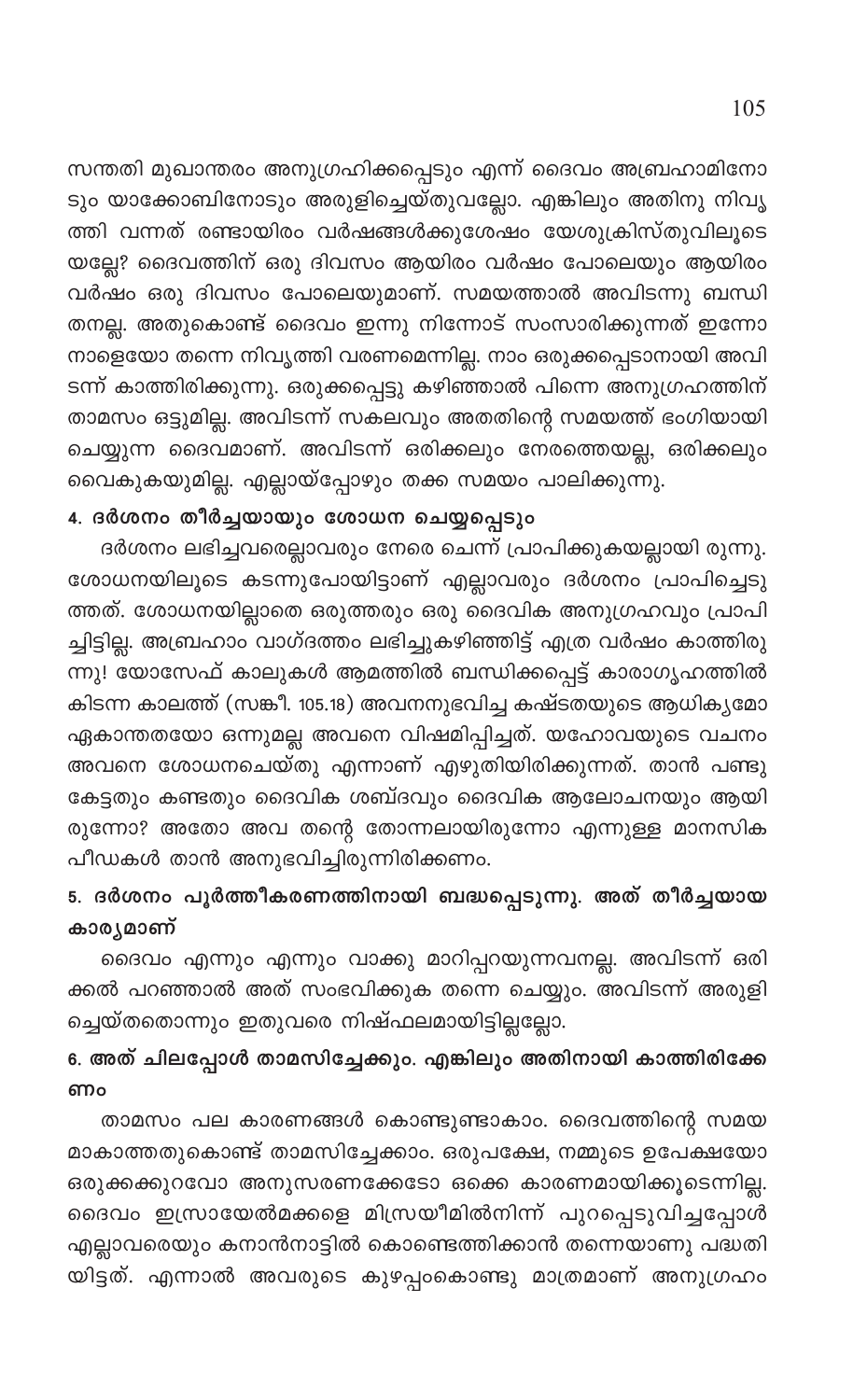സന്തതി മുഖാന്തരം അനുഗ്രഹിക്കപ്പെടും എന്ന് ദൈവം അബ്രഹാമിനോ ടും യാക്കോബിനോടും അരുളിച്ചെയ്തുവല്ലോ. എങ്കിലും അതിനു നിവൃ ത്തി വന്നത് രണ്ടായിരം വർഷങ്ങൾക്കുശേഷം യേശുക്രിസ്തുവിലൂടെ യല്ലേ? ദൈവത്തിന് ഒരു ദിവസം ആയിരം വർഷം പോലെയും ആയിരം വർഷം ഒരു ദിവസം പോലെയുമാണ്. സമയത്താൽ അവിടന്നു ബന്ധി തനല്ല. അതുകൊണ്ട് ദൈവം ഇന്നു നിന്നോട് സംസാരിക്കുന്നത് ഇന്നോ നാളെയോ തന്നെ നിവൃത്തി വരണമെന്നില്ല. നാം ഒരുക്കപ്പെടാനായി അവി ടന്ന് കാത്തിരിക്കുന്നു. ഒരുക്കപ്പെട്ടു കഴിഞ്ഞാൽ പിന്നെ അനുഗ്രഹത്തിന് താമസം ഒട്ടുമില്ല. അവിടന്ന് സകലവും അതതിന്റെ സമയത്ത് ഭംഗിയായി ചെയ്യുന്ന ദൈവമാണ്. അവിടന്ന് ഒരിക്കലും നേരത്തെയല്ല, ഒരിക്കലും വൈകുകയുമില്ല. എല്ലായ്പ്പോഴും തക്ക സമയം പാലിക്കുന്നു.

#### 4. ദർശനം തീർച്ചയായും ശോധന ചെയ്യപ്പെടും

ദർശനം ലഭിച്ചവരെല്ലാവരും നേരെ ചെന്ന് പ്രാപിക്കുകയല്ലായി രുന്നു. ശോധനയിലൂടെ കടന്നുപോയിട്ടാണ് എല്ലാവരും ദർശനം പ്രാപിച്ചെടു ത്തത്. ശോധനയില്ലാതെ ഒരുത്തരും ഒരു ദൈവിക അനുഗ്രഹവും പ്രാപി ച്ചിട്ടില്ല. അബ്രഹാം വാഗ്ദത്തം ലഭിച്ചുകഴിഞ്ഞിട്ട് എത്ര വർഷം കാത്തിരു ന്നു! യോസേഫ് കാലുകൾ ആമത്തിൽ ബന്ധിക്കപ്പെട്ട് കാരാഗൃഹത്തിൽ കിടന്ന കാലത്ത് (സങ്കീ. 105.18) അവനനുഭവിച്ച കഷ്ടതയുടെ ആധികൃമോ ഏകാന്തതയോ ഒന്നുമല്ല അവനെ വിഷമിപ്പിച്ചത്. യഹോവയുടെ വചനം അവനെ ശോധനചെയ്തു എന്നാണ് എഴുതിയിരിക്കുന്നത്. താൻ പണ്ടു കേട്ടതും കണ്ടതും ദൈവിക ശബ്ദവും ദൈവിക ആലോചനയും ആയി രുന്നോ? അതോ അവ തന്റെ തോന്നലായിരുന്നോ എന്നുള്ള മാനസിക പീഡകൾ താൻ അനുഭവിച്ചിരുന്നിരിക്കണം.

## 5. ദർശനം പൂർത്തീകരണത്തിനായി ബദ്ധപ്പെടുന്നു. അത് തീർച്ചയായ കാര്യമാണ്

ദൈവം എന്നും എന്നും വാക്കു മാറിപ്പറയുന്നവനല്ല. അവിടന്ന് ഒരി ക്കൽ പറഞ്ഞാൽ അത് സംഭവിക്കുക തന്നെ ചെയ്യും. അവിടന്ന് അരുളി ച്ചെയ്തതൊന്നും ഇതുവരെ നിഷ്ഫലമായിട്ടില്ലല്ലോ.

## 6. അത് ചിലപ്പോൾ താമസിച്ചേക്കും. എങ്കിലും അതിനായി കാത്തിരിക്കേ ണം

താമസം പല കാരണങ്ങൾ കൊണ്ടുണ്ടാകാം. ദൈവത്തിന്റെ സമയ മാകാത്തതുകൊണ്ട് താമസിച്ചേക്കാം. ഒരുപക്ഷേ, നമ്മുടെ ഉപേക്ഷയോ ഒരുക്കക്കുറവോ അനുസരണക്കേടോ ഒക്കെ കാരണമായിക്കൂടെന്നില്ല. ദൈവം ഇസ്രായേൽമക്കളെ മിസ്രയീമിൽനിന്ന് പുറപ്പെടുവിച്ചപ്പോൾ എല്ലാവരെയും കനാൻനാട്ടിൽ കൊണ്ടെത്തിക്കാൻ തന്നെയാണു പദ്ധതി യിട്ടത്. എന്നാൽ അവരുടെ കുഴപ്പംകൊണ്ടു മാത്രമാണ് അനുഗ്രഹം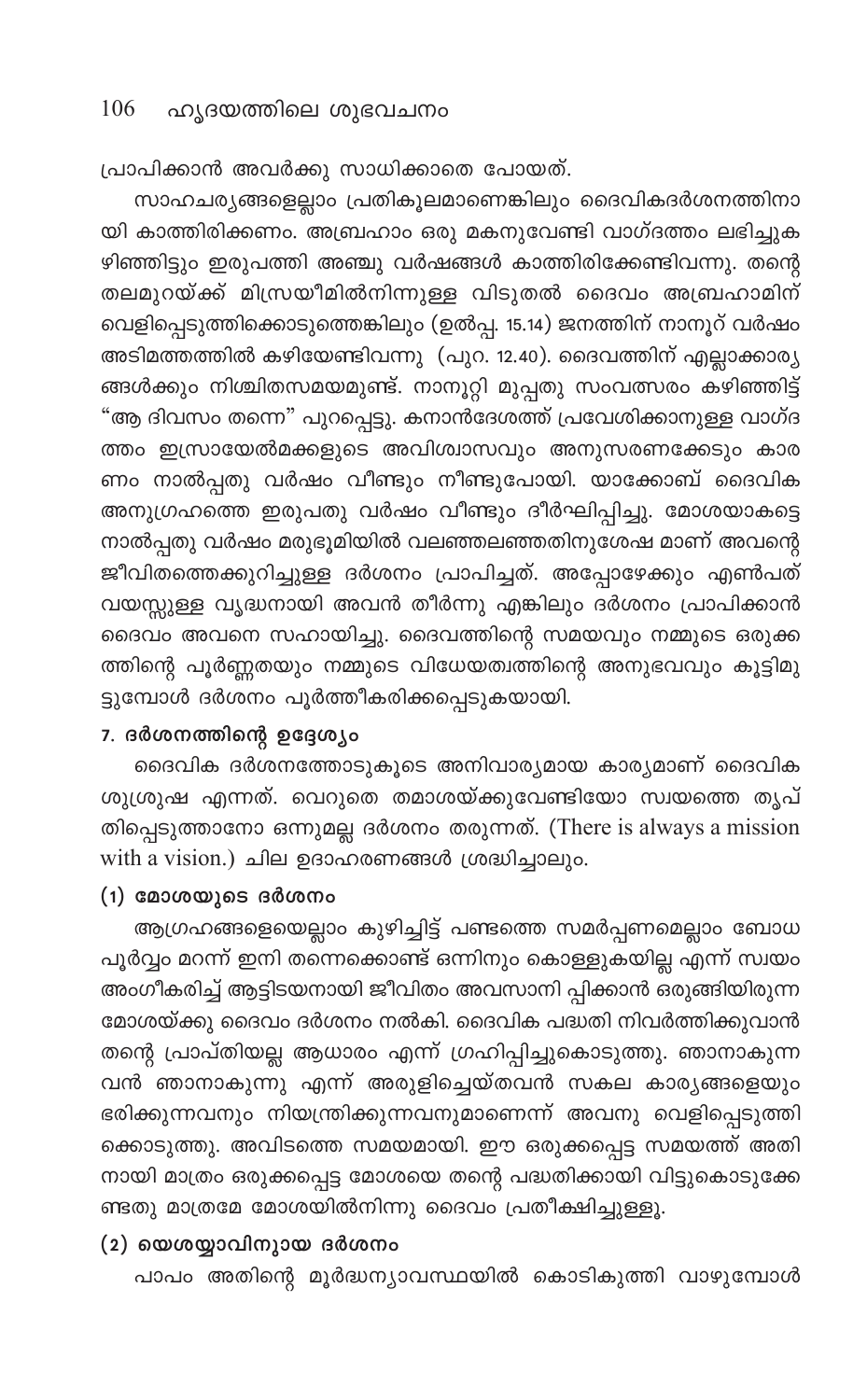പ്രാപിക്കാൻ അവർക്കു സാധിക്കാതെ പോയത്.

സാഹചര്യങ്ങളെല്ലാം പ്രതികൂലമാണെങ്കിലും ദൈവികദർശനത്തിനാ യി കാത്തിരിക്കണം. അബ്രഹാം ഒരു മകനുവേണ്ടി വാഗ്ദത്തം ലഭിച്ചുക ഴിഞ്ഞിട്ടും ഇരുപത്തി അഞ്ചു വർഷങ്ങൾ കാത്തിരിക്കേണ്ടിവന്നു. തന്റെ തലമുറയ്ക്ക് മിസ്രയീമിൽനിന്നുള്ള വിടുതൽ ദൈവം അബ്രഹാമിന് വെളിപ്പെടുത്തിക്കൊടുത്തെങ്കിലും (ഉൽപ്പ. 15.14) ജനത്തിന് നാനൂറ് വർഷം അടിമത്തത്തിൽ കഴിയേണ്ടിവന്നു (പുറ. 12.40). ദൈവത്തിന് എല്ലാക്കാര്യ ങ്ങൾക്കും നിശ്ചിതസമയമുണ്ട്. നാനൂറ്റി മുപ്പതു സംവത്സരം കഴിഞ്ഞിട്ട് "ആ ദിവസം തന്നെ" പുറപ്പെട്ടു. കനാൻദേശത്ത് പ്രവേശിക്കാനുള്ള വാഗ്ദ ...<br>അം ഇസ്രായേൽമക്കളുടെ അവിശ്വാസവും അനുസരണക്കേടും കാര ണം നാൽപ്പതു വർഷം വീണ്ടും നീണ്ടുപോയി. യാക്കോബ് ദൈവിക അനുഗ്രഹത്തെ ഇരുപതു വർഷം വീണ്ടും ദീർഘിപ്പിച്ചു. മോശയാകട്ടെ നാൽപ്പതു വർഷം മരുഭൂമിയിൽ വലഞ്ഞലഞ്ഞതിനുശേഷ മാണ് അവന്റെ ജീവിതത്തെക്കുറിച്ചുള്ള ദർശനം പ്രാപിച്ചത്. അപ്പോഴേക്കും എൺപത് വയസ്സുള്ള വൃദ്ധനായി അവൻ തീർന്നു എങ്കിലും ദർശനം പ്രാപിക്കാൻ ദൈവം അവനെ സഹായിച്ചു. ദൈവത്തിന്റെ സമയവും നമ്മുടെ ഒരുക്ക ത്തിന്റെ പൂർണ്ണതയും നമ്മുടെ വിധേയത്വത്തിന്റെ അനുഭവവും കൂട്ടിമു ട്ടുമ്പോൾ ദർശനം പൂർത്തീകരിക്കപ്പെടുകയായി.

#### 7. ദർശനത്തിന്റെ ഉദ്ദേശ്യം

ദൈവിക ദർശനത്തോടുകൂടെ അനിവാര്യമായ കാര്യമാണ് ദൈവിക ശുശ്രുഷ എന്നത്. വെറുതെ തമാശയ്ക്കുവേണ്ടിയോ സ്വയത്തെ തൃപ് തിപ്പെടുത്താനോ ഒന്നുമല്ല ദർശനം തരുന്നത്. (There is always a mission with a vision.) ചില ഉദാഹരണങ്ങൾ ശ്രദ്ധിച്ചാലും.

# (1) മോശയുടെ ദർശനം

ആഗ്രഹങ്ങളെയെല്ലാം കുഴിച്ചിട്ട് പണ്ടത്തെ സമർപ്പണമെല്ലാം ബോധ പൂർവ്വം മറന്ന് ഇനി തന്നെക്കൊണ്ട് ഒന്നിനും കൊള്ളുകയില്ല എന്ന് സ്വയം അംഗീകരിച്ച് ആട്ടിടയനായി ജീവിതം അവസാനി പ്പിക്കാൻ ഒരുങ്ങിയിരുന്ന മോശയ്ക്കു ദൈവം ദർശനം നൽകി. ദൈവിക പദ്ധതി നിവർത്തിക്കുവാൻ തന്റെ പ്രാപ്തിയല്ല ആധാരം എന്ന് ഗ്രഹിപ്പിച്ചുകൊടുത്തു. ഞാനാകുന്ന വൻ ഞാനാകുന്നു എന്ന് അരുളിച്ചെയ്തവൻ സകല കാര്യങ്ങളെയും ഭരിക്കുന്നവനും നിയന്ത്രിക്കുന്നവനുമാണെന്ന് അവനു വെളിപ്പെടുത്തി ക്കൊടുത്തു. അവിടത്തെ സമയമായി. ഈ ഒരുക്കപ്പെട്ട സമയത്ത് അതി നായി മാത്രം ഒരുക്കപ്പെട്ട മോശയെ തന്റെ പദ്ധതിക്കായി വിട്ടുകൊടുക്കേ ണ്ടതു മാത്രമേ മോശയിൽനിന്നു ദൈവം പ്രതീക്ഷിച്ചുള്ളൂ.

# (2) യെശയ്യാവിനുായ ദർശനം

പാപം അതിന്റെ മൂർദ്ധന്യാവസ്ഥയിൽ കൊടികുത്തി വാഴുമ്പോൾ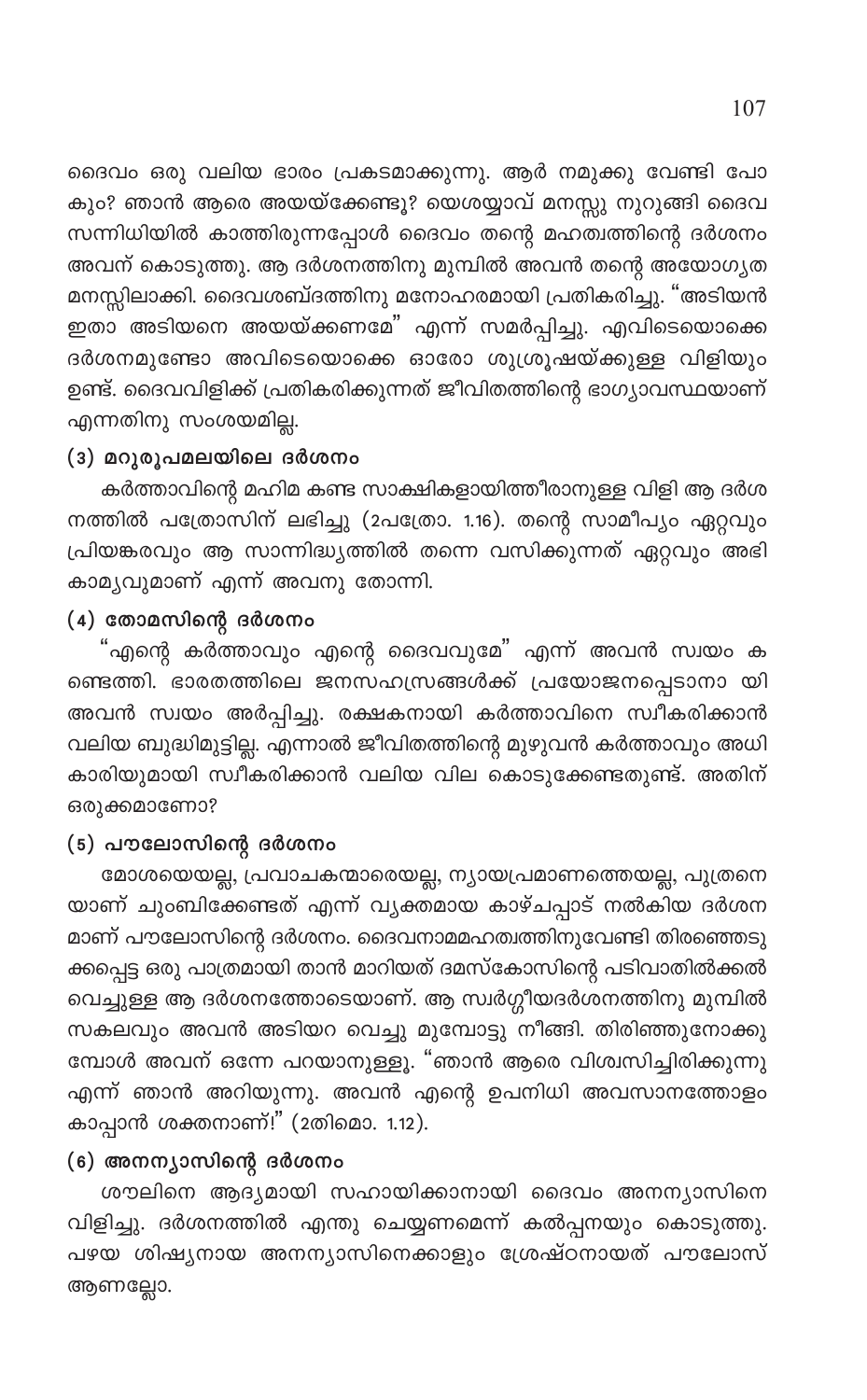ദൈവം ഒരു വലിയ ഭാരം പ്രകടമാക്കുന്നു. ആർ നമുക്കു വേണ്ടി പോ കും? ഞാൻ ആരെ അയയ്ക്കേണ്ടൂ? യെശയ്യാവ് മനസ്സു നുറുങ്ങി ദൈവ സന്നിധിയിൽ കാത്തിരുന്നപ്പോൾ ദൈവം തന്റെ മഹത്വത്തിന്റെ ദർശനം അവന് കൊടുത്തു. ആ ദർശനത്തിനു മുമ്പിൽ അവൻ തന്റെ അയോഗ്യത മനസ്സിലാക്കി. ദൈവശബ്ദത്തിനു മനോഹരമായി പ്രതികരിച്ചു. "അടിയൻ ദർശനമുണ്ടോ അവിടെയൊക്കെ ഓരോ ശുശ്രൂഷയ്ക്കുള്ള വിളിയും ഉണ്ട്. ദൈവവിളിക്ക് പ്രതികരിക്കുന്നത് ജീവിതത്തിന്റെ ഭാഗ്യാവസ്ഥയാണ് എന്നതിനു സംശയമില്ല.

#### (3) മറുരൂപമലയിലെ ദർശനം

കർത്താവിന്റെ മഹിമ കണ്ട സാക്ഷികളായിത്തീരാനുള്ള വിളി ആ ദർശ നത്തിൽ പത്രോസിന് ലഭിച്ചു (2പത്രോ. 1.16). തന്റെ സാമീപ്യം ഏറ്റവും പ്രിയങ്കരവും ആ സാന്നിദ്ധ്യത്തിൽ തന്നെ വസിക്കുന്നത് ഏറ്റവും അഭി കാമൃവുമാണ് എന്ന് അവനു തോന്നി.

# (4) തോമസിന്റെ ദർശനം

"എന്റെ കർത്താവും എന്റെ ദൈവവുമേ" എന്ന് അവൻ സ്വയം ക ണ്ടെത്തി. ഭാരതത്തിലെ ജനസഹസ്രങ്ങൾക്ക് പ്രയോജനപ്പെടാനാ യി അവൻ സ്വയം അർപ്പിച്ചു. രക്ഷകനായി കർത്താവിനെ സ്വീകരിക്കാൻ വലിയ ബുദ്ധിമുട്ടില്ല. എന്നാൽ ജീവിതത്തിന്റെ മുഴുവൻ കർത്താവും അധി .<br>കാരിയുമായി സ്വീകരിക്കാൻ വലിയ വില കൊടുക്കേണ്ടതുണ്ട്. അതിന് ഒരുക്കമാണോ?

#### (5) പൗലോസിന്റെ ദർശനം

മോശയെയല്ല, പ്രവാചകന്മാരെയല്ല, ന്യായപ്രമാണത്തെയല്ല, പുത്രനെ യാണ് ചുംബിക്കേണ്ടത് എന്ന് വൃക്തമായ കാഴ്ചപ്പാട് നൽകിയ ദർശന മാണ് പൗലോസിന്റെ ദർശനം. ദൈവനാമമഹത്വത്തിനുവേണ്ടി തിരഞ്ഞെടു .<br>ക്കപ്പെട്ട ഒരു പാത്രമായി താൻ മാറിയത് ദമസ്കോസിന്റെ പടിവാതിൽക്കൽ വെച്ചുള്ള ആ ദർശനത്തോടെയാണ്. ആ സ്വർഗ്ഗീയദർശനത്തിനു മുമ്പിൽ സകലവും അവൻ അടിയറ വെച്ചു മുമ്പോട്ടു നീങ്ങി. തിരിഞ്ഞുനോക്കു മ്പോൾ അവന് ഒന്നേ പറയാനുള്ളൂ. "ഞാൻ ആരെ വിശ്വസിച്ചിരിക്കുന്നു എന്ന് ഞാൻ അറിയുന്നു. അവൻ എന്റെ ഉപനിധി അവസാനത്തോളം കാപ്പാൻ ശക്തനാണ്!" (2തിമൊ. 1.12).

# (6) അനന്യാസിന്റെ ദർശനം

ശൗലിനെ ആദ്യമായി സഹായിക്കാനായി ദൈവം അനന്യാസിനെ വിളിച്ചു. ദർശനത്തിൽ എന്തു ചെയ്യണമെന്ന് കൽപ്പനയും കൊടുത്തു. പഴയ ശിഷ്യനായ അനന്യാസിനെക്കാളും ശ്രേഷ്ഠനായത് പൗലോസ് ആണല്ലോ.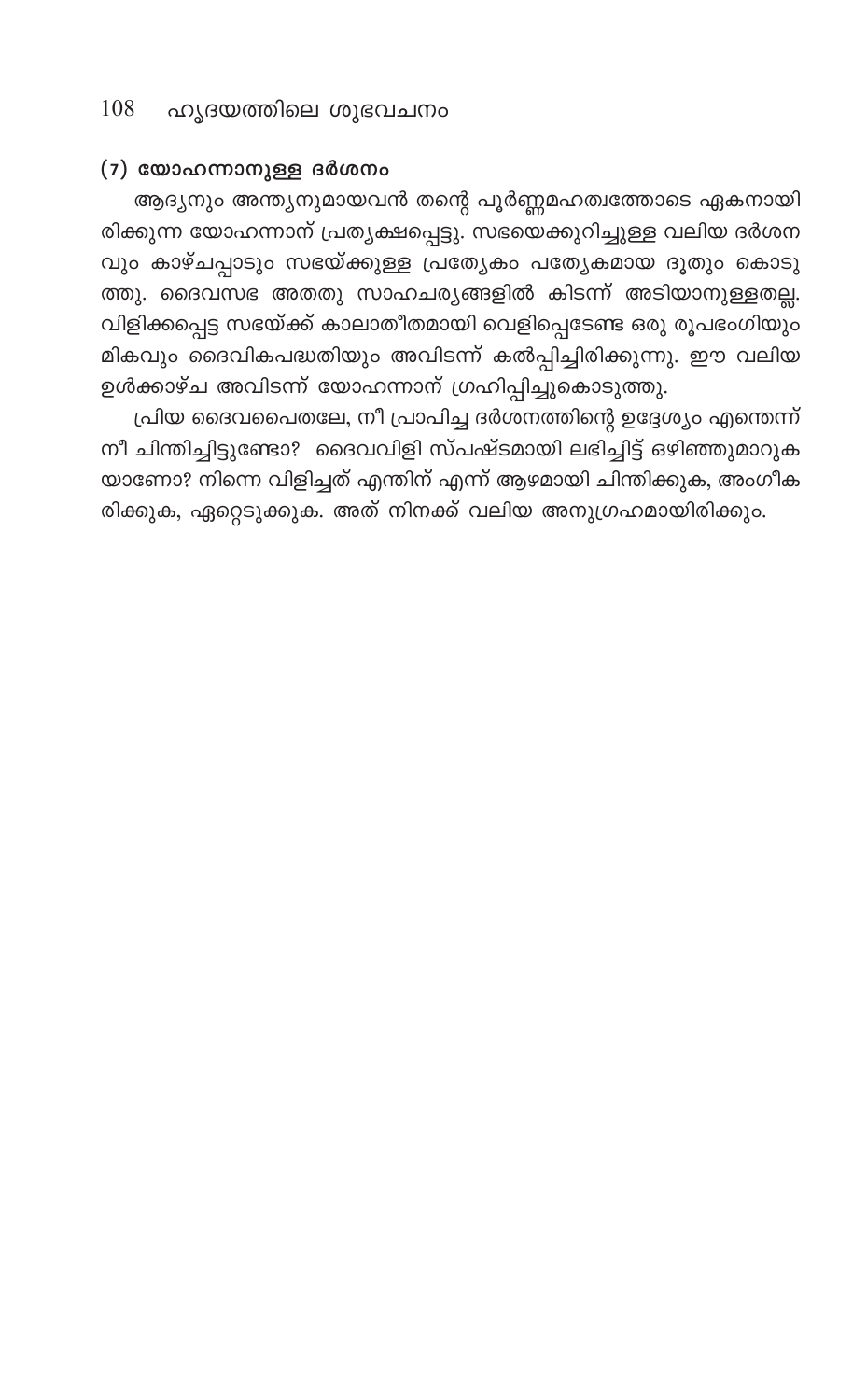#### (7) യോഹന്നാനുള്ള ദർശനം

ആദ്യനും അന്ത്യനുമായവൻ തന്റെ പൂർണ്ണമഹത്വത്തോടെ ഏകനായി രിക്കുന്ന യോഹന്നാന് പ്രത്യക്ഷപ്പെട്ടു. സഭയെക്കുറിച്ചുള്ള വലിയ ദർശന വും കാഴ്ചപ്പാടും സഭയ്ക്കുള്ള പ്രത്യേകം പത്യേകമായ ദൂതും കൊടു .<br>ത്തു. ദൈവസഭ അതതു സാഹചര്യങ്ങളിൽ കിടന്ന് അടിയാനുള്ളതല്ല. വിളിക്കപ്പെട്ട സഭയ്ക്ക് കാലാതീതമായി വെളിപ്പെടേണ്ട ഒരു രൂപഭംഗിയും മികവും ദൈവികപദ്ധതിയും അവിടന്ന് കൽപ്പിച്ചിരിക്കുന്നു. ഈ വലിയ .<br>ഉൾക്കാഴ്ച അവിടന്ന് യോഹന്നാന് ഗ്രഹിപ്പിച്ചുകൊടുത്തു.

പ്രിയ ദൈവപൈതലേ, നീ പ്രാപിച്ച ദർശനത്തിന്റെ ഉദ്ദേശ്യം എന്തെന്ന് നീ ചിന്തിച്ചിട്ടുണ്ടോ? ദൈവവിളി സ്പഷ്ടമായി ലഭിച്ചിട്ട് ഒഴിഞ്ഞുമാറുക യാണോ? നിന്നെ വിളിച്ചത് എന്തിന് എന്ന് ആഴമായി ചിന്തിക്കുക, അംഗീക രിക്കുക, ഏറ്റെടുക്കുക. അത് നിനക്ക് വലിയ അനുഗ്രഹമായിരിക്കും.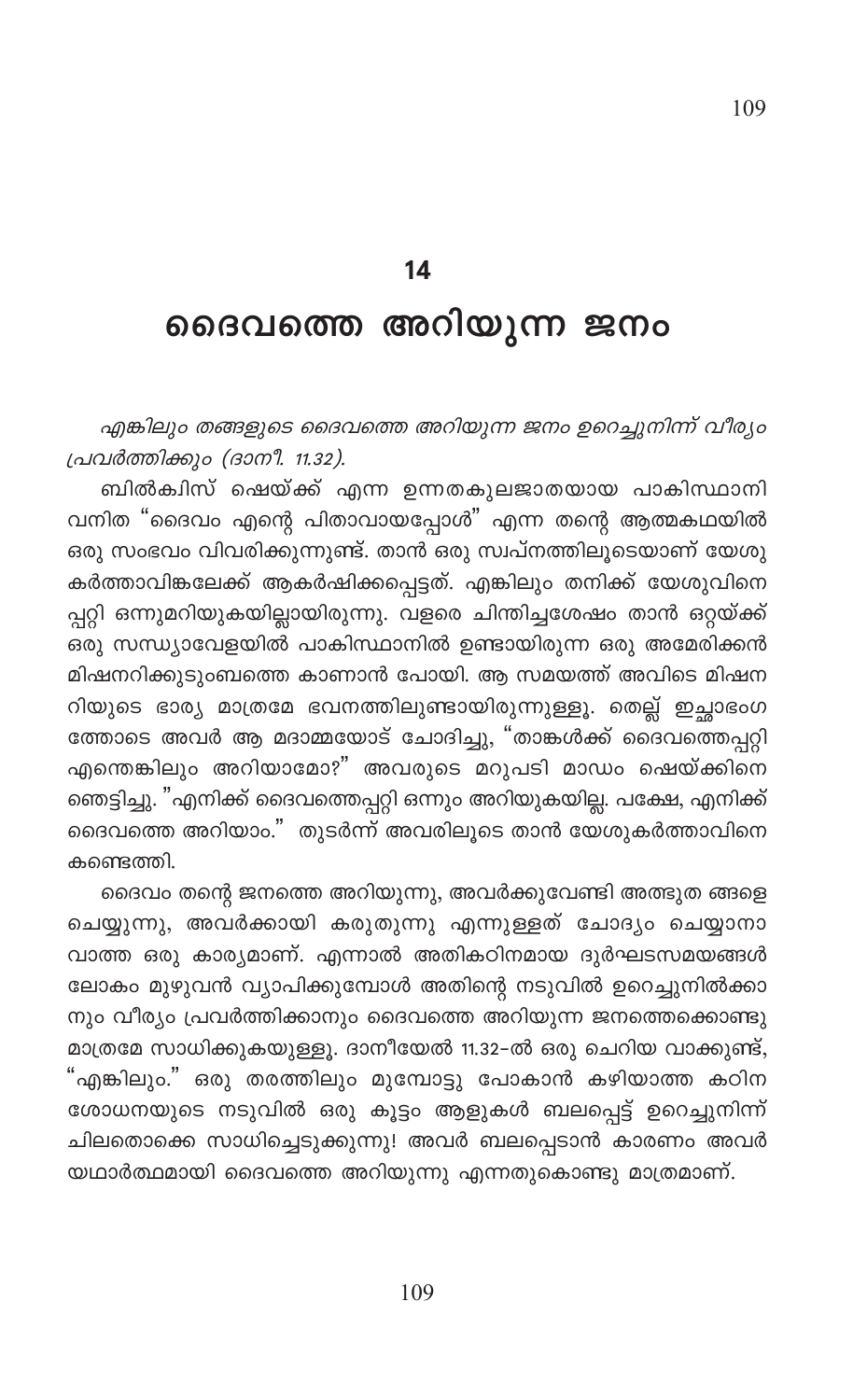14

# ദൈവത്തെ അറിയുന്ന ജനം

എങ്കിലും തങ്ങളുടെ ദൈവത്തെ അറിയുന്ന ജനം ഉറെച്ചുനിന്ന് വീര്യം പ്രവർത്തിക്കും (ദാനീ. 11.32).

ബിൽക്വിസ് ഷെയ്ക്ക് എന്ന ഉന്നതകുലജാതയായ പാകിസ്ഥാനി വനിത "ദൈവം എന്റെ പിതാവായപ്പോൾ" എന്ന തന്റെ ആത്മകഥയിൽ ഒരു സംഭവം വിവരിക്കുന്നുണ്ട്. താൻ ഒരു സ്വപ്നത്തിലൂടെയാണ് യേശു കർത്താവിങ്കലേക്ക് ആകർഷിക്കപ്പെട്ടത്. എങ്കിലും തനിക്ക് യേശുവിനെ പ്പറ്റി ഒന്നുമറിയുകയില്ലായിരുന്നു. വളരെ ചിന്തിച്ചശേഷം താൻ ഒറ്റയ്ക്ക് ്ച്യ<br>ഒരു സന്ധ്യാവേളയിൽ പാകിസ്ഥാനിൽ ഉണ്ടായിരുന്ന ഒരു അമേരിക്കൻ മിഷനറിക്കുടുംബത്തെ കാണാൻ പോയി. ആ സമയത്ത് അവിടെ മിഷന റിയുടെ ഭാര്യ മാത്രമേ ഭവനത്തിലുണ്ടായിരുന്നുള്ളൂ. തെല്ല് ഇച്ഛാഭംഗ ത്തോടെ അവർ ആ മദാമ്മയോട് ചോദിച്ചു, "താങ്കൾക്ക് ദൈവത്തെപ്പറ്റി എന്തെങ്കിലും അറിയാമോ?" അവരുടെ മറുപടി മാഡം ഷെയ്ക്കിനെ ഞെട്ടിച്ചു. "എനിക്ക് ദൈവത്തെപ്പറ്റി ഒന്നും അറിയുകയില്ല. പക്ഷേ, എനിക്ക് ദൈവത്തെ അറിയാം." തുടർന്ന് അവരിലൂടെ താൻ യേശുകർത്താവിനെ കണ്ടെത്തി.

ദൈവം തന്റെ ജനത്തെ അറിയുന്നു, അവർക്കുവേണ്ടി അത്ഭുത ങ്ങളെ ചെയ്യുന്നു, അവർക്കായി കരുതുന്നു എന്നുള്ളത് ചോദ്യം ചെയ്യാനാ വാത്ത ഒരു കാര്യമാണ്. എന്നാൽ അതികഠിനമായ ദുർഘടസമയങ്ങൾ ലോകം മുഴുവൻ വ്യാപിക്കുമ്പോൾ അതിന്റെ നടുവിൽ ഉറെച്ചുനിൽക്കാ നും വീര്യം പ്രവർത്തിക്കാനും ദൈവത്തെ അറിയുന്ന ജനത്തെക്കൊണ്ടു മാത്രമേ സാധിക്കുകയുള്ളൂ. ദാനീയേൽ 11.32-ൽ ഒരു ചെറിയ വാക്കുണ്ട്, "എങ്കിലും." ഒരു തരത്തിലും മുമ്പോട്ടു പോകാൻ കഴിയാത്ത കഠിന ശോധനയുടെ നടുവിൽ ഒരു കൂട്ടം ആളുകൾ ബലപ്പെട്ട് ഉറെച്ചുനിന്ന് ചിലതൊക്കെ സാധിച്ചെടുക്കുന്നു! അവർ ബലപ്പെടാൻ കാരണം അവർ യഥാർത്ഥമായി ദൈവത്തെ അറിയുന്നു എന്നതുകൊണ്ടു മാത്രമാണ്.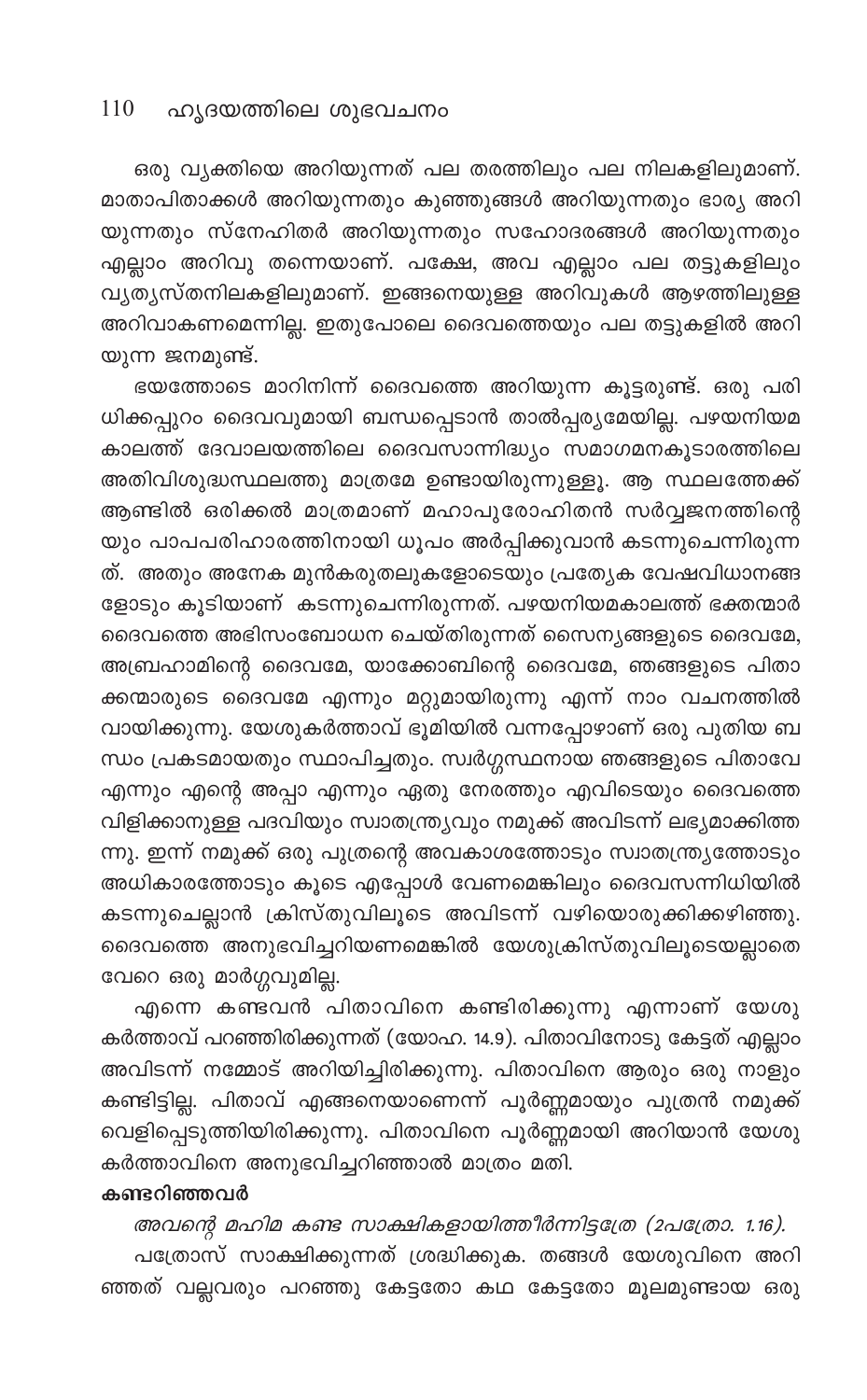ഒരു വ്യക്തിയെ അറിയുന്നത് പല തരത്തിലും പല നിലകളിലുമാണ്. മാതാപിതാക്കൾ അറിയുന്നതും കുഞ്ഞുങ്ങൾ അറിയുന്നതും ഭാര്യ അറി യുന്നതും സ്നേഹിതർ അറിയുന്നതും സഹോദരങ്ങൾ അറിയുന്നതും എല്ലാം അറിവു തന്നെയാണ്. പക്ഷേ, അവ എല്ലാം പല തട്ടുകളിലും വൃത്യസ്തനിലകളിലുമാണ്. ഇങ്ങനെയുള്ള അറിവുകൾ ആഴത്തിലുള്ള അറിവാകണമെന്നില്ല. ഇതുപോലെ ദൈവത്തെയും പല തട്ടുകളിൽ അറി യുന്ന ജനമുണ്ട്.

ഭയത്തോടെ മാറിനിന്ന് ദൈവത്തെ അറിയുന്ന കൂട്ടരുണ്ട്. ഒരു പരി ധിക്കപ്പുറം ദൈവവുമായി ബന്ധപ്പെടാൻ താൽപ്പര്യമേയില്ല. പഴയനിയമ അതിവിശുദ്ധസ്ഥലത്തു മാത്രമേ ഉണ്ടായിരുന്നുള്ളൂ. ആ സ്ഥലത്തേക്ക് ആണ്ടിൽ ഒരിക്കൽ മാത്രമാണ് മഹാപുരോഹിതൻ സർവ്വജനത്തിന്റെ യും പാപപരിഹാരത്തിനായി ധൂപം അർപ്പിക്കുവാൻ കടന്നുചെന്നിരുന്ന ത്. അതും അനേക മുൻകരുതലുകളോടെയും പ്രത്യേക വേഷവിധാനങ്ങ ളോടും കൂടിയാണ് കടന്നുചെന്നിരുന്നത്. പഴയനിയമകാലത്ത് ഭക്തന്മാർ ദൈവത്തെ അഭിസംബോധന ചെയ്തിരുന്നത് സൈന്യങ്ങളുടെ ദൈവമേ, അബ്രഹാമിന്റെ ദൈവമേ, യാക്കോബിന്റെ ദൈവമേ, ഞങ്ങളുടെ പിതാ ക്കന്മാരുടെ ദൈവമേ എന്നും മറ്റുമായിരുന്നു എന്ന് നാം വചനത്തിൽ വായിക്കുന്നു. യേശുകർത്താവ് ഭൂമിയിൽ വന്നപ്പോഴാണ് ഒരു പുതിയ ബ ന്ധം പ്രകടമായതും സ്ഥാപിച്ചതും. സ്വർഗ്ഗസ്ഥനായ ഞങ്ങളുടെ പിതാവേ എന്നും എന്റെ അപ്പാ എന്നും ഏതു നേരത്തും എവിടെയും ദൈവത്തെ വിളിക്കാനുള്ള പദവിയും സ്വാതന്ത്ര്യവും നമുക്ക് അവിടന്ന് ലഭ്യമാക്കിത്ത ന്നു. ഇന്ന് നമുക്ക് ഒരു പുത്രന്റെ അവകാശത്തോടും സ്വാതന്ത്ര്യത്തോടും അധികാരത്തോടും കൂടെ എപ്പോൾ വേണമെങ്കിലും ദൈവസന്നിധിയിൽ കടന്നുചെല്ലാൻ ക്രിസ്തുവിലൂടെ അവിടന്ന് വഴിയൊരുക്കിക്കഴിഞ്ഞു. ദൈവത്തെ അനുഭവിച്ചറിയണമെങ്കിൽ യേശുക്രിസ്തുവിലൂടെയല്ലാതെ വേറെ ഒരു മാർഗ്ഗവുമില്ല.

എന്നെ കണ്ടവൻ പിതാവിനെ കണ്ടിരിക്കുന്നു എന്നാണ് യേശു കർത്താവ് പറഞ്ഞിരിക്കുന്നത് (യോഹ. 14.9). പിതാവിനോടു കേട്ടത് എല്ലാം അവിടന്ന് നമ്മോട് അറിയിച്ചിരിക്കുന്നു. പിതാവിനെ ആരും ഒരു നാളും കണ്ടിട്ടില്ല. പിതാവ് എങ്ങനെയാണെന്ന് പൂർണ്ണമായും പുത്രൻ നമുക്ക് വെളിപ്പെടുത്തിയിരിക്കുന്നു. പിതാവിനെ പൂർണ്ണമായി അറിയാൻ യേശു കർത്താവിനെ അനുഭവിച്ചറിഞ്ഞാൽ മാത്രം മതി.

#### കണ്ടറിഞ്ഞവർ

അവന്റെ മഹിമ കണ്ട സാക്ഷികളായിത്തീർന്നിട്ടത്രേ (2പത്രോ. 1.16).

പത്രോസ് സാക്ഷിക്കുന്നത് ശ്രദ്ധിക്കുക. തങ്ങൾ യേശുവിനെ അറി ഞ്ഞത് വല്ലവരും പറഞ്ഞു കേട്ടതോ കഥ കേട്ടതോ മൂലമുണ്ടായ ഒരു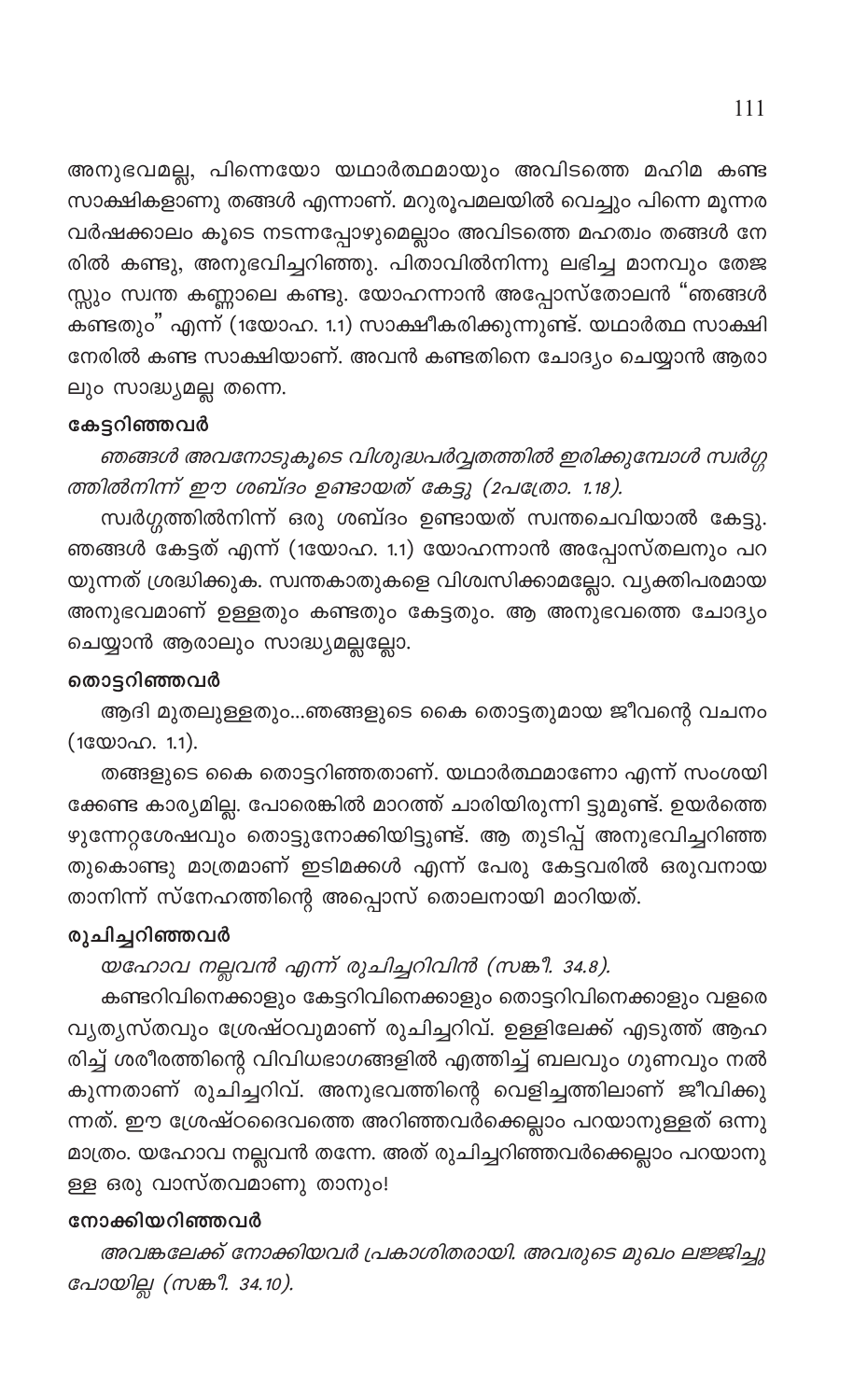അനുഭവമല്ല, പിന്നെയോ യഥാർത്ഥമായും അവിടത്തെ മഹിമ കണ്ട സാക്ഷികളാണു തങ്ങൾ എന്നാണ്. മറുരൂപമലയിൽ വെച്ചും പിന്നെ മൂന്നര വർഷക്കാലം കൂടെ നടന്നപ്പോഴുമെല്ലാം അവിടത്തെ മഹത്വം തങ്ങൾ നേ രിൽ കണ്ടു, അനുഭവിച്ചറിഞ്ഞു. പിതാവിൽനിന്നു ലഭിച്ച മാനവും തേജ സ്സും സ്വന്ത കണ്ണാലെ കണ്ടു. യോഹന്നാൻ അപ്പോസ്തോലൻ "ഞങ്ങൾ ...<br>കണ്ടതും" എന്ന് (1യോഹ. 1.1) സാക്ഷീകരിക്കുന്നുണ്ട്. യഥാർത്ഥ സാക്ഷി നേരിൽ കണ്ട സാക്ഷിയാണ്. അവൻ കണ്ടതിനെ ചോദ്യം ചെയ്യാൻ ആരാ ലും സാദ്ധ്യമല്ല തന്നെ.

#### കേട്ടറിഞ്ഞവർ

ഞങ്ങൾ അവനോടുകൂടെ വിശുദ്ധപർവ്വതത്തിൽ ഇരിക്കുമ്പോൾ സ്വർഗ്ഗ ത്തിൽനിന്ന് ഈ ശബ്ദം ഉണ്ടായത് കേട്ടു (2പക്രോ. 1.18).

സ്വർഗ്ഗത്തിൽനിന്ന് ഒരു ശബ്ദം ഉണ്ടായത് സ്വന്തചെവിയാൽ കേട്ടു. ഞങ്ങൾ കേട്ടത് എന്ന് (1യോഹ. 1.1) യോഹന്നാൻ അപ്പോസ്തലനും പറ യുന്നത് ശ്രദ്ധിക്കുക. സ്വന്തകാതുകളെ വിശ്വസിക്കാമല്ലോ. വ്യക്തിപരമായ അനുഭവമാണ് ഉള്ളതും കണ്ടതും കേട്ടതും. ആ അനുഭവത്തെ ചോദ്യം ചെയ്യാൻ ആരാലും സാദ്ധ്യമല്ലല്ലോ.

#### തൊട്ടറിഞ്ഞവർ

ആദി മുതലുള്ളതും...ഞങ്ങളുടെ കൈ തൊട്ടതുമായ ജീവന്റെ വചനം (100000. 1.1).

തങ്ങളുടെ കൈ തൊട്ടറിഞ്ഞതാണ്. യഥാർത്ഥമാണോ എന്ന് സംശയി ക്കേണ്ട കാര്യമില്ല. പോരെങ്കിൽ മാറത്ത് ചാരിയിരുന്നി ട്ടുമുണ്ട്. ഉയർത്തെ ഴുന്നേറ്റശേഷവും തൊട്ടുനോക്കിയിട്ടുണ്ട്. ആ തുടിപ്പ് അനുഭവിച്ചറിഞ്ഞ തുകൊണ്ടു മാത്രമാണ് ഇടിമക്കൾ എന്ന് പേരു കേട്ടവരിൽ ഒരുവനായ താനിന്ന് സ്നേഹത്തിന്റെ അപ്പൊസ് തൊലനായി മാറിയത്.

# രുചിച്ചറിഞ്ഞവർ

# യഹോവ നല്ലവൻ എന്ന് രുചിച്ചറിവിൻ (സങ്കീ. 34.8).

കണ്ടറിവിനെക്കാളും കേട്ടറിവിനെക്കാളും തൊട്ടറിവിനെക്കാളും വളരെ വൃത്യസ്തവും ശ്രേഷ്ഠവുമാണ് രുചിച്ചറിവ്. ഉള്ളിലേക്ക് എടുത്ത് ആഹ രിച്ച് ശരീരത്തിന്റെ വിവിധഭാഗങ്ങളിൽ എത്തിച്ച് ബലവും ഗുണവും നൽ കുന്നതാണ് രുചിച്ചറിവ്. അനുഭവത്തിന്റെ വെളിച്ചത്തിലാണ് ജീവിക്കു ന്നത്. ഈ ശ്രേഷ്ഠദൈവത്തെ അറിഞ്ഞവർക്കെല്ലാം പറയാനുള്ളത് ഒന്നു മാത്രം. യഹോവ നല്ലവൻ തന്നേ. അത് രുചിച്ചറിഞ്ഞവർക്കെല്ലാം പറയാനു ള്ള ഒരു വാസ്തവമാണു താനും!

#### നോക്കിയറിഞ്ഞവർ

അവങ്കലേക്ക് നോക്കിയവർ പ്രകാശിതരായി. അവരുടെ മുഖം ലജ്ജിച്ചു പോയില്ല (സങ്കീ. 34.10).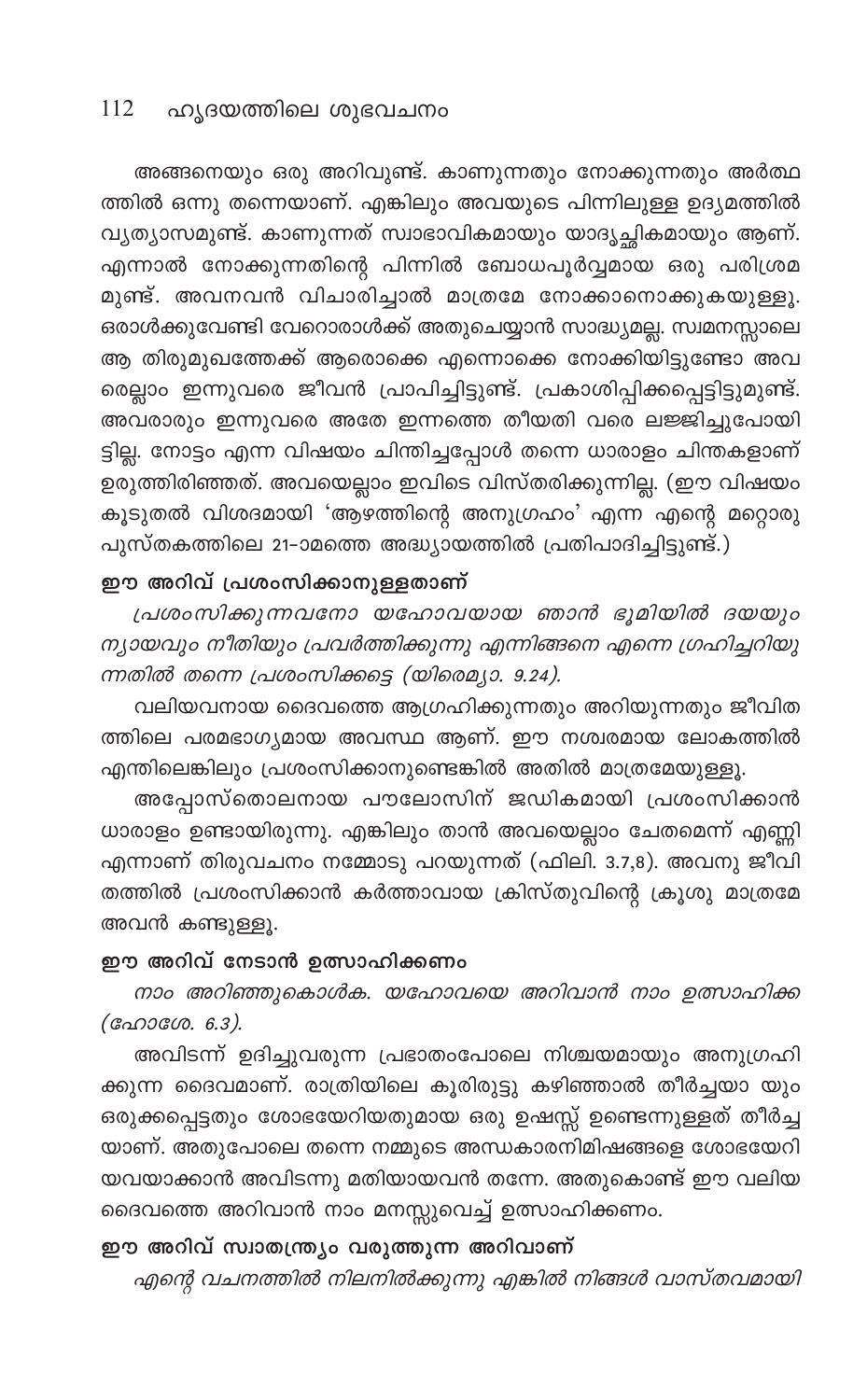അങ്ങനെയും ഒരു അറിവുണ്ട്. കാണുന്നതും നോക്കുന്നതും അർത്ഥ ത്തിൽ ഒന്നു തന്നെയാണ്. എങ്കിലും അവയുടെ പിന്നിലുള്ള ഉദ്യമത്തിൽ വൃത്യാസമുണ്ട്. കാണുന്നത് സ്വാഭാവികമായും യാദൃച്ഛികമായും ആണ്. എന്നാൽ നോക്കുന്നതിന്റെ പിന്നിൽ ബോധപൂർവ്വമായ ഒരു പരിശ്രമ മുണ്ട്. അവനവൻ വിചാരിച്ചാൽ മാത്രമേ നോക്കാനൊക്കുകയുള്ളൂ. ഒരാൾക്കുവേണ്ടി വേറൊരാൾക്ക് അതുചെയ്യാൻ സാദ്ധ്യമല്ല. സ്വമനസ്സാലെ ആ തിരുമുഖത്തേക്ക് ആരൊക്കെ എന്നൊക്കെ നോക്കിയിട്ടുണ്ടോ അവ രെല്ലാം ഇന്നുവരെ ജീവൻ പ്രാപിച്ചിട്ടുണ്ട്. പ്രകാശിപ്പിക്കപ്പെട്ടിട്ടുമുണ്ട്. അവരാരും ഇന്നുവരെ അതേ ഇന്നത്തെ തീയതി വരെ ലജ്ജിച്ചുപോയി ട്ടില്ല. നോട്ടം എന്ന വിഷയം ചിന്തിച്ചപ്പോൾ തന്നെ ധാരാളം ചിന്തകളാണ് ഉരുത്തിരിഞ്ഞത്. അവയെല്ലാം ഇവിടെ വിസ്തരിക്കുന്നില്ല. (ഈ വിഷയം കൂടുതൽ വിശദമായി 'ആഴത്തിന്റെ അനുഗ്രഹം' എന്ന എന്റെ മറ്റൊരു പുസ്തകത്തിലെ 21-ാമത്തെ അദ്ധ്യായത്തിൽ പ്രതിപാദിച്ചിട്ടുണ്ട്.)

# ഈ അറിവ് പ്രശംസിക്കാനുള്ളതാണ്

പ്രശംസിക്കുന്നവനോ യഹോവയായ ഞാൻ ഭൂമിയിൽ ദയയും ന്യായവും നീതിയും പ്രവർത്തിക്കുന്നു എന്നിങ്ങനെ എന്നെ ഗ്രഹിച്ചറിയു ന്നതിൽ തന്നെ പ്രശംസിക്കട്ടെ (യിരെമ്യാ. 9.24).

വലിയവനായ ദൈവത്തെ ആഗ്രഹിക്കുന്നതും അറിയുന്നതും ജീവിത ത്തിലെ പരമഭാഗ്യമായ അവസ്ഥ ആണ്. ഈ നശ്വരമായ ലോകത്തിൽ എന്തിലെങ്കിലും പ്രശംസിക്കാനുണ്ടെങ്കിൽ അതിൽ മാത്രമേയുള്ളൂ.

അപ്പോസ്തൊലനായ പൗലോസിന് ജഡികമായി പ്രശംസിക്കാൻ ധാരാളം ഉണ്ടായിരുന്നു. എങ്കിലും താൻ അവയെല്ലാം ചേതമെന്ന് എണ്ണി .<br>എന്നാണ് തിരുവചനം നമ്മോടു പറയുന്നത് (ഫിലി. 3.7,8). അവനു ജീവി തത്തിൽ പ്രശംസിക്കാൻ കർത്താവായ ക്രിസ്തുവിന്റെ ക്രൂശു മാത്രമേ അവൻ കണ്ടുള്ളൂ.

#### ഈ അറിവ് നേടാൻ ഉത്സാഹിക്കണം

നാം അറിഞ്ഞുകൊൾക. യഹോവയെ അറിവാൻ നാം ഉത്സാഹിക്ക (GODOGLO. 6.3).

അവിടന്ന് ഉദിച്ചുവരുന്ന പ്രഭാതംപോലെ നിശ്ചയമായും അനുഗ്രഹി ക്കുന്ന ദൈവമാണ്. രാത്രിയിലെ കൂരിരുട്ടു കഴിഞ്ഞാൽ തീർച്ചയാ യും ഒരുക്കപ്പെട്ടതും ശോഭയേറിയതുമായ ഒരു ഉഷസ്സ് ഉണ്ടെന്നുള്ളത് തീർച്ച യാണ്. അതുപോലെ തന്നെ നമ്മുടെ അന്ധകാരനിമിഷങ്ങളെ ശോഭയേറി യവയാക്കാൻ അവിടന്നു മതിയായവൻ തന്നേ. അതുകൊണ്ട് ഈ വലിയ ദൈവത്തെ അറിവാൻ നാം മനസ്സുവെച്ച് ഉത്സാഹിക്കണം.

# ഈ അറിവ് സ്വാതന്ത്ര്യം വരുത്തുന്ന അറിവാണ്

എന്റെ വചനത്തിൽ നിലനിൽക്കുന്നു എങ്കിൽ നിങ്ങൾ വാസ്തവമായി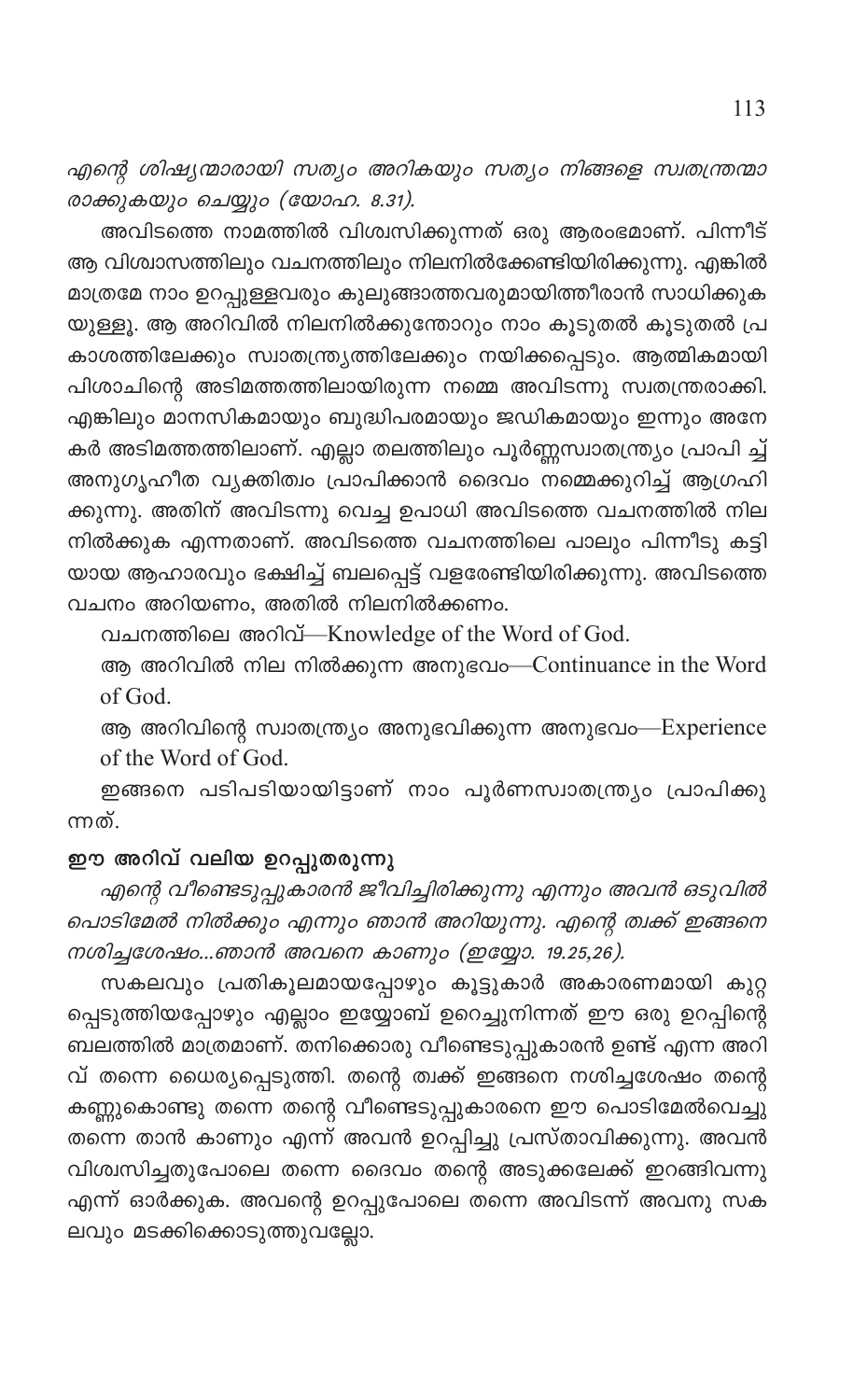എന്റെ ശിഷ്യന്മാരായി സത്യം അറികയും സത്യം നിങ്ങളെ സ്വതന്ത്രന്മാ രാക്കുകയും ചെയ്യും (യോഹ. 8.31).

അവിടത്തെ നാമത്തിൽ വിശ്വസിക്കുന്നത് ഒരു ആരംഭമാണ്. പിന്നീട് ആ വിശ്വാസത്തിലും വചനത്തിലും നിലനിൽക്കേണ്ടിയിരിക്കുന്നു. എങ്കിൽ മാത്രമേ നാം ഉറപ്പുള്ളവരും കുലുങ്ങാത്തവരുമായിത്തീരാൻ സാധിക്കുക യുള്ളൂ. ആ അറിവിൽ നിലനിൽക്കുന്തോറും നാം കൂടുതൽ കൂടുതൽ പ്ര കാശത്തിലേക്കും സ്വാതന്ത്ര്യത്തിലേക്കും നയിക്കപ്പെടും. ആത്മികമായി പിശാചിന്റെ അടിമത്തത്തിലായിരുന്ന നമ്മെ അവിടന്നു സ്വതന്ത്രരാക്കി. എങ്കിലും മാനസികമായും ബുദ്ധിപരമായും ജഡികമായും ഇന്നും അനേ കർ അടിമത്തത്തിലാണ്. എല്ലാ തലത്തിലും പൂർണ്ണസ്വാതന്ത്ര്യം പ്രാപി ച്ച് അനുഗൃഹീത വ്യക്തിത്വം പ്രാപിക്കാൻ ദൈവം നമ്മെക്കുറിച്ച് ആഗ്രഹി ക്കുന്നു. അതിന് അവിടന്നു വെച്ച ഉപാധി അവിടത്തെ വചനത്തിൽ നില നിൽക്കുക എന്നതാണ്. അവിടത്തെ വചനത്തിലെ പാലും പിന്നീടു കട്ടി യായ ആഹാരവും ഭക്ഷിച്ച് ബലപ്പെട്ട് വളരേണ്ടിയിരിക്കുന്നു. അവിടത്തെ വചനം അറിയണം, അതിൽ നിലനിൽക്കണം.

വചനത്തിലെ അറിവ്—Knowledge of the Word of God.

ആ അറിവിൽ നില നിൽക്കുന്ന അനുഭവം—Continuance in the Word of God.

ആ അറിവിന്റെ സ്വാതന്ത്ര്യം അനുഭവിക്കുന്ന അനുഭവം—Experience of the Word of God.

ഇങ്ങനെ പടിപടിയായിട്ടാണ് നാം പൂർണസ്വാതന്ത്ര്യം പ്രാപിക്കു ന്നത്.

# ഈ അറിവ് വലിയ ഉറപ്പുതരുന്നു

എന്റെ വീണ്ടെടുപ്പുകാരൻ ജീവിച്ചിരിക്കുന്നു എന്നും അവൻ ഒടുവിൽ പൊടിമേൽ നിൽക്കും എന്നും ഞാൻ അറിയുന്നു. എന്റെ ത്വക്ക് ഇങ്ങനെ നശിച്ചശേഷം...ഞാൻ അവനെ കാണും (ഇയ്യോ. 19.25,26).

സകലവും പ്രതികൂലമായപ്പോഴും കൂട്ടുകാർ അകാരണമായി കുറ്റ പ്പെടുത്തിയപ്പോഴും എല്ലാം ഇയ്യോബ് ഉറെച്ചുനിന്നത് ഈ ഒരു ഉറപ്പിന്റെ ബലത്തിൽ മാത്രമാണ്. തനിക്കൊരു വീണ്ടെടുപ്പുകാരൻ ഉണ്ട് എന്ന അറി വ് തന്നെ ധൈര്യപ്പെടുത്തി. തന്റെ ത്വക്ക് ഇങ്ങനെ നശിച്ചശേഷം തന്റെ കണ്ണുകൊണ്ടു തന്നെ തന്റെ വീണ്ടെടുപ്പുകാരനെ ഈ പൊടിമേൽവെച്ചു തന്നെ താൻ കാണും എന്ന് അവൻ ഉറപ്പിച്ചു പ്രസ്താവിക്കുന്നു. അവൻ വിശ്വസിച്ചതുപോലെ തന്നെ ദൈവം തന്റെ അടുക്കലേക്ക് ഇറങ്ങിവന്നു എന്ന് ഓർക്കുക. അവന്റെ ഉറപ്പുപോലെ തന്നെ അവിടന്ന് അവനു സക ലവും മടക്കിക്കൊടുത്തുവല്ലോ.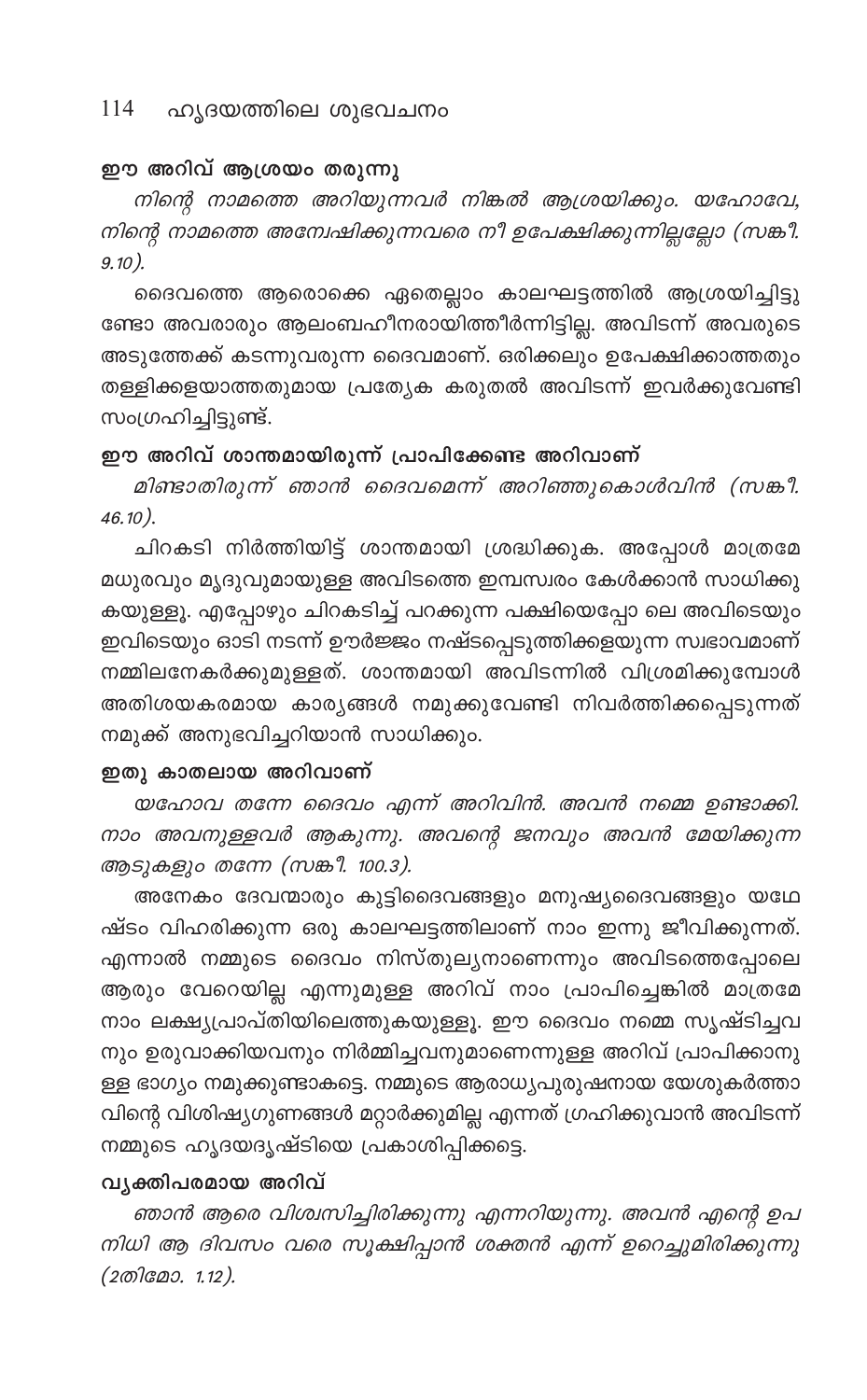### ഈ അറിവ് ആശ്രയം തരുന്നു

നിന്റെ നാമത്തെ അറിയുന്നവർ നിങ്കൽ ആശ്രയിക്കും. യഹോവേ, നിന്റെ നാമത്തെ അന്വേഷിക്കുന്നവരെ നീ ഉപേക്ഷിക്കുന്നില്ലല്ലോ (സങ്കീ.  $9.10$ ).

ദൈവത്തെ ആരൊക്കെ ഏതെല്ലാം കാലഘട്ടത്തിൽ ആശ്രയിച്ചിട്ടു ണ്ടോ അവരാരും ആലംബഹീനരായിത്തീർന്നിട്ടില്ല. അവിടന്ന് അവരുടെ അടുത്തേക്ക് കടന്നുവരുന്ന ദൈവമാണ്. ഒരിക്കലും ഉപേക്ഷിക്കാത്തതും തള്ളിക്കളയാത്തതുമായ പ്രത്യേക കരുതൽ അവിടന്ന് ഇവർക്കുവേണ്ടി സംഗ്രഹിച്ചിട്ടുണ്ട്.

# ഈ അറിവ് ശാന്തമായിരുന്ന് പ്രാപിക്കേണ്ട അറിവാണ്

മിണ്ടാതിരുന്ന് ഞാൻ ദൈവമെന്ന് അറിഞ്ഞുകൊൾവിൻ (സങ്കീ. 46.10).

ചിറകടി നിർത്തിയിട്ട് ശാന്തമായി ശ്രദ്ധിക്കുക. അപ്പോൾ മാത്രമേ മധുരവും മൃദുവുമായുള്ള അവിടത്തെ ഇമ്പസ്വരം കേൾക്കാൻ സാധിക്കു .<br>കയുള്ളൂ. എപ്പോഴും ചിറകടിച്ച് പറക്കുന്ന പക്ഷിയെപ്പോ ലെ അവിടെയും ഇവിടെയും ഓടി നടന്ന് ഊർജ്ജം നഷ്ടപ്പെടുത്തിക്കളയുന്ന സ്വഭാവമാണ് നമ്മിലനേകർക്കുമുള്ളത്. ശാന്തമായി അവിടന്നിൽ വിശ്രമിക്കുമ്പോൾ അതിശയകരമായ കാര്യങ്ങൾ നമുക്കുവേണ്ടി നിവർത്തിക്കപ്പെടുന്നത് നമുക്ക് അനുഭവിച്ചറിയാൻ സാധിക്കും.

# ഇതു കാതലായ അറിവാണ്

യഹോവ തന്നേ ദൈവം എന്ന് അറിവിൻ. അവൻ നമ്മെ ഉണ്ടാക്കി. നാം അവനുള്ളവർ ആകുന്നു. അവന്റെ ജനവും അവൻ മേയിക്കുന്ന ആടുകളും തന്നേ (സങ്കീ. 100.3).

അനേകം ദേവന്മാരും കുട്ടിദൈവങ്ങളും മനുഷ്യദൈവങ്ങളും യഥേ ഷ്ടം വിഹരിക്കുന്ന ഒരു കാലഘട്ടത്തിലാണ് നാം ഇന്നു ജീവിക്കുന്നത്. എന്നാൽ നമ്മുടെ ദൈവം നിസ്തുല്യനാണെന്നും അവിടത്തെപ്പോലെ ആരും വേറെയില്ല എന്നുമുള്ള അറിവ് നാം പ്രാപിച്ചെങ്കിൽ മാത്രമേ നാം ലക്ഷ്യപ്രാപ്തിയിലെത്തുകയുള്ളൂ. ഈ ദൈവം നമ്മെ സൃഷ്ടിച്ചവ നും ഉരുവാക്കിയവനും നിർമ്മിച്ചവനുമാണെന്നുള്ള അറിവ് പ്രാപിക്കാനു ള്ള ഭാഗ്യം നമുക്കുണ്ടാകട്ടെ. നമ്മുടെ ആരാധ്യപുരുഷനായ യേശുകർത്താ വിന്റെ വിശിഷ്യഗുണങ്ങൾ മറ്റാർക്കുമില്ല എന്നത് ഗ്രഹിക്കുവാൻ അവിടന്ന് നമ്മുടെ ഹൃദയദൃഷ്ടിയെ പ്രകാശിപ്പിക്കട്ടെ.

# വ്യക്തിപരമായ അറിവ്

ഞാൻ ആരെ വിശ്വസിച്ചിരിക്കുന്നു എന്നറിയുന്നു. അവൻ എന്റെ ഉപ നിധി ആ ദിവസം വരെ സൂക്ഷിപ്പാൻ ശക്തൻ എന്ന് ഉറെച്ചുമിരിക്കുന്നു  $(200)$  $(200)$ ,  $1.12$ ).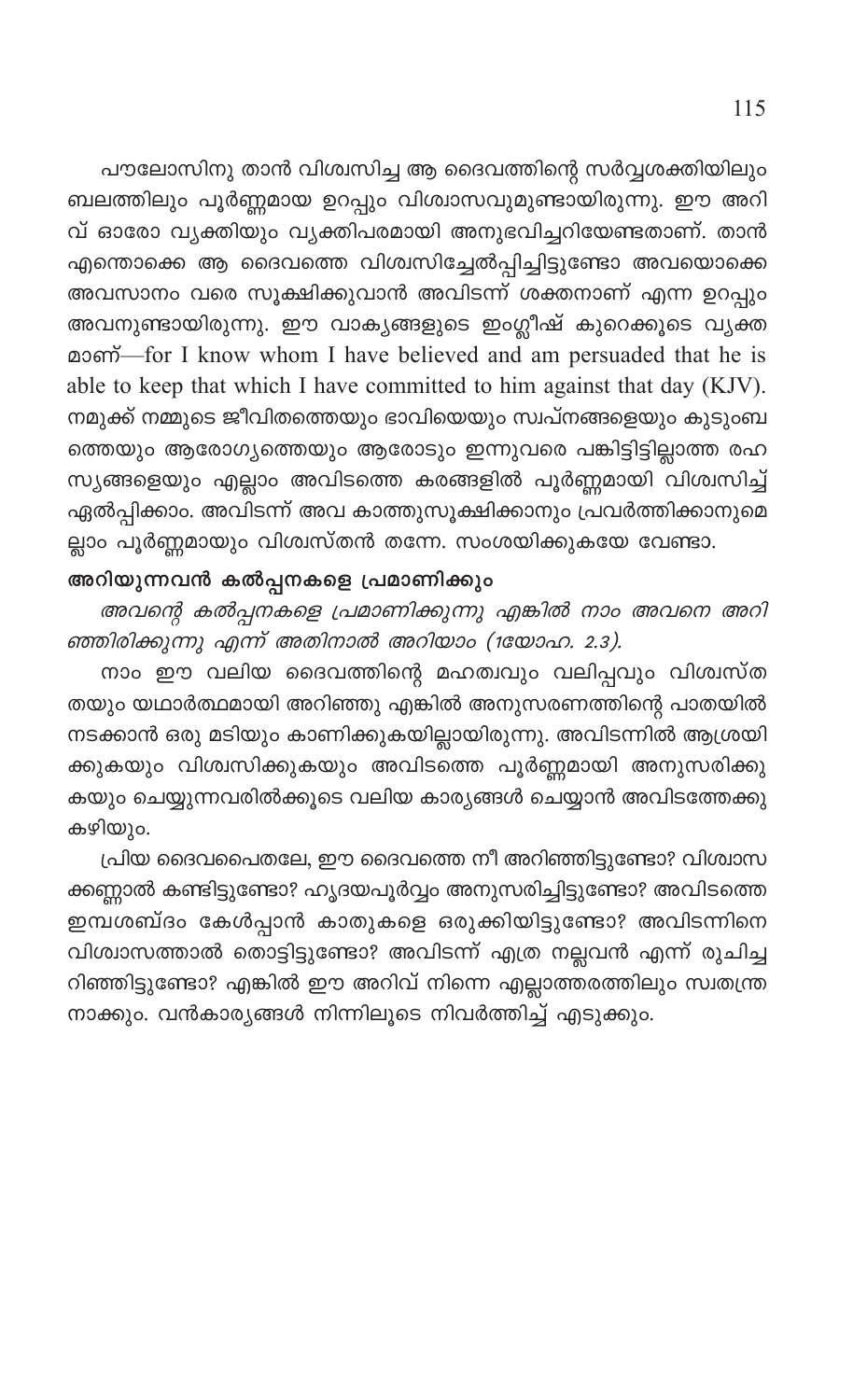പൗലോസിനു താൻ വിശ്വസിച്ച ആ ദൈവത്തിന്റെ സർവ്വശക്തിയിലും ബലത്തിലും പൂർണ്ണമായ ഉറപ്പും വിശ്വാസവുമുണ്ടായിരുന്നു. ഈ അറി വ് ഓരോ വ്യക്തിയും വ്യക്തിപരമായി അനുഭവിച്ചറിയേണ്ടതാണ്. താൻ എന്തൊക്കെ ആ ദൈവത്തെ വിശ്വസിച്ചേൽപ്പിച്ചിട്ടുണ്ടോ അവയൊക്കെ അവസാനം വരെ സൂക്ഷിക്കുവാൻ അവിടന്ന് ശക്തനാണ് എന്ന ഉറപ്പും .<br>അവനുണ്ടായിരുന്നു. ഈ വാകൃങ്ങളുടെ ഇംഗ്ലീഷ് കുറെക്കൂടെ വൃക്ത മാണ്—for I know whom I have believed and am persuaded that he is able to keep that which I have committed to him against that day (KJV). നമുക്ക് നമ്മുടെ ജീവിതത്തെയും ഭാവിയെയും സ്വപ്നങ്ങളെയും കുടുംബ ത്തെയും ആരോഗ്യത്തെയും ആരോടും ഇന്നുവരെ പങ്കിട്ടിട്ടില്ലാത്ത രഹ സ്യങ്ങളെയും എല്ലാം അവിടത്തെ കരങ്ങളിൽ പൂർണ്ണമായി വിശ്വസിച്ച് ഏൽപ്പിക്കാം. അവിടന്ന് അവ കാത്തുസൂക്ഷിക്കാനും പ്രവർത്തിക്കാനുമെ ല്ലാം പൂർണ്ണമായും വിശ്വസ്തൻ തന്നേ. സംശയിക്കുകയേ വേണ്ടാ.

# അറിയുന്നവൻ കൽപ്പനകളെ പ്രമാണിക്കും

അവന്റെ കൽപ്പനകളെ പ്രമാണിക്കുന്നു എങ്കിൽ നാം അവനെ അറി ഞ്ഞിരിക്കുന്നു എന്ന് അതിനാൽ അറിയാം (1യോഹ. 2.3).

നാം ഈ വലിയ ദൈവത്തിന്റെ മഹത്വവും വലിപ്പവും വിശ്വസ്ത തയും യഥാർത്ഥമായി അറിഞ്ഞു എങ്കിൽ അനുസരണത്തിന്റെ പാതയിൽ നടക്കാൻ ഒരു മടിയും കാണിക്കുകയില്ലായിരുന്നു. അവിടന്നിൽ ആശ്രയി ക്കുകയും വിശ്വസിക്കുകയും അവിടത്തെ പൂർണ്ണമായി അനുസരിക്കു കയും ചെയ്യുന്നവരിൽക്കൂടെ വലിയ കാര്യങ്ങൾ ചെയ്യാൻ അവിടത്തേക്കു കഴിയും.

പ്രിയ ദൈവപൈതലേ, ഈ ദൈവത്തെ നീ അറിഞ്ഞിട്ടുണ്ടോ? വിശ്വാസ ക്കണ്ണാൽ കണ്ടിട്ടുണ്ടോ? ഹൃദയപൂർവ്വം അനുസരിച്ചിട്ടുണ്ടോ? അവിടത്തെ ഇമ്പശബ്ദം കേൾപ്പാൻ കാതുകളെ ഒരുക്കിയിട്ടുണ്ടോ? അവിടന്നിനെ വിശ്വാസത്താൽ തൊട്ടിട്ടുണ്ടോ? അവിടന്ന് എത്ര നല്ലവൻ എന്ന് രുചിച്ച .<br>റിഞ്ഞിട്ടുണ്ടോ? എങ്കിൽ ഈ അറിവ് നിന്നെ എല്ലാത്തരത്തിലും സ്വതന്ത്ര നാക്കും. വൻകാര്യങ്ങൾ നിന്നിലൂടെ നിവർത്തിച്ച് എടുക്കും.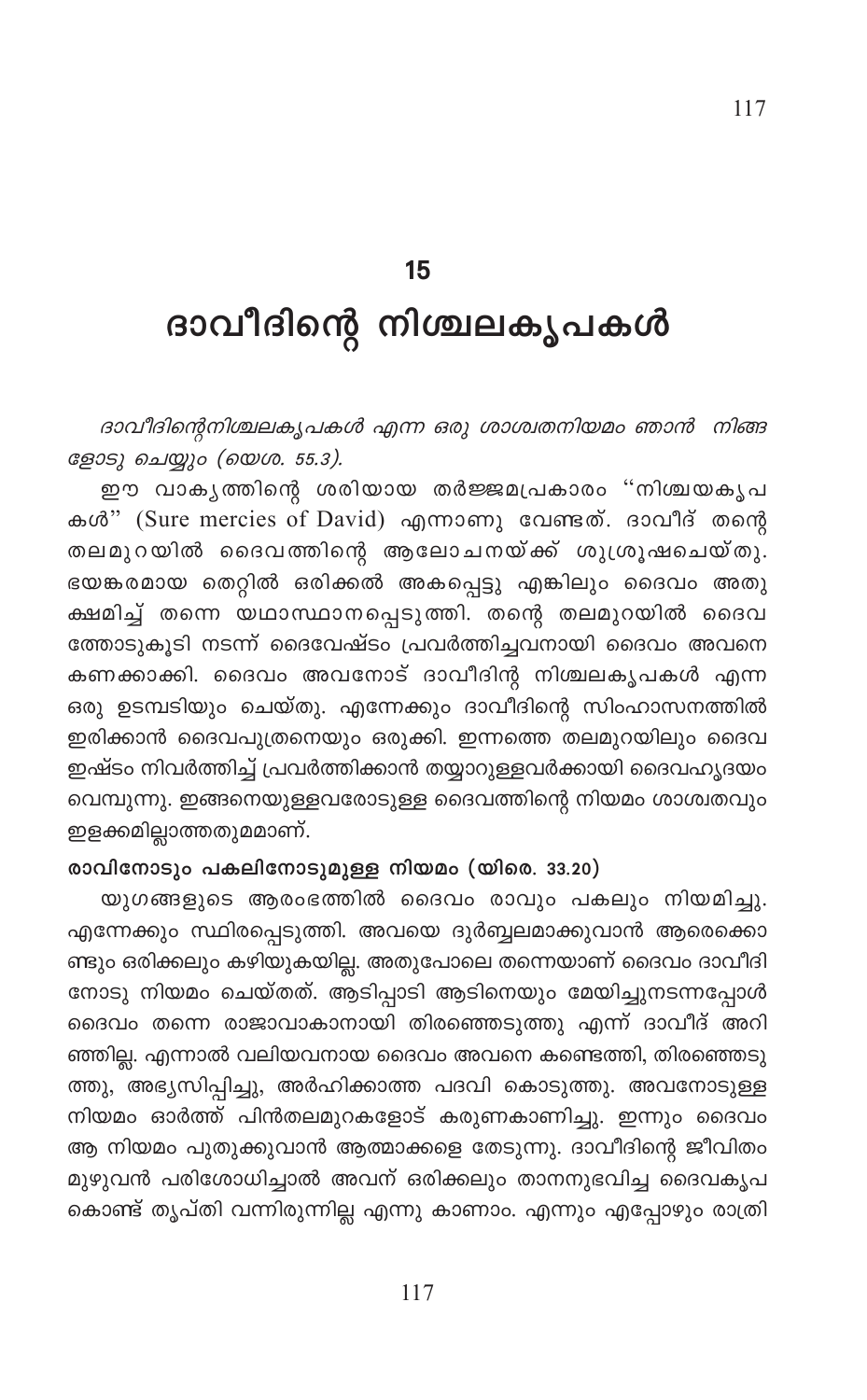#### 15

# ദാവീദിന്റെ നിശ്ചലകൃപകൾ

ദാവീദിന്റെനിശ്ചലകൃപകൾ എന്ന ഒരു ശാശ്വതനിയമം ഞാൻ നിങ്ങ ളോടു ചെയ്യും (യെശ. 55.3).

ഈ വാകൃത്തിന്റെ ശരിയായ തർജ്ജമപ്രകാരം ''നിശ്ചയകൃപ കൾ" (Sure mercies of David) എന്നാണു വേണ്ടത്. ദാവീദ് തന്റെ തലമുറയിൽ ദൈവത്തിന്റെ ആലോചനയ്ക്ക് ശുശ്രൂഷചെയ്തു. ഭയങ്കരമായ തെറ്റിൽ ഒരിക്കൽ അകപ്പെട്ടു എങ്കിലും ദൈവം അതു ക്ഷമിച്ച് തന്നെ യഥാസ്ഥാനപ്പെടുത്തി. തന്റെ തലമുറയിൽ ദൈവ ത്തോടുകൂടി നടന്ന് ദൈവേഷ്ടം പ്രവർത്തിച്ചവനായി ദൈവം അവനെ കണക്കാക്കി. ദൈവം അവനോട് ദാവീദിന്റ നിശ്ചലകൃപകൾ എന്ന ഒരു ഉടമ്പടിയും ചെയ്തു. എന്നേക്കും ദാവീദിന്റെ സിംഹാസനത്തിൽ ഇരിക്കാൻ ദൈവപുത്രനെയും ഒരുക്കി. ഇന്നത്തെ തലമുറയിലും ദൈവ ഇഷ്ടം നിവർത്തിച്ച് പ്രവർത്തിക്കാൻ തയ്യാറുള്ളവർക്കായി ദൈവഹൃദയം വെമ്പുന്നു. ഇങ്ങനെയുള്ളവരോടുള്ള ദൈവത്തിന്റെ നിയമം ശാശ്വതവും ഇളക്കമില്ലാത്തതുമമാണ്.

### രാവിനോടും പകലിനോടുമുള്ള നിയമം (യിരെ. 33.20)

യുഗങ്ങളുടെ ആരംഭത്തിൽ ദൈവം രാവും പകലും നിയമിച്ചു. എന്നേക്കും സ്ഥിരപ്പെടുത്തി. അവയെ ദുർബ്ബലമാക്കുവാൻ ആരെക്കൊ ണ്ടും ഒരിക്കലും കഴിയുകയില്ല. അതുപോലെ തന്നെയാണ് ദൈവം ദാവീദി നോടു നിയമം ചെയ്തത്. ആടിപ്പാടി ആടിനെയും മേയിച്ചുനടന്നപ്പോൾ ദൈവം തന്നെ രാജാവാകാനായി തിരഞ്ഞെടുത്തു എന്ന് ദാവീദ് അറി ഞ്ഞില്ല. എന്നാൽ വലിയവനായ ദൈവം അവനെ കണ്ടെത്തി, തിരഞ്ഞെടു ത്തു, അഭ്യസിപ്പിച്ചു, അർഹിക്കാത്ത പദവി കൊടുത്തു. അവനോടുള്ള നിയമം ഓർത്ത് പിൻതലമുറകളോട് കരുണകാണിച്ചു. ഇന്നും ദൈവം ആ നിയമം പുതുക്കുവാൻ ആത്മാക്കളെ തേടുന്നു. ദാവീദിന്റെ ജീവിതം മുഴുവൻ പരിശോധിച്ചാൽ അവന് ഒരിക്കലും താനനുഭവിച്ച ദൈവകൃപ കൊണ്ട് തൃപ്തി വന്നിരുന്നില്ല എന്നു കാണാം. എന്നും എപ്പോഴും രാത്രി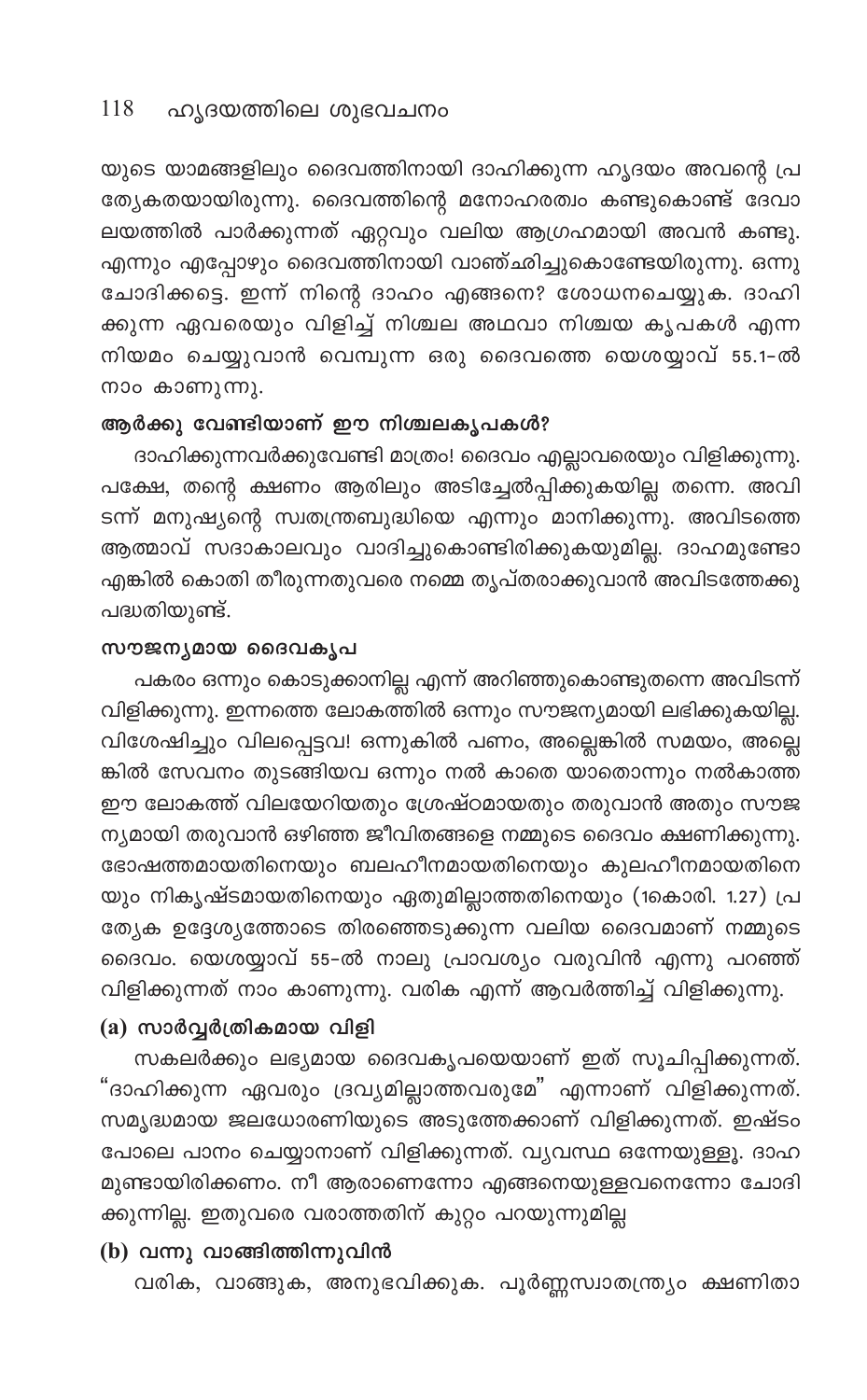യുടെ യാമങ്ങളിലും ദൈവത്തിനായി ദാഹിക്കുന്ന ഹൃദയം അവന്റെ പ്ര ത്യേകതയായിരുന്നു. ദൈവത്തിന്റെ മനോഹരത്വം കണ്ടുകൊണ്ട് ദേവാ ലയത്തിൽ പാർക്കുന്നത് ഏറ്റവും വലിയ ആഗ്രഹമായി അവൻ കണ്ടു. എന്നും എപ്പോഴും ദൈവത്തിനായി വാഞ്ഛിച്ചുകൊണ്ടേയിരുന്നു. ഒന്നു ചോദിക്കട്ടെ. ഇന്ന് നിന്റെ ദാഹം എങ്ങനെ? ശോധനചെയ്യുക. ദാഹി ക്കുന്ന ഏവരെയും വിളിച്ച് നിശ്ചല അഥവാ നിശ്ചയ കൃപകൾ എന്ന നിയമം ചെയ്യുവാൻ വെമ്പുന്ന ഒരു ദൈവത്തെ യെശയ്യാവ് 55.1-ൽ നാം കാണുന്നു.

### ആർക്കു വേണ്ടിയാണ് ഈ നിശ്ചലകൃപകൾ?

ദാഹിക്കുന്നവർക്കുവേണ്ടി മാത്രം! ദൈവം എല്ലാവരെയും വിളിക്കുന്നു. പക്ഷേ, തന്റെ ക്ഷണം ആരിലും അടിച്ചേൽപ്പിക്കുകയില്ല തന്നെ. അവി .<br>ടന്ന് മനുഷ്യന്റെ സ്വതന്ത്രബുദ്ധിയെ എന്നും മാനിക്കുന്നു. അവിടത്തെ ആത്മാവ് സദാകാലവും വാദിച്ചുകൊണ്ടിരിക്കുകയുമില്ല. ദാഹമുണ്ടോ എങ്കിൽ കൊതി തീരുന്നതുവരെ നമ്മെ തൃപ്തരാക്കുവാൻ അവിടത്തേക്കു പദ്ധതിയുണ്ട്.

#### സൗജന്യമായ ദൈവകൃപ

പകരം ഒന്നും കൊടുക്കാനില്ല എന്ന് അറിഞ്ഞുകൊണ്ടുതന്നെ അവിടന്ന് വിളിക്കുന്നു. ഇന്നത്തെ ലോകത്തിൽ ഒന്നും സൗജന്യമായി ലഭിക്കുകയില്ല. വിശേഷിച്ചും വിലപ്പെട്ടവ! ഒന്നുകിൽ പണം, അല്ലെങ്കിൽ സമയം, അല്ലെ ങ്കിൽ സേവനം തുടങ്ങിയവ ഒന്നും നൽ കാതെ യാതൊന്നും നൽകാത്ത ഈ ലോകത്ത് വിലയേറിയതും ശ്രേഷ്ഠമായതും തരുവാൻ അതും സൗജ ന്യമായി തരുവാൻ ഒഴിഞ്ഞ ജീവിതങ്ങളെ നമ്മുടെ ദൈവം ക്ഷണിക്കുന്നു. ഭോഷത്തമായതിനെയും ബലഹീനമായതിനെയും കുലഹീനമായതിനെ യും നികൃഷ്ടമായതിനെയും ഏതുമില്ലാത്തതിനെയും (1കൊരി. 1.27) പ്ര ത്യേക ഉദ്ദേശ്യത്തോടെ തിരഞ്ഞെടുക്കുന്ന വലിയ ദൈവമാണ് നമ്മുടെ ദൈവം. യെശയ്യാവ് 55–ൽ നാലു പ്രാവശ്യം വരുവിൻ എന്നു പറഞ്ഞ് വിളിക്കുന്നത് നാം കാണുന്നു. വരിക എന്ന് ആവർത്തിച്ച് വിളിക്കുന്നു.

# $(a)$  സാർവ്വർത്രികമായ വിളി

സകലർക്കും ലഭ്യമായ ദൈവകൃപയെയാണ് ഇത് സൂചിപ്പിക്കുന്നത്. "ദാഹിക്കുന്ന ഏവരും ദ്രവ്യമില്ലാത്തവരുമേ" എന്നാണ് വിളിക്കുന്നത്. സമൃദ്ധമായ ജലധോരണിയുടെ അടുത്തേക്കാണ് വിളിക്കുന്നത്. ഇഷ്ടം പോലെ പാനം ചെയ്യാനാണ് വിളിക്കുന്നത്. വ്യവസ്ഥ ഒന്നേയുള്ളൂ. ദാഹ മുണ്ടായിരിക്കണം. നീ ആരാണെന്നോ എങ്ങനെയുള്ളവനെന്നോ ചോദി ക്കുന്നില്ല. ഇതുവരെ വരാത്തതിന് കുറ്റം പറയുന്നുമില്ല

# $(b)$  വന്നു വാങ്ങിത്തിന്നുവിൻ

വരിക, വാങ്ങുക, അനുഭവിക്കുക. പൂർണ്ണസ്വാതന്ത്ര്യം ക്ഷണിതാ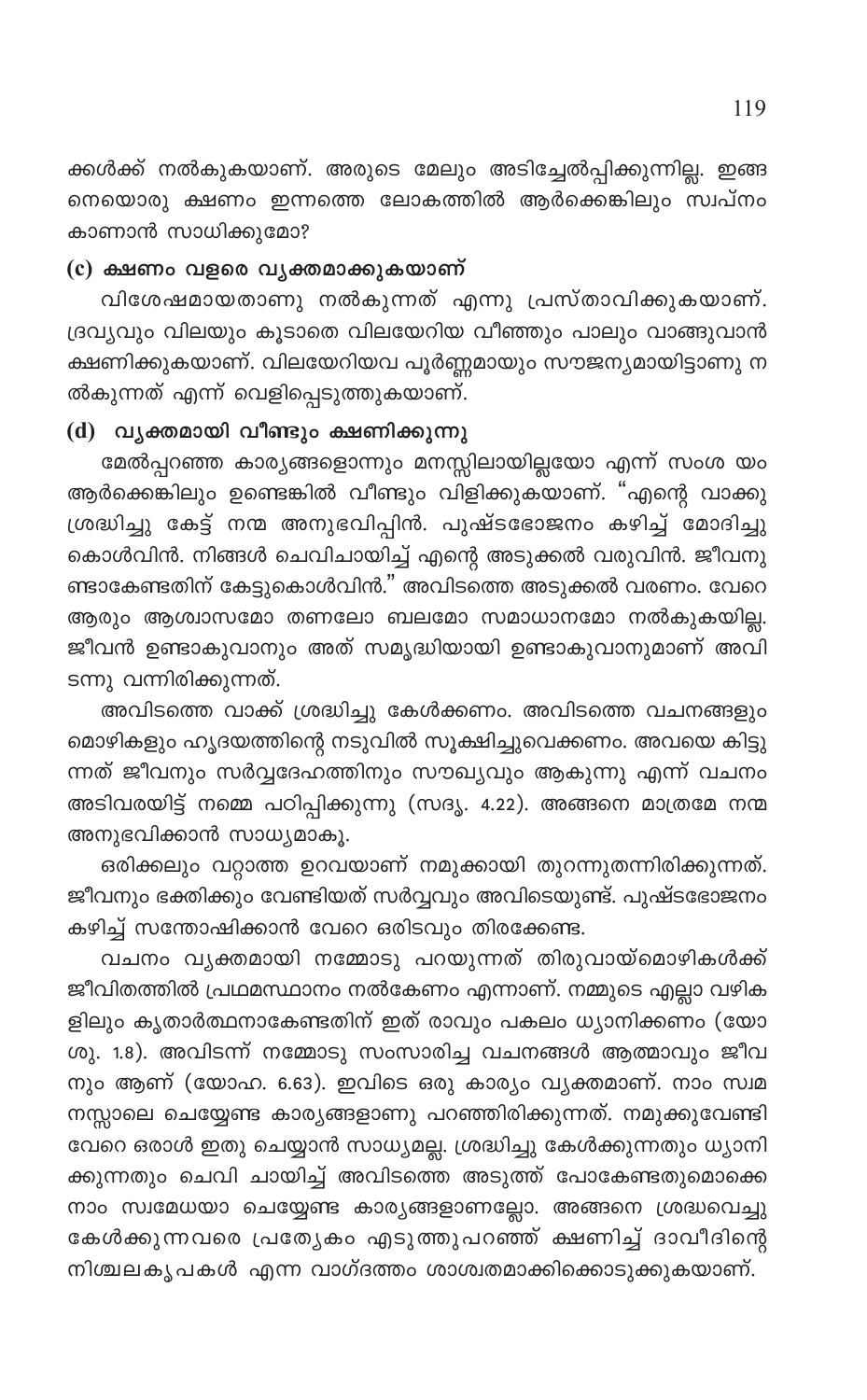ക്കൾക്ക് നൽകുകയാണ്. അരുടെ മേലും അടിച്ചേൽപ്പിക്കുന്നില്ല. ഇങ്ങ നെയൊരു ക്ഷണം ഇന്നത്തെ ലോകത്തിൽ ആർക്കെങ്കിലും സ്വപ്നം കാണാൻ സാധിക്കുമോ?

#### $(c)$  ക്ഷണം വളരെ വൃക്തമാക്കുകയാണ്

വിശേഷമായതാണു നൽകുന്നത് എന്നു പ്രസ്താവിക്കുകയാണ്. ദ്രവ്യവും വിലയും കൂടാതെ വിലയേറിയ വീഞ്ഞും പാലും വാങ്ങുവാൻ ക്ഷണിക്കുകയാണ്. വിലയേറിയവ പൂർണ്ണമായും സൗജന്യമായിട്ടാണു ന ൽകുന്നത് എന്ന് വെളിപ്പെടുത്തുകയാണ്.

# (d) വ്യക്തമായി വീണ്ടും ക്ഷണിക്കുന്നു

മേൽപ്പറഞ്ഞ കാര്യങ്ങളൊന്നും മനസ്സിലായില്ലയോ എന്ന് സംശ യം ആർക്കെങ്കിലും ഉണ്ടെങ്കിൽ വീണ്ടും വിളിക്കുകയാണ്. "എന്റെ വാക്കു ശ്രദ്ധിച്ചു കേട്ട് നന്മ അനുഭവിപ്പിൻ. പുഷ്ടഭോജനം കഴിച്ച് മോദിച്ചു കൊൾവിൻ. നിങ്ങൾ ചെവിചായിച്ച് എന്റെ അടുക്കൽ വരുവിൻ. ജീവനു ണ്ടാകേണ്ടതിന് കേട്ടുകൊൾവിൻ." അവിടത്തെ അടുക്കൽ വരണം. വേറെ ആരും ആശ്വാസമോ തണലോ ബലമോ സമാധാനമോ നൽകുകയില്ല. ജീവൻ ഉണ്ടാകുവാനും അത് സമൃദ്ധിയായി ഉണ്ടാകുവാനുമാണ് അവി ടന്നു വന്നിരിക്കുന്നത്.

അവിടത്തെ വാക്ക് ശ്രദ്ധിച്ചു കേൾക്കണം. അവിടത്തെ വചനങ്ങളും മൊഴികളും ഹൃദയത്തിന്റെ നടുവിൽ സൂക്ഷിച്ചുവെക്കണം. അവയെ കിട്ടു ന്നത് ജീവനും സർവ്വദേഹത്തിനും സൗഖ്യവും ആകുന്നു എന്ന് വചനം അടിവരയിട്ട് നമ്മെ പഠിപ്പിക്കുന്നു (സദൃ. 4.22). അങ്ങനെ മാത്രമേ നന്മ അനുഭവിക്കാൻ സാധ്യമാകൂ.

ഒരിക്കലും വറ്റാത്ത ഉറവയാണ് നമുക്കായി തുറന്നുതന്നിരിക്കുന്നത്. ജീവനും ഭക്തിക്കും വേണ്ടിയത് സർവ്വവും അവിടെയുണ്ട്. പുഷ്ടഭോജനം കഴിച്ച് സന്തോഷിക്കാൻ വേറെ ഒരിടവും തിരക്കേണ്ട.

വചനം വൃക്തമായി നമ്മോടു പറയുന്നത് തിരുവായ്മൊഴികൾക്ക് ജീവിതത്തിൽ പ്രഥമസ്ഥാനം നൽകേണം എന്നാണ്. നമ്മുടെ എല്ലാ വഴിക ളിലും കൃതാർത്ഥനാകേണ്ടതിന് ഇത് രാവും പകലം ധ്യാനിക്കണം (യോ ശു. 1.8). അവിടന്ന് നമ്മോടു സംസാരിച്ച വചനങ്ങൾ ആത്മാവും ജീവ നും ആണ് (യോഹ. 6.63). ഇവിടെ ഒരു കാര്യം വൃക്തമാണ്. നാം സ്വമ നസ്സാലെ ചെയ്യേണ്ട കാര്യങ്ങളാണു പറഞ്ഞിരിക്കുന്നത്. നമുക്കുവേണ്ടി വേറെ ഒരാൾ ഇതു ചെയ്യാൻ സാധ്യമല്ല. ശ്രദ്ധിച്ചു കേൾക്കുന്നതും ധ്യാനി ക്കുന്നതും ചെവി ചായിച്ച് അവിടത്തെ അടുത്ത് പോകേണ്ടതുമൊക്കെ നാം സ്വമേധയാ ചെയ്യേണ്ട കാര്യങ്ങളാണല്ലോ. അങ്ങനെ ശ്രദ്ധവെച്ചു കേൾക്കുന്നവരെ പ്രത്യേകം എടുത്തുപറഞ്ഞ് ക്ഷണിച്ച് ദാവീദിന്റെ നിശ്ചലകൃപകൾ എന്ന വാഗ്ദത്തം ശാശ്വതമാക്കിക്കൊടുക്കുകയാണ്.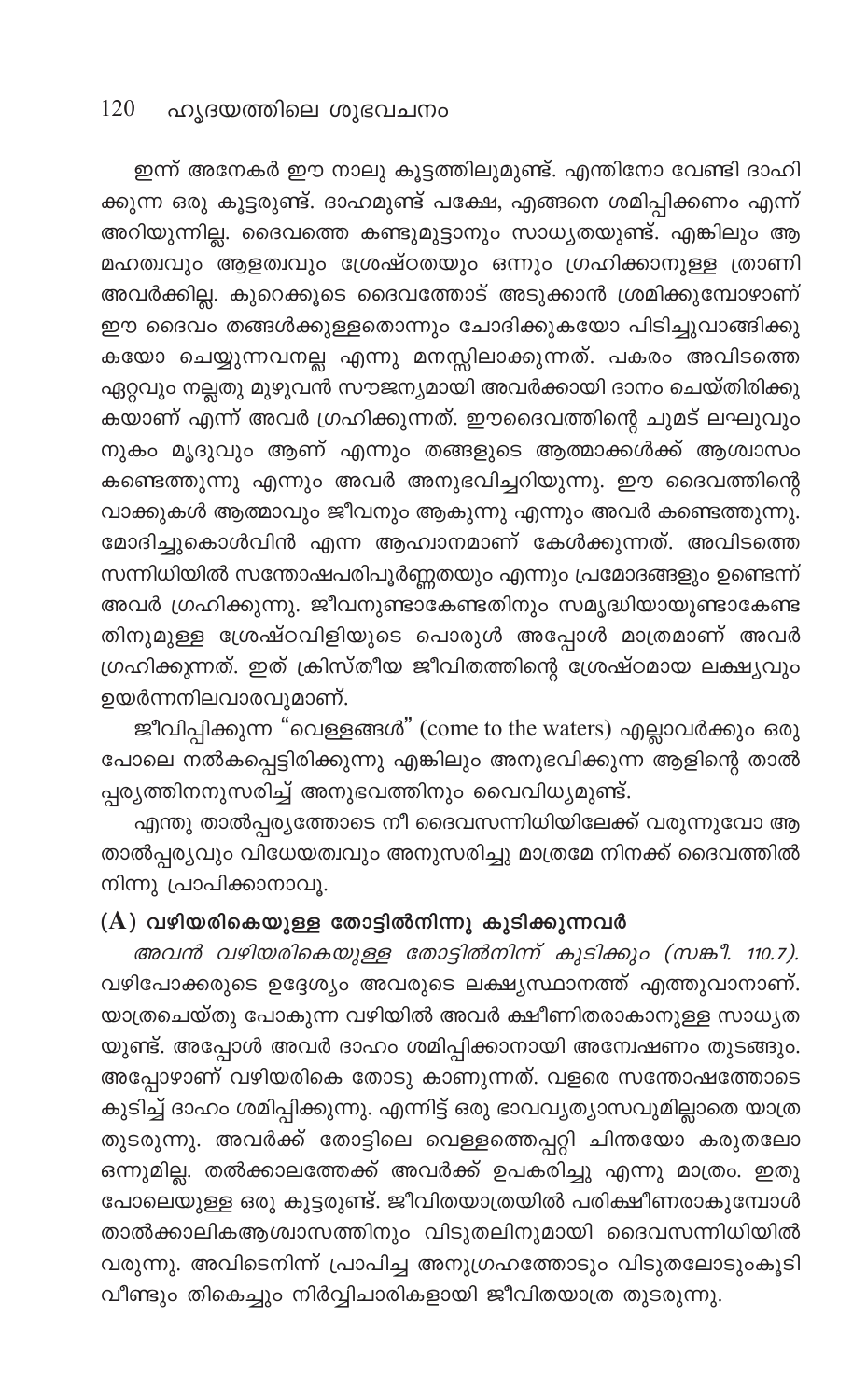ഇന്ന് അനേകർ ഈ നാലു കൂട്ടത്തിലുമുണ്ട്. എന്തിനോ വേണ്ടി ദാഹി ക്കുന്ന ഒരു കൂട്ടരുണ്ട്. ദാഹമുണ്ട് പക്ഷേ, എങ്ങനെ ശമിപ്പിക്കണം എന്ന് അറിയുന്നില്ല. ദൈവത്തെ കണ്ടുമുട്ടാനും സാധ്യതയുണ്ട്. എങ്കിലും ആ മഹത്വവും ആളത്വവും ശ്രേഷ്ഠതയും ഒന്നും ഗ്രഹിക്കാനുള്ള ത്രാണി അവർക്കില്ല. കുറെക്കൂടെ ദൈവത്തോട് അടുക്കാൻ ശ്രമിക്കുമ്പോഴാണ് ഈ ദൈവം തങ്ങൾക്കുള്ളതൊന്നും ചോദിക്കുകയോ പിടിച്ചുവാങ്ങിക്കു .<br>കയോ ചെയ്യുന്നവനല്ല എന്നു മനസ്സിലാക്കുന്നത്. പകരം അവിടത്തെ ഏറ്റവും നല്ലതു മുഴുവൻ സൗജന്യമായി അവർക്കായി ദാനം ചെയ്തിരിക്കു .<br>കയാണ് എന്ന് അവർ ഗ്രഹിക്കുന്നത്. ഈദൈവത്തിന്റെ ചുമട് ലഘുവും നുകം മൃദുവും ആണ് എന്നും തങ്ങളുടെ ആത്മാക്കൾക്ക് ആശ്വാസം കണ്ടെത്തുന്നു എന്നും അവർ അനുഭവിച്ചറിയുന്നു. ഈ ദൈവത്തിന്റെ വാക്കുകൾ ആത്മാവും ജീവനും ആകുന്നു എന്നും അവർ കണ്ടെത്തുന്നു. മോദിച്ചുകൊൾവിൻ എന്ന ആഹ്വാനമാണ് കേൾക്കുന്നത്. അവിടത്തെ സന്നിധിയിൽ സന്തോഷപരിപൂർണ്ണതയും എന്നും പ്രമോദങ്ങളും ഉണ്ടെന്ന് അവർ ഗ്രഹിക്കുന്നു. ജീവനുണ്ടാകേണ്ടതിനും സമൃദ്ധിയായുണ്ടാകേണ്ട തിനുമുള്ള ശ്രേഷ്ഠവിളിയുടെ പൊരുൾ അപ്പോൾ മാത്രമാണ് അവർ ഗ്രഹിക്കുന്നത്. ഇത് ക്രിസ്തീയ ജീവിതത്തിന്റെ ശ്രേഷ്ഠമായ ലക്ഷ്യവും ഉയർന്നനിലവാരവുമാണ്.

ജീവിപ്പിക്കുന്ന "വെള്ളങ്ങൾ" (come to the waters) എല്ലാവർക്കും ഒരു പോലെ നൽകപ്പെട്ടിരിക്കുന്നു എങ്കിലും അനുഭവിക്കുന്ന ആളിന്റെ താൽ പ്പര്യത്തിനനുസരിച്ച് അനുഭവത്തിനും വൈവിധ്യമുണ്ട്.

എന്തു താൽപ്പര്യത്തോടെ നീ ദൈവസന്നിധിയിലേക്ക് വരുന്നുവോ ആ താൽപ്പര്യവും വിധേയത്വവും അനുസരിച്ചു മാത്രമേ നിനക്ക് ദൈവത്തിൽ നിന്നു പ്രാപിക്കാനാവു.

### $(A)$  വഴിയരികെയുള്ള തോട്ടിൽനിന്നു കൂടിക്കുന്നവർ

അവൻ വഴിയരികെയുള്ള തോട്ടിൽനിന്ന് കുടിക്കും (സങ്കീ. 110.7). വഴിപോക്കരുടെ ഉദ്ദേശ്യം അവരുടെ ലക്ഷ്യസ്ഥാനത്ത് എത്തുവാനാണ്. യാത്രചെയ്തു പോകുന്ന വഴിയിൽ അവർ ക്ഷീണിതരാകാനുള്ള സാധൃത യുണ്ട്. അപ്പോൾ അവർ ദാഹം ശമിപ്പിക്കാനായി അമ്പേഷണം തുടങ്ങും. അപ്പോഴാണ് വഴിയരികെ തോടു കാണുന്നത്. വളരെ സന്തോഷത്തോടെ .<br>കുടിച്ച് ദാഹം ശമിപ്പിക്കുന്നു. എന്നിട്ട് ഒരു ഭാവവ്യത്യാസവുമില്ലാതെ യാത്ര തുടരുന്നു. അവർക്ക് തോട്ടിലെ വെള്ളത്തെപ്പറ്റി ചിന്തയോ കരുതലോ ഒന്നുമില്ല. തൽക്കാലത്തേക്ക് അവർക്ക് ഉപകരിച്ചു എന്നു മാത്രം. ഇതു .<br>വോലെയുള്ള ഒരു കൂട്ടരുണ്ട്. ജീവിതയാത്രയിൽ പരിക്ഷീണരാകുമ്പോൾ താൽക്കാലികആശ്വാസത്തിനും വിടുതലിനുമായി ദൈവസന്നിധിയിൽ വരുന്നു. അവിടെനിന്ന് പ്രാപിച്ച അനുഗ്രഹത്തോടും വിടുതലോടുംകൂടി വീണ്ടും തികെച്ചും നിർവ്വിചാരികളായി ജീവിതയാത്ര തുടരുന്നു.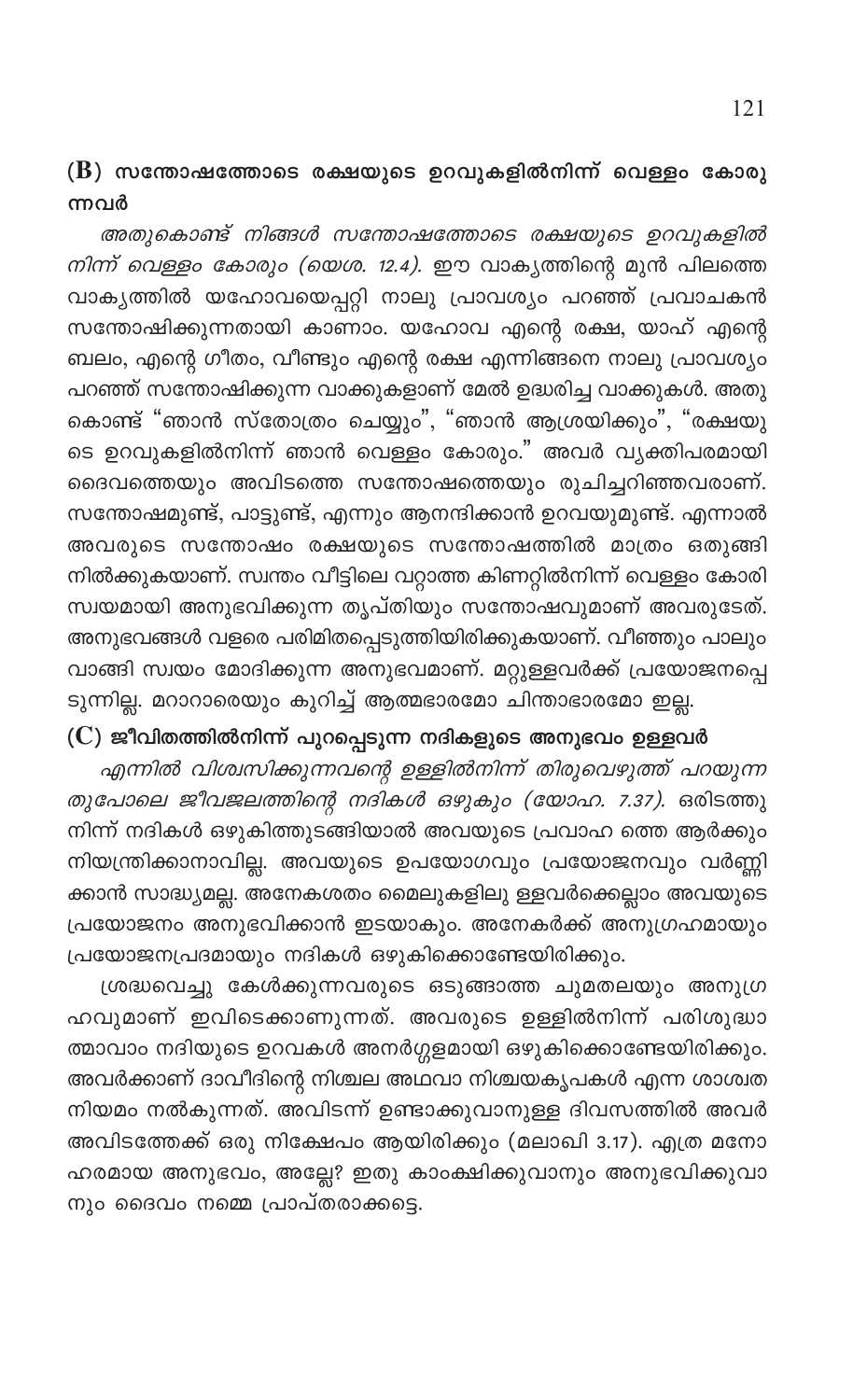# $(B)$  സന്തോഷത്തോടെ രക്ഷയുടെ ഉറവുകളിൽനിന്ന് വെള്ളം കോരു ന്നവർ

അതുകൊണ്ട് നിങ്ങൾ സന്തോഷത്തോടെ രക്ഷയുടെ ഉറവുകളിൽ *നിന്ന് വെള്ളം കോരും (യെശ. 12.4).* ഈ വാകൃത്തിന്റെ മുൻ പിലത്തെ വാകൃത്തിൽ യഹോവയെപ്പറ്റി നാലു പ്രാവശ്യം പറഞ്ഞ് പ്രവാചകൻ സന്തോഷിക്കുന്നതായി കാണാം. യഹോവ എന്റെ രക്ഷ, യാഹ് എന്റെ ബലം, എന്റെ ഗീതം, വീണ്ടും എന്റെ രക്ഷ എന്നിങ്ങനെ നാലു പ്രാവശ്യം പറഞ്ഞ് സന്തോഷിക്കുന്ന വാക്കുകളാണ് മേൽ ഉദ്ധരിച്ച വാക്കുകൾ. അതു .<br>കൊണ്ട് "ഞാൻ സ്തോത്രം ചെയ്യും", "ഞാൻ ആശ്രയിക്കും", "രക്ഷയു ടെ ഉറവുകളിൽനിന്ന് ഞാൻ വെള്ളം കോരും." അവർ വ്യക്തിപരമായി ദൈവത്തെയും അവിടത്തെ സന്തോഷത്തെയും രുചിച്ചറിഞ്ഞവരാണ്. സന്തോഷമുണ്ട്, പാട്ടുണ്ട്, എന്നും ആനന്ദിക്കാൻ ഉറവയുമുണ്ട്. എന്നാൽ അവരുടെ സന്തോഷം രക്ഷയുടെ സന്തോഷത്തിൽ മാത്രം ഒതുങ്ങി നിൽക്കുകയാണ്. സ്വന്തം വീട്ടിലെ വറ്റാത്ത കിണറ്റിൽനിന്ന് വെള്ളം കോരി സ്വയമായി അനുഭവിക്കുന്ന തൃപ്തിയും സന്തോഷവുമാണ് അവരുടേത്. അനുഭവങ്ങൾ വളരെ പരിമിതപ്പെടുത്തിയിരിക്കുകയാണ്. വീഞ്ഞും പാലും വാങ്ങി സ്വയം മോദിക്കുന്ന അനുഭവമാണ്. മറ്റുള്ളവർക്ക് പ്രയോജനപ്പെ ടുന്നില്ല. മറാറാരെയും കുറിച്ച് ആത്മഭാരമോ ചിന്താഭാരമോ ഇല്ല.

# $(C)$  ജീവിതത്തിൽനിന്ന് പുറപ്പെടുന്ന നദികളുടെ അനുഭവം ഉള്ളവർ

എന്നിൽ വിശ്വസിക്കുന്നവന്റെ ഉള്ളിൽനിന്ന് തിരുവെഴുത്ത് പറയുന്ന തുപോലെ ജീവജലത്തിന്റെ നദികൾ ഒഴുകും (യോഹ. 7.37). ഒരിടത്തു നിന്ന് നദികൾ ഒഴുകിത്തുടങ്ങിയാൽ അവയുടെ പ്രവാഹ ത്തെ ആർക്കും നിയന്ത്രിക്കാനാവില്ല. അവയുടെ ഉപയോഗവും പ്രയോജനവും വർണ്ണി ക്കാൻ സാദ്ധ്യമല്ല. അനേകശതം മൈലുകളിലു ള്ളവർക്കെല്ലാം അവയുടെ പ്രയോജനം അനുഭവിക്കാൻ ഇടയാകും. അനേകർക്ക് അനുഗ്രഹമായും പ്രയോജനപ്രദമായും നദികൾ ഒഴുകിക്കൊണ്ടേയിരിക്കും.

ശ്രദ്ധവെച്ചു കേൾക്കുന്നവരുടെ ഒടുങ്ങാത്ത ചുമതലയും അനുഗ്ര ഹവുമാണ് ഇവിടെക്കാണുന്നത്. അവരുടെ ഉള്ളിൽനിന്ന് പരിശുദ്ധാ ത്മാവാം നദിയുടെ ഉറവകൾ അനർഗ്ഗളമായി ഒഴുകിക്കൊണ്ടേയിരിക്കും. .<br>അവർക്കാണ് ദാവീദിന്റെ നിശ്ചല അഥവാ നിശ്ചയകൃപകൾ എന്ന ശാശ്വത നിയമം നൽകുന്നത്. അവിടന്ന് ഉണ്ടാക്കുവാനുള്ള ദിവസത്തിൽ അവർ അവിടത്തേക്ക് ഒരു നിക്ഷേപം ആയിരിക്കും (മലാഖി 3.17). എത്ര മനോ ഹരമായ അനുഭവം, അല്ലേ? ഇതു കാംക്ഷിക്കുവാനും അനുഭവിക്കുവാ നും ദൈവം നമ്മെ പ്രാപ്തരാക്കട്ടെ.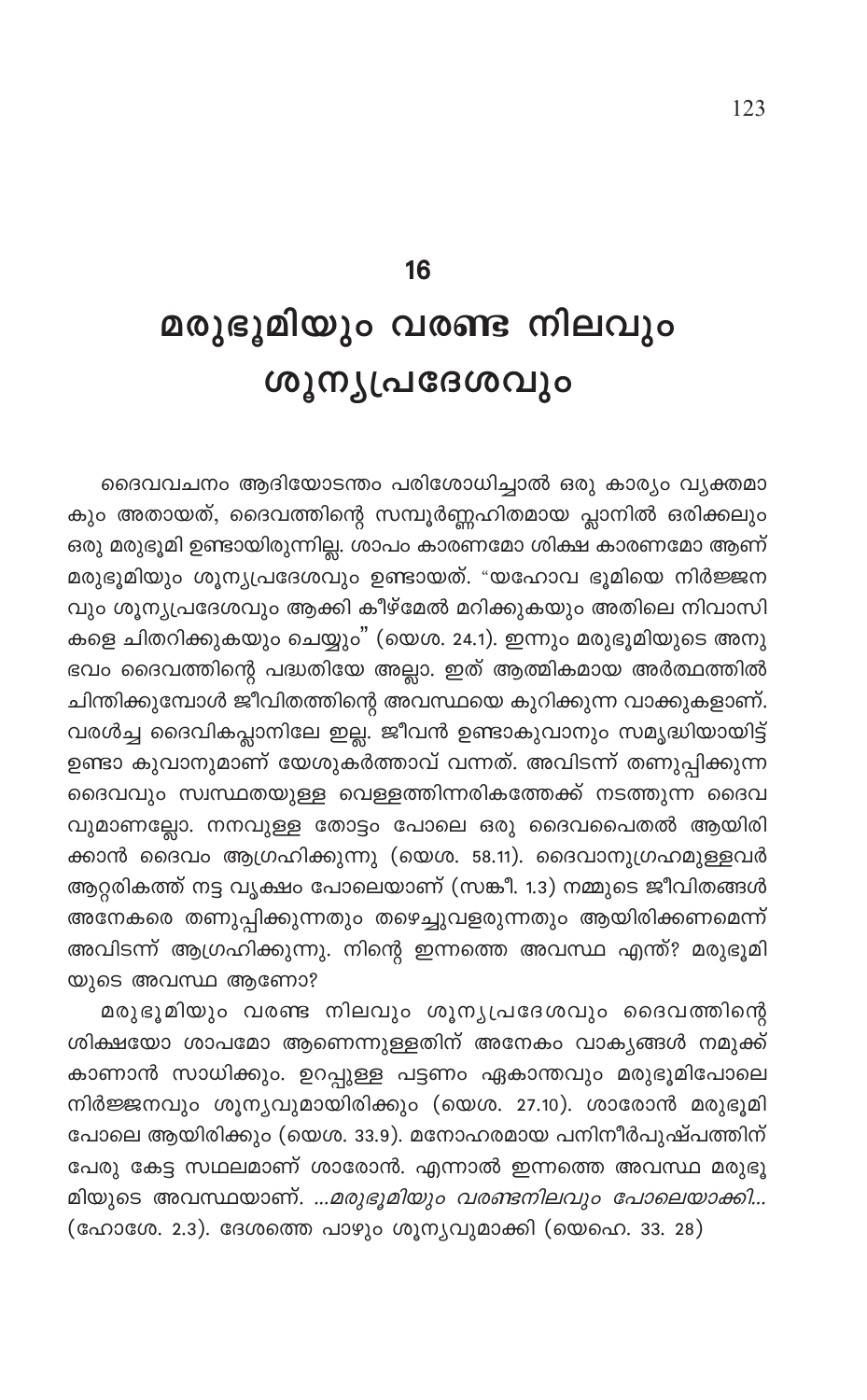# 16

# മരുഭൂമിയും വരണ്ട നിലവും ശൂനൃപ്രദേശവും

ദൈവവചനം ആദിയോടന്തം പരിശോധിച്ചാൽ ഒരു കാര്യം വ്യക്തമാ കും അതായത്, ദൈവത്തിന്റെ സമ്പൂർണ്ണഹിതമായ പ്ലാനിൽ ഒരിക്കലും ഒരു മരുഭൂമി ഉണ്ടായിരുന്നില്ല. ശാപം കാരണമോ ശിക്ഷ കാരണമോ ആണ് മരുഭൂമിയും ശൂന്യപ്രദേശവും ഉണ്ടായത്. "യഹോവ ഭൂമിയെ നിർജ്ജന വും ശൂന്യപ്രദേശവും ആക്കി കീഴ്മേൽ മറിക്കുകയും അതിലെ നിവാസി കളെ ചിതറിക്കുകയും ചെയ്യും" (യെശ. 24.1). ഇന്നും മരുഭൂമിയുടെ അനു ഭവം ദൈവത്തിന്റെ പദ്ധതിയേ അല്ലാ. ഇത് ആത്മികമായ അർത്ഥത്തിൽ ചിന്തിക്കുമ്പോൾ ജീവിതത്തിന്റെ അവസ്ഥയെ കുറിക്കുന്ന വാക്കുകളാണ്. വരൾച്ച ദൈവികപ്ലാനിലേ ഇല്ല. ജീവൻ ഉണ്ടാകുവാനും സമൃദ്ധിയായിട്ട് ഉണ്ടാ കുവാനുമാണ് യേശുകർത്താവ് വന്നത്. അവിടന്ന് തണുപ്പിക്കുന്ന ദൈവവും സ്വസ്ഥതയുള്ള വെള്ളത്തിന്നരികത്തേക്ക് നടത്തുന്ന ദൈവ വുമാണല്ലോ. നനവുള്ള തോട്ടം പോലെ ഒരു ദൈവപൈതൽ ആയിരി ക്കാൻ ദൈവം ആഗ്രഹിക്കുന്നു (യെശ. 58.11). ദൈവാനുഗ്രഹമുള്ളവർ ആറ്റരികത്ത് നട്ട വൃക്ഷം പോലെയാണ് (സങ്കീ. 1.3) നമ്മുടെ ജീവിതങ്ങൾ അനേകരെ തണുപ്പിക്കുന്നതും തഴെച്ചുവളരുന്നതും ആയിരിക്കണമെന്ന് അവിടന്ന് ആഗ്രഹിക്കുന്നു. നിന്റെ ഇന്നത്തെ അവസ്ഥ എന്ത്? മരുഭൂമി യുടെ അവസ്ഥ ആണോ?

മരുഭൂമിയും വരണ്ട നിലവും ശൂന്യപ്രദേശവും ദൈവത്തിന്റെ ശിക്ഷയോ ശാപമോ ആണെന്നുള്ളതിന് അനേകം വാകൃങ്ങൾ നമുക്ക് കാണാൻ സാധിക്കും. ഉറപ്പുള്ള പട്ടണം ഏകാന്തവും മരുഭൂമിപോലെ നിർജ്ജനവും ശൂന്യവുമായിരിക്കും (യെശ. 27.10). ശാരോൻ മരുഭൂമി പോലെ ആയിരിക്കും (യെശ. 33.9). മനോഹരമായ പനിനീർപുഷ്പത്തിന് പേരു കേട്ട സഥലമാണ് ശാരോൻ. എന്നാൽ ഇന്നത്തെ അവസ്ഥ മരുഭൂ മിയുടെ അവസ്ഥയാണ്. ..*.മരുഭൂമിയും വരണ്ടനിലവും പോലെയാക്കി...* (ഹോശേ. 2.3). ദേശത്തെ പാഴും ശൂനൃവുമാക്കി (യെഹെ. 33. 28)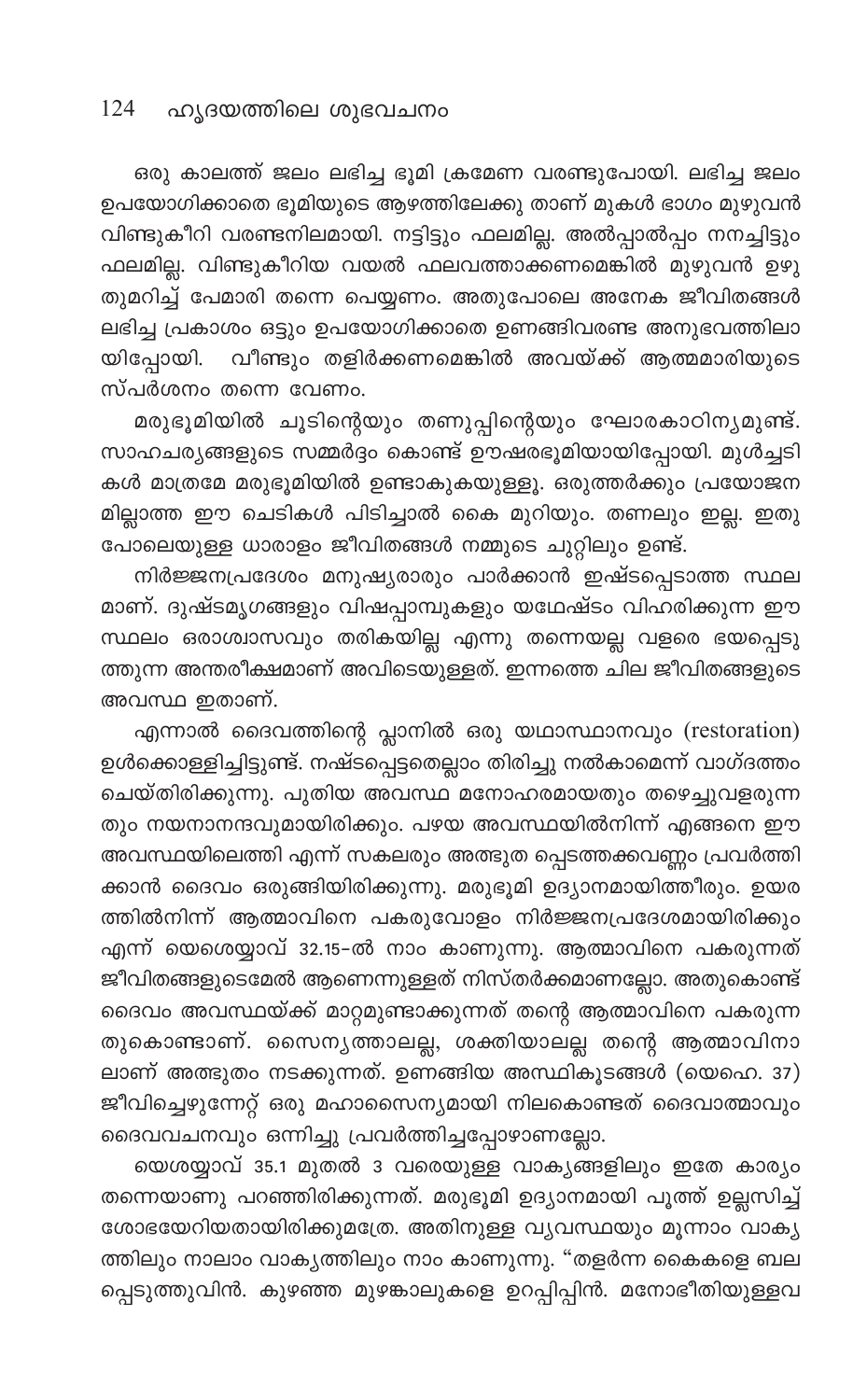ഒരു കാലത്ത് ജലം ലഭിച്ച ഭൂമി ക്രമേണ വരണ്ടുപോയി. ലഭിച്ച ജലം ഉപയോഗിക്കാതെ ഭൂമിയുടെ ആഴത്തിലേക്കു താണ് മുകൾ ഭാഗം മുഴുവൻ വിണ്ടുകീറി വരണ്ടനിലമായി. നട്ടിട്ടും ഫലമില്ല. അൽപ്പാൽപ്പം നനച്ചിട്ടും .<br>ഫലമില്ല. വിണ്ടുകീറിയ വയൽ ഫലവത്താക്കണമെങ്കിൽ മുഴുവൻ ഉഴു തുമറിച്ച് പേമാരി തന്നെ പെയ്യണം. അതുപോലെ അനേക ജീവിതങ്ങൾ ലഭിച്ച പ്രകാശം ഒട്ടും ഉപയോഗിക്കാതെ ഉണങ്ങിവരണ്ട അനുഭവത്തിലാ യിപ്പോയി. വീണ്ടും തളിർക്കണമെങ്കിൽ അവയ്ക്ക് ആത്മമാരിയുടെ സ്പർശനം തന്നെ വേണം.

മരുഭൂമിയിൽ ചൂടിന്റെയും തണുപ്പിന്റെയും ഘോരകാഠിന്യമുണ്ട്. സാഹചര്യങ്ങളുടെ സമ്മർദ്ദം കൊണ്ട് ഊഷരഭൂമിയായിപ്പോയി. മുൾച്ചടി കൾ മാത്രമേ മരുഭൂമിയിൽ ഉണ്ടാകുകയുള്ളൂ. ഒരുത്തർക്കും പ്രയോജന മില്ലാത്ത ഈ ചെടികൾ പിടിച്ചാൽ കൈ മുറിയും. തണലും ഇല്ല. ഇതു പോലെയുള്ള ധാരാളം ജീവിതങ്ങൾ നമ്മുടെ ചുറ്റിലും ഉണ്ട്.

നിർജ്ജനപ്രദേശം മനുഷ്യരാരും പാർക്കാൻ ഇഷ്ടപ്പെടാത്ത സ്ഥല മാണ്. ദുഷ്ടമൃഗങ്ങളും വിഷപ്പാമ്പുകളും യഥേഷ്ടം വിഹരിക്കുന്ന ഈ സ്ഥലം ഒരാശ്വാസവും തരികയില്ല എന്നു തന്നെയല്ല വളരെ ഭയപ്പെടു .<br>ത്തുന്ന അന്തരീക്ഷമാണ് അവിടെയുള്ളത്. ഇന്നത്തെ ചില ജീവിതങ്ങളുടെ അവസ്ഥ ഇതാണ്.

എന്നാൽ ദൈവത്തിന്റെ പ്ലാനിൽ ഒരു യഥാസ്ഥാനവും (restoration) ഉൾക്കൊള്ളിച്ചിട്ടുണ്ട്. നഷ്ടപ്പെട്ടതെല്ലാം തിരിച്ചു നൽകാമെന്ന് വാഗ്ദത്തം ചെയ്തിരിക്കുന്നു. പുതിയ അവസ്ഥ മനോഹരമായതും തഴെച്ചുവളരുന്ന തും നയനാനന്ദവുമായിരിക്കും. പഴയ അവസ്ഥയിൽനിന്ന് എങ്ങനെ ഈ അവസ്ഥയിലെത്തി എന്ന് സകലരും അത്ഭുത പ്പെടത്തക്കവണ്ണം പ്രവർത്തി ക്കാൻ ദൈവം ഒരുങ്ങിയിരിക്കുന്നു. മരുഭൂമി ഉദ്യാനമായിത്തീരും. ഉയര ത്തിൽനിന്ന് ആത്മാവിനെ പകരുവോളം നിർജ്ജനപ്രദേശമായിരിക്കും എന്ന് യെശെയ്യാവ് 32.15–ൽ നാം കാണുന്നു. ആത്മാവിനെ പകരുന്നത് ജീവിതങ്ങളുടെമേൽ ആണെന്നുള്ളത് നിസ്തർക്കമാണല്ലോ. അതുകൊണ്ട് ദൈവം അവസ്ഥയ്ക്ക് മാറ്റമുണ്ടാക്കുന്നത് തന്റെ ആത്മാവിനെ പകരുന്ന തുകൊണ്ടാണ്. സൈന്യത്താലല്ല, ശക്തിയാലല്ല തന്റെ ആത്മാവിനാ ലാണ് അത്ഭുതം നടക്കുന്നത്. ഉണങ്ങിയ അസ്ഥികൂടങ്ങൾ (യെഹെ. 37) ജീവിച്ചെഴുന്നേറ്റ് ഒരു മഹാസൈന്യമായി നിലകൊണ്ടത് ദൈവാത്മാവും ദൈവവചനവും ഒന്നിച്ചു പ്രവർത്തിച്ചപ്പോഴാണല്ലോ.

യെശയ്യാവ് 35.1 മുതൽ 3 വരെയുള്ള വാകൃങ്ങളിലും ഇതേ കാര്യം തന്നെയാണു പറഞ്ഞിരിക്കുന്നത്. മരുഭൂമി ഉദ്യാനമായി പൂത്ത് ഉല്ലസിച്ച് ശോഭയേറിയതായിരിക്കുമത്രേ. അതിനുള്ള വ്യവസ്ഥയും മൂന്നാം വാകൃ ത്തിലും നാലാം വാകൃത്തിലും നാം കാണുന്നു. "തളർന്ന കൈകളെ ബല പ്പെടുത്തുവിൻ. കുഴഞ്ഞ മുഴങ്കാലുകളെ ഉറപ്പിപ്പിൻ. മനോഭീതിയുള്ളവ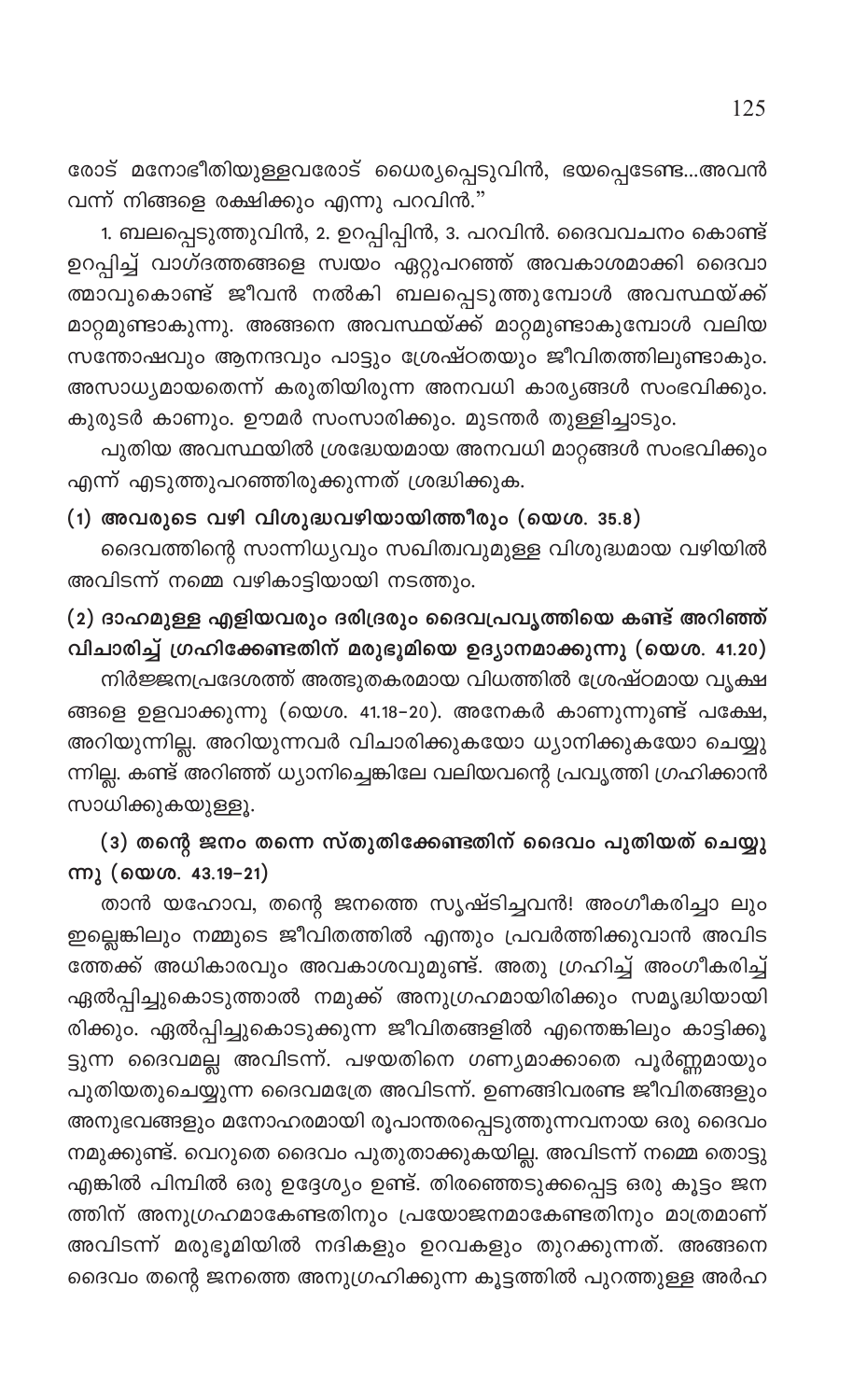രോട് മനോഭീതിയുള്ളവരോട് ധൈര്യപ്പെടുവിൻ, ഭയപ്പെടേണ്ട...അവൻ വന്ന് നിങ്ങളെ രക്ഷിക്കും എന്നു പറവിൻ."

1. ബലപ്പെടുത്തുവിൻ, 2. ഉറപ്പിപ്പിൻ, 3. പറവിൻ. ദൈവവചനം കൊണ്ട് ഉറപ്പിച്ച് വാഗ്ദത്തങ്ങളെ സ്വയം ഏറ്റുപറഞ്ഞ് അവകാശമാക്കി ദൈവാ മാറ്റമുണ്ടാകുന്നു. അങ്ങനെ അവസ്ഥയ്ക്ക് മാറ്റമുണ്ടാകുമ്പോൾ വലിയ സന്തോഷവും ആനന്ദവും പാട്ടും ശ്രേഷ്ഠതയും ജീവിതത്തിലുണ്ടാകും. അസാധ്യമായതെന്ന് കരുതിയിരുന്ന അനവധി കാര്യങ്ങൾ സംഭവിക്കും. കുരുടർ കാണും. ഊമർ സംസാരിക്കും. മുടന്തർ തുള്ളിച്ചാടും.

പുതിയ അവസ്ഥയിൽ ശ്രദ്ധേയമായ അനവധി മാറ്റങ്ങൾ സംഭവിക്കും എന്ന് എടുത്തുപറഞ്ഞിരുക്കുന്നത് ശ്രദ്ധിക്കുക.

### (1) അവരുടെ വഴി വിശുദ്ധവഴിയായിത്തീരും (യെശ. 35.8)

ദൈവത്തിന്റെ സാന്നിധ്യവും സഖിത്വവുമുള്ള വിശുദ്ധമായ വഴിയിൽ അവിടന്ന് നമ്മെ വഴികാട്ടിയായി നടത്തും.

# (2) ദാഹമുള്ള എളിയവരും ദരിദ്രരും ദൈവപ്രവൃത്തിയെ കണ്ട് അറിഞ്ഞ് വിചാരിച്ച് ഗ്രഹിക്കേണ്ടതിന് മരുഭൂമിയെ ഉദ്യാനമാക്കുന്നു (യെശ. 41.20)

നിർജ്ജനപ്രദേശത്ത് അത്ഭുതകരമായ വിധത്തിൽ ശ്രേഷ്ഠമായ വൃക്ഷ ങ്ങളെ ഉളവാക്കുന്നു (യെശ. 41.18–20). അനേകർ കാണുന്നുണ്ട് പക്ഷേ, അറിയുന്നില്ല. അറിയുന്നവർ വിചാരിക്കുകയോ ധ്യാനിക്കുകയോ ചെയ്യു .<br>ന്നില്ല. കണ്ട് അറിഞ്ഞ് ധ്യാനിച്ചെങ്കിലേ വലിയവന്റെ പ്രവൃത്തി ഗ്രഹിക്കാൻ സാധിക്കുകയുള്ളൂ.

# (3) തന്റെ ജനം തന്നെ സ്തുതിക്കേണ്ടതിന് ദൈവം പുതിയത് ചെയ്യു ന്നു (യെശ. 43.19-21)

താൻ യഹോവ, തന്റെ ജനത്തെ സൃഷ്ടിച്ചവൻ! അംഗീകരിച്ചാ ലും ഇല്ലെങ്കിലും നമ്മുടെ ജീവിതത്തിൽ എന്തും പ്രവർത്തിക്കുവാൻ അവിട ത്തേക്ക് അധികാരവും അവകാശവുമുണ്ട്. അതു ഗ്രഹിച്ച് അംഗീകരിച്ച് ഏൽപ്പിച്ചുകൊടുത്താൽ നമുക്ക് അനുഗ്രഹമായിരിക്കും സമൃദ്ധിയായി രിക്കും. ഏൽപ്പിച്ചുകൊടുക്കുന്ന ജീവിതങ്ങളിൽ എന്തെങ്കിലും കാട്ടിക്കൂ ട്ടുന്ന ദൈവമല്ല അവിടന്ന്. പഴയതിനെ ഗണ്യമാക്കാതെ പൂർണ്ണമായും പുതിയതുചെയ്യുന്ന ദൈവമത്രേ അവിടന്ന്. ഉണങ്ങിവരണ്ട ജീവിതങ്ങളും അനുഭവങ്ങളും മനോഹരമായി രൂപാന്തരപ്പെടുത്തുന്നവനായ ഒരു ദൈവം നമുക്കുണ്ട്. വെറുതെ ദൈവം പുതുതാക്കുകയില്ല. അവിടന്ന് നമ്മെ തൊട്ടു എങ്കിൽ പിമ്പിൽ ഒരു ഉദ്ദേശ്യം ഉണ്ട്. തിരഞ്ഞെടുക്കപ്പെട്ട ഒരു കൂട്ടം ജന ത്തിന് അനുഗ്രഹമാകേണ്ടതിനും പ്രയോജനമാകേണ്ടതിനും മാത്രമാണ് അവിടന്ന് മരുഭൂമിയിൽ നദികളും ഉറവകളും തുറക്കുന്നത്. അങ്ങനെ ദൈവം തന്റെ ജനത്തെ അനുഗ്രഹിക്കുന്ന കൂട്ടത്തിൽ പുറത്തുള്ള അർഹ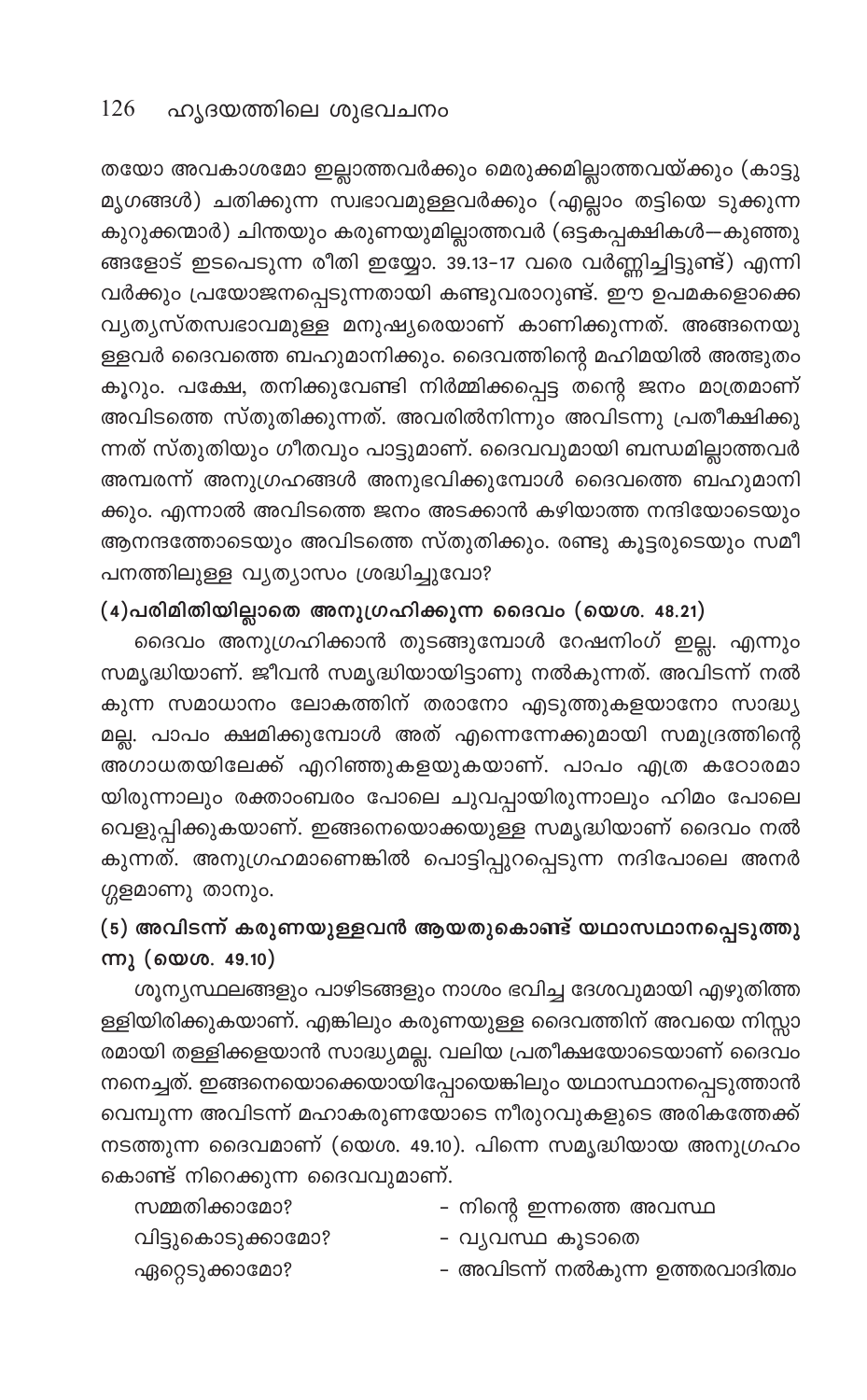തയോ അവകാശമോ ഇല്ലാത്തവർക്കും മെരുക്കമില്ലാത്തവയ്ക്കും (കാട്ടു മൃഗങ്ങൾ) ചതിക്കുന്ന സ്വഭാവമുള്ളവർക്കും (എല്ലാം തട്ടിയെ ടുക്കുന്ന കുറുക്കന്മാർ) ചിന്തയും കരുണയുമില്ലാത്തവർ (ഒട്ടകപ്പക്ഷികൾ—കുഞ്ഞു ങ്ങളോട് ഇടപെടുന്ന രീതി ഇയ്യോ. 39.13–17 വരെ വർണ്ണിച്ചിട്ടുണ്ട്) എന്നി വർക്കും പ്രയോജനപ്പെടുന്നതായി കണ്ടുവരാറുണ്ട്. ഈ ഉപമകളൊക്കെ വ്യത്യസ്തസ്വഭാവമുള്ള മനുഷ്യരെയാണ് കാണിക്കുന്നത്. അങ്ങനെയു ള്ളവർ ദൈവത്തെ ബഹുമാനിക്കും. ദൈവത്തിന്റെ മഹിമയിൽ അത്ഭുതം കൂറും. പക്ഷേ, തനിക്കുവേണ്ടി നിർമ്മിക്കപ്പെട്ട തന്റെ ജനം മാത്രമാണ് അവിടത്തെ സ്തുതിക്കുന്നത്. അവരിൽനിന്നും അവിടന്നു പ്രതീക്ഷിക്കു ന്നത് സ്തുതിയും ഗീതവും പാട്ടുമാണ്. ദൈവവുമായി ബന്ധമില്ലാത്തവർ അമ്പരന്ന് അനുഗ്രഹങ്ങൾ അനുഭവിക്കുമ്പോൾ ദൈവത്തെ ബഹുമാനി ക്കും. എന്നാൽ അവിടത്തെ ജനം അടക്കാൻ കഴിയാത്ത നന്ദിയോടെയും ആനന്ദത്തോടെയും അവിടത്തെ സ്തുതിക്കും. രണ്ടു കൂട്ടരുടെയും സമീ പനത്തിലുള്ള വ്യത്യാസം ശ്രദ്ധിച്ചുവോ?

#### (4)പരിമിതിയില്ലാതെ അനുഗ്രഹിക്കുന്ന ദൈവം (യെശ. 48.21)

ദൈവം അനുഗ്രഹിക്കാൻ തുടങ്ങുമ്പോൾ റേഷനിംഗ് ഇല്ല. എന്നും സമൃദ്ധിയാണ്. ജീവൻ സമൃദ്ധിയായിട്ടാണു നൽകുന്നത്. അവിടന്ന് നൽ കുന്ന സമാധാനം ലോകത്തിന് തരാനോ എടുത്തുകളയാനോ സാദ്ധ്യ മല്ല. പാപം ക്ഷമിക്കുമ്പോൾ അത് എന്നെന്നേക്കുമായി സമുദ്രത്തിന്റെ അഗാധതയിലേക്ക് എറിഞ്ഞുകളയുകയാണ്. പാപം എത്ര കഠോരമാ യിരുന്നാലും രക്താംബരം പോലെ ചുവപ്പായിരുന്നാലും ഹിമം പോലെ വെളുപ്പിക്കുകയാണ്. ഇങ്ങനെയൊക്കയുള്ള സമൃദ്ധിയാണ് ദൈവം നൽ കുന്നത്. അനുഗ്രഹമാണെങ്കിൽ പൊട്ടിപ്പുറപ്പെടുന്ന നദിപോലെ അനർ ഗ്ഗളമാണു താനും.

# (5) അവിടന്ന് കരുണയുള്ളവൻ ആയതുകൊണ്ട് യഥാസഥാനപ്പെടുത്തു ന്നു (യെശ. 49.10)

ശൂന്യസ്ഥലങ്ങളും പാഴിടങ്ങളും നാശം ഭവിച്ച ദേശവുമായി എഴുതിത്ത ള്ളിയിരിക്കുകയാണ്. എങ്കിലും കരുണയുള്ള ദൈവത്തിന് അവയെ നിസ്സാ രമായി തള്ളിക്കളയാൻ സാദ്ധ്യമല്ല. വലിയ പ്രതീക്ഷയോടെയാണ് ദൈവം നനെച്ചത്. ഇങ്ങനെയൊക്കെയായിപ്പോയെങ്കിലും യഥാസ്ഥാനപ്പെടുത്താൻ വെമ്പുന്ന അവിടന്ന് മഹാകരുണയോടെ നീരുറവുകളുടെ അരികത്തേക്ക് നടത്തുന്ന ദൈവമാണ് (യെശ. 49.10). പിന്നെ സമൃദ്ധിയായ അനുഗ്രഹം കൊണ്ട് നിറെക്കുന്ന ദൈവവുമാണ്.

| സമ്മതിക്കാമോ? |  | – നിന്റെ ഇന്നത്തെ അവസ്ഥ |  |
|---------------|--|-------------------------|--|
|               |  |                         |  |

വിട്ടുകൊടുക്കാമോ? – വ്യവസ്ഥ കൂടാതെ - അവിടന്ന് നൽകുന്ന ഉത്തരവാദിത്വം ഏറ്റെടുക്കാമോ?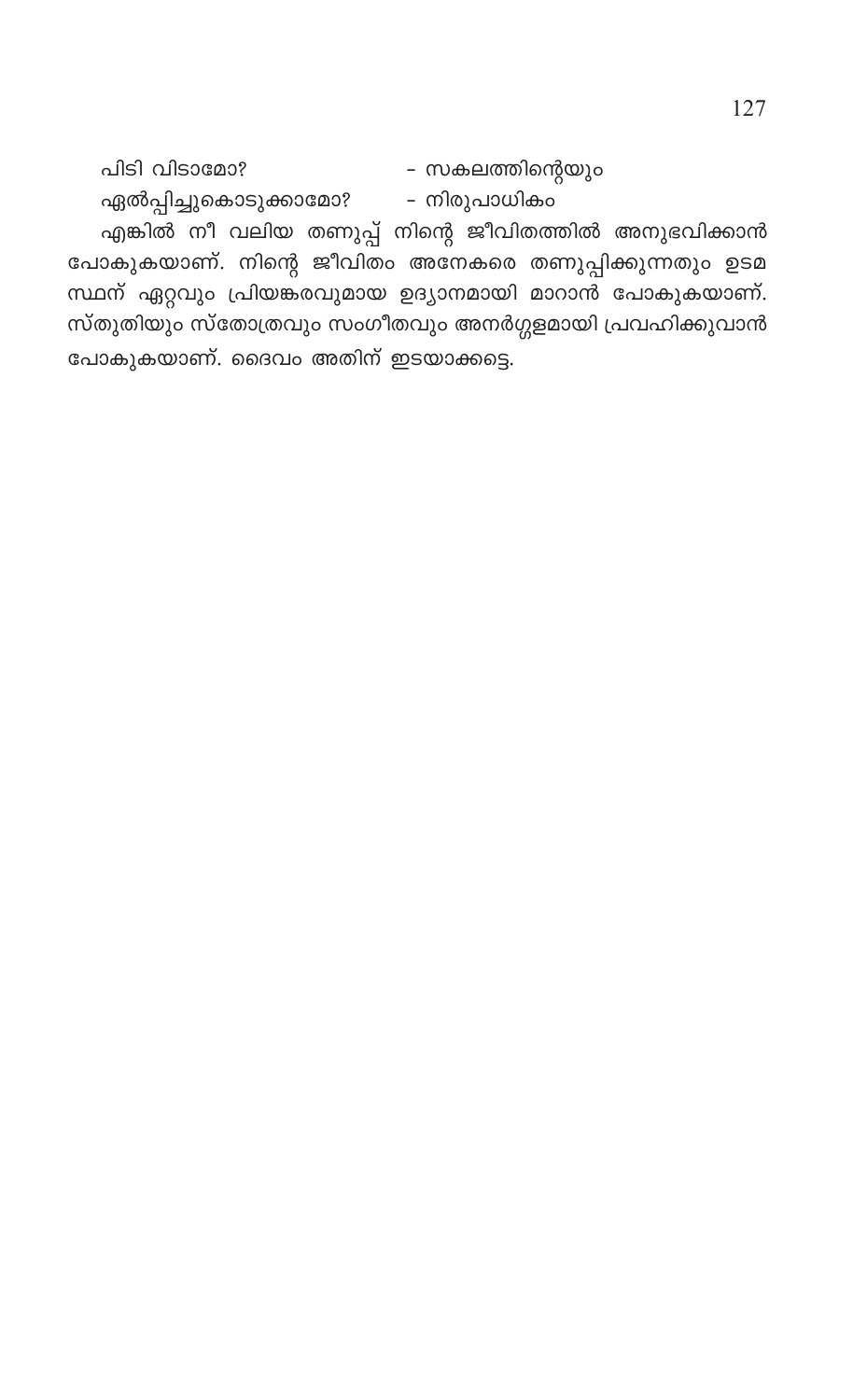പിടി വിടാമോ? – സകലത്തിന്റെയും .\_.\_. \_\_\_\_\_\_\_.<br>ഏൽപ്പിച്ചുകൊടുക്കാമോ? നിരുപാധികം എങ്കിൽ നീ വലിയ തണുപ്പ് നിന്റെ ജീവിതത്തിൽ അനുഭവിക്കാൻ പോകുകയാണ്. നിന്റെ ജീവിതം അനേകരെ തണുപ്പിക്കുന്നതും ഉടമ സ്ഥന് ഏറ്റവും പ്രിയങ്കരവുമായ ഉദ്യാനമായി മാറാൻ പോകുകയാണ്. സ്തുതിയും സ്തോത്രവും സംഗീതവും അനർഗ്ഗളമായി പ്രവഹിക്കുവാൻ പോകുകയാണ്. ദൈവം അതിന് ഇടയാക്കട്ടെ.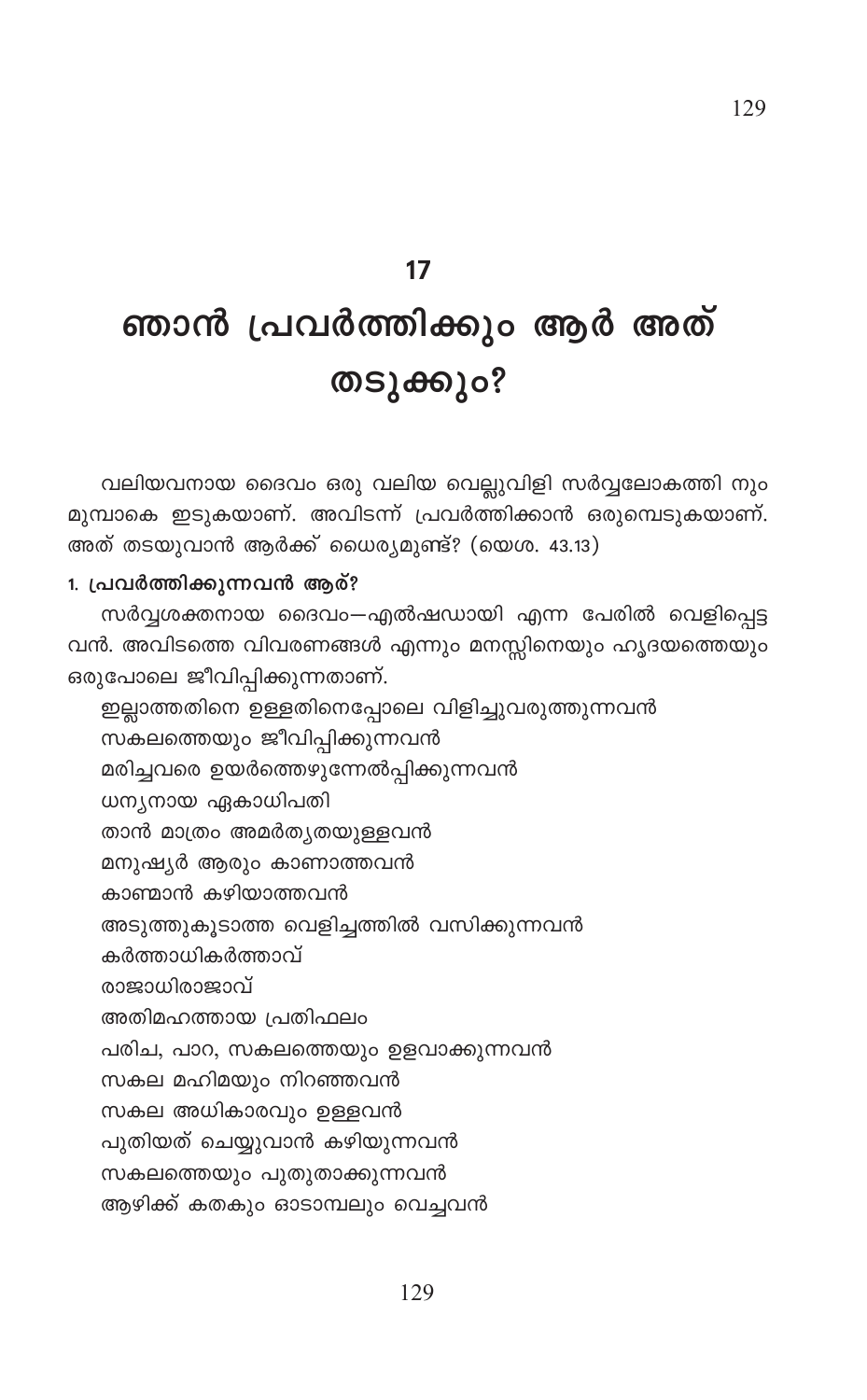### $17$

# ഞാൻ പ്രവർത്തിക്കും ആർ അത് തടുക്കും?

വലിയവനായ ദൈവം ഒരു വലിയ വെല്ലുവിളി സർവ്വലോകത്തി നും മുമ്പാകെ ഇടുകയാണ്. അവിടന്ന് പ്രവർത്തിക്കാൻ ഒരുമ്പെടുകയാണ്. അത് തടയുവാൻ ആർക്ക് ധൈര്യമുണ്ട്? (യെശ. 43.13)

### 1. പ്രവർത്തിക്കുന്നവൻ ആര്?

സർവ്വശക്തനായ ദൈവം—എൽഷഡായി എന്ന പേരിൽ വെളിപ്പെട്ട വൻ. അവിടത്തെ വിവരണങ്ങൾ എന്നും മനസ്സിനെയും ഹൃദയത്തെയും ഒരുപോലെ ജീവിപ്പിക്കുന്നതാണ്.

ഇല്ലാത്തതിനെ ഉള്ളതിനെപ്പോലെ വിളിച്ചുവരുത്തുന്നവൻ സകലത്തെയും ജീവിപ്പിക്കുന്നവൻ മരിച്ചവരെ ഉയർത്തെഴുന്നേൽപ്പിക്കുന്നവൻ ധന്യനായ ഏകാധിപതി താൻ മാത്രം അമർത്യതയുള്ളവൻ മനുഷ്യർ ആരും കാണാത്തവൻ കാണ്മാൻ കഴിയാത്തവൻ അടുത്തുകൂടാത്ത വെളിച്ചത്തിൽ വസിക്കുന്നവൻ കർത്താധികർത്താവ് രാജാധിരാജാവ് അതിമഹത്തായ പ്രതിഫലം പരിച, പാറ, സകലത്തെയും ഉളവാക്കുന്നവൻ സകല മഹിമയും നിറഞ്ഞവൻ സകല അധികാരവും ഉള്ളവൻ പുതിയത് ചെയ്യുവാൻ കഴിയുന്നവൻ സകലത്തെയും പുതുതാക്കുന്നവൻ ആഴിക്ക് കതകും ഓടാമ്പലും വെച്ചവൻ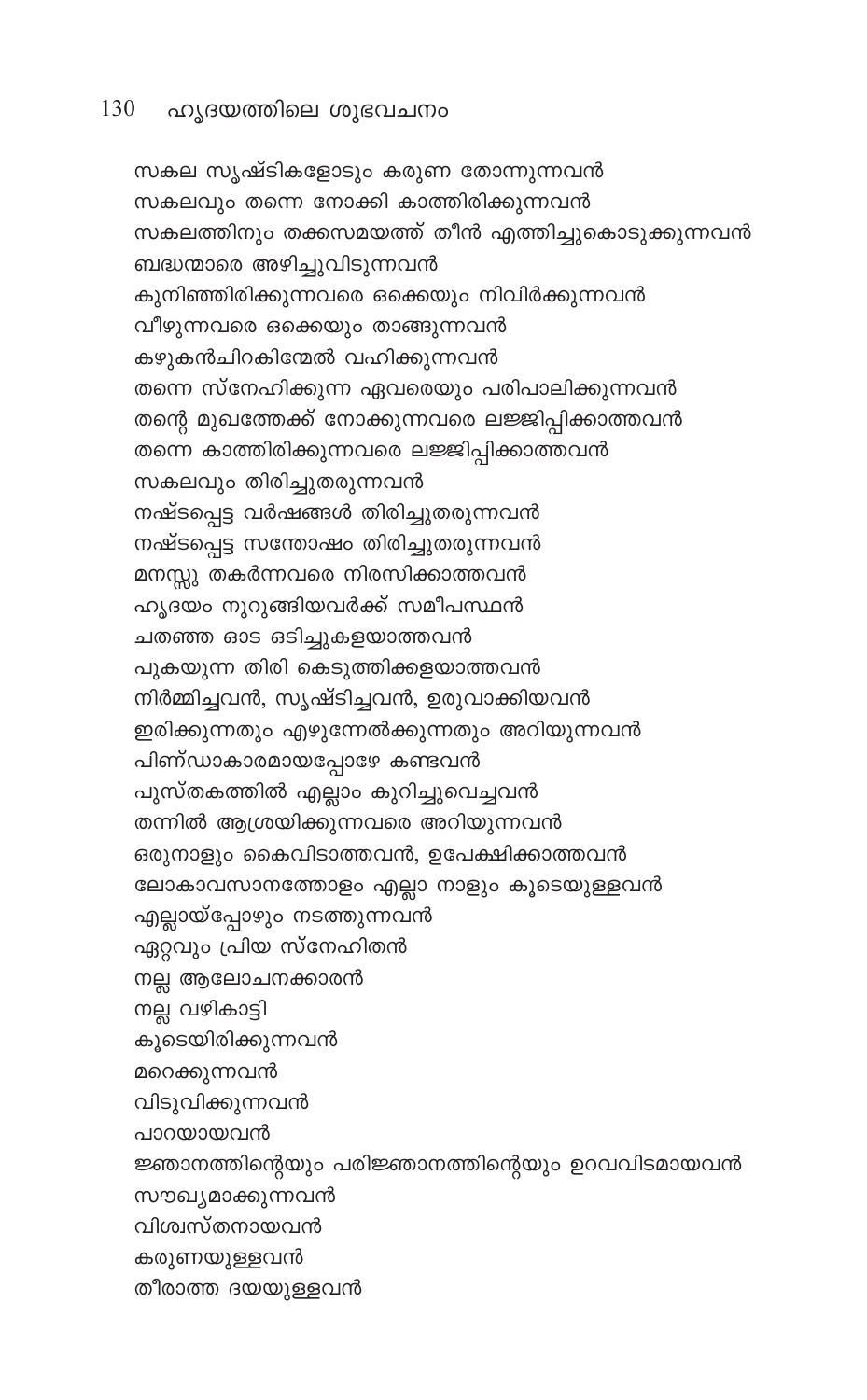സകല സൃഷ്ടികളോടും കരുണ തോന്നുന്നവൻ സകലവും തന്നെ നോക്കി കാത്തിരിക്കുന്നവൻ സകലത്തിനും തക്കസമയത്ത് തീൻ എത്തിച്ചുകൊടുക്കുന്നവൻ ബദ്ധന്മാരെ അഴിച്ചുവിടുന്നവൻ കുനിഞ്ഞിരിക്കുന്നവരെ ഒക്കെയും നിവിർക്കുന്നവൻ വീഴുന്നവരെ ഒക്കെയും താങ്ങുന്നവൻ കഴുകൻചിറകിന്മേൽ വഹിക്കുന്നവൻ തന്നെ സ്നേഹിക്കുന്ന ഏവരെയും പരിപാലിക്കുന്നവൻ തന്റെ മുഖത്തേക്ക് നോക്കുന്നവരെ ലജ്ജിപ്പിക്കാത്തവൻ .<br>തന്നെ കാത്തിരിക്കുന്നവരെ ലജ്ജിപ്പിക്കാത്തവൻ സകലവും തിരിച്ചുതരുന്നവൻ നഷ്ടപ്പെട്ട വർഷങ്ങൾ തിരിച്ചുതരുന്നവൻ നഷ്ടപ്പെട്ട സന്തോഷം തിരിച്ചുതരുന്നവൻ മനസ്സു തകർന്നവരെ നിരസിക്കാത്തവൻ ഹൃദയം നുറുങ്ങിയവർക്ക് സമീപസ്ഥൻ ചതഞ്ഞ ഓട ഒടിച്ചുകളയാത്തവൻ പുകയുന്ന തിരി കെടുത്തിക്കളയാത്തവൻ നിർമ്മിച്ചവൻ, സൃഷ്ടിച്ചവൻ, ഉരുവാക്കിയവൻ ഇരിക്കുന്നതും എഴുന്നേൽക്കുന്നതും അറിയുന്നവൻ പിണ്ഡാകാരമായപ്പോഴേ കണ്ടവൻ പുസ്തകത്തിൽ എല്ലാം കുറിച്ചുവെച്ചവൻ തന്നിൽ ആശ്രയിക്കുന്നവരെ അറിയുന്നവൻ ഒരുനാളും കൈവിടാത്തവൻ, ഉപേക്ഷിക്കാത്തവൻ ലോകാവസാനത്തോളം എല്ലാ നാളും കൂടെയുള്ളവൻ എല്ലായ്പ്പോഴും നടത്തുന്നവൻ ഏറ്റവും പ്രിയ സ്നേഹിതൻ നല്ല ആലോചനക്കാരൻ നല്ല വഴികാട്ടി കുടെയിരിക്കുന്നവൻ മറെക്കുന്നവൻ വിടുവിക്കുന്നവൻ പാറയായവൻ ജ്ഞാനത്തിന്റെയും പരിജ്ഞാനത്തിന്റെയും ഉറവവിടമായവൻ സൗഖ്യമാക്കുന്നവൻ വിശ്വസ്തനായവൻ കരുണയുള്ളവൻ തീരാത്ത ദയയുള്ളവൻ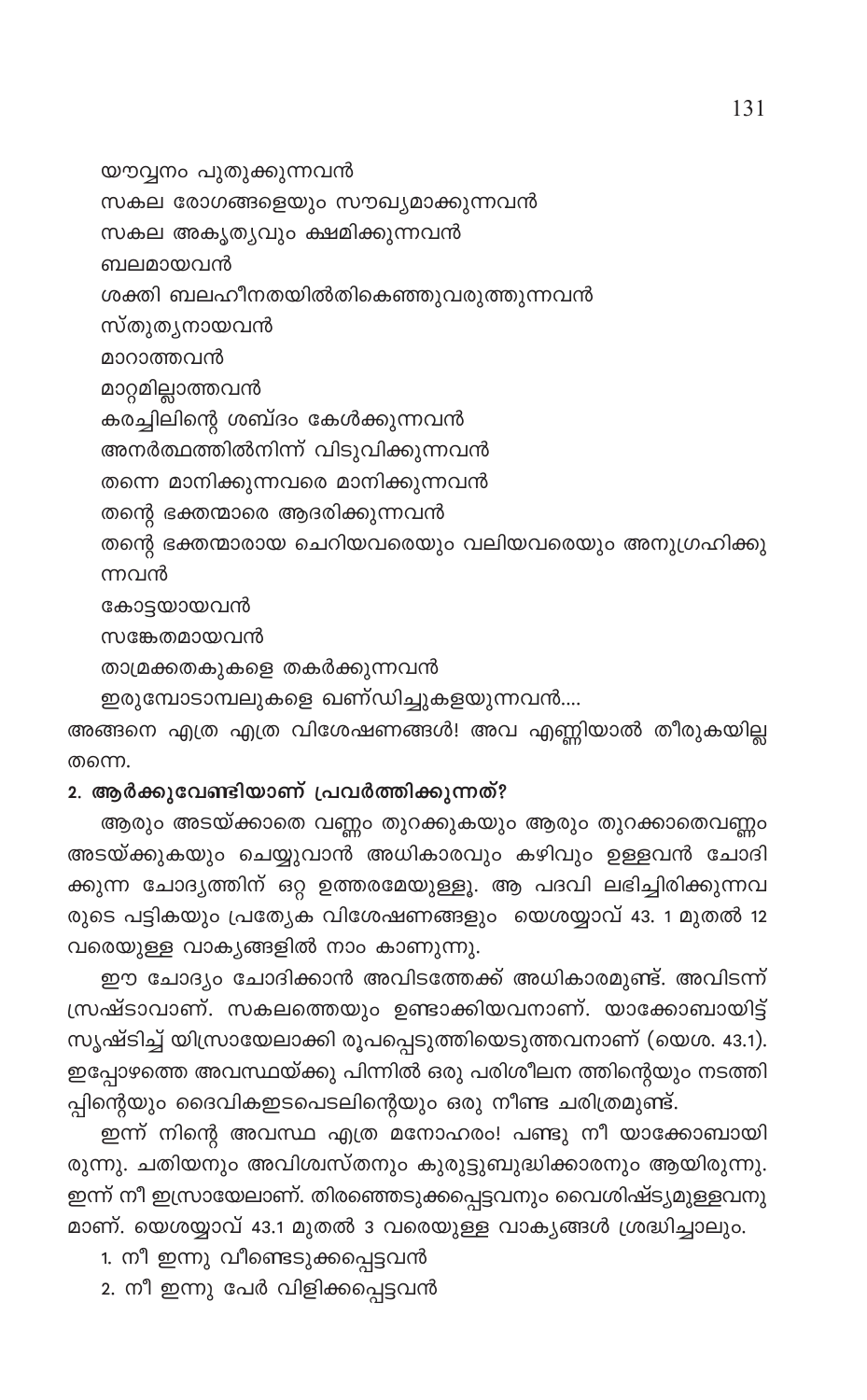സകല രോഗങ്ങളെയും സൗഖ്യമാക്കുന്നവൻ സകല അകൃത്യവും ക്ഷമിക്കുന്നവൻ ബലമായവൻ ശക്തി ബലഹീനതയിൽതികെഞ്ഞുവരുത്തുന്നവൻ സ്തുതൃനായവൻ മാറാത്തവൻ മാറ്റമില്ലാത്തവൻ കരച്ചിലിന്റെ ശബ്ദം കേൾക്കുന്നവൻ അനർത്ഥത്തിൽനിന്ന് വിടുവിക്കുന്നവൻ തന്നെ മാനിക്കുന്നവരെ മാനിക്കുന്നവൻ തന്റെ ഭക്തന്മാരെ ആദരിക്കുന്നവൻ തന്റെ ഭക്തന്മാരായ ചെറിയവരെയും വലിയവരെയും അനുഗ്രഹിക്കു ന്നവൻ കോട്ടയായവൻ സങ്കേതമായവൻ താമ്രക്കതകുകളെ തകർക്കുന്നവൻ

ഇരുമ്പോടാമ്പലുകളെ ഖണ്ഡിച്ചുകളയുന്നവൻ....

അങ്ങനെ എത്ര എത്ര വിശേഷണങ്ങൾ! അവ എണ്ണിയാൽ തീരുകയില്ല തന്നെ.

#### 2. ആർക്കുവേണ്ടിയാണ് പ്രവർത്തിക്കുന്നത്?

യൗവ്വനം പുതുക്കുന്നവൻ

ആരും അടയ്ക്കാതെ വണ്ണം തുറക്കുകയും ആരും തുറക്കാതെവണ്ണം അടയ്ക്കുകയും ചെയ്യുവാൻ അധികാരവും കഴിവും ഉള്ളവൻ ചോദി ക്കുന്ന ചോദ്യത്തിന് ഒറ്റ ഉത്തരമേയുള്ളൂ. ആ പദവി ലഭിച്ചിരിക്കുന്നവ രുടെ പട്ടികയും പ്രത്യേക വിശേഷണങ്ങളും യെശയ്യാവ് 43. 1 മുതൽ 12 വരെയുള്ള വാകൃങ്ങളിൽ നാം കാണുന്നു.

ഈ ചോദ്യം ചോദിക്കാൻ അവിടത്തേക്ക് അധികാരമുണ്ട്. അവിടന്ന് സ്രഷ്ടാവാണ്. സകലത്തെയും ഉണ്ടാക്കിയവനാണ്. യാക്കോബായിട്ട് സൃഷ്ടിച്ച് യിസ്രായേലാക്കി രൂപപ്പെടുത്തിയെടുത്തവനാണ് (യെശ. 43.1). ഇപ്പോഴത്തെ അവസ്ഥയ്ക്കു പിന്നിൽ ഒരു പരിശീലന ത്തിന്റെയും നടത്തി പ്പിന്റെയും ദൈവികഇടപെടലിന്റെയും ഒരു നീണ്ട ചരിത്രമുണ്ട്.

ഇന്ന് നിന്റെ അവസ്ഥ എത്ര മനോഹരം! പണ്ടു നീ യാക്കോബായി രുന്നു. ചതിയനും അവിശ്വസ്തനും കുരുട്ടുബുദ്ധിക്കാരനും ആയിരുന്നു. ഇന്ന് നീ ഇസ്രായേലാണ്. തിരഞ്ഞെടുക്കപ്പെട്ടവനും വൈശിഷ്ട്യമുള്ളവനു മാണ്. യെശയ്യാവ് 43.1 മുതൽ 3 വരെയുള്ള വാകൃങ്ങൾ ശ്രദ്ധിച്ചാലും.

- 1. നീ ഇന്നു വീണ്ടെടുക്കപ്പെട്ടവൻ
- 2. നീ ഇന്നു പേർ വിളിക്കപ്പെട്ടവൻ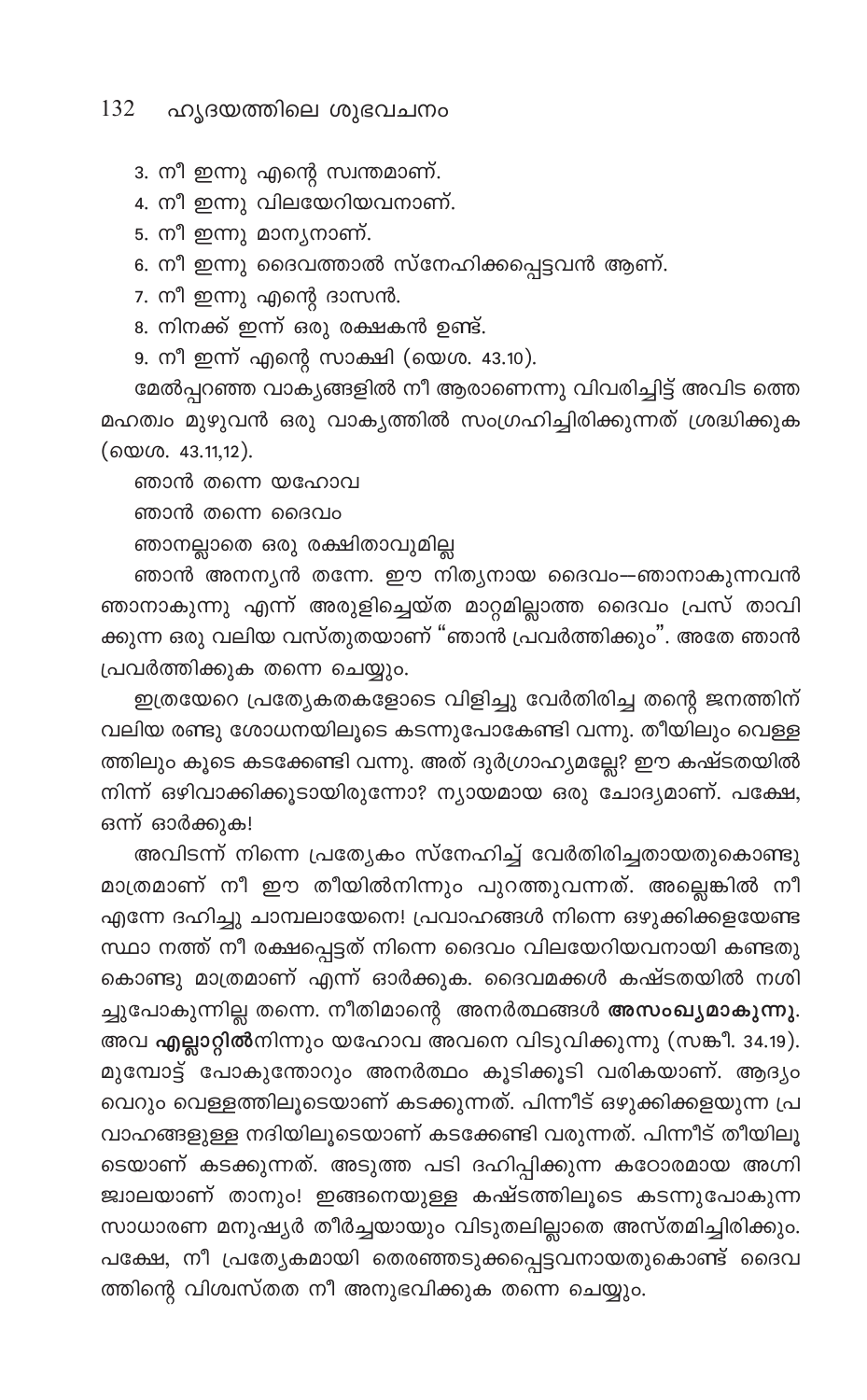- 3. നീ ഇന്നു എന്റെ സ്വന്തമാണ്.
- 4. നീ ഇന്നു വിലയേറിയവനാണ്.
- 5. നീ ഇന്നു മാന്യനാണ്.
- 6. നീ ഇന്നു ദൈവത്താൽ സ്നേഹിക്കപ്പെട്ടവൻ ആണ്.
- 7. നീ ഇന്നു എന്റെ ദാസൻ.
- 8. നിനക്ക് ഇന്ന് ഒരു രക്ഷകൻ ഉണ്ട്.
- 9. നീ ഇന്ന് എന്റെ സാക്ഷി (യെശ. 43.10).

മേൽപ്പറഞ്ഞ വാക്യങ്ങളിൽ നീ ആരാണെന്നു വിവരിച്ചിട്ട് അവിട ത്തെ മഹത്വം മുഴുവൻ ഒരു വാകൃത്തിൽ സംഗ്രഹിച്ചിരിക്കുന്നത് ശ്രദ്ധിക്കുക (യെശ. 43.11,12).

ഞാൻ തന്നെ യഹോവ

ഞാൻ തന്നെ ദൈവം

ഞാനല്ലാതെ ഒരു രക്ഷിതാവുമില്ല

ഞാൻ അനന്യൻ തന്നേ. ഈ നിത്യനായ ദൈവം—ഞാനാകുന്നവൻ ഞാനാകുന്നു എന്ന് അരുളിച്ചെയ്ത മാറ്റമില്ലാത്ത ദൈവം പ്രസ് താവി ക്കുന്ന ഒരു വലിയ വസ്തുതയാണ് "ഞാൻ പ്രവർത്തിക്കും". അതേ ഞാൻ പ്രവർത്തിക്കുക തന്നെ ചെയ്യും.

ഇത്രയേറെ പ്രത്യേകതകളോടെ വിളിച്ചു വേർതിരിച്ച തന്റെ ജനത്തിന് വലിയ രണ്ടു ശോധനയിലൂടെ കടന്നുപോകേണ്ടി വന്നു. തീയിലും വെള്ള ത്തിലും കൂടെ കടക്കേണ്ടി വന്നു. അത് ദുർഗ്രാഹ്യമല്ലേ? ഈ കഷ്ടതയിൽ നിന്ന് ഒഴിവാക്കിക്കൂടായിരുന്നോ? ന്യായമായ ഒരു ചോദ്യമാണ്. പക്ഷേ, ഒന്ന് ഓർക്കുക!

അവിടന്ന് നിന്നെ പ്രത്യേകം സ്നേഹിച്ച് വേർതിരിച്ചതായതുകൊണ്ടു മാത്രമാണ് നീ ഈ തീയിൽനിന്നും പുറത്തുവന്നത്. അല്ലെങ്കിൽ നീ എന്നേ ദഹിച്ചു ചാമ്പലായേനെ! പ്രവാഹങ്ങൾ നിന്നെ ഒഴുക്കിക്കളയേണ്ട .<br>സ്ഥാ നത്ത് നീ രക്ഷപ്പെട്ടത് നിന്നെ ദൈവം വിലയേറിയവനായി കണ്ടതു കൊണ്ടു മാത്രമാണ് എന്ന് ഓർക്കുക. ദൈവമക്കൾ കഷ്ടതയിൽ നശി ച്ചുപോകുന്നില്ല തന്നെ. നീതിമാന്റെ അനർത്ഥങ്ങൾ <mark>അസംഖ്യമാകുന്നു</mark>. അവ **എല്ലാറ്റിൽ**നിന്നും യഹോവ അവനെ വിടുവിക്കുന്നു (സങ്കീ. 34.19). മുമ്പോട്ട് പോകുന്തോറും അനർത്ഥം കൂടിക്കൂടി വരികയാണ്. ആദ്യം വെറും വെള്ളത്തിലൂടെയാണ് കടക്കുന്നത്. പിന്നീട് ഒഴുക്കിക്കളയുന്ന പ്ര വാഹങ്ങളുള്ള നദിയിലൂടെയാണ് കടക്കേണ്ടി വരുന്നത്. പിന്നീട് തീയിലൂ ടെയാണ് കടക്കുന്നത്. അടുത്ത പടി ദഹിപ്പിക്കുന്ന കഠോരമായ അഗ്നി ജ്വാലയാണ് താനും! ഇങ്ങനെയുള്ള കഷ്ടത്തിലൂടെ കടന്നുപോകുന്ന സാധാരണ മനുഷ്യർ തീർച്ചയായും വിടുതലില്ലാതെ അസ്തമിച്ചിരിക്കും. പക്ഷേ, നീ പ്രത്യേകമായി തെരഞ്ഞടുക്കപ്പെട്ടവനായതുകൊണ്ട് ദൈവ ത്തിന്റെ വിശ്വസ്തത നീ അനുഭവിക്കുക തന്നെ ചെയ്യും.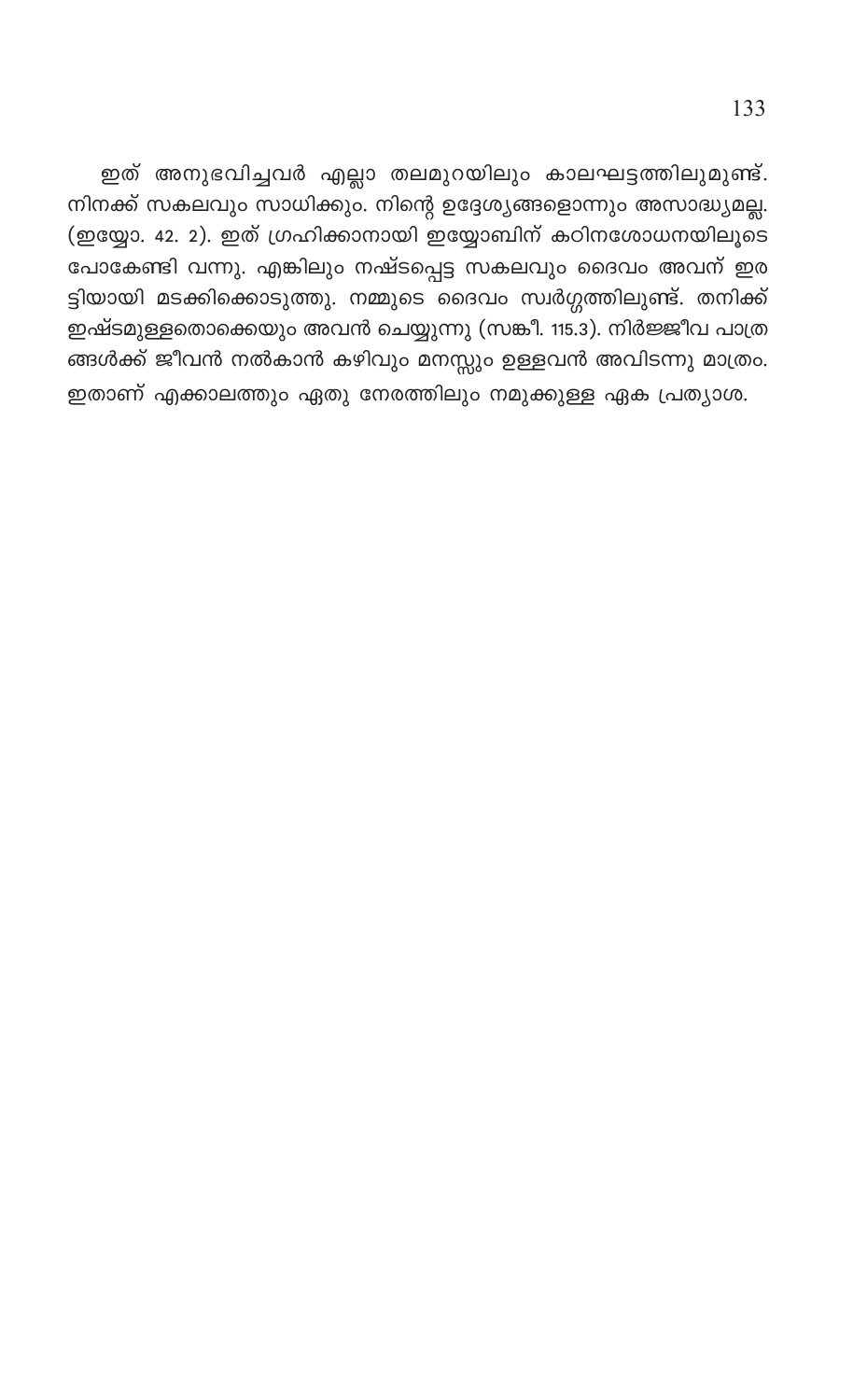ഇത് അനുഭവിച്ചവർ എല്ലാ തലമുറയിലും കാലഘട്ടത്തിലുമുണ്ട്. നിനക്ക് സകലവും സാധിക്കും. നിന്റെ ഉദ്ദേശ്യങ്ങളൊന്നും അസാദ്ധ്യമല്ല. .<br>(ഇയ്യോ. 42. 2). ഇത് ഗ്രഹിക്കാനായി ഇയ്യോബിന് കഠിനശോധനയിലൂടെ പോകേണ്ടി വന്നു. എങ്കിലും നഷ്ടപ്പെട്ട സകലവും ദൈവം അവന് ഇര ട്ടിയായി മടക്കിക്കൊടുത്തു. നമ്മുടെ ദൈവം സ്വർഗ്ഗത്തിലുണ്ട്. തനിക്ക് .<br>ഇഷ്ടമുള്ളതൊക്കെയും അവൻ ചെയ്യുന്നു (സങ്കീ. 115.3). നിർജ്ജീവ പാത്ര ങ്ങൾക്ക് ജീവൻ നൽകാൻ കഴിവും മനസ്സും ഉള്ളവൻ അവിടന്നു മാത്രം. ഇതാണ് എക്കാലത്തും ഏതു നേരത്തിലും നമുക്കുള്ള ഏക പ്രത്യാശ.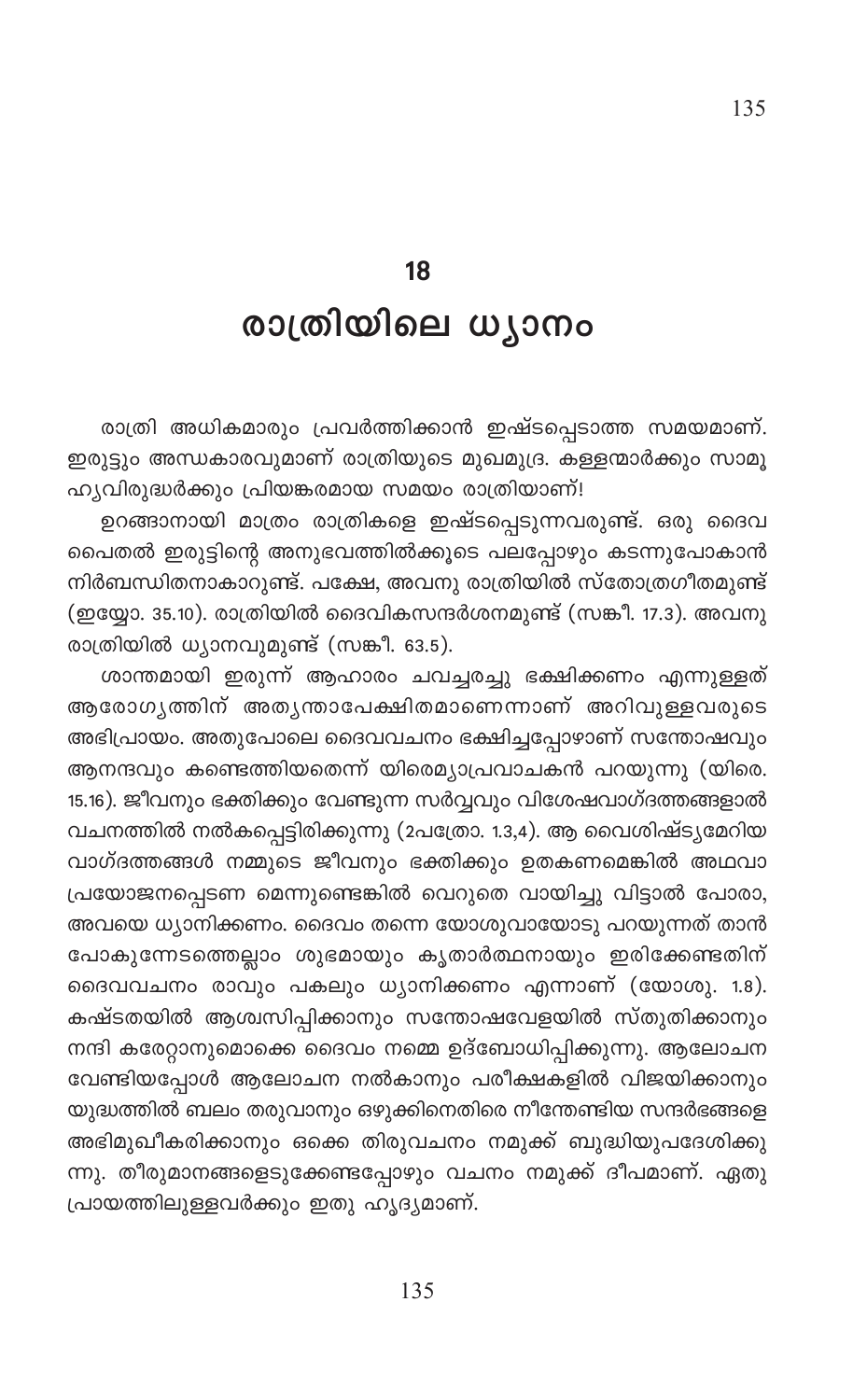18

# രാത്രിയിലെ ധ്യാനം

രാത്രി അധികമാരും പ്രവർത്തിക്കാൻ ഇഷ്ടപ്പെടാത്ത സമയമാണ്. ഇരുട്ടും അന്ധകാരവുമാണ് രാത്രിയുടെ മുഖമുദ്ര. കള്ളന്മാർക്കും സാമൂ ഹ്യവിരുദ്ധർക്കും പ്രിയങ്കരമായ സമയം രാത്രിയാണ്!

ഉറങ്ങാനായി മാത്രം രാത്രികളെ ഇഷ്ടപ്പെടുന്നവരുണ്ട്. ഒരു ദൈവ പൈതൽ ഇരുട്ടിന്റെ അനുഭവത്തിൽക്കൂടെ പലപ്പോഴും കടന്നുപോകാൻ നിർബന്ധിതനാകാറുണ്ട്. പക്ഷേ, അവനു രാത്രിയിൽ സ്തോത്രഗീതമുണ്ട് (ഇയ്യോ. 35.10). രാത്രിയിൽ ദൈവികസന്ദർശനമുണ്ട് (സങ്കീ. 17.3). അവനു രാത്രിയിൽ ധ്യാനവുമുണ്ട് (സങ്കീ. 63.5).

ശാന്തമായി ഇരുന്ന് ആഹാരം ചവച്ചരച്ചു ഭക്ഷിക്കണം എന്നുള്ളത് ആരോഗ്യത്തിന് അത്യന്താപേക്ഷിതമാണെന്നാണ് അറിവുള്ളവരുടെ അഭിപ്രായം. അതുപോലെ ദൈവവചനം ഭക്ഷിച്ചപ്പോഴാണ് സന്തോഷവും ആനന്ദവും കണ്ടെത്തിയതെന്ന് യിരെമ്യാപ്രവാചകൻ പറയുന്നു (യിരെ. 15.16). ജീവനും ഭക്തിക്കും വേണ്ടുന്ന സർവ്വവും വിശേഷവാഗ്ദത്തങ്ങളാൽ വചനത്തിൽ നൽകപ്പെട്ടിരിക്കുന്നു (2പത്രോ. 1.3,4). ആ വൈശിഷ്ട്യമേറിയ വാഗ്ദത്തങ്ങൾ നമ്മുടെ ജീവനും ഭക്തിക്കും ഉതകണമെങ്കിൽ അഥവാ പ്രയോജനപ്പെടണ മെന്നുണ്ടെങ്കിൽ വെറുതെ വായിച്ചു വിട്ടാൽ പോരാ, അവയെ ധ്യാനിക്കണം. ദൈവം തന്നെ യോശുവായോടു പറയുന്നത് താൻ പോകുന്നേടത്തെല്ലാം ശുഭമായും കൃതാർത്ഥനായും ഇരിക്കേണ്ടതിന് ദൈവവചനം രാവും പകലും ധ്യാനിക്കണം എന്നാണ് (യോശു. 1.8). കഷ്ടതയിൽ ആശ്വസിപ്പിക്കാനും സന്തോഷവേളയിൽ സ്തുതിക്കാനും നന്ദി കരേറ്റാനുമൊക്കെ ദൈവം നമ്മെ ഉദ്ബോധിപ്പിക്കുന്നു. ആലോചന വേണ്ടിയപ്പോൾ ആലോചന നൽകാനും പരീക്ഷകളിൽ വിജയിക്കാനും യുദ്ധത്തിൽ ബലം തരുവാനും ഒഴുക്കിനെതിരെ നീന്തേണ്ടിയ സന്ദർഭങ്ങളെ അഭിമുഖീകരിക്കാനും ഒക്കെ തിരുവചനം നമുക്ക് ബുദ്ധിയുപദേശിക്കു ന്നു. തീരുമാനങ്ങളെടുക്കേണ്ടപ്പോഴും വചനം നമുക്ക് ദീപമാണ്. ഏതു പ്രായത്തിലുള്ളവർക്കും ഇതു ഹൃദ്യമാണ്.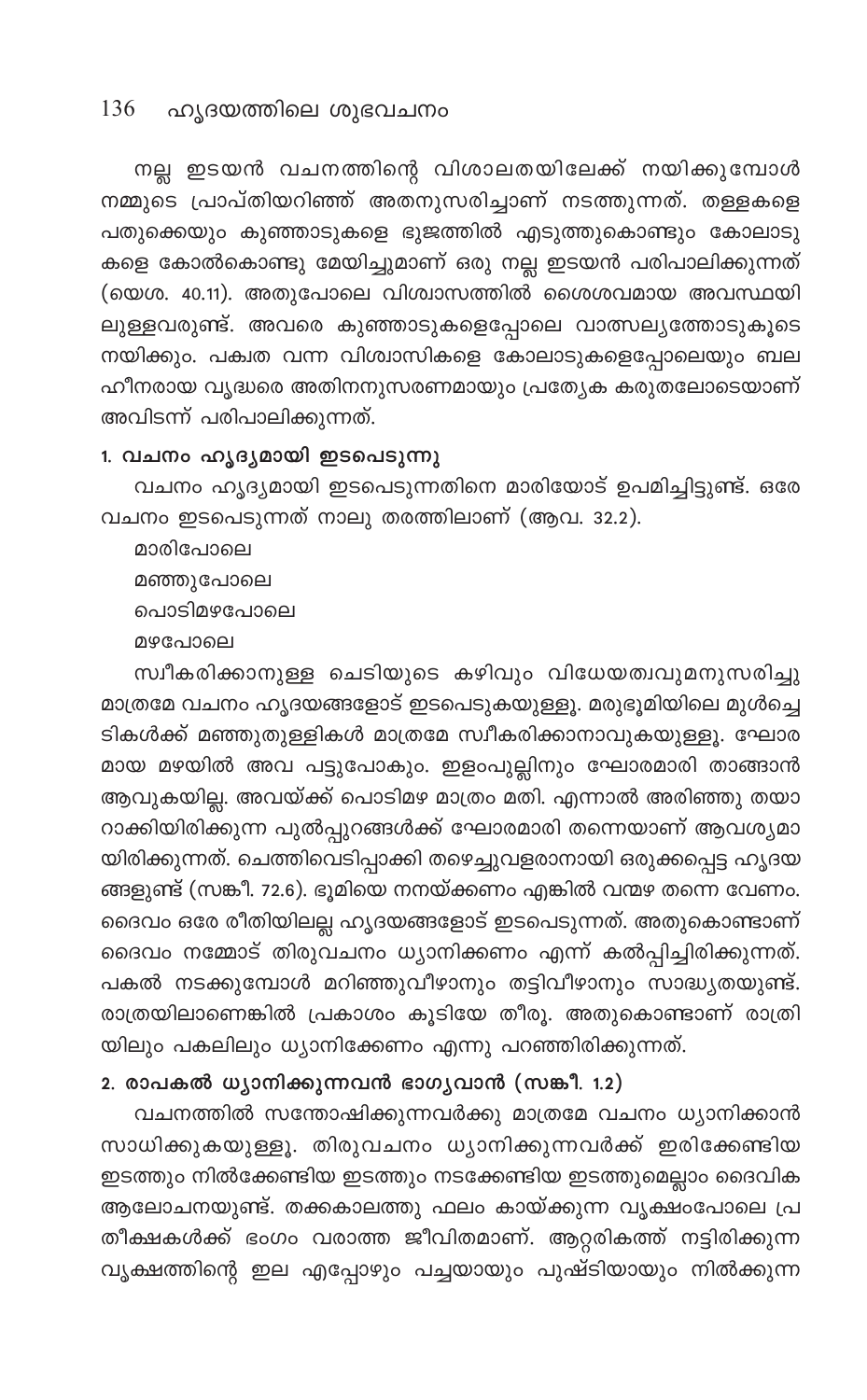നല്ല ഇടയൻ വചനത്തിന്റെ വിശാലതയിലേക്ക് നയിക്കുമ്പോൾ നമ്മുടെ പ്രാപ്തിയറിഞ്ഞ് അതനുസരിച്ചാണ് നടത്തുന്നത്. തള്ളകളെ പതുക്കെയും കുഞ്ഞാടുകളെ ഭുജത്തിൽ എടുത്തുകൊണ്ടും കോലാടു കളെ കോൽകൊണ്ടു മേയിച്ചുമാണ് ഒരു നല്ല ഇടയൻ പരിപാലിക്കുന്നത് .<br>(യെശ. 40.11). അതുപോലെ വിശ്വാസത്തിൽ ശൈശവമായ അവസ്ഥയി ലുള്ളവരുണ്ട്. അവരെ കുഞ്ഞാടുകളെപ്പോലെ വാത്സല്യത്തോടുകൂടെ നയിക്കും. പക്വത വന്ന വിശ്വാസികളെ കോലാടുകളെപ്പോലെയും ബല ഹീനരായ വൃദ്ധരെ അതിനനുസരണമായും പ്രത്യേക കരുതലോടെയാണ് അവിടന്ന് പരിപാലിക്കുന്നത്.

### 1. വചനം ഹൃദ്യമായി ഇടപെടുന്നു

വചനം ഹൃദ്യമായി ഇടപെടുന്നതിനെ മാരിയോട് ഉപമിച്ചിട്ടുണ്ട്. ഒരേ വചനം ഇടപെടുന്നത് നാലു തരത്തിലാണ് (ആവ. 32.2).

മാരിപോലെ

മഞ്ഞുപോലെ

പൊടിമഴപോലെ

093010601

സ്വീകരിക്കാനുള്ള ചെടിയുടെ കഴിവും വിധേയത്വവുമനുസരിച്ചു മാത്രമേ വചനം ഹൃദയങ്ങളോട് ഇടപെടുകയുള്ളൂ. മരുഭൂമിയിലെ മുൾച്ചെ ടികൾക്ക് മഞ്ഞുതുള്ളികൾ മാത്രമേ സ്വീകരിക്കാനാവുകയുള്ളൂ. ഘോര മായ മഴയിൽ അവ പട്ടുപോകും. ഇളംപുല്ലിനും ഘോരമാരി താങ്ങാൻ ആവുകയില്ല. അവയ്ക്ക് പൊടിമഴ മാത്രം മതി. എന്നാൽ അരിഞ്ഞു തയാ .<br>റാക്കിയിരിക്കുന്ന പുൽപ്പുറങ്ങൾക്ക് ഘോരമാരി തന്നെയാണ് ആവശ്യമാ യിരിക്കുന്നത്. ചെത്തിവെടിപ്പാക്കി തഴെച്ചുവളരാനായി ഒരുക്കപ്പെട്ട ഹൃദയ ങ്ങളുണ്ട് (സങ്കീ. 72.6). ഭൂമിയെ നനയ്ക്കണം എങ്കിൽ വന്മഴ തന്നെ വേണം. ദൈവം ഒരേ രീതിയിലല്ല ഹൃദയങ്ങളോട് ഇടപെടുന്നത്. അതുകൊണ്ടാണ് ദൈവം നമ്മോട് തിരുവചനം ധ്യാനിക്കണം എന്ന് കൽപ്പിച്ചിരിക്കുന്നത്. പകൽ നടക്കുമ്പോൾ മറിഞ്ഞുവീഴാനും തട്ടിവീഴാനും സാദ്ധ്യതയുണ്ട്. രാത്രയിലാണെങ്കിൽ പ്രകാശം കൂടിയേ തീരൂ. അതുകൊണ്ടാണ് രാത്രി യിലും പകലിലും ധ്യാനിക്കേണം എന്നു പറഞ്ഞിരിക്കുന്നത്.

### 2. രാപകൽ ധ്യാനിക്കുന്നവൻ ഭാഗൃവാൻ (സങ്കീ. 1.2)

വചനത്തിൽ സന്തോഷിക്കുന്നവർക്കു മാത്രമേ വചനം ധ്യാനിക്കാൻ സാധിക്കുകയുള്ളൂ. തിരുവചനം ധ്യാനിക്കുന്നവർക്ക് ഇരിക്കേണ്ടിയ ഇടത്തും നിൽക്കേണ്ടിയ ഇടത്തും നടക്കേണ്ടിയ ഇടത്തുമെല്ലാം ദൈവിക ആലോചനയുണ്ട്. തക്കകാലത്തു ഫലം കായ്ക്കുന്ന വൃക്ഷംപോലെ പ്ര തീക്ഷകൾക്ക് ഭംഗം വരാത്ത ജീവിതമാണ്. ആറ്റരികത്ത് നട്ടിരിക്കുന്ന വൃക്ഷത്തിന്റെ ഇല എപ്പോഴും പച്ചയായും പുഷ്ടിയായും നിൽക്കുന്ന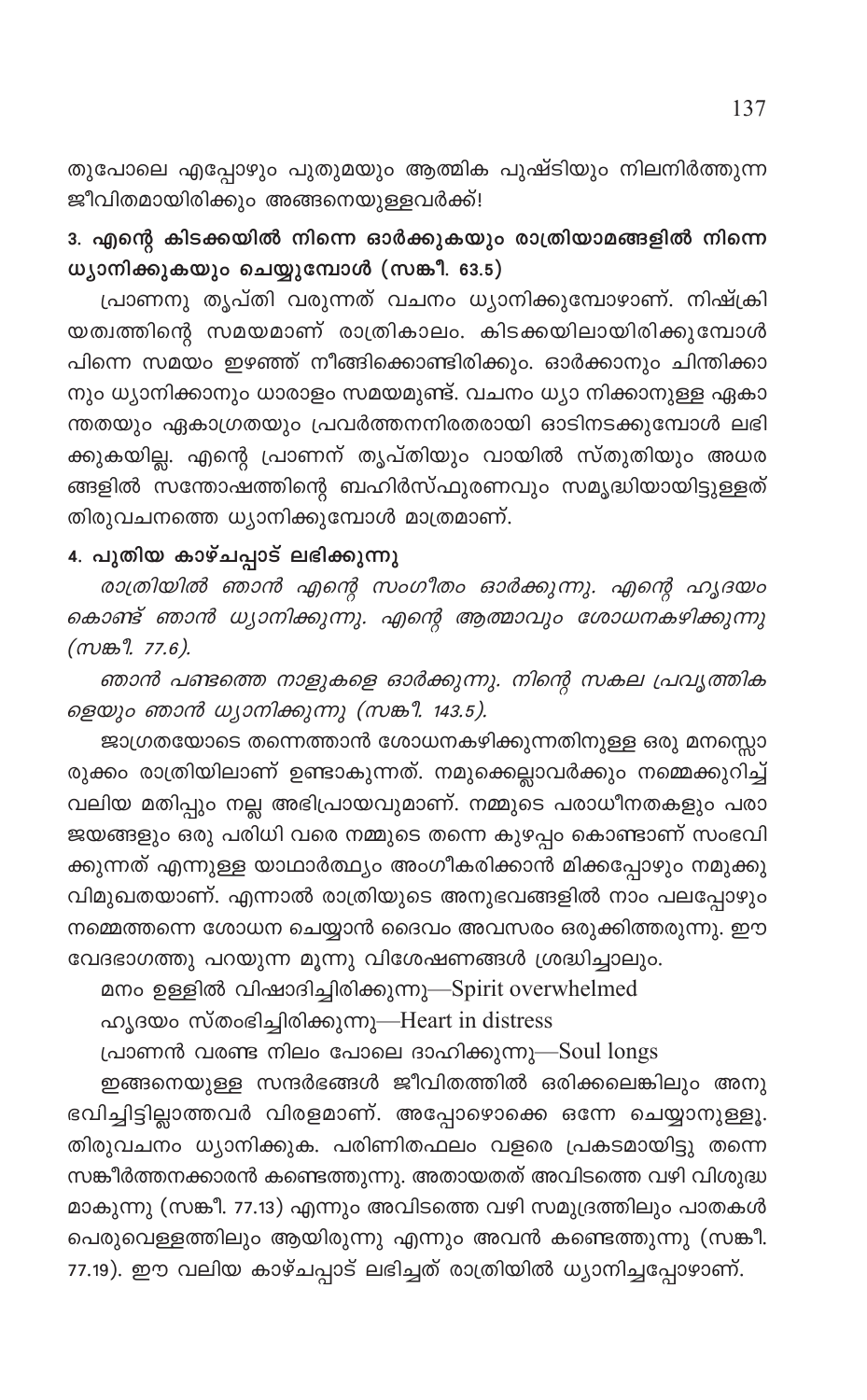തുപോലെ എപ്പോഴും പുതുമയും ആത്മിക പുഷ്ടിയും നിലനിർത്തുന്ന ജീവിതമായിരിക്കും അങ്ങനെയുള്ളവർക്ക്!

# 3. എന്റെ കിടക്കയിൽ നിന്നെ ഓർക്കുകയും രാത്രിയാമങ്ങളിൽ നിന്നെ ധ്യാനിക്കുകയും ചെയ്യുമ്പോൾ (സങ്കീ. 63.5)

പ്രാണനു തൃപ്തി വരുന്നത് വചനം ധ്യാനിക്കുമ്പോഴാണ്. നിഷ്ക്രി യത്വത്തിന്റെ സമയമാണ് രാത്രികാലം. കിടക്കയിലായിരിക്കുമ്പോൾ പിന്നെ സമയം ഇഴഞ്ഞ് നീങ്ങിക്കൊണ്ടിരിക്കും. ഓർക്കാനും ചിന്തിക്കാ നും ധ്യാനിക്കാനും ധാരാളം സമയമുണ്ട്. വചനം ധ്യാ നിക്കാനുള്ള ഏകാ ന്തതയും ഏകാഗ്രതയും പ്രവർത്തനനിരതരായി ഓടിനടക്കുമ്പോൾ ലഭി ക്കുകയില്ല. എന്റെ പ്രാണന് തൃപ്തിയും വായിൽ സ്തുതിയും അധര ങ്ങളിൽ സന്തോഷത്തിന്റെ ബഹിർസ്ഫുരണവും സമൃദ്ധിയായിട്ടുള്ളത് തിരുവചനത്തെ ധ്യാനിക്കുമ്പോൾ മാത്രമാണ്.

### 4. പുതിയ കാഴ്ചപ്പാട് ലഭിക്കുന്നു

രാത്രിയിൽ ഞാൻ എന്റെ സംഗീതം ഓർക്കുന്നു. എന്റെ ഹൃദയം കൊണ്ട് ഞാൻ ധ്യാനിക്കുന്നു. എന്റെ ആത്മാവും ശോധനകഴിക്കുന്നു  $(m\omega_0)$ , 77.6).

ഞാൻ പണ്ടത്തെ നാളുകളെ ഓർക്കുന്നു. നിന്റെ സകല പ്രവൃത്തിക ളെയും ഞാൻ ധ്യാനിക്കുന്നു (സങ്കീ. 143.5).

ജാഗ്രതയോടെ തന്നെത്താൻ ശോധനകഴിക്കുന്നതിനുള്ള ഒരു മനസ്സൊ രുക്കം രാത്രിയിലാണ് ഉണ്ടാകുന്നത്. നമുക്കെല്ലാവർക്കും നമ്മെക്കുറിച്ച് വലിയ മതിപ്പും നല്ല അഭിപ്രായവുമാണ്. നമ്മുടെ പരാധീനതകളും പരാ ജയങ്ങളും ഒരു പരിധി വരെ നമ്മുടെ തന്നെ കുഴപ്പം കൊണ്ടാണ് സംഭവി ക്കുന്നത് എന്നുള്ള യാഥാർത്ഥ്യം അംഗീകരിക്കാൻ മിക്കപ്പോഴും നമുക്കു വിമുഖതയാണ്. എന്നാൽ രാത്രിയുടെ അനുഭവങ്ങളിൽ നാം പലപ്പോഴും നമ്മെത്തന്നെ ശോധന ചെയ്യാൻ ദൈവം അവസരം ഒരുക്കിത്തരുന്നു. ഈ വേദഭാഗത്തു പറയുന്ന മൂന്നു വിശേഷണങ്ങൾ ശ്രദ്ധിച്ചാലും.

മനം ഉള്ളിൽ വിഷാദിച്ചിരിക്കുന്നു—Spirit overwhelmed

ഹൃദയം സ്തംഭിച്ചിരിക്കുന്നു—Heart in distress

പ്രാണൻ വരണ്ട നിലം പോലെ ദാഹിക്കുന്നു—Soul longs

ഇങ്ങനെയുള്ള സന്ദർഭങ്ങൾ ജീവിതത്തിൽ ഒരിക്കലെങ്കിലും അനു ഭവിച്ചിട്ടില്ലാത്തവർ വിരളമാണ്. അപ്പോഴൊക്കെ ഒന്നേ ചെയ്യാനുള്ളൂ. തിരുവചനം ധ്യാനിക്കുക. പരിണിതഫലം വളരെ പ്രകടമായിട്ടു തന്നെ സങ്കീർത്തനക്കാരൻ കണ്ടെത്തുന്നു. അതായതത് അവിടത്തെ വഴി വിശുദ്ധ മാകുന്നു (സങ്കീ. 77.13) എന്നും അവിടത്തെ വഴി സമുദ്രത്തിലും പാതകൾ പെരുവെള്ളത്തിലും ആയിരുന്നു എന്നും അവൻ കണ്ടെത്തുന്നു (സങ്കീ. 77.19). ഈ വലിയ കാഴ്ചപ്പാട് ലഭിച്ചത് രാത്രിയിൽ ധ്യാനിച്ചപ്പോഴാണ്.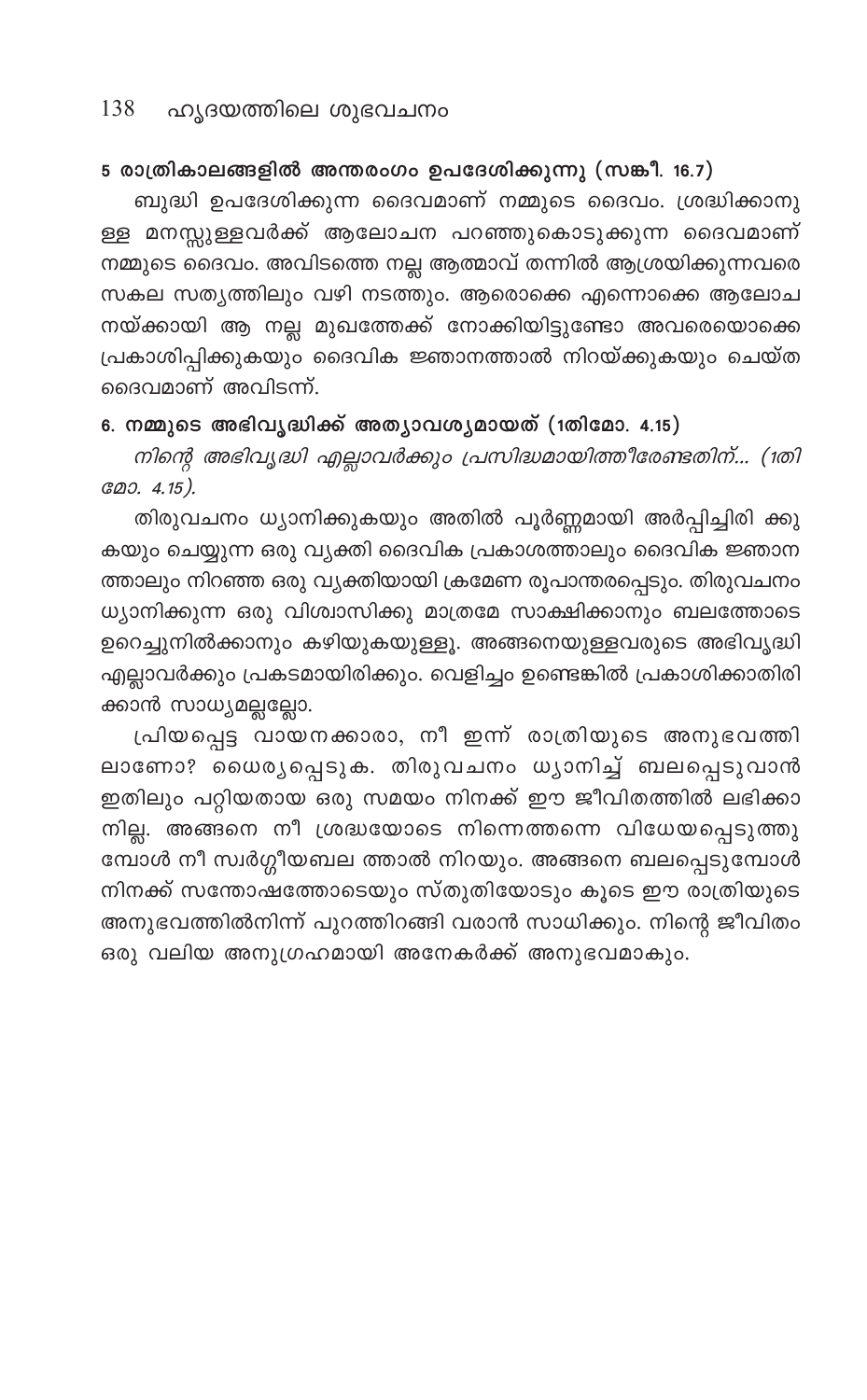### 5 രാത്രികാലങ്ങളിൽ അന്തരംഗം ഉപദേശിക്കുന്നു (സങ്കീ. 16.7)

ബുദ്ധി ഉപദേശിക്കുന്ന ദൈവമാണ് നമ്മുടെ ദൈവം. ശ്രദ്ധിക്കാനു ള്ള മനസ്സുള്ളവർക്ക് ആലോചന പറഞ്ഞുകൊടുക്കുന്ന ദൈവമാണ് .<br>നമ്മുടെ ദൈവം. അവിടത്തെ നല്ല ആത്മാവ് തന്നിൽ ആശ്രയിക്കുന്നവരെ സകല സത്യത്തിലും വഴി നടത്തും. ആരൊക്കെ എന്നൊക്കെ ആലോച നയ്ക്കായി ആ നല്ല മുഖത്തേക്ക് നോക്കിയിട്ടുണ്ടോ അവരെയൊക്കെ പ്രകാശിപ്പിക്കുകയും ദൈവിക ജ്ഞാനത്താൽ നിറയ്ക്കുകയും ചെയ്ത ദൈവമാണ് അവിടന്ന്.

# 6. നമ്മുടെ അഭിവൃദ്ധിക്ക് അത്യാവശ്യമായത് (1തിമോ. 4.15)

നിന്റെ അഭിവൃദ്ധി എല്ലാവർക്കും പ്രസിദ്ധമായിത്തീരേണ്ടതിന്... (1തി GDO. 4.15).

തിരുവചനം ധ്യാനിക്കുകയും അതിൽ പൂർണ്ണമായി അർപ്പിച്ചിരി ക്കു ത്താലും നിറഞ്ഞ ഒരു വ്യക്തിയായി ക്രമേണ രൂപാന്തരപ്പെടും. തിരുവചനം ധ്യാനിക്കുന്ന ഒരു വിശ്വാസിക്കു മാത്രമേ സാക്ഷിക്കാനും ബലത്തോടെ ഉറെച്ചുനിൽക്കാനും കഴിയുകയുള്ളൂ. അങ്ങനെയുള്ളവരുടെ അഭിവൃദ്ധി എല്ലാവർക്കും പ്രകടമായിരിക്കും. വെളിച്ചം ഉണ്ടെങ്കിൽ പ്രകാശിക്കാതിരി ക്കാൻ സാധ്യമല്ലല്ലോ.

പ്രിയപ്പെട്ട വായനക്കാരാ, നീ ഇന്ന് രാത്രിയുടെ അനുഭവത്തി ലാണോ? ധൈര്യപ്പെടുക. തിരുവചനം ധ്യാനിച്ച് ബലപ്പെടുവാൻ .<br>ഇതിലും പറ്റിയതായ ഒരു സമയം നിനക്ക് ഈ ജീവിതത്തിൽ ലഭിക്കാ നില്ല. അങ്ങനെ നീ ശ്രദ്ധയോടെ നിന്നെത്തന്നെ വിധേയപ്പെടുത്തു മ്പോൾ നീ സ്വർഗ്ഗീയബല ത്താൽ നിറയും. അങ്ങനെ ബലപ്പെടുമ്പോൾ നിനക്ക് സന്തോഷത്തോടെയും സ്തുതിയോടും കൂടെ ഈ രാത്രിയുടെ അനുഭവത്തിൽനിന്ന് പുറത്തിറങ്ങി വരാൻ സാധിക്കും. നിന്റെ ജീവിതം ഒരു വലിയ അനുഗ്രഹമായി അനേകർക്ക് അനുഭവമാകും.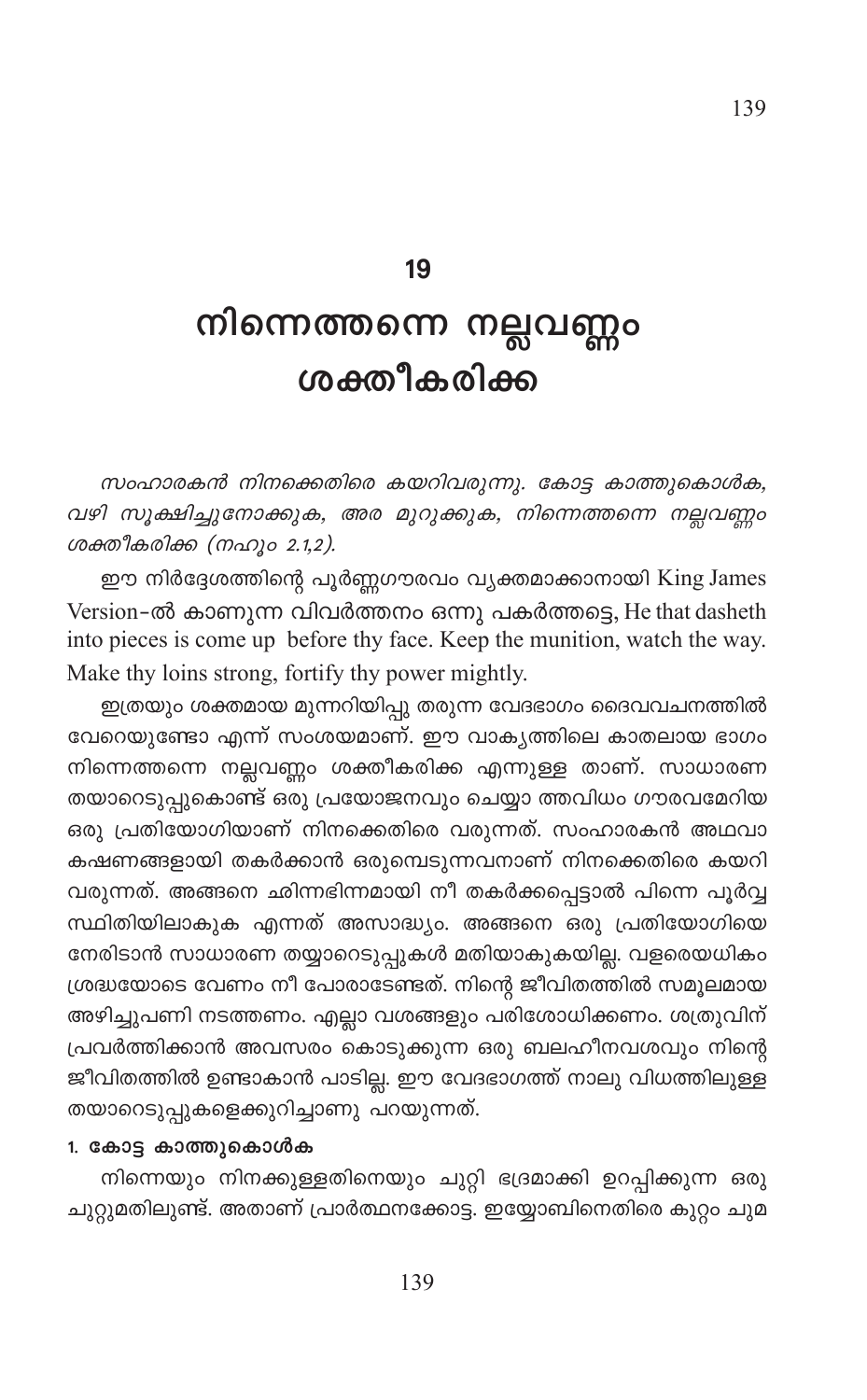### 19

# നിന്നെത്തന്നെ നല്ലവണ്ണം ശക്തീകരിക്ക

സംഹാരകൻ നിനക്കെതിരെ കയറിവരുന്നു. കോട്ട കാത്തുകൊൾക, വഴി സൂക്ഷിച്ചുനോക്കുക, അര മുറുക്കുക, നിന്നെത്തന്നെ നല്ലവണ്ണം ശക്തീകരിക്ക (നഹൂം 2.1,2).

ഈ നിർദ്ദേശത്തിന്റെ പൂർണ്ണഗൗരവം വ്യക്തമാക്കാനായി King James Version-ൽ കാണുന്ന വിവർത്തനം ഒന്നു പകർത്തട്ടെ, He that dasheth into pieces is come up before thy face. Keep the munition, watch the way. Make thy loins strong, fortify thy power mightly.

ഇത്രയും ശക്തമായ മുന്നറിയിപ്പു തരുന്ന വേദഭാഗം ദൈവവചനത്തിൽ വേറെയുണ്ടോ എന്ന് സംശയമാണ്. ഈ വാക്യത്തിലെ കാതലായ ഭാഗം നിന്നെത്തന്നെ നല്ലവണ്ണം ശക്തീകരിക്ക എന്നുള്ള താണ്. സാധാരണ തയാറെടുപ്പുകൊണ്ട് ഒരു പ്രയോജനവും ചെയ്യാ ത്തവിധം ഗൗരവമേറിയ ഒരു പ്രതിയോഗിയാണ് നിനക്കെതിരെ വരുന്നത്. സംഹാരകൻ അഥവാ കഷണങ്ങളായി തകർക്കാൻ ഒരുമ്പെടുന്നവനാണ് നിനക്കെതിരെ കയറി വരുന്നത്. അങ്ങനെ ഛിന്നഭിന്നമായി നീ തകർക്കപ്പെട്ടാൽ പിന്നെ പൂർവ്വ സ്ഥിതിയിലാകുക എന്നത് അസാദ്ധ്യം. അങ്ങനെ ഒരു പ്രതിയോഗിയെ നേരിടാൻ സാധാരണ തയ്യാറെടുപ്പുകൾ മതിയാകുകയില്ല. വളരെയധികം ശ്രദ്ധയോടെ വേണം നീ പോരാടേണ്ടത്. നിന്റെ ജീവിതത്തിൽ സമൂലമായ അഴിച്ചുപണി നടത്തണം. എല്ലാ വശങ്ങളും പരിശോധിക്കണം. ശത്രുവിന് പ്രവർത്തിക്കാൻ അവസരം കൊടുക്കുന്ന ഒരു ബലഹീനവശവും നിന്റെ ജീവിതത്തിൽ ഉണ്ടാകാൻ പാടില്ല. ഈ വേദഭാഗത്ത് നാലു വിധത്തിലുള്ള തയാറെടുപ്പുകളെക്കുറിച്ചാണു പറയുന്നത്.

#### 1. കോട്ട കാത്തുകൊൾക

നിന്നെയും നിനക്കുള്ളതിനെയും ചുറ്റി ഭദ്രമാക്കി ഉറപ്പിക്കുന്ന ഒരു ചുറ്റുമതിലുണ്ട്. അതാണ് പ്രാർത്ഥനക്കോട്ട. ഇയ്യോബിനെതിരെ കുറ്റം ചുമ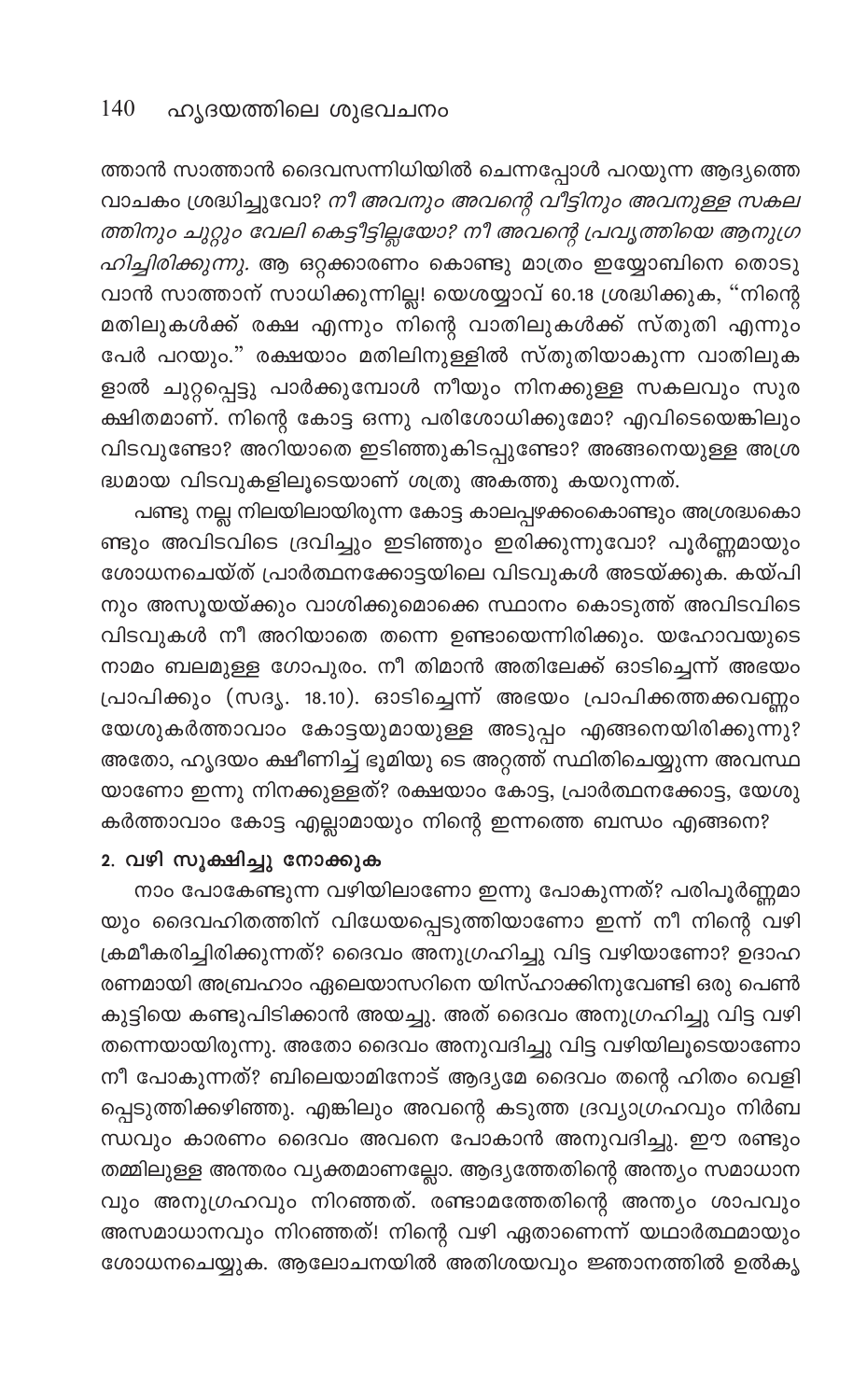ത്താൻ സാത്താൻ ദൈവസന്നിധിയിൽ ചെന്നപ്പോൾ പറയുന്ന ആദ്യത്തെ വാചകം ശ്രദ്ധിച്ചുവോ? നീ അവനും അവന്റെ വീട്ടിനും അവനുള്ള സകല ത്തിനും ചുറ്റും വേലി കെട്ടീട്ടില്ലയോ? നീ അവന്റെ പ്രവൃത്തിയെ ആനുഗ്ര ഹിച്ചിരിക്കുന്നു. ആ ഒറ്റക്കാരണം കൊണ്ടു മാത്രം ഇയ്യോബിനെ തൊടു വാൻ സാത്താന് സാധിക്കുന്നില്ല! യെശയ്യാവ് 60.18 ശ്രദ്ധിക്കുക, "നിന്റെ മതിലുകൾക്ക് രക്ഷ എന്നും നിന്റെ വാതിലുകൾക്ക് സ്തുതി എന്നും പേർ പറയും." രക്ഷയാം മതിലിനുള്ളിൽ സ്തുതിയാകുന്ന വാതിലുക ളാൽ ചുറ്റപ്പെട്ടു പാർക്കുമ്പോൾ നീയും നിനക്കുള്ള സകലവും സുര ക്ഷിതമാണ്. നിന്റെ കോട്ട ഒന്നു പരിശോധിക്കുമോ? എവിടെയെങ്കിലും വിടവുണ്ടോ? അറിയാതെ ഇടിഞ്ഞുകിടപ്പുണ്ടോ? അങ്ങനെയുള്ള അശ്ര ദ്ധമായ വിടവുകളിലൂടെയാണ് ശത്രു അകത്തു കയറുന്നത്.

പണ്ടു നല്ല നിലയിലായിരുന്ന കോട്ട കാലപ്പഴക്കംകൊണ്ടും അശ്രദ്ധകൊ ണ്ടും അവിടവിടെ ദ്രവിച്ചും ഇടിഞ്ഞും ഇരിക്കുന്നുവോ? പൂർണ്ണമായും ശോധനചെയ്ത് പ്രാർത്ഥനക്കോട്ടയിലെ വിടവുകൾ അടയ്ക്കുക. കയ്പി നും അസൂയയ്ക്കും വാശിക്കുമൊക്കെ സ്ഥാനം കൊടുത്ത് അവിടവിടെ വിടവുകൾ നീ അറിയാതെ തന്നെ ഉണ്ടായെന്നിരിക്കും. യഹോവയുടെ നാമം ബലമുള്ള ഗോപുരം. നീ തിമാൻ അതിലേക്ക് ഓടിച്ചെന്ന് അഭയം പ്രാപിക്കും (സദൃ. 18.10). ഓടിച്ചെന്ന് അഭയം പ്രാപിക്കത്തക്കവണ്ണം യേശുകർത്താവാം കോട്ടയുമായുള്ള അടുപ്പം എങ്ങനെയിരിക്കുന്നു? അതോ, ഹൃദയം ക്ഷീണിച്ച് ഭൂമിയു ടെ അറ്റത്ത് സ്ഥിതിചെയ്യുന്ന അവസ്ഥ യാണോ ഇന്നു നിനക്കുള്ളത്? രക്ഷയാം കോട്ട, പ്രാർത്ഥനക്കോട്ട, യേശു കർത്താവാം കോട്ട എല്ലാമായും നിന്റെ ഇന്നത്തെ ബന്ധം എങ്ങനെ?

#### 2. വഴി സൂക്ഷിച്ചു നോക്കുക

നാം പോകേണ്ടുന്ന വഴിയിലാണോ ഇന്നു പോകുന്നത്? പരിപൂർണ്ണമാ യും ദൈവഹിതത്തിന് വിധേയപ്പെടുത്തിയാണോ ഇന്ന് നീ നിന്റെ വഴി ക്രമീകരിച്ചിരിക്കുന്നത്? ദൈവം അനുഗ്രഹിച്ചു വിട്ട വഴിയാണോ? ഉദാഹ രണമായി അബ്രഹാം ഏലെയാസറിനെ യിസ്ഹാക്കിനുവേണ്ടി ഒരു പെൺ കുട്ടിയെ കണ്ടുപിടിക്കാൻ അയച്ചു. അത് ദൈവം അനുഗ്രഹിച്ചു വിട്ട വഴി തന്നെയായിരുന്നു. അതോ ദൈവം അനുവദിച്ചു വിട്ട വഴിയിലൂടെയാണോ നീ പോകുന്നത്? ബിലെയാമിനോട് ആദ്യമേ ദൈവം തന്റെ ഹിതം വെളി പ്പെടുത്തിക്കഴിഞ്ഞു. എങ്കിലും അവന്റെ കടുത്ത ദ്രവ്യാഗ്രഹവും നിർബ ന്ധവും കാരണം ദൈവം അവനെ പോകാൻ അനുവദിച്ചു. ഈ രണ്ടും തമ്മിലുള്ള അന്തരം വ്യക്തമാണല്ലോ. ആദ്യത്തേതിന്റെ അന്ത്യം സമാധാന വും അനുഗ്രഹവും നിറഞ്ഞത്. രണ്ടാമത്തേതിന്റെ അന്ത്യം ശാപവും അസമാധാനവും നിറഞ്ഞത്! നിന്റെ വഴി ഏതാണെന്ന് യഥാർത്ഥമായും ശോധനചെയ്യുക. ആലോചനയിൽ അതിശയവും ജ്ഞാനത്തിൽ ഉൽകൃ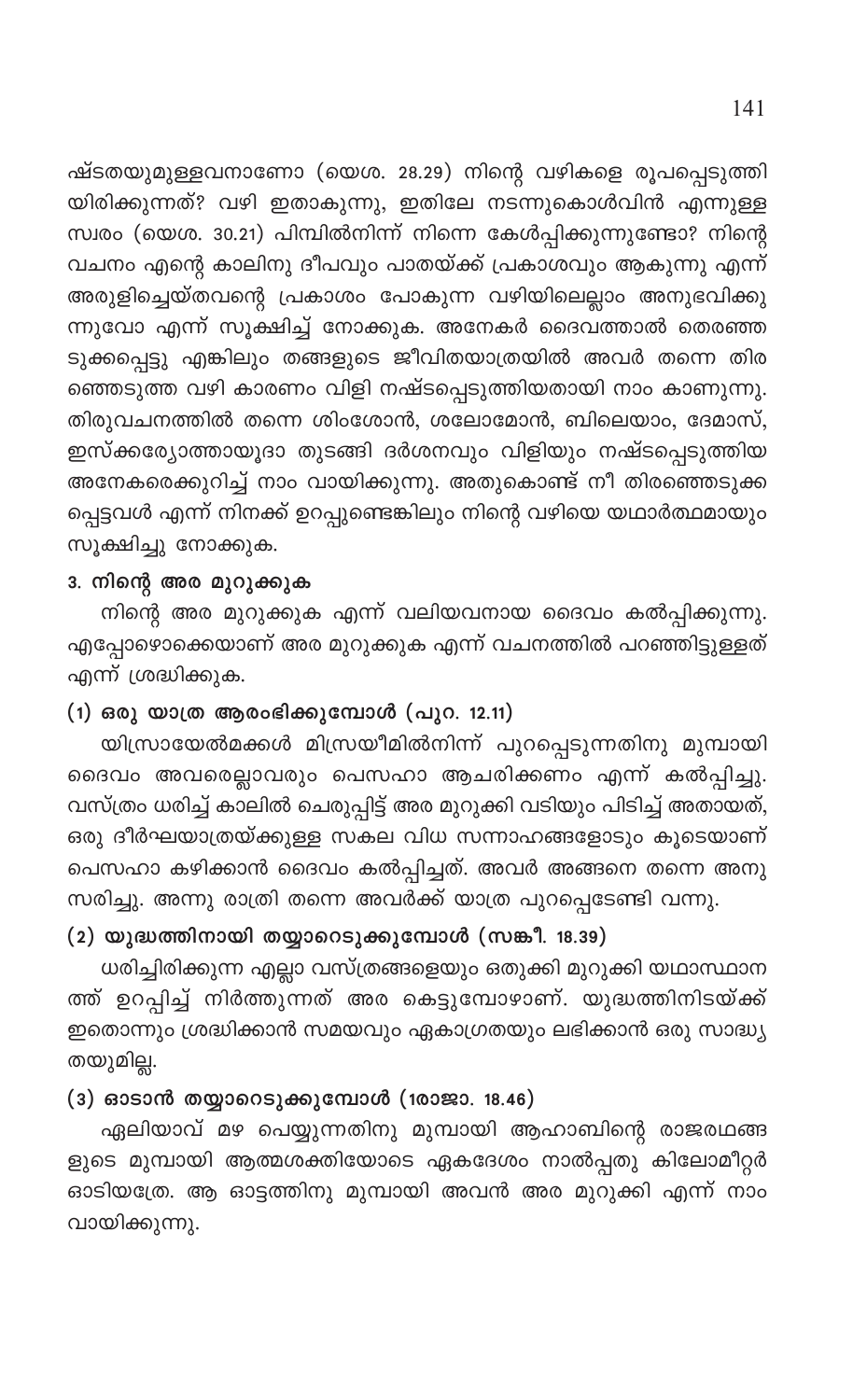ഷ്ടതയുമുള്ളവനാണോ (യെശ. 28.29) നിന്റെ വഴികളെ രൂപപ്പെടുത്തി യിരിക്കുന്നത്? വഴി ഇതാകുന്നു, ഇതിലേ നടന്നുകൊൾവിൻ എന്നുള്ള സ്വരം (യെശ. 30.21) പിമ്പിൽനിന്ന് നിന്നെ കേൾപ്പിക്കുന്നുണ്ടോ? നിന്റെ വചനം എന്റെ കാലിനു ദീപവും പാതയ്ക്ക് പ്രകാശവും ആകുന്നു എന്ന് അരുളിച്ചെയ്തവന്റെ പ്രകാശം പോകുന്ന വഴിയിലെല്ലാം അനുഭവിക്കു ന്നുവോ എന്ന് സൂക്ഷിച്ച് നോക്കുക. അനേകർ ദൈവത്താൽ തെരഞ്ഞ ടുക്കപ്പെട്ടു എങ്കിലും തങ്ങളുടെ ജീവിതയാത്രയിൽ അവർ തന്നെ തിര ഞ്ഞെടുത്ത വഴി കാരണം വിളി നഷ്ടപ്പെടുത്തിയതായി നാം കാണുന്നു. തിരുവചനത്തിൽ തന്നെ ശിംശോൻ, ശലോമോൻ, ബിലെയാം, ദേമാസ്, ഇസ്ക്കര്യോത്തായൂദാ തുടങ്ങി ദർശനവും വിളിയും നഷ്ടപ്പെടുത്തിയ അനേകരെക്കുറിച്ച് നാം വായിക്കുന്നു. അതുകൊണ്ട് നീ തിരഞ്ഞെടുക്ക പ്പെട്ടവൾ എന്ന് നിനക്ക് ഉറപ്പുണ്ടെങ്കിലും നിന്റെ വഴിയെ യഥാർത്ഥമായും സൂക്ഷിച്ചു നോക്കുക.

### 3. നിന്റെ അര മുറുക്കുക

നിന്റെ അര മുറുക്കുക എന്ന് വലിയവനായ ദൈവം കൽപ്പിക്കുന്നു. എപ്പോഴൊക്കെയാണ് അര മുറുക്കുക എന്ന് വചനത്തിൽ പറഞ്ഞിട്ടുള്ളത് എന്ന് ശ്രദ്ധിക്കുക.

### $(1)$  ഒരു യാത്ര ആരംഭിക്കുമ്പോൾ  $($ പുറ. 12.11)

യിസ്രായേൽമക്കൾ മിസ്രയീമിൽനിന്ന് പുറപ്പെടുന്നതിനു മുമ്പായി ദൈവം അവരെല്ലാവരും പെസഹാ ആചരിക്കണം എന്ന് കൽപ്പിച്ചു. വസ്ത്രം ധരിച്ച് കാലിൽ ചെരുപ്പിട്ട് അര മുറുക്കി വടിയും പിടിച്ച് അതായത്, ഒരു ദീർഘയാത്രയ്ക്കുള്ള സകല വിധ സന്നാഹങ്ങളോടും കൂടെയാണ് പെസഹാ കഴിക്കാൻ ദൈവം കൽപ്പിച്ചത്. അവർ അങ്ങനെ തന്നെ അനു സരിച്ചു. അന്നു രാത്രി തന്നെ അവർക്ക് യാത്ര പുറപ്പെടേണ്ടി വന്നു.

# (2) യുദ്ധത്തിനായി തയ്യാറെടുക്കുമ്പോൾ (സങ്കീ. 18.39)

ധരിച്ചിരിക്കുന്ന എല്ലാ വസ്ത്രങ്ങളെയും ഒതുക്കി മുറുക്കി യഥാസ്ഥാന ത്ത് ഉറപ്പിച്ച് നിർത്തുന്നത് അര കെട്ടുമ്പോഴാണ്. യുദ്ധത്തിനിടയ്ക്ക് ഇതൊന്നും ശ്രദ്ധിക്കാൻ സമയവും ഏകാഗ്രതയും ലഭിക്കാൻ ഒരു സാദ്ധ്യ തയുമില്ല.

#### (3) ഓടാൻ തയ്യാറെടുക്കുമ്പോൾ (1രാജാ. 18.46)

ഏലിയാവ് മഴ പെയ്യുന്നതിനു മുമ്പായി ആഹാബിന്റെ രാജരഥങ്ങ ളുടെ മുമ്പായി ആത്മശക്തിയോടെ ഏകദേശം നാൽപ്പതു കിലോമീറ്റർ ഓടിയത്രേ. ആ ഓട്ടത്തിനു മുമ്പായി അവൻ അര മുറുക്കി എന്ന് നാം വായിക്കുന്നു.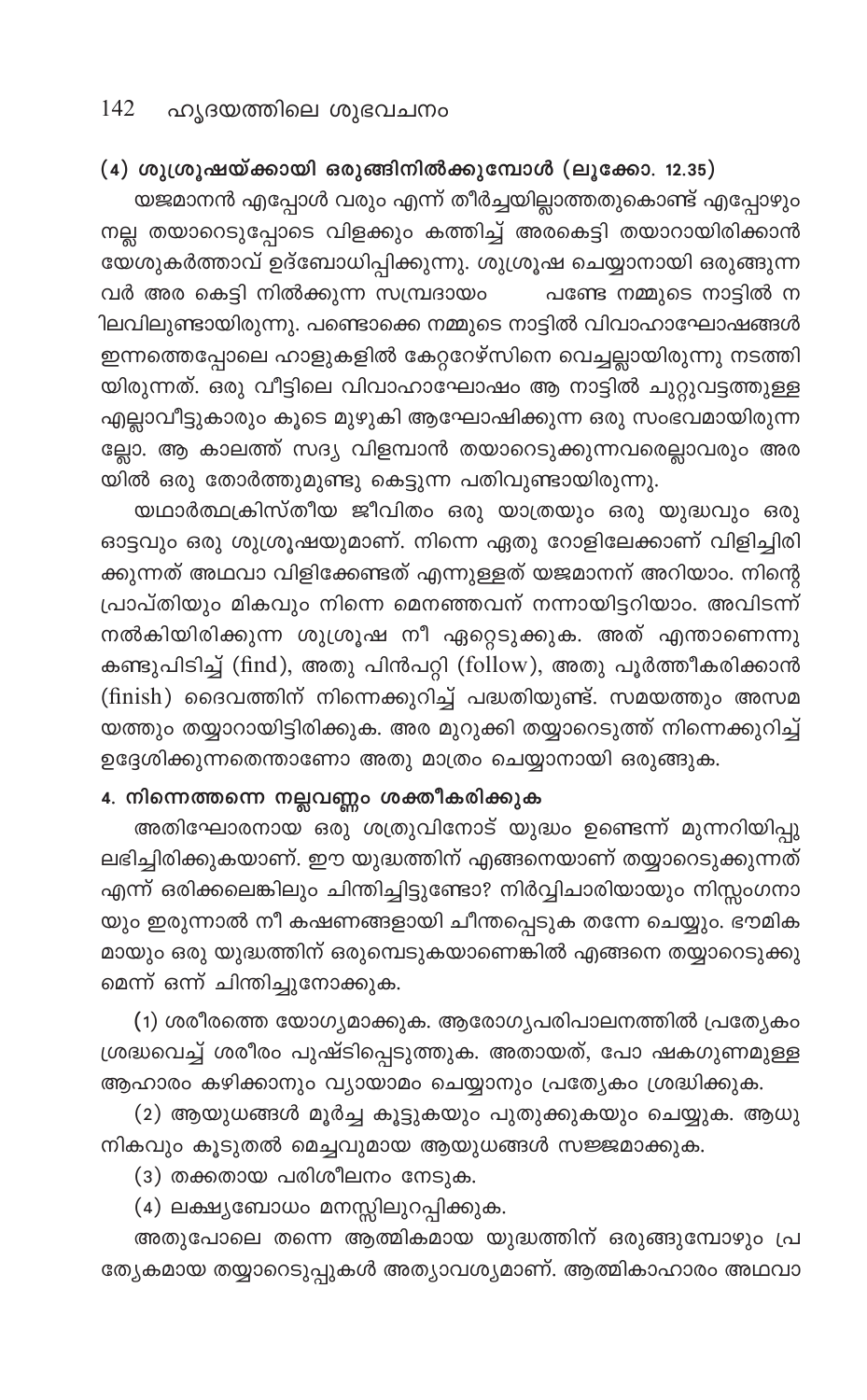# (4) ശുശ്രൂഷയ്ക്കായി ഒരുങ്ങിനിൽക്കുമ്പോൾ (ലൂക്കോ. 12.35)

യജമാനൻ എപ്പോൾ വരും എന്ന് തീർച്ചയില്ലാത്തതുകൊണ്ട് എപ്പോഴും നല്ല തയാറെടുപ്പോടെ വിളക്കും കത്തിച്ച് അരകെട്ടി തയാറായിരിക്കാൻ യേശുകർത്താവ് ഉദ്ബോധിപ്പിക്കുന്നു. ശുശ്രൂഷ ചെയ്യാനായി ഒരുങ്ങുന്ന വർ അര കെട്ടി നിൽക്കുന്ന സമ്പ്രദായം പണ്ടേ നമ്മുടെ നാട്ടിൽ ന ിലവിലുണ്ടായിരുന്നു. പണ്ടൊക്കെ നമ്മുടെ നാട്ടിൽ വിവാഹാഘോഷങ്ങൾ ഇന്നത്തെപ്പോലെ ഹാളുകളിൽ കേറ്ററേഴ്സിനെ വെച്ചല്ലായിരുന്നു നടത്തി യിരുന്നത്. ഒരു വീട്ടിലെ വിവാഹാഘോഷം ആ നാട്ടിൽ ചുറ്റുവട്ടത്തുള്ള എല്ലാവീട്ടുകാരും കൂടെ മുഴുകി ആഘോഷിക്കുന്ന ഒരു സംഭവമായിരുന്ന ല്ലോ. ആ കാലത്ത് സദ്യ വിളമ്പാൻ തയാറെടുക്കുന്നവരെല്ലാവരും അര യിൽ ഒരു തോർത്തുമുണ്ടു കെട്ടുന്ന പതിവുണ്ടായിരുന്നു.

യഥാർത്ഥക്രിസ്തീയ ജീവിതം ഒരു യാത്രയും ഒരു യുദ്ധവും ഒരു ഓട്ടവും ഒരു ശുശ്രൂഷയുമാണ്. നിന്നെ ഏതു റോളിലേക്കാണ് വിളിച്ചിരി ക്കുന്നത് അഥവാ വിളിക്കേണ്ടത് എന്നുള്ളത് യജമാനന് അറിയാം. നിന്റെ പ്രാപ്തിയും മികവും നിന്നെ മെനഞ്ഞവന് നന്നായിട്ടറിയാം. അവിടന്ന് നൽകിയിരിക്കുന്ന ശുശ്രൂഷ നീ ഏറ്റെടുക്കുക. അത് എന്താണെന്നു കണ്ടുപിടിച്ച് (find), അതു പിൻപറ്റി (follow), അതു പൂർത്തീകരിക്കാൻ (finish) ദൈവത്തിന് നിന്നെക്കുറിച്ച് പദ്ധതിയുണ്ട്. സമയത്തും അസമ യത്തും തയ്യാറായിട്ടിരിക്കുക. അര മുറുക്കി തയ്യാറെടുത്ത് നിന്നെക്കുറിച്ച് ഉദ്ദേശിക്കുന്നതെന്താണോ അതു മാത്രം ചെയ്യാനായി ഒരുങ്ങുക.

# 4. നിന്നെത്തന്നെ നല്ലവണ്ണം ശക്തീകരിക്കുക

അതിഘോരനായ ഒരു ശത്രുവിനോട് യുദ്ധം ഉണ്ടെന്ന് മുന്നറിയിപ്പു ലഭിച്ചിരിക്കുകയാണ്. ഈ യുദ്ധത്തിന് എങ്ങനെയാണ് തയ്യാറെടുക്കുന്നത് എന്ന് ഒരിക്കലെങ്കിലും ചിന്തിച്ചിട്ടുണ്ടോ? നിർവ്വിചാരിയായും നിസ്സംഗനാ യും ഇരുന്നാൽ നീ കഷണങ്ങളായി ചീന്തപ്പെടുക തന്നേ ചെയ്യും. ഭൗമിക മായും ഒരു യുദ്ധത്തിന് ഒരുമ്പെടുകയാണെങ്കിൽ എങ്ങനെ തയ്യാറെടുക്കു മെന്ന് ഒന്ന് ചിന്തിച്ചുനോക്കുക.

(1) ശരീരത്തെ യോഗ്യമാക്കുക. ആരോഗ്യപരിപാലനത്തിൽ പ്രത്യേകം ശ്രദ്ധവെച്ച് ശരീരം പുഷ്ടിപ്പെടുത്തുക. അതായത്, പോ ഷകഗുണമുള്ള ആഹാരം കഴിക്കാനും വ്യായാമം ചെയ്യാനും പ്രത്യേകം ശ്രദ്ധിക്കുക.

(2) ആയുധങ്ങൾ മൂർച്ച കൂട്ടുകയും പുതുക്കുകയും ചെയ്യുക. ആധു നികവും കൂടുതൽ മെച്ചവുമായ ആയുധങ്ങൾ സജ്ജമാക്കുക.

(3) തക്കതായ പരിശീലനം നേടുക.

(4) ലക്ഷ്യബോധം മനസ്സിലുറപ്പിക്കുക.

അതുപോലെ തന്നെ ആത്മികമായ യുദ്ധത്തിന് ഒരുങ്ങുമ്പോഴും പ്ര ത്യേകമായ തയ്യാറെടുപ്പുകൾ അത്യാവശ്യമാണ്. ആത്മികാഹാരം അഥവാ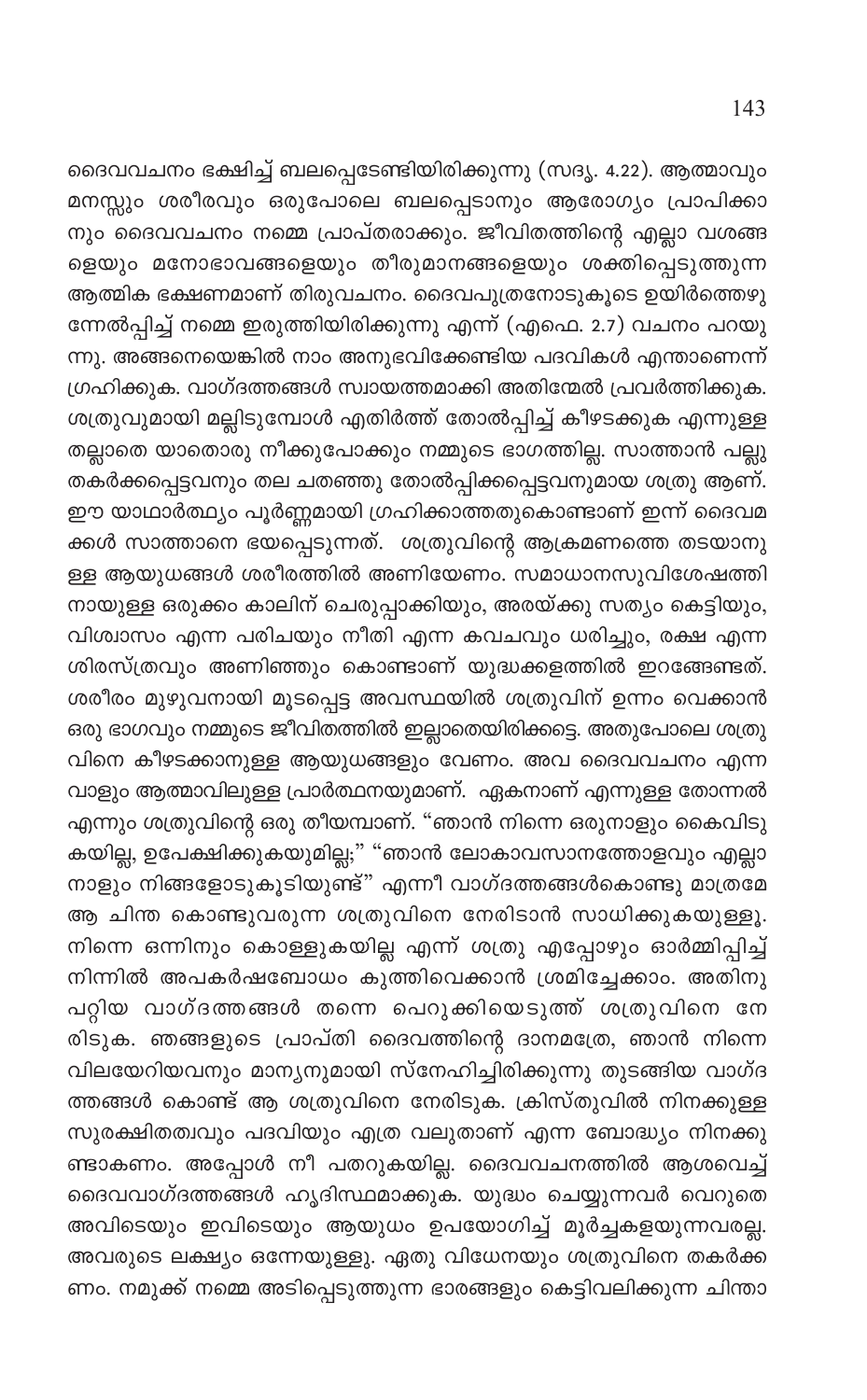ദൈവവചനം ഭക്ഷിച്ച് ബലപ്പെടേണ്ടിയിരിക്കുന്നു (സദൃ. 4.22). ആത്മാവും മനസ്സും ശരീരവും ഒരുപോലെ ബലപ്പെടാനും ആരോഗ്യം പ്രാപിക്കാ നും ദൈവവചനം നമ്മെ പ്രാപ്തരാക്കും. ജീവിതത്തിന്റെ എല്ലാ വശങ്ങ ളെയും മനോഭാവങ്ങളെയും തീരുമാനങ്ങളെയും ശക്തിപ്പെടുത്തുന്ന ആത്മിക ഭക്ഷണമാണ് തിരുവചനം. ദൈവപുത്രനോടുകൂടെ ഉയിർത്തെഴു ന്നേൽപ്പിച്ച് നമ്മെ ഇരുത്തിയിരിക്കുന്നു എന്ന് (എഫെ. 2.7) വചനം പറയു ന്നു. അങ്ങനെയെങ്കിൽ നാം അനുഭവിക്കേണ്ടിയ പദവികൾ എന്താണെന്ന് ഗ്രഹിക്കുക. വാഗ്ദത്തങ്ങൾ സ്വായത്തമാക്കി അതിന്മേൽ പ്രവർത്തിക്കുക. ശത്രുവുമായി മല്ലിടുമ്പോൾ എതിർത്ത് തോൽപ്പിച്ച് കീഴടക്കുക എന്നുള്ള തല്ലാതെ യാതൊരു നീക്കുപോക്കും നമ്മുടെ ഭാഗത്തില്ല. സാത്താൻ പല്ലു തകർക്കപ്പെട്ടവനും തല ചതഞ്ഞു തോൽപ്പിക്കപ്പെട്ടവനുമായ ശത്രു ആണ്. ഈ യാഥാർത്ഥ്യം പൂർണ്ണമായി ഗ്രഹിക്കാത്തതുകൊണ്ടാണ് ഇന്ന് ദൈവമ ക്കൾ സാത്താനെ ഭയപ്പെടുന്നത്. ശത്രുവിന്റെ ആക്രമണത്തെ തടയാനു ള്ള ആയുധങ്ങൾ ശരീരത്തിൽ അണിയേണം. സമാധാനസുവിശേഷത്തി നായുള്ള ഒരുക്കം കാലിന് ചെരുപ്പാക്കിയും, അരയ്ക്കു സത്യം കെട്ടിയും, വിശ്വാസം എന്ന പരിചയും നീതി എന്ന കവചവും ധരിച്ചും, രക്ഷ എന്ന ശിരസ്ത്രവും അണിഞ്ഞും കൊണ്ടാണ് യുദ്ധക്കളത്തിൽ ഇറങ്ങേണ്ടത്. ശരീരം മുഴുവനായി മൂടപ്പെട്ട അവസ്ഥയിൽ ശത്രുവിന് ഉന്നം വെക്കാൻ ഒരു ഭാഗവും നമ്മുടെ ജീവിതത്തിൽ ഇല്ലാതെയിരിക്കട്ടെ. അതുപോലെ ശത്രു വിനെ കീഴടക്കാനുള്ള ആയുധങ്ങളും വേണം. അവ ദൈവവചനം എന്ന വാളും ആത്മാവിലുള്ള പ്രാർത്ഥനയുമാണ്. ഏകനാണ് എന്നുള്ള തോന്നൽ എന്നും ശത്രുവിന്റെ ഒരു തീയമ്പാണ്. "ഞാൻ നിന്നെ ഒരുനാളും കൈവിടു കയില്ല, ഉപേക്ഷിക്കുകയുമില്ല;" "ഞാൻ ലോകാവസാനത്തോളവും എല്ലാ നാളും നിങ്ങളോടുകൂടിയുണ്ട്" എന്നീ വാഗ്ദത്തങ്ങൾകൊണ്ടു മാത്രമേ ആ ചിന്ത കൊണ്ടുവരുന്ന ശത്രുവിനെ നേരിടാൻ സാധിക്കുകയുള്ളൂ. നിന്നെ ഒന്നിനും കൊള്ളുകയില്ല എന്ന് ശത്രു എപ്പോഴും ഓർമ്മിപ്പിച്ച് നിന്നിൽ അപകർഷബോധം കുത്തിവെക്കാൻ ശ്രമിച്ചേക്കാം. അതിനു പറ്റിയ വാഗ്ദത്തങ്ങൾ തന്നെ പെറുക്കിയെടുത്ത് ശത്രുവിനെ നേ രിടുക. ഞങ്ങളുടെ പ്രാപ്തി ദൈവത്തിന്റെ ദാനമത്രേ, ഞാൻ നിന്നെ വിലയേറിയവനും മാന്യനുമായി സ്നേഹിച്ചിരിക്കുന്നു തുടങ്ങിയ വാഗ്ദ ത്തങ്ങൾ കൊണ്ട് ആ ശത്രുവിനെ നേരിടുക. ക്രിസ്തുവിൽ നിനക്കുള്ള സുരക്ഷിതത്വവും പദവിയും എത്ര വലുതാണ് എന്ന ബോദ്ധ്യം നിനക്കു ണ്ടാകണം. അപ്പോൾ നീ പതറുകയില്ല. ദൈവവചനത്തിൽ ആശവെച്ച് ദൈവവാഗ്ദത്തങ്ങൾ ഹൃദിസ്ഥമാക്കുക. യുദ്ധം ചെയ്യുന്നവർ വെറുതെ അവിടെയും ഇവിടെയും ആയുധം ഉപയോഗിച്ച് മൂർച്ചകളയുന്നവരല്ല. അവരുടെ ലക്ഷ്യം ഒന്നേയുള്ളു. ഏതു വിധേനയും ശത്രുവിനെ തകർക്ക ണം. നമുക്ക് നമ്മെ അടിപ്പെടുത്തുന്ന ഭാരങ്ങളും കെട്ടിവലിക്കുന്ന ചിന്താ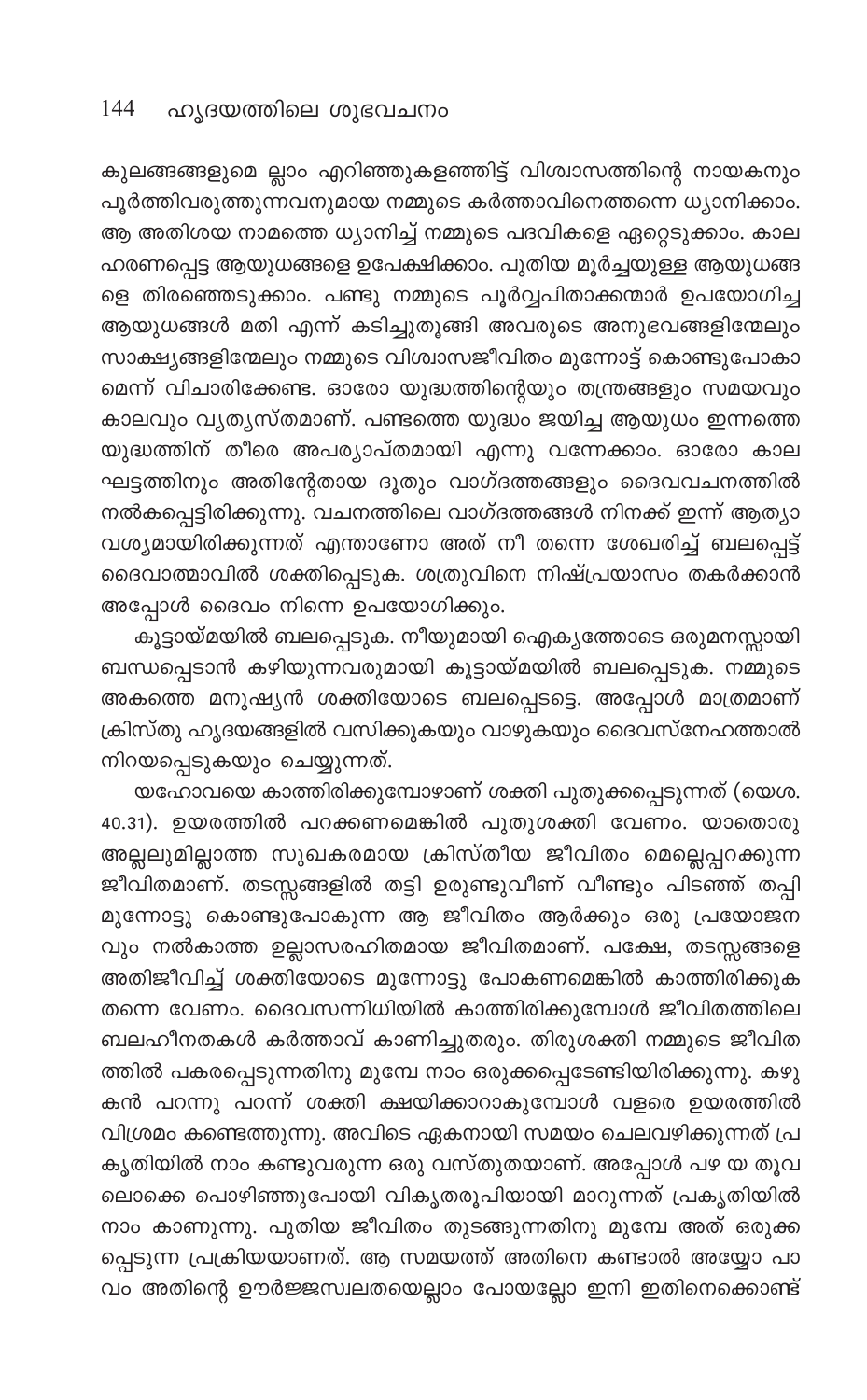കുലങ്ങങ്ങളുമെ ല്ലാം എറിഞ്ഞുകളഞ്ഞിട്ട് വിശ്വാസത്തിന്റെ നായകനും പൂർത്തിവരുത്തുന്നവനുമായ നമ്മുടെ കർത്താവിനെത്തന്നെ ധ്യാനിക്കാം. ആ അതിശയ നാമത്തെ ധ്യാനിച്ച് നമ്മുടെ പദവികളെ ഏറ്റെടുക്കാം. കാല ഹരണപ്പെട്ട ആയുധങ്ങളെ ഉപേക്ഷിക്കാം. പുതിയ മൂർച്ചയുള്ള ആയുധങ്ങ ളെ തിരഞ്ഞെടുക്കാം. പണ്ടു നമ്മുടെ പൂർവ്വപിതാക്കന്മാർ ഉപയോഗിച്ച ആയുധങ്ങൾ മതി എന്ന് കടിച്ചുതൂങ്ങി അവരുടെ അനുഭവങ്ങളിന്മേലും സാക്ഷ്യങ്ങളിന്മേലും നമ്മുടെ വിശ്വാസജീവിതം മുന്നോട്ട് കൊണ്ടുപോകാ മെന്ന് വിചാരിക്കേണ്ട. ഓരോ യുദ്ധത്തിന്റെയും തന്ത്രങ്ങളും സമയവും കാലവും വ്യത്യസ്തമാണ്. പണ്ടത്തെ യുദ്ധം ജയിച്ച ആയുധം ഇന്നത്തെ യുദ്ധത്തിന് തീരെ അപര്യാപ്തമായി എന്നു വന്നേക്കാം. ഓരോ കാല ഘട്ടത്തിനും അതിന്റേതായ ദൂതും വാഗ്ദത്തങ്ങളും ദൈവവചനത്തിൽ നൽകപ്പെട്ടിരിക്കുന്നു. വചനത്തിലെ വാഗ്ദത്തങ്ങൾ നിനക്ക് ഇന്ന് ആത്യാ വശ്യമായിരിക്കുന്നത് എന്താണോ അത് നീ തന്നെ ശേഖരിച്ച് ബലപ്പെട്ട് ദൈവാത്മാവിൽ ശക്തിപ്പെടുക. ശത്രുവിനെ നിഷ്പ്രയാസം തകർക്കാൻ അപ്പോൾ ദൈവം നിന്നെ ഉപയോഗിക്കും.

കൂട്ടായ്മയിൽ ബലപ്പെടുക. നീയുമായി ഐക്യത്തോടെ ഒരുമനസ്സായി ബന്ധപ്പെടാൻ കഴിയുന്നവരുമായി കൂട്ടായ്മയിൽ ബലപ്പെടുക. നമ്മുടെ അകത്തെ മനുഷ്യൻ ശക്തിയോടെ ബലപ്പെടട്ടെ. അപ്പോൾ മാത്രമാണ് ക്രിസ്തു ഹൃദയങ്ങളിൽ വസിക്കുകയും വാഴുകയും ദൈവസ്നേഹത്താൽ നിറയപ്പെടുകയും ചെയ്യുന്നത്.

യഹോവയെ കാത്തിരിക്കുമ്പോഴാണ് ശക്തി പുതുക്കപ്പെടുന്നത് (യെശ. 40.31). ഉയരത്തിൽ പറക്കണമെങ്കിൽ പുതുശക്തി വേണം. യാതൊരു അല്ലലുമില്ലാത്ത സുഖകരമായ ക്രിസ്തീയ ജീവിതം മെല്ലെപ്പറക്കുന്ന ജീവിതമാണ്. തടസ്സങ്ങളിൽ തട്ടി ഉരുണ്ടുവീണ് വീണ്ടും പിടഞ്ഞ് തപ്പി മുന്നോട്ടു കൊണ്ടുപോകുന്ന ആ ജീവിതം ആർക്കും ഒരു പ്രയോജന വും നൽകാത്ത ഉല്ലാസരഹിതമായ ജീവിതമാണ്. പക്ഷേ, തടസ്സങ്ങളെ അതിജീവിച്ച് ശക്തിയോടെ മുന്നോട്ടു പോകണമെങ്കിൽ കാത്തിരിക്കുക തന്നെ വേണം. ദൈവസന്നിധിയിൽ കാത്തിരിക്കുമ്പോൾ ജീവിതത്തിലെ ബലഹീനതകൾ കർത്താവ് കാണിച്ചുതരും. തിരുശക്തി നമ്മുടെ ജീവിത ത്തിൽ പകരപ്പെടുന്നതിനു മുമ്പേ നാം ഒരുക്കപ്പെടേണ്ടിയിരിക്കുന്നു. കഴു കൻ പറന്നു പറന്ന് ശക്തി ക്ഷയിക്കാറാകുമ്പോൾ വളരെ ഉയരത്തിൽ വിശ്രമം കണ്ടെത്തുന്നു. അവിടെ ഏകനായി സമയം ചെലവഴിക്കുന്നത് പ്ര കൃതിയിൽ നാം കണ്ടുവരുന്ന ഒരു വസ്തുതയാണ്. അപ്പോൾ പഴ യ തൂവ ലൊക്കെ പൊഴിഞ്ഞുപോയി വികൃതരൂപിയായി മാറുന്നത് പ്രകൃതിയിൽ നാം കാണുന്നു. പുതിയ ജീവിതം തുടങ്ങുന്നതിനു മുമ്പേ അത് ഒരുക്ക പ്പെടുന്ന പ്രക്രിയയാണത്. ആ സമയത്ത് അതിനെ കണ്ടാൽ അയ്യോ പാ വം അതിന്റെ ഊർജ്ജസ്വലതയെല്ലാം പോയല്ലോ ഇനി ഇതിനെക്കൊണ്ട്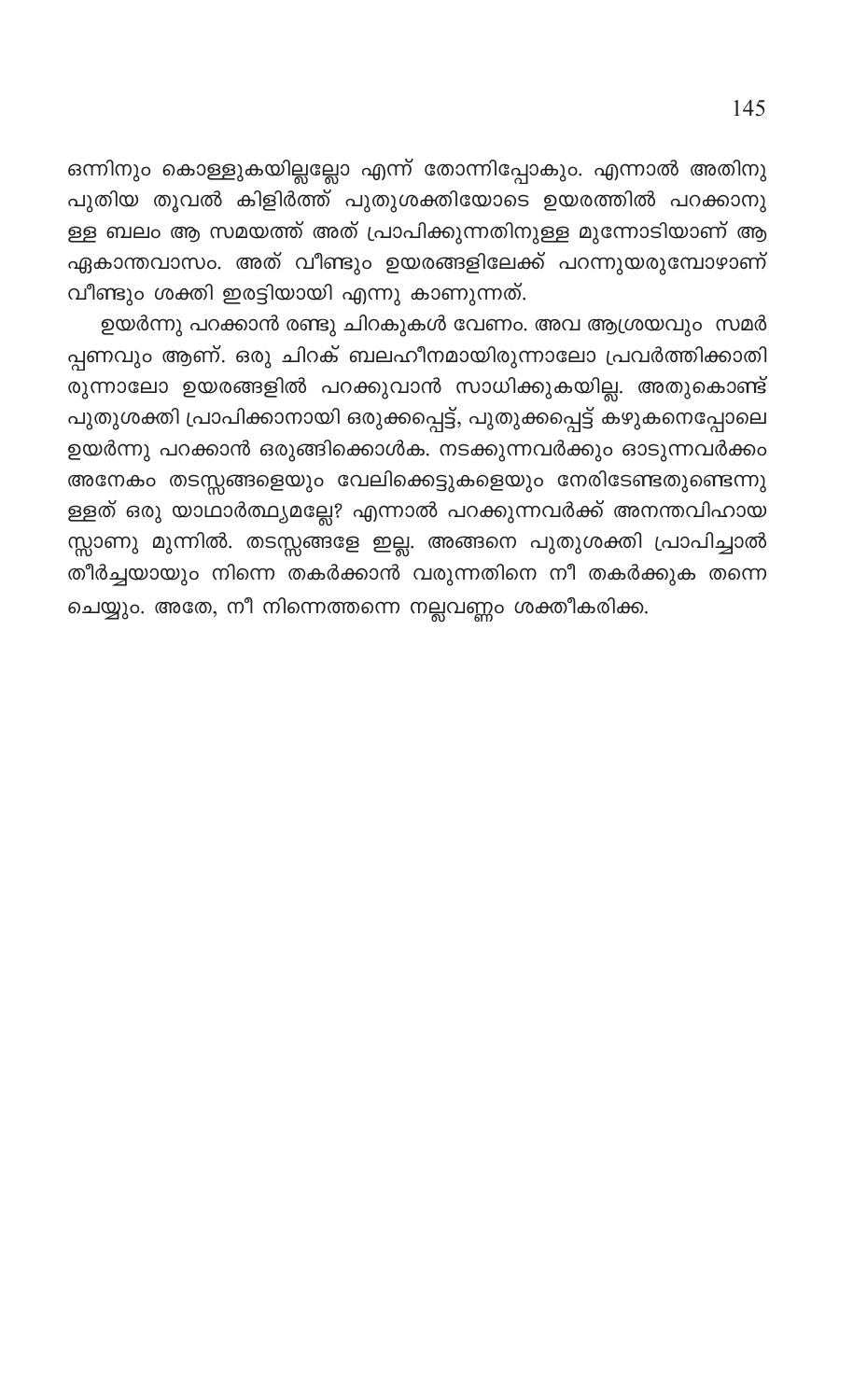ഒന്നിനും കൊള്ളുകയില്ലല്ലോ എന്ന് തോന്നിപ്പോകും. എന്നാൽ അതിനു പുതിയ തൂവൽ കിളിർത്ത് പുതുശക്തിയോടെ ഉയരത്തിൽ പറക്കാനു ള്ള ബലം ആ സമയത്ത് അത് പ്രാപിക്കുന്നതിനുള്ള മുന്നോടിയാണ് ആ ഏകാന്തവാസം. അത് വീണ്ടും ഉയരങ്ങളിലേക്ക് പറന്നുയരുമ്പോഴാണ് വീണ്ടും ശക്തി ഇരട്ടിയായി എന്നു കാണുന്നത്.

ഉയർന്നു പറക്കാൻ രണ്ടു ചിറകുകൾ വേണം. അവ ആശ്രയവും സമർ പ്പണവും ആണ്. ഒരു ചിറക് ബലഹീനമായിരുന്നാലോ പ്രവർത്തിക്കാതി രുന്നാലോ ഉയരങ്ങളിൽ പറക്കുവാൻ സാധിക്കുകയില്ല. അതുകൊണ്ട് പുതുശക്തി പ്രാപിക്കാനായി ഒരുക്കപ്പെട്ട്, പുതുക്കപ്പെട്ട് കഴുകനെപ്പോലെ ഉയർന്നു പറക്കാൻ ഒരുങ്ങിക്കൊൾക. നടക്കുന്നവർക്കും ഓടുന്നവർക്കം അനേകം തടസ്സങ്ങളെയും വേലിക്കെട്ടുകളെയും നേരിടേണ്ടതുണ്ടെന്നു ള്ളത് ഒരു യാഥാർത്ഥ്യമല്ലേ? എന്നാൽ പറക്കുന്നവർക്ക് അനന്തവിഹായ സ്സാണു മുന്നിൽ. തടസ്സങ്ങളേ ഇല്ല. അങ്ങനെ പുതുശക്തി പ്രാപിച്ചാൽ തീർച്ചയായും നിന്നെ തകർക്കാൻ വരുന്നതിനെ നീ തകർക്കുക തന്നെ ചെയ്യും. അതേ, നീ നിന്നെത്തന്നെ നല്ലവണ്ണം ശക്തീകരിക്ക.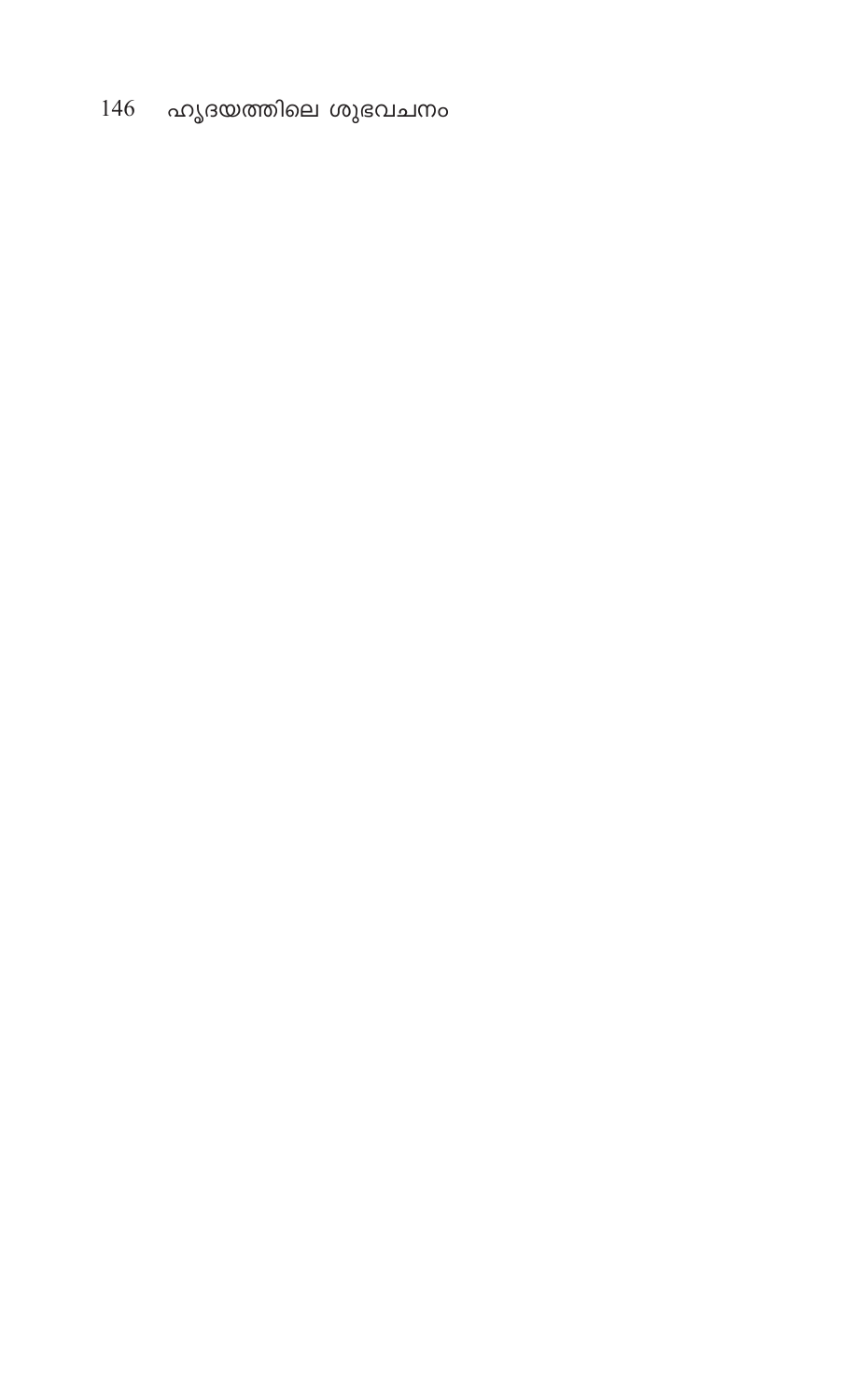# 146 ഹൃദയത്തിലെ ശുഭവചനം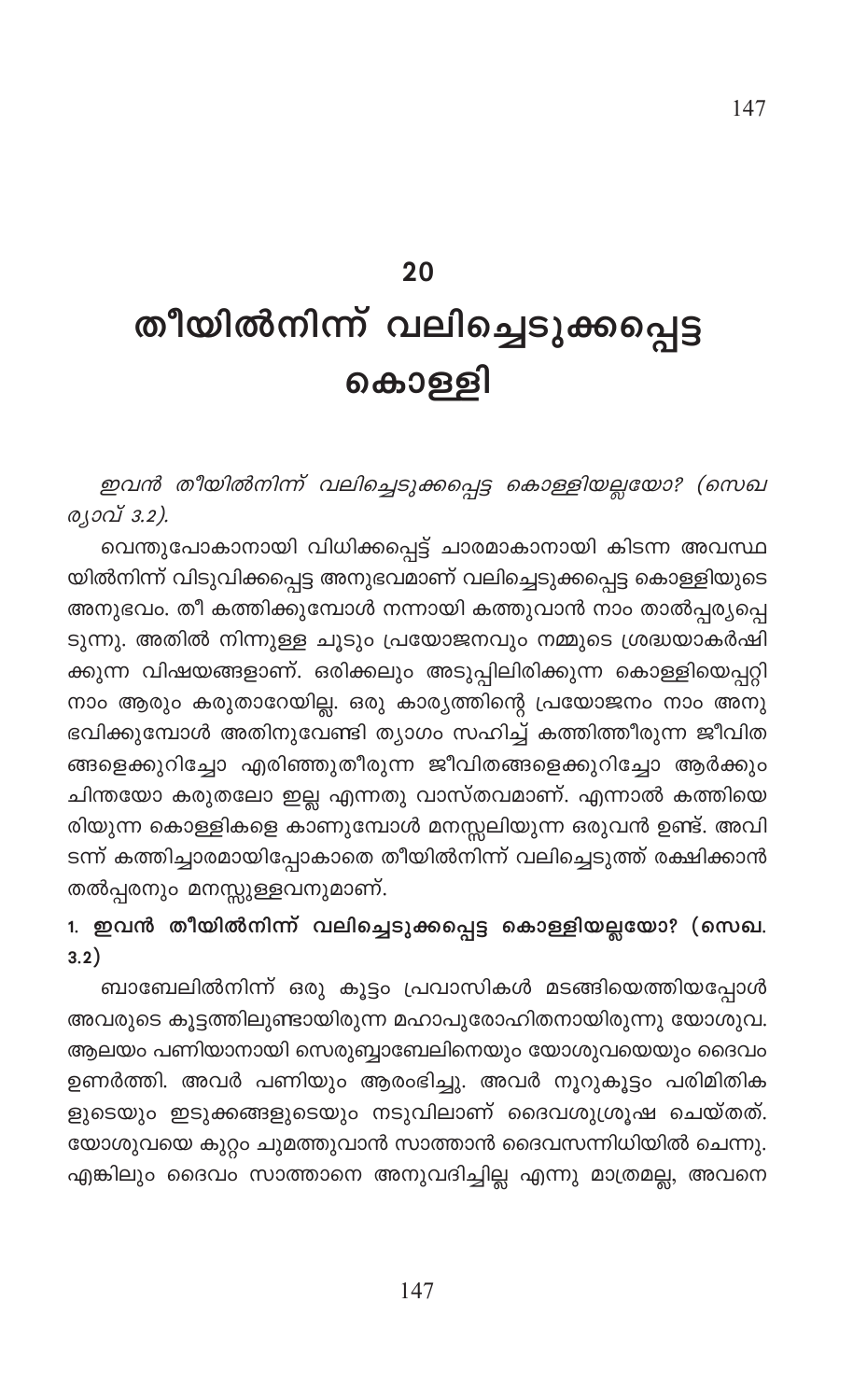# 20 തീയിൽനിന്ന് വലിച്ചെടുക്കപ്പ<mark>െ</mark>ട്ട കൊള്ളി

ഇവൻ തീയിൽനിന്ന് വലിച്ചെടുക്കപ്പെട്ട കൊള്ളിയല്ലയോ? (സെഖ ര്യാവ് 3.2).

വെന്തുപോകാനായി വിധിക്കപ്പെട്ട് ചാരമാകാനായി കിടന്ന അവസ്ഥ യിൽനിന്ന് വിടുവിക്കപ്പെട്ട അനുഭവമാണ് വലിച്ചെടുക്കപ്പെട്ട കൊള്ളിയുടെ അനുഭവം. തീ കത്തിക്കുമ്പോൾ നന്നായി കത്തുവാൻ നാം താൽപ്പര്യപ്പെ ടുന്നു. അതിൽ നിന്നുള്ള ചൂടും പ്രയോജനവും നമ്മുടെ ശ്രദ്ധയാകർഷി ക്കുന്ന വിഷയങ്ങളാണ്. ഒരിക്കലും അടുപ്പിലിരിക്കുന്ന കൊള്ളിയെപ്പറ്റി നാം ആരും കരുതാറേയില്ല. ഒരു കാര്യത്തിന്റെ പ്രയോജനം നാം അനു ഭവിക്കുമ്പോൾ അതിനുവേണ്ടി ത്യാഗം സഹിച്ച് കത്തിത്തീരുന്ന ജീവിത ങ്ങളെക്കുറിച്ചോ എരിഞ്ഞുതീരുന്ന ജീവിതങ്ങളെക്കുറിച്ചോ ആർക്കും ചിന്തയോ കരുതലോ ഇല്ല എന്നതു വാസ്തവമാണ്. എന്നാൽ കത്തിയെ രിയുന്ന കൊള്ളികളെ കാണുമ്പോൾ മനസ്സലിയുന്ന ഒരുവൻ ഉണ്ട്. അവി ടന്ന് കത്തിച്ചാരമായിപ്പോകാതെ തീയിൽനിന്ന് വലിച്ചെടുത്ത് രക്ഷിക്കാൻ തൽപ്പരനും മനസ്സുള്ളവനുമാണ്.

# 1. ഇവൻ തീയിൽനിന്ന് വലിച്ചെടുക്കപ്പെട്ട കൊള്ളിയല്ലയോ? (സെഖ.  $3.2)$

ബാബേലിൽനിന്ന് ഒരു കൂട്ടം പ്രവാസികൾ മടങ്ങിയെത്തിയപ്പോൾ അവരുടെ കൂട്ടത്തിലുണ്ടായിരുന്ന മഹാപുരോഹിതനായിരുന്നു യോശുവ. ആലയം പണിയാനായി സെരുബ്ബാബേലിനെയും യോശുവയെയും ദൈവം ഉണർത്തി. അവർ പണിയും ആരംഭിച്ചു. അവർ നൂറുകൂട്ടം പരിമിതിക ളുടെയും ഇടുക്കങ്ങളുടെയും നടുവിലാണ് ദൈവശുശ്രൂഷ ചെയ്തത്. യോശുവയെ കുറ്റം ചുമത്തുവാൻ സാത്താൻ ദൈവസന്നിധിയിൽ ചെന്നു. എങ്കിലും ദൈവം സാത്താനെ അനുവദിച്ചില്ല എന്നു മാത്രമല്ല, അവനെ

147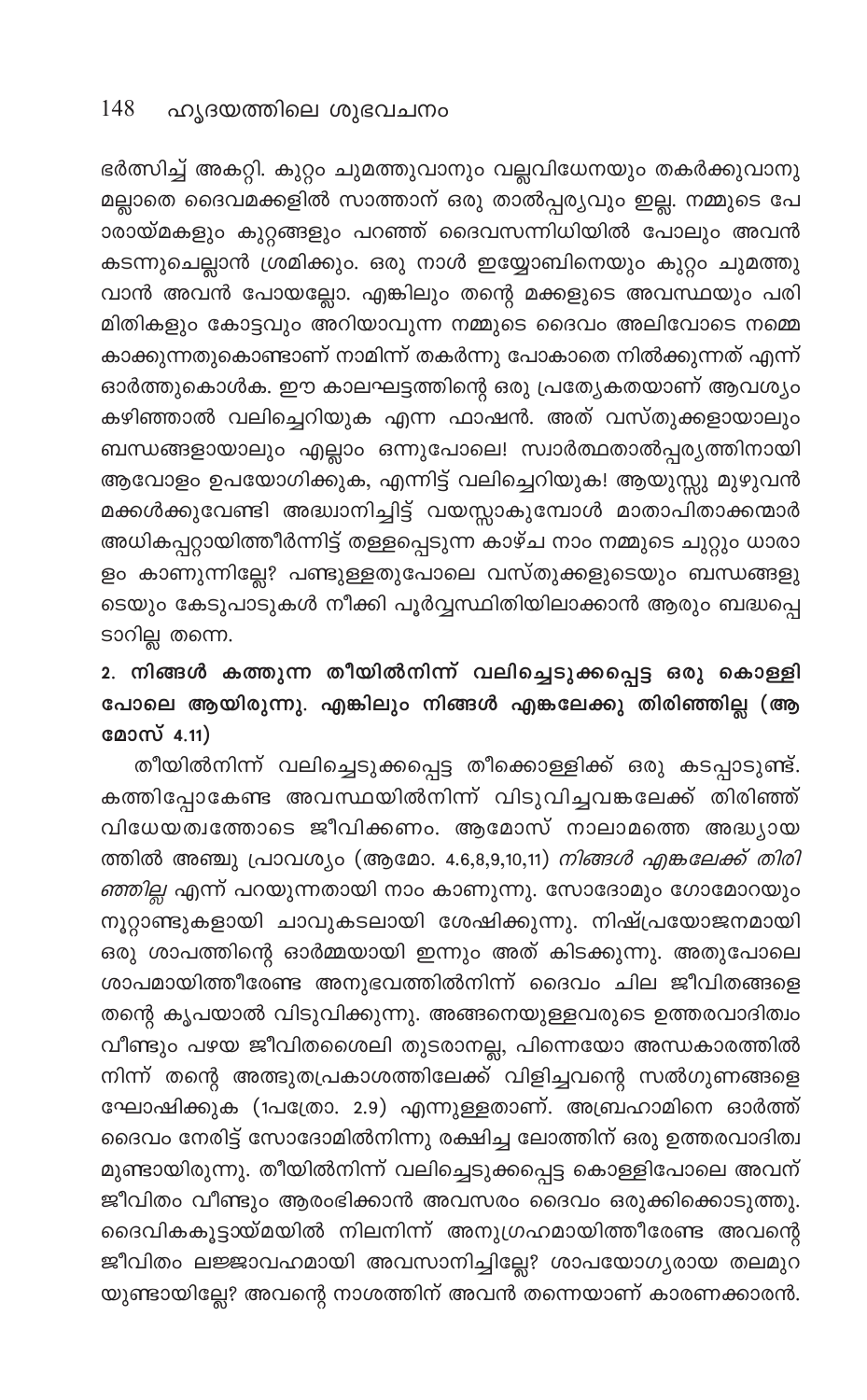ഭർത്സിച്ച് അകറ്റി. കുറ്റം ചുമത്തുവാനും വല്ലവിധേനയും തകർക്കുവാനു മല്ലാതെ ദൈവമക്കളിൽ സാത്താന് ഒരു താൽപ്പര്യവും ഇല്ല. നമ്മുടെ പേ ാരായ്മകളും കുറ്റങ്ങളും പറഞ്ഞ് ദൈവസന്നിധിയിൽ പോലും അവൻ കടന്നുചെല്ലാൻ ശ്രമിക്കും. ഒരു നാൾ ഇയ്യോബിനെയും കുറ്റം ചുമത്തു വാൻ അവൻ പോയല്ലോ. എങ്കിലും തന്റെ മക്കളുടെ അവസ്ഥയും പരി മിതികളും കോട്ടവും അറിയാവുന്ന നമ്മുടെ ദൈവം അലിവോടെ നമ്മെ കാക്കുന്നതുകൊണ്ടാണ് നാമിന്ന് തകർന്നു പോകാതെ നിൽക്കുന്നത് എന്ന് ഓർത്തുകൊൾക. ഈ കാലഘട്ടത്തിന്റെ ഒരു പ്രത്യേകതയാണ് ആവശ്യം കഴിഞ്ഞാൽ വലിച്ചെറിയുക എന്ന ഫാഷൻ. അത് വസ്തുക്കളായാലും ബന്ധങ്ങളായാലും എല്ലാം ഒന്നുപോലെ! സ്വാർത്ഥതാൽപ്പര്യത്തിനായി ആവോളം ഉപയോഗിക്കുക, എന്നിട്ട് വലിച്ചെറിയുക! ആയുസ്സു മുഴുവൻ മക്കൾക്കുവേണ്ടി അദ്ധ്വാനിച്ചിട്ട് വയസ്സാകുമ്പോൾ മാതാപിതാക്കന്മാർ അധികപ്പറ്റായിത്തീർന്നിട്ട് തള്ളപ്പെടുന്ന കാഴ്ച നാം നമ്മുടെ ചുറ്റും ധാരാ ളം കാണുന്നില്ലേ? പണ്ടുള്ളതുപോലെ വസ്തുക്കളുടെയും ബന്ധങ്ങളു ടെയും കേടുപാടുകൾ നീക്കി പൂർവ്വസ്ഥിതിയിലാക്കാൻ ആരും ബദ്ധപ്പെ ടാറില്ല തന്നെ.

## 2. നിങ്ങൾ കത്തുന്ന തീയിൽനിന്ന് വലിച്ചെടുക്കപ്പെട്ട ഒരു കൊള്ളി പോലെ ആയിരുന്നു. എങ്കിലും നിങ്ങൾ എങ്കലേക്കു തിരിഞ്ഞില്ല (ആ മോസ് 4.11)

തീയിൽനിന്ന് വലിച്ചെടുക്കപ്പെട്ട തീക്കൊള്ളിക്ക് ഒരു കടപ്പാടുണ്ട്. കത്തിപ്പോകേണ്ട അവസ്ഥയിൽനിന്ന് വിടുവിച്ചവങ്കലേക്ക് തിരിഞ്ഞ് വിധേയത്വത്തോടെ ജീവിക്കണം. ആമോസ് നാലാമത്തെ അദ്ധ്യായ ത്തിൽ അഞ്ചു പ്രാവശ്യം (ആമോ. 4.6,8,9,10,11) *നിങ്ങൾ എങ്കലേക്ക് തിരി ഞ്ഞില്ല* എന്ന് പറയുന്നതായി നാം കാണുന്നു. സോദോമും ഗോമോറയും നൂറ്റാണ്ടുകളായി ചാവുകടലായി ശേഷിക്കുന്നു. നിഷ്പ്രയോജനമായി ഒരു ശാപത്തിന്റെ ഓർമ്മയായി ഇന്നും അത് കിടക്കുന്നു. അതുപോലെ ശാപമായിത്തീരേണ്ട അനുഭവത്തിൽനിന്ന് ദൈവം ചില ജീവിതങ്ങളെ തന്റെ കൃപയാൽ വിടുവിക്കുന്നു. അങ്ങനെയുള്ളവരുടെ ഉത്തരവാദിത്വം വീണ്ടും പഴയ ജീവിതശൈലി തുടരാനല്ല, പിന്നെയോ അന്ധകാരത്തിൽ നിന്ന് തന്റെ അത്ഭുതപ്രകാശത്തിലേക്ക് വിളിച്ചവന്റെ സൽഗുണങ്ങളെ ഘോഷിക്കുക (1പത്രോ. 2.9) എന്നുള്ളതാണ്. അബ്രഹാമിനെ ഓർത്ത് ദൈവം നേരിട്ട് സോദോമിൽനിന്നു രക്ഷിച്ച ലോത്തിന് ഒരു ഉത്തരവാദിത്വ മുണ്ടായിരുന്നു. തീയിൽനിന്ന് വലിച്ചെടുക്കപ്പെട്ട കൊള്ളിപോലെ അവന് ജീവിതം വീണ്ടും ആരംഭിക്കാൻ അവസരം ദൈവം ഒരുക്കിക്കൊടുത്തു. ദൈവികകൂട്ടായ്മയിൽ നിലനിന്ന് അനുഗ്രഹമായിത്തീരേണ്ട അവന്റെ ജീവിതം ലജ്ജാവഹമായി അവസാനിച്ചില്ലേ? ശാപയോഗ്യരായ തലമുറ യുണ്ടായില്ലേ? അവന്റെ നാശത്തിന് അവൻ തന്നെയാണ് കാരണക്കാരൻ.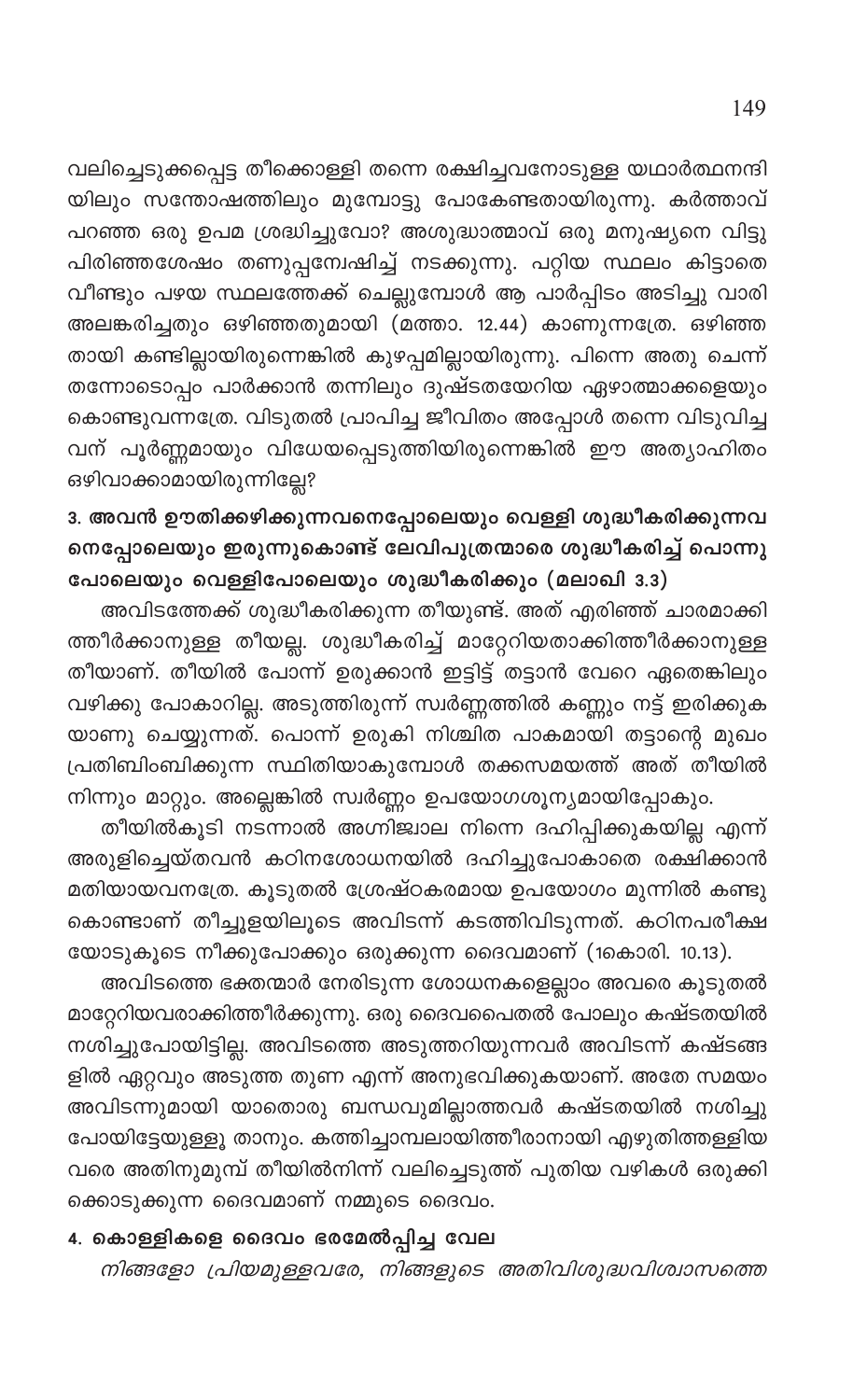വലിച്ചെടുക്കപ്പെട്ട തീക്കൊള്ളി തന്നെ രക്ഷിച്ചവനോടുള്ള യഥാർത്ഥനന്ദി യിലും സന്തോഷത്തിലും മുമ്പോട്ടു പോകേണ്ടതായിരുന്നു. കർത്താവ് പറഞ്ഞ ഒരു ഉപമ ശ്രദ്ധിച്ചുവോ? അശുദ്ധാത്മാവ് ഒരു മനുഷ്യനെ വിട്ടു പിരിഞ്ഞശേഷം തണുപ്പന്വേഷിച്ച് നടക്കുന്നു. പറ്റിയ സ്ഥലം കിട്ടാതെ വീണ്ടും പഴയ സ്ഥലത്തേക്ക് ചെല്ലുമ്പോൾ ആ പാർപ്പിടം അടിച്ചു വാരി അലങ്കരിച്ചതും ഒഴിഞ്ഞതുമായി (മത്താ. 12.44) കാണുന്നത്രേ. ഒഴിഞ്ഞ തായി കണ്ടില്ലായിരുന്നെങ്കിൽ കുഴപ്പമില്ലായിരുന്നു. പിന്നെ അതു ചെന്ന് തന്നോടൊപ്പം പാർക്കാൻ തന്നിലും ദുഷ്ടതയേറിയ ഏഴാത്മാക്കളെയും കൊണ്ടുവന്നത്രേ. വിടുതൽ പ്രാപിച്ച ജീവിതം അപ്പോൾ തന്നെ വിടുവിച്ച വന് പൂർണ്ണമായും വിധേയപ്പെടുത്തിയിരുന്നെങ്കിൽ ഈ അത്യാഹിതം ഒഴിവാക്കാമായിരുന്നില്ലേ?

## 3. അവൻ ഊതിക്കഴിക്കുന്നവനെപ്പോലെയും വെള്ളി ശുദ്ധീകരിക്കുന്നവ നെപ്പോലെയും ഇരുന്നുകൊണ്ട് ലേവിപുത്രന്മാരെ ശുദ്ധീകരിച്ച് പൊന്നു പോലെയും വെള്ളിപോലെയും ശുദ്ധീകരിക്കും (മലാഖി 3.3)

അവിടത്തേക്ക് ശുദ്ധീകരിക്കുന്ന തീയുണ്ട്. അത് എരിഞ്ഞ് ചാരമാക്കി ത്തീർക്കാനുള്ള തീയല്ല. ശുദ്ധീകരിച്ച് മാറ്റേറിയതാക്കിത്തീർക്കാനുള്ള തീയാണ്. തീയിൽ പോന്ന് ഉരുക്കാൻ ഇട്ടിട്ട് തട്ടാൻ വേറെ ഏതെങ്കിലും വഴിക്കു പോകാറില്ല. അടുത്തിരുന്ന് സ്വർണ്ണത്തിൽ കണ്ണും നട്ട് ഇരിക്കുക യാണു ചെയ്യുന്നത്. പൊന്ന് ഉരുകി നിശ്ചിത പാകമായി തട്ടാന്റെ മുഖം പ്രതിബിംബിക്കുന്ന സ്ഥിതിയാകുമ്പോൾ തക്കസമയത്ത് അത് തീയിൽ നിന്നും മാറ്റും. അല്ലെങ്കിൽ സ്വർണ്ണം ഉപയോഗശൂന്യമായിപ്പോകും.

തീയിൽകൂടി നടന്നാൽ അഗ്നിജ്വാല നിന്നെ ദഹിപ്പിക്കുകയില്ല എന്ന് അരുളിച്ചെയ്തവൻ കഠിനശോധനയിൽ ദഹിച്ചുപോകാതെ രക്ഷിക്കാൻ മതിയായവനത്രേ. കൂടുതൽ ശ്രേഷ്ഠകരമായ ഉപയോഗം മുന്നിൽ കണ്ടു കൊണ്ടാണ് തീച്ചൂളയിലൂടെ അവിടന്ന് കടത്തിവിടുന്നത്. കഠിനപരീക്ഷ യോടുകൂടെ നീക്കുപോക്കും ഒരുക്കുന്ന ദൈവമാണ് (1കൊരി. 10.13).

അവിടത്തെ ഭക്തന്മാർ നേരിടുന്ന ശോധനകളെല്ലാം അവരെ കൂടുതൽ മാറ്റേറിയവരാക്കിത്തീർക്കുന്നു. ഒരു ദൈവപൈതൽ പോലും കഷ്ടതയിൽ നശിച്ചുപോയിട്ടില്ല. അവിടത്തെ അടുത്തറിയുന്നവർ അവിടന്ന് കഷ്ടങ്ങ ളിൽ ഏറ്റവും അടുത്ത തുണ എന്ന് അനുഭവിക്കുകയാണ്. അതേ സമയം അവിടന്നുമായി യാതൊരു ബന്ധവുമില്ലാത്തവർ കഷ്ടതയിൽ നശിച്ചു പോയിട്ടേയുള്ളൂ താനും. കത്തിച്ചാമ്പലായിത്തീരാനായി എഴുതിത്തള്ളിയ വരെ അതിനുമുമ്പ് തീയിൽനിന്ന് വലിച്ചെടുത്ത് പുതിയ വഴികൾ ഒരുക്കി ക്കൊടുക്കുന്ന ദൈവമാണ് നമ്മുടെ ദൈവം.

#### 4. കൊള്ളികളെ ദൈവം ഭരമേൽപ്പിച്ച വേല

നിങ്ങളോ പ്രിയമുള്ളവരേ, നിങ്ങളുടെ അതിവിശുദ്ധവിശ്വാസത്തെ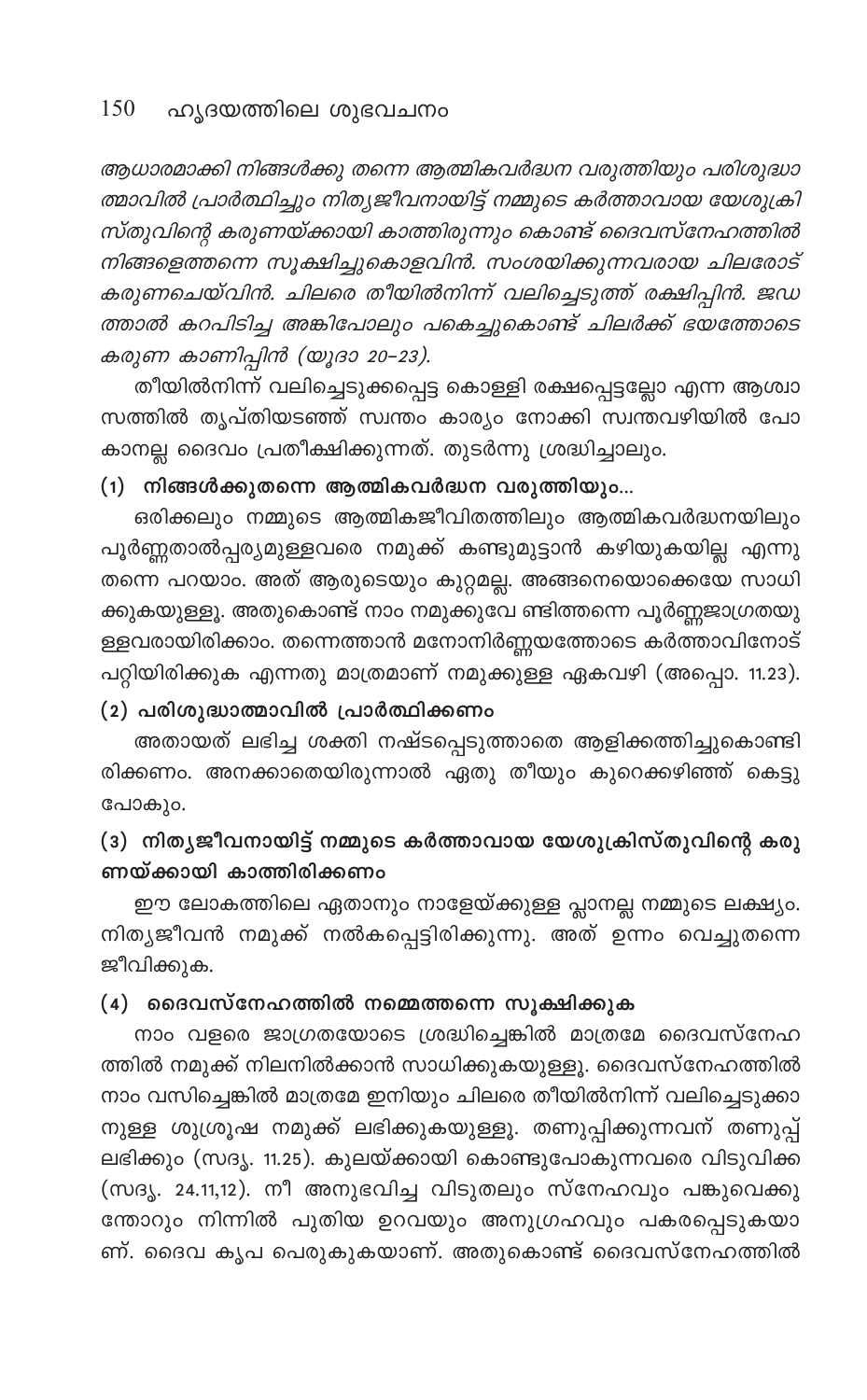ആധാരമാക്കി നിങ്ങൾക്കു തന്നെ ആത്മികവർദ്ധന വരുത്തിയും പരിശുദ്ധാ ത്മാവിൽ പ്രാർത്ഥിച്ചും നിത്യജീവനായിട്ട് നമ്മുടെ കർത്താവായ യേശുക്രി സ്തുവിന്റെ കരുണയ്ക്കായി കാത്തിരുന്നും കൊണ്ട് ദൈവസ്നേഹത്തിൽ നിങ്ങളെത്തന്നെ സൂക്ഷിച്ചുകൊളവിൻ. സംശയിക്കുന്നവരായ ചിലരോട് കരുണചെയ്വിൻ. ചിലരെ തീയിൽനിന്ന് വലിച്ചെടുത്ത് രക്ഷിപ്പിൻ. ജഡ ത്താൽ കറപിടിച്ച അങ്കിപോലും പകെച്ചുകൊണ്ട് ചിലർക്ക് ഭയത്തോടെ കരുണ കാണിപ്പിൻ (യൂദാ 20-23).

തീയിൽനിന്ന് വലിച്ചെടുക്കപ്പെട്ട കൊള്ളി രക്ഷപ്പെട്ടല്ലോ എന്ന ആശ്വാ സത്തിൽ തൃപ്തിയടഞ്ഞ് സ്വന്തം കാര്യം നോക്കി സ്വന്തവഴിയിൽ പോ കാനല്ല ദൈവം പ്രതീക്ഷിക്കുന്നത്. തുടർന്നു ശ്രദ്ധിച്ചാലും.

#### $(1)$  നിങ്ങൾക്കുതന്നെ ആത്മികവർദ്ധന വരുത്തിയും...

ഒരിക്കലും നമ്മുടെ ആത്മികജീവിതത്തിലും ആത്മികവർദ്ധനയിലും പൂർണ്ണതാൽപ്പര്യമുള്ളവരെ നമുക്ക് കണ്ടുമുട്ടാൻ കഴിയുകയില്ല എന്നു തന്നെ പറയാം. അത് ആരുടെയും കുറ്റമല്ല. അങ്ങനെയൊക്കെയേ സാധി ക്കുകയുള്ളൂ. അതുകൊണ്ട് നാം നമുക്കുവേ ണ്ടിത്തന്നെ പൂർണ്ണജാഗ്രതയു ള്ളവരായിരിക്കാം. തന്നെത്താൻ മനോനിർണ്ണയത്തോടെ കർത്താവിനോട് പറ്റിയിരിക്കുക എന്നതു മാത്രമാണ് നമുക്കുള്ള ഏകവഴി (അപ്പൊ. 11.23).

#### (2) പരിശുദ്ധാത്മാവിൽ പ്രാർത്ഥിക്കണം

അതായത് ലഭിച്ച ശക്തി നഷ്ടപ്പെടുത്താതെ ആളിക്കത്തിച്ചുകൊണ്ടി രിക്കണം. അനക്കാതെയിരുന്നാൽ ഏതു തീയും കുറെക്കഴിഞ്ഞ് കെട്ടു പോകും.

#### (3) നിതൃജീവനായിട്ട് നമ്മുടെ കർത്താവായ യേശുക്രിസ്തുവിന്റെ കരു ണയ്ക്കായി കാത്തിരിക്കണം

ഈ ലോകത്തിലെ ഏതാനും നാളേയ്ക്കുള്ള പ്ലാനല്ല നമ്മുടെ ലക്ഷ്യം. നിത്യജീവൻ നമുക്ക് നൽകപ്പെട്ടിരിക്കുന്നു. അത് ഉന്നം വെച്ചുതന്നെ ജീവിക്കുക.

#### (4) ദൈവസ്നേഹത്തിൽ നമ്മെത്തന്നെ സൂക്ഷിക്കുക

നാം വളരെ ജാഗ്രതയോടെ ശ്രദ്ധിച്ചെങ്കിൽ മാത്രമേ ദൈവസ്നേഹ ത്തിൽ നമുക്ക് നിലനിൽക്കാൻ സാധിക്കുകയുള്ളൂ. ദൈവസ്നേഹത്തിൽ നാം വസിച്ചെങ്കിൽ മാത്രമേ ഇനിയും ചിലരെ തീയിൽനിന്ന് വലിച്ചെടുക്കാ നുള്ള ശുശ്രൂഷ നമുക്ക് ലഭിക്കുകയുള്ളൂ. തണുപ്പിക്കുന്നവന് തണുപ്പ<mark>്</mark> ലഭിക്കും (സദൃ. 11.25). കുലയ്ക്കായി കൊണ്ടുപോകുന്നവരെ വിടുവിക്ക (സദൃ. 24.11,12). നീ അനുഭവിച്ച വിടുതലും സ്നേഹവും പങ്കുവെക്കു ന്തോറും നിന്നിൽ പുതിയ ഉറവയും അനുഗ്രഹവും പകരപ്പെടുകയാ ണ്. ദൈവ കൃപ പെരുകുകയാണ്. അതുകൊണ്ട് ദൈവസ്നേഹത്തിൽ